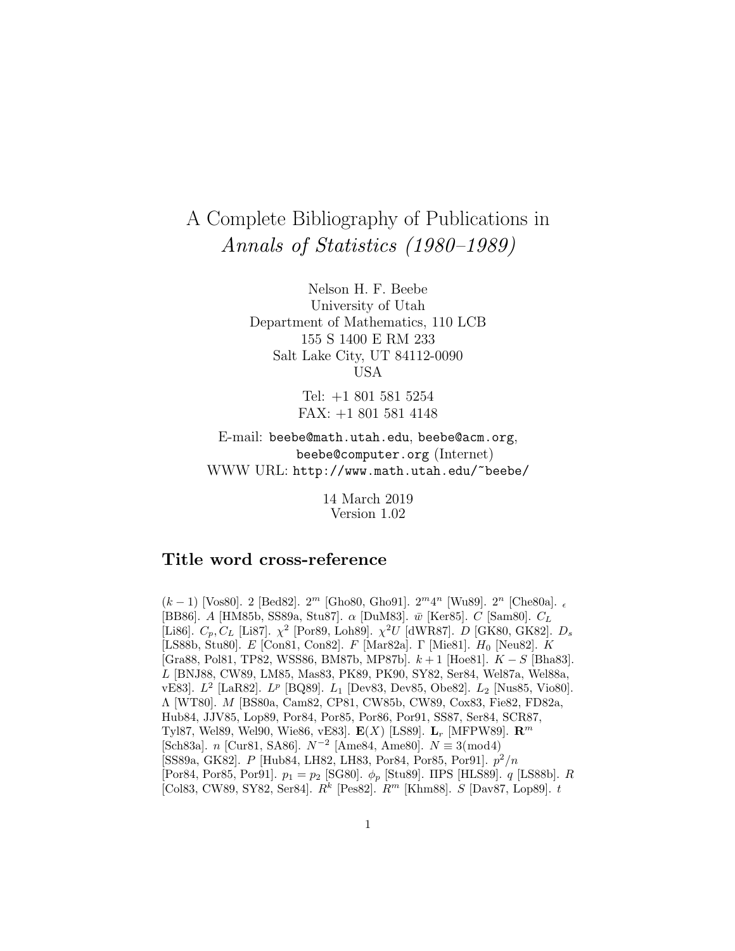# A Complete Bibliography of Publications in Annals of Statistics (1980–1989)

Nelson H. F. Beebe University of Utah Department of Mathematics, 110 LCB 155 S 1400 E RM 233 Salt Lake City, UT 84112-0090 USA

> Tel: +1 801 581 5254 FAX: +1 801 581 4148

E-mail: beebe@math.utah.edu, beebe@acm.org, beebe@computer.org (Internet) WWW URL: http://www.math.utah.edu/~beebe/

> 14 March 2019 Version 1.02

# **Title word cross-reference**

(k − 1) [Vos80]. 2 [Bed82].  $2^m$  [Gho80, Gho91].  $2^m 4^n$  [Wu89].  $2^n$  [Che80a].  $\epsilon$ [BB86]. A [HM85b, SS89a, Stu87].  $\alpha$  [DuM83].  $\bar{w}$  [Ker85]. C [Sam80].  $C_L$ [Li86].  $C_p, C_L$  [Li87].  $\chi^2$  [Por89, Loh89].  $\chi^2 U$  [dWR87]. D [GK80, GK82].  $D_s$ [LS88b, Stu80]. E [Con81, Con82]. F [Mar82a]. Γ [Mie81]. H<sub>0</sub> [Neu82]. K [Gra88, Pol81, TP82, WSS86, BM87b, MP87b]. k + 1 [Hoe81]. K − S [Bha83]. L [BNJ88, CW89, LM85, Mas83, PK89, PK90, SY82, Ser84, Wel87a, Wel88a, vE83].  $L^2$  [LaR82].  $L^p$  [BQ89].  $L_1$  [Dev83, Dev85, Obe82].  $L_2$  [Nus85, Vio80]. Λ [WT80]. M [BS80a, Cam82, CP81, CW85b, CW89, Cox83, Fie82, FD82a, Hub84, JJV85, Lop89, Por84, Por85, Por86, Por91, SS87, Ser84, SCR87, Tyl87, Wel89, Wel90, Wie86, vE83]. **E**(X) [LS89]. **L**<sup>r</sup> [MFPW89]. **R**<sup>m</sup> [Sch83a]. n [Cur81, SA86].  $N^{-2}$  [Ame84, Ame80].  $N \equiv 3 \pmod{4}$ [SS89a, GK82]. P [Hub84, LH82, LH83, Por84, Por85, Por91].  $p^2/n$ [Por84, Por85, Por91].  $p_1 = p_2$  [SG80].  $\phi_p$  [Stu89]. ΠPS [HLS89]. q [LS88b]. R [Col83, CW89, SY82, Ser84].  $R^k$  [Pes82].  $R^m$  [Khm88]. S [Dav87, Lop89]. t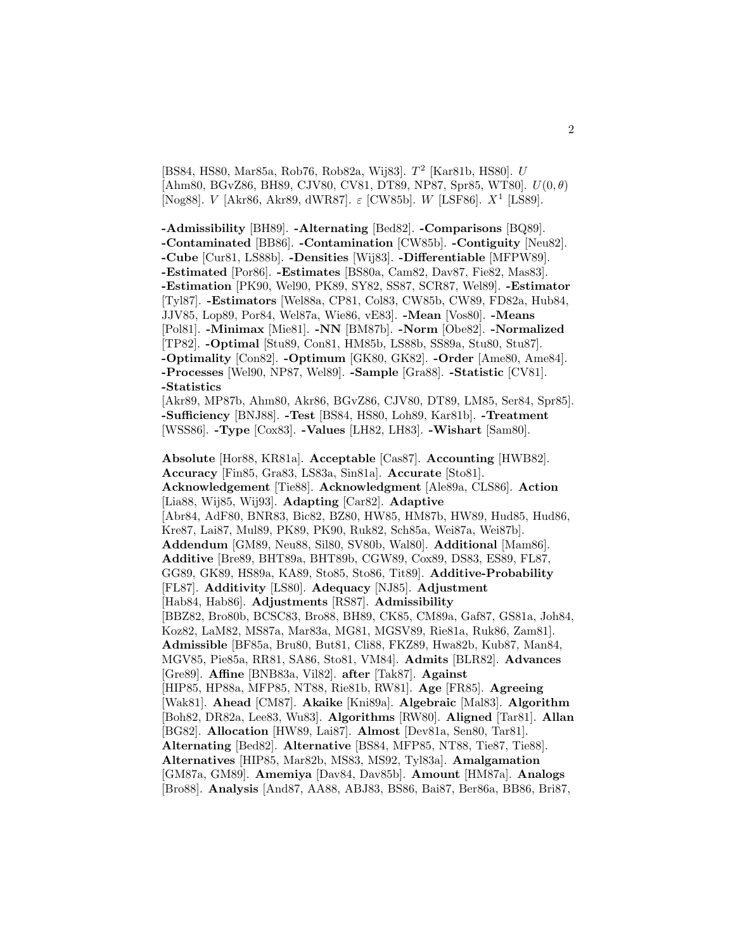[BS84, HS80, Mar85a, Rob76, Rob82a, Wij83].  $T^2$  [Kar81b, HS80]. U  $[Ahm80, BGvZ86, BH89, CJV80, CV81, DT89, NP87, Spr85, WT80]. U(0, \theta)$ [Nog88]. V [Akr86, Akr89, dWR87].  $\varepsilon$  [CW85b]. W [LSF86].  $X^1$  [LS89].

**-Admissibility** [BH89]. **-Alternating** [Bed82]. **-Comparisons** [BQ89]. **-Contaminated** [BB86]. **-Contamination** [CW85b]. **-Contiguity** [Neu82]. **-Cube** [Cur81, LS88b]. **-Densities** [Wij83]. **-Differentiable** [MFPW89]. **-Estimated** [Por86]. **-Estimates** [BS80a, Cam82, Dav87, Fie82, Mas83]. **-Estimation** [PK90, Wel90, PK89, SY82, SS87, SCR87, Wel89]. **-Estimator** [Tyl87]. **-Estimators** [Wel88a, CP81, Col83, CW85b, CW89, FD82a, Hub84, JJV85, Lop89, Por84, Wel87a, Wie86, vE83]. **-Mean** [Vos80]. **-Means** [Pol81]. **-Minimax** [Mie81]. **-NN** [BM87b]. **-Norm** [Obe82]. **-Normalized** [TP82]. **-Optimal** [Stu89, Con81, HM85b, LS88b, SS89a, Stu80, Stu87]. **-Optimality** [Con82]. **-Optimum** [GK80, GK82]. **-Order** [Ame80, Ame84]. **-Processes** [Wel90, NP87, Wel89]. **-Sample** [Gra88]. **-Statistic** [CV81]. **-Statistics**

[Akr89, MP87b, Ahm80, Akr86, BGvZ86, CJV80, DT89, LM85, Ser84, Spr85]. **-Sufficiency** [BNJ88]. **-Test** [BS84, HS80, Loh89, Kar81b]. **-Treatment** [WSS86]. **-Type** [Cox83]. **-Values** [LH82, LH83]. **-Wishart** [Sam80].

**Absolute** [Hor88, KR81a]. **Acceptable** [Cas87]. **Accounting** [HWB82]. **Accuracy** [Fin85, Gra83, LS83a, Sin81a]. **Accurate** [Sto81]. **Acknowledgement** [Tie88]. **Acknowledgment** [Ale89a, CLS86]. **Action** [Lia88, Wij85, Wij93]. **Adapting** [Car82]. **Adaptive** [Abr84, AdF80, BNR83, Bic82, BZ80, HW85, HM87b, HW89, Hud85, Hud86, Kre87, Lai87, Mul89, PK89, PK90, Ruk82, Sch85a, Wei87a, Wei87b]. **Addendum** [GM89, Neu88, Sil80, SV80b, Wal80]. **Additional** [Mam86]. **Additive** [Bre89, BHT89a, BHT89b, CGW89, Cox89, DS83, ES89, FL87, GG89, GK89, HS89a, KA89, Sto85, Sto86, Tit89]. **Additive-Probability** [FL87]. **Additivity** [LS80]. **Adequacy** [NJ85]. **Adjustment** [Hab84, Hab86]. **Adjustments** [RS87]. **Admissibility** [BBZ82, Bro80b, BCSC83, Bro88, BH89, CK85, CM89a, Gaf87, GS81a, Joh84, Koz82, LaM82, MS87a, Mar83a, MG81, MGSV89, Rie81a, Ruk86, Zam81]. **Admissible** [BF85a, Bru80, But81, Cli88, FKZ89, Hwa82b, Kub87, Man84, MGV85, Pie85a, RR81, SA86, Sto81, VM84]. **Admits** [BLR82]. **Advances** [Gre89]. **Affine** [BNB83a, Vil82]. **after** [Tak87]. **Against** [HIP85, HP88a, MFP85, NT88, Rie81b, RW81]. **Age** [FR85]. **Agreeing** [Wak81]. **Ahead** [CM87]. **Akaike** [Kni89a]. **Algebraic** [Mal83]. **Algorithm** [Boh82, DR82a, Lee83, Wu83]. **Algorithms** [RW80]. **Aligned** [Tar81]. **Allan** [BG82]. **Allocation** [HW89, Lai87]. **Almost** [Dev81a, Sen80, Tar81]. **Alternating** [Bed82]. **Alternative** [BS84, MFP85, NT88, Tie87, Tie88]. **Alternatives** [HIP85, Mar82b, MS83, MS92, Tyl83a]. **Amalgamation** [GM87a, GM89]. **Amemiya** [Dav84, Dav85b]. **Amount** [HM87a]. **Analogs** [Bro88]. **Analysis** [And87, AA88, ABJ83, BS86, Bai87, Ber86a, BB86, Bri87,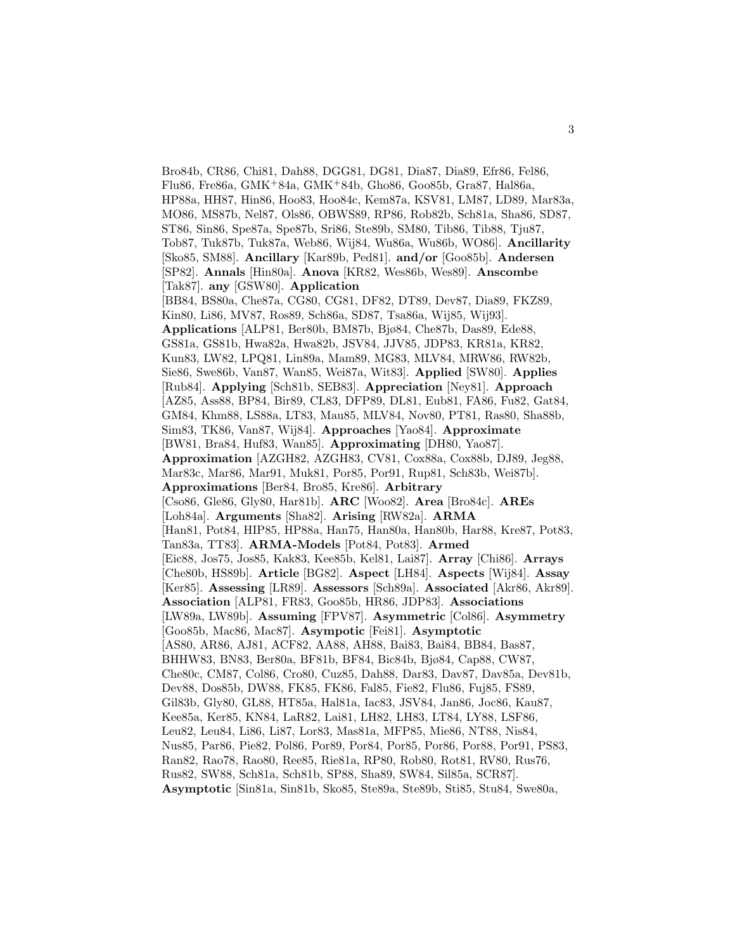Bro84b, CR86, Chi81, Dah88, DGG81, DG81, Dia87, Dia89, Efr86, Fel86, Flu86, Fre86a, GMK<sup>+</sup>84a, GMK<sup>+</sup>84b, Gho86, Goo85b, Gra87, Hal86a, HP88a, HH87, Hin86, Hoo83, Hoo84c, Kem87a, KSV81, LM87, LD89, Mar83a, MO86, MS87b, Nel87, Ols86, OBWS89, RP86, Rob82b, Sch81a, Sha86, SD87, ST86, Sin86, Spe87a, Spe87b, Sri86, Ste89b, SM80, Tib86, Tib88, Tju87, Tob87, Tuk87b, Tuk87a, Web86, Wij84, Wu86a, Wu86b, WO86]. **Ancillarity** [Sko85, SM88]. **Ancillary** [Kar89b, Ped81]. **and/or** [Goo85b]. **Andersen** [SP82]. **Annals** [Hin80a]. **Anova** [KR82, Wes86b, Wes89]. **Anscombe** [Tak87]. **any** [GSW80]. **Application** [BB84, BS80a, Che87a, CG80, CG81, DF82, DT89, Dev87, Dia89, FKZ89, Kin80, Li86, MV87, Ros89, Sch86a, SD87, Tsa86a, Wij85, Wij93]. **Applications** [ALP81, Ber80b, BM87b, Bjø84, Che87b, Das89, Ede88, GS81a, GS81b, Hwa82a, Hwa82b, JSV84, JJV85, JDP83, KR81a, KR82, Kun83, LW82, LPQ81, Lin89a, Mam89, MG83, MLV84, MRW86, RW82b, Sie86, Swe86b, Van87, Wan85, Wei87a, Wit83]. **Applied** [SW80]. **Applies** [Rub84]. **Applying** [Sch81b, SEB83]. **Appreciation** [Ney81]. **Approach** [AZ85, Ass88, BP84, Bir89, CL83, DFP89, DL81, Eub81, FA86, Fu82, Gat84, GM84, Khm88, LS88a, LT83, Mau85, MLV84, Nov80, PT81, Ras80, Sha88b, Sim83, TK86, Van87, Wij84]. **Approaches** [Yao84]. **Approximate** [BW81, Bra84, Huf83, Wan85]. **Approximating** [DH80, Yao87]. **Approximation** [AZGH82, AZGH83, CV81, Cox88a, Cox88b, DJ89, Jeg88, Mar83c, Mar86, Mar91, Muk81, Por85, Por91, Rup81, Sch83b, Wei87b]. **Approximations** [Ber84, Bro85, Kre86]. **Arbitrary** [Cso86, Gle86, Gly80, Har81b]. **ARC** [Woo82]. **Area** [Bro84c]. **AREs** [Loh84a]. **Arguments** [Sha82]. **Arising** [RW82a]. **ARMA** [Han81, Pot84, HIP85, HP88a, Han75, Han80a, Han80b, Har88, Kre87, Pot83, Tan83a, TT83]. **ARMA-Models** [Pot84, Pot83]. **Armed** [Eic88, Jos75, Jos85, Kak83, Kee85b, Kel81, Lai87]. **Array** [Chi86]. **Arrays** [Che80b, HS89b]. **Article** [BG82]. **Aspect** [LH84]. **Aspects** [Wij84]. **Assay** [Ker85]. **Assessing** [LR89]. **Assessors** [Sch89a]. **Associated** [Akr86, Akr89]. **Association** [ALP81, FR83, Goo85b, HR86, JDP83]. **Associations** [LW89a, LW89b]. **Assuming** [FPV87]. **Asymmetric** [Col86]. **Asymmetry** [Goo85b, Mac86, Mac87]. **Asympotic** [Fei81]. **Asymptotic** [AS80, AR86, AJ81, ACF82, AA88, AH88, Bai83, Bai84, BB84, Bas87, BHHW83, BN83, Ber80a, BF81b, BF84, Bic84b, Bjø84, Cap88, CW87, Che80c, CM87, Col86, Cro80, Cuz85, Dah88, Dar83, Dav87, Dav85a, Dev81b, Dev88, Dos85b, DW88, FK85, FK86, Fal85, Fie82, Flu86, Fuj85, FS89, Gil83b, Gly80, GL88, HT85a, Hal81a, Iac83, JSV84, Jan86, Joc86, Kau87, Kee85a, Ker85, KN84, LaR82, Lai81, LH82, LH83, LT84, LY88, LSF86, Leu82, Leu84, Li86, Li87, Lor83, Mas81a, MFP85, Mie86, NT88, Nis84, Nus85, Par86, Pie82, Pol86, Por89, Por84, Por85, Por86, Por88, Por91, PS83, Ran82, Rao78, Rao80, Ree85, Rie81a, RP80, Rob80, Rot81, RV80, Rus76, Rus82, SW88, Sch81a, Sch81b, SP88, Sha89, SW84, Sil85a, SCR87]. **Asymptotic** [Sin81a, Sin81b, Sko85, Ste89a, Ste89b, Sti85, Stu84, Swe80a,

3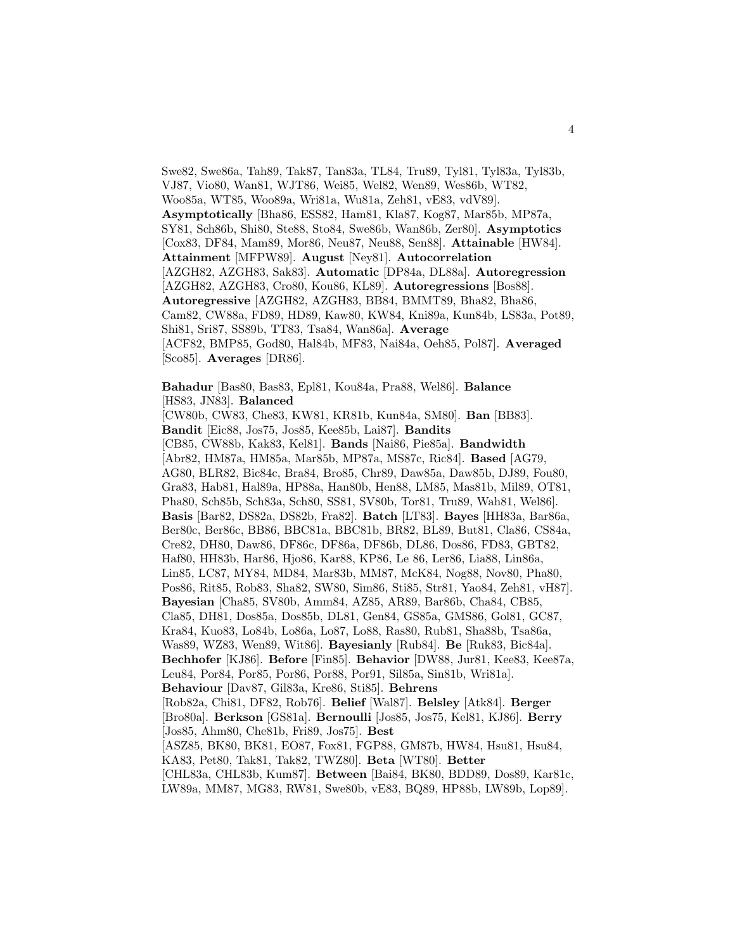Swe82, Swe86a, Tah89, Tak87, Tan83a, TL84, Tru89, Tyl81, Tyl83a, Tyl83b, VJ87, Vio80, Wan81, WJT86, Wei85, Wel82, Wen89, Wes86b, WT82, Woo85a, WT85, Woo89a, Wri81a, Wu81a, Zeh81, vE83, vdV89]. **Asymptotically** [Bha86, ESS82, Ham81, Kla87, Kog87, Mar85b, MP87a, SY81, Sch86b, Shi80, Ste88, Sto84, Swe86b, Wan86b, Zer80]. **Asymptotics** [Cox83, DF84, Mam89, Mor86, Neu87, Neu88, Sen88]. **Attainable** [HW84]. **Attainment** [MFPW89]. **August** [Ney81]. **Autocorrelation** [AZGH82, AZGH83, Sak83]. **Automatic** [DP84a, DL88a]. **Autoregression** [AZGH82, AZGH83, Cro80, Kou86, KL89]. **Autoregressions** [Bos88]. **Autoregressive** [AZGH82, AZGH83, BB84, BMMT89, Bha82, Bha86, Cam82, CW88a, FD89, HD89, Kaw80, KW84, Kni89a, Kun84b, LS83a, Pot89, Shi81, Sri87, SS89b, TT83, Tsa84, Wan86a]. **Average** [ACF82, BMP85, God80, Hal84b, MF83, Nai84a, Oeh85, Pol87]. **Averaged** [Sco85]. **Averages** [DR86].

**Bahadur** [Bas80, Bas83, Epl81, Kou84a, Pra88, Wel86]. **Balance** [HS83, JN83]. **Balanced** [CW80b, CW83, Che83, KW81, KR81b, Kun84a, SM80]. **Ban** [BB83]. **Bandit** [Eic88, Jos75, Jos85, Kee85b, Lai87]. **Bandits** [CB85, CW88b, Kak83, Kel81]. **Bands** [Nai86, Pie85a]. **Bandwidth** [Abr82, HM87a, HM85a, Mar85b, MP87a, MS87c, Ric84]. **Based** [AG79, AG80, BLR82, Bic84c, Bra84, Bro85, Chr89, Daw85a, Daw85b, DJ89, Fou80, Gra83, Hab81, Hal89a, HP88a, Han80b, Hen88, LM85, Mas81b, Mil89, OT81, Pha80, Sch85b, Sch83a, Sch80, SS81, SV80b, Tor81, Tru89, Wah81, Wel86]. **Basis** [Bar82, DS82a, DS82b, Fra82]. **Batch** [LT83]. **Bayes** [HH83a, Bar86a, Ber80c, Ber86c, BB86, BBC81a, BBC81b, BR82, BL89, But81, Cla86, CS84a, Cre82, DH80, Daw86, DF86c, DF86a, DF86b, DL86, Dos86, FD83, GBT82, Haf80, HH83b, Har86, Hjo86, Kar88, KP86, Le 86, Ler86, Lia88, Lin86a, Lin85, LC87, MY84, MD84, Mar83b, MM87, McK84, Nog88, Nov80, Pha80, Pos86, Rit85, Rob83, Sha82, SW80, Sim86, Sti85, Str81, Yao84, Zeh81, vH87]. **Bayesian** [Cha85, SV80b, Amm84, AZ85, AR89, Bar86b, Cha84, CB85, Cla85, DH81, Dos85a, Dos85b, DL81, Gen84, GS85a, GMS86, Gol81, GC87, Kra84, Kuo83, Lo84b, Lo86a, Lo87, Lo88, Ras80, Rub81, Sha88b, Tsa86a, Was89, WZ83, Wen89, Wit86]. **Bayesianly** [Rub84]. **Be** [Ruk83, Bic84a]. **Bechhofer** [KJ86]. **Before** [Fin85]. **Behavior** [DW88, Jur81, Kee83, Kee87a, Leu84, Por84, Por85, Por86, Por88, Por91, Sil85a, Sin81b, Wri81a]. **Behaviour** [Dav87, Gil83a, Kre86, Sti85]. **Behrens** [Rob82a, Chi81, DF82, Rob76]. **Belief** [Wal87]. **Belsley** [Atk84]. **Berger** [Bro80a]. **Berkson** [GS81a]. **Bernoulli** [Jos85, Jos75, Kel81, KJ86]. **Berry** [Jos85, Ahm80, Che81b, Fri89, Jos75]. **Best** [ASZ85, BK80, BK81, EO87, Fox81, FGP88, GM87b, HW84, Hsu81, Hsu84, KA83, Pet80, Tak81, Tak82, TWZ80]. **Beta** [WT80]. **Better** [CHL83a, CHL83b, Kum87]. **Between** [Bai84, BK80, BDD89, Dos89, Kar81c, LW89a, MM87, MG83, RW81, Swe80b, vE83, BQ89, HP88b, LW89b, Lop89].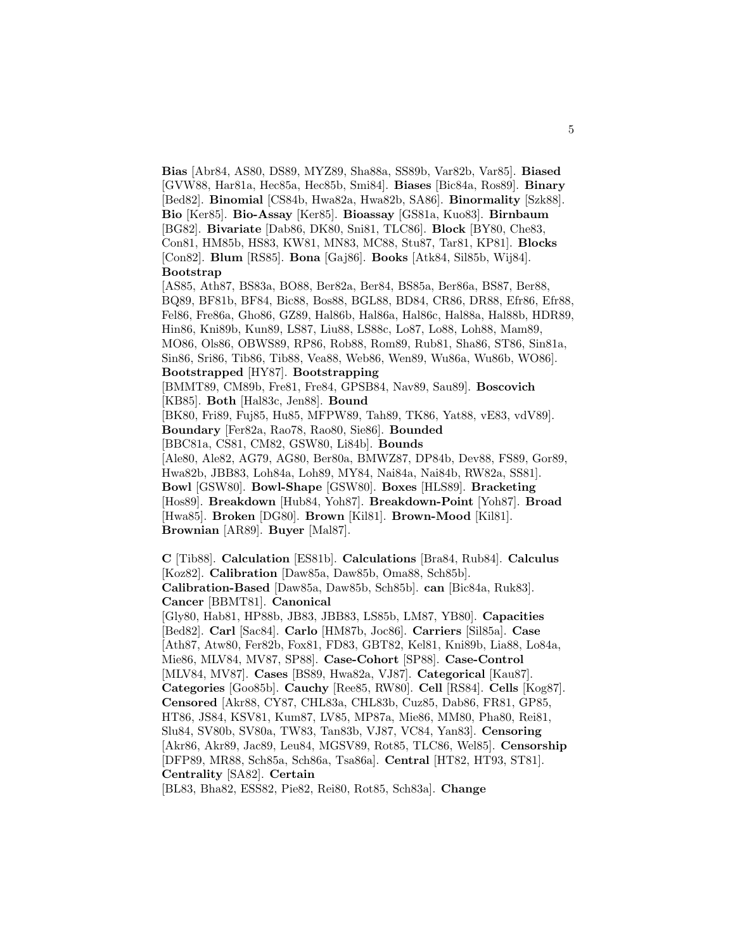**Bias** [Abr84, AS80, DS89, MYZ89, Sha88a, SS89b, Var82b, Var85]. **Biased** [GVW88, Har81a, Hec85a, Hec85b, Smi84]. **Biases** [Bic84a, Ros89]. **Binary** [Bed82]. **Binomial** [CS84b, Hwa82a, Hwa82b, SA86]. **Binormality** [Szk88]. **Bio** [Ker85]. **Bio-Assay** [Ker85]. **Bioassay** [GS81a, Kuo83]. **Birnbaum** [BG82]. **Bivariate** [Dab86, DK80, Sni81, TLC86]. **Block** [BY80, Che83, Con81, HM85b, HS83, KW81, MN83, MC88, Stu87, Tar81, KP81]. **Blocks** [Con82]. **Blum** [RS85]. **Bona** [Gaj86]. **Books** [Atk84, Sil85b, Wij84]. **Bootstrap**

[AS85, Ath87, BS83a, BO88, Ber82a, Ber84, BS85a, Ber86a, BS87, Ber88, BQ89, BF81b, BF84, Bic88, Bos88, BGL88, BD84, CR86, DR88, Efr86, Efr88, Fel86, Fre86a, Gho86, GZ89, Hal86b, Hal86a, Hal86c, Hal88a, Hal88b, HDR89, Hin86, Kni89b, Kun89, LS87, Liu88, LS88c, Lo87, Lo88, Loh88, Mam89, MO86, Ols86, OBWS89, RP86, Rob88, Rom89, Rub81, Sha86, ST86, Sin81a, Sin86, Sri86, Tib86, Tib88, Vea88, Web86, Wen89, Wu86a, Wu86b, WO86]. **Bootstrapped** [HY87]. **Bootstrapping**

[BMMT89, CM89b, Fre81, Fre84, GPSB84, Nav89, Sau89]. **Boscovich** [KB85]. **Both** [Hal83c, Jen88]. **Bound**

[BK80, Fri89, Fuj85, Hu85, MFPW89, Tah89, TK86, Yat88, vE83, vdV89].

**Boundary** [Fer82a, Rao78, Rao80, Sie86]. **Bounded**

[BBC81a, CS81, CM82, GSW80, Li84b]. **Bounds**

[Ale80, Ale82, AG79, AG80, Ber80a, BMWZ87, DP84b, Dev88, FS89, Gor89, Hwa82b, JBB83, Loh84a, Loh89, MY84, Nai84a, Nai84b, RW82a, SS81]. **Bowl** [GSW80]. **Bowl-Shape** [GSW80]. **Boxes** [HLS89]. **Bracketing** [Hos89]. **Breakdown** [Hub84, Yoh87]. **Breakdown-Point** [Yoh87]. **Broad** [Hwa85]. **Broken** [DG80]. **Brown** [Kil81]. **Brown-Mood** [Kil81]. **Brownian** [AR89]. **Buyer** [Mal87].

**C** [Tib88]. **Calculation** [ES81b]. **Calculations** [Bra84, Rub84]. **Calculus** [Koz82]. **Calibration** [Daw85a, Daw85b, Oma88, Sch85b]. **Calibration-Based** [Daw85a, Daw85b, Sch85b]. **can** [Bic84a, Ruk83]. **Cancer** [BBMT81]. **Canonical** [Gly80, Hab81, HP88b, JB83, JBB83, LS85b, LM87, YB80]. **Capacities** [Bed82]. **Carl** [Sac84]. **Carlo** [HM87b, Joc86]. **Carriers** [Sil85a]. **Case** [Ath87, Atw80, Fer82b, Fox81, FD83, GBT82, Kel81, Kni89b, Lia88, Lo84a, Mie86, MLV84, MV87, SP88]. **Case-Cohort** [SP88]. **Case-Control** [MLV84, MV87]. **Cases** [BS89, Hwa82a, VJ87]. **Categorical** [Kau87]. **Categories** [Goo85b]. **Cauchy** [Ree85, RW80]. **Cell** [RS84]. **Cells** [Kog87]. **Censored** [Akr88, CY87, CHL83a, CHL83b, Cuz85, Dab86, FR81, GP85, HT86, JS84, KSV81, Kum87, LV85, MP87a, Mie86, MM80, Pha80, Rei81, Slu84, SV80b, SV80a, TW83, Tan83b, VJ87, VC84, Yan83]. **Censoring** [Akr86, Akr89, Jac89, Leu84, MGSV89, Rot85, TLC86, Wel85]. **Censorship** [DFP89, MR88, Sch85a, Sch86a, Tsa86a]. **Central** [HT82, HT93, ST81]. **Centrality** [SA82]. **Certain**

[BL83, Bha82, ESS82, Pie82, Rei80, Rot85, Sch83a]. **Change**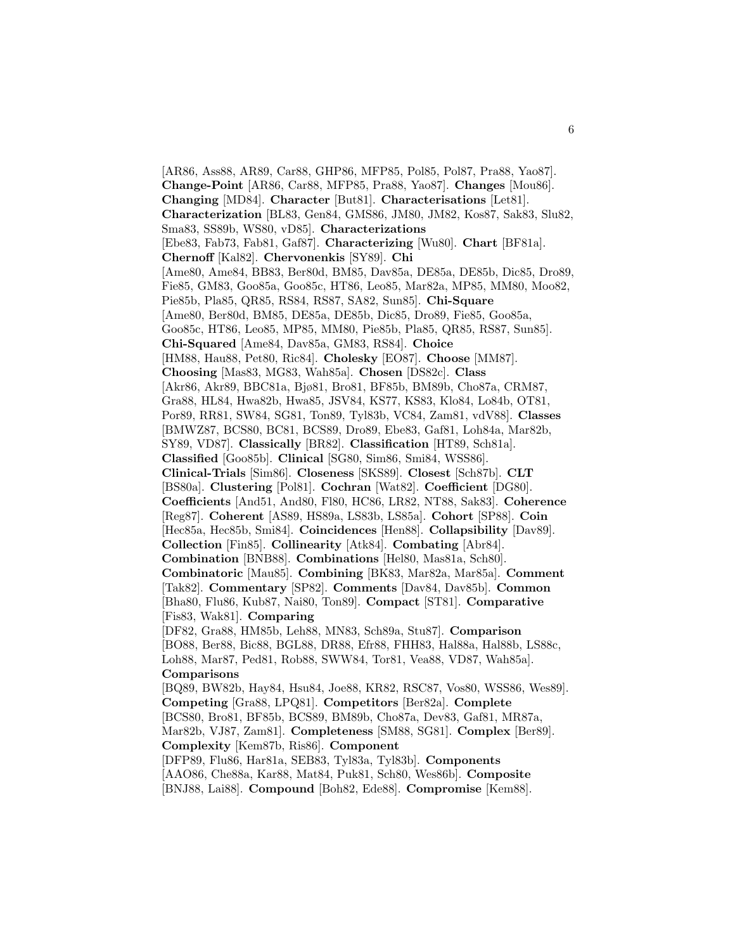[AR86, Ass88, AR89, Car88, GHP86, MFP85, Pol85, Pol87, Pra88, Yao87]. **Change-Point** [AR86, Car88, MFP85, Pra88, Yao87]. **Changes** [Mou86]. **Changing** [MD84]. **Character** [But81]. **Characterisations** [Let81]. **Characterization** [BL83, Gen84, GMS86, JM80, JM82, Kos87, Sak83, Slu82, Sma83, SS89b, WS80, vD85]. **Characterizations** [Ebe83, Fab73, Fab81, Gaf87]. **Characterizing** [Wu80]. **Chart** [BF81a]. **Chernoff** [Kal82]. **Chervonenkis** [SY89]. **Chi** [Ame80, Ame84, BB83, Ber80d, BM85, Dav85a, DE85a, DE85b, Dic85, Dro89, Fie85, GM83, Goo85a, Goo85c, HT86, Leo85, Mar82a, MP85, MM80, Moo82, Pie85b, Pla85, QR85, RS84, RS87, SA82, Sun85]. **Chi-Square** [Ame80, Ber80d, BM85, DE85a, DE85b, Dic85, Dro89, Fie85, Goo85a, Goo85c, HT86, Leo85, MP85, MM80, Pie85b, Pla85, QR85, RS87, Sun85]. **Chi-Squared** [Ame84, Dav85a, GM83, RS84]. **Choice** [HM88, Hau88, Pet80, Ric84]. **Cholesky** [EO87]. **Choose** [MM87]. **Choosing** [Mas83, MG83, Wah85a]. **Chosen** [DS82c]. **Class** [Akr86, Akr89, BBC81a, Bjø81, Bro81, BF85b, BM89b, Cho87a, CRM87, Gra88, HL84, Hwa82b, Hwa85, JSV84, KS77, KS83, Klo84, Lo84b, OT81, Por89, RR81, SW84, SG81, Ton89, Tyl83b, VC84, Zam81, vdV88]. **Classes** [BMWZ87, BCS80, BC81, BCS89, Dro89, Ebe83, Gaf81, Loh84a, Mar82b, SY89, VD87]. **Classically** [BR82]. **Classification** [HT89, Sch81a]. **Classified** [Goo85b]. **Clinical** [SG80, Sim86, Smi84, WSS86]. **Clinical-Trials** [Sim86]. **Closeness** [SKS89]. **Closest** [Sch87b]. **CLT** [BS80a]. **Clustering** [Pol81]. **Cochran** [Wat82]. **Coefficient** [DG80]. **Coefficients** [And51, And80, Fl80, HC86, LR82, NT88, Sak83]. **Coherence** [Reg87]. **Coherent** [AS89, HS89a, LS83b, LS85a]. **Cohort** [SP88]. **Coin** [Hec85a, Hec85b, Smi84]. **Coincidences** [Hen88]. **Collapsibility** [Dav89]. **Collection** [Fin85]. **Collinearity** [Atk84]. **Combating** [Abr84]. **Combination** [BNB88]. **Combinations** [Hel80, Mas81a, Sch80]. **Combinatoric** [Mau85]. **Combining** [BK83, Mar82a, Mar85a]. **Comment** [Tak82]. **Commentary** [SP82]. **Comments** [Dav84, Dav85b]. **Common** [Bha80, Flu86, Kub87, Nai80, Ton89]. **Compact** [ST81]. **Comparative** [Fis83, Wak81]. **Comparing** [DF82, Gra88, HM85b, Leh88, MN83, Sch89a, Stu87]. **Comparison** [BO88, Ber88, Bic88, BGL88, DR88, Efr88, FHH83, Hal88a, Hal88b, LS88c, Loh88, Mar87, Ped81, Rob88, SWW84, Tor81, Vea88, VD87, Wah85a]. **Comparisons** [BQ89, BW82b, Hay84, Hsu84, Joe88, KR82, RSC87, Vos80, WSS86, Wes89]. **Competing** [Gra88, LPQ81]. **Competitors** [Ber82a]. **Complete** [BCS80, Bro81, BF85b, BCS89, BM89b, Cho87a, Dev83, Gaf81, MR87a, Mar82b, VJ87, Zam81]. **Completeness** [SM88, SG81]. **Complex** [Ber89]. **Complexity** [Kem87b, Ris86]. **Component** [DFP89, Flu86, Har81a, SEB83, Tyl83a, Tyl83b]. **Components** [AAO86, Che88a, Kar88, Mat84, Puk81, Sch80, Wes86b]. **Composite** [BNJ88, Lai88]. **Compound** [Boh82, Ede88]. **Compromise** [Kem88].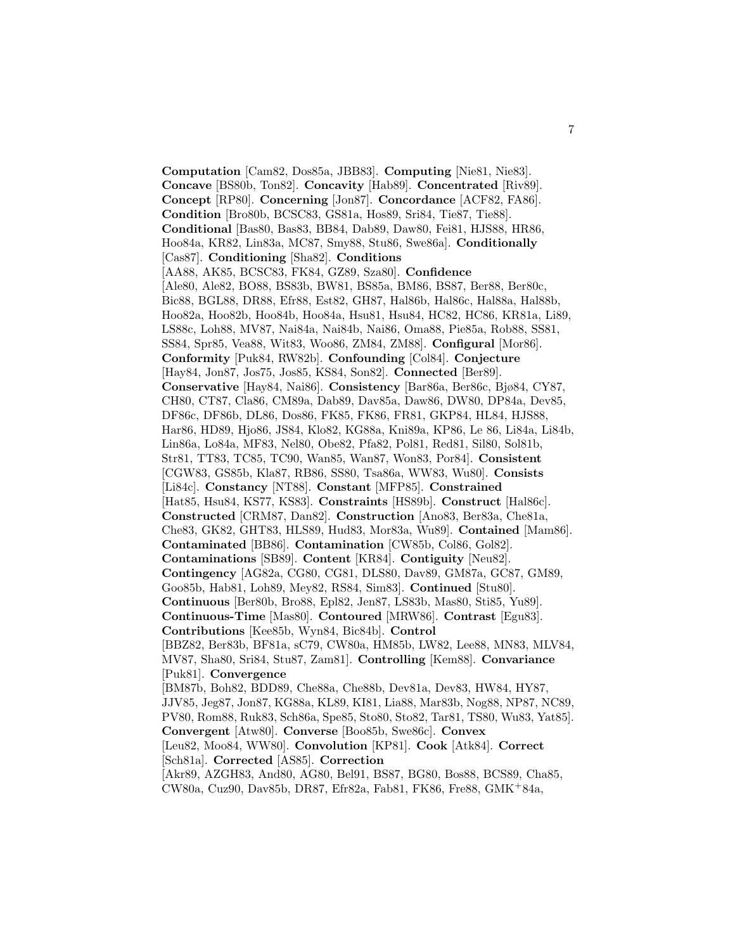**Computation** [Cam82, Dos85a, JBB83]. **Computing** [Nie81, Nie83]. **Concave** [BS80b, Ton82]. **Concavity** [Hab89]. **Concentrated** [Riv89]. **Concept** [RP80]. **Concerning** [Jon87]. **Concordance** [ACF82, FA86]. **Condition** [Bro80b, BCSC83, GS81a, Hos89, Sri84, Tie87, Tie88]. **Conditional** [Bas80, Bas83, BB84, Dab89, Daw80, Fei81, HJS88, HR86, Hoo84a, KR82, Lin83a, MC87, Smy88, Stu86, Swe86a]. **Conditionally** [Cas87]. **Conditioning** [Sha82]. **Conditions** [AA88, AK85, BCSC83, FK84, GZ89, Sza80]. **Confidence** [Ale80, Ale82, BO88, BS83b, BW81, BS85a, BM86, BS87, Ber88, Ber80c, Bic88, BGL88, DR88, Efr88, Est82, GH87, Hal86b, Hal86c, Hal88a, Hal88b, Hoo82a, Hoo82b, Hoo84b, Hoo84a, Hsu81, Hsu84, HC82, HC86, KR81a, Li89, LS88c, Loh88, MV87, Nai84a, Nai84b, Nai86, Oma88, Pie85a, Rob88, SS81, SS84, Spr85, Vea88, Wit83, Woo86, ZM84, ZM88]. **Configural** [Mor86]. **Conformity** [Puk84, RW82b]. **Confounding** [Col84]. **Conjecture** [Hay84, Jon87, Jos75, Jos85, KS84, Son82]. **Connected** [Ber89]. **Conservative** [Hay84, Nai86]. **Consistency** [Bar86a, Ber86c, Bjø84, CY87, CH80, CT87, Cla86, CM89a, Dab89, Dav85a, Daw86, DW80, DP84a, Dev85, DF86c, DF86b, DL86, Dos86, FK85, FK86, FR81, GKP84, HL84, HJS88, Har86, HD89, Hjo86, JS84, Klo82, KG88a, Kni89a, KP86, Le 86, Li84a, Li84b, Lin86a, Lo84a, MF83, Nel80, Obe82, Pfa82, Pol81, Red81, Sil80, Sol81b, Str81, TT83, TC85, TC90, Wan85, Wan87, Won83, Por84]. **Consistent** [CGW83, GS85b, Kla87, RB86, SS80, Tsa86a, WW83, Wu80]. **Consists** [Li84c]. **Constancy** [NT88]. **Constant** [MFP85]. **Constrained** [Hat85, Hsu84, KS77, KS83]. **Constraints** [HS89b]. **Construct** [Hal86c]. **Constructed** [CRM87, Dan82]. **Construction** [Ano83, Ber83a, Che81a, Che83, GK82, GHT83, HLS89, Hud83, Mor83a, Wu89]. **Contained** [Mam86]. **Contaminated** [BB86]. **Contamination** [CW85b, Col86, Gol82]. **Contaminations** [SB89]. **Content** [KR84]. **Contiguity** [Neu82]. **Contingency** [AG82a, CG80, CG81, DLS80, Dav89, GM87a, GC87, GM89, Goo85b, Hab81, Loh89, Mey82, RS84, Sim83]. **Continued** [Stu80]. **Continuous** [Ber80b, Bro88, Epl82, Jen87, LS83b, Mas80, Sti85, Yu89]. **Continuous-Time** [Mas80]. **Contoured** [MRW86]. **Contrast** [Egu83]. **Contributions** [Kee85b, Wyn84, Bic84b]. **Control** [BBZ82, Ber83b, BF81a, sC79, CW80a, HM85b, LW82, Lee88, MN83, MLV84, MV87, Sha80, Sri84, Stu87, Zam81]. **Controlling** [Kem88]. **Convariance** [Puk81]. **Convergence** [BM87b, Boh82, BDD89, Che88a, Che88b, Dev81a, Dev83, HW84, HY87, JJV85, Jeg87, Jon87, KG88a, KL89, KI81, Lia88, Mar83b, Nog88, NP87, NC89, PV80, Rom88, Ruk83, Sch86a, Spe85, Sto80, Sto82, Tar81, TS80, Wu83, Yat85]. **Convergent** [Atw80]. **Converse** [Boo85b, Swe86c]. **Convex** [Leu82, Moo84, WW80]. **Convolution** [KP81]. **Cook** [Atk84]. **Correct** [Sch81a]. **Corrected** [AS85]. **Correction** [Akr89, AZGH83, And80, AG80, Bel91, BS87, BG80, Bos88, BCS89, Cha85, CW80a, Cuz90, Dav85b, DR87, Efr82a, Fab81, FK86, Fre88, GMK<sup>+</sup>84a,

7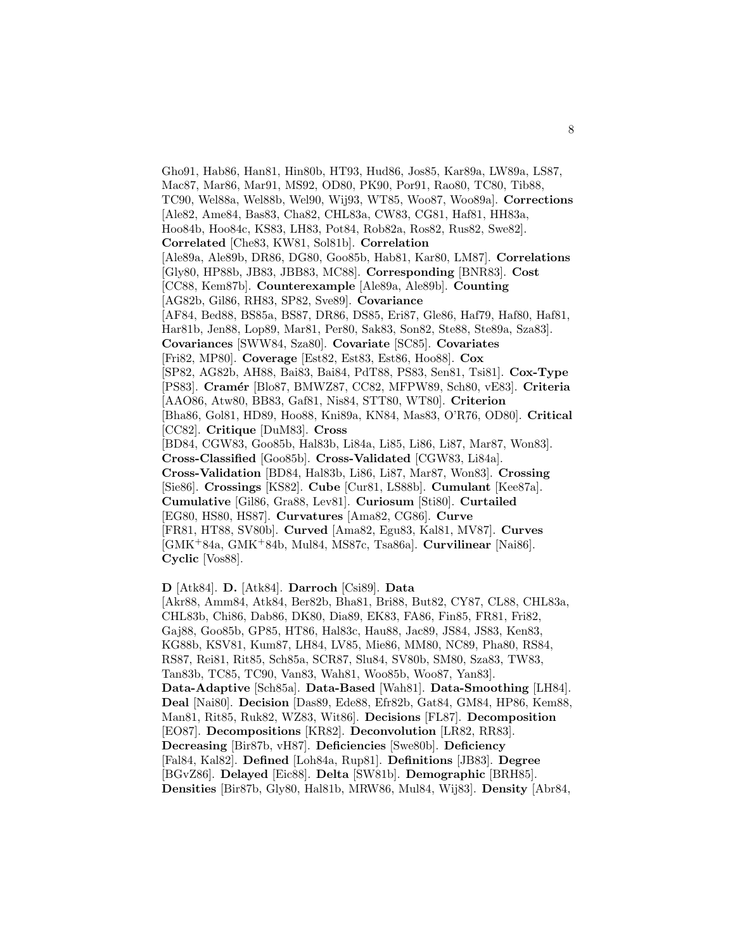Gho91, Hab86, Han81, Hin80b, HT93, Hud86, Jos85, Kar89a, LW89a, LS87, Mac87, Mar86, Mar91, MS92, OD80, PK90, Por91, Rao80, TC80, Tib88, TC90, Wel88a, Wel88b, Wel90, Wij93, WT85, Woo87, Woo89a]. **Corrections** [Ale82, Ame84, Bas83, Cha82, CHL83a, CW83, CG81, Haf81, HH83a, Hoo84b, Hoo84c, KS83, LH83, Pot84, Rob82a, Ros82, Rus82, Swe82]. **Correlated** [Che83, KW81, Sol81b]. **Correlation** [Ale89a, Ale89b, DR86, DG80, Goo85b, Hab81, Kar80, LM87]. **Correlations** [Gly80, HP88b, JB83, JBB83, MC88]. **Corresponding** [BNR83]. **Cost** [CC88, Kem87b]. **Counterexample** [Ale89a, Ale89b]. **Counting** [AG82b, Gil86, RH83, SP82, Sve89]. **Covariance** [AF84, Bed88, BS85a, BS87, DR86, DS85, Eri87, Gle86, Haf79, Haf80, Haf81, Har81b, Jen88, Lop89, Mar81, Per80, Sak83, Son82, Ste88, Ste89a, Sza83]. **Covariances** [SWW84, Sza80]. **Covariate** [SC85]. **Covariates** [Fri82, MP80]. **Coverage** [Est82, Est83, Est86, Hoo88]. **Cox** [SP82, AG82b, AH88, Bai83, Bai84, PdT88, PS83, Sen81, Tsi81]. **Cox-Type** [PS83]. **Cram´er** [Blo87, BMWZ87, CC82, MFPW89, Sch80, vE83]. **Criteria** [AAO86, Atw80, BB83, Gaf81, Nis84, STT80, WT80]. **Criterion** [Bha86, Gol81, HD89, Hoo88, Kni89a, KN84, Mas83, O'R76, OD80]. **Critical** [CC82]. **Critique** [DuM83]. **Cross** [BD84, CGW83, Goo85b, Hal83b, Li84a, Li85, Li86, Li87, Mar87, Won83]. **Cross-Classified** [Goo85b]. **Cross-Validated** [CGW83, Li84a]. **Cross-Validation** [BD84, Hal83b, Li86, Li87, Mar87, Won83]. **Crossing** [Sie86]. **Crossings** [KS82]. **Cube** [Cur81, LS88b]. **Cumulant** [Kee87a]. **Cumulative** [Gil86, Gra88, Lev81]. **Curiosum** [Sti80]. **Curtailed** [EG80, HS80, HS87]. **Curvatures** [Ama82, CG86]. **Curve** [FR81, HT88, SV80b]. **Curved** [Ama82, Egu83, Kal81, MV87]. **Curves** [GMK<sup>+</sup>84a, GMK<sup>+</sup>84b, Mul84, MS87c, Tsa86a]. **Curvilinear** [Nai86]. **Cyclic** [Vos88].

## **D** [Atk84]. **D.** [Atk84]. **Darroch** [Csi89]. **Data**

[Akr88, Amm84, Atk84, Ber82b, Bha81, Bri88, But82, CY87, CL88, CHL83a, CHL83b, Chi86, Dab86, DK80, Dia89, EK83, FA86, Fin85, FR81, Fri82, Gaj88, Goo85b, GP85, HT86, Hal83c, Hau88, Jac89, JS84, JS83, Ken83, KG88b, KSV81, Kum87, LH84, LV85, Mie86, MM80, NC89, Pha80, RS84, RS87, Rei81, Rit85, Sch85a, SCR87, Slu84, SV80b, SM80, Sza83, TW83, Tan83b, TC85, TC90, Van83, Wah81, Woo85b, Woo87, Yan83]. **Data-Adaptive** [Sch85a]. **Data-Based** [Wah81]. **Data-Smoothing** [LH84]. **Deal** [Nai80]. **Decision** [Das89, Ede88, Efr82b, Gat84, GM84, HP86, Kem88, Man81, Rit85, Ruk82, WZ83, Wit86]. **Decisions** [FL87]. **Decomposition** [EO87]. **Decompositions** [KR82]. **Deconvolution** [LR82, RR83]. **Decreasing** [Bir87b, vH87]. **Deficiencies** [Swe80b]. **Deficiency** [Fal84, Kal82]. **Defined** [Loh84a, Rup81]. **Definitions** [JB83]. **Degree** [BGvZ86]. **Delayed** [Eic88]. **Delta** [SW81b]. **Demographic** [BRH85]. **Densities** [Bir87b, Gly80, Hal81b, MRW86, Mul84, Wij83]. **Density** [Abr84,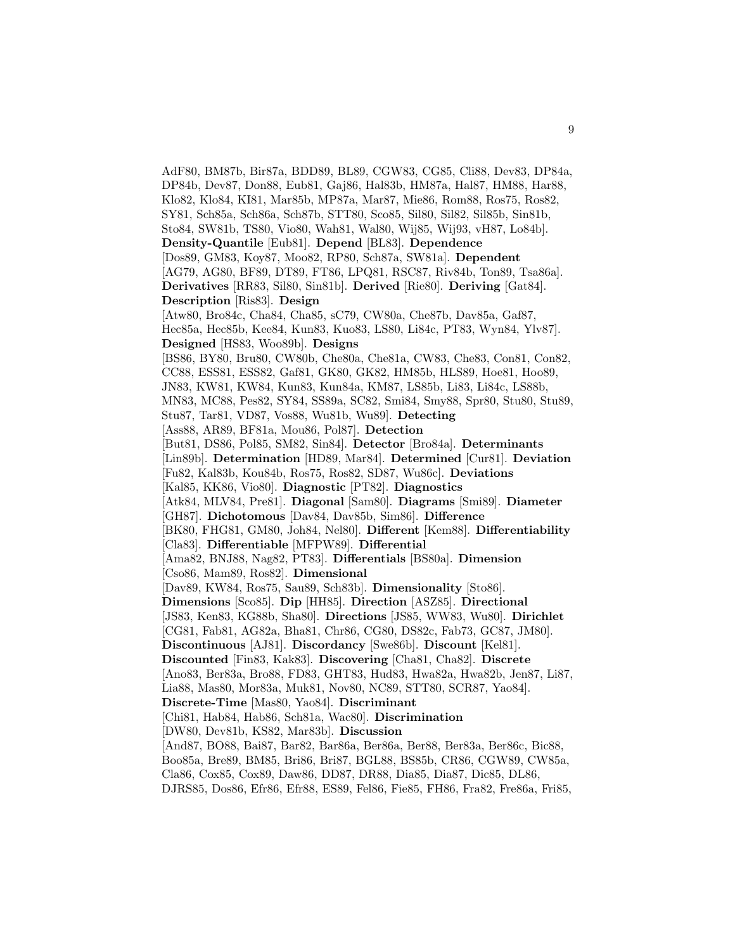AdF80, BM87b, Bir87a, BDD89, BL89, CGW83, CG85, Cli88, Dev83, DP84a, DP84b, Dev87, Don88, Eub81, Gaj86, Hal83b, HM87a, Hal87, HM88, Har88, Klo82, Klo84, KI81, Mar85b, MP87a, Mar87, Mie86, Rom88, Ros75, Ros82, SY81, Sch85a, Sch86a, Sch87b, STT80, Sco85, Sil80, Sil82, Sil85b, Sin81b, Sto84, SW81b, TS80, Vio80, Wah81, Wal80, Wij85, Wij93, vH87, Lo84b]. **Density-Quantile** [Eub81]. **Depend** [BL83]. **Dependence** [Dos89, GM83, Koy87, Moo82, RP80, Sch87a, SW81a]. **Dependent** [AG79, AG80, BF89, DT89, FT86, LPQ81, RSC87, Riv84b, Ton89, Tsa86a]. **Derivatives** [RR83, Sil80, Sin81b]. **Derived** [Rie80]. **Deriving** [Gat84]. **Description** [Ris83]. **Design** [Atw80, Bro84c, Cha84, Cha85, sC79, CW80a, Che87b, Dav85a, Gaf87, Hec85a, Hec85b, Kee84, Kun83, Kuo83, LS80, Li84c, PT83, Wyn84, Ylv87]. **Designed** [HS83, Woo89b]. **Designs** [BS86, BY80, Bru80, CW80b, Che80a, Che81a, CW83, Che83, Con81, Con82, CC88, ESS81, ESS82, Gaf81, GK80, GK82, HM85b, HLS89, Hoe81, Hoo89, JN83, KW81, KW84, Kun83, Kun84a, KM87, LS85b, Li83, Li84c, LS88b, MN83, MC88, Pes82, SY84, SS89a, SC82, Smi84, Smy88, Spr80, Stu80, Stu89, Stu87, Tar81, VD87, Vos88, Wu81b, Wu89]. **Detecting** [Ass88, AR89, BF81a, Mou86, Pol87]. **Detection** [But81, DS86, Pol85, SM82, Sin84]. **Detector** [Bro84a]. **Determinants** [Lin89b]. **Determination** [HD89, Mar84]. **Determined** [Cur81]. **Deviation** [Fu82, Kal83b, Kou84b, Ros75, Ros82, SD87, Wu86c]. **Deviations** [Kal85, KK86, Vio80]. **Diagnostic** [PT82]. **Diagnostics** [Atk84, MLV84, Pre81]. **Diagonal** [Sam80]. **Diagrams** [Smi89]. **Diameter** [GH87]. **Dichotomous** [Dav84, Dav85b, Sim86]. **Difference** [BK80, FHG81, GM80, Joh84, Nel80]. **Different** [Kem88]. **Differentiability** [Cla83]. **Differentiable** [MFPW89]. **Differential** [Ama82, BNJ88, Nag82, PT83]. **Differentials** [BS80a]. **Dimension** [Cso86, Mam89, Ros82]. **Dimensional** [Dav89, KW84, Ros75, Sau89, Sch83b]. **Dimensionality** [Sto86]. **Dimensions** [Sco85]. **Dip** [HH85]. **Direction** [ASZ85]. **Directional** [JS83, Ken83, KG88b, Sha80]. **Directions** [JS85, WW83, Wu80]. **Dirichlet** [CG81, Fab81, AG82a, Bha81, Chr86, CG80, DS82c, Fab73, GC87, JM80]. **Discontinuous** [AJ81]. **Discordancy** [Swe86b]. **Discount** [Kel81]. **Discounted** [Fin83, Kak83]. **Discovering** [Cha81, Cha82]. **Discrete** [Ano83, Ber83a, Bro88, FD83, GHT83, Hud83, Hwa82a, Hwa82b, Jen87, Li87, Lia88, Mas80, Mor83a, Muk81, Nov80, NC89, STT80, SCR87, Yao84]. **Discrete-Time** [Mas80, Yao84]. **Discriminant** [Chi81, Hab84, Hab86, Sch81a, Wac80]. **Discrimination** [DW80, Dev81b, KS82, Mar83b]. **Discussion** [And87, BO88, Bai87, Bar82, Bar86a, Ber86a, Ber88, Ber83a, Ber86c, Bic88, Boo85a, Bre89, BM85, Bri86, Bri87, BGL88, BS85b, CR86, CGW89, CW85a, Cla86, Cox85, Cox89, Daw86, DD87, DR88, Dia85, Dia87, Dic85, DL86,

DJRS85, Dos86, Efr86, Efr88, ES89, Fel86, Fie85, FH86, Fra82, Fre86a, Fri85,

9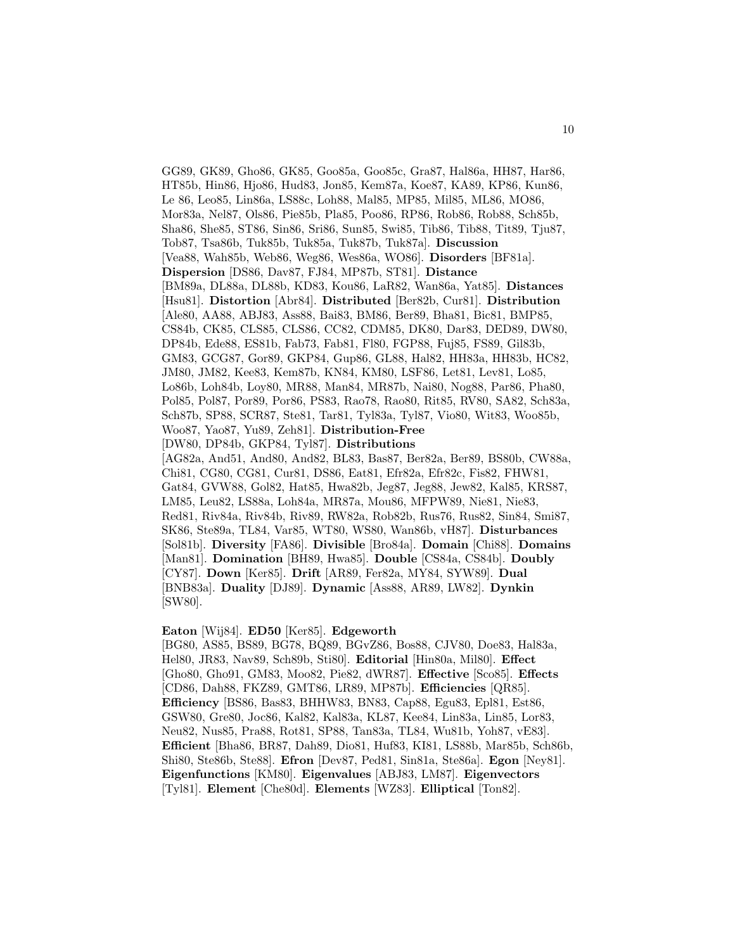GG89, GK89, Gho86, GK85, Goo85a, Goo85c, Gra87, Hal86a, HH87, Har86, HT85b, Hin86, Hjo86, Hud83, Jon85, Kem87a, Koe87, KA89, KP86, Kun86, Le 86, Leo85, Lin86a, LS88c, Loh88, Mal85, MP85, Mil85, ML86, MO86, Mor83a, Nel87, Ols86, Pie85b, Pla85, Poo86, RP86, Rob86, Rob88, Sch85b, Sha86, She85, ST86, Sin86, Sri86, Sun85, Swi85, Tib86, Tib88, Tit89, Tju87, Tob87, Tsa86b, Tuk85b, Tuk85a, Tuk87b, Tuk87a]. **Discussion** [Vea88, Wah85b, Web86, Weg86, Wes86a, WO86]. **Disorders** [BF81a]. **Dispersion** [DS86, Dav87, FJ84, MP87b, ST81]. **Distance** [BM89a, DL88a, DL88b, KD83, Kou86, LaR82, Wan86a, Yat85]. **Distances** [Hsu81]. **Distortion** [Abr84]. **Distributed** [Ber82b, Cur81]. **Distribution** [Ale80, AA88, ABJ83, Ass88, Bai83, BM86, Ber89, Bha81, Bic81, BMP85, CS84b, CK85, CLS85, CLS86, CC82, CDM85, DK80, Dar83, DED89, DW80, DP84b, Ede88, ES81b, Fab73, Fab81, Fl80, FGP88, Fuj85, FS89, Gil83b, GM83, GCG87, Gor89, GKP84, Gup86, GL88, Hal82, HH83a, HH83b, HC82, JM80, JM82, Kee83, Kem87b, KN84, KM80, LSF86, Let81, Lev81, Lo85, Lo86b, Loh84b, Loy80, MR88, Man84, MR87b, Nai80, Nog88, Par86, Pha80, Pol85, Pol87, Por89, Por86, PS83, Rao78, Rao80, Rit85, RV80, SA82, Sch83a, Sch87b, SP88, SCR87, Ste81, Tar81, Tyl83a, Tyl87, Vio80, Wit83, Woo85b, Woo87, Yao87, Yu89, Zeh81]. **Distribution-Free** [DW80, DP84b, GKP84, Tyl87]. **Distributions** [AG82a, And51, And80, And82, BL83, Bas87, Ber82a, Ber89, BS80b, CW88a, Chi81, CG80, CG81, Cur81, DS86, Eat81, Efr82a, Efr82c, Fis82, FHW81, Gat84, GVW88, Gol82, Hat85, Hwa82b, Jeg87, Jeg88, Jew82, Kal85, KRS87, LM85, Leu82, LS88a, Loh84a, MR87a, Mou86, MFPW89, Nie81, Nie83, Red81, Riv84a, Riv84b, Riv89, RW82a, Rob82b, Rus76, Rus82, Sin84, Smi87, SK86, Ste89a, TL84, Var85, WT80, WS80, Wan86b, vH87]. **Disturbances** [Sol81b]. **Diversity** [FA86]. **Divisible** [Bro84a]. **Domain** [Chi88]. **Domains** [Man81]. **Domination** [BH89, Hwa85]. **Double** [CS84a, CS84b]. **Doubly** [CY87]. **Down** [Ker85]. **Drift** [AR89, Fer82a, MY84, SYW89]. **Dual** [BNB83a]. **Duality** [DJ89]. **Dynamic** [Ass88, AR89, LW82]. **Dynkin** [SW80].

#### **Eaton** [Wij84]. **ED50** [Ker85]. **Edgeworth**

[BG80, AS85, BS89, BG78, BQ89, BGvZ86, Bos88, CJV80, Doe83, Hal83a, Hel80, JR83, Nav89, Sch89b, Sti80]. **Editorial** [Hin80a, Mil80]. **Effect** [Gho80, Gho91, GM83, Moo82, Pie82, dWR87]. **Effective** [Sco85]. **Effects** [CD86, Dah88, FKZ89, GMT86, LR89, MP87b]. **Efficiencies** [QR85]. **Efficiency** [BS86, Bas83, BHHW83, BN83, Cap88, Egu83, Epl81, Est86, GSW80, Gre80, Joc86, Kal82, Kal83a, KL87, Kee84, Lin83a, Lin85, Lor83, Neu82, Nus85, Pra88, Rot81, SP88, Tan83a, TL84, Wu81b, Yoh87, vE83]. **Efficient** [Bha86, BR87, Dah89, Dio81, Huf83, KI81, LS88b, Mar85b, Sch86b, Shi80, Ste86b, Ste88]. **Efron** [Dev87, Ped81, Sin81a, Ste86a]. **Egon** [Ney81]. **Eigenfunctions** [KM80]. **Eigenvalues** [ABJ83, LM87]. **Eigenvectors** [Tyl81]. **Element** [Che80d]. **Elements** [WZ83]. **Elliptical** [Ton82].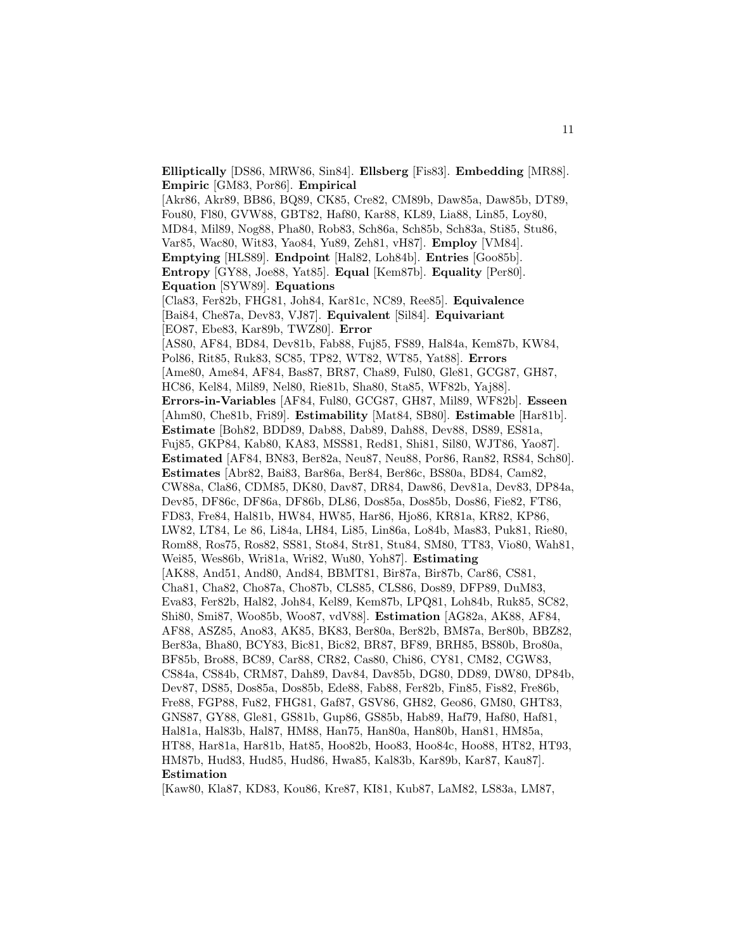**Elliptically** [DS86, MRW86, Sin84]. **Ellsberg** [Fis83]. **Embedding** [MR88]. **Empiric** [GM83, Por86]. **Empirical** [Akr86, Akr89, BB86, BQ89, CK85, Cre82, CM89b, Daw85a, Daw85b, DT89, Fou80, Fl80, GVW88, GBT82, Haf80, Kar88, KL89, Lia88, Lin85, Loy80, MD84, Mil89, Nog88, Pha80, Rob83, Sch86a, Sch85b, Sch83a, Sti85, Stu86, Var85, Wac80, Wit83, Yao84, Yu89, Zeh81, vH87]. **Employ** [VM84]. **Emptying** [HLS89]. **Endpoint** [Hal82, Loh84b]. **Entries** [Goo85b]. **Entropy** [GY88, Joe88, Yat85]. **Equal** [Kem87b]. **Equality** [Per80]. **Equation** [SYW89]. **Equations** [Cla83, Fer82b, FHG81, Joh84, Kar81c, NC89, Ree85]. **Equivalence** [Bai84, Che87a, Dev83, VJ87]. **Equivalent** [Sil84]. **Equivariant** [EO87, Ebe83, Kar89b, TWZ80]. **Error** [AS80, AF84, BD84, Dev81b, Fab88, Fuj85, FS89, Hal84a, Kem87b, KW84, Pol86, Rit85, Ruk83, SC85, TP82, WT82, WT85, Yat88]. **Errors** [Ame80, Ame84, AF84, Bas87, BR87, Cha89, Ful80, Gle81, GCG87, GH87, HC86, Kel84, Mil89, Nel80, Rie81b, Sha80, Sta85, WF82b, Yaj88]. **Errors-in-Variables** [AF84, Ful80, GCG87, GH87, Mil89, WF82b]. **Esseen** [Ahm80, Che81b, Fri89]. **Estimability** [Mat84, SB80]. **Estimable** [Har81b]. **Estimate** [Boh82, BDD89, Dab88, Dab89, Dah88, Dev88, DS89, ES81a, Fuj85, GKP84, Kab80, KA83, MSS81, Red81, Shi81, Sil80, WJT86, Yao87]. **Estimated** [AF84, BN83, Ber82a, Neu87, Neu88, Por86, Ran82, RS84, Sch80]. **Estimates** [Abr82, Bai83, Bar86a, Ber84, Ber86c, BS80a, BD84, Cam82, CW88a, Cla86, CDM85, DK80, Dav87, DR84, Daw86, Dev81a, Dev83, DP84a, Dev85, DF86c, DF86a, DF86b, DL86, Dos85a, Dos85b, Dos86, Fie82, FT86, FD83, Fre84, Hal81b, HW84, HW85, Har86, Hjo86, KR81a, KR82, KP86, LW82, LT84, Le 86, Li84a, LH84, Li85, Lin86a, Lo84b, Mas83, Puk81, Rie80, Rom88, Ros75, Ros82, SS81, Sto84, Str81, Stu84, SM80, TT83, Vio80, Wah81, Wei85, Wes86b, Wri81a, Wri82, Wu80, Yoh87]. **Estimating** [AK88, And51, And80, And84, BBMT81, Bir87a, Bir87b, Car86, CS81, Cha81, Cha82, Cho87a, Cho87b, CLS85, CLS86, Dos89, DFP89, DuM83, Eva83, Fer82b, Hal82, Joh84, Kel89, Kem87b, LPQ81, Loh84b, Ruk85, SC82, Shi80, Smi87, Woo85b, Woo87, vdV88]. **Estimation** [AG82a, AK88, AF84, AF88, ASZ85, Ano83, AK85, BK83, Ber80a, Ber82b, BM87a, Ber80b, BBZ82, Ber83a, Bha80, BCY83, Bic81, Bic82, BR87, BF89, BRH85, BS80b, Bro80a, BF85b, Bro88, BC89, Car88, CR82, Cas80, Chi86, CY81, CM82, CGW83, CS84a, CS84b, CRM87, Dah89, Dav84, Dav85b, DG80, DD89, DW80, DP84b, Dev87, DS85, Dos85a, Dos85b, Ede88, Fab88, Fer82b, Fin85, Fis82, Fre86b, Fre88, FGP88, Fu82, FHG81, Gaf87, GSV86, GH82, Geo86, GM80, GHT83, GNS87, GY88, Gle81, GS81b, Gup86, GS85b, Hab89, Haf79, Haf80, Haf81, Hal81a, Hal83b, Hal87, HM88, Han75, Han80a, Han80b, Han81, HM85a, HT88, Har81a, Har81b, Hat85, Hoo82b, Hoo83, Hoo84c, Hoo88, HT82, HT93, HM87b, Hud83, Hud85, Hud86, Hwa85, Kal83b, Kar89b, Kar87, Kau87]. **Estimation**

[Kaw80, Kla87, KD83, Kou86, Kre87, KI81, Kub87, LaM82, LS83a, LM87,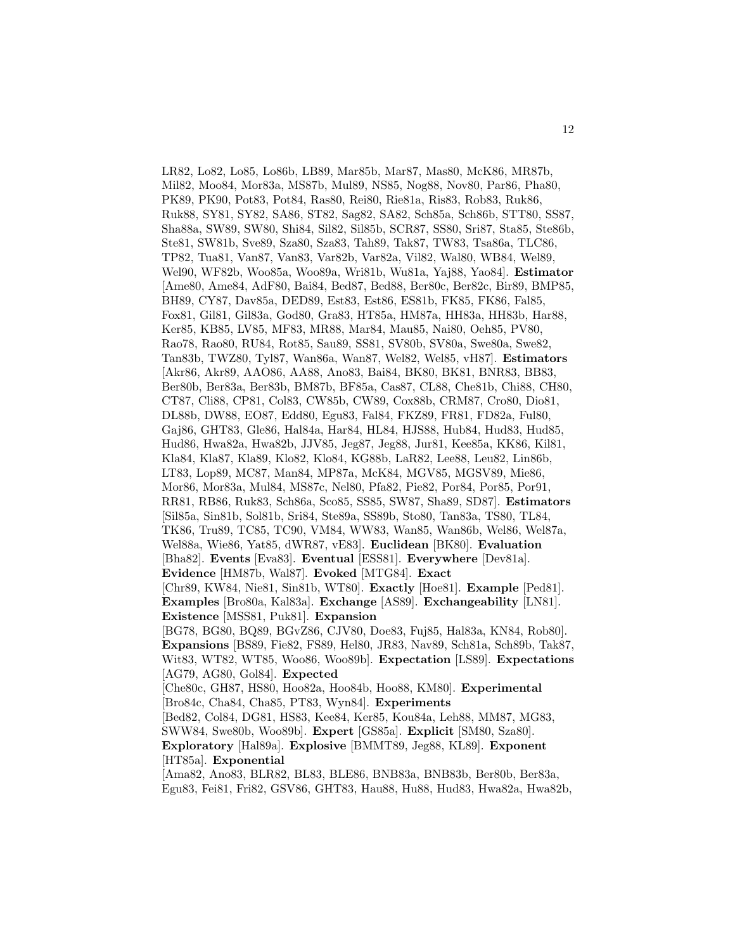LR82, Lo82, Lo85, Lo86b, LB89, Mar85b, Mar87, Mas80, McK86, MR87b, Mil82, Moo84, Mor83a, MS87b, Mul89, NS85, Nog88, Nov80, Par86, Pha80, PK89, PK90, Pot83, Pot84, Ras80, Rei80, Rie81a, Ris83, Rob83, Ruk86, Ruk88, SY81, SY82, SA86, ST82, Sag82, SA82, Sch85a, Sch86b, STT80, SS87, Sha88a, SW89, SW80, Shi84, Sil82, Sil85b, SCR87, SS80, Sri87, Sta85, Ste86b, Ste81, SW81b, Sve89, Sza80, Sza83, Tah89, Tak87, TW83, Tsa86a, TLC86, TP82, Tua81, Van87, Van83, Var82b, Var82a, Vil82, Wal80, WB84, Wel89, Wel90, WF82b, Woo85a, Woo89a, Wri81b, Wu81a, Yaj88, Yao84]. **Estimator** [Ame80, Ame84, AdF80, Bai84, Bed87, Bed88, Ber80c, Ber82c, Bir89, BMP85, BH89, CY87, Dav85a, DED89, Est83, Est86, ES81b, FK85, FK86, Fal85, Fox81, Gil81, Gil83a, God80, Gra83, HT85a, HM87a, HH83a, HH83b, Har88, Ker85, KB85, LV85, MF83, MR88, Mar84, Mau85, Nai80, Oeh85, PV80, Rao78, Rao80, RU84, Rot85, Sau89, SS81, SV80b, SV80a, Swe80a, Swe82, Tan83b, TWZ80, Tyl87, Wan86a, Wan87, Wel82, Wel85, vH87]. **Estimators** [Akr86, Akr89, AAO86, AA88, Ano83, Bai84, BK80, BK81, BNR83, BB83, Ber80b, Ber83a, Ber83b, BM87b, BF85a, Cas87, CL88, Che81b, Chi88, CH80, CT87, Cli88, CP81, Col83, CW85b, CW89, Cox88b, CRM87, Cro80, Dio81, DL88b, DW88, EO87, Edd80, Egu83, Fal84, FKZ89, FR81, FD82a, Ful80, Gaj86, GHT83, Gle86, Hal84a, Har84, HL84, HJS88, Hub84, Hud83, Hud85, Hud86, Hwa82a, Hwa82b, JJV85, Jeg87, Jeg88, Jur81, Kee85a, KK86, Kil81, Kla84, Kla87, Kla89, Klo82, Klo84, KG88b, LaR82, Lee88, Leu82, Lin86b, LT83, Lop89, MC87, Man84, MP87a, McK84, MGV85, MGSV89, Mie86, Mor86, Mor83a, Mul84, MS87c, Nel80, Pfa82, Pie82, Por84, Por85, Por91, RR81, RB86, Ruk83, Sch86a, Sco85, SS85, SW87, Sha89, SD87]. **Estimators** [Sil85a, Sin81b, Sol81b, Sri84, Ste89a, SS89b, Sto80, Tan83a, TS80, TL84, TK86, Tru89, TC85, TC90, VM84, WW83, Wan85, Wan86b, Wel86, Wel87a, Wel88a, Wie86, Yat85, dWR87, vE83]. **Euclidean** [BK80]. **Evaluation** [Bha82]. **Events** [Eva83]. **Eventual** [ESS81]. **Everywhere** [Dev81a]. **Evidence** [HM87b, Wal87]. **Evoked** [MTG84]. **Exact** [Chr89, KW84, Nie81, Sin81b, WT80]. **Exactly** [Hoe81]. **Example** [Ped81]. **Examples** [Bro80a, Kal83a]. **Exchange** [AS89]. **Exchangeability** [LN81]. **Existence** [MSS81, Puk81]. **Expansion** [BG78, BG80, BQ89, BGvZ86, CJV80, Doe83, Fuj85, Hal83a, KN84, Rob80]. **Expansions** [BS89, Fie82, FS89, Hel80, JR83, Nav89, Sch81a, Sch89b, Tak87, Wit83, WT82, WT85, Woo86, Woo89b]. **Expectation** [LS89]. **Expectations** [AG79, AG80, Gol84]. **Expected** [Che80c, GH87, HS80, Hoo82a, Hoo84b, Hoo88, KM80]. **Experimental** [Bro84c, Cha84, Cha85, PT83, Wyn84]. **Experiments** [Bed82, Col84, DG81, HS83, Kee84, Ker85, Kou84a, Leh88, MM87, MG83, SWW84, Swe80b, Woo89b]. **Expert** [GS85a]. **Explicit** [SM80, Sza80]. **Exploratory** [Hal89a]. **Explosive** [BMMT89, Jeg88, KL89]. **Exponent** [HT85a]. **Exponential** [Ama82, Ano83, BLR82, BL83, BLE86, BNB83a, BNB83b, Ber80b, Ber83a,

Egu83, Fei81, Fri82, GSV86, GHT83, Hau88, Hu88, Hud83, Hwa82a, Hwa82b,

12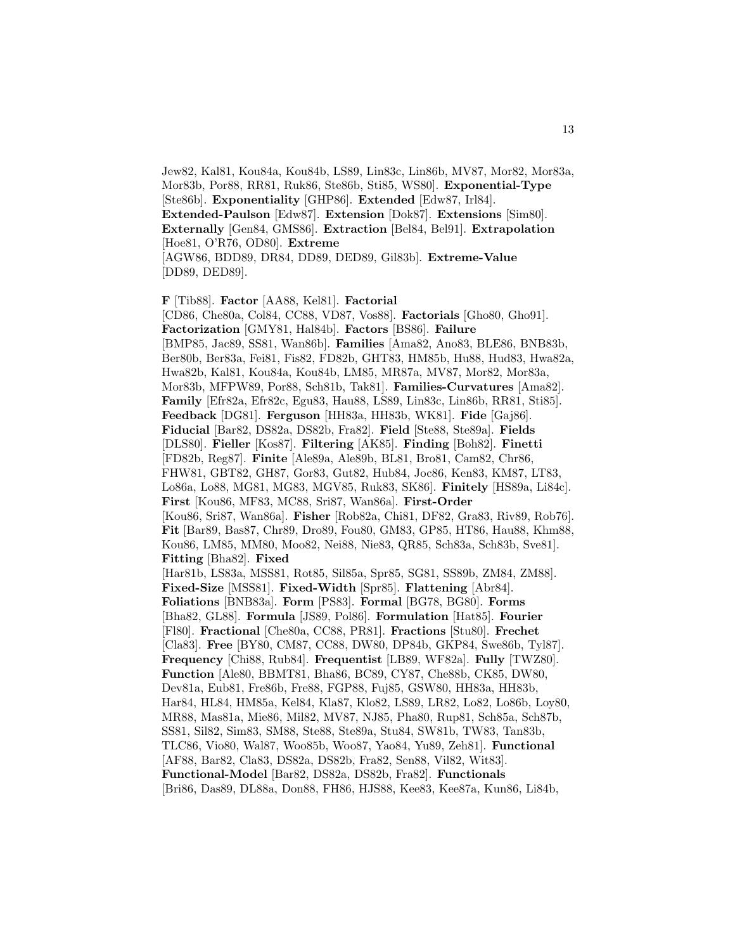Jew82, Kal81, Kou84a, Kou84b, LS89, Lin83c, Lin86b, MV87, Mor82, Mor83a, Mor83b, Por88, RR81, Ruk86, Ste86b, Sti85, WS80]. **Exponential-Type** [Ste86b]. **Exponentiality** [GHP86]. **Extended** [Edw87, Irl84]. **Extended-Paulson** [Edw87]. **Extension** [Dok87]. **Extensions** [Sim80]. **Externally** [Gen84, GMS86]. **Extraction** [Bel84, Bel91]. **Extrapolation** [Hoe81, O'R76, OD80]. **Extreme** [AGW86, BDD89, DR84, DD89, DED89, Gil83b]. **Extreme-Value** [DD89, DED89].

**F** [Tib88]. **Factor** [AA88, Kel81]. **Factorial** [CD86, Che80a, Col84, CC88, VD87, Vos88]. **Factorials** [Gho80, Gho91]. **Factorization** [GMY81, Hal84b]. **Factors** [BS86]. **Failure** [BMP85, Jac89, SS81, Wan86b]. **Families** [Ama82, Ano83, BLE86, BNB83b, Ber80b, Ber83a, Fei81, Fis82, FD82b, GHT83, HM85b, Hu88, Hud83, Hwa82a, Hwa82b, Kal81, Kou84a, Kou84b, LM85, MR87a, MV87, Mor82, Mor83a, Mor83b, MFPW89, Por88, Sch81b, Tak81]. **Families-Curvatures** [Ama82]. **Family** [Efr82a, Efr82c, Egu83, Hau88, LS89, Lin83c, Lin86b, RR81, Sti85]. **Feedback** [DG81]. **Ferguson** [HH83a, HH83b, WK81]. **Fide** [Gaj86]. **Fiducial** [Bar82, DS82a, DS82b, Fra82]. **Field** [Ste88, Ste89a]. **Fields** [DLS80]. **Fieller** [Kos87]. **Filtering** [AK85]. **Finding** [Boh82]. **Finetti** [FD82b, Reg87]. **Finite** [Ale89a, Ale89b, BL81, Bro81, Cam82, Chr86, FHW81, GBT82, GH87, Gor83, Gut82, Hub84, Joc86, Ken83, KM87, LT83, Lo86a, Lo88, MG81, MG83, MGV85, Ruk83, SK86]. **Finitely** [HS89a, Li84c]. **First** [Kou86, MF83, MC88, Sri87, Wan86a]. **First-Order** [Kou86, Sri87, Wan86a]. **Fisher** [Rob82a, Chi81, DF82, Gra83, Riv89, Rob76]. **Fit** [Bar89, Bas87, Chr89, Dro89, Fou80, GM83, GP85, HT86, Hau88, Khm88, Kou86, LM85, MM80, Moo82, Nei88, Nie83, QR85, Sch83a, Sch83b, Sve81]. **Fitting** [Bha82]. **Fixed** [Har81b, LS83a, MSS81, Rot85, Sil85a, Spr85, SG81, SS89b, ZM84, ZM88]. **Fixed-Size** [MSS81]. **Fixed-Width** [Spr85]. **Flattening** [Abr84]. **Foliations** [BNB83a]. **Form** [PS83]. **Formal** [BG78, BG80]. **Forms** [Bha82, GL88]. **Formula** [JS89, Pol86]. **Formulation** [Hat85]. **Fourier** [Fl80]. **Fractional** [Che80a, CC88, PR81]. **Fractions** [Stu80]. **Frechet** [Cla83]. **Free** [BY80, CM87, CC88, DW80, DP84b, GKP84, Swe86b, Tyl87]. **Frequency** [Chi88, Rub84]. **Frequentist** [LB89, WF82a]. **Fully** [TWZ80]. **Function** [Ale80, BBMT81, Bha86, BC89, CY87, Che88b, CK85, DW80, Dev81a, Eub81, Fre86b, Fre88, FGP88, Fuj85, GSW80, HH83a, HH83b, Har84, HL84, HM85a, Kel84, Kla87, Klo82, LS89, LR82, Lo82, Lo86b, Loy80, MR88, Mas81a, Mie86, Mil82, MV87, NJ85, Pha80, Rup81, Sch85a, Sch87b, SS81, Sil82, Sim83, SM88, Ste88, Ste89a, Stu84, SW81b, TW83, Tan83b, TLC86, Vio80, Wal87, Woo85b, Woo87, Yao84, Yu89, Zeh81]. **Functional** [AF88, Bar82, Cla83, DS82a, DS82b, Fra82, Sen88, Vil82, Wit83]. **Functional-Model** [Bar82, DS82a, DS82b, Fra82]. **Functionals** [Bri86, Das89, DL88a, Don88, FH86, HJS88, Kee83, Kee87a, Kun86, Li84b,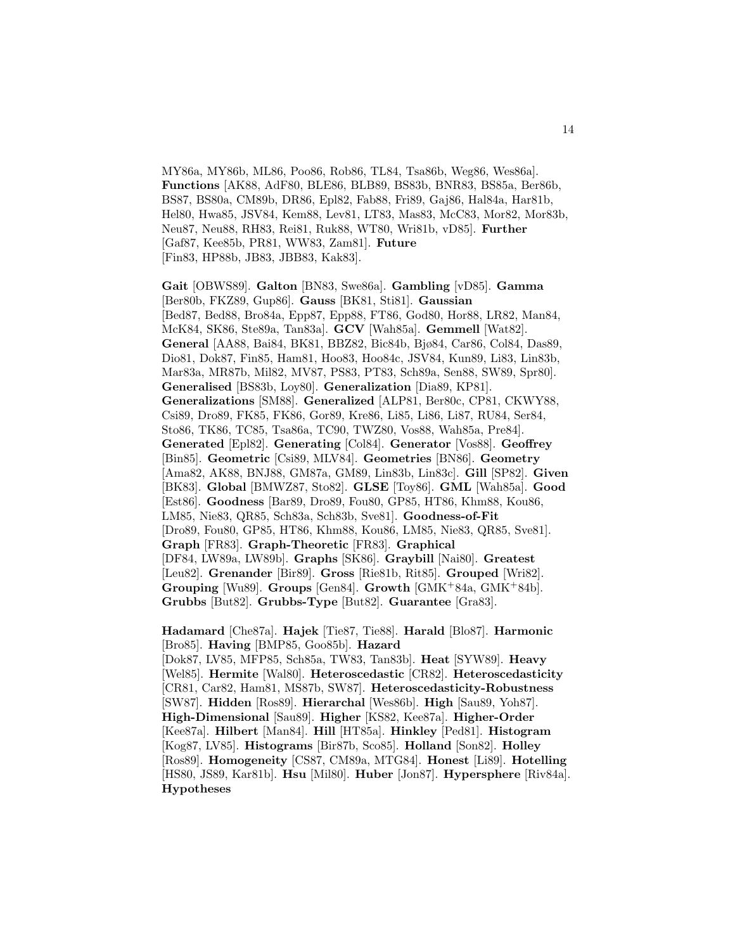MY86a, MY86b, ML86, Poo86, Rob86, TL84, Tsa86b, Weg86, Wes86a]. **Functions** [AK88, AdF80, BLE86, BLB89, BS83b, BNR83, BS85a, Ber86b, BS87, BS80a, CM89b, DR86, Epl82, Fab88, Fri89, Gaj86, Hal84a, Har81b, Hel80, Hwa85, JSV84, Kem88, Lev81, LT83, Mas83, McC83, Mor82, Mor83b, Neu87, Neu88, RH83, Rei81, Ruk88, WT80, Wri81b, vD85]. **Further** [Gaf87, Kee85b, PR81, WW83, Zam81]. **Future** [Fin83, HP88b, JB83, JBB83, Kak83].

**Gait** [OBWS89]. **Galton** [BN83, Swe86a]. **Gambling** [vD85]. **Gamma** [Ber80b, FKZ89, Gup86]. **Gauss** [BK81, Sti81]. **Gaussian** [Bed87, Bed88, Bro84a, Epp87, Epp88, FT86, God80, Hor88, LR82, Man84, McK84, SK86, Ste89a, Tan83a]. **GCV** [Wah85a]. **Gemmell** [Wat82]. **General** [AA88, Bai84, BK81, BBZ82, Bic84b, Bjø84, Car86, Col84, Das89, Dio81, Dok87, Fin85, Ham81, Hoo83, Hoo84c, JSV84, Kun89, Li83, Lin83b, Mar83a, MR87b, Mil82, MV87, PS83, PT83, Sch89a, Sen88, SW89, Spr80]. **Generalised** [BS83b, Loy80]. **Generalization** [Dia89, KP81]. **Generalizations** [SM88]. **Generalized** [ALP81, Ber80c, CP81, CKWY88, Csi89, Dro89, FK85, FK86, Gor89, Kre86, Li85, Li86, Li87, RU84, Ser84, Sto86, TK86, TC85, Tsa86a, TC90, TWZ80, Vos88, Wah85a, Pre84]. **Generated** [Epl82]. **Generating** [Col84]. **Generator** [Vos88]. **Geoffrey** [Bin85]. **Geometric** [Csi89, MLV84]. **Geometries** [BN86]. **Geometry** [Ama82, AK88, BNJ88, GM87a, GM89, Lin83b, Lin83c]. **Gill** [SP82]. **Given** [BK83]. **Global** [BMWZ87, Sto82]. **GLSE** [Toy86]. **GML** [Wah85a]. **Good** [Est86]. **Goodness** [Bar89, Dro89, Fou80, GP85, HT86, Khm88, Kou86, LM85, Nie83, QR85, Sch83a, Sch83b, Sve81]. **Goodness-of-Fit** [Dro89, Fou80, GP85, HT86, Khm88, Kou86, LM85, Nie83, QR85, Sve81]. **Graph** [FR83]. **Graph-Theoretic** [FR83]. **Graphical** [DF84, LW89a, LW89b]. **Graphs** [SK86]. **Graybill** [Nai80]. **Greatest** [Leu82]. **Grenander** [Bir89]. **Gross** [Rie81b, Rit85]. **Grouped** [Wri82]. **Grouping** [Wu89]. **Groups** [Gen84]. **Growth** [GMK<sup>+</sup>84a, GMK<sup>+</sup>84b]. **Grubbs** [But82]. **Grubbs-Type** [But82]. **Guarantee** [Gra83].

**Hadamard** [Che87a]. **Hajek** [Tie87, Tie88]. **Harald** [Blo87]. **Harmonic** [Bro85]. **Having** [BMP85, Goo85b]. **Hazard**

[Dok87, LV85, MFP85, Sch85a, TW83, Tan83b]. **Heat** [SYW89]. **Heavy** [Wel85]. **Hermite** [Wal80]. **Heteroscedastic** [CR82]. **Heteroscedasticity** [CR81, Car82, Ham81, MS87b, SW87]. **Heteroscedasticity-Robustness** [SW87]. **Hidden** [Ros89]. **Hierarchal** [Wes86b]. **High** [Sau89, Yoh87]. **High-Dimensional** [Sau89]. **Higher** [KS82, Kee87a]. **Higher-Order** [Kee87a]. **Hilbert** [Man84]. **Hill** [HT85a]. **Hinkley** [Ped81]. **Histogram** [Kog87, LV85]. **Histograms** [Bir87b, Sco85]. **Holland** [Son82]. **Holley** [Ros89]. **Homogeneity** [CS87, CM89a, MTG84]. **Honest** [Li89]. **Hotelling** [HS80, JS89, Kar81b]. **Hsu** [Mil80]. **Huber** [Jon87]. **Hypersphere** [Riv84a]. **Hypotheses**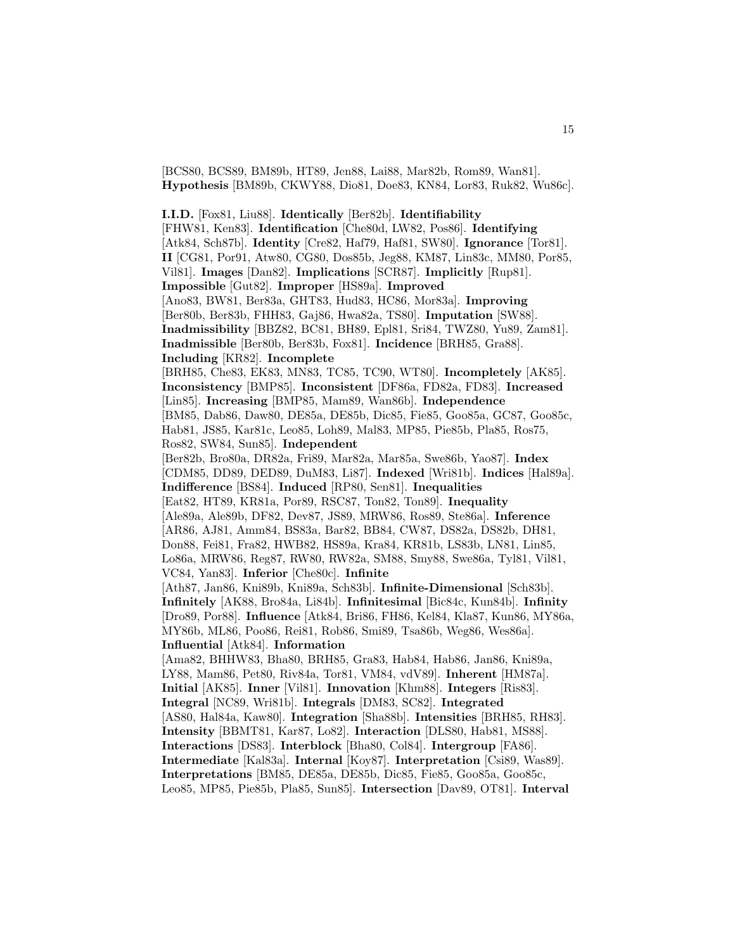[BCS80, BCS89, BM89b, HT89, Jen88, Lai88, Mar82b, Rom89, Wan81]. **Hypothesis** [BM89b, CKWY88, Dio81, Doe83, KN84, Lor83, Ruk82, Wu86c].

**I.I.D.** [Fox81, Liu88]. **Identically** [Ber82b]. **Identifiability** [FHW81, Ken83]. **Identification** [Che80d, LW82, Pos86]. **Identifying** [Atk84, Sch87b]. **Identity** [Cre82, Haf79, Haf81, SW80]. **Ignorance** [Tor81]. **II** [CG81, Por91, Atw80, CG80, Dos85b, Jeg88, KM87, Lin83c, MM80, Por85, Vil81]. **Images** [Dan82]. **Implications** [SCR87]. **Implicitly** [Rup81]. **Impossible** [Gut82]. **Improper** [HS89a]. **Improved** [Ano83, BW81, Ber83a, GHT83, Hud83, HC86, Mor83a]. **Improving** [Ber80b, Ber83b, FHH83, Gaj86, Hwa82a, TS80]. **Imputation** [SW88]. **Inadmissibility** [BBZ82, BC81, BH89, Epl81, Sri84, TWZ80, Yu89, Zam81]. **Inadmissible** [Ber80b, Ber83b, Fox81]. **Incidence** [BRH85, Gra88]. **Including** [KR82]. **Incomplete** [BRH85, Che83, EK83, MN83, TC85, TC90, WT80]. **Incompletely** [AK85]. **Inconsistency** [BMP85]. **Inconsistent** [DF86a, FD82a, FD83]. **Increased** [Lin85]. **Increasing** [BMP85, Mam89, Wan86b]. **Independence** [BM85, Dab86, Daw80, DE85a, DE85b, Dic85, Fie85, Goo85a, GC87, Goo85c, Hab81, JS85, Kar81c, Leo85, Loh89, Mal83, MP85, Pie85b, Pla85, Ros75, Ros82, SW84, Sun85]. **Independent** [Ber82b, Bro80a, DR82a, Fri89, Mar82a, Mar85a, Swe86b, Yao87]. **Index** [CDM85, DD89, DED89, DuM83, Li87]. **Indexed** [Wri81b]. **Indices** [Hal89a]. **Indifference** [BS84]. **Induced** [RP80, Sen81]. **Inequalities** [Eat82, HT89, KR81a, Por89, RSC87, Ton82, Ton89]. **Inequality** [Ale89a, Ale89b, DF82, Dev87, JS89, MRW86, Ros89, Ste86a]. **Inference** [AR86, AJ81, Amm84, BS83a, Bar82, BB84, CW87, DS82a, DS82b, DH81, Don88, Fei81, Fra82, HWB82, HS89a, Kra84, KR81b, LS83b, LN81, Lin85, Lo86a, MRW86, Reg87, RW80, RW82a, SM88, Smy88, Swe86a, Tyl81, Vil81, VC84, Yan83]. **Inferior** [Che80c]. **Infinite** [Ath87, Jan86, Kni89b, Kni89a, Sch83b]. **Infinite-Dimensional** [Sch83b]. **Infinitely** [AK88, Bro84a, Li84b]. **Infinitesimal** [Bic84c, Kun84b]. **Infinity** [Dro89, Por88]. **Influence** [Atk84, Bri86, FH86, Kel84, Kla87, Kun86, MY86a, MY86b, ML86, Poo86, Rei81, Rob86, Smi89, Tsa86b, Weg86, Wes86a]. **Influential** [Atk84]. **Information** [Ama82, BHHW83, Bha80, BRH85, Gra83, Hab84, Hab86, Jan86, Kni89a, LY88, Mam86, Pet80, Riv84a, Tor81, VM84, vdV89]. **Inherent** [HM87a]. **Initial** [AK85]. **Inner** [Vil81]. **Innovation** [Khm88]. **Integers** [Ris83]. **Integral** [NC89, Wri81b]. **Integrals** [DM83, SC82]. **Integrated** [AS80, Hal84a, Kaw80]. **Integration** [Sha88b]. **Intensities** [BRH85, RH83]. **Intensity** [BBMT81, Kar87, Lo82]. **Interaction** [DLS80, Hab81, MS88]. **Interactions** [DS83]. **Interblock** [Bha80, Col84]. **Intergroup** [FA86]. **Intermediate** [Kal83a]. **Internal** [Koy87]. **Interpretation** [Csi89, Was89]. **Interpretations** [BM85, DE85a, DE85b, Dic85, Fie85, Goo85a, Goo85c, Leo85, MP85, Pie85b, Pla85, Sun85]. **Intersection** [Dav89, OT81]. **Interval**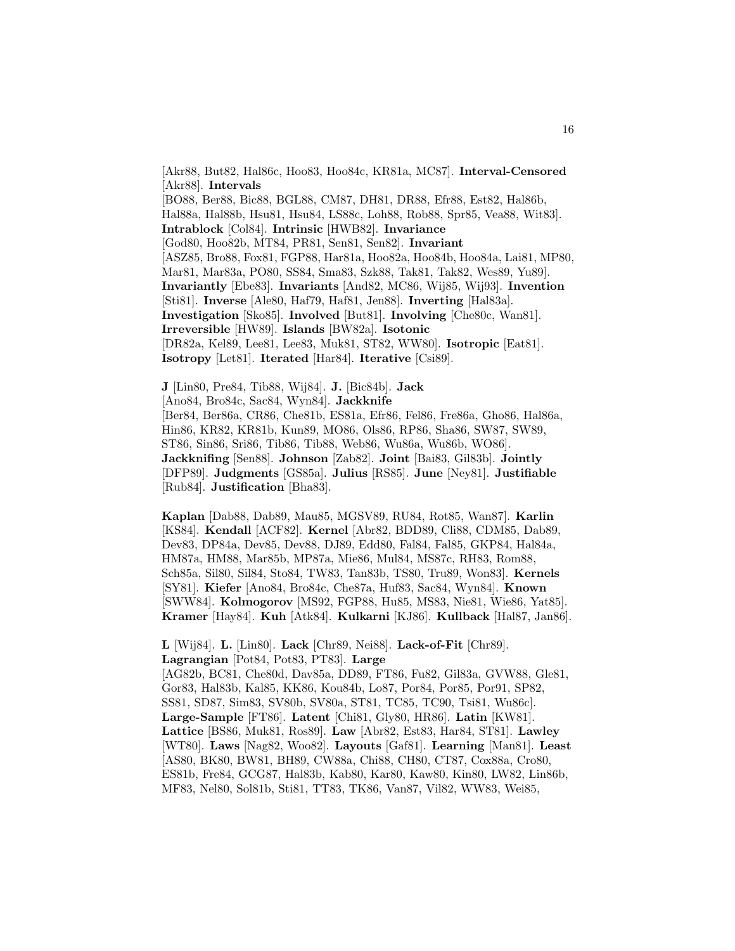[Akr88, But82, Hal86c, Hoo83, Hoo84c, KR81a, MC87]. **Interval-Censored** [Akr88]. **Intervals** [BO88, Ber88, Bic88, BGL88, CM87, DH81, DR88, Efr88, Est82, Hal86b, Hal88a, Hal88b, Hsu81, Hsu84, LS88c, Loh88, Rob88, Spr85, Vea88, Wit83]. **Intrablock** [Col84]. **Intrinsic** [HWB82]. **Invariance** [God80, Hoo82b, MT84, PR81, Sen81, Sen82]. **Invariant** [ASZ85, Bro88, Fox81, FGP88, Har81a, Hoo82a, Hoo84b, Hoo84a, Lai81, MP80, Mar81, Mar83a, PO80, SS84, Sma83, Szk88, Tak81, Tak82, Wes89, Yu89]. **Invariantly** [Ebe83]. **Invariants** [And82, MC86, Wij85, Wij93]. **Invention** [Sti81]. **Inverse** [Ale80, Haf79, Haf81, Jen88]. **Inverting** [Hal83a]. **Investigation** [Sko85]. **Involved** [But81]. **Involving** [Che80c, Wan81]. **Irreversible** [HW89]. **Islands** [BW82a]. **Isotonic** [DR82a, Kel89, Lee81, Lee83, Muk81, ST82, WW80]. **Isotropic** [Eat81]. **Isotropy** [Let81]. **Iterated** [Har84]. **Iterative** [Csi89].

**J** [Lin80, Pre84, Tib88, Wij84]. **J.** [Bic84b]. **Jack** [Ano84, Bro84c, Sac84, Wyn84]. **Jackknife** [Ber84, Ber86a, CR86, Che81b, ES81a, Efr86, Fel86, Fre86a, Gho86, Hal86a, Hin86, KR82, KR81b, Kun89, MO86, Ols86, RP86, Sha86, SW87, SW89, ST86, Sin86, Sri86, Tib86, Tib88, Web86, Wu86a, Wu86b, WO86]. **Jackknifing** [Sen88]. **Johnson** [Zab82]. **Joint** [Bai83, Gil83b]. **Jointly** [DFP89]. **Judgments** [GS85a]. **Julius** [RS85]. **June** [Ney81]. **Justifiable** [Rub84]. **Justification** [Bha83].

**Kaplan** [Dab88, Dab89, Mau85, MGSV89, RU84, Rot85, Wan87]. **Karlin** [KS84]. **Kendall** [ACF82]. **Kernel** [Abr82, BDD89, Cli88, CDM85, Dab89, Dev83, DP84a, Dev85, Dev88, DJ89, Edd80, Fal84, Fal85, GKP84, Hal84a, HM87a, HM88, Mar85b, MP87a, Mie86, Mul84, MS87c, RH83, Rom88, Sch85a, Sil80, Sil84, Sto84, TW83, Tan83b, TS80, Tru89, Won83]. **Kernels** [SY81]. **Kiefer** [Ano84, Bro84c, Che87a, Huf83, Sac84, Wyn84]. **Known** [SWW84]. **Kolmogorov** [MS92, FGP88, Hu85, MS83, Nie81, Wie86, Yat85]. **Kramer** [Hay84]. **Kuh** [Atk84]. **Kulkarni** [KJ86]. **Kullback** [Hal87, Jan86].

**L** [Wij84]. **L.** [Lin80]. **Lack** [Chr89, Nei88]. **Lack-of-Fit** [Chr89]. **Lagrangian** [Pot84, Pot83, PT83]. **Large** [AG82b, BC81, Che80d, Dav85a, DD89, FT86, Fu82, Gil83a, GVW88, Gle81, Gor83, Hal83b, Kal85, KK86, Kou84b, Lo87, Por84, Por85, Por91, SP82, SS81, SD87, Sim83, SV80b, SV80a, ST81, TC85, TC90, Tsi81, Wu86c]. **Large-Sample** [FT86]. **Latent** [Chi81, Gly80, HR86]. **Latin** [KW81]. **Lattice** [BS86, Muk81, Ros89]. **Law** [Abr82, Est83, Har84, ST81]. **Lawley** [WT80]. **Laws** [Nag82, Woo82]. **Layouts** [Gaf81]. **Learning** [Man81]. **Least** [AS80, BK80, BW81, BH89, CW88a, Chi88, CH80, CT87, Cox88a, Cro80, ES81b, Fre84, GCG87, Hal83b, Kab80, Kar80, Kaw80, Kin80, LW82, Lin86b, MF83, Nel80, Sol81b, Sti81, TT83, TK86, Van87, Vil82, WW83, Wei85,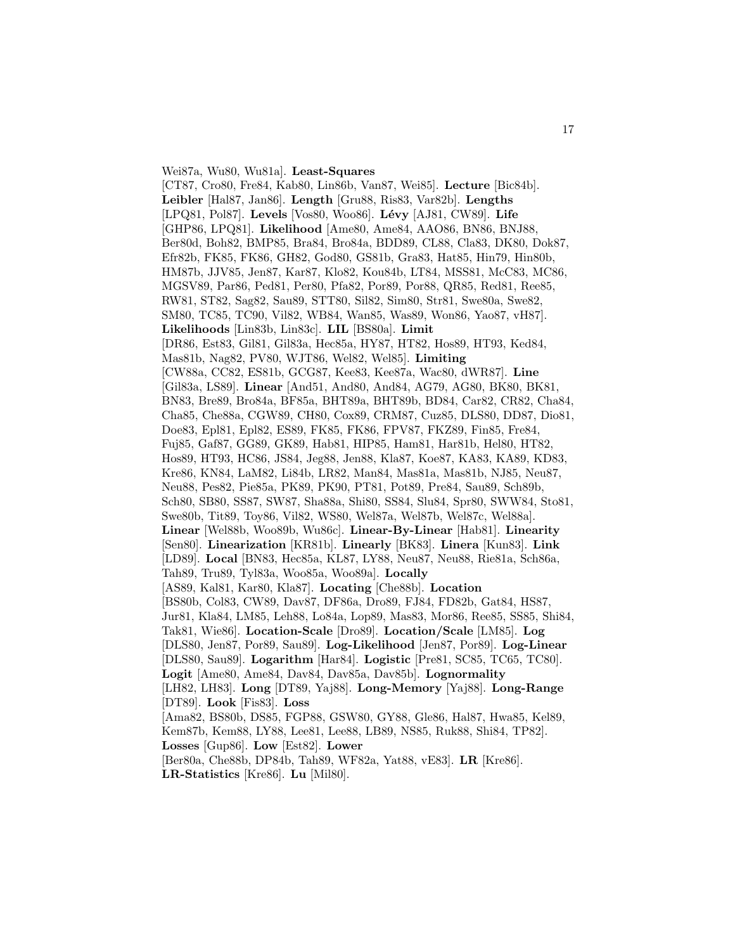Wei87a, Wu80, Wu81a]. **Least-Squares** [CT87, Cro80, Fre84, Kab80, Lin86b, Van87, Wei85]. **Lecture** [Bic84b]. **Leibler** [Hal87, Jan86]. **Length** [Gru88, Ris83, Var82b]. **Lengths** [LPQ81, Pol87]. **Levels** [Vos80, Woo86]. **Lévy** [AJ81, CW89]. **Life** [GHP86, LPQ81]. **Likelihood** [Ame80, Ame84, AAO86, BN86, BNJ88, Ber80d, Boh82, BMP85, Bra84, Bro84a, BDD89, CL88, Cla83, DK80, Dok87, Efr82b, FK85, FK86, GH82, God80, GS81b, Gra83, Hat85, Hin79, Hin80b, HM87b, JJV85, Jen87, Kar87, Klo82, Kou84b, LT84, MSS81, McC83, MC86, MGSV89, Par86, Ped81, Per80, Pfa82, Por89, Por88, QR85, Red81, Ree85, RW81, ST82, Sag82, Sau89, STT80, Sil82, Sim80, Str81, Swe80a, Swe82, SM80, TC85, TC90, Vil82, WB84, Wan85, Was89, Won86, Yao87, vH87]. **Likelihoods** [Lin83b, Lin83c]. **LIL** [BS80a]. **Limit** [DR86, Est83, Gil81, Gil83a, Hec85a, HY87, HT82, Hos89, HT93, Ked84, Mas81b, Nag82, PV80, WJT86, Wel82, Wel85]. **Limiting** [CW88a, CC82, ES81b, GCG87, Kee83, Kee87a, Wac80, dWR87]. **Line** [Gil83a, LS89]. **Linear** [And51, And80, And84, AG79, AG80, BK80, BK81, BN83, Bre89, Bro84a, BF85a, BHT89a, BHT89b, BD84, Car82, CR82, Cha84, Cha85, Che88a, CGW89, CH80, Cox89, CRM87, Cuz85, DLS80, DD87, Dio81, Doe83, Epl81, Epl82, ES89, FK85, FK86, FPV87, FKZ89, Fin85, Fre84, Fuj85, Gaf87, GG89, GK89, Hab81, HIP85, Ham81, Har81b, Hel80, HT82, Hos89, HT93, HC86, JS84, Jeg88, Jen88, Kla87, Koe87, KA83, KA89, KD83, Kre86, KN84, LaM82, Li84b, LR82, Man84, Mas81a, Mas81b, NJ85, Neu87, Neu88, Pes82, Pie85a, PK89, PK90, PT81, Pot89, Pre84, Sau89, Sch89b, Sch80, SB80, SS87, SW87, Sha88a, Shi80, SS84, Slu84, Spr80, SWW84, Sto81, Swe80b, Tit89, Toy86, Vil82, WS80, Wel87a, Wel87b, Wel87c, Wel88a]. **Linear** [Wel88b, Woo89b, Wu86c]. **Linear-By-Linear** [Hab81]. **Linearity** [Sen80]. **Linearization** [KR81b]. **Linearly** [BK83]. **Linera** [Kun83]. **Link** [LD89]. **Local** [BN83, Hec85a, KL87, LY88, Neu87, Neu88, Rie81a, Sch86a, Tah89, Tru89, Tyl83a, Woo85a, Woo89a]. **Locally** [AS89, Kal81, Kar80, Kla87]. **Locating** [Che88b]. **Location** [BS80b, Col83, CW89, Dav87, DF86a, Dro89, FJ84, FD82b, Gat84, HS87, Jur81, Kla84, LM85, Leh88, Lo84a, Lop89, Mas83, Mor86, Ree85, SS85, Shi84, Tak81, Wie86]. **Location-Scale** [Dro89]. **Location/Scale** [LM85]. **Log** [DLS80, Jen87, Por89, Sau89]. **Log-Likelihood** [Jen87, Por89]. **Log-Linear** [DLS80, Sau89]. **Logarithm** [Har84]. **Logistic** [Pre81, SC85, TC65, TC80]. **Logit** [Ame80, Ame84, Dav84, Dav85a, Dav85b]. **Lognormality** [LH82, LH83]. **Long** [DT89, Yaj88]. **Long-Memory** [Yaj88]. **Long-Range** [DT89]. **Look** [Fis83]. **Loss** [Ama82, BS80b, DS85, FGP88, GSW80, GY88, Gle86, Hal87, Hwa85, Kel89, Kem87b, Kem88, LY88, Lee81, Lee88, LB89, NS85, Ruk88, Shi84, TP82]. **Losses** [Gup86]. **Low** [Est82]. **Lower** [Ber80a, Che88b, DP84b, Tah89, WF82a, Yat88, vE83]. **LR** [Kre86].

**LR-Statistics** [Kre86]. **Lu** [Mil80].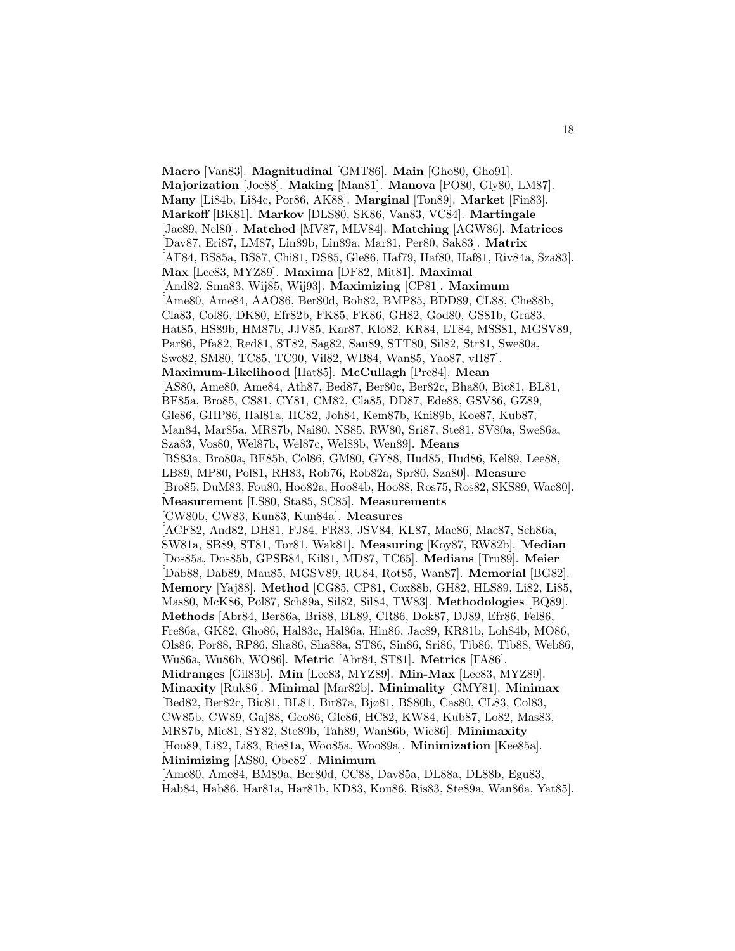**Macro** [Van83]. **Magnitudinal** [GMT86]. **Main** [Gho80, Gho91]. **Majorization** [Joe88]. **Making** [Man81]. **Manova** [PO80, Gly80, LM87]. **Many** [Li84b, Li84c, Por86, AK88]. **Marginal** [Ton89]. **Market** [Fin83]. **Markoff** [BK81]. **Markov** [DLS80, SK86, Van83, VC84]. **Martingale** [Jac89, Nel80]. **Matched** [MV87, MLV84]. **Matching** [AGW86]. **Matrices** [Dav87, Eri87, LM87, Lin89b, Lin89a, Mar81, Per80, Sak83]. **Matrix** [AF84, BS85a, BS87, Chi81, DS85, Gle86, Haf79, Haf80, Haf81, Riv84a, Sza83]. **Max** [Lee83, MYZ89]. **Maxima** [DF82, Mit81]. **Maximal** [And82, Sma83, Wij85, Wij93]. **Maximizing** [CP81]. **Maximum** [Ame80, Ame84, AAO86, Ber80d, Boh82, BMP85, BDD89, CL88, Che88b, Cla83, Col86, DK80, Efr82b, FK85, FK86, GH82, God80, GS81b, Gra83, Hat85, HS89b, HM87b, JJV85, Kar87, Klo82, KR84, LT84, MSS81, MGSV89, Par86, Pfa82, Red81, ST82, Sag82, Sau89, STT80, Sil82, Str81, Swe80a, Swe82, SM80, TC85, TC90, Vil82, WB84, Wan85, Yao87, vH87]. **Maximum-Likelihood** [Hat85]. **McCullagh** [Pre84]. **Mean** [AS80, Ame80, Ame84, Ath87, Bed87, Ber80c, Ber82c, Bha80, Bic81, BL81, BF85a, Bro85, CS81, CY81, CM82, Cla85, DD87, Ede88, GSV86, GZ89, Gle86, GHP86, Hal81a, HC82, Joh84, Kem87b, Kni89b, Koe87, Kub87, Man84, Mar85a, MR87b, Nai80, NS85, RW80, Sri87, Ste81, SV80a, Swe86a, Sza83, Vos80, Wel87b, Wel87c, Wel88b, Wen89]. **Means** [BS83a, Bro80a, BF85b, Col86, GM80, GY88, Hud85, Hud86, Kel89, Lee88, LB89, MP80, Pol81, RH83, Rob76, Rob82a, Spr80, Sza80]. **Measure** [Bro85, DuM83, Fou80, Hoo82a, Hoo84b, Hoo88, Ros75, Ros82, SKS89, Wac80]. **Measurement** [LS80, Sta85, SC85]. **Measurements** [CW80b, CW83, Kun83, Kun84a]. **Measures** [ACF82, And82, DH81, FJ84, FR83, JSV84, KL87, Mac86, Mac87, Sch86a, SW81a, SB89, ST81, Tor81, Wak81]. **Measuring** [Koy87, RW82b]. **Median** [Dos85a, Dos85b, GPSB84, Kil81, MD87, TC65]. **Medians** [Tru89]. **Meier** [Dab88, Dab89, Mau85, MGSV89, RU84, Rot85, Wan87]. **Memorial** [BG82]. **Memory** [Yaj88]. **Method** [CG85, CP81, Cox88b, GH82, HLS89, Li82, Li85, Mas80, McK86, Pol87, Sch89a, Sil82, Sil84, TW83]. **Methodologies** [BQ89]. **Methods** [Abr84, Ber86a, Bri88, BL89, CR86, Dok87, DJ89, Efr86, Fel86, Fre86a, GK82, Gho86, Hal83c, Hal86a, Hin86, Jac89, KR81b, Loh84b, MO86, Ols86, Por88, RP86, Sha86, Sha88a, ST86, Sin86, Sri86, Tib86, Tib88, Web86, Wu86a, Wu86b, WO86]. **Metric** [Abr84, ST81]. **Metrics** [FA86]. **Midranges** [Gil83b]. **Min** [Lee83, MYZ89]. **Min-Max** [Lee83, MYZ89]. **Minaxity** [Ruk86]. **Minimal** [Mar82b]. **Minimality** [GMY81]. **Minimax** [Bed82, Ber82c, Bic81, BL81, Bir87a, Bjø81, BS80b, Cas80, CL83, Col83, CW85b, CW89, Gaj88, Geo86, Gle86, HC82, KW84, Kub87, Lo82, Mas83, MR87b, Mie81, SY82, Ste89b, Tah89, Wan86b, Wie86]. **Minimaxity** [Hoo89, Li82, Li83, Rie81a, Woo85a, Woo89a]. **Minimization** [Kee85a]. **Minimizing** [AS80, Obe82]. **Minimum**

[Ame80, Ame84, BM89a, Ber80d, CC88, Dav85a, DL88a, DL88b, Egu83, Hab84, Hab86, Har81a, Har81b, KD83, Kou86, Ris83, Ste89a, Wan86a, Yat85].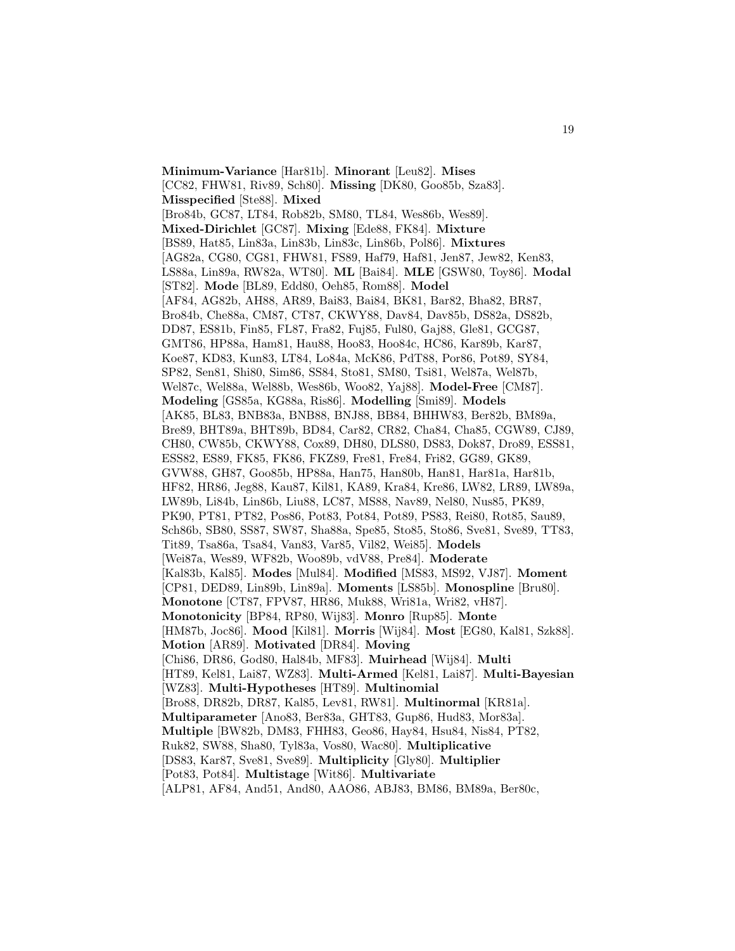**Minimum-Variance** [Har81b]. **Minorant** [Leu82]. **Mises** [CC82, FHW81, Riv89, Sch80]. **Missing** [DK80, Goo85b, Sza83]. **Misspecified** [Ste88]. **Mixed** [Bro84b, GC87, LT84, Rob82b, SM80, TL84, Wes86b, Wes89]. **Mixed-Dirichlet** [GC87]. **Mixing** [Ede88, FK84]. **Mixture** [BS89, Hat85, Lin83a, Lin83b, Lin83c, Lin86b, Pol86]. **Mixtures** [AG82a, CG80, CG81, FHW81, FS89, Haf79, Haf81, Jen87, Jew82, Ken83, LS88a, Lin89a, RW82a, WT80]. **ML** [Bai84]. **MLE** [GSW80, Toy86]. **Modal** [ST82]. **Mode** [BL89, Edd80, Oeh85, Rom88]. **Model** [AF84, AG82b, AH88, AR89, Bai83, Bai84, BK81, Bar82, Bha82, BR87, Bro84b, Che88a, CM87, CT87, CKWY88, Dav84, Dav85b, DS82a, DS82b, DD87, ES81b, Fin85, FL87, Fra82, Fuj85, Ful80, Gaj88, Gle81, GCG87, GMT86, HP88a, Ham81, Hau88, Hoo83, Hoo84c, HC86, Kar89b, Kar87, Koe87, KD83, Kun83, LT84, Lo84a, McK86, PdT88, Por86, Pot89, SY84, SP82, Sen81, Shi80, Sim86, SS84, Sto81, SM80, Tsi81, Wel87a, Wel87b, Wel87c, Wel88a, Wel88b, Wes86b, Woo82, Yaj88]. **Model-Free** [CM87]. **Modeling** [GS85a, KG88a, Ris86]. **Modelling** [Smi89]. **Models** [AK85, BL83, BNB83a, BNB88, BNJ88, BB84, BHHW83, Ber82b, BM89a, Bre89, BHT89a, BHT89b, BD84, Car82, CR82, Cha84, Cha85, CGW89, CJ89, CH80, CW85b, CKWY88, Cox89, DH80, DLS80, DS83, Dok87, Dro89, ESS81, ESS82, ES89, FK85, FK86, FKZ89, Fre81, Fre84, Fri82, GG89, GK89, GVW88, GH87, Goo85b, HP88a, Han75, Han80b, Han81, Har81a, Har81b, HF82, HR86, Jeg88, Kau87, Kil81, KA89, Kra84, Kre86, LW82, LR89, LW89a, LW89b, Li84b, Lin86b, Liu88, LC87, MS88, Nav89, Nel80, Nus85, PK89, PK90, PT81, PT82, Pos86, Pot83, Pot84, Pot89, PS83, Rei80, Rot85, Sau89, Sch86b, SB80, SS87, SW87, Sha88a, Spe85, Sto85, Sto86, Sve81, Sve89, TT83, Tit89, Tsa86a, Tsa84, Van83, Var85, Vil82, Wei85]. **Models** [Wei87a, Wes89, WF82b, Woo89b, vdV88, Pre84]. **Moderate** [Kal83b, Kal85]. **Modes** [Mul84]. **Modified** [MS83, MS92, VJ87]. **Moment** [CP81, DED89, Lin89b, Lin89a]. **Moments** [LS85b]. **Monospline** [Bru80]. **Monotone** [CT87, FPV87, HR86, Muk88, Wri81a, Wri82, vH87]. **Monotonicity** [BP84, RP80, Wij83]. **Monro** [Rup85]. **Monte** [HM87b, Joc86]. **Mood** [Kil81]. **Morris** [Wij84]. **Most** [EG80, Kal81, Szk88]. **Motion** [AR89]. **Motivated** [DR84]. **Moving** [Chi86, DR86, God80, Hal84b, MF83]. **Muirhead** [Wij84]. **Multi** [HT89, Kel81, Lai87, WZ83]. **Multi-Armed** [Kel81, Lai87]. **Multi-Bayesian** [WZ83]. **Multi-Hypotheses** [HT89]. **Multinomial** [Bro88, DR82b, DR87, Kal85, Lev81, RW81]. **Multinormal** [KR81a]. **Multiparameter** [Ano83, Ber83a, GHT83, Gup86, Hud83, Mor83a]. **Multiple** [BW82b, DM83, FHH83, Geo86, Hay84, Hsu84, Nis84, PT82, Ruk82, SW88, Sha80, Tyl83a, Vos80, Wac80]. **Multiplicative** [DS83, Kar87, Sve81, Sve89]. **Multiplicity** [Gly80]. **Multiplier** [Pot83, Pot84]. **Multistage** [Wit86]. **Multivariate** [ALP81, AF84, And51, And80, AAO86, ABJ83, BM86, BM89a, Ber80c,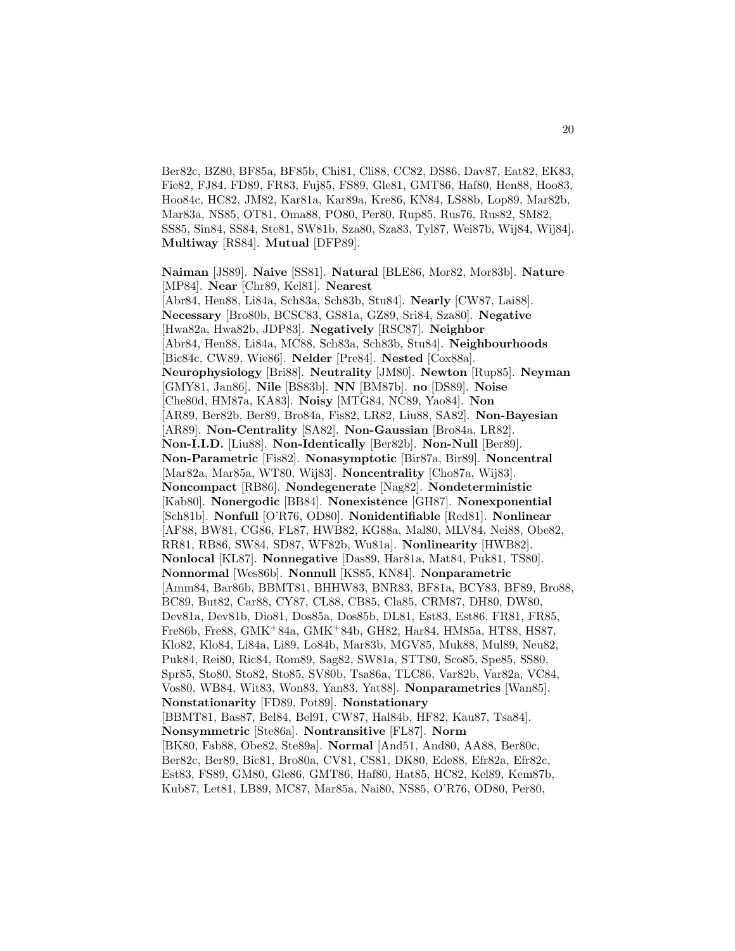Ber82c, BZ80, BF85a, BF85b, Chi81, Cli88, CC82, DS86, Dav87, Eat82, EK83, Fie82, FJ84, FD89, FR83, Fuj85, FS89, Gle81, GMT86, Haf80, Hen88, Hoo83, Hoo84c, HC82, JM82, Kar81a, Kar89a, Kre86, KN84, LS88b, Lop89, Mar82b, Mar83a, NS85, OT81, Oma88, PO80, Per80, Rup85, Rus76, Rus82, SM82, SS85, Sin84, SS84, Ste81, SW81b, Sza80, Sza83, Tyl87, Wei87b, Wij84, Wij84]. **Multiway** [RS84]. **Mutual** [DFP89].

**Naiman** [JS89]. **Naive** [SS81]. **Natural** [BLE86, Mor82, Mor83b]. **Nature** [MP84]. **Near** [Chr89, Kel81]. **Nearest** [Abr84, Hen88, Li84a, Sch83a, Sch83b, Stu84]. **Nearly** [CW87, Lai88]. **Necessary** [Bro80b, BCSC83, GS81a, GZ89, Sri84, Sza80]. **Negative** [Hwa82a, Hwa82b, JDP83]. **Negatively** [RSC87]. **Neighbor** [Abr84, Hen88, Li84a, MC88, Sch83a, Sch83b, Stu84]. **Neighbourhoods** [Bic84c, CW89, Wie86]. **Nelder** [Pre84]. **Nested** [Cox88a]. **Neurophysiology** [Bri88]. **Neutrality** [JM80]. **Newton** [Rup85]. **Neyman** [GMY81, Jan86]. **Nile** [BS83b]. **NN** [BM87b]. **no** [DS89]. **Noise** [Che80d, HM87a, KA83]. **Noisy** [MTG84, NC89, Yao84]. **Non** [AR89, Ber82b, Ber89, Bro84a, Fis82, LR82, Liu88, SA82]. **Non-Bayesian** [AR89]. **Non-Centrality** [SA82]. **Non-Gaussian** [Bro84a, LR82]. **Non-I.I.D.** [Liu88]. **Non-Identically** [Ber82b]. **Non-Null** [Ber89]. **Non-Parametric** [Fis82]. **Nonasymptotic** [Bir87a, Bir89]. **Noncentral** [Mar82a, Mar85a, WT80, Wij83]. **Noncentrality** [Cho87a, Wij83]. **Noncompact** [RB86]. **Nondegenerate** [Nag82]. **Nondeterministic** [Kab80]. **Nonergodic** [BB84]. **Nonexistence** [GH87]. **Nonexponential** [Sch81b]. **Nonfull** [O'R76, OD80]. **Nonidentifiable** [Red81]. **Nonlinear** [AF88, BW81, CG86, FL87, HWB82, KG88a, Mal80, MLV84, Nei88, Obe82, RR81, RB86, SW84, SD87, WF82b, Wu81a]. **Nonlinearity** [HWB82]. **Nonlocal** [KL87]. **Nonnegative** [Das89, Har81a, Mat84, Puk81, TS80]. **Nonnormal** [Wes86b]. **Nonnull** [KS85, KN84]. **Nonparametric** [Amm84, Bar86b, BBMT81, BHHW83, BNR83, BF81a, BCY83, BF89, Bro88, BC89, But82, Car88, CY87, CL88, CB85, Cla85, CRM87, DH80, DW80, Dev81a, Dev81b, Dio81, Dos85a, Dos85b, DL81, Est83, Est86, FR81, FR85, Fre86b, Fre88, GMK<sup>+</sup>84a, GMK<sup>+</sup>84b, GH82, Har84, HM85a, HT88, HS87, Klo82, Klo84, Li84a, Li89, Lo84b, Mar83b, MGV85, Muk88, Mul89, Neu82, Puk84, Rei80, Ric84, Rom89, Sag82, SW81a, STT80, Sco85, Spe85, SS80, Spr85, Sto80, Sto82, Sto85, SV80b, Tsa86a, TLC86, Var82b, Var82a, VC84, Vos80, WB84, Wit83, Won83, Yan83, Yat88]. **Nonparametrics** [Wan85]. **Nonstationarity** [FD89, Pot89]. **Nonstationary** [BBMT81, Bas87, Bel84, Bel91, CW87, Hal84b, HF82, Kau87, Tsa84]. **Nonsymmetric** [Ste86a]. **Nontransitive** [FL87]. **Norm** [BK80, Fab88, Obe82, Ste89a]. **Normal** [And51, And80, AA88, Ber80c, Ber82c, Ber89, Bic81, Bro80a, CV81, CS81, DK80, Ede88, Efr82a, Efr82c, Est83, FS89, GM80, Gle86, GMT86, Haf80, Hat85, HC82, Kel89, Kem87b, Kub87, Let81, LB89, MC87, Mar85a, Nai80, NS85, O'R76, OD80, Per80,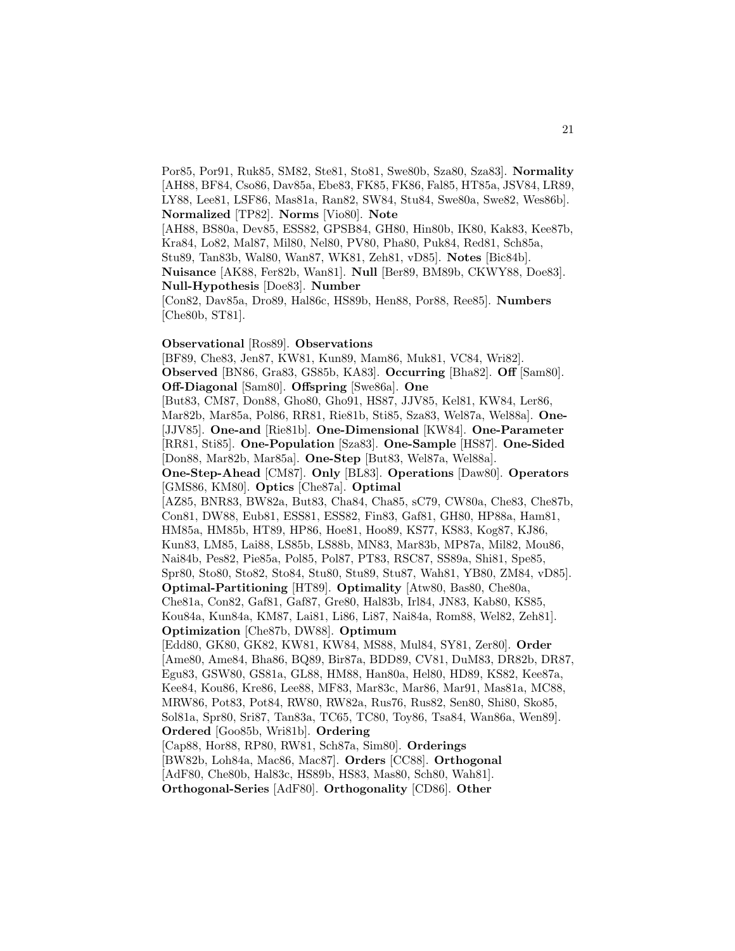Por85, Por91, Ruk85, SM82, Ste81, Sto81, Swe80b, Sza80, Sza83]. **Normality** [AH88, BF84, Cso86, Dav85a, Ebe83, FK85, FK86, Fal85, HT85a, JSV84, LR89, LY88, Lee81, LSF86, Mas81a, Ran82, SW84, Stu84, Swe80a, Swe82, Wes86b]. **Normalized** [TP82]. **Norms** [Vio80]. **Note**

[AH88, BS80a, Dev85, ESS82, GPSB84, GH80, Hin80b, IK80, Kak83, Kee87b, Kra84, Lo82, Mal87, Mil80, Nel80, PV80, Pha80, Puk84, Red81, Sch85a,

Stu89, Tan83b, Wal80, Wan87, WK81, Zeh81, vD85]. **Notes** [Bic84b].

**Nuisance** [AK88, Fer82b, Wan81]. **Null** [Ber89, BM89b, CKWY88, Doe83]. **Null-Hypothesis** [Doe83]. **Number**

[Con82, Dav85a, Dro89, Hal86c, HS89b, Hen88, Por88, Ree85]. **Numbers** [Che80b, ST81].

## **Observational** [Ros89]. **Observations**

[BF89, Che83, Jen87, KW81, Kun89, Mam86, Muk81, VC84, Wri82]. **Observed** [BN86, Gra83, GS85b, KA83]. **Occurring** [Bha82]. **Off** [Sam80]. **Off-Diagonal** [Sam80]. **Offspring** [Swe86a]. **One** [But83, CM87, Don88, Gho80, Gho91, HS87, JJV85, Kel81, KW84, Ler86, Mar82b, Mar85a, Pol86, RR81, Rie81b, Sti85, Sza83, Wel87a, Wel88a]. **One-** [JJV85]. **One-and** [Rie81b]. **One-Dimensional** [KW84]. **One-Parameter** [RR81, Sti85]. **One-Population** [Sza83]. **One-Sample** [HS87]. **One-Sided** [Don88, Mar82b, Mar85a]. **One-Step** [But83, Wel87a, Wel88a]. **One-Step-Ahead** [CM87]. **Only** [BL83]. **Operations** [Daw80]. **Operators** [GMS86, KM80]. **Optics** [Che87a]. **Optimal** [AZ85, BNR83, BW82a, But83, Cha84, Cha85, sC79, CW80a, Che83, Che87b, Con81, DW88, Eub81, ESS81, ESS82, Fin83, Gaf81, GH80, HP88a, Ham81, HM85a, HM85b, HT89, HP86, Hoe81, Hoo89, KS77, KS83, Kog87, KJ86, Kun83, LM85, Lai88, LS85b, LS88b, MN83, Mar83b, MP87a, Mil82, Mou86, Nai84b, Pes82, Pie85a, Pol85, Pol87, PT83, RSC87, SS89a, Shi81, Spe85, Spr80, Sto80, Sto82, Sto84, Stu80, Stu89, Stu87, Wah81, YB80, ZM84, vD85]. **Optimal-Partitioning** [HT89]. **Optimality** [Atw80, Bas80, Che80a, Che81a, Con82, Gaf81, Gaf87, Gre80, Hal83b, Irl84, JN83, Kab80, KS85, Kou84a, Kun84a, KM87, Lai81, Li86, Li87, Nai84a, Rom88, Wel82, Zeh81]. **Optimization** [Che87b, DW88]. **Optimum** [Edd80, GK80, GK82, KW81, KW84, MS88, Mul84, SY81, Zer80]. **Order** [Ame80, Ame84, Bha86, BQ89, Bir87a, BDD89, CV81, DuM83, DR82b, DR87, Egu83, GSW80, GS81a, GL88, HM88, Han80a, Hel80, HD89, KS82, Kee87a, Kee84, Kou86, Kre86, Lee88, MF83, Mar83c, Mar86, Mar91, Mas81a, MC88, MRW86, Pot83, Pot84, RW80, RW82a, Rus76, Rus82, Sen80, Shi80, Sko85, Sol81a, Spr80, Sri87, Tan83a, TC65, TC80, Toy86, Tsa84, Wan86a, Wen89]. **Ordered** [Goo85b, Wri81b]. **Ordering** [Cap88, Hor88, RP80, RW81, Sch87a, Sim80]. **Orderings** [BW82b, Loh84a, Mac86, Mac87]. **Orders** [CC88]. **Orthogonal** [AdF80, Che80b, Hal83c, HS89b, HS83, Mas80, Sch80, Wah81].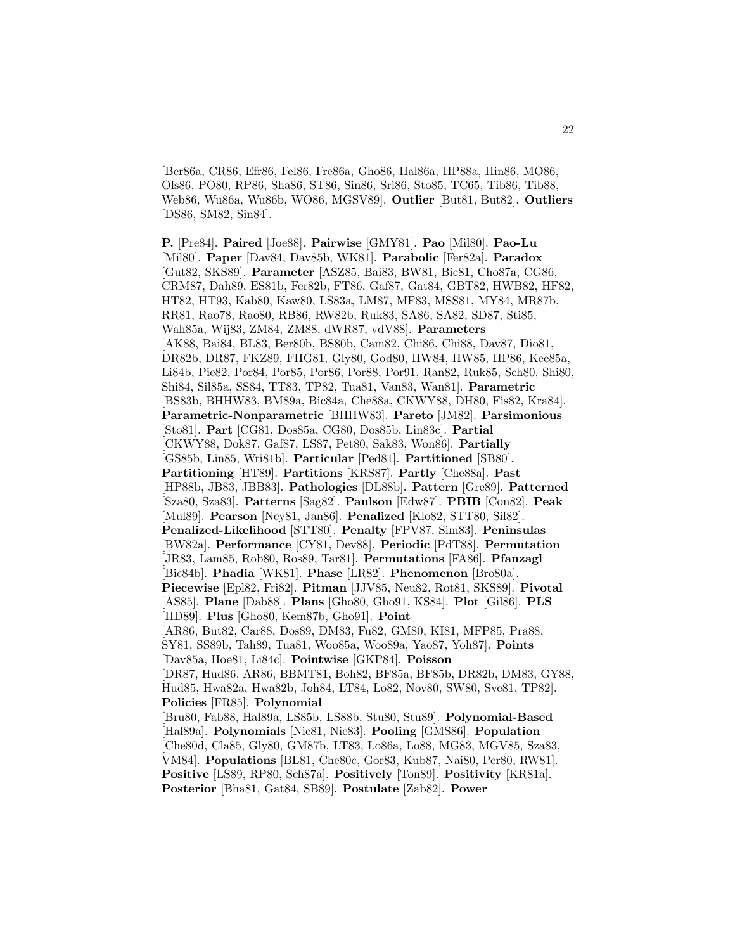[Ber86a, CR86, Efr86, Fel86, Fre86a, Gho86, Hal86a, HP88a, Hin86, MO86, Ols86, PO80, RP86, Sha86, ST86, Sin86, Sri86, Sto85, TC65, Tib86, Tib88, Web86, Wu86a, Wu86b, WO86, MGSV89]. **Outlier** [But81, But82]. **Outliers** [DS86, SM82, Sin84].

**P.** [Pre84]. **Paired** [Joe88]. **Pairwise** [GMY81]. **Pao** [Mil80]. **Pao-Lu** [Mil80]. **Paper** [Dav84, Dav85b, WK81]. **Parabolic** [Fer82a]. **Paradox** [Gut82, SKS89]. **Parameter** [ASZ85, Bai83, BW81, Bic81, Cho87a, CG86, CRM87, Dah89, ES81b, Fer82b, FT86, Gaf87, Gat84, GBT82, HWB82, HF82, HT82, HT93, Kab80, Kaw80, LS83a, LM87, MF83, MSS81, MY84, MR87b, RR81, Rao78, Rao80, RB86, RW82b, Ruk83, SA86, SA82, SD87, Sti85, Wah85a, Wij83, ZM84, ZM88, dWR87, vdV88]. **Parameters** [AK88, Bai84, BL83, Ber80b, BS80b, Cam82, Chi86, Chi88, Dav87, Dio81, DR82b, DR87, FKZ89, FHG81, Gly80, God80, HW84, HW85, HP86, Kee85a, Li84b, Pie82, Por84, Por85, Por86, Por88, Por91, Ran82, Ruk85, Sch80, Shi80, Shi84, Sil85a, SS84, TT83, TP82, Tua81, Van83, Wan81]. **Parametric** [BS83b, BHHW83, BM89a, Bic84a, Che88a, CKWY88, DH80, Fis82, Kra84]. **Parametric-Nonparametric** [BHHW83]. **Pareto** [JM82]. **Parsimonious** [Sto81]. **Part** [CG81, Dos85a, CG80, Dos85b, Lin83c]. **Partial** [CKWY88, Dok87, Gaf87, LS87, Pet80, Sak83, Won86]. **Partially** [GS85b, Lin85, Wri81b]. **Particular** [Ped81]. **Partitioned** [SB80]. **Partitioning** [HT89]. **Partitions** [KRS87]. **Partly** [Che88a]. **Past** [HP88b, JB83, JBB83]. **Pathologies** [DL88b]. **Pattern** [Gre89]. **Patterned** [Sza80, Sza83]. **Patterns** [Sag82]. **Paulson** [Edw87]. **PBIB** [Con82]. **Peak** [Mul89]. **Pearson** [Ney81, Jan86]. **Penalized** [Klo82, STT80, Sil82]. **Penalized-Likelihood** [STT80]. **Penalty** [FPV87, Sim83]. **Peninsulas** [BW82a]. **Performance** [CY81, Dev88]. **Periodic** [PdT88]. **Permutation** [JR83, Lam85, Rob80, Ros89, Tar81]. **Permutations** [FA86]. **Pfanzagl** [Bic84b]. **Phadia** [WK81]. **Phase** [LR82]. **Phenomenon** [Bro80a]. **Piecewise** [Epl82, Fri82]. **Pitman** [JJV85, Neu82, Rot81, SKS89]. **Pivotal** [AS85]. **Plane** [Dab88]. **Plans** [Gho80, Gho91, KS84]. **Plot** [Gil86]. **PLS** [HD89]. **Plus** [Gho80, Kem87b, Gho91]. **Point** [AR86, But82, Car88, Dos89, DM83, Fu82, GM80, KI81, MFP85, Pra88, SY81, SS89b, Tah89, Tua81, Woo85a, Woo89a, Yao87, Yoh87]. **Points** [Dav85a, Hoe81, Li84c]. **Pointwise** [GKP84]. **Poisson** [DR87, Hud86, AR86, BBMT81, Boh82, BF85a, BF85b, DR82b, DM83, GY88, Hud85, Hwa82a, Hwa82b, Joh84, LT84, Lo82, Nov80, SW80, Sve81, TP82]. **Policies** [FR85]. **Polynomial** [Bru80, Fab88, Hal89a, LS85b, LS88b, Stu80, Stu89]. **Polynomial-Based** [Hal89a]. **Polynomials** [Nie81, Nie83]. **Pooling** [GMS86]. **Population** [Che80d, Cla85, Gly80, GM87b, LT83, Lo86a, Lo88, MG83, MGV85, Sza83, VM84]. **Populations** [BL81, Che80c, Gor83, Kub87, Nai80, Per80, RW81]. **Positive** [LS89, RP80, Sch87a]. **Positively** [Ton89]. **Positivity** [KR81a]. **Posterior** [Bha81, Gat84, SB89]. **Postulate** [Zab82]. **Power**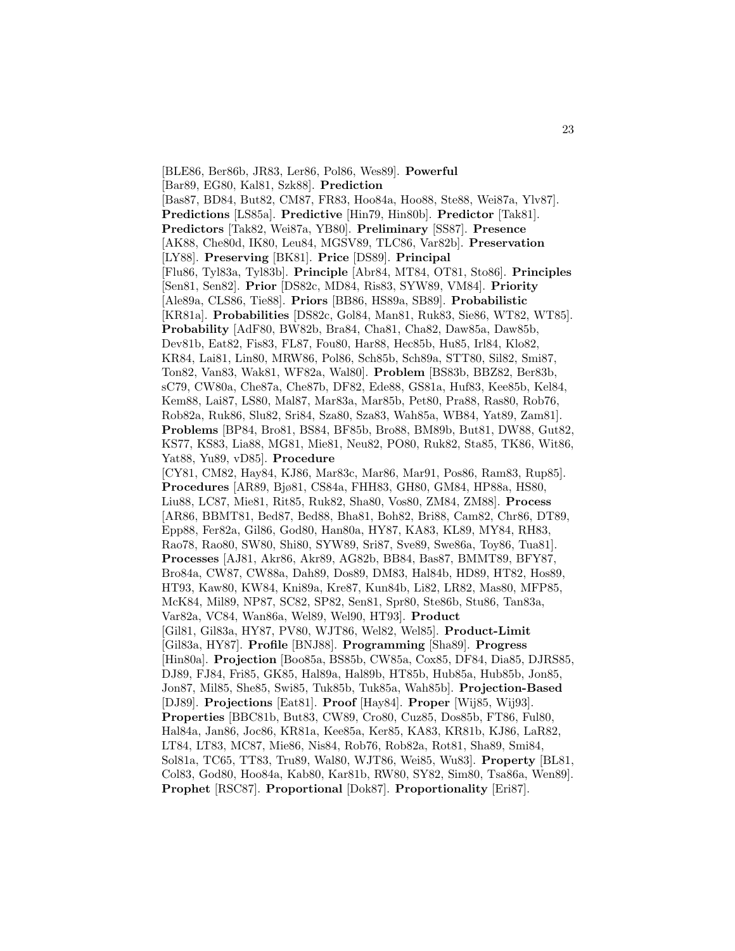[BLE86, Ber86b, JR83, Ler86, Pol86, Wes89]. **Powerful** [Bar89, EG80, Kal81, Szk88]. **Prediction** [Bas87, BD84, But82, CM87, FR83, Hoo84a, Hoo88, Ste88, Wei87a, Ylv87]. **Predictions** [LS85a]. **Predictive** [Hin79, Hin80b]. **Predictor** [Tak81]. **Predictors** [Tak82, Wei87a, YB80]. **Preliminary** [SS87]. **Presence** [AK88, Che80d, IK80, Leu84, MGSV89, TLC86, Var82b]. **Preservation** [LY88]. **Preserving** [BK81]. **Price** [DS89]. **Principal** [Flu86, Tyl83a, Tyl83b]. **Principle** [Abr84, MT84, OT81, Sto86]. **Principles** [Sen81, Sen82]. **Prior** [DS82c, MD84, Ris83, SYW89, VM84]. **Priority** [Ale89a, CLS86, Tie88]. **Priors** [BB86, HS89a, SB89]. **Probabilistic** [KR81a]. **Probabilities** [DS82c, Gol84, Man81, Ruk83, Sie86, WT82, WT85]. **Probability** [AdF80, BW82b, Bra84, Cha81, Cha82, Daw85a, Daw85b, Dev81b, Eat82, Fis83, FL87, Fou80, Har88, Hec85b, Hu85, Irl84, Klo82, KR84, Lai81, Lin80, MRW86, Pol86, Sch85b, Sch89a, STT80, Sil82, Smi87, Ton82, Van83, Wak81, WF82a, Wal80]. **Problem** [BS83b, BBZ82, Ber83b, sC79, CW80a, Che87a, Che87b, DF82, Ede88, GS81a, Huf83, Kee85b, Kel84, Kem88, Lai87, LS80, Mal87, Mar83a, Mar85b, Pet80, Pra88, Ras80, Rob76, Rob82a, Ruk86, Slu82, Sri84, Sza80, Sza83, Wah85a, WB84, Yat89, Zam81]. **Problems** [BP84, Bro81, BS84, BF85b, Bro88, BM89b, But81, DW88, Gut82, KS77, KS83, Lia88, MG81, Mie81, Neu82, PO80, Ruk82, Sta85, TK86, Wit86, Yat88, Yu89, vD85]. **Procedure** [CY81, CM82, Hay84, KJ86, Mar83c, Mar86, Mar91, Pos86, Ram83, Rup85]. **Procedures** [AR89, Bjø81, CS84a, FHH83, GH80, GM84, HP88a, HS80, Liu88, LC87, Mie81, Rit85, Ruk82, Sha80, Vos80, ZM84, ZM88]. **Process** [AR86, BBMT81, Bed87, Bed88, Bha81, Boh82, Bri88, Cam82, Chr86, DT89, Epp88, Fer82a, Gil86, God80, Han80a, HY87, KA83, KL89, MY84, RH83, Rao78, Rao80, SW80, Shi80, SYW89, Sri87, Sve89, Swe86a, Toy86, Tua81]. **Processes** [AJ81, Akr86, Akr89, AG82b, BB84, Bas87, BMMT89, BFY87, Bro84a, CW87, CW88a, Dah89, Dos89, DM83, Hal84b, HD89, HT82, Hos89, HT93, Kaw80, KW84, Kni89a, Kre87, Kun84b, Li82, LR82, Mas80, MFP85, McK84, Mil89, NP87, SC82, SP82, Sen81, Spr80, Ste86b, Stu86, Tan83a, Var82a, VC84, Wan86a, Wel89, Wel90, HT93]. **Product** [Gil81, Gil83a, HY87, PV80, WJT86, Wel82, Wel85]. **Product-Limit** [Gil83a, HY87]. **Profile** [BNJ88]. **Programming** [Sha89]. **Progress** [Hin80a]. **Projection** [Boo85a, BS85b, CW85a, Cox85, DF84, Dia85, DJRS85, DJ89, FJ84, Fri85, GK85, Hal89a, Hal89b, HT85b, Hub85a, Hub85b, Jon85, Jon87, Mil85, She85, Swi85, Tuk85b, Tuk85a, Wah85b]. **Projection-Based** [DJ89]. **Projections** [Eat81]. **Proof** [Hay84]. **Proper** [Wij85, Wij93]. **Properties** [BBC81b, But83, CW89, Cro80, Cuz85, Dos85b, FT86, Ful80, Hal84a, Jan86, Joc86, KR81a, Kee85a, Ker85, KA83, KR81b, KJ86, LaR82, LT84, LT83, MC87, Mie86, Nis84, Rob76, Rob82a, Rot81, Sha89, Smi84, Sol81a, TC65, TT83, Tru89, Wal80, WJT86, Wei85, Wu83]. **Property** [BL81, Col83, God80, Hoo84a, Kab80, Kar81b, RW80, SY82, Sim80, Tsa86a, Wen89]. **Prophet** [RSC87]. **Proportional** [Dok87]. **Proportionality** [Eri87].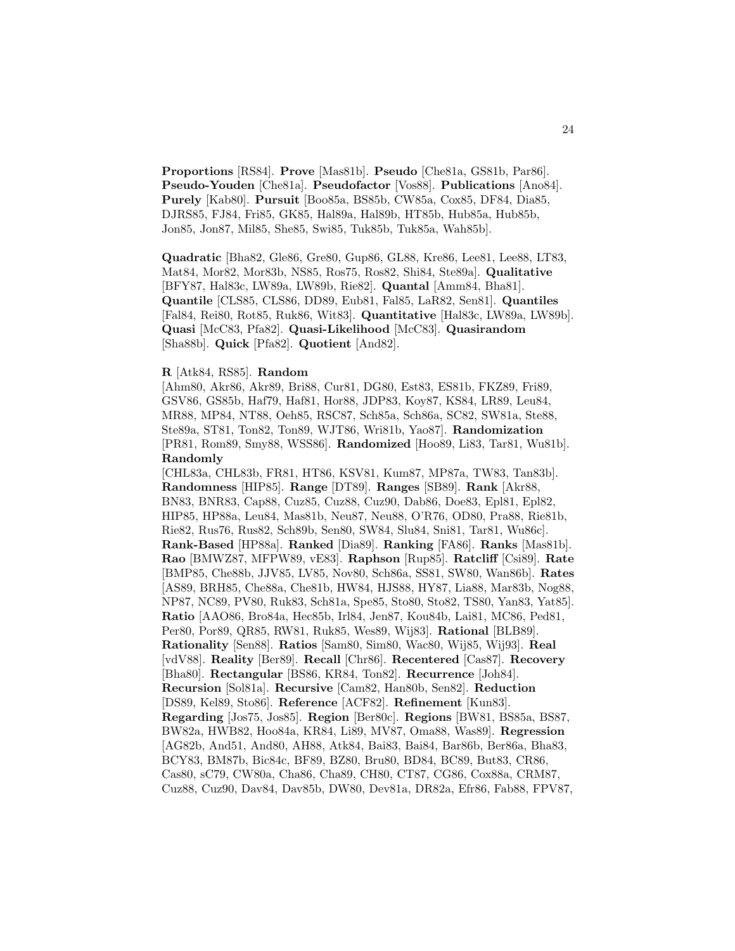**Proportions** [RS84]. **Prove** [Mas81b]. **Pseudo** [Che81a, GS81b, Par86]. **Pseudo-Youden** [Che81a]. **Pseudofactor** [Vos88]. **Publications** [Ano84]. **Purely** [Kab80]. **Pursuit** [Boo85a, BS85b, CW85a, Cox85, DF84, Dia85, DJRS85, FJ84, Fri85, GK85, Hal89a, Hal89b, HT85b, Hub85a, Hub85b, Jon85, Jon87, Mil85, She85, Swi85, Tuk85b, Tuk85a, Wah85b].

**Quadratic** [Bha82, Gle86, Gre80, Gup86, GL88, Kre86, Lee81, Lee88, LT83, Mat84, Mor82, Mor83b, NS85, Ros75, Ros82, Shi84, Ste89a]. **Qualitative** [BFY87, Hal83c, LW89a, LW89b, Rie82]. **Quantal** [Amm84, Bha81]. **Quantile** [CLS85, CLS86, DD89, Eub81, Fal85, LaR82, Sen81]. **Quantiles** [Fal84, Rei80, Rot85, Ruk86, Wit83]. **Quantitative** [Hal83c, LW89a, LW89b]. **Quasi** [McC83, Pfa82]. **Quasi-Likelihood** [McC83]. **Quasirandom** [Sha88b]. **Quick** [Pfa82]. **Quotient** [And82].

#### **R** [Atk84, RS85]. **Random**

[Ahm80, Akr86, Akr89, Bri88, Cur81, DG80, Est83, ES81b, FKZ89, Fri89, GSV86, GS85b, Haf79, Haf81, Hor88, JDP83, Koy87, KS84, LR89, Leu84, MR88, MP84, NT88, Oeh85, RSC87, Sch85a, Sch86a, SC82, SW81a, Ste88, Ste89a, ST81, Ton82, Ton89, WJT86, Wri81b, Yao87]. **Randomization** [PR81, Rom89, Smy88, WSS86]. **Randomized** [Hoo89, Li83, Tar81, Wu81b]. **Randomly**

[CHL83a, CHL83b, FR81, HT86, KSV81, Kum87, MP87a, TW83, Tan83b]. **Randomness** [HIP85]. **Range** [DT89]. **Ranges** [SB89]. **Rank** [Akr88, BN83, BNR83, Cap88, Cuz85, Cuz88, Cuz90, Dab86, Doe83, Epl81, Epl82, HIP85, HP88a, Leu84, Mas81b, Neu87, Neu88, O'R76, OD80, Pra88, Rie81b, Rie82, Rus76, Rus82, Sch89b, Sen80, SW84, Slu84, Sni81, Tar81, Wu86c]. **Rank-Based** [HP88a]. **Ranked** [Dia89]. **Ranking** [FA86]. **Ranks** [Mas81b]. **Rao** [BMWZ87, MFPW89, vE83]. **Raphson** [Rup85]. **Ratcliff** [Csi89]. **Rate** [BMP85, Che88b, JJV85, LV85, Nov80, Sch86a, SS81, SW80, Wan86b]. **Rates** [AS89, BRH85, Che88a, Che81b, HW84, HJS88, HY87, Lia88, Mar83b, Nog88, NP87, NC89, PV80, Ruk83, Sch81a, Spe85, Sto80, Sto82, TS80, Yan83, Yat85]. **Ratio** [AAO86, Bro84a, Hec85b, Irl84, Jen87, Kou84b, Lai81, MC86, Ped81, Per80, Por89, QR85, RW81, Ruk85, Wes89, Wij83]. **Rational** [BLB89]. **Rationality** [Sen88]. **Ratios** [Sam80, Sim80, Wac80, Wij85, Wij93]. **Real** [vdV88]. **Reality** [Ber89]. **Recall** [Chr86]. **Recentered** [Cas87]. **Recovery** [Bha80]. **Rectangular** [BS86, KR84, Ton82]. **Recurrence** [Joh84]. **Recursion** [Sol81a]. **Recursive** [Cam82, Han80b, Sen82]. **Reduction** [DS89, Kel89, Sto86]. **Reference** [ACF82]. **Refinement** [Kun83]. **Regarding** [Jos75, Jos85]. **Region** [Ber80c]. **Regions** [BW81, BS85a, BS87, BW82a, HWB82, Hoo84a, KR84, Li89, MV87, Oma88, Was89]. **Regression** [AG82b, And51, And80, AH88, Atk84, Bai83, Bai84, Bar86b, Ber86a, Bha83, BCY83, BM87b, Bic84c, BF89, BZ80, Bru80, BD84, BC89, But83, CR86, Cas80, sC79, CW80a, Cha86, Cha89, CH80, CT87, CG86, Cox88a, CRM87, Cuz88, Cuz90, Dav84, Dav85b, DW80, Dev81a, DR82a, Efr86, Fab88, FPV87,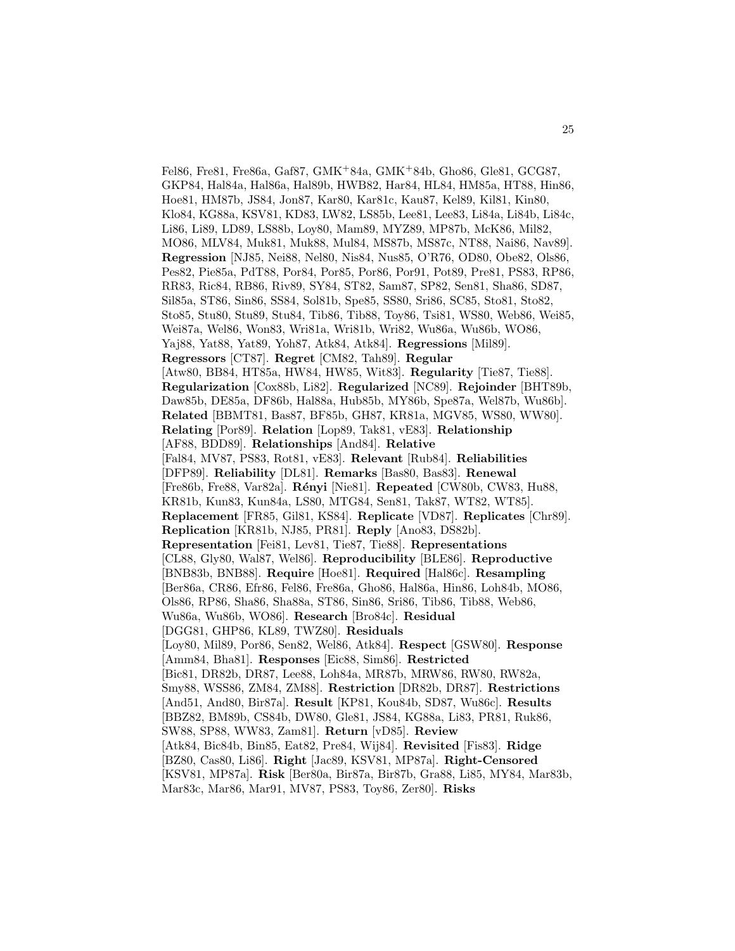Fel86, Fre81, Fre86a, Gaf87, GMK<sup>+</sup>84a, GMK<sup>+</sup>84b, Gho86, Gle81, GCG87, GKP84, Hal84a, Hal86a, Hal89b, HWB82, Har84, HL84, HM85a, HT88, Hin86, Hoe81, HM87b, JS84, Jon87, Kar80, Kar81c, Kau87, Kel89, Kil81, Kin80, Klo84, KG88a, KSV81, KD83, LW82, LS85b, Lee81, Lee83, Li84a, Li84b, Li84c, Li86, Li89, LD89, LS88b, Loy80, Mam89, MYZ89, MP87b, McK86, Mil82, MO86, MLV84, Muk81, Muk88, Mul84, MS87b, MS87c, NT88, Nai86, Nav89]. **Regression** [NJ85, Nei88, Nel80, Nis84, Nus85, O'R76, OD80, Obe82, Ols86, Pes82, Pie85a, PdT88, Por84, Por85, Por86, Por91, Pot89, Pre81, PS83, RP86, RR83, Ric84, RB86, Riv89, SY84, ST82, Sam87, SP82, Sen81, Sha86, SD87, Sil85a, ST86, Sin86, SS84, Sol81b, Spe85, SS80, Sri86, SC85, Sto81, Sto82, Sto85, Stu80, Stu89, Stu84, Tib86, Tib88, Toy86, Tsi81, WS80, Web86, Wei85, Wei87a, Wel86, Won83, Wri81a, Wri81b, Wri82, Wu86a, Wu86b, WO86, Yaj88, Yat88, Yat89, Yoh87, Atk84, Atk84]. **Regressions** [Mil89]. **Regressors** [CT87]. **Regret** [CM82, Tah89]. **Regular** [Atw80, BB84, HT85a, HW84, HW85, Wit83]. **Regularity** [Tie87, Tie88]. **Regularization** [Cox88b, Li82]. **Regularized** [NC89]. **Rejoinder** [BHT89b, Daw85b, DE85a, DF86b, Hal88a, Hub85b, MY86b, Spe87a, Wel87b, Wu86b]. **Related** [BBMT81, Bas87, BF85b, GH87, KR81a, MGV85, WS80, WW80]. **Relating** [Por89]. **Relation** [Lop89, Tak81, vE83]. **Relationship** [AF88, BDD89]. **Relationships** [And84]. **Relative** [Fal84, MV87, PS83, Rot81, vE83]. **Relevant** [Rub84]. **Reliabilities** [DFP89]. **Reliability** [DL81]. **Remarks** [Bas80, Bas83]. **Renewal** [Fre86b, Fre88, Var82a]. **R´enyi** [Nie81]. **Repeated** [CW80b, CW83, Hu88, KR81b, Kun83, Kun84a, LS80, MTG84, Sen81, Tak87, WT82, WT85]. **Replacement** [FR85, Gil81, KS84]. **Replicate** [VD87]. **Replicates** [Chr89]. **Replication** [KR81b, NJ85, PR81]. **Reply** [Ano83, DS82b]. **Representation** [Fei81, Lev81, Tie87, Tie88]. **Representations** [CL88, Gly80, Wal87, Wel86]. **Reproducibility** [BLE86]. **Reproductive** [BNB83b, BNB88]. **Require** [Hoe81]. **Required** [Hal86c]. **Resampling** [Ber86a, CR86, Efr86, Fel86, Fre86a, Gho86, Hal86a, Hin86, Loh84b, MO86, Ols86, RP86, Sha86, Sha88a, ST86, Sin86, Sri86, Tib86, Tib88, Web86, Wu86a, Wu86b, WO86]. **Research** [Bro84c]. **Residual** [DGG81, GHP86, KL89, TWZ80]. **Residuals** [Loy80, Mil89, Por86, Sen82, Wel86, Atk84]. **Respect** [GSW80]. **Response** [Amm84, Bha81]. **Responses** [Eic88, Sim86]. **Restricted** [Bic81, DR82b, DR87, Lee88, Loh84a, MR87b, MRW86, RW80, RW82a, Smy88, WSS86, ZM84, ZM88]. **Restriction** [DR82b, DR87]. **Restrictions** [And51, And80, Bir87a]. **Result** [KP81, Kou84b, SD87, Wu86c]. **Results** [BBZ82, BM89b, CS84b, DW80, Gle81, JS84, KG88a, Li83, PR81, Ruk86, SW88, SP88, WW83, Zam81]. **Return** [vD85]. **Review** [Atk84, Bic84b, Bin85, Eat82, Pre84, Wij84]. **Revisited** [Fis83]. **Ridge** [BZ80, Cas80, Li86]. **Right** [Jac89, KSV81, MP87a]. **Right-Censored** [KSV81, MP87a]. **Risk** [Ber80a, Bir87a, Bir87b, Gra88, Li85, MY84, Mar83b, Mar83c, Mar86, Mar91, MV87, PS83, Toy86, Zer80]. **Risks**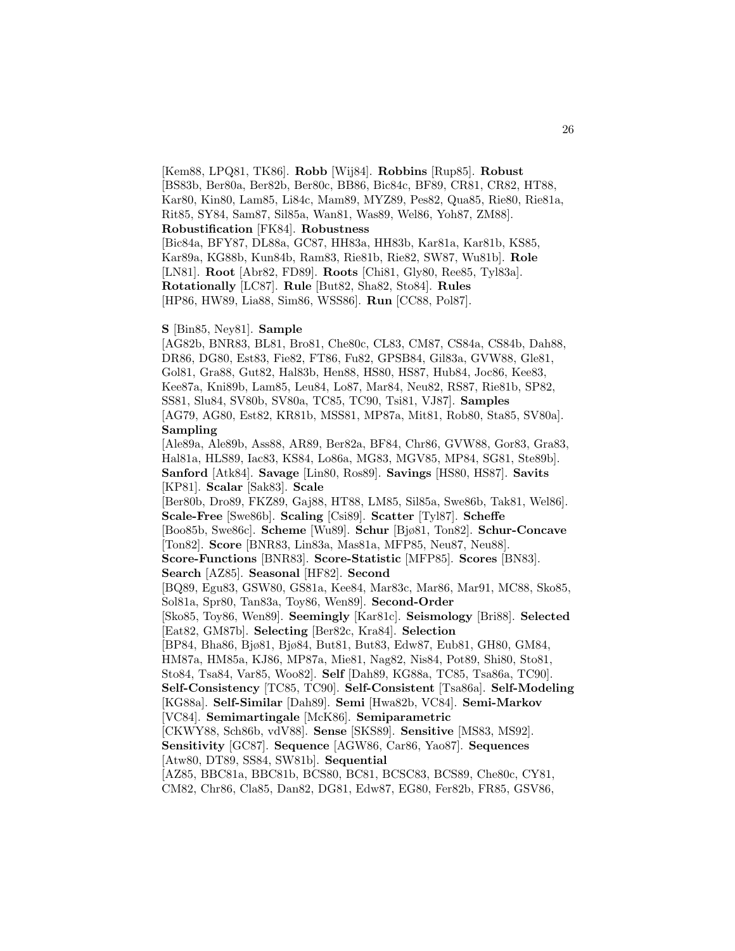[Kem88, LPQ81, TK86]. **Robb** [Wij84]. **Robbins** [Rup85]. **Robust** [BS83b, Ber80a, Ber82b, Ber80c, BB86, Bic84c, BF89, CR81, CR82, HT88, Kar80, Kin80, Lam85, Li84c, Mam89, MYZ89, Pes82, Qua85, Rie80, Rie81a, Rit85, SY84, Sam87, Sil85a, Wan81, Was89, Wel86, Yoh87, ZM88]. **Robustification** [FK84]. **Robustness**

[Bic84a, BFY87, DL88a, GC87, HH83a, HH83b, Kar81a, Kar81b, KS85, Kar89a, KG88b, Kun84b, Ram83, Rie81b, Rie82, SW87, Wu81b]. **Role** [LN81]. **Root** [Abr82, FD89]. **Roots** [Chi81, Gly80, Ree85, Tyl83a]. **Rotationally** [LC87]. **Rule** [But82, Sha82, Sto84]. **Rules** [HP86, HW89, Lia88, Sim86, WSS86]. **Run** [CC88, Pol87].

#### **S** [Bin85, Ney81]. **Sample**

[AG82b, BNR83, BL81, Bro81, Che80c, CL83, CM87, CS84a, CS84b, Dah88, DR86, DG80, Est83, Fie82, FT86, Fu82, GPSB84, Gil83a, GVW88, Gle81, Gol81, Gra88, Gut82, Hal83b, Hen88, HS80, HS87, Hub84, Joc86, Kee83, Kee87a, Kni89b, Lam85, Leu84, Lo87, Mar84, Neu82, RS87, Rie81b, SP82, SS81, Slu84, SV80b, SV80a, TC85, TC90, Tsi81, VJ87]. **Samples** [AG79, AG80, Est82, KR81b, MSS81, MP87a, Mit81, Rob80, Sta85, SV80a]. **Sampling** [Ale89a, Ale89b, Ass88, AR89, Ber82a, BF84, Chr86, GVW88, Gor83, Gra83, Hal81a, HLS89, Iac83, KS84, Lo86a, MG83, MGV85, MP84, SG81, Ste89b]. **Sanford** [Atk84]. **Savage** [Lin80, Ros89]. **Savings** [HS80, HS87]. **Savits** [KP81]. **Scalar** [Sak83]. **Scale** [Ber80b, Dro89, FKZ89, Gaj88, HT88, LM85, Sil85a, Swe86b, Tak81, Wel86]. **Scale-Free** [Swe86b]. **Scaling** [Csi89]. **Scatter** [Tyl87]. **Scheffe** [Boo85b, Swe86c]. **Scheme** [Wu89]. **Schur** [Bjø81, Ton82]. **Schur-Concave** [Ton82]. **Score** [BNR83, Lin83a, Mas81a, MFP85, Neu87, Neu88]. **Score-Functions** [BNR83]. **Score-Statistic** [MFP85]. **Scores** [BN83]. **Search** [AZ85]. **Seasonal** [HF82]. **Second** [BQ89, Egu83, GSW80, GS81a, Kee84, Mar83c, Mar86, Mar91, MC88, Sko85, Sol81a, Spr80, Tan83a, Toy86, Wen89]. **Second-Order** [Sko85, Toy86, Wen89]. **Seemingly** [Kar81c]. **Seismology** [Bri88]. **Selected** [Eat82, GM87b]. **Selecting** [Ber82c, Kra84]. **Selection** [BP84, Bha86, Bjø81, Bjø84, But81, But83, Edw87, Eub81, GH80, GM84, HM87a, HM85a, KJ86, MP87a, Mie81, Nag82, Nis84, Pot89, Shi80, Sto81, Sto84, Tsa84, Var85, Woo82]. **Self** [Dah89, KG88a, TC85, Tsa86a, TC90]. **Self-Consistency** [TC85, TC90]. **Self-Consistent** [Tsa86a]. **Self-Modeling** [KG88a]. **Self-Similar** [Dah89]. **Semi** [Hwa82b, VC84]. **Semi-Markov** [VC84]. **Semimartingale** [McK86]. **Semiparametric** [CKWY88, Sch86b, vdV88]. **Sense** [SKS89]. **Sensitive** [MS83, MS92]. **Sensitivity** [GC87]. **Sequence** [AGW86, Car86, Yao87]. **Sequences** [Atw80, DT89, SS84, SW81b]. **Sequential** [AZ85, BBC81a, BBC81b, BCS80, BC81, BCSC83, BCS89, Che80c, CY81, CM82, Chr86, Cla85, Dan82, DG81, Edw87, EG80, Fer82b, FR85, GSV86,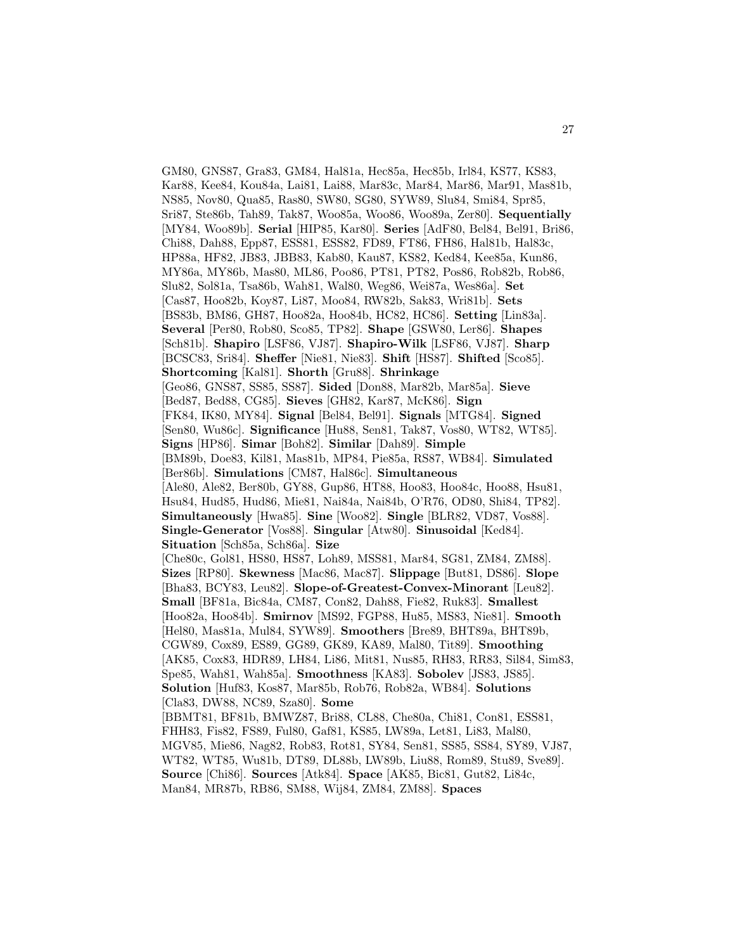GM80, GNS87, Gra83, GM84, Hal81a, Hec85a, Hec85b, Irl84, KS77, KS83, Kar88, Kee84, Kou84a, Lai81, Lai88, Mar83c, Mar84, Mar86, Mar91, Mas81b, NS85, Nov80, Qua85, Ras80, SW80, SG80, SYW89, Slu84, Smi84, Spr85, Sri87, Ste86b, Tah89, Tak87, Woo85a, Woo86, Woo89a, Zer80]. **Sequentially** [MY84, Woo89b]. **Serial** [HIP85, Kar80]. **Series** [AdF80, Bel84, Bel91, Bri86, Chi88, Dah88, Epp87, ESS81, ESS82, FD89, FT86, FH86, Hal81b, Hal83c, HP88a, HF82, JB83, JBB83, Kab80, Kau87, KS82, Ked84, Kee85a, Kun86, MY86a, MY86b, Mas80, ML86, Poo86, PT81, PT82, Pos86, Rob82b, Rob86, Slu82, Sol81a, Tsa86b, Wah81, Wal80, Weg86, Wei87a, Wes86a]. **Set** [Cas87, Hoo82b, Koy87, Li87, Moo84, RW82b, Sak83, Wri81b]. **Sets** [BS83b, BM86, GH87, Hoo82a, Hoo84b, HC82, HC86]. **Setting** [Lin83a]. **Several** [Per80, Rob80, Sco85, TP82]. **Shape** [GSW80, Ler86]. **Shapes** [Sch81b]. **Shapiro** [LSF86, VJ87]. **Shapiro-Wilk** [LSF86, VJ87]. **Sharp** [BCSC83, Sri84]. **Sheffer** [Nie81, Nie83]. **Shift** [HS87]. **Shifted** [Sco85]. **Shortcoming** [Kal81]. **Shorth** [Gru88]. **Shrinkage** [Geo86, GNS87, SS85, SS87]. **Sided** [Don88, Mar82b, Mar85a]. **Sieve** [Bed87, Bed88, CG85]. **Sieves** [GH82, Kar87, McK86]. **Sign** [FK84, IK80, MY84]. **Signal** [Bel84, Bel91]. **Signals** [MTG84]. **Signed** [Sen80, Wu86c]. **Significance** [Hu88, Sen81, Tak87, Vos80, WT82, WT85]. **Signs** [HP86]. **Simar** [Boh82]. **Similar** [Dah89]. **Simple** [BM89b, Doe83, Kil81, Mas81b, MP84, Pie85a, RS87, WB84]. **Simulated** [Ber86b]. **Simulations** [CM87, Hal86c]. **Simultaneous** [Ale80, Ale82, Ber80b, GY88, Gup86, HT88, Hoo83, Hoo84c, Hoo88, Hsu81, Hsu84, Hud85, Hud86, Mie81, Nai84a, Nai84b, O'R76, OD80, Shi84, TP82]. **Simultaneously** [Hwa85]. **Sine** [Woo82]. **Single** [BLR82, VD87, Vos88]. **Single-Generator** [Vos88]. **Singular** [Atw80]. **Sinusoidal** [Ked84]. **Situation** [Sch85a, Sch86a]. **Size** [Che80c, Gol81, HS80, HS87, Loh89, MSS81, Mar84, SG81, ZM84, ZM88]. **Sizes** [RP80]. **Skewness** [Mac86, Mac87]. **Slippage** [But81, DS86]. **Slope** [Bha83, BCY83, Leu82]. **Slope-of-Greatest-Convex-Minorant** [Leu82]. **Small** [BF81a, Bic84a, CM87, Con82, Dah88, Fie82, Ruk83]. **Smallest** [Hoo82a, Hoo84b]. **Smirnov** [MS92, FGP88, Hu85, MS83, Nie81]. **Smooth** [Hel80, Mas81a, Mul84, SYW89]. **Smoothers** [Bre89, BHT89a, BHT89b, CGW89, Cox89, ES89, GG89, GK89, KA89, Mal80, Tit89]. **Smoothing** [AK85, Cox83, HDR89, LH84, Li86, Mit81, Nus85, RH83, RR83, Sil84, Sim83, Spe85, Wah81, Wah85a]. **Smoothness** [KA83]. **Sobolev** [JS83, JS85]. **Solution** [Huf83, Kos87, Mar85b, Rob76, Rob82a, WB84]. **Solutions** [Cla83, DW88, NC89, Sza80]. **Some** [BBMT81, BF81b, BMWZ87, Bri88, CL88, Che80a, Chi81, Con81, ESS81, FHH83, Fis82, FS89, Ful80, Gaf81, KS85, LW89a, Let81, Li83, Mal80, MGV85, Mie86, Nag82, Rob83, Rot81, SY84, Sen81, SS85, SS84, SY89, VJ87, WT82, WT85, Wu81b, DT89, DL88b, LW89b, Liu88, Rom89, Stu89, Sve89]. **Source** [Chi86]. **Sources** [Atk84]. **Space** [AK85, Bic81, Gut82, Li84c, Man84, MR87b, RB86, SM88, Wij84, ZM84, ZM88]. **Spaces**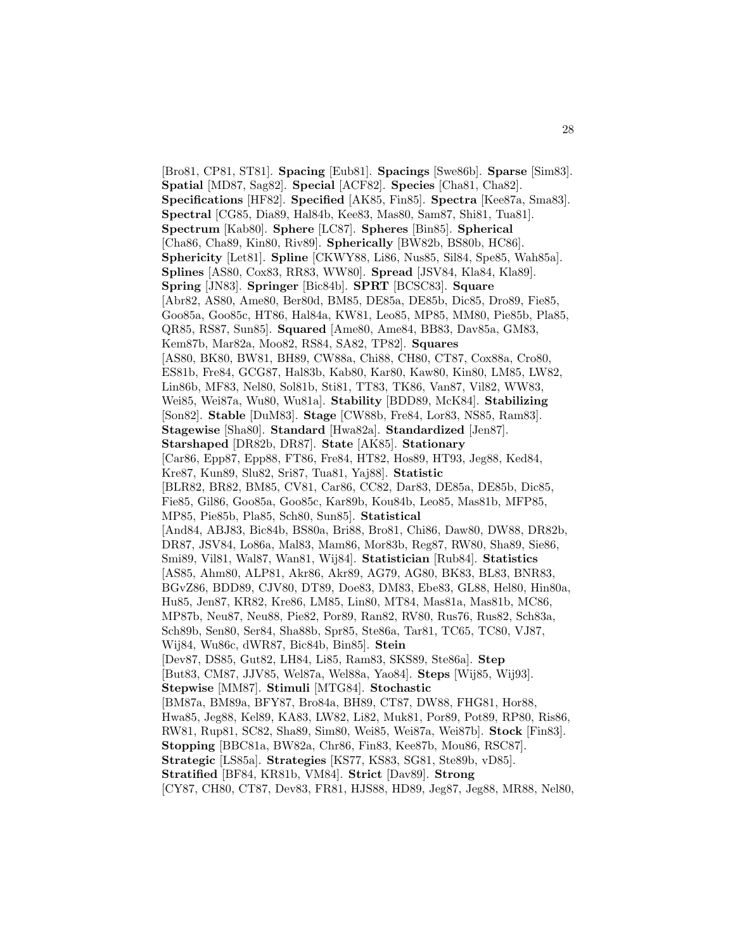[Bro81, CP81, ST81]. **Spacing** [Eub81]. **Spacings** [Swe86b]. **Sparse** [Sim83]. **Spatial** [MD87, Sag82]. **Special** [ACF82]. **Species** [Cha81, Cha82]. **Specifications** [HF82]. **Specified** [AK85, Fin85]. **Spectra** [Kee87a, Sma83]. **Spectral** [CG85, Dia89, Hal84b, Kee83, Mas80, Sam87, Shi81, Tua81]. **Spectrum** [Kab80]. **Sphere** [LC87]. **Spheres** [Bin85]. **Spherical** [Cha86, Cha89, Kin80, Riv89]. **Spherically** [BW82b, BS80b, HC86]. **Sphericity** [Let81]. **Spline** [CKWY88, Li86, Nus85, Sil84, Spe85, Wah85a]. **Splines** [AS80, Cox83, RR83, WW80]. **Spread** [JSV84, Kla84, Kla89]. **Spring** [JN83]. **Springer** [Bic84b]. **SPRT** [BCSC83]. **Square** [Abr82, AS80, Ame80, Ber80d, BM85, DE85a, DE85b, Dic85, Dro89, Fie85, Goo85a, Goo85c, HT86, Hal84a, KW81, Leo85, MP85, MM80, Pie85b, Pla85, QR85, RS87, Sun85]. **Squared** [Ame80, Ame84, BB83, Dav85a, GM83, Kem87b, Mar82a, Moo82, RS84, SA82, TP82]. **Squares** [AS80, BK80, BW81, BH89, CW88a, Chi88, CH80, CT87, Cox88a, Cro80, ES81b, Fre84, GCG87, Hal83b, Kab80, Kar80, Kaw80, Kin80, LM85, LW82, Lin86b, MF83, Nel80, Sol81b, Sti81, TT83, TK86, Van87, Vil82, WW83, Wei85, Wei87a, Wu80, Wu81a]. **Stability** [BDD89, McK84]. **Stabilizing** [Son82]. **Stable** [DuM83]. **Stage** [CW88b, Fre84, Lor83, NS85, Ram83]. **Stagewise** [Sha80]. **Standard** [Hwa82a]. **Standardized** [Jen87]. **Starshaped** [DR82b, DR87]. **State** [AK85]. **Stationary** [Car86, Epp87, Epp88, FT86, Fre84, HT82, Hos89, HT93, Jeg88, Ked84, Kre87, Kun89, Slu82, Sri87, Tua81, Yaj88]. **Statistic** [BLR82, BR82, BM85, CV81, Car86, CC82, Dar83, DE85a, DE85b, Dic85, Fie85, Gil86, Goo85a, Goo85c, Kar89b, Kou84b, Leo85, Mas81b, MFP85, MP85, Pie85b, Pla85, Sch80, Sun85]. **Statistical** [And84, ABJ83, Bic84b, BS80a, Bri88, Bro81, Chi86, Daw80, DW88, DR82b, DR87, JSV84, Lo86a, Mal83, Mam86, Mor83b, Reg87, RW80, Sha89, Sie86, Smi89, Vil81, Wal87, Wan81, Wij84]. **Statistician** [Rub84]. **Statistics** [AS85, Ahm80, ALP81, Akr86, Akr89, AG79, AG80, BK83, BL83, BNR83, BGvZ86, BDD89, CJV80, DT89, Doe83, DM83, Ebe83, GL88, Hel80, Hin80a, Hu85, Jen87, KR82, Kre86, LM85, Lin80, MT84, Mas81a, Mas81b, MC86, MP87b, Neu87, Neu88, Pie82, Por89, Ran82, RV80, Rus76, Rus82, Sch83a, Sch89b, Sen80, Ser84, Sha88b, Spr85, Ste86a, Tar81, TC65, TC80, VJ87, Wij84, Wu86c, dWR87, Bic84b, Bin85]. **Stein** [Dev87, DS85, Gut82, LH84, Li85, Ram83, SKS89, Ste86a]. **Step** [But83, CM87, JJV85, Wel87a, Wel88a, Yao84]. **Steps** [Wij85, Wij93]. **Stepwise** [MM87]. **Stimuli** [MTG84]. **Stochastic** [BM87a, BM89a, BFY87, Bro84a, BH89, CT87, DW88, FHG81, Hor88, Hwa85, Jeg88, Kel89, KA83, LW82, Li82, Muk81, Por89, Pot89, RP80, Ris86, RW81, Rup81, SC82, Sha89, Sim80, Wei85, Wei87a, Wei87b]. **Stock** [Fin83]. **Stopping** [BBC81a, BW82a, Chr86, Fin83, Kee87b, Mou86, RSC87]. **Strategic** [LS85a]. **Strategies** [KS77, KS83, SG81, Ste89b, vD85]. **Stratified** [BF84, KR81b, VM84]. **Strict** [Dav89]. **Strong** [CY87, CH80, CT87, Dev83, FR81, HJS88, HD89, Jeg87, Jeg88, MR88, Nel80,

28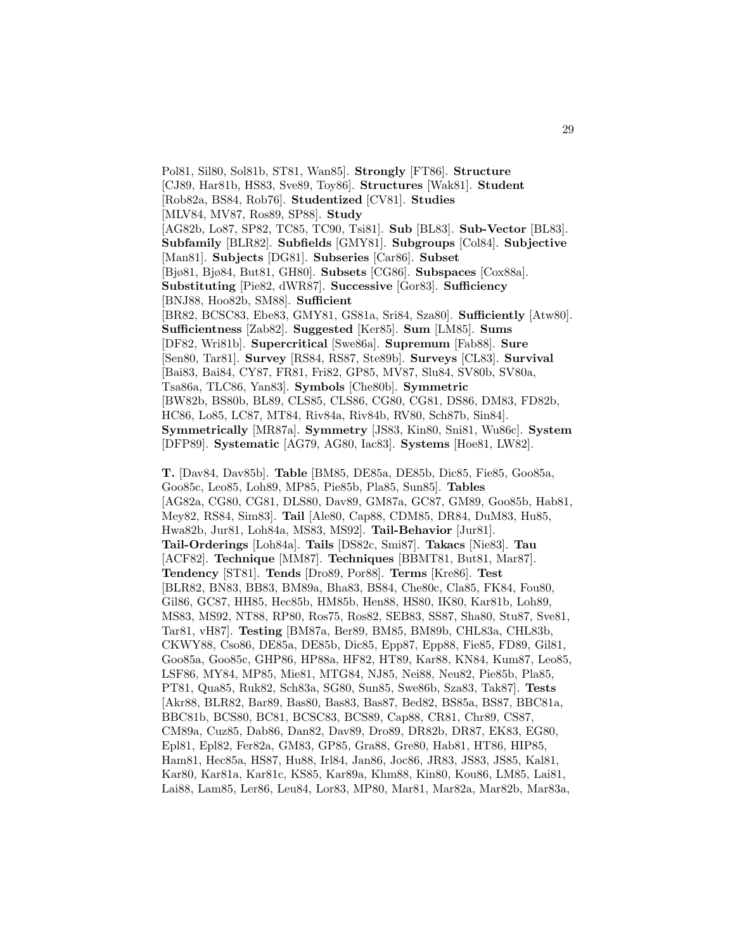Pol81, Sil80, Sol81b, ST81, Wan85]. **Strongly** [FT86]. **Structure** [CJ89, Har81b, HS83, Sve89, Toy86]. **Structures** [Wak81]. **Student** [Rob82a, BS84, Rob76]. **Studentized** [CV81]. **Studies** [MLV84, MV87, Ros89, SP88]. **Study** [AG82b, Lo87, SP82, TC85, TC90, Tsi81]. **Sub** [BL83]. **Sub-Vector** [BL83]. **Subfamily** [BLR82]. **Subfields** [GMY81]. **Subgroups** [Col84]. **Subjective** [Man81]. **Subjects** [DG81]. **Subseries** [Car86]. **Subset** [Bjø81, Bjø84, But81, GH80]. **Subsets** [CG86]. **Subspaces** [Cox88a]. **Substituting** [Pie82, dWR87]. **Successive** [Gor83]. **Sufficiency** [BNJ88, Hoo82b, SM88]. **Sufficient** [BR82, BCSC83, Ebe83, GMY81, GS81a, Sri84, Sza80]. **Sufficiently** [Atw80]. **Sufficientness** [Zab82]. **Suggested** [Ker85]. **Sum** [LM85]. **Sums** [DF82, Wri81b]. **Supercritical** [Swe86a]. **Supremum** [Fab88]. **Sure** [Sen80, Tar81]. **Survey** [RS84, RS87, Ste89b]. **Surveys** [CL83]. **Survival** [Bai83, Bai84, CY87, FR81, Fri82, GP85, MV87, Slu84, SV80b, SV80a, Tsa86a, TLC86, Yan83]. **Symbols** [Che80b]. **Symmetric** [BW82b, BS80b, BL89, CLS85, CLS86, CG80, CG81, DS86, DM83, FD82b, HC86, Lo85, LC87, MT84, Riv84a, Riv84b, RV80, Sch87b, Sin84]. **Symmetrically** [MR87a]. **Symmetry** [JS83, Kin80, Sni81, Wu86c]. **System** [DFP89]. **Systematic** [AG79, AG80, Iac83]. **Systems** [Hoe81, LW82].

**T.** [Dav84, Dav85b]. **Table** [BM85, DE85a, DE85b, Dic85, Fie85, Goo85a, Goo85c, Leo85, Loh89, MP85, Pie85b, Pla85, Sun85]. **Tables** [AG82a, CG80, CG81, DLS80, Dav89, GM87a, GC87, GM89, Goo85b, Hab81, Mey82, RS84, Sim83]. **Tail** [Ale80, Cap88, CDM85, DR84, DuM83, Hu85, Hwa82b, Jur81, Loh84a, MS83, MS92]. **Tail-Behavior** [Jur81]. **Tail-Orderings** [Loh84a]. **Tails** [DS82c, Smi87]. **Takacs** [Nie83]. **Tau** [ACF82]. **Technique** [MM87]. **Techniques** [BBMT81, But81, Mar87]. **Tendency** [ST81]. **Tends** [Dro89, Por88]. **Terms** [Kre86]. **Test** [BLR82, BN83, BB83, BM89a, Bha83, BS84, Che80c, Cla85, FK84, Fou80, Gil86, GC87, HH85, Hec85b, HM85b, Hen88, HS80, IK80, Kar81b, Loh89, MS83, MS92, NT88, RP80, Ros75, Ros82, SEB83, SS87, Sha80, Stu87, Sve81, Tar81, vH87]. **Testing** [BM87a, Ber89, BM85, BM89b, CHL83a, CHL83b, CKWY88, Cso86, DE85a, DE85b, Dic85, Epp87, Epp88, Fie85, FD89, Gil81, Goo85a, Goo85c, GHP86, HP88a, HF82, HT89, Kar88, KN84, Kum87, Leo85, LSF86, MY84, MP85, Mie81, MTG84, NJ85, Nei88, Neu82, Pie85b, Pla85, PT81, Qua85, Ruk82, Sch83a, SG80, Sun85, Swe86b, Sza83, Tak87]. **Tests** [Akr88, BLR82, Bar89, Bas80, Bas83, Bas87, Bed82, BS85a, BS87, BBC81a, BBC81b, BCS80, BC81, BCSC83, BCS89, Cap88, CR81, Chr89, CS87, CM89a, Cuz85, Dab86, Dan82, Dav89, Dro89, DR82b, DR87, EK83, EG80, Epl81, Epl82, Fer82a, GM83, GP85, Gra88, Gre80, Hab81, HT86, HIP85, Ham81, Hec85a, HS87, Hu88, Irl84, Jan86, Joc86, JR83, JS83, JS85, Kal81, Kar80, Kar81a, Kar81c, KS85, Kar89a, Khm88, Kin80, Kou86, LM85, Lai81, Lai88, Lam85, Ler86, Leu84, Lor83, MP80, Mar81, Mar82a, Mar82b, Mar83a,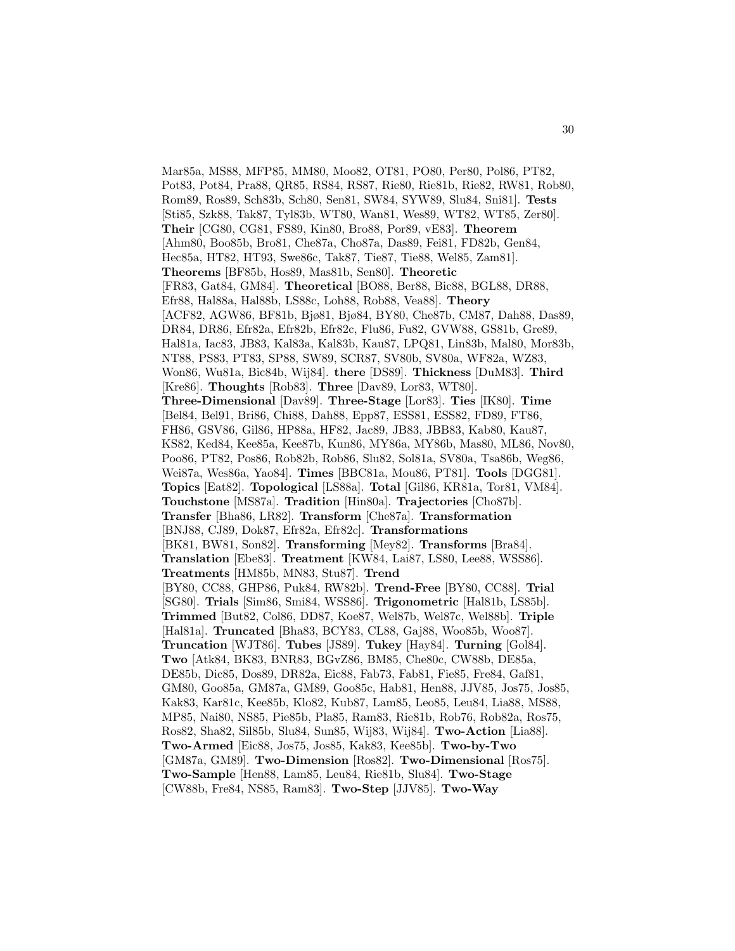Mar85a, MS88, MFP85, MM80, Moo82, OT81, PO80, Per80, Pol86, PT82, Pot83, Pot84, Pra88, QR85, RS84, RS87, Rie80, Rie81b, Rie82, RW81, Rob80, Rom89, Ros89, Sch83b, Sch80, Sen81, SW84, SYW89, Slu84, Sni81]. **Tests** [Sti85, Szk88, Tak87, Tyl83b, WT80, Wan81, Wes89, WT82, WT85, Zer80]. **Their** [CG80, CG81, FS89, Kin80, Bro88, Por89, vE83]. **Theorem** [Ahm80, Boo85b, Bro81, Che87a, Cho87a, Das89, Fei81, FD82b, Gen84, Hec85a, HT82, HT93, Swe86c, Tak87, Tie87, Tie88, Wel85, Zam81]. **Theorems** [BF85b, Hos89, Mas81b, Sen80]. **Theoretic** [FR83, Gat84, GM84]. **Theoretical** [BO88, Ber88, Bic88, BGL88, DR88, Efr88, Hal88a, Hal88b, LS88c, Loh88, Rob88, Vea88]. **Theory** [ACF82, AGW86, BF81b, Bjø81, Bjø84, BY80, Che87b, CM87, Dah88, Das89, DR84, DR86, Efr82a, Efr82b, Efr82c, Flu86, Fu82, GVW88, GS81b, Gre89, Hal81a, Iac83, JB83, Kal83a, Kal83b, Kau87, LPQ81, Lin83b, Mal80, Mor83b, NT88, PS83, PT83, SP88, SW89, SCR87, SV80b, SV80a, WF82a, WZ83, Won86, Wu81a, Bic84b, Wij84]. **there** [DS89]. **Thickness** [DuM83]. **Third** [Kre86]. **Thoughts** [Rob83]. **Three** [Dav89, Lor83, WT80]. **Three-Dimensional** [Dav89]. **Three-Stage** [Lor83]. **Ties** [IK80]. **Time** [Bel84, Bel91, Bri86, Chi88, Dah88, Epp87, ESS81, ESS82, FD89, FT86, FH86, GSV86, Gil86, HP88a, HF82, Jac89, JB83, JBB83, Kab80, Kau87, KS82, Ked84, Kee85a, Kee87b, Kun86, MY86a, MY86b, Mas80, ML86, Nov80, Poo86, PT82, Pos86, Rob82b, Rob86, Slu82, Sol81a, SV80a, Tsa86b, Weg86, Wei87a, Wes86a, Yao84]. **Times** [BBC81a, Mou86, PT81]. **Tools** [DGG81]. **Topics** [Eat82]. **Topological** [LS88a]. **Total** [Gil86, KR81a, Tor81, VM84]. **Touchstone** [MS87a]. **Tradition** [Hin80a]. **Trajectories** [Cho87b]. **Transfer** [Bha86, LR82]. **Transform** [Che87a]. **Transformation** [BNJ88, CJ89, Dok87, Efr82a, Efr82c]. **Transformations** [BK81, BW81, Son82]. **Transforming** [Mey82]. **Transforms** [Bra84]. **Translation** [Ebe83]. **Treatment** [KW84, Lai87, LS80, Lee88, WSS86]. **Treatments** [HM85b, MN83, Stu87]. **Trend** [BY80, CC88, GHP86, Puk84, RW82b]. **Trend-Free** [BY80, CC88]. **Trial** [SG80]. **Trials** [Sim86, Smi84, WSS86]. **Trigonometric** [Hal81b, LS85b]. **Trimmed** [But82, Col86, DD87, Koe87, Wel87b, Wel87c, Wel88b]. **Triple** [Hal81a]. **Truncated** [Bha83, BCY83, CL88, Gaj88, Woo85b, Woo87]. **Truncation** [WJT86]. **Tubes** [JS89]. **Tukey** [Hay84]. **Turning** [Gol84]. **Two** [Atk84, BK83, BNR83, BGvZ86, BM85, Che80c, CW88b, DE85a, DE85b, Dic85, Dos89, DR82a, Eic88, Fab73, Fab81, Fie85, Fre84, Gaf81, GM80, Goo85a, GM87a, GM89, Goo85c, Hab81, Hen88, JJV85, Jos75, Jos85, Kak83, Kar81c, Kee85b, Klo82, Kub87, Lam85, Leo85, Leu84, Lia88, MS88, MP85, Nai80, NS85, Pie85b, Pla85, Ram83, Rie81b, Rob76, Rob82a, Ros75, Ros82, Sha82, Sil85b, Slu84, Sun85, Wij83, Wij84]. **Two-Action** [Lia88]. **Two-Armed** [Eic88, Jos75, Jos85, Kak83, Kee85b]. **Two-by-Two** [GM87a, GM89]. **Two-Dimension** [Ros82]. **Two-Dimensional** [Ros75]. **Two-Sample** [Hen88, Lam85, Leu84, Rie81b, Slu84]. **Two-Stage** [CW88b, Fre84, NS85, Ram83]. **Two-Step** [JJV85]. **Two-Way**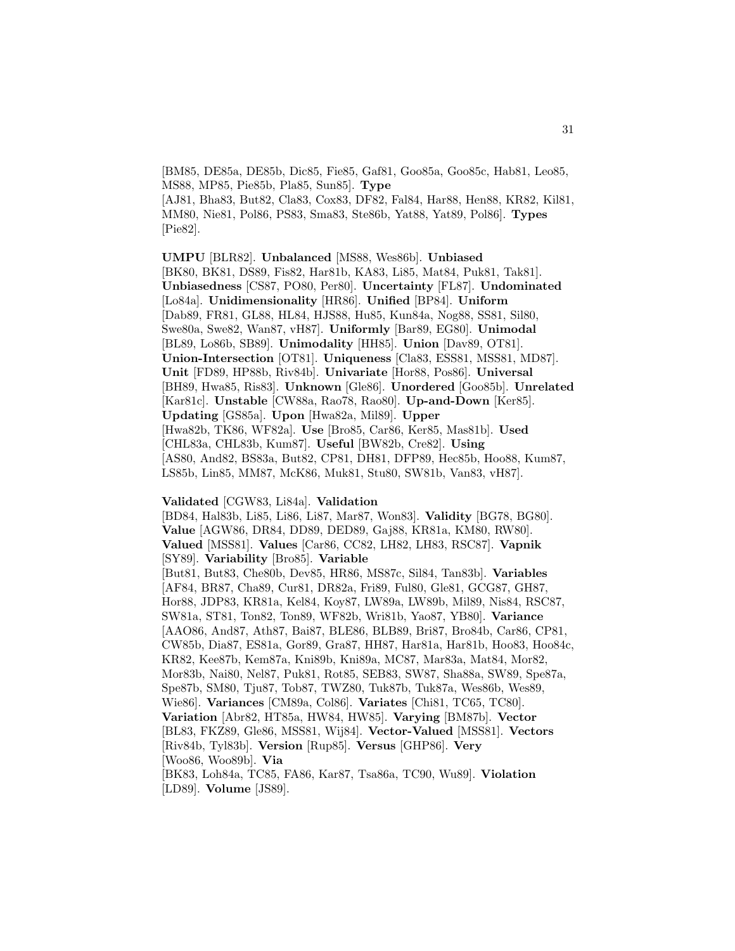[BM85, DE85a, DE85b, Dic85, Fie85, Gaf81, Goo85a, Goo85c, Hab81, Leo85, MS88, MP85, Pie85b, Pla85, Sun85]. **Type** [AJ81, Bha83, But82, Cla83, Cox83, DF82, Fal84, Har88, Hen88, KR82, Kil81, MM80, Nie81, Pol86, PS83, Sma83, Ste86b, Yat88, Yat89, Pol86]. **Types** [Pie82].

**UMPU** [BLR82]. **Unbalanced** [MS88, Wes86b]. **Unbiased** [BK80, BK81, DS89, Fis82, Har81b, KA83, Li85, Mat84, Puk81, Tak81]. **Unbiasedness** [CS87, PO80, Per80]. **Uncertainty** [FL87]. **Undominated** [Lo84a]. **Unidimensionality** [HR86]. **Unified** [BP84]. **Uniform** [Dab89, FR81, GL88, HL84, HJS88, Hu85, Kun84a, Nog88, SS81, Sil80, Swe80a, Swe82, Wan87, vH87]. **Uniformly** [Bar89, EG80]. **Unimodal** [BL89, Lo86b, SB89]. **Unimodality** [HH85]. **Union** [Dav89, OT81]. **Union-Intersection** [OT81]. **Uniqueness** [Cla83, ESS81, MSS81, MD87]. **Unit** [FD89, HP88b, Riv84b]. **Univariate** [Hor88, Pos86]. **Universal** [BH89, Hwa85, Ris83]. **Unknown** [Gle86]. **Unordered** [Goo85b]. **Unrelated** [Kar81c]. **Unstable** [CW88a, Rao78, Rao80]. **Up-and-Down** [Ker85]. **Updating** [GS85a]. **Upon** [Hwa82a, Mil89]. **Upper** [Hwa82b, TK86, WF82a]. **Use** [Bro85, Car86, Ker85, Mas81b]. **Used** [CHL83a, CHL83b, Kum87]. **Useful** [BW82b, Cre82]. **Using** [AS80, And82, BS83a, But82, CP81, DH81, DFP89, Hec85b, Hoo88, Kum87, LS85b, Lin85, MM87, McK86, Muk81, Stu80, SW81b, Van83, vH87].

## **Validated** [CGW83, Li84a]. **Validation**

[BD84, Hal83b, Li85, Li86, Li87, Mar87, Won83]. **Validity** [BG78, BG80]. **Value** [AGW86, DR84, DD89, DED89, Gaj88, KR81a, KM80, RW80]. **Valued** [MSS81]. **Values** [Car86, CC82, LH82, LH83, RSC87]. **Vapnik** [SY89]. **Variability** [Bro85]. **Variable** [But81, But83, Che80b, Dev85, HR86, MS87c, Sil84, Tan83b]. **Variables** [AF84, BR87, Cha89, Cur81, DR82a, Fri89, Ful80, Gle81, GCG87, GH87, Hor88, JDP83, KR81a, Kel84, Koy87, LW89a, LW89b, Mil89, Nis84, RSC87, SW81a, ST81, Ton82, Ton89, WF82b, Wri81b, Yao87, YB80]. **Variance** [AAO86, And87, Ath87, Bai87, BLE86, BLB89, Bri87, Bro84b, Car86, CP81, CW85b, Dia87, ES81a, Gor89, Gra87, HH87, Har81a, Har81b, Hoo83, Hoo84c, KR82, Kee87b, Kem87a, Kni89b, Kni89a, MC87, Mar83a, Mat84, Mor82, Mor83b, Nai80, Nel87, Puk81, Rot85, SEB83, SW87, Sha88a, SW89, Spe87a, Spe87b, SM80, Tju87, Tob87, TWZ80, Tuk87b, Tuk87a, Wes86b, Wes89, Wie86]. **Variances** [CM89a, Col86]. **Variates** [Chi81, TC65, TC80]. **Variation** [Abr82, HT85a, HW84, HW85]. **Varying** [BM87b]. **Vector** [BL83, FKZ89, Gle86, MSS81, Wij84]. **Vector-Valued** [MSS81]. **Vectors** [Riv84b, Tyl83b]. **Version** [Rup85]. **Versus** [GHP86]. **Very** [Woo86, Woo89b]. **Via** [BK83, Loh84a, TC85, FA86, Kar87, Tsa86a, TC90, Wu89]. **Violation** [LD89]. **Volume** [JS89].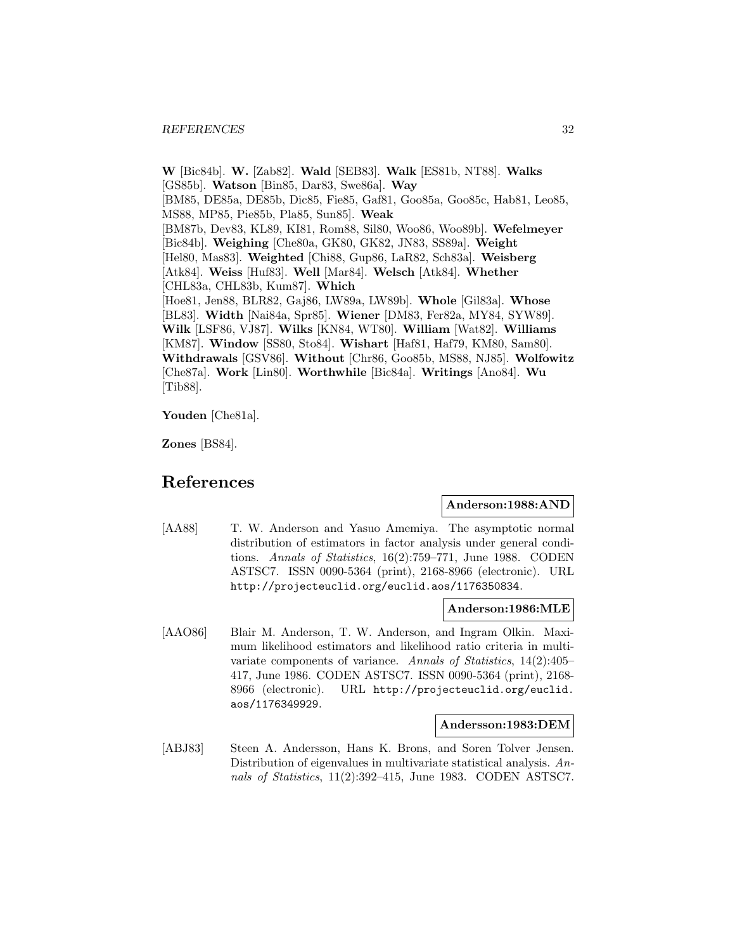**W** [Bic84b]. **W.** [Zab82]. **Wald** [SEB83]. **Walk** [ES81b, NT88]. **Walks** [GS85b]. **Watson** [Bin85, Dar83, Swe86a]. **Way** [BM85, DE85a, DE85b, Dic85, Fie85, Gaf81, Goo85a, Goo85c, Hab81, Leo85, MS88, MP85, Pie85b, Pla85, Sun85]. **Weak** [BM87b, Dev83, KL89, KI81, Rom88, Sil80, Woo86, Woo89b]. **Wefelmeyer** [Bic84b]. **Weighing** [Che80a, GK80, GK82, JN83, SS89a]. **Weight** [Hel80, Mas83]. **Weighted** [Chi88, Gup86, LaR82, Sch83a]. **Weisberg** [Atk84]. **Weiss** [Huf83]. **Well** [Mar84]. **Welsch** [Atk84]. **Whether** [CHL83a, CHL83b, Kum87]. **Which** [Hoe81, Jen88, BLR82, Gaj86, LW89a, LW89b]. **Whole** [Gil83a]. **Whose** [BL83]. **Width** [Nai84a, Spr85]. **Wiener** [DM83, Fer82a, MY84, SYW89]. **Wilk** [LSF86, VJ87]. **Wilks** [KN84, WT80]. **William** [Wat82]. **Williams** [KM87]. **Window** [SS80, Sto84]. **Wishart** [Haf81, Haf79, KM80, Sam80]. **Withdrawals** [GSV86]. **Without** [Chr86, Goo85b, MS88, NJ85]. **Wolfowitz** [Che87a]. **Work** [Lin80]. **Worthwhile** [Bic84a]. **Writings** [Ano84]. **Wu** [Tib88].

**Youden** [Che81a].

**Zones** [BS84].

## **References**

## **Anderson:1988:AND**

[AA88] T. W. Anderson and Yasuo Amemiya. The asymptotic normal distribution of estimators in factor analysis under general conditions. Annals of Statistics, 16(2):759–771, June 1988. CODEN ASTSC7. ISSN 0090-5364 (print), 2168-8966 (electronic). URL http://projecteuclid.org/euclid.aos/1176350834.

## **Anderson:1986:MLE**

[AAO86] Blair M. Anderson, T. W. Anderson, and Ingram Olkin. Maximum likelihood estimators and likelihood ratio criteria in multivariate components of variance. Annals of Statistics, 14(2):405– 417, June 1986. CODEN ASTSC7. ISSN 0090-5364 (print), 2168- 8966 (electronic). URL http://projecteuclid.org/euclid. aos/1176349929.

## **Andersson:1983:DEM**

[ABJ83] Steen A. Andersson, Hans K. Brons, and Soren Tolver Jensen. Distribution of eigenvalues in multivariate statistical analysis. Annals of Statistics, 11(2):392–415, June 1983. CODEN ASTSC7.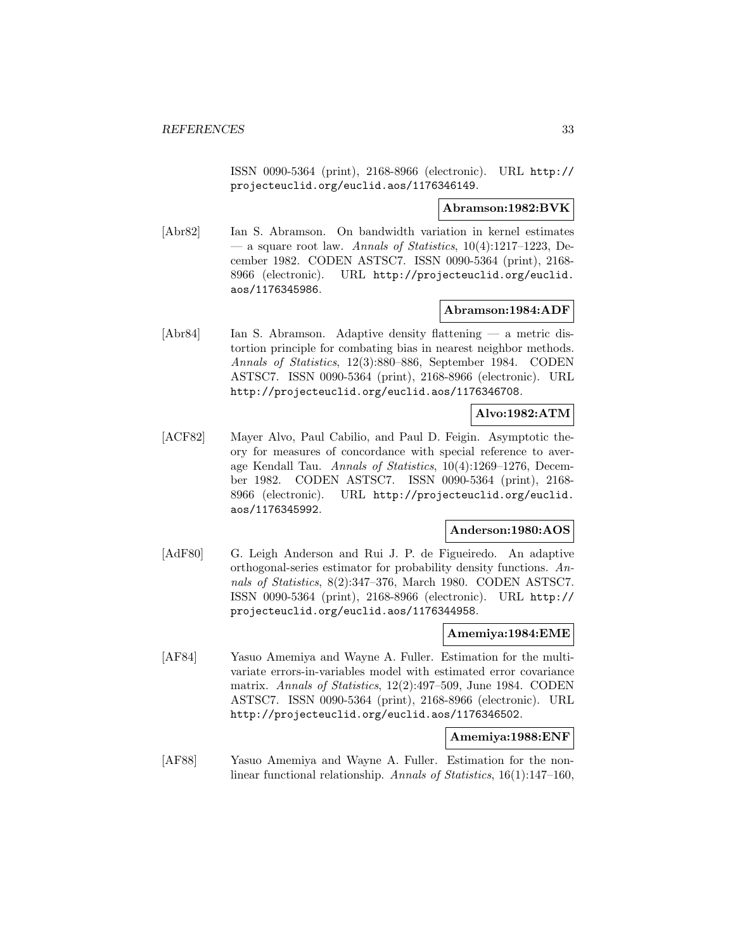ISSN 0090-5364 (print), 2168-8966 (electronic). URL http:// projecteuclid.org/euclid.aos/1176346149.

## **Abramson:1982:BVK**

[Abr82] Ian S. Abramson. On bandwidth variation in kernel estimates — a square root law. Annals of Statistics,  $10(4):1217-1223$ , December 1982. CODEN ASTSC7. ISSN 0090-5364 (print), 2168- 8966 (electronic). URL http://projecteuclid.org/euclid. aos/1176345986.

## **Abramson:1984:ADF**

[Abr84] Ian S. Abramson. Adaptive density flattening — a metric distortion principle for combating bias in nearest neighbor methods. Annals of Statistics, 12(3):880–886, September 1984. CODEN ASTSC7. ISSN 0090-5364 (print), 2168-8966 (electronic). URL http://projecteuclid.org/euclid.aos/1176346708.

## **Alvo:1982:ATM**

[ACF82] Mayer Alvo, Paul Cabilio, and Paul D. Feigin. Asymptotic theory for measures of concordance with special reference to average Kendall Tau. Annals of Statistics, 10(4):1269–1276, December 1982. CODEN ASTSC7. ISSN 0090-5364 (print), 2168- 8966 (electronic). URL http://projecteuclid.org/euclid. aos/1176345992.

## **Anderson:1980:AOS**

[AdF80] G. Leigh Anderson and Rui J. P. de Figueiredo. An adaptive orthogonal-series estimator for probability density functions. Annals of Statistics, 8(2):347–376, March 1980. CODEN ASTSC7. ISSN 0090-5364 (print), 2168-8966 (electronic). URL http:// projecteuclid.org/euclid.aos/1176344958.

## **Amemiya:1984:EME**

[AF84] Yasuo Amemiya and Wayne A. Fuller. Estimation for the multivariate errors-in-variables model with estimated error covariance matrix. Annals of Statistics, 12(2):497–509, June 1984. CODEN ASTSC7. ISSN 0090-5364 (print), 2168-8966 (electronic). URL http://projecteuclid.org/euclid.aos/1176346502.

#### **Amemiya:1988:ENF**

[AF88] Yasuo Amemiya and Wayne A. Fuller. Estimation for the nonlinear functional relationship. Annals of Statistics, 16(1):147–160,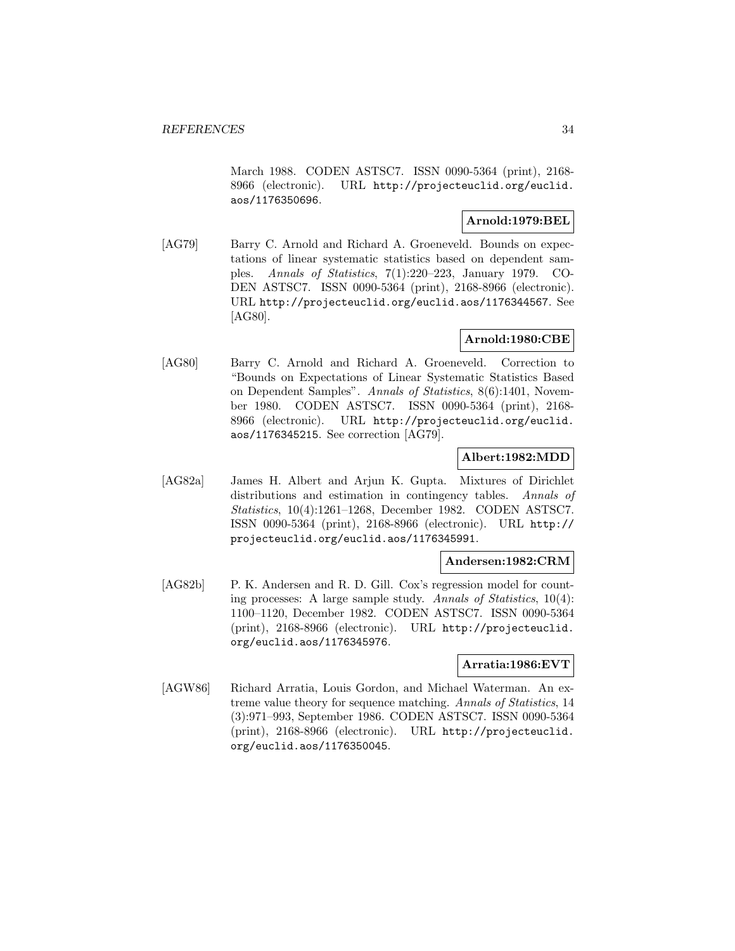March 1988. CODEN ASTSC7. ISSN 0090-5364 (print), 2168- 8966 (electronic). URL http://projecteuclid.org/euclid. aos/1176350696.

## **Arnold:1979:BEL**

[AG79] Barry C. Arnold and Richard A. Groeneveld. Bounds on expectations of linear systematic statistics based on dependent samples. Annals of Statistics, 7(1):220–223, January 1979. CO-DEN ASTSC7. ISSN 0090-5364 (print), 2168-8966 (electronic). URL http://projecteuclid.org/euclid.aos/1176344567. See [AG80].

## **Arnold:1980:CBE**

[AG80] Barry C. Arnold and Richard A. Groeneveld. Correction to "Bounds on Expectations of Linear Systematic Statistics Based on Dependent Samples". Annals of Statistics, 8(6):1401, November 1980. CODEN ASTSC7. ISSN 0090-5364 (print), 2168- 8966 (electronic). URL http://projecteuclid.org/euclid. aos/1176345215. See correction [AG79].

## **Albert:1982:MDD**

[AG82a] James H. Albert and Arjun K. Gupta. Mixtures of Dirichlet distributions and estimation in contingency tables. Annals of Statistics, 10(4):1261–1268, December 1982. CODEN ASTSC7. ISSN 0090-5364 (print), 2168-8966 (electronic). URL http:// projecteuclid.org/euclid.aos/1176345991.

#### **Andersen:1982:CRM**

[AG82b] P. K. Andersen and R. D. Gill. Cox's regression model for counting processes: A large sample study. Annals of Statistics, 10(4): 1100–1120, December 1982. CODEN ASTSC7. ISSN 0090-5364 (print), 2168-8966 (electronic). URL http://projecteuclid. org/euclid.aos/1176345976.

#### **Arratia:1986:EVT**

[AGW86] Richard Arratia, Louis Gordon, and Michael Waterman. An extreme value theory for sequence matching. Annals of Statistics, 14 (3):971–993, September 1986. CODEN ASTSC7. ISSN 0090-5364 (print), 2168-8966 (electronic). URL http://projecteuclid. org/euclid.aos/1176350045.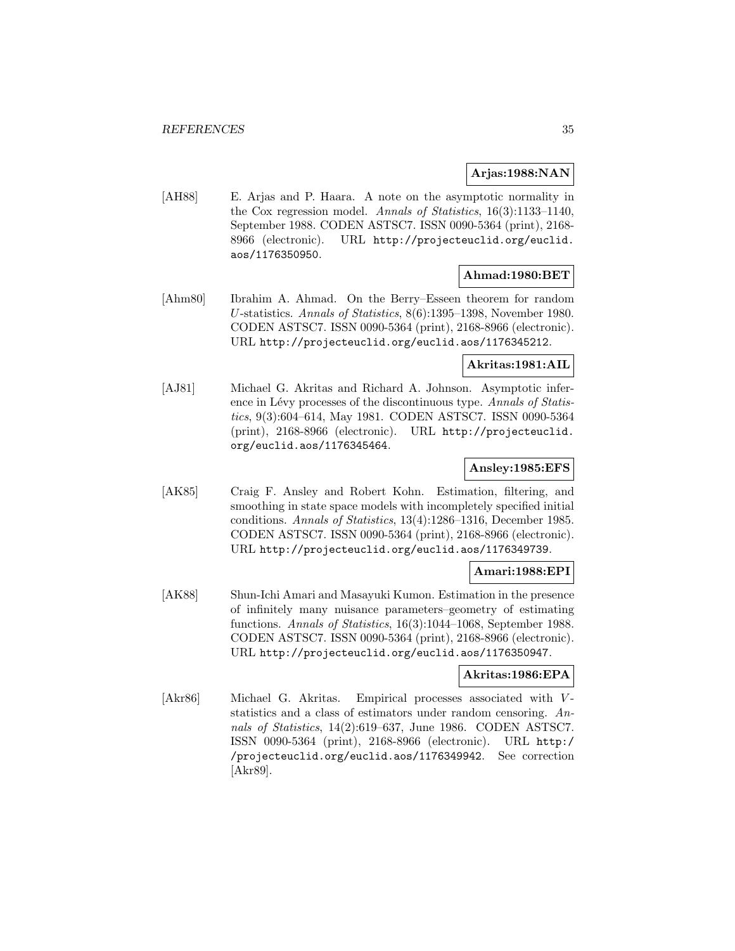## **Arjas:1988:NAN**

[AH88] E. Arjas and P. Haara. A note on the asymptotic normality in the Cox regression model. Annals of Statistics, 16(3):1133–1140, September 1988. CODEN ASTSC7. ISSN 0090-5364 (print), 2168- 8966 (electronic). URL http://projecteuclid.org/euclid. aos/1176350950.

## **Ahmad:1980:BET**

[Ahm80] Ibrahim A. Ahmad. On the Berry–Esseen theorem for random U-statistics. Annals of Statistics, 8(6):1395–1398, November 1980. CODEN ASTSC7. ISSN 0090-5364 (print), 2168-8966 (electronic). URL http://projecteuclid.org/euclid.aos/1176345212.

## **Akritas:1981:AIL**

[AJ81] Michael G. Akritas and Richard A. Johnson. Asymptotic inference in Lévy processes of the discontinuous type. Annals of Statistics, 9(3):604–614, May 1981. CODEN ASTSC7. ISSN 0090-5364 (print), 2168-8966 (electronic). URL http://projecteuclid. org/euclid.aos/1176345464.

## **Ansley:1985:EFS**

[AK85] Craig F. Ansley and Robert Kohn. Estimation, filtering, and smoothing in state space models with incompletely specified initial conditions. Annals of Statistics, 13(4):1286–1316, December 1985. CODEN ASTSC7. ISSN 0090-5364 (print), 2168-8966 (electronic). URL http://projecteuclid.org/euclid.aos/1176349739.

## **Amari:1988:EPI**

[AK88] Shun-Ichi Amari and Masayuki Kumon. Estimation in the presence of infinitely many nuisance parameters–geometry of estimating functions. Annals of Statistics, 16(3):1044–1068, September 1988. CODEN ASTSC7. ISSN 0090-5364 (print), 2168-8966 (electronic). URL http://projecteuclid.org/euclid.aos/1176350947.

## **Akritas:1986:EPA**

[Akr86] Michael G. Akritas. Empirical processes associated with Vstatistics and a class of estimators under random censoring. Annals of Statistics, 14(2):619–637, June 1986. CODEN ASTSC7. ISSN 0090-5364 (print), 2168-8966 (electronic). URL http:/ /projecteuclid.org/euclid.aos/1176349942. See correction [Akr89].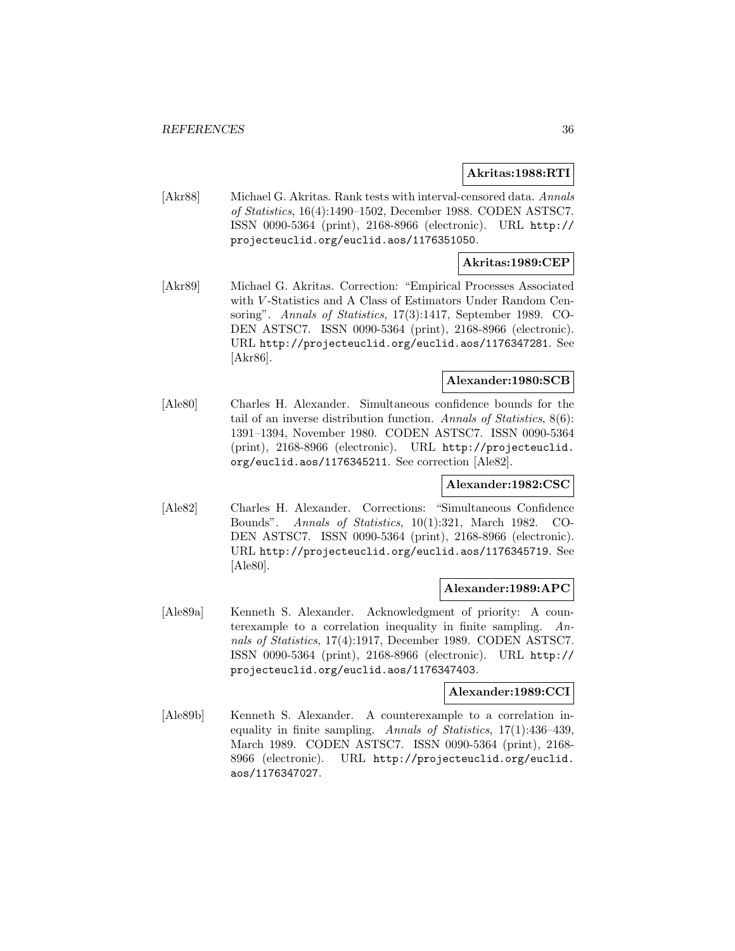## **Akritas:1988:RTI**

[Akr88] Michael G. Akritas. Rank tests with interval-censored data. Annals of Statistics, 16(4):1490–1502, December 1988. CODEN ASTSC7. ISSN 0090-5364 (print), 2168-8966 (electronic). URL http:// projecteuclid.org/euclid.aos/1176351050.

## **Akritas:1989:CEP**

[Akr89] Michael G. Akritas. Correction: "Empirical Processes Associated with V-Statistics and A Class of Estimators Under Random Censoring". Annals of Statistics, 17(3):1417, September 1989. CO-DEN ASTSC7. ISSN 0090-5364 (print), 2168-8966 (electronic). URL http://projecteuclid.org/euclid.aos/1176347281. See [Akr86].

## **Alexander:1980:SCB**

[Ale80] Charles H. Alexander. Simultaneous confidence bounds for the tail of an inverse distribution function. Annals of Statistics, 8(6): 1391–1394, November 1980. CODEN ASTSC7. ISSN 0090-5364 (print), 2168-8966 (electronic). URL http://projecteuclid. org/euclid.aos/1176345211. See correction [Ale82].

## **Alexander:1982:CSC**

[Ale82] Charles H. Alexander. Corrections: "Simultaneous Confidence Bounds". Annals of Statistics, 10(1):321, March 1982. CO-DEN ASTSC7. ISSN 0090-5364 (print), 2168-8966 (electronic). URL http://projecteuclid.org/euclid.aos/1176345719. See [Ale80].

## **Alexander:1989:APC**

[Ale89a] Kenneth S. Alexander. Acknowledgment of priority: A counterexample to a correlation inequality in finite sampling. Annals of Statistics, 17(4):1917, December 1989. CODEN ASTSC7. ISSN 0090-5364 (print), 2168-8966 (electronic). URL http:// projecteuclid.org/euclid.aos/1176347403.

## **Alexander:1989:CCI**

[Ale89b] Kenneth S. Alexander. A counterexample to a correlation inequality in finite sampling. Annals of Statistics, 17(1):436–439, March 1989. CODEN ASTSC7. ISSN 0090-5364 (print), 2168- 8966 (electronic). URL http://projecteuclid.org/euclid. aos/1176347027.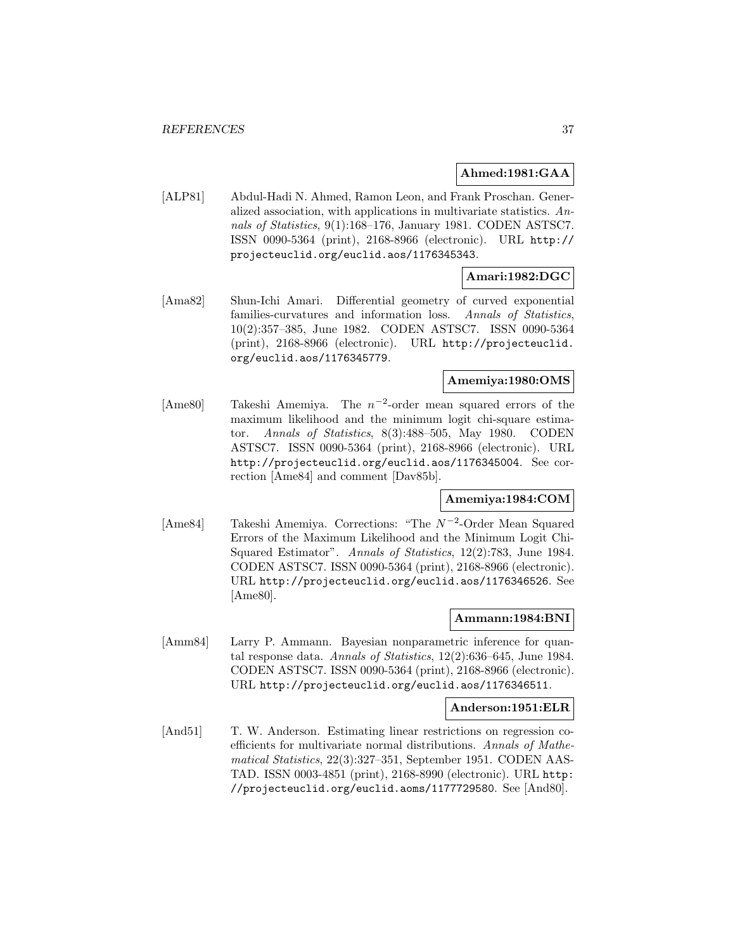#### **Ahmed:1981:GAA**

[ALP81] Abdul-Hadi N. Ahmed, Ramon Leon, and Frank Proschan. Generalized association, with applications in multivariate statistics. Annals of Statistics, 9(1):168–176, January 1981. CODEN ASTSC7. ISSN 0090-5364 (print), 2168-8966 (electronic). URL http:// projecteuclid.org/euclid.aos/1176345343.

# **Amari:1982:DGC**

[Ama82] Shun-Ichi Amari. Differential geometry of curved exponential families-curvatures and information loss. Annals of Statistics, 10(2):357–385, June 1982. CODEN ASTSC7. ISSN 0090-5364 (print), 2168-8966 (electronic). URL http://projecteuclid. org/euclid.aos/1176345779.

# **Amemiya:1980:OMS**

[Ame80] Takeshi Amemiya. The n−<sup>2</sup>-order mean squared errors of the maximum likelihood and the minimum logit chi-square estimator. Annals of Statistics, 8(3):488–505, May 1980. CODEN ASTSC7. ISSN 0090-5364 (print), 2168-8966 (electronic). URL http://projecteuclid.org/euclid.aos/1176345004. See correction [Ame84] and comment [Dav85b].

# **Amemiya:1984:COM**

[Ame84] Takeshi Amemiya. Corrections: "The N<sup>-2</sup>-Order Mean Squared Errors of the Maximum Likelihood and the Minimum Logit Chi-Squared Estimator". Annals of Statistics, 12(2):783, June 1984. CODEN ASTSC7. ISSN 0090-5364 (print), 2168-8966 (electronic). URL http://projecteuclid.org/euclid.aos/1176346526. See [Ame80].

# **Ammann:1984:BNI**

[Amm84] Larry P. Ammann. Bayesian nonparametric inference for quantal response data. Annals of Statistics, 12(2):636–645, June 1984. CODEN ASTSC7. ISSN 0090-5364 (print), 2168-8966 (electronic). URL http://projecteuclid.org/euclid.aos/1176346511.

#### **Anderson:1951:ELR**

[And51] T. W. Anderson. Estimating linear restrictions on regression coefficients for multivariate normal distributions. Annals of Mathematical Statistics, 22(3):327–351, September 1951. CODEN AAS-TAD. ISSN 0003-4851 (print), 2168-8990 (electronic). URL http: //projecteuclid.org/euclid.aoms/1177729580. See [And80].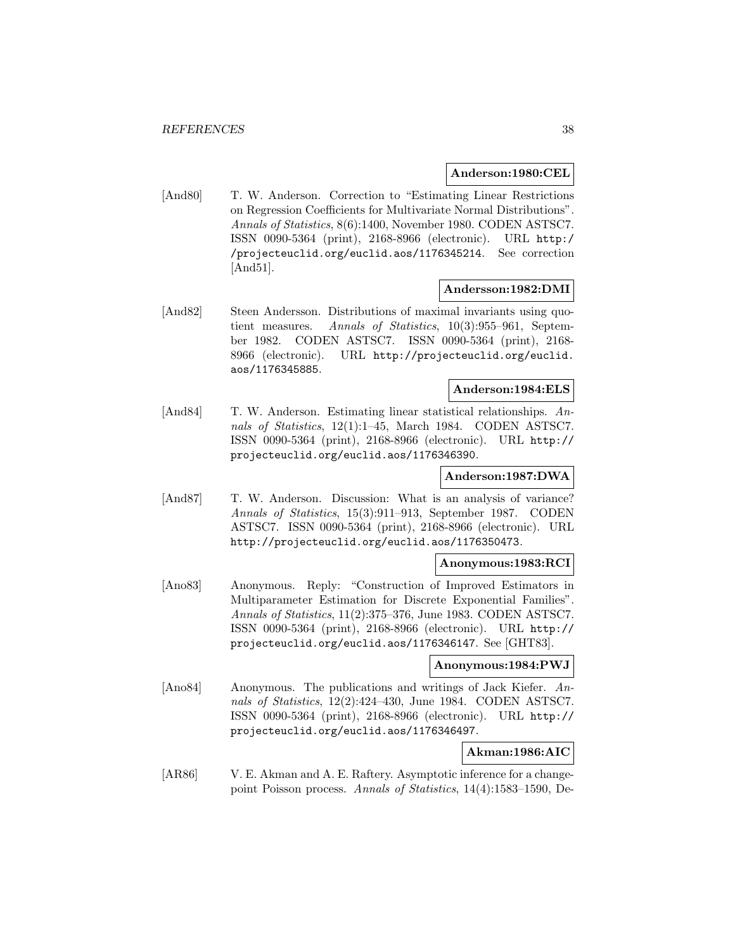### **Anderson:1980:CEL**

[And80] T. W. Anderson. Correction to "Estimating Linear Restrictions on Regression Coefficients for Multivariate Normal Distributions". Annals of Statistics, 8(6):1400, November 1980. CODEN ASTSC7. ISSN 0090-5364 (print), 2168-8966 (electronic). URL http:/ /projecteuclid.org/euclid.aos/1176345214. See correction [And51].

# **Andersson:1982:DMI**

[And82] Steen Andersson. Distributions of maximal invariants using quotient measures. Annals of Statistics, 10(3):955–961, September 1982. CODEN ASTSC7. ISSN 0090-5364 (print), 2168- 8966 (electronic). URL http://projecteuclid.org/euclid. aos/1176345885.

# **Anderson:1984:ELS**

[And84] T. W. Anderson. Estimating linear statistical relationships. Annals of Statistics, 12(1):1–45, March 1984. CODEN ASTSC7. ISSN 0090-5364 (print), 2168-8966 (electronic). URL http:// projecteuclid.org/euclid.aos/1176346390.

# **Anderson:1987:DWA**

[And87] T. W. Anderson. Discussion: What is an analysis of variance? Annals of Statistics, 15(3):911–913, September 1987. CODEN ASTSC7. ISSN 0090-5364 (print), 2168-8966 (electronic). URL http://projecteuclid.org/euclid.aos/1176350473.

# **Anonymous:1983:RCI**

[Ano83] Anonymous. Reply: "Construction of Improved Estimators in Multiparameter Estimation for Discrete Exponential Families". Annals of Statistics, 11(2):375–376, June 1983. CODEN ASTSC7. ISSN 0090-5364 (print), 2168-8966 (electronic). URL http:// projecteuclid.org/euclid.aos/1176346147. See [GHT83].

#### **Anonymous:1984:PWJ**

[Ano84] Anonymous. The publications and writings of Jack Kiefer. Annals of Statistics, 12(2):424–430, June 1984. CODEN ASTSC7. ISSN 0090-5364 (print), 2168-8966 (electronic). URL http:// projecteuclid.org/euclid.aos/1176346497.

# **Akman:1986:AIC**

[AR86] V. E. Akman and A. E. Raftery. Asymptotic inference for a changepoint Poisson process. Annals of Statistics, 14(4):1583–1590, De-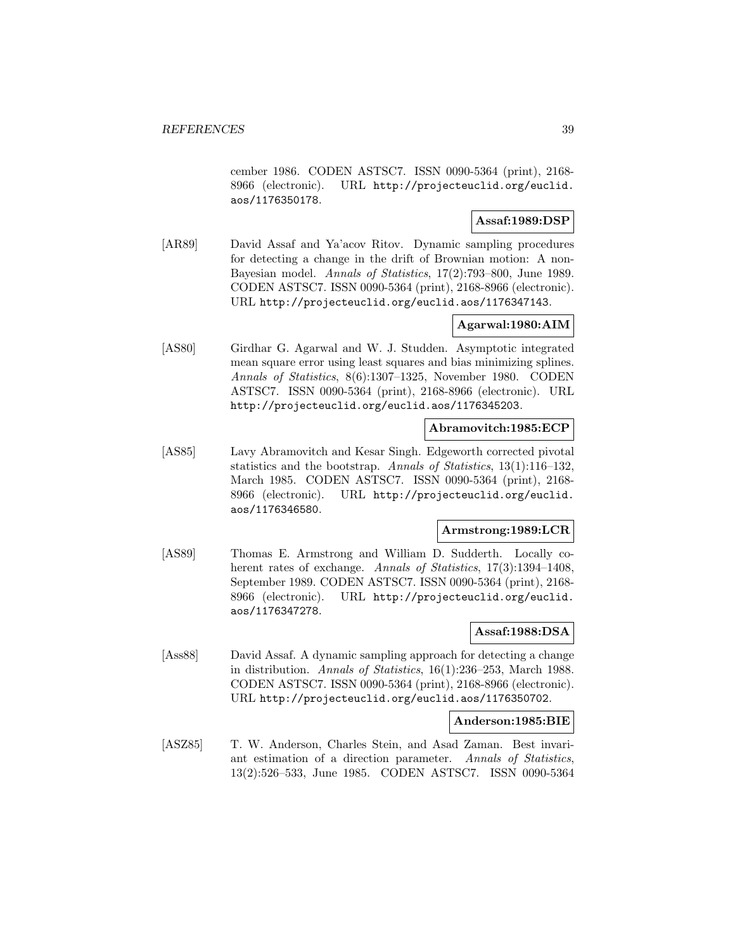cember 1986. CODEN ASTSC7. ISSN 0090-5364 (print), 2168- 8966 (electronic). URL http://projecteuclid.org/euclid. aos/1176350178.

# **Assaf:1989:DSP**

[AR89] David Assaf and Ya'acov Ritov. Dynamic sampling procedures for detecting a change in the drift of Brownian motion: A non-Bayesian model. Annals of Statistics, 17(2):793–800, June 1989. CODEN ASTSC7. ISSN 0090-5364 (print), 2168-8966 (electronic). URL http://projecteuclid.org/euclid.aos/1176347143.

# **Agarwal:1980:AIM**

[AS80] Girdhar G. Agarwal and W. J. Studden. Asymptotic integrated mean square error using least squares and bias minimizing splines. Annals of Statistics, 8(6):1307–1325, November 1980. CODEN ASTSC7. ISSN 0090-5364 (print), 2168-8966 (electronic). URL http://projecteuclid.org/euclid.aos/1176345203.

# **Abramovitch:1985:ECP**

[AS85] Lavy Abramovitch and Kesar Singh. Edgeworth corrected pivotal statistics and the bootstrap. Annals of Statistics, 13(1):116–132, March 1985. CODEN ASTSC7. ISSN 0090-5364 (print), 2168- 8966 (electronic). URL http://projecteuclid.org/euclid. aos/1176346580.

# **Armstrong:1989:LCR**

[AS89] Thomas E. Armstrong and William D. Sudderth. Locally coherent rates of exchange. Annals of Statistics, 17(3):1394-1408, September 1989. CODEN ASTSC7. ISSN 0090-5364 (print), 2168- 8966 (electronic). URL http://projecteuclid.org/euclid. aos/1176347278.

# **Assaf:1988:DSA**

[Ass88] David Assaf. A dynamic sampling approach for detecting a change in distribution. Annals of Statistics, 16(1):236–253, March 1988. CODEN ASTSC7. ISSN 0090-5364 (print), 2168-8966 (electronic). URL http://projecteuclid.org/euclid.aos/1176350702.

#### **Anderson:1985:BIE**

[ASZ85] T. W. Anderson, Charles Stein, and Asad Zaman. Best invariant estimation of a direction parameter. Annals of Statistics, 13(2):526–533, June 1985. CODEN ASTSC7. ISSN 0090-5364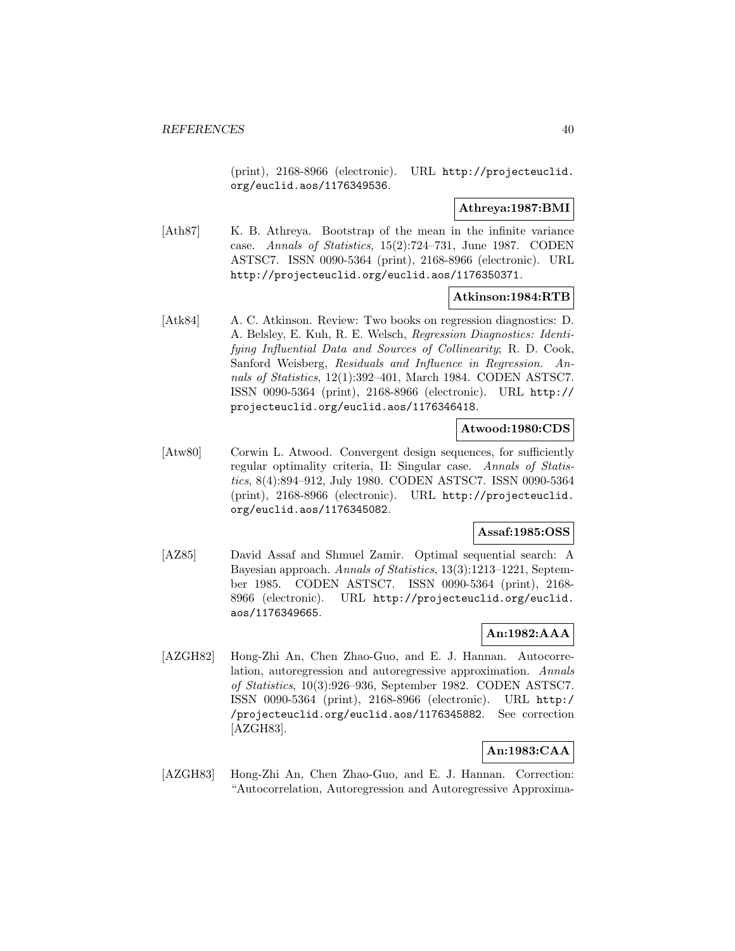(print), 2168-8966 (electronic). URL http://projecteuclid. org/euclid.aos/1176349536.

# **Athreya:1987:BMI**

[Ath87] K. B. Athreya. Bootstrap of the mean in the infinite variance case. Annals of Statistics, 15(2):724–731, June 1987. CODEN ASTSC7. ISSN 0090-5364 (print), 2168-8966 (electronic). URL http://projecteuclid.org/euclid.aos/1176350371.

# **Atkinson:1984:RTB**

[Atk84] A. C. Atkinson. Review: Two books on regression diagnostics: D. A. Belsley, E. Kuh, R. E. Welsch, Regression Diagnostics: Identifying Influential Data and Sources of Collinearity; R. D. Cook, Sanford Weisberg, Residuals and Influence in Regression. Annals of Statistics, 12(1):392–401, March 1984. CODEN ASTSC7. ISSN 0090-5364 (print), 2168-8966 (electronic). URL http:// projecteuclid.org/euclid.aos/1176346418.

# **Atwood:1980:CDS**

[Atw80] Corwin L. Atwood. Convergent design sequences, for sufficiently regular optimality criteria, II: Singular case. Annals of Statistics, 8(4):894–912, July 1980. CODEN ASTSC7. ISSN 0090-5364 (print), 2168-8966 (electronic). URL http://projecteuclid. org/euclid.aos/1176345082.

# **Assaf:1985:OSS**

[AZ85] David Assaf and Shmuel Zamir. Optimal sequential search: A Bayesian approach. Annals of Statistics, 13(3):1213–1221, September 1985. CODEN ASTSC7. ISSN 0090-5364 (print), 2168- 8966 (electronic). URL http://projecteuclid.org/euclid. aos/1176349665.

# **An:1982:AAA**

[AZGH82] Hong-Zhi An, Chen Zhao-Guo, and E. J. Hannan. Autocorrelation, autoregression and autoregressive approximation. Annals of Statistics, 10(3):926–936, September 1982. CODEN ASTSC7. ISSN 0090-5364 (print), 2168-8966 (electronic). URL http:/ /projecteuclid.org/euclid.aos/1176345882. See correction [AZGH83].

# **An:1983:CAA**

[AZGH83] Hong-Zhi An, Chen Zhao-Guo, and E. J. Hannan. Correction: "Autocorrelation, Autoregression and Autoregressive Approxima-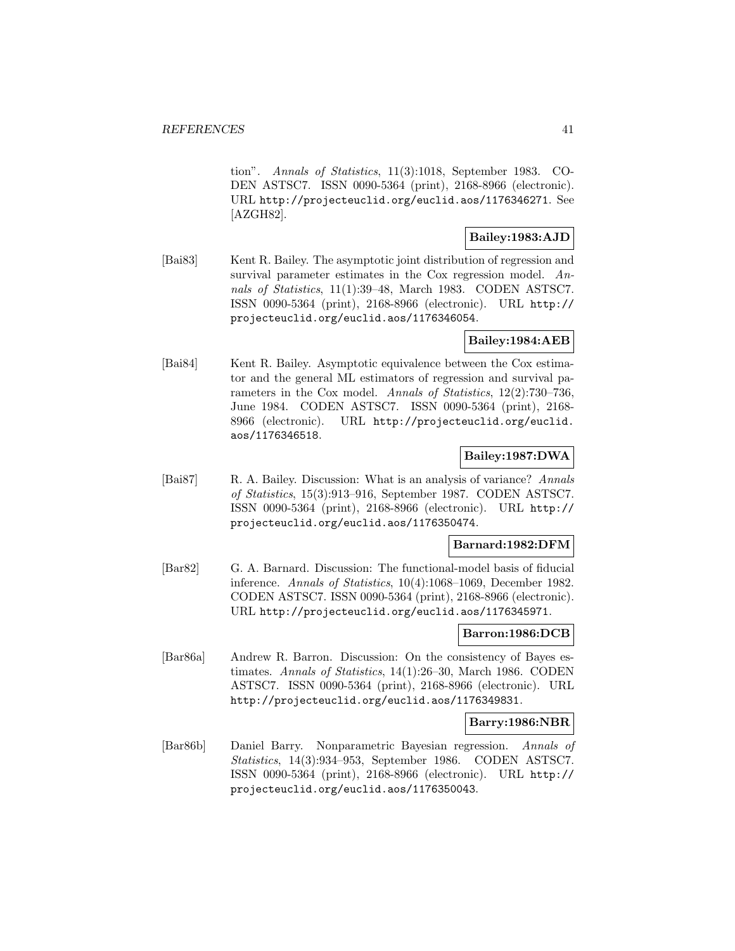tion". Annals of Statistics, 11(3):1018, September 1983. CO-DEN ASTSC7. ISSN 0090-5364 (print), 2168-8966 (electronic). URL http://projecteuclid.org/euclid.aos/1176346271. See [AZGH82].

# **Bailey:1983:AJD**

[Bai83] Kent R. Bailey. The asymptotic joint distribution of regression and survival parameter estimates in the Cox regression model. Annals of Statistics, 11(1):39–48, March 1983. CODEN ASTSC7. ISSN 0090-5364 (print), 2168-8966 (electronic). URL http:// projecteuclid.org/euclid.aos/1176346054.

# **Bailey:1984:AEB**

[Bai84] Kent R. Bailey. Asymptotic equivalence between the Cox estimator and the general ML estimators of regression and survival parameters in the Cox model. Annals of Statistics, 12(2):730–736, June 1984. CODEN ASTSC7. ISSN 0090-5364 (print), 2168- 8966 (electronic). URL http://projecteuclid.org/euclid. aos/1176346518.

# **Bailey:1987:DWA**

[Bai87] R. A. Bailey. Discussion: What is an analysis of variance? Annals of Statistics, 15(3):913–916, September 1987. CODEN ASTSC7. ISSN 0090-5364 (print), 2168-8966 (electronic). URL http:// projecteuclid.org/euclid.aos/1176350474.

# **Barnard:1982:DFM**

[Bar82] G. A. Barnard. Discussion: The functional-model basis of fiducial inference. Annals of Statistics, 10(4):1068–1069, December 1982. CODEN ASTSC7. ISSN 0090-5364 (print), 2168-8966 (electronic). URL http://projecteuclid.org/euclid.aos/1176345971.

# **Barron:1986:DCB**

[Bar86a] Andrew R. Barron. Discussion: On the consistency of Bayes estimates. Annals of Statistics, 14(1):26–30, March 1986. CODEN ASTSC7. ISSN 0090-5364 (print), 2168-8966 (electronic). URL http://projecteuclid.org/euclid.aos/1176349831.

# **Barry:1986:NBR**

[Bar86b] Daniel Barry. Nonparametric Bayesian regression. Annals of Statistics, 14(3):934–953, September 1986. CODEN ASTSC7. ISSN 0090-5364 (print), 2168-8966 (electronic). URL http:// projecteuclid.org/euclid.aos/1176350043.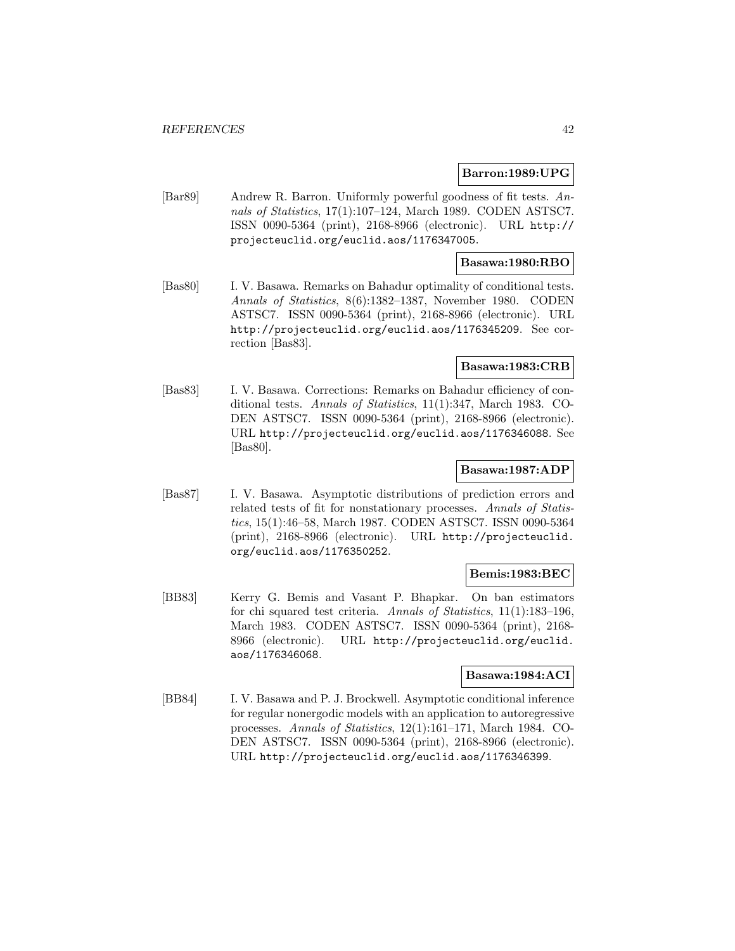#### **Barron:1989:UPG**

[Bar89] Andrew R. Barron. Uniformly powerful goodness of fit tests. Annals of Statistics, 17(1):107–124, March 1989. CODEN ASTSC7. ISSN 0090-5364 (print), 2168-8966 (electronic). URL http:// projecteuclid.org/euclid.aos/1176347005.

# **Basawa:1980:RBO**

[Bas80] I. V. Basawa. Remarks on Bahadur optimality of conditional tests. Annals of Statistics, 8(6):1382–1387, November 1980. CODEN ASTSC7. ISSN 0090-5364 (print), 2168-8966 (electronic). URL http://projecteuclid.org/euclid.aos/1176345209. See correction [Bas83].

#### **Basawa:1983:CRB**

[Bas83] I. V. Basawa. Corrections: Remarks on Bahadur efficiency of conditional tests. Annals of Statistics, 11(1):347, March 1983. CO-DEN ASTSC7. ISSN 0090-5364 (print), 2168-8966 (electronic). URL http://projecteuclid.org/euclid.aos/1176346088. See [Bas80].

### **Basawa:1987:ADP**

[Bas87] I. V. Basawa. Asymptotic distributions of prediction errors and related tests of fit for nonstationary processes. Annals of Statistics, 15(1):46–58, March 1987. CODEN ASTSC7. ISSN 0090-5364 (print), 2168-8966 (electronic). URL http://projecteuclid. org/euclid.aos/1176350252.

# **Bemis:1983:BEC**

[BB83] Kerry G. Bemis and Vasant P. Bhapkar. On ban estimators for chi squared test criteria. Annals of Statistics, 11(1):183–196, March 1983. CODEN ASTSC7. ISSN 0090-5364 (print), 2168- 8966 (electronic). URL http://projecteuclid.org/euclid. aos/1176346068.

# **Basawa:1984:ACI**

[BB84] I. V. Basawa and P. J. Brockwell. Asymptotic conditional inference for regular nonergodic models with an application to autoregressive processes. Annals of Statistics, 12(1):161–171, March 1984. CO-DEN ASTSC7. ISSN 0090-5364 (print), 2168-8966 (electronic). URL http://projecteuclid.org/euclid.aos/1176346399.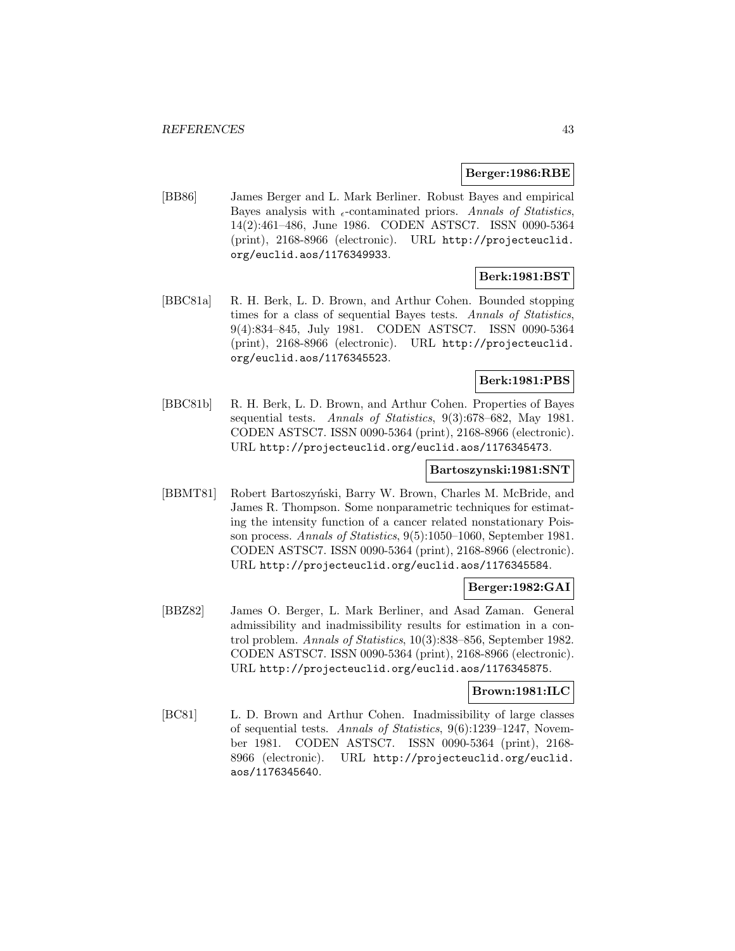#### **Berger:1986:RBE**

[BB86] James Berger and L. Mark Berliner. Robust Bayes and empirical Bayes analysis with  $_{\epsilon}$ -contaminated priors. Annals of Statistics, 14(2):461–486, June 1986. CODEN ASTSC7. ISSN 0090-5364 (print), 2168-8966 (electronic). URL http://projecteuclid. org/euclid.aos/1176349933.

# **Berk:1981:BST**

[BBC81a] R. H. Berk, L. D. Brown, and Arthur Cohen. Bounded stopping times for a class of sequential Bayes tests. Annals of Statistics, 9(4):834–845, July 1981. CODEN ASTSC7. ISSN 0090-5364 (print), 2168-8966 (electronic). URL http://projecteuclid. org/euclid.aos/1176345523.

# **Berk:1981:PBS**

[BBC81b] R. H. Berk, L. D. Brown, and Arthur Cohen. Properties of Bayes sequential tests. Annals of Statistics, 9(3):678–682, May 1981. CODEN ASTSC7. ISSN 0090-5364 (print), 2168-8966 (electronic). URL http://projecteuclid.org/euclid.aos/1176345473.

# **Bartoszynski:1981:SNT**

[BBMT81] Robert Bartoszyński, Barry W. Brown, Charles M. McBride, and James R. Thompson. Some nonparametric techniques for estimating the intensity function of a cancer related nonstationary Poisson process. Annals of Statistics, 9(5):1050–1060, September 1981. CODEN ASTSC7. ISSN 0090-5364 (print), 2168-8966 (electronic). URL http://projecteuclid.org/euclid.aos/1176345584.

# **Berger:1982:GAI**

[BBZ82] James O. Berger, L. Mark Berliner, and Asad Zaman. General admissibility and inadmissibility results for estimation in a control problem. Annals of Statistics, 10(3):838–856, September 1982. CODEN ASTSC7. ISSN 0090-5364 (print), 2168-8966 (electronic). URL http://projecteuclid.org/euclid.aos/1176345875.

#### **Brown:1981:ILC**

[BC81] L. D. Brown and Arthur Cohen. Inadmissibility of large classes of sequential tests. Annals of Statistics, 9(6):1239–1247, November 1981. CODEN ASTSC7. ISSN 0090-5364 (print), 2168- 8966 (electronic). URL http://projecteuclid.org/euclid. aos/1176345640.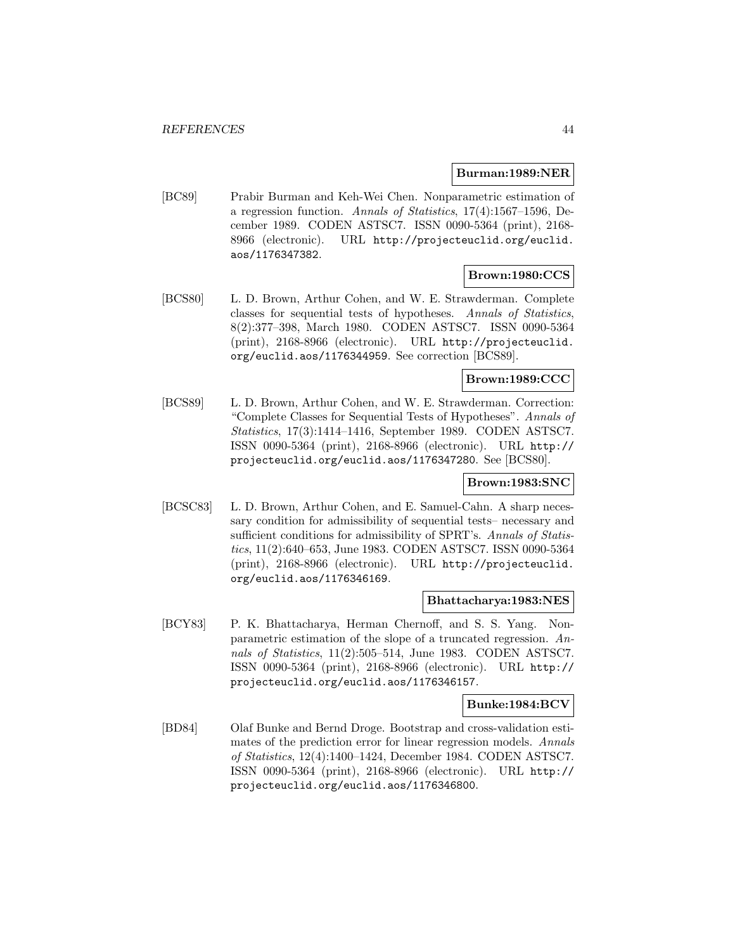### **Burman:1989:NER**

[BC89] Prabir Burman and Keh-Wei Chen. Nonparametric estimation of a regression function. Annals of Statistics, 17(4):1567–1596, December 1989. CODEN ASTSC7. ISSN 0090-5364 (print), 2168- 8966 (electronic). URL http://projecteuclid.org/euclid. aos/1176347382.

# **Brown:1980:CCS**

[BCS80] L. D. Brown, Arthur Cohen, and W. E. Strawderman. Complete classes for sequential tests of hypotheses. Annals of Statistics, 8(2):377–398, March 1980. CODEN ASTSC7. ISSN 0090-5364 (print), 2168-8966 (electronic). URL http://projecteuclid. org/euclid.aos/1176344959. See correction [BCS89].

# **Brown:1989:CCC**

[BCS89] L. D. Brown, Arthur Cohen, and W. E. Strawderman. Correction: "Complete Classes for Sequential Tests of Hypotheses". Annals of Statistics, 17(3):1414–1416, September 1989. CODEN ASTSC7. ISSN 0090-5364 (print), 2168-8966 (electronic). URL http:// projecteuclid.org/euclid.aos/1176347280. See [BCS80].

# **Brown:1983:SNC**

[BCSC83] L. D. Brown, Arthur Cohen, and E. Samuel-Cahn. A sharp necessary condition for admissibility of sequential tests– necessary and sufficient conditions for admissibility of SPRT's. Annals of Statistics, 11(2):640–653, June 1983. CODEN ASTSC7. ISSN 0090-5364 (print), 2168-8966 (electronic). URL http://projecteuclid. org/euclid.aos/1176346169.

#### **Bhattacharya:1983:NES**

[BCY83] P. K. Bhattacharya, Herman Chernoff, and S. S. Yang. Nonparametric estimation of the slope of a truncated regression. Annals of Statistics, 11(2):505–514, June 1983. CODEN ASTSC7. ISSN 0090-5364 (print), 2168-8966 (electronic). URL http:// projecteuclid.org/euclid.aos/1176346157.

# **Bunke:1984:BCV**

[BD84] Olaf Bunke and Bernd Droge. Bootstrap and cross-validation estimates of the prediction error for linear regression models. Annals of Statistics, 12(4):1400–1424, December 1984. CODEN ASTSC7. ISSN 0090-5364 (print), 2168-8966 (electronic). URL http:// projecteuclid.org/euclid.aos/1176346800.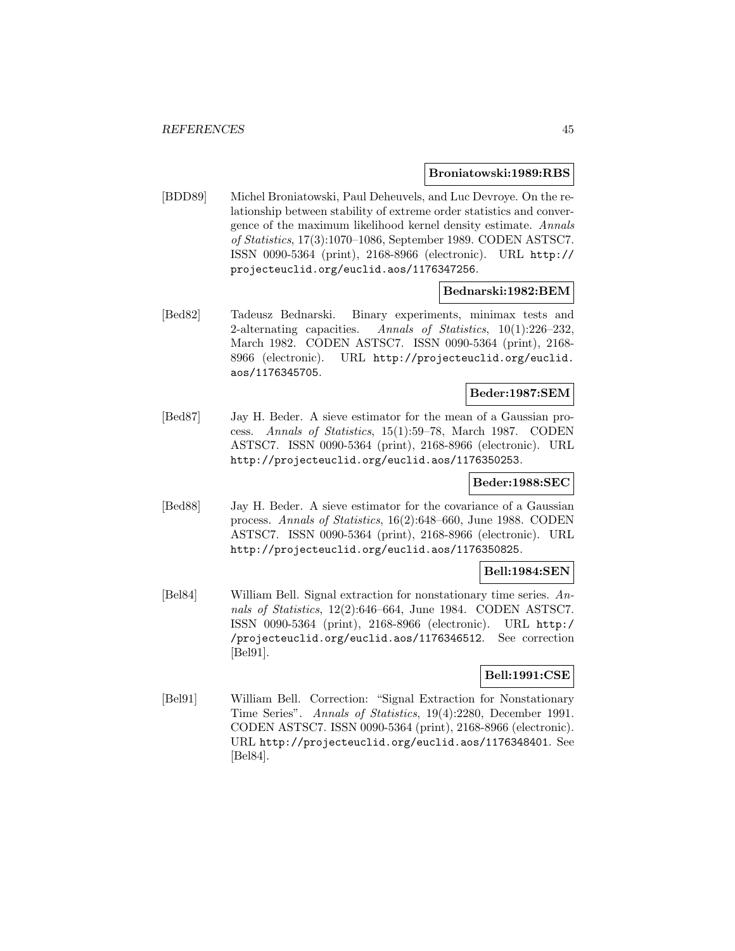#### **Broniatowski:1989:RBS**

[BDD89] Michel Broniatowski, Paul Deheuvels, and Luc Devroye. On the relationship between stability of extreme order statistics and convergence of the maximum likelihood kernel density estimate. Annals of Statistics, 17(3):1070–1086, September 1989. CODEN ASTSC7. ISSN 0090-5364 (print), 2168-8966 (electronic). URL http:// projecteuclid.org/euclid.aos/1176347256.

# **Bednarski:1982:BEM**

[Bed82] Tadeusz Bednarski. Binary experiments, minimax tests and 2-alternating capacities. Annals of Statistics,  $10(1):226-232$ , March 1982. CODEN ASTSC7. ISSN 0090-5364 (print), 2168- 8966 (electronic). URL http://projecteuclid.org/euclid. aos/1176345705.

# **Beder:1987:SEM**

[Bed87] Jay H. Beder. A sieve estimator for the mean of a Gaussian process. Annals of Statistics, 15(1):59–78, March 1987. CODEN ASTSC7. ISSN 0090-5364 (print), 2168-8966 (electronic). URL http://projecteuclid.org/euclid.aos/1176350253.

# **Beder:1988:SEC**

[Bed88] Jay H. Beder. A sieve estimator for the covariance of a Gaussian process. Annals of Statistics, 16(2):648–660, June 1988. CODEN ASTSC7. ISSN 0090-5364 (print), 2168-8966 (electronic). URL http://projecteuclid.org/euclid.aos/1176350825.

# **Bell:1984:SEN**

[Bel84] William Bell. Signal extraction for nonstationary time series. Annals of Statistics, 12(2):646–664, June 1984. CODEN ASTSC7. ISSN 0090-5364 (print), 2168-8966 (electronic). URL http:/ /projecteuclid.org/euclid.aos/1176346512. See correction [Bel91].

# **Bell:1991:CSE**

[Bel91] William Bell. Correction: "Signal Extraction for Nonstationary Time Series". Annals of Statistics, 19(4):2280, December 1991. CODEN ASTSC7. ISSN 0090-5364 (print), 2168-8966 (electronic). URL http://projecteuclid.org/euclid.aos/1176348401. See [Bel84].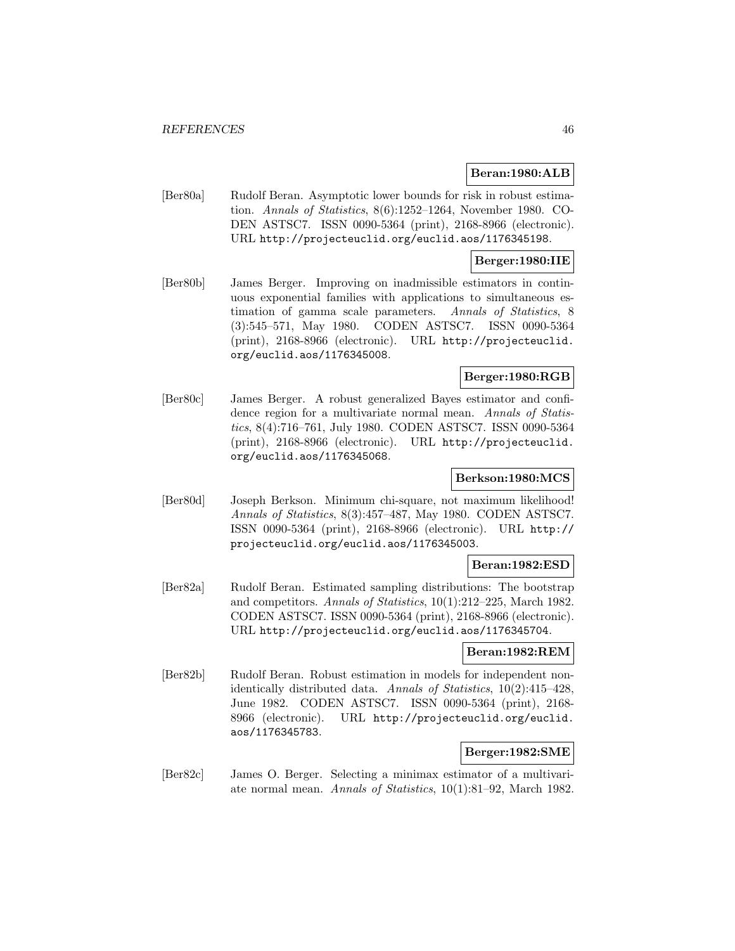# **Beran:1980:ALB**

[Ber80a] Rudolf Beran. Asymptotic lower bounds for risk in robust estimation. Annals of Statistics, 8(6):1252–1264, November 1980. CO-DEN ASTSC7. ISSN 0090-5364 (print), 2168-8966 (electronic). URL http://projecteuclid.org/euclid.aos/1176345198.

### **Berger:1980:IIE**

[Ber80b] James Berger. Improving on inadmissible estimators in continuous exponential families with applications to simultaneous estimation of gamma scale parameters. Annals of Statistics, 8 (3):545–571, May 1980. CODEN ASTSC7. ISSN 0090-5364 (print), 2168-8966 (electronic). URL http://projecteuclid. org/euclid.aos/1176345008.

# **Berger:1980:RGB**

[Ber80c] James Berger. A robust generalized Bayes estimator and confidence region for a multivariate normal mean. Annals of Statistics, 8(4):716–761, July 1980. CODEN ASTSC7. ISSN 0090-5364 (print), 2168-8966 (electronic). URL http://projecteuclid. org/euclid.aos/1176345068.

# **Berkson:1980:MCS**

[Ber80d] Joseph Berkson. Minimum chi-square, not maximum likelihood! Annals of Statistics, 8(3):457–487, May 1980. CODEN ASTSC7. ISSN 0090-5364 (print), 2168-8966 (electronic). URL http:// projecteuclid.org/euclid.aos/1176345003.

# **Beran:1982:ESD**

[Ber82a] Rudolf Beran. Estimated sampling distributions: The bootstrap and competitors. Annals of Statistics, 10(1):212–225, March 1982. CODEN ASTSC7. ISSN 0090-5364 (print), 2168-8966 (electronic). URL http://projecteuclid.org/euclid.aos/1176345704.

### **Beran:1982:REM**

[Ber82b] Rudolf Beran. Robust estimation in models for independent nonidentically distributed data. Annals of Statistics, 10(2):415–428, June 1982. CODEN ASTSC7. ISSN 0090-5364 (print), 2168- 8966 (electronic). URL http://projecteuclid.org/euclid. aos/1176345783.

# **Berger:1982:SME**

[Ber82c] James O. Berger. Selecting a minimax estimator of a multivariate normal mean. Annals of Statistics, 10(1):81–92, March 1982.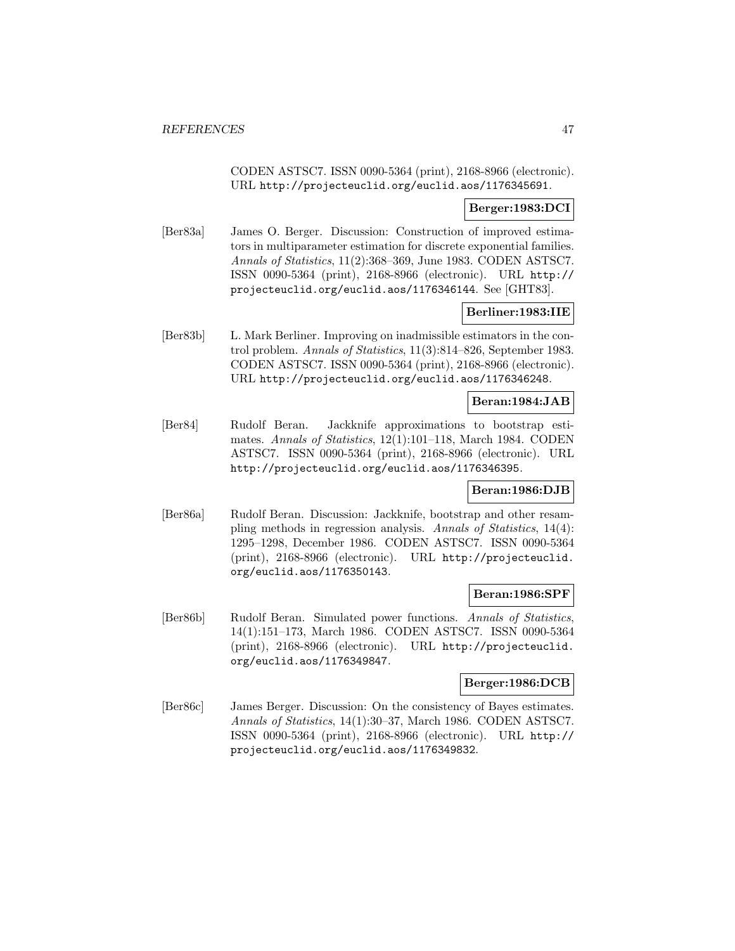CODEN ASTSC7. ISSN 0090-5364 (print), 2168-8966 (electronic). URL http://projecteuclid.org/euclid.aos/1176345691.

# **Berger:1983:DCI**

[Ber83a] James O. Berger. Discussion: Construction of improved estimators in multiparameter estimation for discrete exponential families. Annals of Statistics, 11(2):368–369, June 1983. CODEN ASTSC7. ISSN 0090-5364 (print), 2168-8966 (electronic). URL http:// projecteuclid.org/euclid.aos/1176346144. See [GHT83].

# **Berliner:1983:IIE**

[Ber83b] L. Mark Berliner. Improving on inadmissible estimators in the control problem. Annals of Statistics, 11(3):814–826, September 1983. CODEN ASTSC7. ISSN 0090-5364 (print), 2168-8966 (electronic). URL http://projecteuclid.org/euclid.aos/1176346248.

# **Beran:1984:JAB**

[Ber84] Rudolf Beran. Jackknife approximations to bootstrap estimates. Annals of Statistics, 12(1):101–118, March 1984. CODEN ASTSC7. ISSN 0090-5364 (print), 2168-8966 (electronic). URL http://projecteuclid.org/euclid.aos/1176346395.

# **Beran:1986:DJB**

[Ber86a] Rudolf Beran. Discussion: Jackknife, bootstrap and other resampling methods in regression analysis. Annals of Statistics, 14(4): 1295–1298, December 1986. CODEN ASTSC7. ISSN 0090-5364 (print), 2168-8966 (electronic). URL http://projecteuclid. org/euclid.aos/1176350143.

# **Beran:1986:SPF**

[Ber86b] Rudolf Beran. Simulated power functions. Annals of Statistics, 14(1):151–173, March 1986. CODEN ASTSC7. ISSN 0090-5364 (print), 2168-8966 (electronic). URL http://projecteuclid. org/euclid.aos/1176349847.

#### **Berger:1986:DCB**

[Ber86c] James Berger. Discussion: On the consistency of Bayes estimates. Annals of Statistics, 14(1):30–37, March 1986. CODEN ASTSC7. ISSN 0090-5364 (print), 2168-8966 (electronic). URL http:// projecteuclid.org/euclid.aos/1176349832.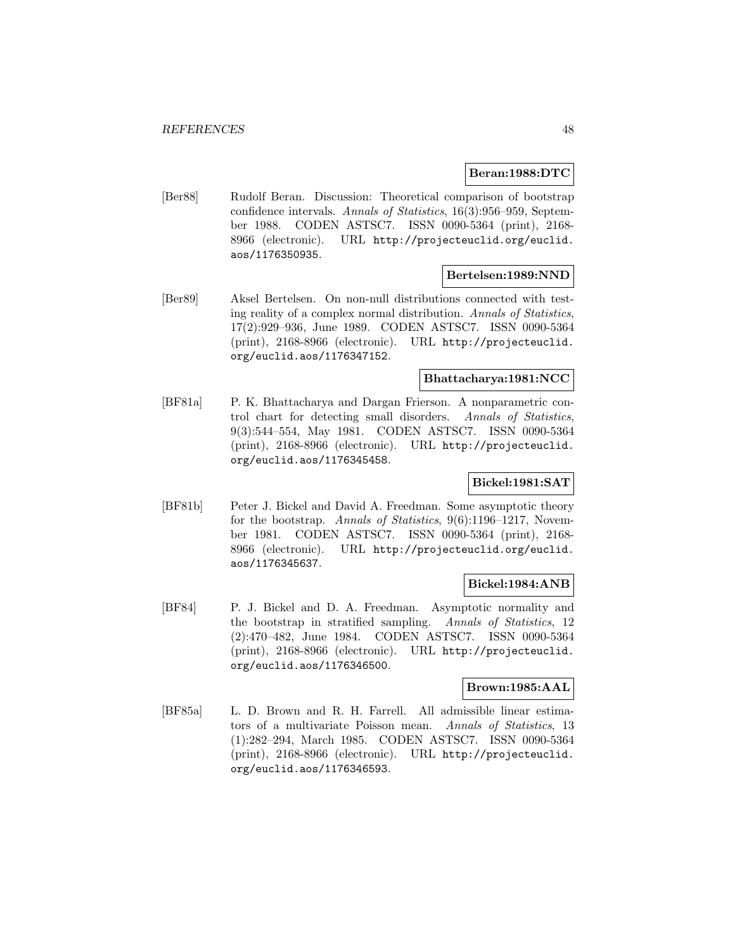# **Beran:1988:DTC**

[Ber88] Rudolf Beran. Discussion: Theoretical comparison of bootstrap confidence intervals. Annals of Statistics, 16(3):956–959, September 1988. CODEN ASTSC7. ISSN 0090-5364 (print), 2168- 8966 (electronic). URL http://projecteuclid.org/euclid. aos/1176350935.

#### **Bertelsen:1989:NND**

[Ber89] Aksel Bertelsen. On non-null distributions connected with testing reality of a complex normal distribution. Annals of Statistics, 17(2):929–936, June 1989. CODEN ASTSC7. ISSN 0090-5364 (print), 2168-8966 (electronic). URL http://projecteuclid. org/euclid.aos/1176347152.

#### **Bhattacharya:1981:NCC**

[BF81a] P. K. Bhattacharya and Dargan Frierson. A nonparametric control chart for detecting small disorders. Annals of Statistics, 9(3):544–554, May 1981. CODEN ASTSC7. ISSN 0090-5364 (print), 2168-8966 (electronic). URL http://projecteuclid. org/euclid.aos/1176345458.

# **Bickel:1981:SAT**

[BF81b] Peter J. Bickel and David A. Freedman. Some asymptotic theory for the bootstrap. Annals of Statistics, 9(6):1196–1217, November 1981. CODEN ASTSC7. ISSN 0090-5364 (print), 2168- 8966 (electronic). URL http://projecteuclid.org/euclid. aos/1176345637.

# **Bickel:1984:ANB**

[BF84] P. J. Bickel and D. A. Freedman. Asymptotic normality and the bootstrap in stratified sampling. Annals of Statistics, 12 (2):470–482, June 1984. CODEN ASTSC7. ISSN 0090-5364 (print), 2168-8966 (electronic). URL http://projecteuclid. org/euclid.aos/1176346500.

# **Brown:1985:AAL**

[BF85a] L. D. Brown and R. H. Farrell. All admissible linear estimators of a multivariate Poisson mean. Annals of Statistics, 13 (1):282–294, March 1985. CODEN ASTSC7. ISSN 0090-5364 (print), 2168-8966 (electronic). URL http://projecteuclid. org/euclid.aos/1176346593.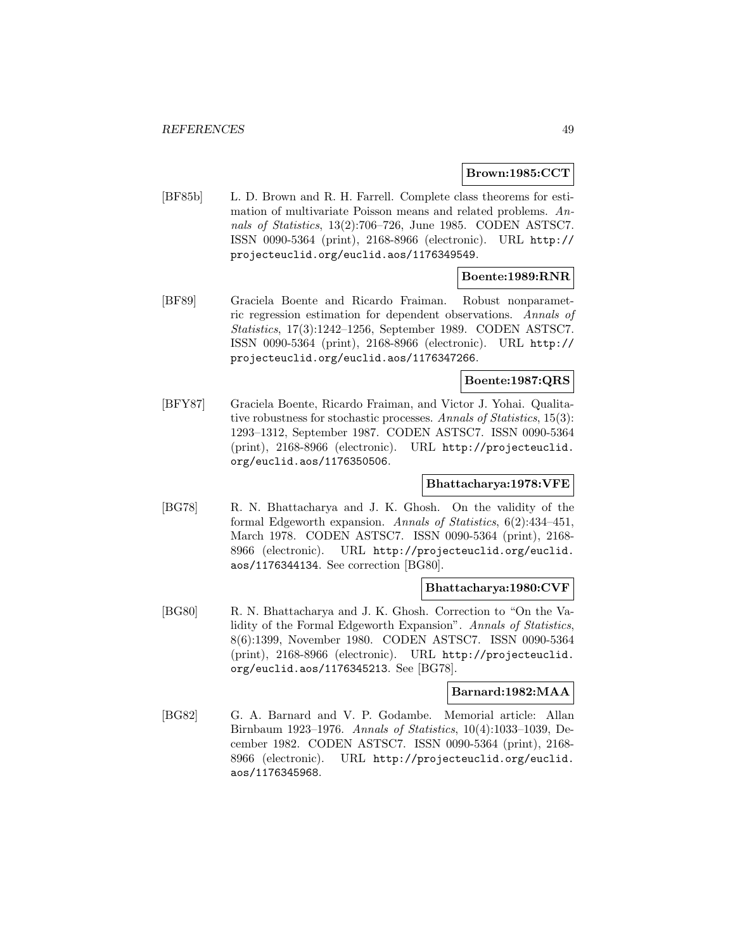#### **Brown:1985:CCT**

[BF85b] L. D. Brown and R. H. Farrell. Complete class theorems for estimation of multivariate Poisson means and related problems. Annals of Statistics, 13(2):706–726, June 1985. CODEN ASTSC7. ISSN 0090-5364 (print), 2168-8966 (electronic). URL http:// projecteuclid.org/euclid.aos/1176349549.

# **Boente:1989:RNR**

[BF89] Graciela Boente and Ricardo Fraiman. Robust nonparametric regression estimation for dependent observations. Annals of Statistics, 17(3):1242–1256, September 1989. CODEN ASTSC7. ISSN 0090-5364 (print), 2168-8966 (electronic). URL http:// projecteuclid.org/euclid.aos/1176347266.

# **Boente:1987:QRS**

[BFY87] Graciela Boente, Ricardo Fraiman, and Victor J. Yohai. Qualitative robustness for stochastic processes. Annals of Statistics, 15(3): 1293–1312, September 1987. CODEN ASTSC7. ISSN 0090-5364 (print), 2168-8966 (electronic). URL http://projecteuclid. org/euclid.aos/1176350506.

# **Bhattacharya:1978:VFE**

[BG78] R. N. Bhattacharya and J. K. Ghosh. On the validity of the formal Edgeworth expansion. Annals of Statistics, 6(2):434–451, March 1978. CODEN ASTSC7. ISSN 0090-5364 (print), 2168- 8966 (electronic). URL http://projecteuclid.org/euclid. aos/1176344134. See correction [BG80].

# **Bhattacharya:1980:CVF**

[BG80] R. N. Bhattacharya and J. K. Ghosh. Correction to "On the Validity of the Formal Edgeworth Expansion". Annals of Statistics, 8(6):1399, November 1980. CODEN ASTSC7. ISSN 0090-5364 (print), 2168-8966 (electronic). URL http://projecteuclid. org/euclid.aos/1176345213. See [BG78].

# **Barnard:1982:MAA**

[BG82] G. A. Barnard and V. P. Godambe. Memorial article: Allan Birnbaum 1923–1976. Annals of Statistics, 10(4):1033–1039, December 1982. CODEN ASTSC7. ISSN 0090-5364 (print), 2168- 8966 (electronic). URL http://projecteuclid.org/euclid. aos/1176345968.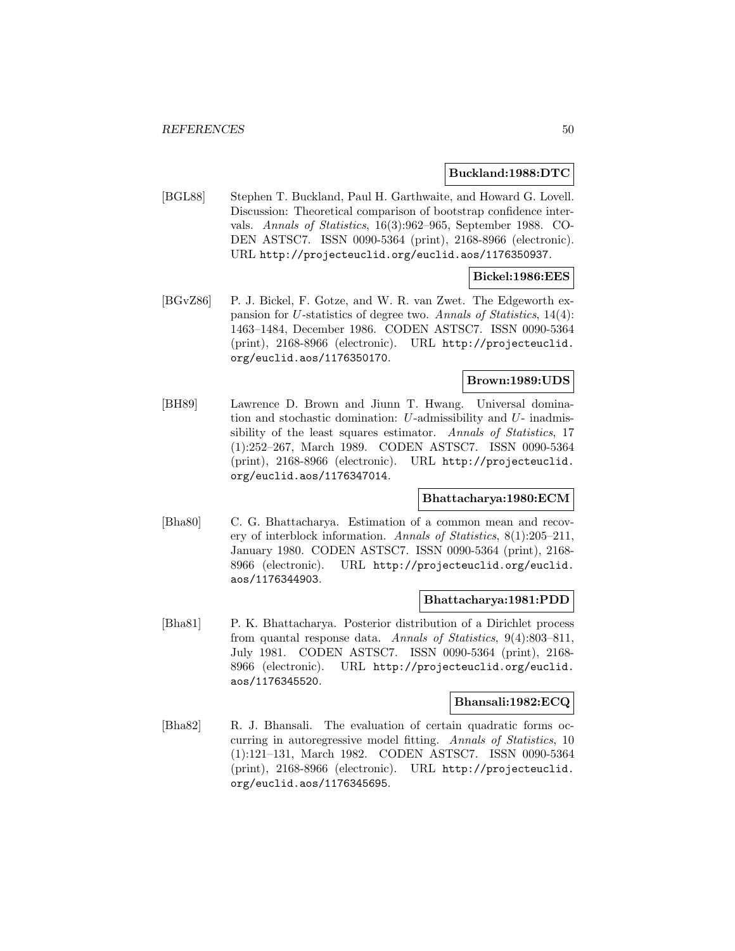### **Buckland:1988:DTC**

[BGL88] Stephen T. Buckland, Paul H. Garthwaite, and Howard G. Lovell. Discussion: Theoretical comparison of bootstrap confidence intervals. Annals of Statistics, 16(3):962–965, September 1988. CO-DEN ASTSC7. ISSN 0090-5364 (print), 2168-8966 (electronic). URL http://projecteuclid.org/euclid.aos/1176350937.

# **Bickel:1986:EES**

[BGvZ86] P. J. Bickel, F. Gotze, and W. R. van Zwet. The Edgeworth expansion for U-statistics of degree two. Annals of Statistics, 14(4): 1463–1484, December 1986. CODEN ASTSC7. ISSN 0090-5364 (print), 2168-8966 (electronic). URL http://projecteuclid. org/euclid.aos/1176350170.

# **Brown:1989:UDS**

[BH89] Lawrence D. Brown and Jiunn T. Hwang. Universal domination and stochastic domination: U-admissibility and U- inadmissibility of the least squares estimator. Annals of Statistics, 17 (1):252–267, March 1989. CODEN ASTSC7. ISSN 0090-5364 (print), 2168-8966 (electronic). URL http://projecteuclid. org/euclid.aos/1176347014.

# **Bhattacharya:1980:ECM**

[Bha80] C. G. Bhattacharya. Estimation of a common mean and recovery of interblock information. Annals of Statistics, 8(1):205–211, January 1980. CODEN ASTSC7. ISSN 0090-5364 (print), 2168- 8966 (electronic). URL http://projecteuclid.org/euclid. aos/1176344903.

#### **Bhattacharya:1981:PDD**

[Bha81] P. K. Bhattacharya. Posterior distribution of a Dirichlet process from quantal response data. Annals of Statistics, 9(4):803–811, July 1981. CODEN ASTSC7. ISSN 0090-5364 (print), 2168- 8966 (electronic). URL http://projecteuclid.org/euclid. aos/1176345520.

#### **Bhansali:1982:ECQ**

[Bha82] R. J. Bhansali. The evaluation of certain quadratic forms occurring in autoregressive model fitting. Annals of Statistics, 10 (1):121–131, March 1982. CODEN ASTSC7. ISSN 0090-5364 (print), 2168-8966 (electronic). URL http://projecteuclid. org/euclid.aos/1176345695.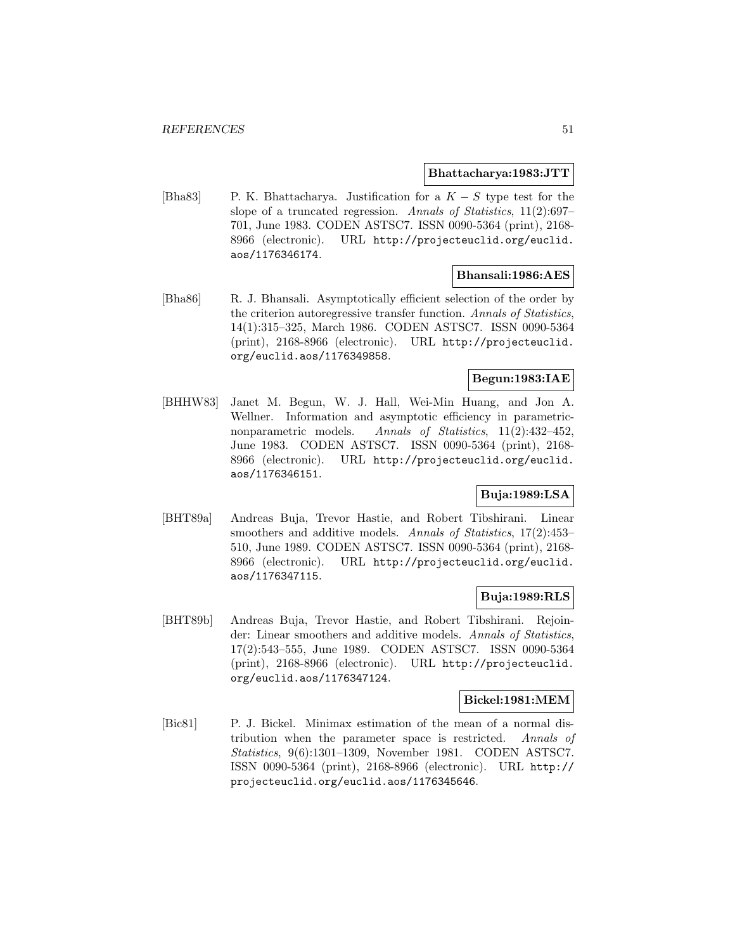#### **Bhattacharya:1983:JTT**

[Bha83] P. K. Bhattacharya. Justification for a  $K - S$  type test for the slope of a truncated regression. Annals of Statistics, 11(2):697– 701, June 1983. CODEN ASTSC7. ISSN 0090-5364 (print), 2168- 8966 (electronic). URL http://projecteuclid.org/euclid. aos/1176346174.

#### **Bhansali:1986:AES**

[Bha86] R. J. Bhansali. Asymptotically efficient selection of the order by the criterion autoregressive transfer function. Annals of Statistics, 14(1):315–325, March 1986. CODEN ASTSC7. ISSN 0090-5364 (print), 2168-8966 (electronic). URL http://projecteuclid. org/euclid.aos/1176349858.

# **Begun:1983:IAE**

[BHHW83] Janet M. Begun, W. J. Hall, Wei-Min Huang, and Jon A. Wellner. Information and asymptotic efficiency in parametricnonparametric models. Annals of Statistics, 11(2):432-452, June 1983. CODEN ASTSC7. ISSN 0090-5364 (print), 2168- 8966 (electronic). URL http://projecteuclid.org/euclid. aos/1176346151.

# **Buja:1989:LSA**

[BHT89a] Andreas Buja, Trevor Hastie, and Robert Tibshirani. Linear smoothers and additive models. Annals of Statistics, 17(2):453– 510, June 1989. CODEN ASTSC7. ISSN 0090-5364 (print), 2168- 8966 (electronic). URL http://projecteuclid.org/euclid. aos/1176347115.

# **Buja:1989:RLS**

[BHT89b] Andreas Buja, Trevor Hastie, and Robert Tibshirani. Rejoinder: Linear smoothers and additive models. Annals of Statistics, 17(2):543–555, June 1989. CODEN ASTSC7. ISSN 0090-5364 (print), 2168-8966 (electronic). URL http://projecteuclid. org/euclid.aos/1176347124.

# **Bickel:1981:MEM**

[Bic81] P. J. Bickel. Minimax estimation of the mean of a normal distribution when the parameter space is restricted. Annals of Statistics, 9(6):1301–1309, November 1981. CODEN ASTSC7. ISSN 0090-5364 (print), 2168-8966 (electronic). URL http:// projecteuclid.org/euclid.aos/1176345646.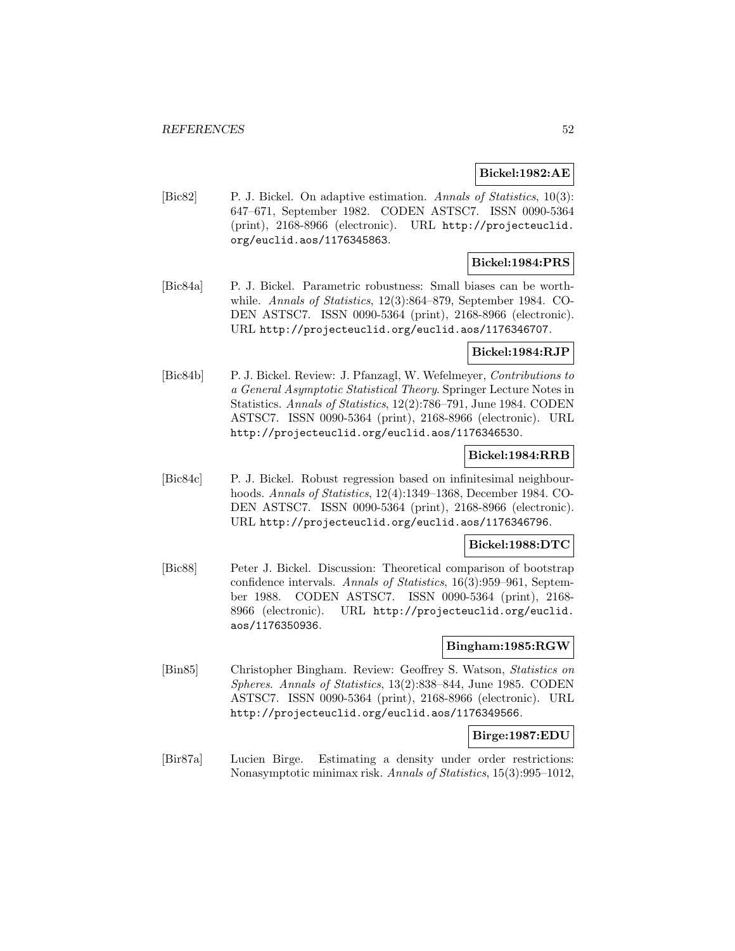### **Bickel:1982:AE**

[Bic82] P. J. Bickel. On adaptive estimation. Annals of Statistics, 10(3): 647–671, September 1982. CODEN ASTSC7. ISSN 0090-5364 (print), 2168-8966 (electronic). URL http://projecteuclid. org/euclid.aos/1176345863.

# **Bickel:1984:PRS**

[Bic84a] P. J. Bickel. Parametric robustness: Small biases can be worthwhile. Annals of Statistics, 12(3):864–879, September 1984. CO-DEN ASTSC7. ISSN 0090-5364 (print), 2168-8966 (electronic). URL http://projecteuclid.org/euclid.aos/1176346707.

#### **Bickel:1984:RJP**

[Bic84b] P. J. Bickel. Review: J. Pfanzagl, W. Wefelmeyer, Contributions to a General Asymptotic Statistical Theory. Springer Lecture Notes in Statistics. Annals of Statistics, 12(2):786–791, June 1984. CODEN ASTSC7. ISSN 0090-5364 (print), 2168-8966 (electronic). URL http://projecteuclid.org/euclid.aos/1176346530.

# **Bickel:1984:RRB**

[Bic84c] P. J. Bickel. Robust regression based on infinitesimal neighbourhoods. Annals of Statistics, 12(4):1349–1368, December 1984. CO-DEN ASTSC7. ISSN 0090-5364 (print), 2168-8966 (electronic). URL http://projecteuclid.org/euclid.aos/1176346796.

#### **Bickel:1988:DTC**

[Bic88] Peter J. Bickel. Discussion: Theoretical comparison of bootstrap confidence intervals. Annals of Statistics, 16(3):959–961, September 1988. CODEN ASTSC7. ISSN 0090-5364 (print), 2168- 8966 (electronic). URL http://projecteuclid.org/euclid. aos/1176350936.

#### **Bingham:1985:RGW**

[Bin85] Christopher Bingham. Review: Geoffrey S. Watson, Statistics on Spheres. Annals of Statistics, 13(2):838–844, June 1985. CODEN ASTSC7. ISSN 0090-5364 (print), 2168-8966 (electronic). URL http://projecteuclid.org/euclid.aos/1176349566.

#### **Birge:1987:EDU**

[Bir87a] Lucien Birge. Estimating a density under order restrictions: Nonasymptotic minimax risk. Annals of Statistics, 15(3):995–1012,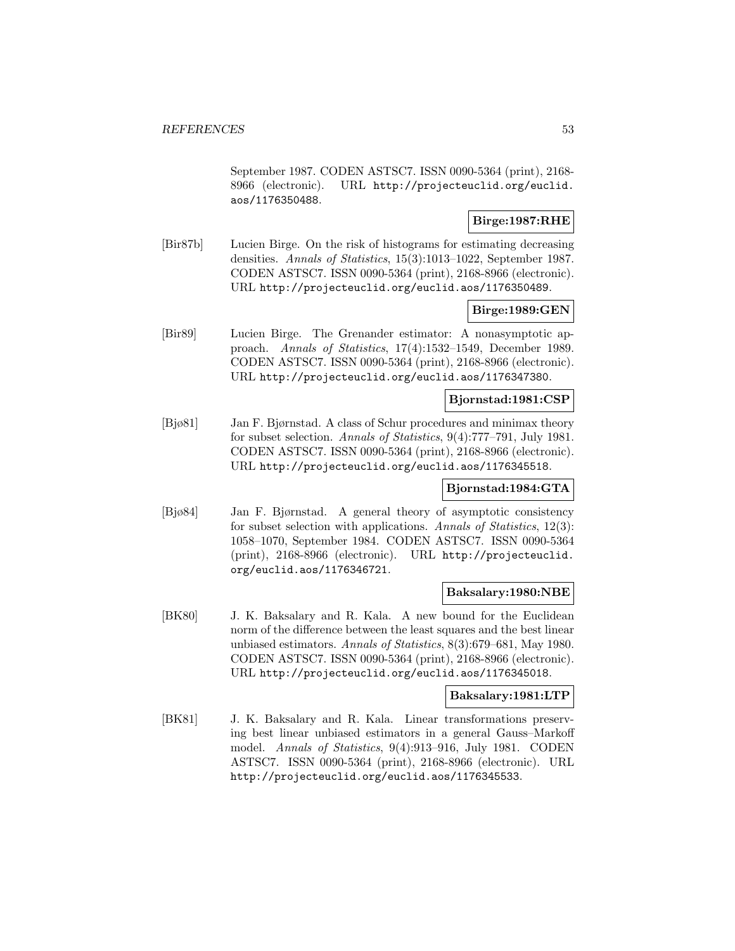September 1987. CODEN ASTSC7. ISSN 0090-5364 (print), 2168- 8966 (electronic). URL http://projecteuclid.org/euclid. aos/1176350488.

# **Birge:1987:RHE**

[Bir87b] Lucien Birge. On the risk of histograms for estimating decreasing densities. Annals of Statistics, 15(3):1013–1022, September 1987. CODEN ASTSC7. ISSN 0090-5364 (print), 2168-8966 (electronic). URL http://projecteuclid.org/euclid.aos/1176350489.

# **Birge:1989:GEN**

[Bir89] Lucien Birge. The Grenander estimator: A nonasymptotic approach. Annals of Statistics, 17(4):1532–1549, December 1989. CODEN ASTSC7. ISSN 0090-5364 (print), 2168-8966 (electronic). URL http://projecteuclid.org/euclid.aos/1176347380.

#### **Bjornstad:1981:CSP**

[Bjø81] Jan F. Bjørnstad. A class of Schur procedures and minimax theory for subset selection. Annals of Statistics, 9(4):777–791, July 1981. CODEN ASTSC7. ISSN 0090-5364 (print), 2168-8966 (electronic). URL http://projecteuclid.org/euclid.aos/1176345518.

# **Bjornstad:1984:GTA**

[Bjø84] Jan F. Bjørnstad. A general theory of asymptotic consistency for subset selection with applications. Annals of Statistics, 12(3): 1058–1070, September 1984. CODEN ASTSC7. ISSN 0090-5364 (print), 2168-8966 (electronic). URL http://projecteuclid. org/euclid.aos/1176346721.

#### **Baksalary:1980:NBE**

[BK80] J. K. Baksalary and R. Kala. A new bound for the Euclidean norm of the difference between the least squares and the best linear unbiased estimators. Annals of Statistics, 8(3):679–681, May 1980. CODEN ASTSC7. ISSN 0090-5364 (print), 2168-8966 (electronic). URL http://projecteuclid.org/euclid.aos/1176345018.

#### **Baksalary:1981:LTP**

[BK81] J. K. Baksalary and R. Kala. Linear transformations preserving best linear unbiased estimators in a general Gauss–Markoff model. Annals of Statistics, 9(4):913–916, July 1981. CODEN ASTSC7. ISSN 0090-5364 (print), 2168-8966 (electronic). URL http://projecteuclid.org/euclid.aos/1176345533.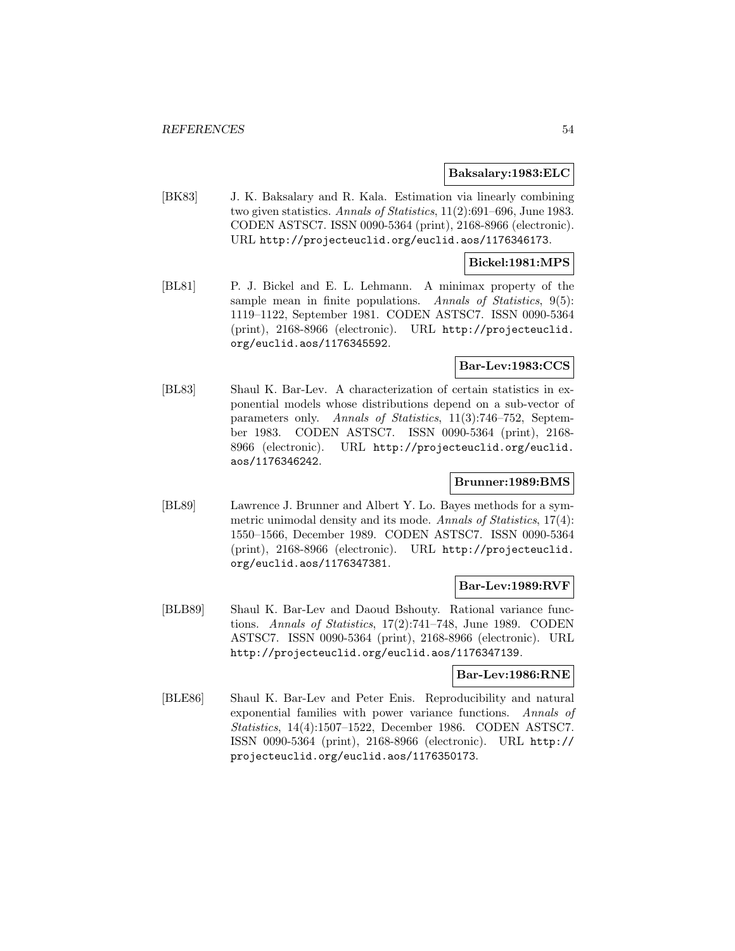#### **Baksalary:1983:ELC**

[BK83] J. K. Baksalary and R. Kala. Estimation via linearly combining two given statistics. Annals of Statistics, 11(2):691–696, June 1983. CODEN ASTSC7. ISSN 0090-5364 (print), 2168-8966 (electronic). URL http://projecteuclid.org/euclid.aos/1176346173.

### **Bickel:1981:MPS**

[BL81] P. J. Bickel and E. L. Lehmann. A minimax property of the sample mean in finite populations. Annals of Statistics,  $9(5)$ : 1119–1122, September 1981. CODEN ASTSC7. ISSN 0090-5364 (print), 2168-8966 (electronic). URL http://projecteuclid. org/euclid.aos/1176345592.

# **Bar-Lev:1983:CCS**

[BL83] Shaul K. Bar-Lev. A characterization of certain statistics in exponential models whose distributions depend on a sub-vector of parameters only. Annals of Statistics, 11(3):746–752, September 1983. CODEN ASTSC7. ISSN 0090-5364 (print), 2168- 8966 (electronic). URL http://projecteuclid.org/euclid. aos/1176346242.

# **Brunner:1989:BMS**

[BL89] Lawrence J. Brunner and Albert Y. Lo. Bayes methods for a symmetric unimodal density and its mode. Annals of Statistics, 17(4): 1550–1566, December 1989. CODEN ASTSC7. ISSN 0090-5364 (print), 2168-8966 (electronic). URL http://projecteuclid. org/euclid.aos/1176347381.

# **Bar-Lev:1989:RVF**

[BLB89] Shaul K. Bar-Lev and Daoud Bshouty. Rational variance functions. Annals of Statistics, 17(2):741–748, June 1989. CODEN ASTSC7. ISSN 0090-5364 (print), 2168-8966 (electronic). URL http://projecteuclid.org/euclid.aos/1176347139.

# **Bar-Lev:1986:RNE**

[BLE86] Shaul K. Bar-Lev and Peter Enis. Reproducibility and natural exponential families with power variance functions. Annals of Statistics, 14(4):1507–1522, December 1986. CODEN ASTSC7. ISSN 0090-5364 (print), 2168-8966 (electronic). URL http:// projecteuclid.org/euclid.aos/1176350173.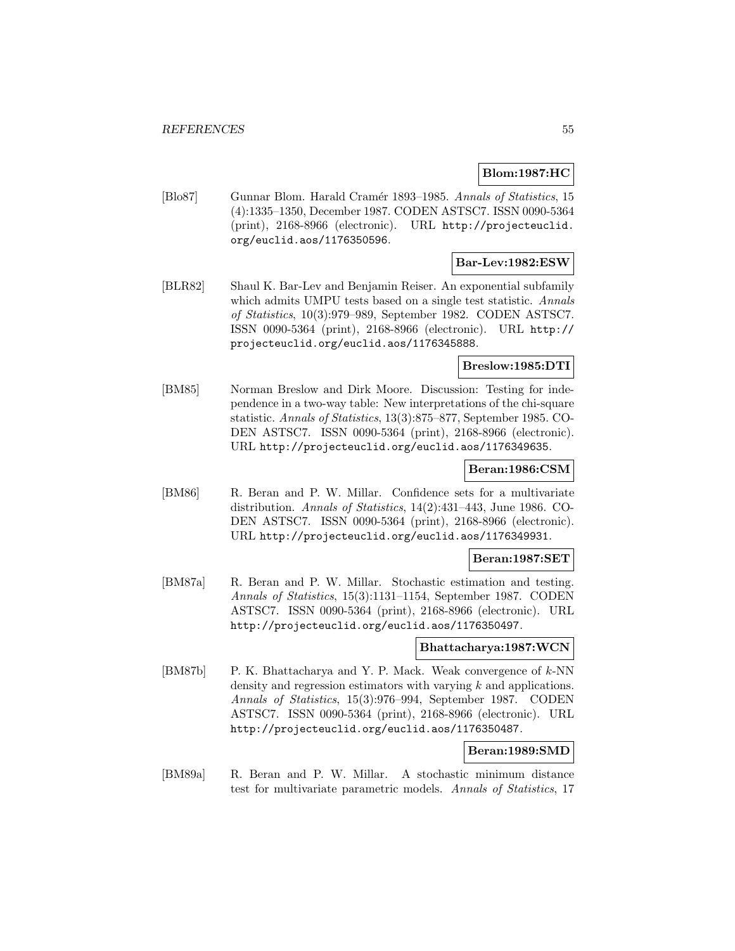# **Blom:1987:HC**

[Blo87] Gunnar Blom. Harald Cramér 1893–1985. Annals of Statistics, 15 (4):1335–1350, December 1987. CODEN ASTSC7. ISSN 0090-5364 (print), 2168-8966 (electronic). URL http://projecteuclid. org/euclid.aos/1176350596.

# **Bar-Lev:1982:ESW**

[BLR82] Shaul K. Bar-Lev and Benjamin Reiser. An exponential subfamily which admits UMPU tests based on a single test statistic. Annals of Statistics, 10(3):979–989, September 1982. CODEN ASTSC7. ISSN 0090-5364 (print), 2168-8966 (electronic). URL http:// projecteuclid.org/euclid.aos/1176345888.

#### **Breslow:1985:DTI**

[BM85] Norman Breslow and Dirk Moore. Discussion: Testing for independence in a two-way table: New interpretations of the chi-square statistic. Annals of Statistics, 13(3):875–877, September 1985. CO-DEN ASTSC7. ISSN 0090-5364 (print), 2168-8966 (electronic). URL http://projecteuclid.org/euclid.aos/1176349635.

### **Beran:1986:CSM**

[BM86] R. Beran and P. W. Millar. Confidence sets for a multivariate distribution. Annals of Statistics, 14(2):431–443, June 1986. CO-DEN ASTSC7. ISSN 0090-5364 (print), 2168-8966 (electronic). URL http://projecteuclid.org/euclid.aos/1176349931.

# **Beran:1987:SET**

[BM87a] R. Beran and P. W. Millar. Stochastic estimation and testing. Annals of Statistics, 15(3):1131–1154, September 1987. CODEN ASTSC7. ISSN 0090-5364 (print), 2168-8966 (electronic). URL http://projecteuclid.org/euclid.aos/1176350497.

#### **Bhattacharya:1987:WCN**

[BM87b] P. K. Bhattacharya and Y. P. Mack. Weak convergence of  $k$ -NN density and regression estimators with varying  $k$  and applications. Annals of Statistics, 15(3):976–994, September 1987. CODEN ASTSC7. ISSN 0090-5364 (print), 2168-8966 (electronic). URL http://projecteuclid.org/euclid.aos/1176350487.

# **Beran:1989:SMD**

[BM89a] R. Beran and P. W. Millar. A stochastic minimum distance test for multivariate parametric models. Annals of Statistics, 17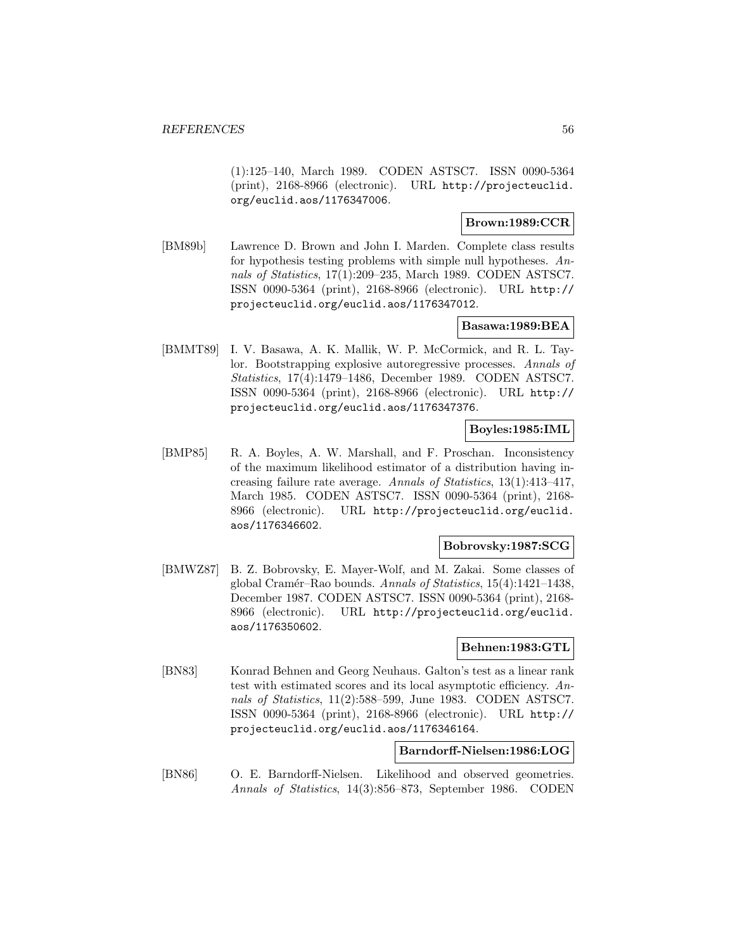(1):125–140, March 1989. CODEN ASTSC7. ISSN 0090-5364 (print), 2168-8966 (electronic). URL http://projecteuclid. org/euclid.aos/1176347006.

# **Brown:1989:CCR**

[BM89b] Lawrence D. Brown and John I. Marden. Complete class results for hypothesis testing problems with simple null hypotheses. Annals of Statistics, 17(1):209–235, March 1989. CODEN ASTSC7. ISSN 0090-5364 (print), 2168-8966 (electronic). URL http:// projecteuclid.org/euclid.aos/1176347012.

# **Basawa:1989:BEA**

[BMMT89] I. V. Basawa, A. K. Mallik, W. P. McCormick, and R. L. Taylor. Bootstrapping explosive autoregressive processes. Annals of Statistics, 17(4):1479–1486, December 1989. CODEN ASTSC7. ISSN 0090-5364 (print), 2168-8966 (electronic). URL http:// projecteuclid.org/euclid.aos/1176347376.

# **Boyles:1985:IML**

[BMP85] R. A. Boyles, A. W. Marshall, and F. Proschan. Inconsistency of the maximum likelihood estimator of a distribution having increasing failure rate average. Annals of Statistics, 13(1):413–417, March 1985. CODEN ASTSC7. ISSN 0090-5364 (print), 2168- 8966 (electronic). URL http://projecteuclid.org/euclid. aos/1176346602.

#### **Bobrovsky:1987:SCG**

[BMWZ87] B. Z. Bobrovsky, E. Mayer-Wolf, and M. Zakai. Some classes of global Cramér–Rao bounds. Annals of Statistics,  $15(4):1421-1438$ , December 1987. CODEN ASTSC7. ISSN 0090-5364 (print), 2168- 8966 (electronic). URL http://projecteuclid.org/euclid. aos/1176350602.

# **Behnen:1983:GTL**

[BN83] Konrad Behnen and Georg Neuhaus. Galton's test as a linear rank test with estimated scores and its local asymptotic efficiency. Annals of Statistics, 11(2):588–599, June 1983. CODEN ASTSC7. ISSN 0090-5364 (print), 2168-8966 (electronic). URL http:// projecteuclid.org/euclid.aos/1176346164.

# **Barndorff-Nielsen:1986:LOG**

[BN86] O. E. Barndorff-Nielsen. Likelihood and observed geometries. Annals of Statistics, 14(3):856–873, September 1986. CODEN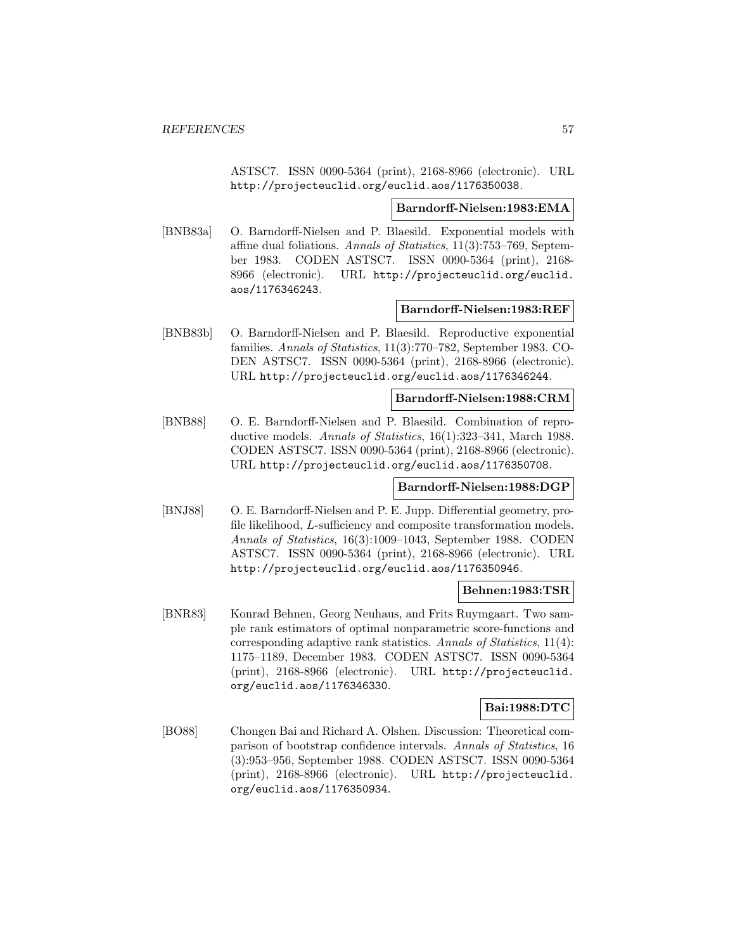ASTSC7. ISSN 0090-5364 (print), 2168-8966 (electronic). URL http://projecteuclid.org/euclid.aos/1176350038.

# **Barndorff-Nielsen:1983:EMA**

[BNB83a] O. Barndorff-Nielsen and P. Blaesild. Exponential models with affine dual foliations. Annals of Statistics, 11(3):753–769, September 1983. CODEN ASTSC7. ISSN 0090-5364 (print), 2168- 8966 (electronic). URL http://projecteuclid.org/euclid. aos/1176346243.

#### **Barndorff-Nielsen:1983:REF**

[BNB83b] O. Barndorff-Nielsen and P. Blaesild. Reproductive exponential families. Annals of Statistics, 11(3):770–782, September 1983. CO-DEN ASTSC7. ISSN 0090-5364 (print), 2168-8966 (electronic). URL http://projecteuclid.org/euclid.aos/1176346244.

#### **Barndorff-Nielsen:1988:CRM**

[BNB88] O. E. Barndorff-Nielsen and P. Blaesild. Combination of reproductive models. Annals of Statistics, 16(1):323–341, March 1988. CODEN ASTSC7. ISSN 0090-5364 (print), 2168-8966 (electronic). URL http://projecteuclid.org/euclid.aos/1176350708.

#### **Barndorff-Nielsen:1988:DGP**

[BNJ88] O. E. Barndorff-Nielsen and P. E. Jupp. Differential geometry, profile likelihood, L-sufficiency and composite transformation models. Annals of Statistics, 16(3):1009–1043, September 1988. CODEN ASTSC7. ISSN 0090-5364 (print), 2168-8966 (electronic). URL http://projecteuclid.org/euclid.aos/1176350946.

### **Behnen:1983:TSR**

[BNR83] Konrad Behnen, Georg Neuhaus, and Frits Ruymgaart. Two sample rank estimators of optimal nonparametric score-functions and corresponding adaptive rank statistics. Annals of Statistics, 11(4): 1175–1189, December 1983. CODEN ASTSC7. ISSN 0090-5364 (print), 2168-8966 (electronic). URL http://projecteuclid. org/euclid.aos/1176346330.

### **Bai:1988:DTC**

[BO88] Chongen Bai and Richard A. Olshen. Discussion: Theoretical comparison of bootstrap confidence intervals. Annals of Statistics, 16 (3):953–956, September 1988. CODEN ASTSC7. ISSN 0090-5364 (print), 2168-8966 (electronic). URL http://projecteuclid. org/euclid.aos/1176350934.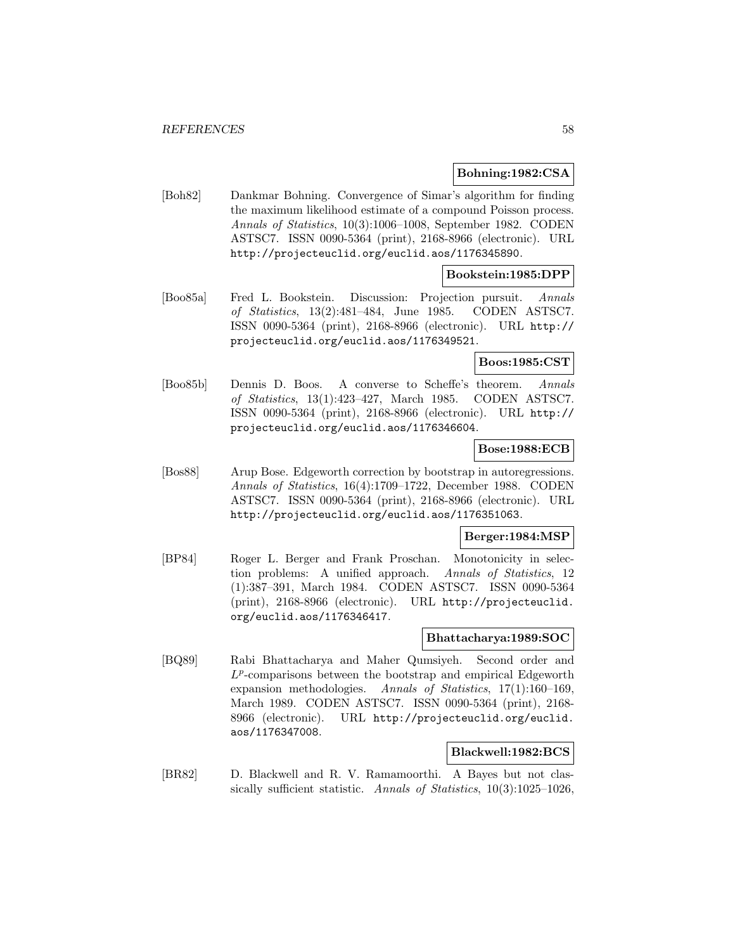# **Bohning:1982:CSA**

[Boh82] Dankmar Bohning. Convergence of Simar's algorithm for finding the maximum likelihood estimate of a compound Poisson process. Annals of Statistics, 10(3):1006–1008, September 1982. CODEN ASTSC7. ISSN 0090-5364 (print), 2168-8966 (electronic). URL http://projecteuclid.org/euclid.aos/1176345890.

# **Bookstein:1985:DPP**

[Boo85a] Fred L. Bookstein. Discussion: Projection pursuit. Annals of Statistics, 13(2):481–484, June 1985. CODEN ASTSC7. ISSN 0090-5364 (print), 2168-8966 (electronic). URL http:// projecteuclid.org/euclid.aos/1176349521.

# **Boos:1985:CST**

[Boo85b] Dennis D. Boos. A converse to Scheffe's theorem. Annals of Statistics, 13(1):423–427, March 1985. CODEN ASTSC7. ISSN 0090-5364 (print), 2168-8966 (electronic). URL http:// projecteuclid.org/euclid.aos/1176346604.

#### **Bose:1988:ECB**

[Bos88] Arup Bose. Edgeworth correction by bootstrap in autoregressions. Annals of Statistics, 16(4):1709–1722, December 1988. CODEN ASTSC7. ISSN 0090-5364 (print), 2168-8966 (electronic). URL http://projecteuclid.org/euclid.aos/1176351063.

### **Berger:1984:MSP**

[BP84] Roger L. Berger and Frank Proschan. Monotonicity in selection problems: A unified approach. Annals of Statistics, 12 (1):387–391, March 1984. CODEN ASTSC7. ISSN 0090-5364 (print), 2168-8966 (electronic). URL http://projecteuclid. org/euclid.aos/1176346417.

# **Bhattacharya:1989:SOC**

[BQ89] Rabi Bhattacharya and Maher Qumsiyeh. Second order and  $L^p$ -comparisons between the bootstrap and empirical Edgeworth expansion methodologies. Annals of Statistics, 17(1):160–169, March 1989. CODEN ASTSC7. ISSN 0090-5364 (print), 2168- 8966 (electronic). URL http://projecteuclid.org/euclid. aos/1176347008.

# **Blackwell:1982:BCS**

[BR82] D. Blackwell and R. V. Ramamoorthi. A Bayes but not classically sufficient statistic. Annals of Statistics, 10(3):1025–1026,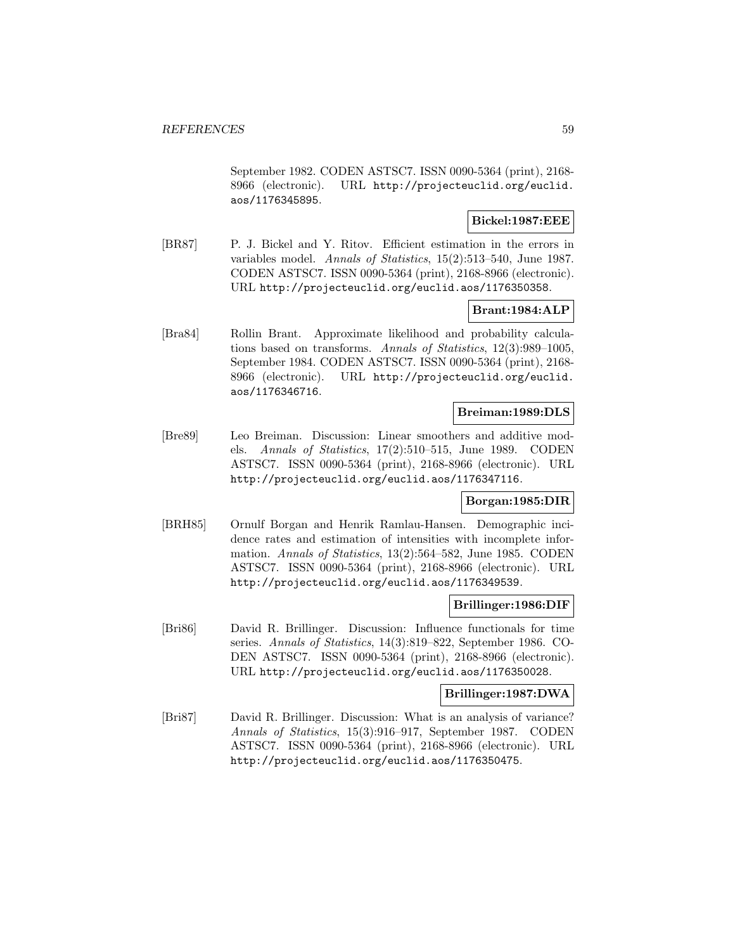September 1982. CODEN ASTSC7. ISSN 0090-5364 (print), 2168- 8966 (electronic). URL http://projecteuclid.org/euclid. aos/1176345895.

# **Bickel:1987:EEE**

[BR87] P. J. Bickel and Y. Ritov. Efficient estimation in the errors in variables model. Annals of Statistics, 15(2):513–540, June 1987. CODEN ASTSC7. ISSN 0090-5364 (print), 2168-8966 (electronic). URL http://projecteuclid.org/euclid.aos/1176350358.

# **Brant:1984:ALP**

[Bra84] Rollin Brant. Approximate likelihood and probability calculations based on transforms. Annals of Statistics, 12(3):989–1005, September 1984. CODEN ASTSC7. ISSN 0090-5364 (print), 2168- 8966 (electronic). URL http://projecteuclid.org/euclid. aos/1176346716.

### **Breiman:1989:DLS**

[Bre89] Leo Breiman. Discussion: Linear smoothers and additive models. Annals of Statistics, 17(2):510–515, June 1989. CODEN ASTSC7. ISSN 0090-5364 (print), 2168-8966 (electronic). URL http://projecteuclid.org/euclid.aos/1176347116.

### **Borgan:1985:DIR**

[BRH85] Ornulf Borgan and Henrik Ramlau-Hansen. Demographic incidence rates and estimation of intensities with incomplete information. Annals of Statistics, 13(2):564–582, June 1985. CODEN ASTSC7. ISSN 0090-5364 (print), 2168-8966 (electronic). URL http://projecteuclid.org/euclid.aos/1176349539.

# **Brillinger:1986:DIF**

[Bri86] David R. Brillinger. Discussion: Influence functionals for time series. Annals of Statistics, 14(3):819–822, September 1986. CO-DEN ASTSC7. ISSN 0090-5364 (print), 2168-8966 (electronic). URL http://projecteuclid.org/euclid.aos/1176350028.

### **Brillinger:1987:DWA**

[Bri87] David R. Brillinger. Discussion: What is an analysis of variance? Annals of Statistics, 15(3):916–917, September 1987. CODEN ASTSC7. ISSN 0090-5364 (print), 2168-8966 (electronic). URL http://projecteuclid.org/euclid.aos/1176350475.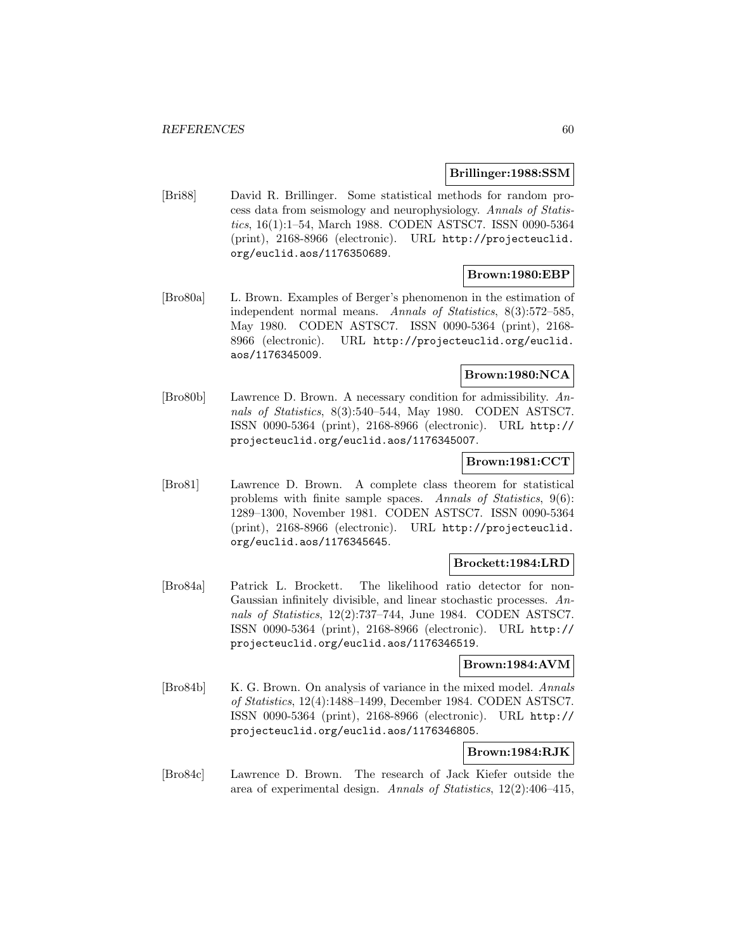#### **Brillinger:1988:SSM**

[Bri88] David R. Brillinger. Some statistical methods for random process data from seismology and neurophysiology. Annals of Statistics, 16(1):1–54, March 1988. CODEN ASTSC7. ISSN 0090-5364 (print), 2168-8966 (electronic). URL http://projecteuclid. org/euclid.aos/1176350689.

# **Brown:1980:EBP**

[Bro80a] L. Brown. Examples of Berger's phenomenon in the estimation of independent normal means. Annals of Statistics, 8(3):572–585, May 1980. CODEN ASTSC7. ISSN 0090-5364 (print), 2168- 8966 (electronic). URL http://projecteuclid.org/euclid. aos/1176345009.

# **Brown:1980:NCA**

[Bro80b] Lawrence D. Brown. A necessary condition for admissibility. Annals of Statistics, 8(3):540–544, May 1980. CODEN ASTSC7. ISSN 0090-5364 (print), 2168-8966 (electronic). URL http:// projecteuclid.org/euclid.aos/1176345007.

# **Brown:1981:CCT**

[Bro81] Lawrence D. Brown. A complete class theorem for statistical problems with finite sample spaces. Annals of Statistics, 9(6): 1289–1300, November 1981. CODEN ASTSC7. ISSN 0090-5364 (print), 2168-8966 (electronic). URL http://projecteuclid. org/euclid.aos/1176345645.

#### **Brockett:1984:LRD**

[Bro84a] Patrick L. Brockett. The likelihood ratio detector for non-Gaussian infinitely divisible, and linear stochastic processes. Annals of Statistics, 12(2):737–744, June 1984. CODEN ASTSC7. ISSN 0090-5364 (print), 2168-8966 (electronic). URL http:// projecteuclid.org/euclid.aos/1176346519.

# **Brown:1984:AVM**

[Bro84b] K. G. Brown. On analysis of variance in the mixed model. Annals of Statistics, 12(4):1488–1499, December 1984. CODEN ASTSC7. ISSN 0090-5364 (print), 2168-8966 (electronic). URL http:// projecteuclid.org/euclid.aos/1176346805.

# **Brown:1984:RJK**

[Bro84c] Lawrence D. Brown. The research of Jack Kiefer outside the area of experimental design. Annals of Statistics, 12(2):406–415,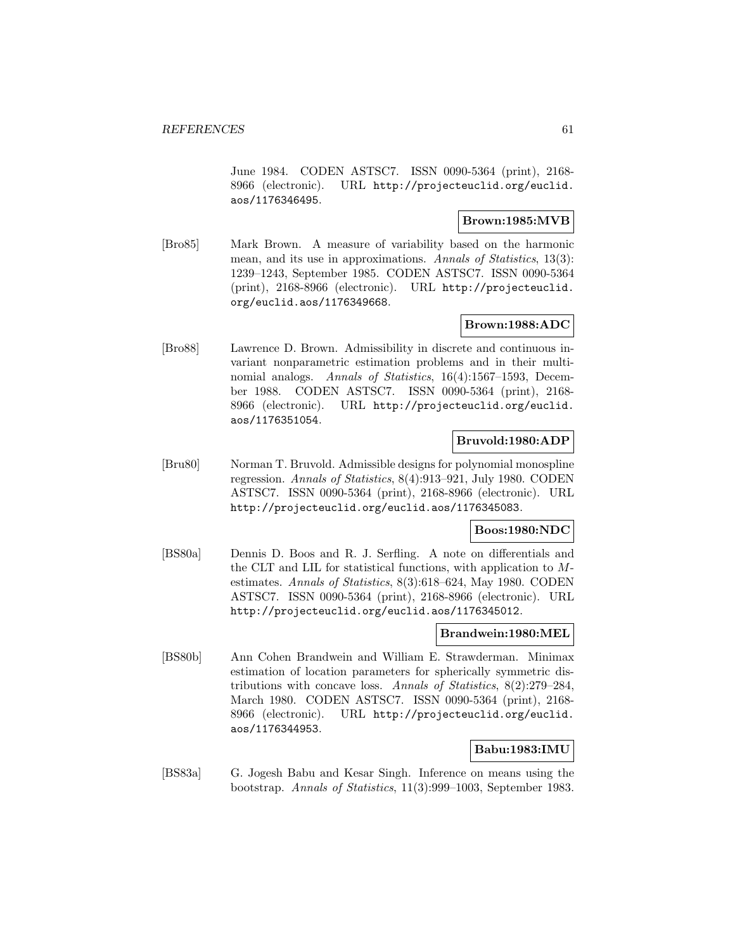June 1984. CODEN ASTSC7. ISSN 0090-5364 (print), 2168- 8966 (electronic). URL http://projecteuclid.org/euclid. aos/1176346495.

# **Brown:1985:MVB**

[Bro85] Mark Brown. A measure of variability based on the harmonic mean, and its use in approximations. Annals of Statistics, 13(3): 1239–1243, September 1985. CODEN ASTSC7. ISSN 0090-5364 (print), 2168-8966 (electronic). URL http://projecteuclid. org/euclid.aos/1176349668.

# **Brown:1988:ADC**

[Bro88] Lawrence D. Brown. Admissibility in discrete and continuous invariant nonparametric estimation problems and in their multinomial analogs. Annals of Statistics, 16(4):1567-1593, December 1988. CODEN ASTSC7. ISSN 0090-5364 (print), 2168- 8966 (electronic). URL http://projecteuclid.org/euclid. aos/1176351054.

# **Bruvold:1980:ADP**

[Bru80] Norman T. Bruvold. Admissible designs for polynomial monospline regression. Annals of Statistics, 8(4):913–921, July 1980. CODEN ASTSC7. ISSN 0090-5364 (print), 2168-8966 (electronic). URL http://projecteuclid.org/euclid.aos/1176345083.

# **Boos:1980:NDC**

[BS80a] Dennis D. Boos and R. J. Serfling. A note on differentials and the CLT and LIL for statistical functions, with application to Mestimates. Annals of Statistics, 8(3):618–624, May 1980. CODEN ASTSC7. ISSN 0090-5364 (print), 2168-8966 (electronic). URL http://projecteuclid.org/euclid.aos/1176345012.

# **Brandwein:1980:MEL**

[BS80b] Ann Cohen Brandwein and William E. Strawderman. Minimax estimation of location parameters for spherically symmetric distributions with concave loss. Annals of Statistics, 8(2):279–284, March 1980. CODEN ASTSC7. ISSN 0090-5364 (print), 2168- 8966 (electronic). URL http://projecteuclid.org/euclid. aos/1176344953.

# **Babu:1983:IMU**

[BS83a] G. Jogesh Babu and Kesar Singh. Inference on means using the bootstrap. Annals of Statistics, 11(3):999–1003, September 1983.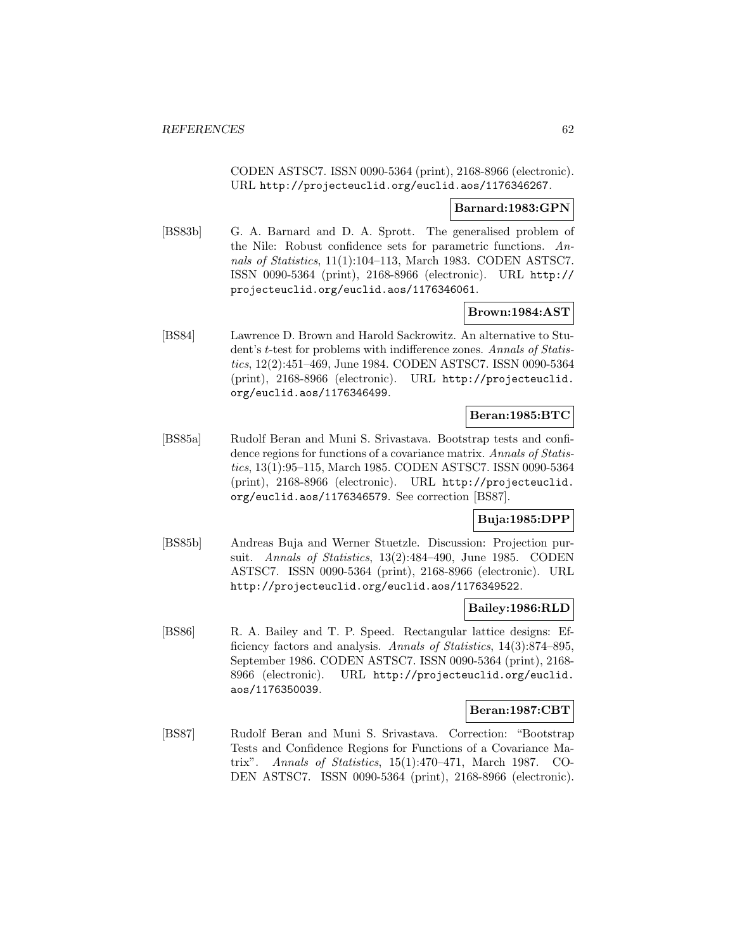CODEN ASTSC7. ISSN 0090-5364 (print), 2168-8966 (electronic). URL http://projecteuclid.org/euclid.aos/1176346267.

#### **Barnard:1983:GPN**

[BS83b] G. A. Barnard and D. A. Sprott. The generalised problem of the Nile: Robust confidence sets for parametric functions. Annals of Statistics, 11(1):104–113, March 1983. CODEN ASTSC7. ISSN 0090-5364 (print), 2168-8966 (electronic). URL http:// projecteuclid.org/euclid.aos/1176346061.

# **Brown:1984:AST**

[BS84] Lawrence D. Brown and Harold Sackrowitz. An alternative to Student's t-test for problems with indifference zones. Annals of Statistics, 12(2):451–469, June 1984. CODEN ASTSC7. ISSN 0090-5364 (print), 2168-8966 (electronic). URL http://projecteuclid. org/euclid.aos/1176346499.

# **Beran:1985:BTC**

[BS85a] Rudolf Beran and Muni S. Srivastava. Bootstrap tests and confidence regions for functions of a covariance matrix. Annals of Statistics, 13(1):95–115, March 1985. CODEN ASTSC7. ISSN 0090-5364 (print), 2168-8966 (electronic). URL http://projecteuclid. org/euclid.aos/1176346579. See correction [BS87].

# **Buja:1985:DPP**

[BS85b] Andreas Buja and Werner Stuetzle. Discussion: Projection pursuit. *Annals of Statistics*, 13(2):484–490, June 1985. CODEN ASTSC7. ISSN 0090-5364 (print), 2168-8966 (electronic). URL http://projecteuclid.org/euclid.aos/1176349522.

# **Bailey:1986:RLD**

[BS86] R. A. Bailey and T. P. Speed. Rectangular lattice designs: Efficiency factors and analysis. Annals of Statistics, 14(3):874–895, September 1986. CODEN ASTSC7. ISSN 0090-5364 (print), 2168- 8966 (electronic). URL http://projecteuclid.org/euclid. aos/1176350039.

# **Beran:1987:CBT**

[BS87] Rudolf Beran and Muni S. Srivastava. Correction: "Bootstrap Tests and Confidence Regions for Functions of a Covariance Matrix". Annals of Statistics, 15(1):470–471, March 1987. CO-DEN ASTSC7. ISSN 0090-5364 (print), 2168-8966 (electronic).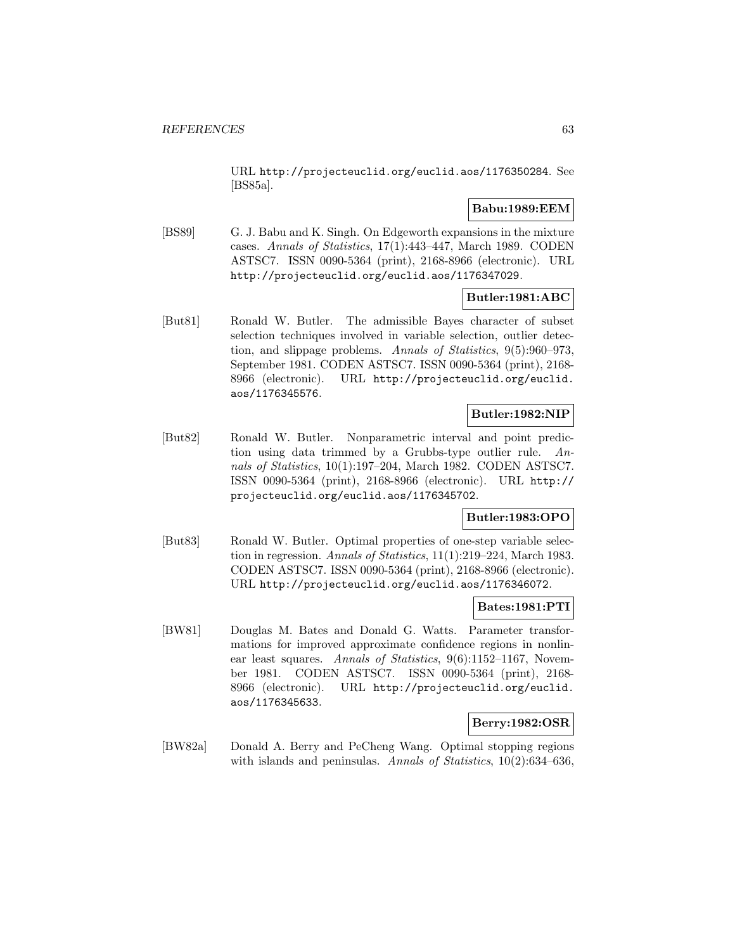URL http://projecteuclid.org/euclid.aos/1176350284. See [BS85a].

# **Babu:1989:EEM**

[BS89] G. J. Babu and K. Singh. On Edgeworth expansions in the mixture cases. Annals of Statistics, 17(1):443–447, March 1989. CODEN ASTSC7. ISSN 0090-5364 (print), 2168-8966 (electronic). URL http://projecteuclid.org/euclid.aos/1176347029.

# **Butler:1981:ABC**

[But81] Ronald W. Butler. The admissible Bayes character of subset selection techniques involved in variable selection, outlier detection, and slippage problems. Annals of Statistics, 9(5):960–973, September 1981. CODEN ASTSC7. ISSN 0090-5364 (print), 2168- 8966 (electronic). URL http://projecteuclid.org/euclid. aos/1176345576.

# **Butler:1982:NIP**

[But82] Ronald W. Butler. Nonparametric interval and point prediction using data trimmed by a Grubbs-type outlier rule. Annals of Statistics, 10(1):197–204, March 1982. CODEN ASTSC7. ISSN 0090-5364 (print), 2168-8966 (electronic). URL http:// projecteuclid.org/euclid.aos/1176345702.

# **Butler:1983:OPO**

[But83] Ronald W. Butler. Optimal properties of one-step variable selection in regression. Annals of Statistics, 11(1):219–224, March 1983. CODEN ASTSC7. ISSN 0090-5364 (print), 2168-8966 (electronic). URL http://projecteuclid.org/euclid.aos/1176346072.

# **Bates:1981:PTI**

[BW81] Douglas M. Bates and Donald G. Watts. Parameter transformations for improved approximate confidence regions in nonlinear least squares. Annals of Statistics, 9(6):1152-1167, November 1981. CODEN ASTSC7. ISSN 0090-5364 (print), 2168- 8966 (electronic). URL http://projecteuclid.org/euclid. aos/1176345633.

# **Berry:1982:OSR**

[BW82a] Donald A. Berry and PeCheng Wang. Optimal stopping regions with islands and peninsulas. Annals of Statistics, 10(2):634–636,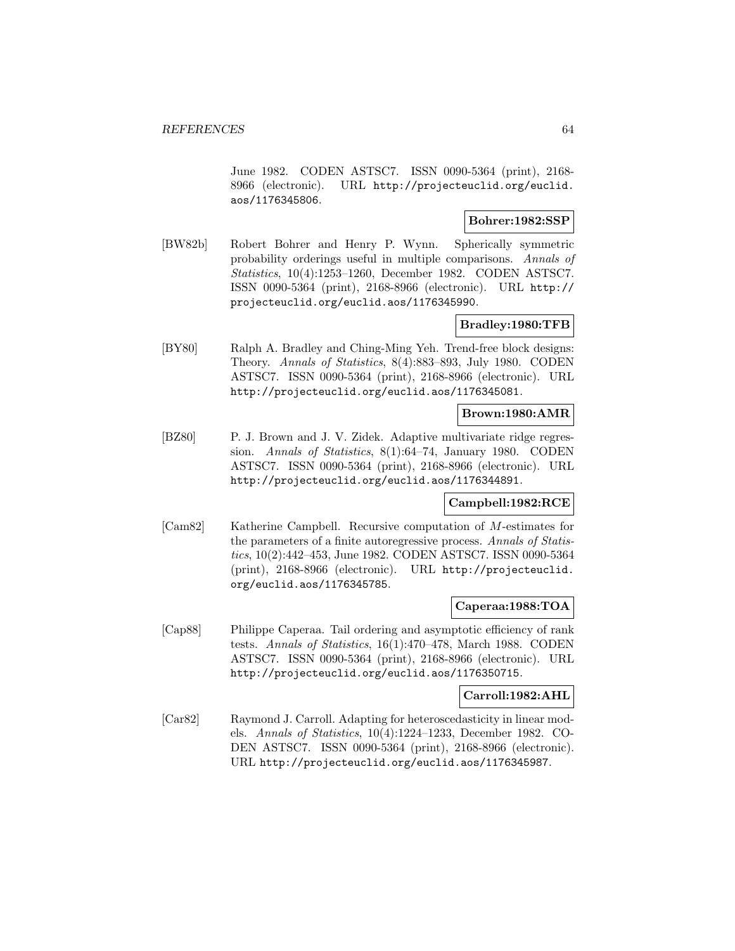June 1982. CODEN ASTSC7. ISSN 0090-5364 (print), 2168- 8966 (electronic). URL http://projecteuclid.org/euclid. aos/1176345806.

# **Bohrer:1982:SSP**

[BW82b] Robert Bohrer and Henry P. Wynn. Spherically symmetric probability orderings useful in multiple comparisons. Annals of Statistics, 10(4):1253–1260, December 1982. CODEN ASTSC7. ISSN 0090-5364 (print), 2168-8966 (electronic). URL http:// projecteuclid.org/euclid.aos/1176345990.

# **Bradley:1980:TFB**

[BY80] Ralph A. Bradley and Ching-Ming Yeh. Trend-free block designs: Theory. Annals of Statistics, 8(4):883–893, July 1980. CODEN ASTSC7. ISSN 0090-5364 (print), 2168-8966 (electronic). URL http://projecteuclid.org/euclid.aos/1176345081.

# **Brown:1980:AMR**

[BZ80] P. J. Brown and J. V. Zidek. Adaptive multivariate ridge regression. Annals of Statistics, 8(1):64–74, January 1980. CODEN ASTSC7. ISSN 0090-5364 (print), 2168-8966 (electronic). URL http://projecteuclid.org/euclid.aos/1176344891.

# **Campbell:1982:RCE**

[Cam82] Katherine Campbell. Recursive computation of M-estimates for the parameters of a finite autoregressive process. Annals of Statistics, 10(2):442–453, June 1982. CODEN ASTSC7. ISSN 0090-5364 (print), 2168-8966 (electronic). URL http://projecteuclid. org/euclid.aos/1176345785.

# **Caperaa:1988:TOA**

[Cap88] Philippe Caperaa. Tail ordering and asymptotic efficiency of rank tests. Annals of Statistics, 16(1):470–478, March 1988. CODEN ASTSC7. ISSN 0090-5364 (print), 2168-8966 (electronic). URL http://projecteuclid.org/euclid.aos/1176350715.

### **Carroll:1982:AHL**

[Car82] Raymond J. Carroll. Adapting for heteroscedasticity in linear models. Annals of Statistics, 10(4):1224–1233, December 1982. CO-DEN ASTSC7. ISSN 0090-5364 (print), 2168-8966 (electronic). URL http://projecteuclid.org/euclid.aos/1176345987.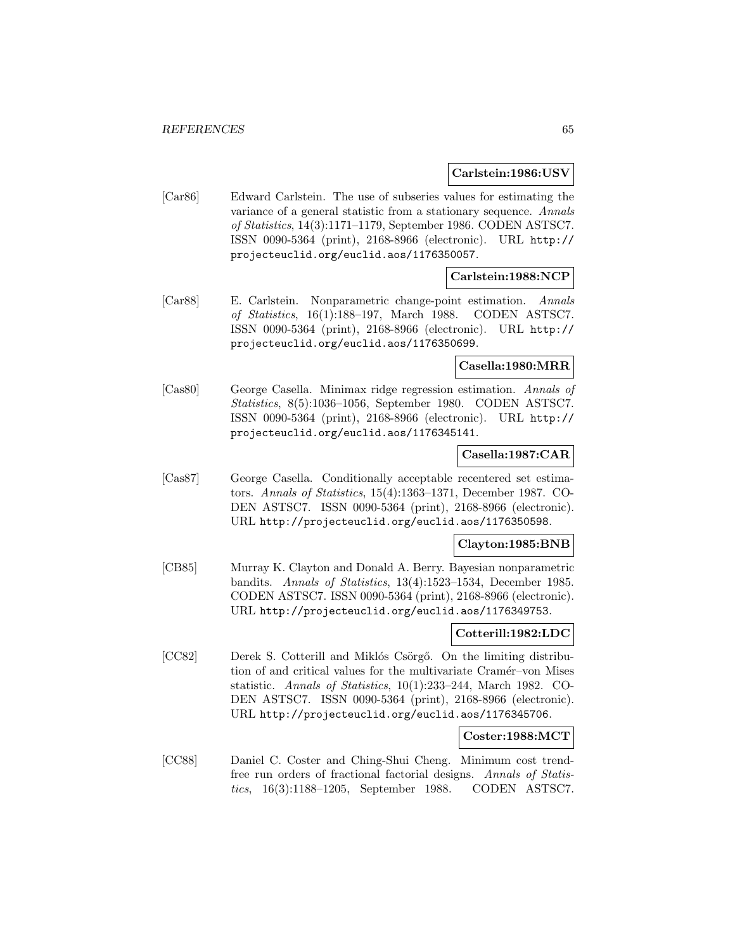#### **Carlstein:1986:USV**

[Car86] Edward Carlstein. The use of subseries values for estimating the variance of a general statistic from a stationary sequence. Annals of Statistics, 14(3):1171–1179, September 1986. CODEN ASTSC7. ISSN 0090-5364 (print), 2168-8966 (electronic). URL http:// projecteuclid.org/euclid.aos/1176350057.

# **Carlstein:1988:NCP**

[Car88] E. Carlstein. Nonparametric change-point estimation. Annals of Statistics, 16(1):188–197, March 1988. CODEN ASTSC7. ISSN 0090-5364 (print), 2168-8966 (electronic). URL http:// projecteuclid.org/euclid.aos/1176350699.

# **Casella:1980:MRR**

[Cas80] George Casella. Minimax ridge regression estimation. Annals of Statistics, 8(5):1036–1056, September 1980. CODEN ASTSC7. ISSN 0090-5364 (print), 2168-8966 (electronic). URL http:// projecteuclid.org/euclid.aos/1176345141.

#### **Casella:1987:CAR**

[Cas87] George Casella. Conditionally acceptable recentered set estimators. Annals of Statistics, 15(4):1363–1371, December 1987. CO-DEN ASTSC7. ISSN 0090-5364 (print), 2168-8966 (electronic). URL http://projecteuclid.org/euclid.aos/1176350598.

# **Clayton:1985:BNB**

[CB85] Murray K. Clayton and Donald A. Berry. Bayesian nonparametric bandits. Annals of Statistics, 13(4):1523–1534, December 1985. CODEN ASTSC7. ISSN 0090-5364 (print), 2168-8966 (electronic). URL http://projecteuclid.org/euclid.aos/1176349753.

# **Cotterill:1982:LDC**

[CC82] Derek S. Cotterill and Miklós Csörgő. On the limiting distribution of and critical values for the multivariate Cramér–von Mises statistic. Annals of Statistics, 10(1):233–244, March 1982. CO-DEN ASTSC7. ISSN 0090-5364 (print), 2168-8966 (electronic). URL http://projecteuclid.org/euclid.aos/1176345706.

# **Coster:1988:MCT**

[CC88] Daniel C. Coster and Ching-Shui Cheng. Minimum cost trendfree run orders of fractional factorial designs. Annals of Statistics, 16(3):1188–1205, September 1988. CODEN ASTSC7.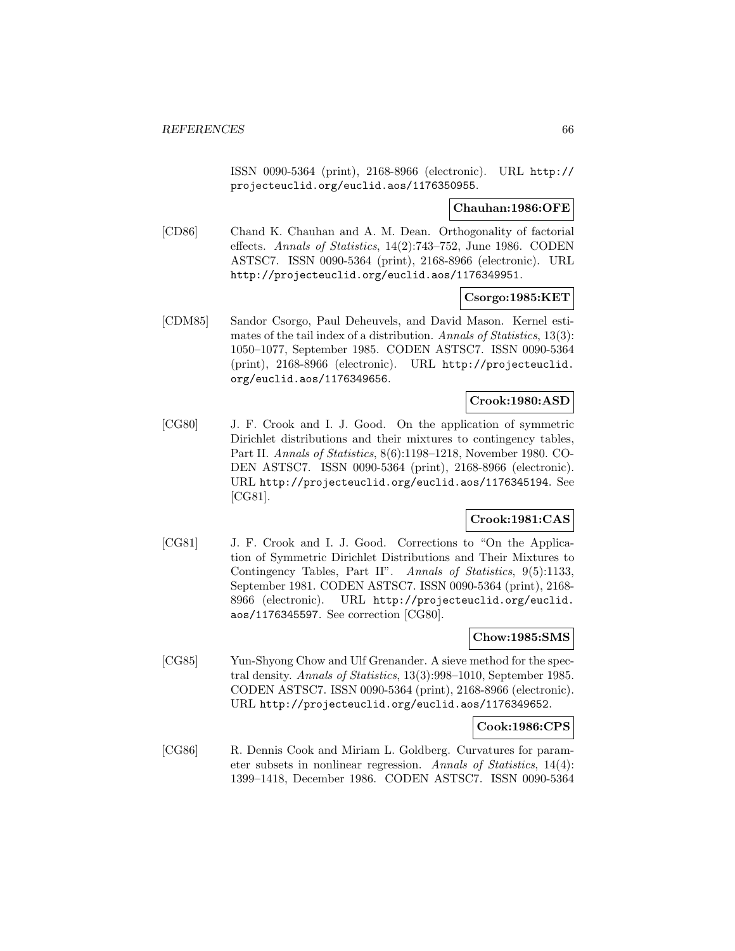ISSN 0090-5364 (print), 2168-8966 (electronic). URL http:// projecteuclid.org/euclid.aos/1176350955.

### **Chauhan:1986:OFE**

[CD86] Chand K. Chauhan and A. M. Dean. Orthogonality of factorial effects. Annals of Statistics, 14(2):743–752, June 1986. CODEN ASTSC7. ISSN 0090-5364 (print), 2168-8966 (electronic). URL http://projecteuclid.org/euclid.aos/1176349951.

**Csorgo:1985:KET**

[CDM85] Sandor Csorgo, Paul Deheuvels, and David Mason. Kernel estimates of the tail index of a distribution. Annals of Statistics, 13(3): 1050–1077, September 1985. CODEN ASTSC7. ISSN 0090-5364 (print), 2168-8966 (electronic). URL http://projecteuclid. org/euclid.aos/1176349656.

# **Crook:1980:ASD**

[CG80] J. F. Crook and I. J. Good. On the application of symmetric Dirichlet distributions and their mixtures to contingency tables, Part II. Annals of Statistics, 8(6):1198–1218, November 1980. CO-DEN ASTSC7. ISSN 0090-5364 (print), 2168-8966 (electronic). URL http://projecteuclid.org/euclid.aos/1176345194. See [CG81].

# **Crook:1981:CAS**

[CG81] J. F. Crook and I. J. Good. Corrections to "On the Application of Symmetric Dirichlet Distributions and Their Mixtures to Contingency Tables, Part II". Annals of Statistics, 9(5):1133, September 1981. CODEN ASTSC7. ISSN 0090-5364 (print), 2168- 8966 (electronic). URL http://projecteuclid.org/euclid. aos/1176345597. See correction [CG80].

# **Chow:1985:SMS**

[CG85] Yun-Shyong Chow and Ulf Grenander. A sieve method for the spectral density. Annals of Statistics, 13(3):998–1010, September 1985. CODEN ASTSC7. ISSN 0090-5364 (print), 2168-8966 (electronic). URL http://projecteuclid.org/euclid.aos/1176349652.

# **Cook:1986:CPS**

[CG86] R. Dennis Cook and Miriam L. Goldberg. Curvatures for parameter subsets in nonlinear regression. Annals of Statistics, 14(4): 1399–1418, December 1986. CODEN ASTSC7. ISSN 0090-5364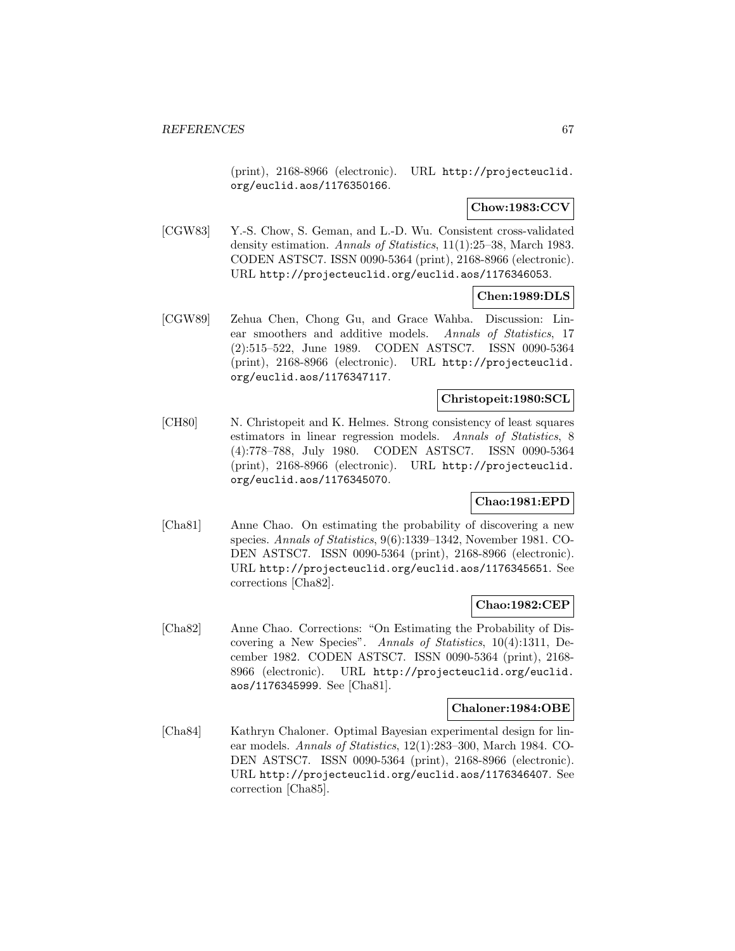(print), 2168-8966 (electronic). URL http://projecteuclid. org/euclid.aos/1176350166.

# **Chow:1983:CCV**

[CGW83] Y.-S. Chow, S. Geman, and L.-D. Wu. Consistent cross-validated density estimation. Annals of Statistics, 11(1):25–38, March 1983. CODEN ASTSC7. ISSN 0090-5364 (print), 2168-8966 (electronic). URL http://projecteuclid.org/euclid.aos/1176346053.

# **Chen:1989:DLS**

[CGW89] Zehua Chen, Chong Gu, and Grace Wahba. Discussion: Linear smoothers and additive models. Annals of Statistics, 17 (2):515–522, June 1989. CODEN ASTSC7. ISSN 0090-5364 (print), 2168-8966 (electronic). URL http://projecteuclid. org/euclid.aos/1176347117.

# **Christopeit:1980:SCL**

[CH80] N. Christopeit and K. Helmes. Strong consistency of least squares estimators in linear regression models. Annals of Statistics, 8 (4):778–788, July 1980. CODEN ASTSC7. ISSN 0090-5364 (print), 2168-8966 (electronic). URL http://projecteuclid. org/euclid.aos/1176345070.

# **Chao:1981:EPD**

[Cha81] Anne Chao. On estimating the probability of discovering a new species. Annals of Statistics, 9(6):1339–1342, November 1981. CO-DEN ASTSC7. ISSN 0090-5364 (print), 2168-8966 (electronic). URL http://projecteuclid.org/euclid.aos/1176345651. See corrections [Cha82].

# **Chao:1982:CEP**

[Cha82] Anne Chao. Corrections: "On Estimating the Probability of Discovering a New Species". Annals of Statistics, 10(4):1311, December 1982. CODEN ASTSC7. ISSN 0090-5364 (print), 2168- 8966 (electronic). URL http://projecteuclid.org/euclid. aos/1176345999. See [Cha81].

# **Chaloner:1984:OBE**

[Cha84] Kathryn Chaloner. Optimal Bayesian experimental design for linear models. Annals of Statistics, 12(1):283–300, March 1984. CO-DEN ASTSC7. ISSN 0090-5364 (print), 2168-8966 (electronic). URL http://projecteuclid.org/euclid.aos/1176346407. See correction [Cha85].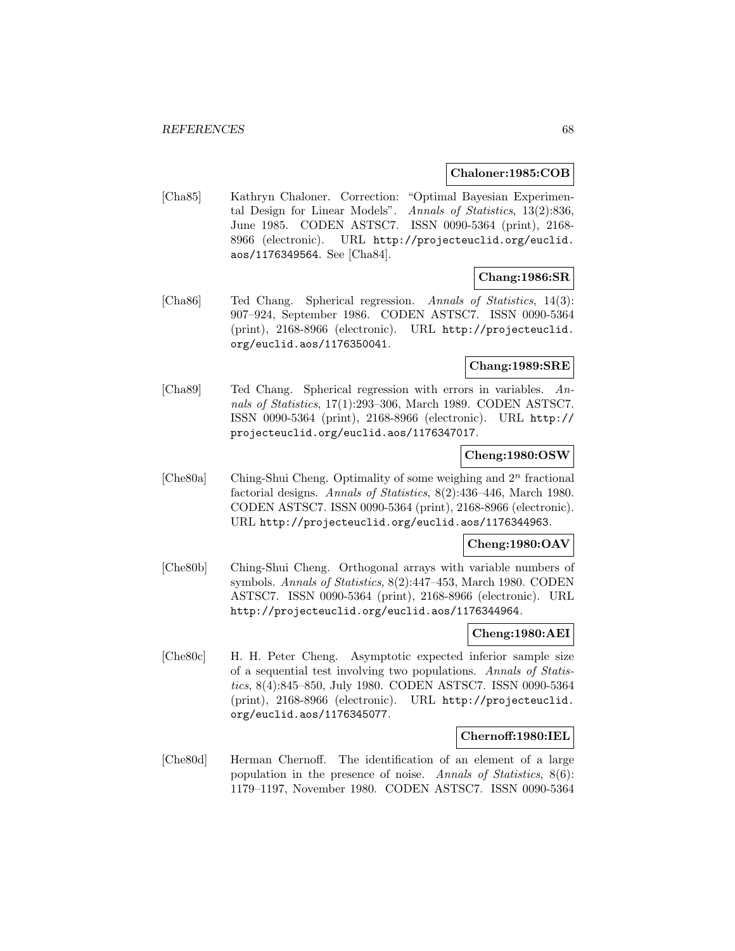#### **Chaloner:1985:COB**

[Cha85] Kathryn Chaloner. Correction: "Optimal Bayesian Experimental Design for Linear Models". Annals of Statistics, 13(2):836, June 1985. CODEN ASTSC7. ISSN 0090-5364 (print), 2168- 8966 (electronic). URL http://projecteuclid.org/euclid. aos/1176349564. See [Cha84].

# **Chang:1986:SR**

[Cha86] Ted Chang. Spherical regression. Annals of Statistics, 14(3): 907–924, September 1986. CODEN ASTSC7. ISSN 0090-5364 (print), 2168-8966 (electronic). URL http://projecteuclid. org/euclid.aos/1176350041.

# **Chang:1989:SRE**

[Cha89] Ted Chang. Spherical regression with errors in variables. Annals of Statistics, 17(1):293–306, March 1989. CODEN ASTSC7. ISSN 0090-5364 (print), 2168-8966 (electronic). URL http:// projecteuclid.org/euclid.aos/1176347017.

# **Cheng:1980:OSW**

[Che80a] Ching-Shui Cheng. Optimality of some weighing and 2<sup>n</sup> fractional factorial designs. Annals of Statistics, 8(2):436-446, March 1980. CODEN ASTSC7. ISSN 0090-5364 (print), 2168-8966 (electronic). URL http://projecteuclid.org/euclid.aos/1176344963.

# **Cheng:1980:OAV**

[Che80b] Ching-Shui Cheng. Orthogonal arrays with variable numbers of symbols. Annals of Statistics, 8(2):447–453, March 1980. CODEN ASTSC7. ISSN 0090-5364 (print), 2168-8966 (electronic). URL http://projecteuclid.org/euclid.aos/1176344964.

# **Cheng:1980:AEI**

[Che80c] H. H. Peter Cheng. Asymptotic expected inferior sample size of a sequential test involving two populations. Annals of Statistics, 8(4):845–850, July 1980. CODEN ASTSC7. ISSN 0090-5364 (print), 2168-8966 (electronic). URL http://projecteuclid. org/euclid.aos/1176345077.

# **Chernoff:1980:IEL**

[Che80d] Herman Chernoff. The identification of an element of a large population in the presence of noise. Annals of Statistics, 8(6): 1179–1197, November 1980. CODEN ASTSC7. ISSN 0090-5364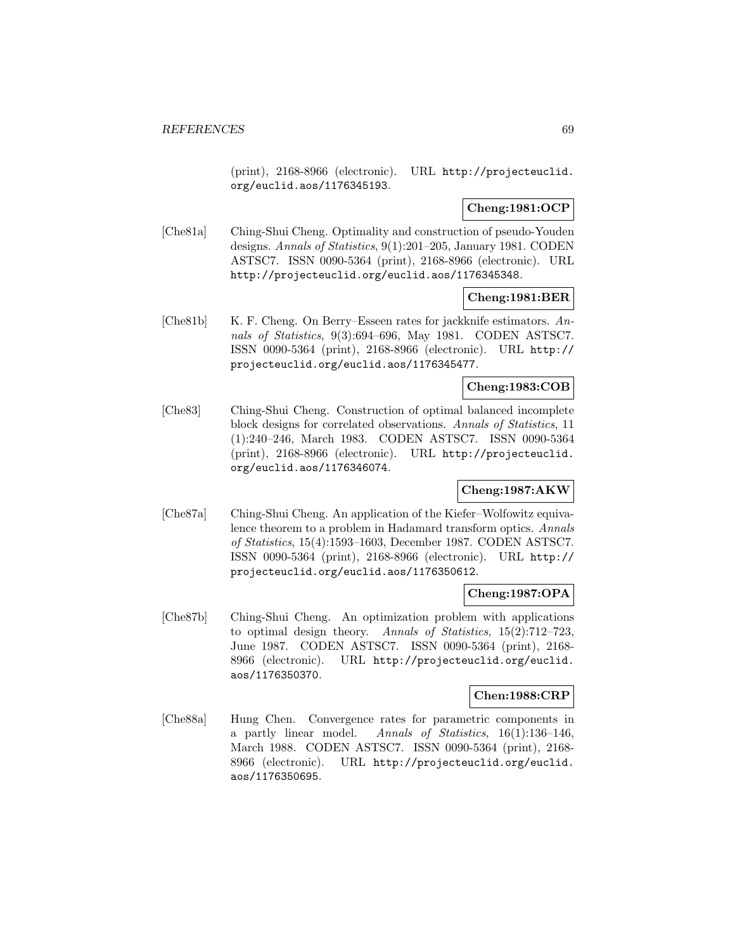(print), 2168-8966 (electronic). URL http://projecteuclid. org/euclid.aos/1176345193.

# **Cheng:1981:OCP**

[Che81a] Ching-Shui Cheng. Optimality and construction of pseudo-Youden designs. Annals of Statistics, 9(1):201–205, January 1981. CODEN ASTSC7. ISSN 0090-5364 (print), 2168-8966 (electronic). URL http://projecteuclid.org/euclid.aos/1176345348.

### **Cheng:1981:BER**

[Che81b] K. F. Cheng. On Berry–Esseen rates for jackknife estimators. Annals of Statistics, 9(3):694–696, May 1981. CODEN ASTSC7. ISSN 0090-5364 (print), 2168-8966 (electronic). URL http:// projecteuclid.org/euclid.aos/1176345477.

# **Cheng:1983:COB**

[Che83] Ching-Shui Cheng. Construction of optimal balanced incomplete block designs for correlated observations. Annals of Statistics, 11 (1):240–246, March 1983. CODEN ASTSC7. ISSN 0090-5364 (print), 2168-8966 (electronic). URL http://projecteuclid. org/euclid.aos/1176346074.

# **Cheng:1987:AKW**

[Che87a] Ching-Shui Cheng. An application of the Kiefer–Wolfowitz equivalence theorem to a problem in Hadamard transform optics. Annals of Statistics, 15(4):1593–1603, December 1987. CODEN ASTSC7. ISSN 0090-5364 (print), 2168-8966 (electronic). URL http:// projecteuclid.org/euclid.aos/1176350612.

# **Cheng:1987:OPA**

[Che87b] Ching-Shui Cheng. An optimization problem with applications to optimal design theory. Annals of Statistics, 15(2):712–723, June 1987. CODEN ASTSC7. ISSN 0090-5364 (print), 2168- 8966 (electronic). URL http://projecteuclid.org/euclid. aos/1176350370.

# **Chen:1988:CRP**

[Che88a] Hung Chen. Convergence rates for parametric components in a partly linear model. Annals of Statistics, 16(1):136–146, March 1988. CODEN ASTSC7. ISSN 0090-5364 (print), 2168- 8966 (electronic). URL http://projecteuclid.org/euclid. aos/1176350695.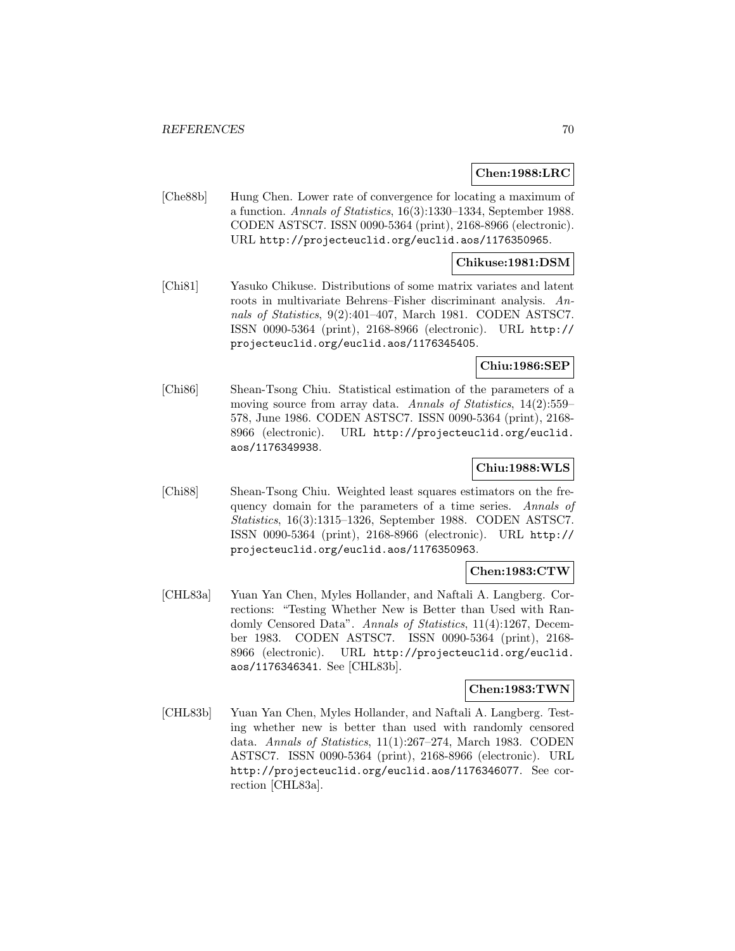### **Chen:1988:LRC**

[Che88b] Hung Chen. Lower rate of convergence for locating a maximum of a function. Annals of Statistics, 16(3):1330–1334, September 1988. CODEN ASTSC7. ISSN 0090-5364 (print), 2168-8966 (electronic). URL http://projecteuclid.org/euclid.aos/1176350965.

### **Chikuse:1981:DSM**

[Chi81] Yasuko Chikuse. Distributions of some matrix variates and latent roots in multivariate Behrens–Fisher discriminant analysis. Annals of Statistics, 9(2):401–407, March 1981. CODEN ASTSC7. ISSN 0090-5364 (print), 2168-8966 (electronic). URL http:// projecteuclid.org/euclid.aos/1176345405.

# **Chiu:1986:SEP**

[Chi86] Shean-Tsong Chiu. Statistical estimation of the parameters of a moving source from array data. Annals of Statistics, 14(2):559– 578, June 1986. CODEN ASTSC7. ISSN 0090-5364 (print), 2168- 8966 (electronic). URL http://projecteuclid.org/euclid. aos/1176349938.

# **Chiu:1988:WLS**

[Chi88] Shean-Tsong Chiu. Weighted least squares estimators on the frequency domain for the parameters of a time series. Annals of Statistics, 16(3):1315–1326, September 1988. CODEN ASTSC7. ISSN 0090-5364 (print), 2168-8966 (electronic). URL http:// projecteuclid.org/euclid.aos/1176350963.

# **Chen:1983:CTW**

[CHL83a] Yuan Yan Chen, Myles Hollander, and Naftali A. Langberg. Corrections: "Testing Whether New is Better than Used with Randomly Censored Data". Annals of Statistics, 11(4):1267, December 1983. CODEN ASTSC7. ISSN 0090-5364 (print), 2168- 8966 (electronic). URL http://projecteuclid.org/euclid. aos/1176346341. See [CHL83b].

# **Chen:1983:TWN**

[CHL83b] Yuan Yan Chen, Myles Hollander, and Naftali A. Langberg. Testing whether new is better than used with randomly censored data. Annals of Statistics, 11(1):267–274, March 1983. CODEN ASTSC7. ISSN 0090-5364 (print), 2168-8966 (electronic). URL http://projecteuclid.org/euclid.aos/1176346077. See correction [CHL83a].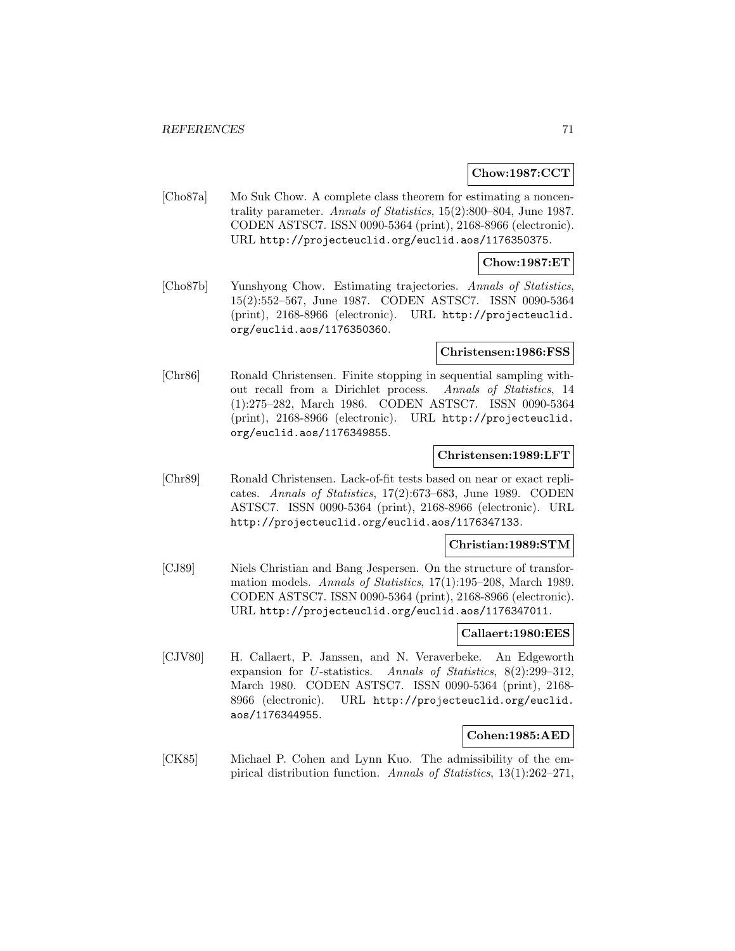### **Chow:1987:CCT**

[Cho87a] Mo Suk Chow. A complete class theorem for estimating a noncentrality parameter. Annals of Statistics, 15(2):800–804, June 1987. CODEN ASTSC7. ISSN 0090-5364 (print), 2168-8966 (electronic). URL http://projecteuclid.org/euclid.aos/1176350375.

#### **Chow:1987:ET**

[Cho87b] Yunshyong Chow. Estimating trajectories. Annals of Statistics, 15(2):552–567, June 1987. CODEN ASTSC7. ISSN 0090-5364 (print), 2168-8966 (electronic). URL http://projecteuclid. org/euclid.aos/1176350360.

#### **Christensen:1986:FSS**

[Chr86] Ronald Christensen. Finite stopping in sequential sampling without recall from a Dirichlet process. Annals of Statistics, 14 (1):275–282, March 1986. CODEN ASTSC7. ISSN 0090-5364 (print), 2168-8966 (electronic). URL http://projecteuclid. org/euclid.aos/1176349855.

# **Christensen:1989:LFT**

[Chr89] Ronald Christensen. Lack-of-fit tests based on near or exact replicates. Annals of Statistics, 17(2):673–683, June 1989. CODEN ASTSC7. ISSN 0090-5364 (print), 2168-8966 (electronic). URL http://projecteuclid.org/euclid.aos/1176347133.

#### **Christian:1989:STM**

[CJ89] Niels Christian and Bang Jespersen. On the structure of transformation models. Annals of Statistics, 17(1):195–208, March 1989. CODEN ASTSC7. ISSN 0090-5364 (print), 2168-8966 (electronic). URL http://projecteuclid.org/euclid.aos/1176347011.

### **Callaert:1980:EES**

[CJV80] H. Callaert, P. Janssen, and N. Veraverbeke. An Edgeworth expansion for U-statistics. Annals of Statistics, 8(2):299–312, March 1980. CODEN ASTSC7. ISSN 0090-5364 (print), 2168- 8966 (electronic). URL http://projecteuclid.org/euclid. aos/1176344955.

#### **Cohen:1985:AED**

[CK85] Michael P. Cohen and Lynn Kuo. The admissibility of the empirical distribution function. Annals of Statistics, 13(1):262–271,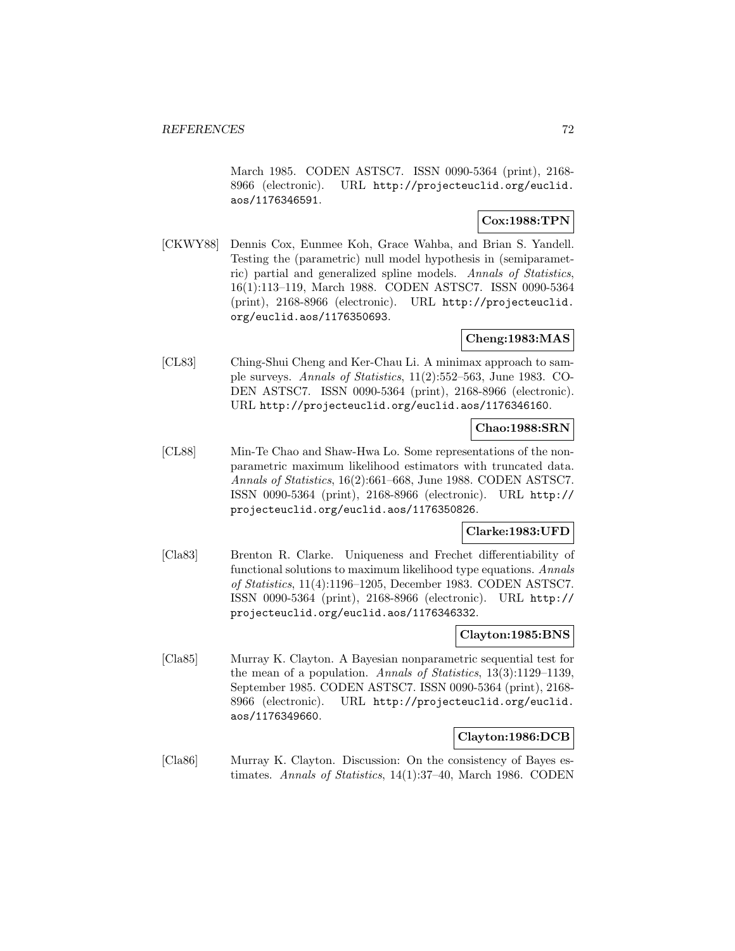March 1985. CODEN ASTSC7. ISSN 0090-5364 (print), 2168- 8966 (electronic). URL http://projecteuclid.org/euclid. aos/1176346591.

# **Cox:1988:TPN**

[CKWY88] Dennis Cox, Eunmee Koh, Grace Wahba, and Brian S. Yandell. Testing the (parametric) null model hypothesis in (semiparametric) partial and generalized spline models. Annals of Statistics, 16(1):113–119, March 1988. CODEN ASTSC7. ISSN 0090-5364 (print), 2168-8966 (electronic). URL http://projecteuclid. org/euclid.aos/1176350693.

# **Cheng:1983:MAS**

[CL83] Ching-Shui Cheng and Ker-Chau Li. A minimax approach to sample surveys. Annals of Statistics, 11(2):552–563, June 1983. CO-DEN ASTSC7. ISSN 0090-5364 (print), 2168-8966 (electronic). URL http://projecteuclid.org/euclid.aos/1176346160.

# **Chao:1988:SRN**

[CL88] Min-Te Chao and Shaw-Hwa Lo. Some representations of the nonparametric maximum likelihood estimators with truncated data. Annals of Statistics, 16(2):661–668, June 1988. CODEN ASTSC7. ISSN 0090-5364 (print), 2168-8966 (electronic). URL http:// projecteuclid.org/euclid.aos/1176350826.

# **Clarke:1983:UFD**

[Cla83] Brenton R. Clarke. Uniqueness and Frechet differentiability of functional solutions to maximum likelihood type equations. Annals of Statistics, 11(4):1196–1205, December 1983. CODEN ASTSC7. ISSN 0090-5364 (print), 2168-8966 (electronic). URL http:// projecteuclid.org/euclid.aos/1176346332.

#### **Clayton:1985:BNS**

[Cla85] Murray K. Clayton. A Bayesian nonparametric sequential test for the mean of a population. Annals of Statistics, 13(3):1129–1139, September 1985. CODEN ASTSC7. ISSN 0090-5364 (print), 2168- 8966 (electronic). URL http://projecteuclid.org/euclid. aos/1176349660.

# **Clayton:1986:DCB**

[Cla86] Murray K. Clayton. Discussion: On the consistency of Bayes estimates. Annals of Statistics, 14(1):37–40, March 1986. CODEN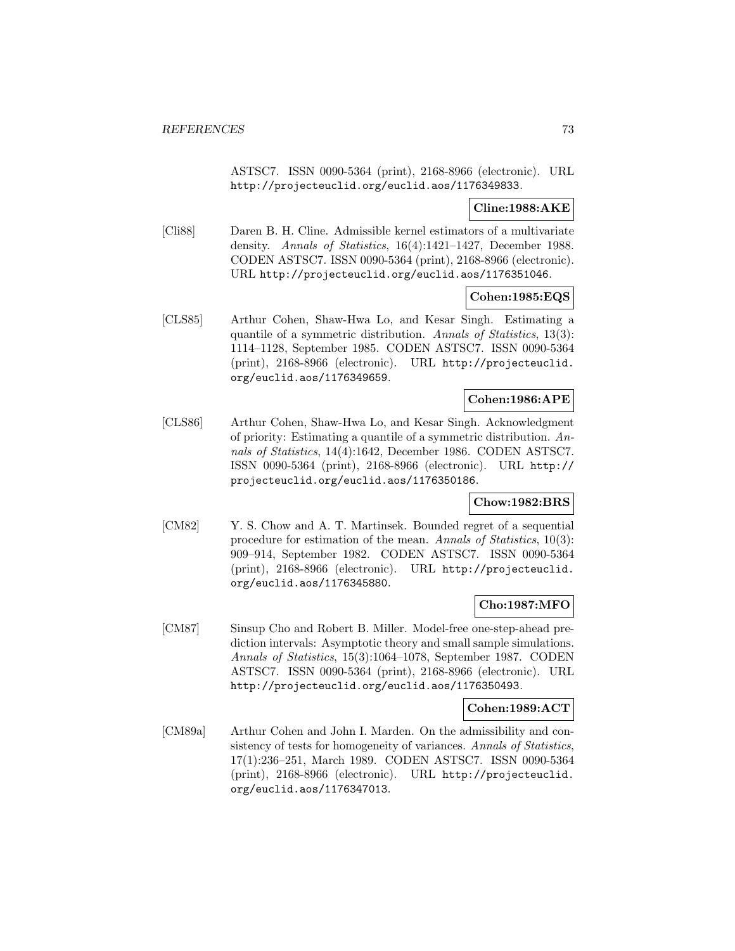ASTSC7. ISSN 0090-5364 (print), 2168-8966 (electronic). URL http://projecteuclid.org/euclid.aos/1176349833.

# **Cline:1988:AKE**

[Cli88] Daren B. H. Cline. Admissible kernel estimators of a multivariate density. Annals of Statistics, 16(4):1421–1427, December 1988. CODEN ASTSC7. ISSN 0090-5364 (print), 2168-8966 (electronic). URL http://projecteuclid.org/euclid.aos/1176351046.

### **Cohen:1985:EQS**

[CLS85] Arthur Cohen, Shaw-Hwa Lo, and Kesar Singh. Estimating a quantile of a symmetric distribution. Annals of Statistics, 13(3): 1114–1128, September 1985. CODEN ASTSC7. ISSN 0090-5364 (print), 2168-8966 (electronic). URL http://projecteuclid. org/euclid.aos/1176349659.

## **Cohen:1986:APE**

[CLS86] Arthur Cohen, Shaw-Hwa Lo, and Kesar Singh. Acknowledgment of priority: Estimating a quantile of a symmetric distribution. Annals of Statistics, 14(4):1642, December 1986. CODEN ASTSC7. ISSN 0090-5364 (print), 2168-8966 (electronic). URL http:// projecteuclid.org/euclid.aos/1176350186.

## **Chow:1982:BRS**

[CM82] Y. S. Chow and A. T. Martinsek. Bounded regret of a sequential procedure for estimation of the mean. Annals of Statistics, 10(3): 909–914, September 1982. CODEN ASTSC7. ISSN 0090-5364 (print), 2168-8966 (electronic). URL http://projecteuclid. org/euclid.aos/1176345880.

### **Cho:1987:MFO**

[CM87] Sinsup Cho and Robert B. Miller. Model-free one-step-ahead prediction intervals: Asymptotic theory and small sample simulations. Annals of Statistics, 15(3):1064–1078, September 1987. CODEN ASTSC7. ISSN 0090-5364 (print), 2168-8966 (electronic). URL http://projecteuclid.org/euclid.aos/1176350493.

### **Cohen:1989:ACT**

[CM89a] Arthur Cohen and John I. Marden. On the admissibility and consistency of tests for homogeneity of variances. Annals of Statistics, 17(1):236–251, March 1989. CODEN ASTSC7. ISSN 0090-5364 (print), 2168-8966 (electronic). URL http://projecteuclid. org/euclid.aos/1176347013.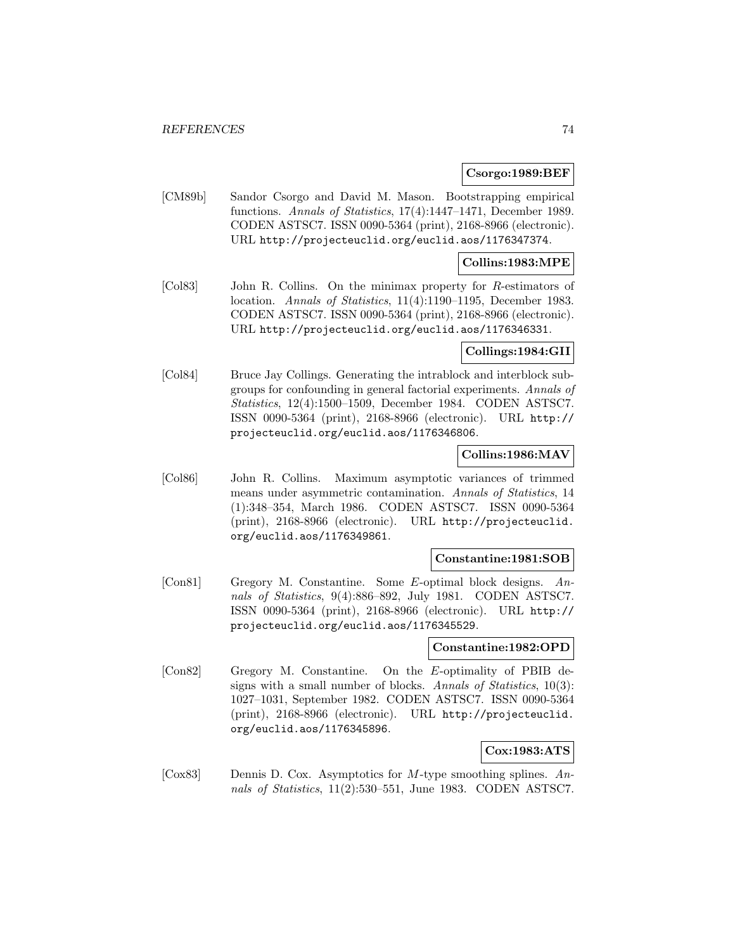#### **Csorgo:1989:BEF**

[CM89b] Sandor Csorgo and David M. Mason. Bootstrapping empirical functions. Annals of Statistics, 17(4):1447–1471, December 1989. CODEN ASTSC7. ISSN 0090-5364 (print), 2168-8966 (electronic). URL http://projecteuclid.org/euclid.aos/1176347374.

#### **Collins:1983:MPE**

[Col83] John R. Collins. On the minimax property for R-estimators of location. Annals of Statistics, 11(4):1190–1195, December 1983. CODEN ASTSC7. ISSN 0090-5364 (print), 2168-8966 (electronic). URL http://projecteuclid.org/euclid.aos/1176346331.

### **Collings:1984:GII**

[Col84] Bruce Jay Collings. Generating the intrablock and interblock subgroups for confounding in general factorial experiments. Annals of Statistics, 12(4):1500–1509, December 1984. CODEN ASTSC7. ISSN 0090-5364 (print), 2168-8966 (electronic). URL http:// projecteuclid.org/euclid.aos/1176346806.

### **Collins:1986:MAV**

[Col86] John R. Collins. Maximum asymptotic variances of trimmed means under asymmetric contamination. Annals of Statistics, 14 (1):348–354, March 1986. CODEN ASTSC7. ISSN 0090-5364 (print), 2168-8966 (electronic). URL http://projecteuclid. org/euclid.aos/1176349861.

#### **Constantine:1981:SOB**

[Con81] Gregory M. Constantine. Some E-optimal block designs. Annals of Statistics, 9(4):886–892, July 1981. CODEN ASTSC7. ISSN 0090-5364 (print), 2168-8966 (electronic). URL http:// projecteuclid.org/euclid.aos/1176345529.

#### **Constantine:1982:OPD**

[Con82] Gregory M. Constantine. On the E-optimality of PBIB designs with a small number of blocks. Annals of Statistics, 10(3): 1027–1031, September 1982. CODEN ASTSC7. ISSN 0090-5364 (print), 2168-8966 (electronic). URL http://projecteuclid. org/euclid.aos/1176345896.

# **Cox:1983:ATS**

[ $\text{Cox}83$ ] Dennis D. Cox. Asymptotics for M-type smoothing splines. Annals of Statistics, 11(2):530–551, June 1983. CODEN ASTSC7.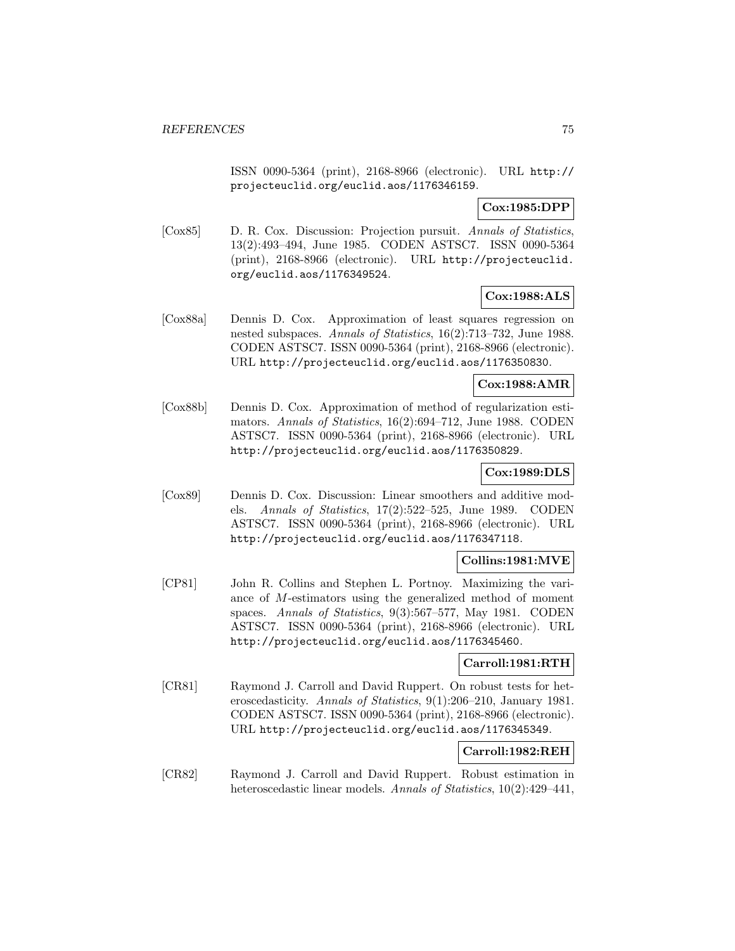ISSN 0090-5364 (print), 2168-8966 (electronic). URL http:// projecteuclid.org/euclid.aos/1176346159.

# **Cox:1985:DPP**

[Cox85] D. R. Cox. Discussion: Projection pursuit. Annals of Statistics, 13(2):493–494, June 1985. CODEN ASTSC7. ISSN 0090-5364 (print), 2168-8966 (electronic). URL http://projecteuclid. org/euclid.aos/1176349524.

## **Cox:1988:ALS**

[Cox88a] Dennis D. Cox. Approximation of least squares regression on nested subspaces. Annals of Statistics, 16(2):713–732, June 1988. CODEN ASTSC7. ISSN 0090-5364 (print), 2168-8966 (electronic). URL http://projecteuclid.org/euclid.aos/1176350830.

#### **Cox:1988:AMR**

[Cox88b] Dennis D. Cox. Approximation of method of regularization estimators. Annals of Statistics, 16(2):694–712, June 1988. CODEN ASTSC7. ISSN 0090-5364 (print), 2168-8966 (electronic). URL http://projecteuclid.org/euclid.aos/1176350829.

# **Cox:1989:DLS**

[Cox89] Dennis D. Cox. Discussion: Linear smoothers and additive models. Annals of Statistics, 17(2):522–525, June 1989. CODEN ASTSC7. ISSN 0090-5364 (print), 2168-8966 (electronic). URL http://projecteuclid.org/euclid.aos/1176347118.

# **Collins:1981:MVE**

[CP81] John R. Collins and Stephen L. Portnoy. Maximizing the variance of M-estimators using the generalized method of moment spaces. Annals of Statistics, 9(3):567–577, May 1981. CODEN ASTSC7. ISSN 0090-5364 (print), 2168-8966 (electronic). URL http://projecteuclid.org/euclid.aos/1176345460.

### **Carroll:1981:RTH**

[CR81] Raymond J. Carroll and David Ruppert. On robust tests for heteroscedasticity. Annals of Statistics, 9(1):206–210, January 1981. CODEN ASTSC7. ISSN 0090-5364 (print), 2168-8966 (electronic). URL http://projecteuclid.org/euclid.aos/1176345349.

### **Carroll:1982:REH**

[CR82] Raymond J. Carroll and David Ruppert. Robust estimation in heteroscedastic linear models. Annals of Statistics, 10(2):429–441,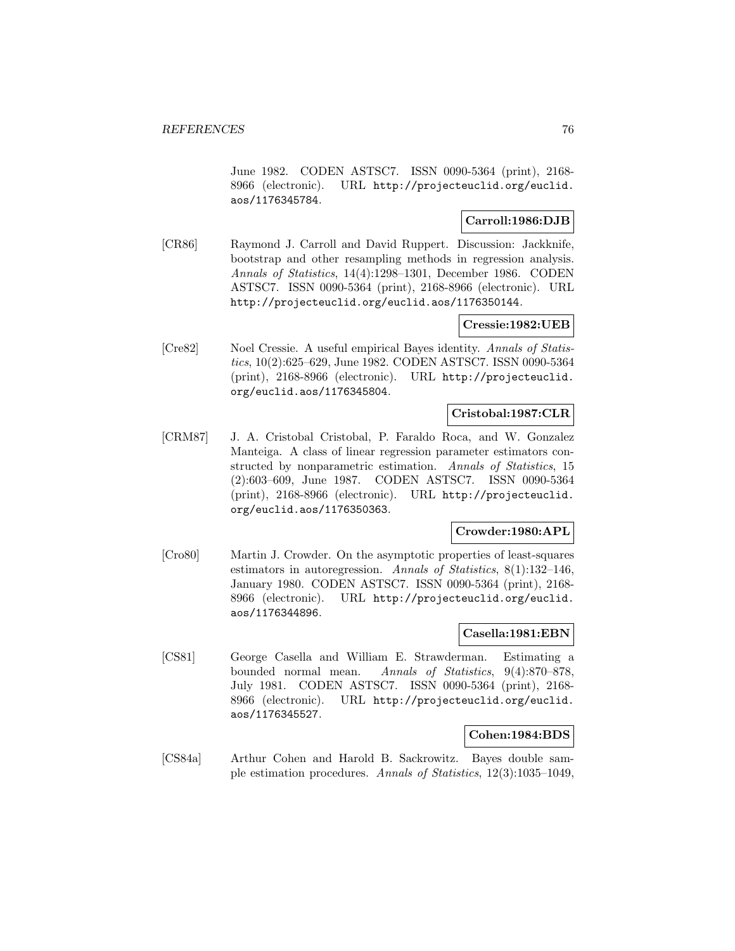June 1982. CODEN ASTSC7. ISSN 0090-5364 (print), 2168- 8966 (electronic). URL http://projecteuclid.org/euclid. aos/1176345784.

## **Carroll:1986:DJB**

[CR86] Raymond J. Carroll and David Ruppert. Discussion: Jackknife, bootstrap and other resampling methods in regression analysis. Annals of Statistics, 14(4):1298–1301, December 1986. CODEN ASTSC7. ISSN 0090-5364 (print), 2168-8966 (electronic). URL http://projecteuclid.org/euclid.aos/1176350144.

#### **Cressie:1982:UEB**

[Cre82] Noel Cressie. A useful empirical Bayes identity. Annals of Statistics, 10(2):625–629, June 1982. CODEN ASTSC7. ISSN 0090-5364 (print), 2168-8966 (electronic). URL http://projecteuclid. org/euclid.aos/1176345804.

### **Cristobal:1987:CLR**

[CRM87] J. A. Cristobal Cristobal, P. Faraldo Roca, and W. Gonzalez Manteiga. A class of linear regression parameter estimators constructed by nonparametric estimation. Annals of Statistics, 15 (2):603–609, June 1987. CODEN ASTSC7. ISSN 0090-5364 (print), 2168-8966 (electronic). URL http://projecteuclid. org/euclid.aos/1176350363.

### **Crowder:1980:APL**

[Cro80] Martin J. Crowder. On the asymptotic properties of least-squares estimators in autoregression. Annals of Statistics, 8(1):132–146, January 1980. CODEN ASTSC7. ISSN 0090-5364 (print), 2168- 8966 (electronic). URL http://projecteuclid.org/euclid. aos/1176344896.

## **Casella:1981:EBN**

[CS81] George Casella and William E. Strawderman. Estimating a bounded normal mean. Annals of Statistics, 9(4):870–878, July 1981. CODEN ASTSC7. ISSN 0090-5364 (print), 2168- 8966 (electronic). URL http://projecteuclid.org/euclid. aos/1176345527.

### **Cohen:1984:BDS**

[CS84a] Arthur Cohen and Harold B. Sackrowitz. Bayes double sample estimation procedures. Annals of Statistics, 12(3):1035–1049,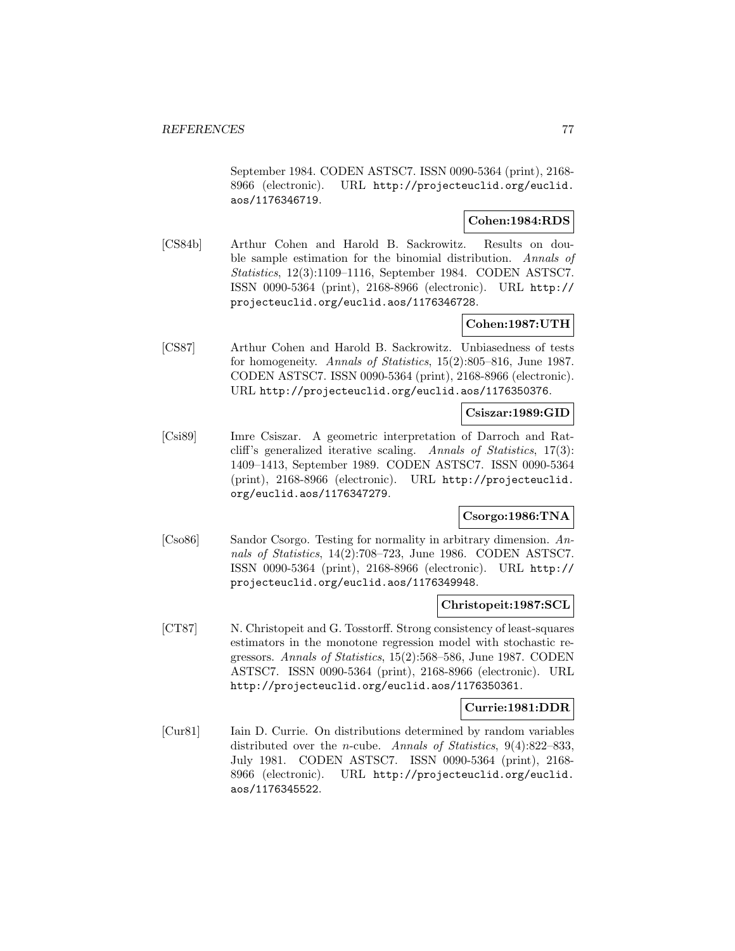September 1984. CODEN ASTSC7. ISSN 0090-5364 (print), 2168- 8966 (electronic). URL http://projecteuclid.org/euclid. aos/1176346719.

## **Cohen:1984:RDS**

[CS84b] Arthur Cohen and Harold B. Sackrowitz. Results on double sample estimation for the binomial distribution. Annals of Statistics, 12(3):1109–1116, September 1984. CODEN ASTSC7. ISSN 0090-5364 (print), 2168-8966 (electronic). URL http:// projecteuclid.org/euclid.aos/1176346728.

# **Cohen:1987:UTH**

[CS87] Arthur Cohen and Harold B. Sackrowitz. Unbiasedness of tests for homogeneity. Annals of Statistics, 15(2):805–816, June 1987. CODEN ASTSC7. ISSN 0090-5364 (print), 2168-8966 (electronic). URL http://projecteuclid.org/euclid.aos/1176350376.

### **Csiszar:1989:GID**

[Csi89] Imre Csiszar. A geometric interpretation of Darroch and Ratcliff's generalized iterative scaling. Annals of Statistics, 17(3): 1409–1413, September 1989. CODEN ASTSC7. ISSN 0090-5364 (print), 2168-8966 (electronic). URL http://projecteuclid. org/euclid.aos/1176347279.

# **Csorgo:1986:TNA**

[Cso86] Sandor Csorgo. Testing for normality in arbitrary dimension. Annals of Statistics, 14(2):708–723, June 1986. CODEN ASTSC7. ISSN 0090-5364 (print), 2168-8966 (electronic). URL http:// projecteuclid.org/euclid.aos/1176349948.

### **Christopeit:1987:SCL**

[CT87] N. Christopeit and G. Tosstorff. Strong consistency of least-squares estimators in the monotone regression model with stochastic regressors. Annals of Statistics, 15(2):568–586, June 1987. CODEN ASTSC7. ISSN 0090-5364 (print), 2168-8966 (electronic). URL http://projecteuclid.org/euclid.aos/1176350361.

### **Currie:1981:DDR**

[Cur81] Iain D. Currie. On distributions determined by random variables distributed over the *n*-cube. Annals of Statistics, 9(4):822-833, July 1981. CODEN ASTSC7. ISSN 0090-5364 (print), 2168- 8966 (electronic). URL http://projecteuclid.org/euclid. aos/1176345522.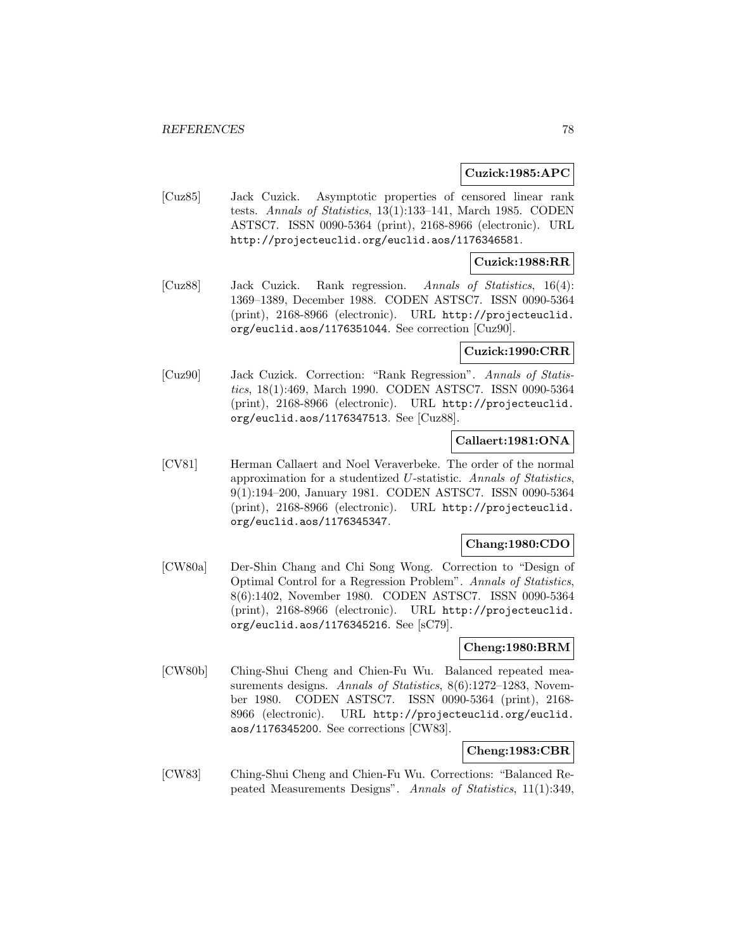#### **Cuzick:1985:APC**

[Cuz85] Jack Cuzick. Asymptotic properties of censored linear rank tests. Annals of Statistics, 13(1):133–141, March 1985. CODEN ASTSC7. ISSN 0090-5364 (print), 2168-8966 (electronic). URL http://projecteuclid.org/euclid.aos/1176346581.

## **Cuzick:1988:RR**

[Cuz88] Jack Cuzick. Rank regression. Annals of Statistics, 16(4): 1369–1389, December 1988. CODEN ASTSC7. ISSN 0090-5364 (print), 2168-8966 (electronic). URL http://projecteuclid. org/euclid.aos/1176351044. See correction [Cuz90].

#### **Cuzick:1990:CRR**

[Cuz90] Jack Cuzick. Correction: "Rank Regression". Annals of Statistics, 18(1):469, March 1990. CODEN ASTSC7. ISSN 0090-5364 (print), 2168-8966 (electronic). URL http://projecteuclid. org/euclid.aos/1176347513. See [Cuz88].

## **Callaert:1981:ONA**

[CV81] Herman Callaert and Noel Veraverbeke. The order of the normal approximation for a studentized U-statistic. Annals of Statistics, 9(1):194–200, January 1981. CODEN ASTSC7. ISSN 0090-5364 (print), 2168-8966 (electronic). URL http://projecteuclid. org/euclid.aos/1176345347.

### **Chang:1980:CDO**

[CW80a] Der-Shin Chang and Chi Song Wong. Correction to "Design of Optimal Control for a Regression Problem". Annals of Statistics, 8(6):1402, November 1980. CODEN ASTSC7. ISSN 0090-5364 (print), 2168-8966 (electronic). URL http://projecteuclid. org/euclid.aos/1176345216. See [sC79].

#### **Cheng:1980:BRM**

[CW80b] Ching-Shui Cheng and Chien-Fu Wu. Balanced repeated measurements designs. Annals of Statistics, 8(6):1272-1283, November 1980. CODEN ASTSC7. ISSN 0090-5364 (print), 2168- 8966 (electronic). URL http://projecteuclid.org/euclid. aos/1176345200. See corrections [CW83].

### **Cheng:1983:CBR**

[CW83] Ching-Shui Cheng and Chien-Fu Wu. Corrections: "Balanced Repeated Measurements Designs". Annals of Statistics, 11(1):349,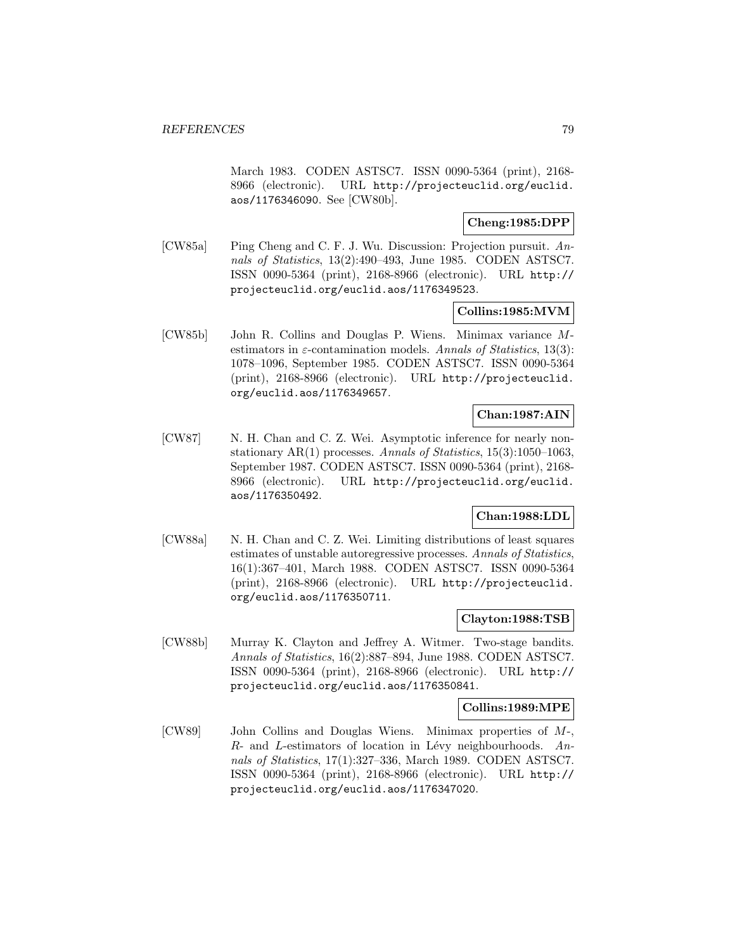March 1983. CODEN ASTSC7. ISSN 0090-5364 (print), 2168- 8966 (electronic). URL http://projecteuclid.org/euclid. aos/1176346090. See [CW80b].

## **Cheng:1985:DPP**

[CW85a] Ping Cheng and C. F. J. Wu. Discussion: Projection pursuit. Annals of Statistics, 13(2):490–493, June 1985. CODEN ASTSC7. ISSN 0090-5364 (print), 2168-8966 (electronic). URL http:// projecteuclid.org/euclid.aos/1176349523.

## **Collins:1985:MVM**

[CW85b] John R. Collins and Douglas P. Wiens. Minimax variance Mestimators in  $\varepsilon$ -contamination models. Annals of Statistics, 13(3): 1078–1096, September 1985. CODEN ASTSC7. ISSN 0090-5364 (print), 2168-8966 (electronic). URL http://projecteuclid. org/euclid.aos/1176349657.

## **Chan:1987:AIN**

[CW87] N. H. Chan and C. Z. Wei. Asymptotic inference for nearly nonstationary AR(1) processes. Annals of Statistics,  $15(3):1050-1063$ , September 1987. CODEN ASTSC7. ISSN 0090-5364 (print), 2168- 8966 (electronic). URL http://projecteuclid.org/euclid. aos/1176350492.

## **Chan:1988:LDL**

[CW88a] N. H. Chan and C. Z. Wei. Limiting distributions of least squares estimates of unstable autoregressive processes. Annals of Statistics, 16(1):367–401, March 1988. CODEN ASTSC7. ISSN 0090-5364 (print), 2168-8966 (electronic). URL http://projecteuclid. org/euclid.aos/1176350711.

## **Clayton:1988:TSB**

[CW88b] Murray K. Clayton and Jeffrey A. Witmer. Two-stage bandits. Annals of Statistics, 16(2):887–894, June 1988. CODEN ASTSC7. ISSN 0090-5364 (print), 2168-8966 (electronic). URL http:// projecteuclid.org/euclid.aos/1176350841.

#### **Collins:1989:MPE**

[CW89] John Collins and Douglas Wiens. Minimax properties of M-,  $R$ - and *L*-estimators of location in Lévy neighbourhoods. Annals of Statistics, 17(1):327–336, March 1989. CODEN ASTSC7. ISSN 0090-5364 (print), 2168-8966 (electronic). URL http:// projecteuclid.org/euclid.aos/1176347020.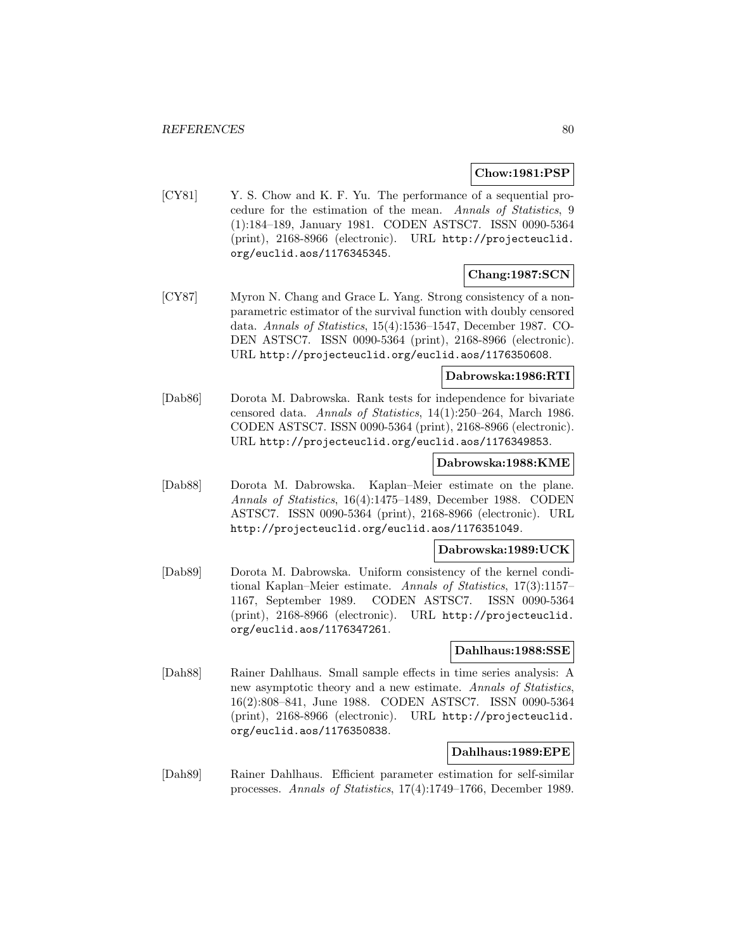## **Chow:1981:PSP**

[CY81] Y. S. Chow and K. F. Yu. The performance of a sequential procedure for the estimation of the mean. Annals of Statistics, 9 (1):184–189, January 1981. CODEN ASTSC7. ISSN 0090-5364 (print), 2168-8966 (electronic). URL http://projecteuclid. org/euclid.aos/1176345345.

# **Chang:1987:SCN**

[CY87] Myron N. Chang and Grace L. Yang. Strong consistency of a nonparametric estimator of the survival function with doubly censored data. Annals of Statistics, 15(4):1536–1547, December 1987. CO-DEN ASTSC7. ISSN 0090-5364 (print), 2168-8966 (electronic). URL http://projecteuclid.org/euclid.aos/1176350608.

## **Dabrowska:1986:RTI**

[Dab86] Dorota M. Dabrowska. Rank tests for independence for bivariate censored data. Annals of Statistics, 14(1):250–264, March 1986. CODEN ASTSC7. ISSN 0090-5364 (print), 2168-8966 (electronic). URL http://projecteuclid.org/euclid.aos/1176349853.

#### **Dabrowska:1988:KME**

[Dab88] Dorota M. Dabrowska. Kaplan–Meier estimate on the plane. Annals of Statistics, 16(4):1475–1489, December 1988. CODEN ASTSC7. ISSN 0090-5364 (print), 2168-8966 (electronic). URL http://projecteuclid.org/euclid.aos/1176351049.

#### **Dabrowska:1989:UCK**

[Dab89] Dorota M. Dabrowska. Uniform consistency of the kernel conditional Kaplan–Meier estimate. Annals of Statistics, 17(3):1157– 1167, September 1989. CODEN ASTSC7. ISSN 0090-5364 (print), 2168-8966 (electronic). URL http://projecteuclid. org/euclid.aos/1176347261.

#### **Dahlhaus:1988:SSE**

[Dah88] Rainer Dahlhaus. Small sample effects in time series analysis: A new asymptotic theory and a new estimate. Annals of Statistics, 16(2):808–841, June 1988. CODEN ASTSC7. ISSN 0090-5364 (print), 2168-8966 (electronic). URL http://projecteuclid. org/euclid.aos/1176350838.

## **Dahlhaus:1989:EPE**

[Dah89] Rainer Dahlhaus. Efficient parameter estimation for self-similar processes. Annals of Statistics, 17(4):1749–1766, December 1989.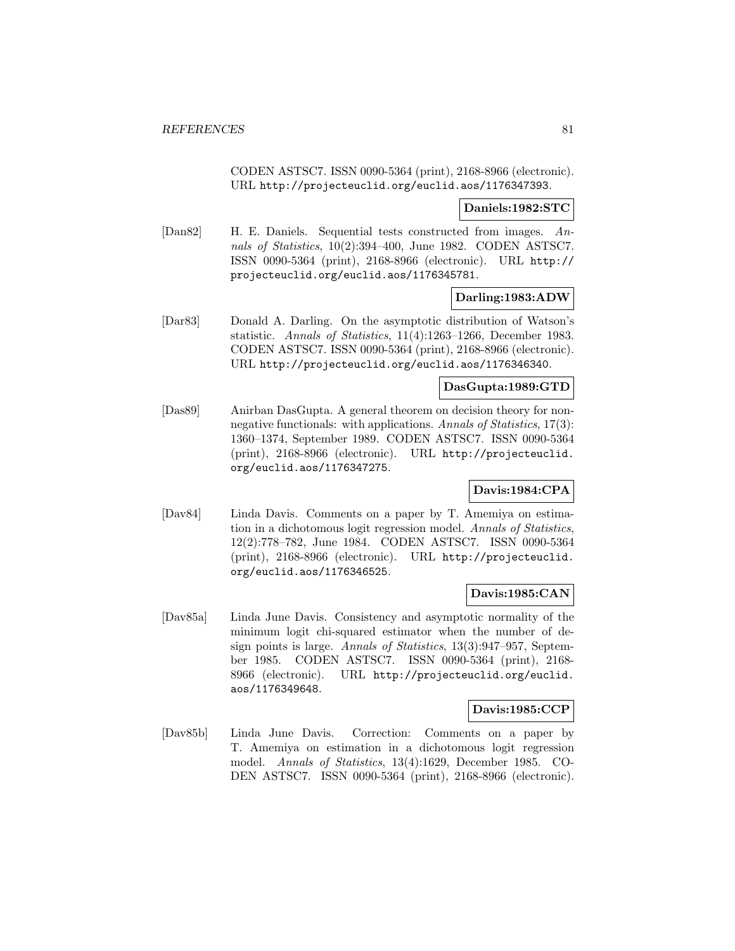CODEN ASTSC7. ISSN 0090-5364 (print), 2168-8966 (electronic). URL http://projecteuclid.org/euclid.aos/1176347393.

#### **Daniels:1982:STC**

[Dan82] H. E. Daniels. Sequential tests constructed from images. Annals of Statistics, 10(2):394–400, June 1982. CODEN ASTSC7. ISSN 0090-5364 (print), 2168-8966 (electronic). URL http:// projecteuclid.org/euclid.aos/1176345781.

## **Darling:1983:ADW**

[Dar83] Donald A. Darling. On the asymptotic distribution of Watson's statistic. Annals of Statistics, 11(4):1263–1266, December 1983. CODEN ASTSC7. ISSN 0090-5364 (print), 2168-8966 (electronic). URL http://projecteuclid.org/euclid.aos/1176346340.

#### **DasGupta:1989:GTD**

[Das89] Anirban DasGupta. A general theorem on decision theory for nonnegative functionals: with applications. Annals of Statistics, 17(3): 1360–1374, September 1989. CODEN ASTSC7. ISSN 0090-5364 (print), 2168-8966 (electronic). URL http://projecteuclid. org/euclid.aos/1176347275.

### **Davis:1984:CPA**

[Dav84] Linda Davis. Comments on a paper by T. Amemiya on estimation in a dichotomous logit regression model. Annals of Statistics, 12(2):778–782, June 1984. CODEN ASTSC7. ISSN 0090-5364 (print), 2168-8966 (electronic). URL http://projecteuclid. org/euclid.aos/1176346525.

# **Davis:1985:CAN**

[Dav85a] Linda June Davis. Consistency and asymptotic normality of the minimum logit chi-squared estimator when the number of design points is large. Annals of Statistics, 13(3):947-957, September 1985. CODEN ASTSC7. ISSN 0090-5364 (print), 2168- 8966 (electronic). URL http://projecteuclid.org/euclid. aos/1176349648.

## **Davis:1985:CCP**

[Dav85b] Linda June Davis. Correction: Comments on a paper by T. Amemiya on estimation in a dichotomous logit regression model. Annals of Statistics, 13(4):1629, December 1985. CO-DEN ASTSC7. ISSN 0090-5364 (print), 2168-8966 (electronic).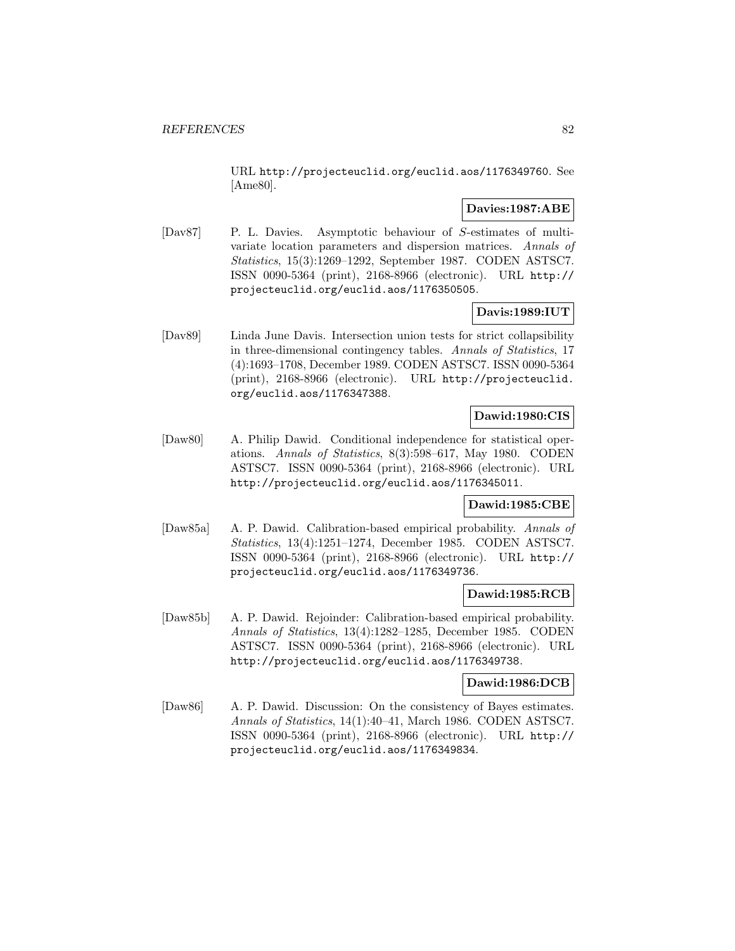URL http://projecteuclid.org/euclid.aos/1176349760. See [Ame80].

### **Davies:1987:ABE**

[Dav87] P. L. Davies. Asymptotic behaviour of S-estimates of multivariate location parameters and dispersion matrices. Annals of Statistics, 15(3):1269–1292, September 1987. CODEN ASTSC7. ISSN 0090-5364 (print), 2168-8966 (electronic). URL http:// projecteuclid.org/euclid.aos/1176350505.

# **Davis:1989:IUT**

[Dav89] Linda June Davis. Intersection union tests for strict collapsibility in three-dimensional contingency tables. Annals of Statistics, 17 (4):1693–1708, December 1989. CODEN ASTSC7. ISSN 0090-5364 (print), 2168-8966 (electronic). URL http://projecteuclid. org/euclid.aos/1176347388.

# **Dawid:1980:CIS**

[Daw80] A. Philip Dawid. Conditional independence for statistical operations. Annals of Statistics, 8(3):598–617, May 1980. CODEN ASTSC7. ISSN 0090-5364 (print), 2168-8966 (electronic). URL http://projecteuclid.org/euclid.aos/1176345011.

# **Dawid:1985:CBE**

[Daw85a] A. P. Dawid. Calibration-based empirical probability. Annals of Statistics, 13(4):1251–1274, December 1985. CODEN ASTSC7. ISSN 0090-5364 (print), 2168-8966 (electronic). URL http:// projecteuclid.org/euclid.aos/1176349736.

# **Dawid:1985:RCB**

[Daw85b] A. P. Dawid. Rejoinder: Calibration-based empirical probability. Annals of Statistics, 13(4):1282–1285, December 1985. CODEN ASTSC7. ISSN 0090-5364 (print), 2168-8966 (electronic). URL http://projecteuclid.org/euclid.aos/1176349738.

### **Dawid:1986:DCB**

[Daw86] A. P. Dawid. Discussion: On the consistency of Bayes estimates. Annals of Statistics, 14(1):40–41, March 1986. CODEN ASTSC7. ISSN 0090-5364 (print), 2168-8966 (electronic). URL http:// projecteuclid.org/euclid.aos/1176349834.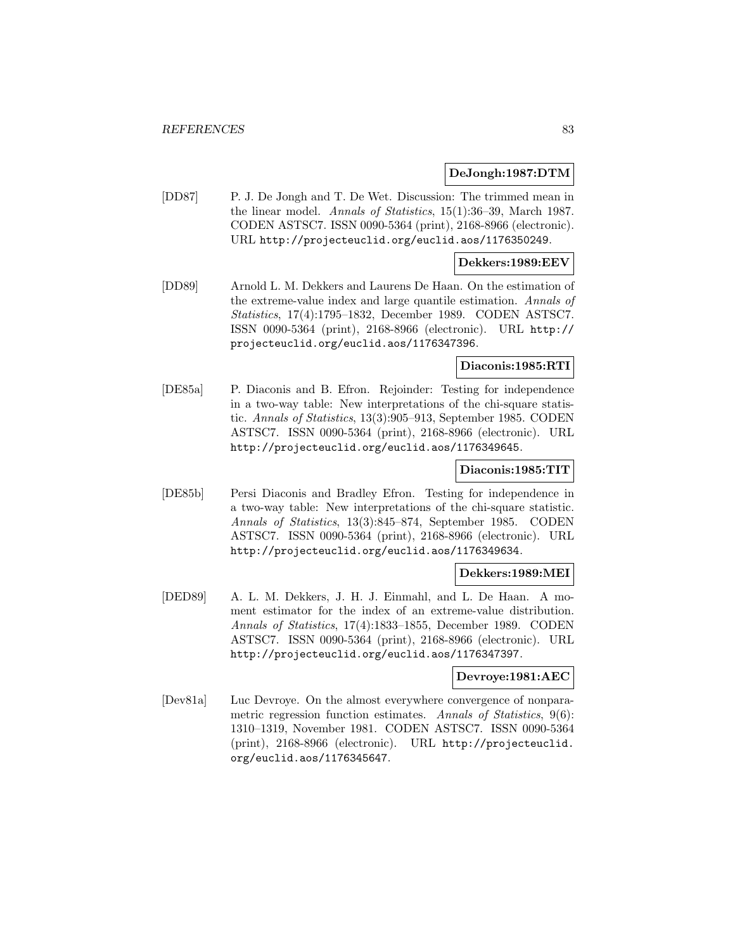### **DeJongh:1987:DTM**

[DD87] P. J. De Jongh and T. De Wet. Discussion: The trimmed mean in the linear model. Annals of Statistics, 15(1):36–39, March 1987. CODEN ASTSC7. ISSN 0090-5364 (print), 2168-8966 (electronic). URL http://projecteuclid.org/euclid.aos/1176350249.

#### **Dekkers:1989:EEV**

[DD89] Arnold L. M. Dekkers and Laurens De Haan. On the estimation of the extreme-value index and large quantile estimation. Annals of Statistics, 17(4):1795–1832, December 1989. CODEN ASTSC7. ISSN 0090-5364 (print), 2168-8966 (electronic). URL http:// projecteuclid.org/euclid.aos/1176347396.

#### **Diaconis:1985:RTI**

[DE85a] P. Diaconis and B. Efron. Rejoinder: Testing for independence in a two-way table: New interpretations of the chi-square statistic. Annals of Statistics, 13(3):905–913, September 1985. CODEN ASTSC7. ISSN 0090-5364 (print), 2168-8966 (electronic). URL http://projecteuclid.org/euclid.aos/1176349645.

#### **Diaconis:1985:TIT**

[DE85b] Persi Diaconis and Bradley Efron. Testing for independence in a two-way table: New interpretations of the chi-square statistic. Annals of Statistics, 13(3):845–874, September 1985. CODEN ASTSC7. ISSN 0090-5364 (print), 2168-8966 (electronic). URL http://projecteuclid.org/euclid.aos/1176349634.

#### **Dekkers:1989:MEI**

[DED89] A. L. M. Dekkers, J. H. J. Einmahl, and L. De Haan. A moment estimator for the index of an extreme-value distribution. Annals of Statistics, 17(4):1833–1855, December 1989. CODEN ASTSC7. ISSN 0090-5364 (print), 2168-8966 (electronic). URL http://projecteuclid.org/euclid.aos/1176347397.

### **Devroye:1981:AEC**

[Dev81a] Luc Devroye. On the almost everywhere convergence of nonparametric regression function estimates. Annals of Statistics, 9(6): 1310–1319, November 1981. CODEN ASTSC7. ISSN 0090-5364 (print), 2168-8966 (electronic). URL http://projecteuclid. org/euclid.aos/1176345647.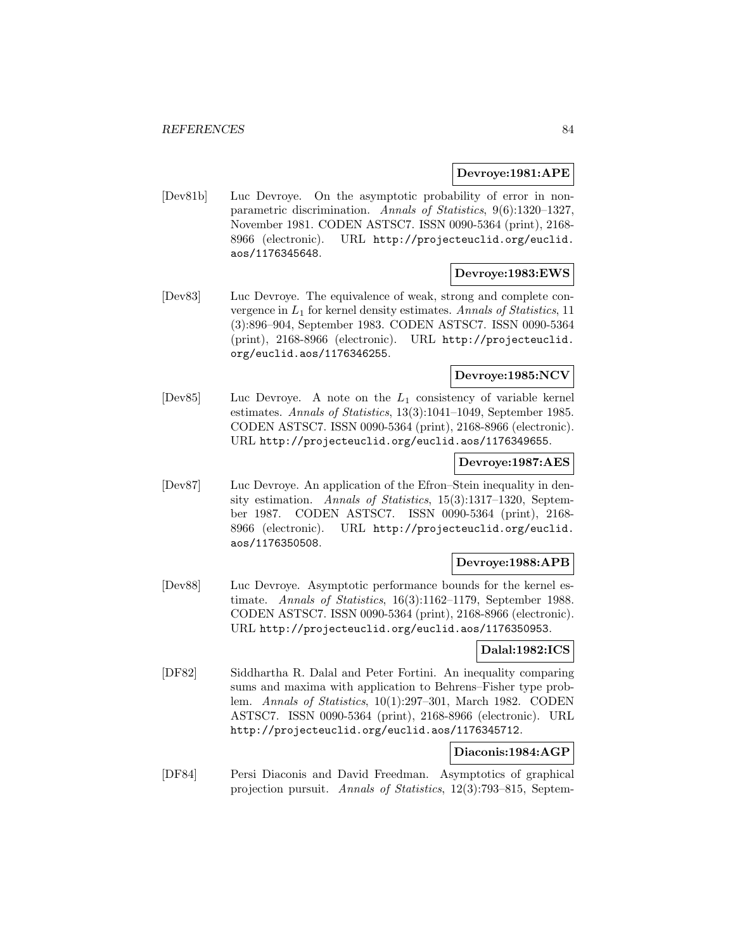### **Devroye:1981:APE**

[Dev81b] Luc Devroye. On the asymptotic probability of error in nonparametric discrimination. Annals of Statistics, 9(6):1320–1327, November 1981. CODEN ASTSC7. ISSN 0090-5364 (print), 2168- 8966 (electronic). URL http://projecteuclid.org/euclid. aos/1176345648.

### **Devroye:1983:EWS**

[Dev83] Luc Devroye. The equivalence of weak, strong and complete convergence in  $L_1$  for kernel density estimates. Annals of Statistics, 11 (3):896–904, September 1983. CODEN ASTSC7. ISSN 0090-5364 (print), 2168-8966 (electronic). URL http://projecteuclid. org/euclid.aos/1176346255.

# **Devroye:1985:NCV**

[Dev85] Luc Devroye. A note on the  $L_1$  consistency of variable kernel estimates. Annals of Statistics, 13(3):1041–1049, September 1985. CODEN ASTSC7. ISSN 0090-5364 (print), 2168-8966 (electronic). URL http://projecteuclid.org/euclid.aos/1176349655.

#### **Devroye:1987:AES**

[Dev87] Luc Devroye. An application of the Efron–Stein inequality in density estimation. Annals of Statistics, 15(3):1317–1320, September 1987. CODEN ASTSC7. ISSN 0090-5364 (print), 2168- 8966 (electronic). URL http://projecteuclid.org/euclid. aos/1176350508.

## **Devroye:1988:APB**

[Dev88] Luc Devroye. Asymptotic performance bounds for the kernel estimate. Annals of Statistics, 16(3):1162–1179, September 1988. CODEN ASTSC7. ISSN 0090-5364 (print), 2168-8966 (electronic). URL http://projecteuclid.org/euclid.aos/1176350953.

## **Dalal:1982:ICS**

[DF82] Siddhartha R. Dalal and Peter Fortini. An inequality comparing sums and maxima with application to Behrens–Fisher type problem. Annals of Statistics, 10(1):297–301, March 1982. CODEN ASTSC7. ISSN 0090-5364 (print), 2168-8966 (electronic). URL http://projecteuclid.org/euclid.aos/1176345712.

### **Diaconis:1984:AGP**

[DF84] Persi Diaconis and David Freedman. Asymptotics of graphical projection pursuit. Annals of Statistics, 12(3):793–815, Septem-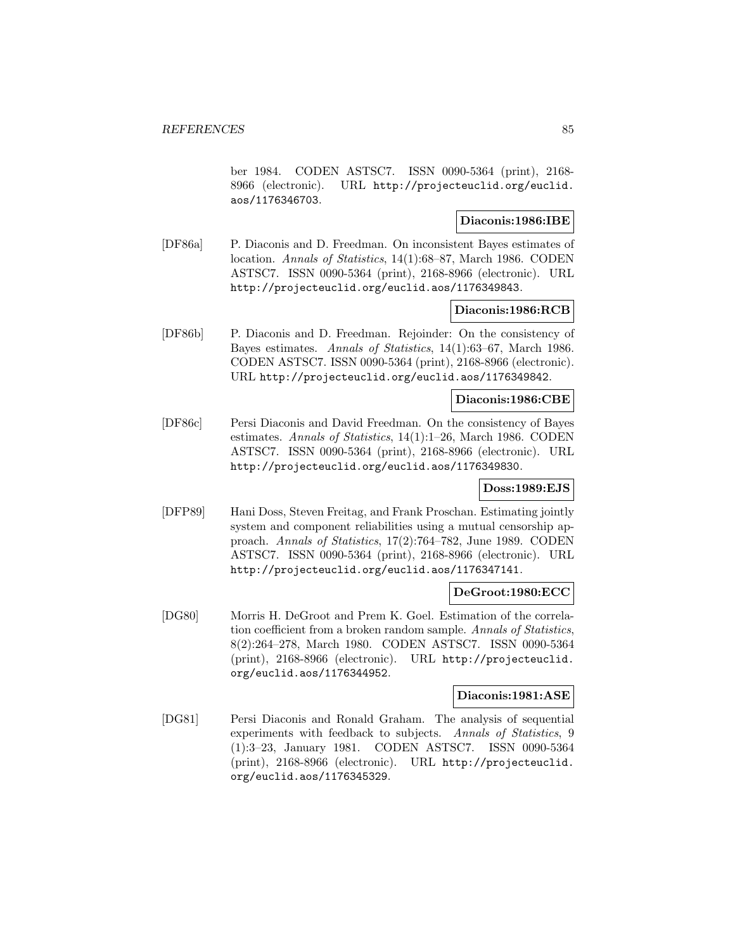ber 1984. CODEN ASTSC7. ISSN 0090-5364 (print), 2168- 8966 (electronic). URL http://projecteuclid.org/euclid. aos/1176346703.

#### **Diaconis:1986:IBE**

[DF86a] P. Diaconis and D. Freedman. On inconsistent Bayes estimates of location. Annals of Statistics, 14(1):68–87, March 1986. CODEN ASTSC7. ISSN 0090-5364 (print), 2168-8966 (electronic). URL http://projecteuclid.org/euclid.aos/1176349843.

### **Diaconis:1986:RCB**

[DF86b] P. Diaconis and D. Freedman. Rejoinder: On the consistency of Bayes estimates. Annals of Statistics, 14(1):63–67, March 1986. CODEN ASTSC7. ISSN 0090-5364 (print), 2168-8966 (electronic). URL http://projecteuclid.org/euclid.aos/1176349842.

#### **Diaconis:1986:CBE**

[DF86c] Persi Diaconis and David Freedman. On the consistency of Bayes estimates. Annals of Statistics, 14(1):1–26, March 1986. CODEN ASTSC7. ISSN 0090-5364 (print), 2168-8966 (electronic). URL http://projecteuclid.org/euclid.aos/1176349830.

## **Doss:1989:EJS**

[DFP89] Hani Doss, Steven Freitag, and Frank Proschan. Estimating jointly system and component reliabilities using a mutual censorship approach. Annals of Statistics, 17(2):764–782, June 1989. CODEN ASTSC7. ISSN 0090-5364 (print), 2168-8966 (electronic). URL http://projecteuclid.org/euclid.aos/1176347141.

## **DeGroot:1980:ECC**

[DG80] Morris H. DeGroot and Prem K. Goel. Estimation of the correlation coefficient from a broken random sample. Annals of Statistics, 8(2):264–278, March 1980. CODEN ASTSC7. ISSN 0090-5364 (print), 2168-8966 (electronic). URL http://projecteuclid. org/euclid.aos/1176344952.

#### **Diaconis:1981:ASE**

[DG81] Persi Diaconis and Ronald Graham. The analysis of sequential experiments with feedback to subjects. Annals of Statistics, 9 (1):3–23, January 1981. CODEN ASTSC7. ISSN 0090-5364 (print), 2168-8966 (electronic). URL http://projecteuclid. org/euclid.aos/1176345329.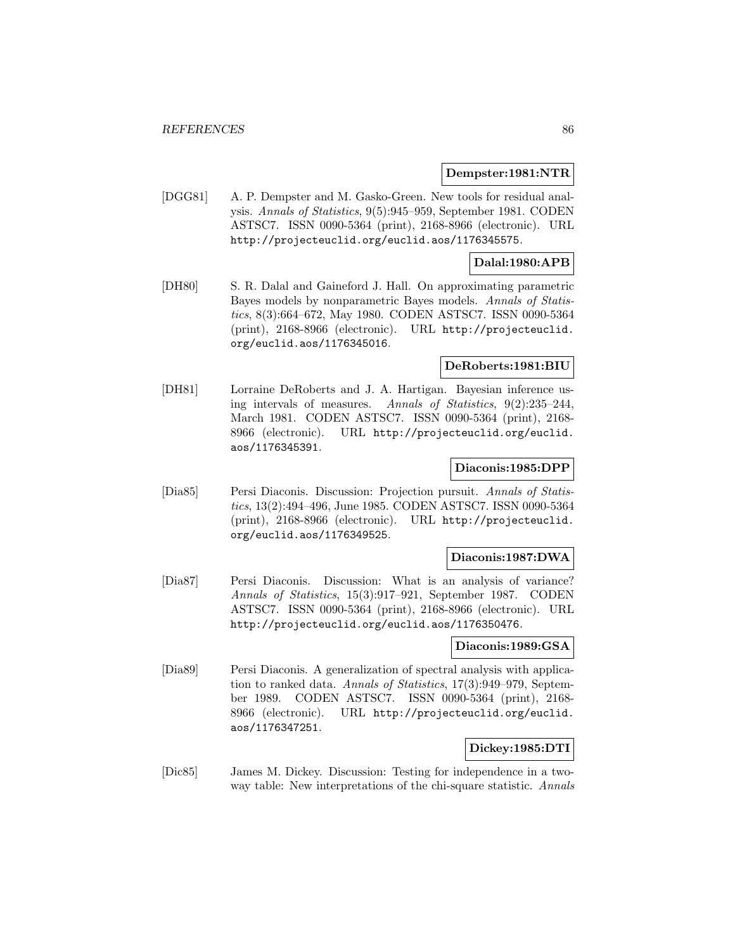#### **Dempster:1981:NTR**

[DGG81] A. P. Dempster and M. Gasko-Green. New tools for residual analysis. Annals of Statistics, 9(5):945–959, September 1981. CODEN ASTSC7. ISSN 0090-5364 (print), 2168-8966 (electronic). URL http://projecteuclid.org/euclid.aos/1176345575.

### **Dalal:1980:APB**

[DH80] S. R. Dalal and Gaineford J. Hall. On approximating parametric Bayes models by nonparametric Bayes models. Annals of Statistics, 8(3):664–672, May 1980. CODEN ASTSC7. ISSN 0090-5364 (print), 2168-8966 (electronic). URL http://projecteuclid. org/euclid.aos/1176345016.

#### **DeRoberts:1981:BIU**

[DH81] Lorraine DeRoberts and J. A. Hartigan. Bayesian inference using intervals of measures. Annals of Statistics, 9(2):235–244, March 1981. CODEN ASTSC7. ISSN 0090-5364 (print), 2168- 8966 (electronic). URL http://projecteuclid.org/euclid. aos/1176345391.

#### **Diaconis:1985:DPP**

[Dia85] Persi Diaconis. Discussion: Projection pursuit. Annals of Statistics, 13(2):494–496, June 1985. CODEN ASTSC7. ISSN 0090-5364 (print), 2168-8966 (electronic). URL http://projecteuclid. org/euclid.aos/1176349525.

#### **Diaconis:1987:DWA**

[Dia87] Persi Diaconis. Discussion: What is an analysis of variance? Annals of Statistics, 15(3):917–921, September 1987. CODEN ASTSC7. ISSN 0090-5364 (print), 2168-8966 (electronic). URL http://projecteuclid.org/euclid.aos/1176350476.

#### **Diaconis:1989:GSA**

[Dia89] Persi Diaconis. A generalization of spectral analysis with application to ranked data. Annals of Statistics, 17(3):949–979, September 1989. CODEN ASTSC7. ISSN 0090-5364 (print), 2168- 8966 (electronic). URL http://projecteuclid.org/euclid. aos/1176347251.

## **Dickey:1985:DTI**

[Dic85] James M. Dickey. Discussion: Testing for independence in a twoway table: New interpretations of the chi-square statistic. Annals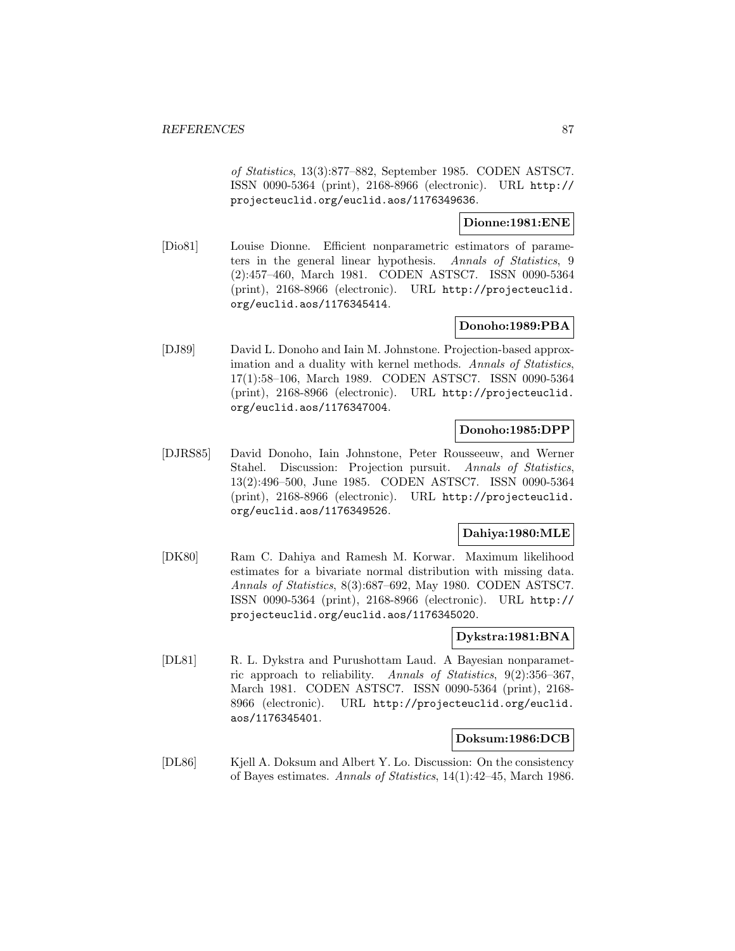of Statistics, 13(3):877–882, September 1985. CODEN ASTSC7. ISSN 0090-5364 (print), 2168-8966 (electronic). URL http:// projecteuclid.org/euclid.aos/1176349636.

## **Dionne:1981:ENE**

[Dio81] Louise Dionne. Efficient nonparametric estimators of parameters in the general linear hypothesis. Annals of Statistics, 9 (2):457–460, March 1981. CODEN ASTSC7. ISSN 0090-5364 (print), 2168-8966 (electronic). URL http://projecteuclid. org/euclid.aos/1176345414.

# **Donoho:1989:PBA**

[DJ89] David L. Donoho and Iain M. Johnstone. Projection-based approximation and a duality with kernel methods. Annals of Statistics, 17(1):58–106, March 1989. CODEN ASTSC7. ISSN 0090-5364 (print), 2168-8966 (electronic). URL http://projecteuclid. org/euclid.aos/1176347004.

#### **Donoho:1985:DPP**

[DJRS85] David Donoho, Iain Johnstone, Peter Rousseeuw, and Werner Stahel. Discussion: Projection pursuit. Annals of Statistics, 13(2):496–500, June 1985. CODEN ASTSC7. ISSN 0090-5364 (print), 2168-8966 (electronic). URL http://projecteuclid. org/euclid.aos/1176349526.

# **Dahiya:1980:MLE**

[DK80] Ram C. Dahiya and Ramesh M. Korwar. Maximum likelihood estimates for a bivariate normal distribution with missing data. Annals of Statistics, 8(3):687–692, May 1980. CODEN ASTSC7. ISSN 0090-5364 (print), 2168-8966 (electronic). URL http:// projecteuclid.org/euclid.aos/1176345020.

## **Dykstra:1981:BNA**

[DL81] R. L. Dykstra and Purushottam Laud. A Bayesian nonparametric approach to reliability. Annals of Statistics, 9(2):356–367, March 1981. CODEN ASTSC7. ISSN 0090-5364 (print), 2168- 8966 (electronic). URL http://projecteuclid.org/euclid. aos/1176345401.

#### **Doksum:1986:DCB**

[DL86] Kjell A. Doksum and Albert Y. Lo. Discussion: On the consistency of Bayes estimates. Annals of Statistics, 14(1):42–45, March 1986.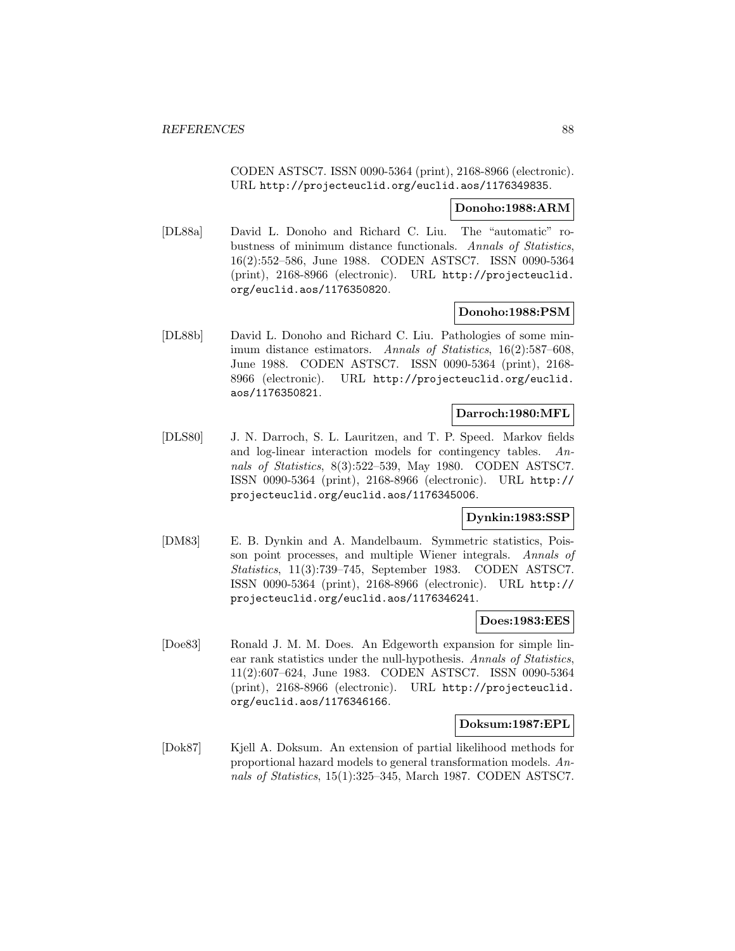CODEN ASTSC7. ISSN 0090-5364 (print), 2168-8966 (electronic). URL http://projecteuclid.org/euclid.aos/1176349835.

#### **Donoho:1988:ARM**

[DL88a] David L. Donoho and Richard C. Liu. The "automatic" robustness of minimum distance functionals. Annals of Statistics, 16(2):552–586, June 1988. CODEN ASTSC7. ISSN 0090-5364 (print), 2168-8966 (electronic). URL http://projecteuclid. org/euclid.aos/1176350820.

### **Donoho:1988:PSM**

[DL88b] David L. Donoho and Richard C. Liu. Pathologies of some minimum distance estimators. Annals of Statistics, 16(2):587–608, June 1988. CODEN ASTSC7. ISSN 0090-5364 (print), 2168- 8966 (electronic). URL http://projecteuclid.org/euclid. aos/1176350821.

### **Darroch:1980:MFL**

[DLS80] J. N. Darroch, S. L. Lauritzen, and T. P. Speed. Markov fields and log-linear interaction models for contingency tables. Annals of Statistics, 8(3):522–539, May 1980. CODEN ASTSC7. ISSN 0090-5364 (print), 2168-8966 (electronic). URL http:// projecteuclid.org/euclid.aos/1176345006.

## **Dynkin:1983:SSP**

[DM83] E. B. Dynkin and A. Mandelbaum. Symmetric statistics, Poisson point processes, and multiple Wiener integrals. Annals of Statistics, 11(3):739–745, September 1983. CODEN ASTSC7. ISSN 0090-5364 (print), 2168-8966 (electronic). URL http:// projecteuclid.org/euclid.aos/1176346241.

#### **Does:1983:EES**

[Doe83] Ronald J. M. M. Does. An Edgeworth expansion for simple linear rank statistics under the null-hypothesis. Annals of Statistics, 11(2):607–624, June 1983. CODEN ASTSC7. ISSN 0090-5364 (print), 2168-8966 (electronic). URL http://projecteuclid. org/euclid.aos/1176346166.

#### **Doksum:1987:EPL**

[Dok87] Kjell A. Doksum. An extension of partial likelihood methods for proportional hazard models to general transformation models. Annals of Statistics, 15(1):325–345, March 1987. CODEN ASTSC7.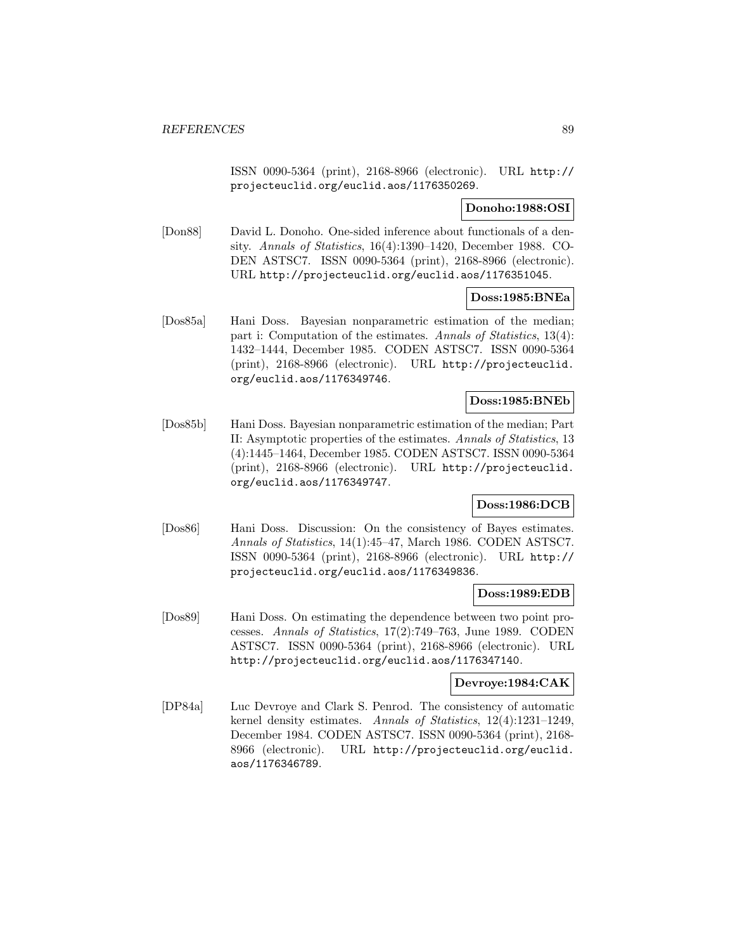ISSN 0090-5364 (print), 2168-8966 (electronic). URL http:// projecteuclid.org/euclid.aos/1176350269.

## **Donoho:1988:OSI**

[Don88] David L. Donoho. One-sided inference about functionals of a density. Annals of Statistics, 16(4):1390–1420, December 1988. CO-DEN ASTSC7. ISSN 0090-5364 (print), 2168-8966 (electronic). URL http://projecteuclid.org/euclid.aos/1176351045.

#### **Doss:1985:BNEa**

[Dos85a] Hani Doss. Bayesian nonparametric estimation of the median; part i: Computation of the estimates. Annals of Statistics, 13(4): 1432–1444, December 1985. CODEN ASTSC7. ISSN 0090-5364 (print), 2168-8966 (electronic). URL http://projecteuclid. org/euclid.aos/1176349746.

#### **Doss:1985:BNEb**

[Dos85b] Hani Doss. Bayesian nonparametric estimation of the median; Part II: Asymptotic properties of the estimates. Annals of Statistics, 13 (4):1445–1464, December 1985. CODEN ASTSC7. ISSN 0090-5364 (print), 2168-8966 (electronic). URL http://projecteuclid. org/euclid.aos/1176349747.

## **Doss:1986:DCB**

[Dos86] Hani Doss. Discussion: On the consistency of Bayes estimates. Annals of Statistics, 14(1):45–47, March 1986. CODEN ASTSC7. ISSN 0090-5364 (print), 2168-8966 (electronic). URL http:// projecteuclid.org/euclid.aos/1176349836.

#### **Doss:1989:EDB**

[Dos89] Hani Doss. On estimating the dependence between two point processes. Annals of Statistics, 17(2):749–763, June 1989. CODEN ASTSC7. ISSN 0090-5364 (print), 2168-8966 (electronic). URL http://projecteuclid.org/euclid.aos/1176347140.

### **Devroye:1984:CAK**

[DP84a] Luc Devroye and Clark S. Penrod. The consistency of automatic kernel density estimates. Annals of Statistics, 12(4):1231–1249, December 1984. CODEN ASTSC7. ISSN 0090-5364 (print), 2168- 8966 (electronic). URL http://projecteuclid.org/euclid. aos/1176346789.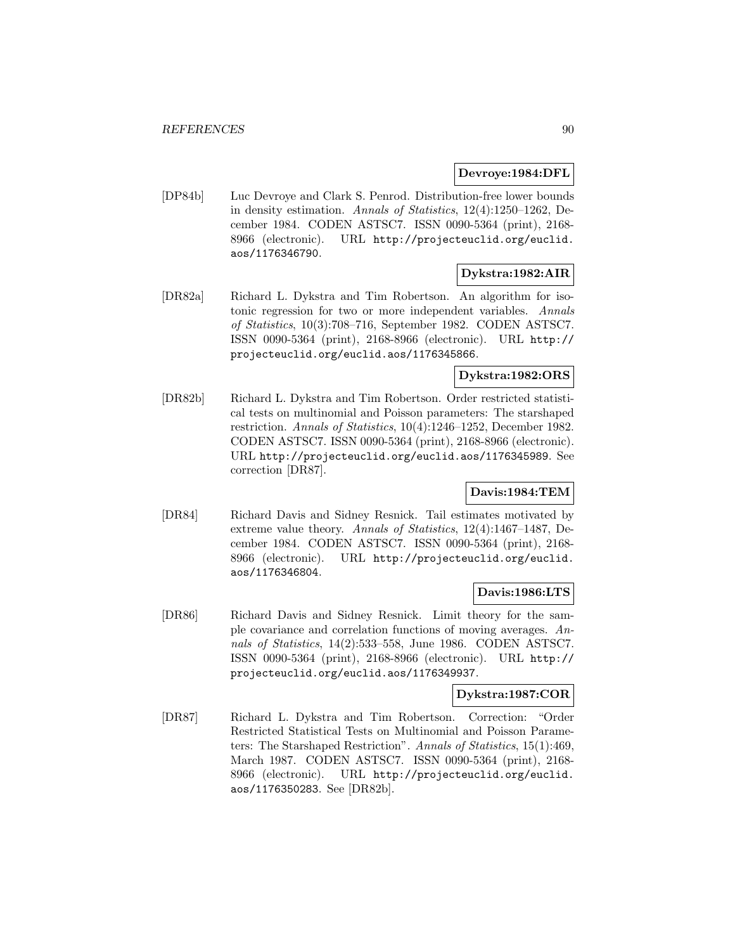### **Devroye:1984:DFL**

[DP84b] Luc Devroye and Clark S. Penrod. Distribution-free lower bounds in density estimation. Annals of Statistics, 12(4):1250–1262, December 1984. CODEN ASTSC7. ISSN 0090-5364 (print), 2168- 8966 (electronic). URL http://projecteuclid.org/euclid. aos/1176346790.

## **Dykstra:1982:AIR**

[DR82a] Richard L. Dykstra and Tim Robertson. An algorithm for isotonic regression for two or more independent variables. Annals of Statistics, 10(3):708–716, September 1982. CODEN ASTSC7. ISSN 0090-5364 (print), 2168-8966 (electronic). URL http:// projecteuclid.org/euclid.aos/1176345866.

## **Dykstra:1982:ORS**

[DR82b] Richard L. Dykstra and Tim Robertson. Order restricted statistical tests on multinomial and Poisson parameters: The starshaped restriction. Annals of Statistics, 10(4):1246–1252, December 1982. CODEN ASTSC7. ISSN 0090-5364 (print), 2168-8966 (electronic). URL http://projecteuclid.org/euclid.aos/1176345989. See correction [DR87].

## **Davis:1984:TEM**

[DR84] Richard Davis and Sidney Resnick. Tail estimates motivated by extreme value theory. Annals of Statistics, 12(4):1467–1487, December 1984. CODEN ASTSC7. ISSN 0090-5364 (print), 2168- 8966 (electronic). URL http://projecteuclid.org/euclid. aos/1176346804.

## **Davis:1986:LTS**

[DR86] Richard Davis and Sidney Resnick. Limit theory for the sample covariance and correlation functions of moving averages. Annals of Statistics, 14(2):533–558, June 1986. CODEN ASTSC7. ISSN 0090-5364 (print), 2168-8966 (electronic). URL http:// projecteuclid.org/euclid.aos/1176349937.

## **Dykstra:1987:COR**

[DR87] Richard L. Dykstra and Tim Robertson. Correction: "Order Restricted Statistical Tests on Multinomial and Poisson Parameters: The Starshaped Restriction". Annals of Statistics, 15(1):469, March 1987. CODEN ASTSC7. ISSN 0090-5364 (print), 2168- 8966 (electronic). URL http://projecteuclid.org/euclid. aos/1176350283. See [DR82b].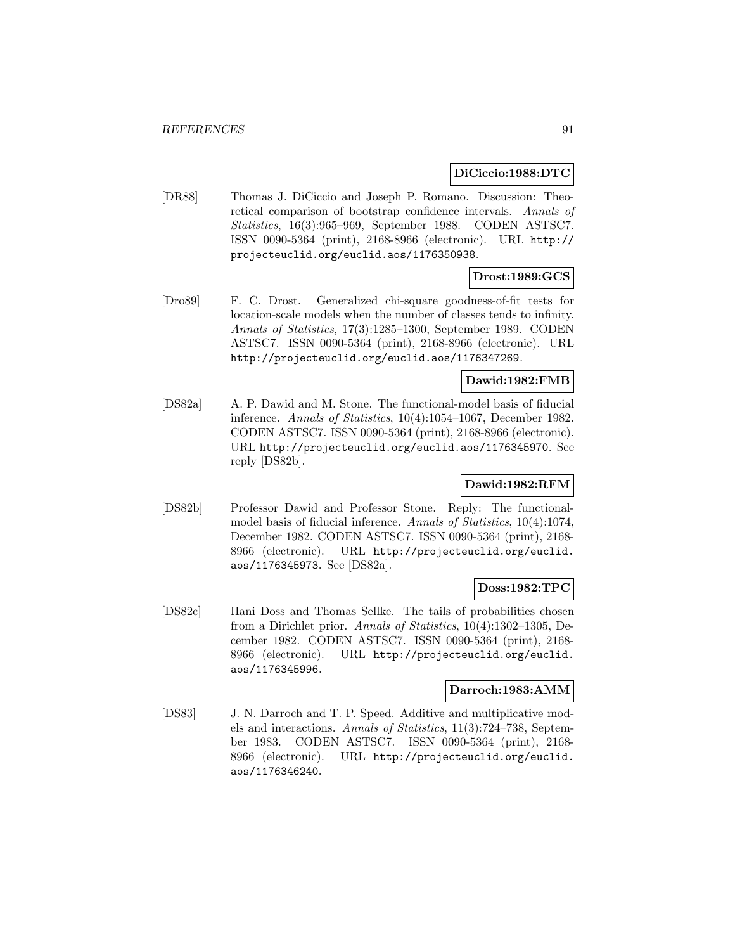#### **DiCiccio:1988:DTC**

[DR88] Thomas J. DiCiccio and Joseph P. Romano. Discussion: Theoretical comparison of bootstrap confidence intervals. Annals of Statistics, 16(3):965–969, September 1988. CODEN ASTSC7. ISSN 0090-5364 (print), 2168-8966 (electronic). URL http:// projecteuclid.org/euclid.aos/1176350938.

# **Drost:1989:GCS**

[Dro89] F. C. Drost. Generalized chi-square goodness-of-fit tests for location-scale models when the number of classes tends to infinity. Annals of Statistics, 17(3):1285–1300, September 1989. CODEN ASTSC7. ISSN 0090-5364 (print), 2168-8966 (electronic). URL http://projecteuclid.org/euclid.aos/1176347269.

## **Dawid:1982:FMB**

[DS82a] A. P. Dawid and M. Stone. The functional-model basis of fiducial inference. Annals of Statistics, 10(4):1054–1067, December 1982. CODEN ASTSC7. ISSN 0090-5364 (print), 2168-8966 (electronic). URL http://projecteuclid.org/euclid.aos/1176345970. See reply [DS82b].

# **Dawid:1982:RFM**

[DS82b] Professor Dawid and Professor Stone. Reply: The functionalmodel basis of fiducial inference. Annals of Statistics, 10(4):1074, December 1982. CODEN ASTSC7. ISSN 0090-5364 (print), 2168- 8966 (electronic). URL http://projecteuclid.org/euclid. aos/1176345973. See [DS82a].

## **Doss:1982:TPC**

[DS82c] Hani Doss and Thomas Sellke. The tails of probabilities chosen from a Dirichlet prior. Annals of Statistics, 10(4):1302–1305, December 1982. CODEN ASTSC7. ISSN 0090-5364 (print), 2168- 8966 (electronic). URL http://projecteuclid.org/euclid. aos/1176345996.

#### **Darroch:1983:AMM**

[DS83] J. N. Darroch and T. P. Speed. Additive and multiplicative models and interactions. Annals of Statistics, 11(3):724–738, September 1983. CODEN ASTSC7. ISSN 0090-5364 (print), 2168- 8966 (electronic). URL http://projecteuclid.org/euclid. aos/1176346240.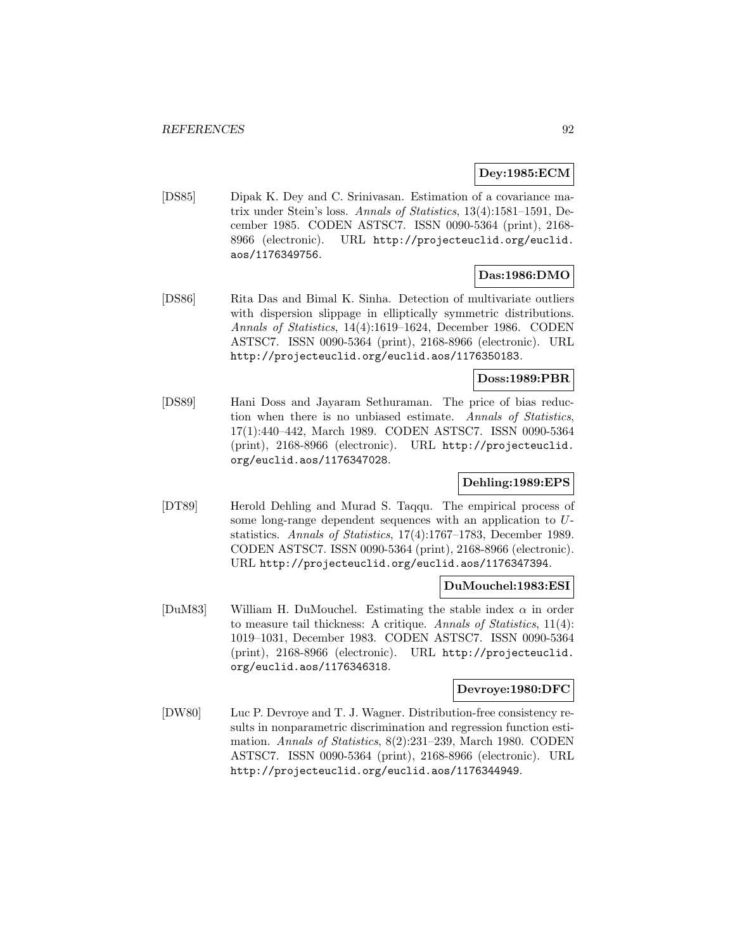# **Dey:1985:ECM**

[DS85] Dipak K. Dey and C. Srinivasan. Estimation of a covariance matrix under Stein's loss. Annals of Statistics, 13(4):1581–1591, December 1985. CODEN ASTSC7. ISSN 0090-5364 (print), 2168- 8966 (electronic). URL http://projecteuclid.org/euclid. aos/1176349756.

# **Das:1986:DMO**

[DS86] Rita Das and Bimal K. Sinha. Detection of multivariate outliers with dispersion slippage in elliptically symmetric distributions. Annals of Statistics, 14(4):1619–1624, December 1986. CODEN ASTSC7. ISSN 0090-5364 (print), 2168-8966 (electronic). URL http://projecteuclid.org/euclid.aos/1176350183.

#### **Doss:1989:PBR**

[DS89] Hani Doss and Jayaram Sethuraman. The price of bias reduction when there is no unbiased estimate. Annals of Statistics, 17(1):440–442, March 1989. CODEN ASTSC7. ISSN 0090-5364 (print), 2168-8966 (electronic). URL http://projecteuclid. org/euclid.aos/1176347028.

## **Dehling:1989:EPS**

[DT89] Herold Dehling and Murad S. Taqqu. The empirical process of some long-range dependent sequences with an application to Ustatistics. Annals of Statistics, 17(4):1767–1783, December 1989. CODEN ASTSC7. ISSN 0090-5364 (print), 2168-8966 (electronic). URL http://projecteuclid.org/euclid.aos/1176347394.

### **DuMouchel:1983:ESI**

[DuM83] William H. DuMouchel. Estimating the stable index  $\alpha$  in order to measure tail thickness: A critique. Annals of Statistics, 11(4): 1019–1031, December 1983. CODEN ASTSC7. ISSN 0090-5364 (print), 2168-8966 (electronic). URL http://projecteuclid. org/euclid.aos/1176346318.

## **Devroye:1980:DFC**

[DW80] Luc P. Devroye and T. J. Wagner. Distribution-free consistency results in nonparametric discrimination and regression function estimation. Annals of Statistics, 8(2):231–239, March 1980. CODEN ASTSC7. ISSN 0090-5364 (print), 2168-8966 (electronic). URL http://projecteuclid.org/euclid.aos/1176344949.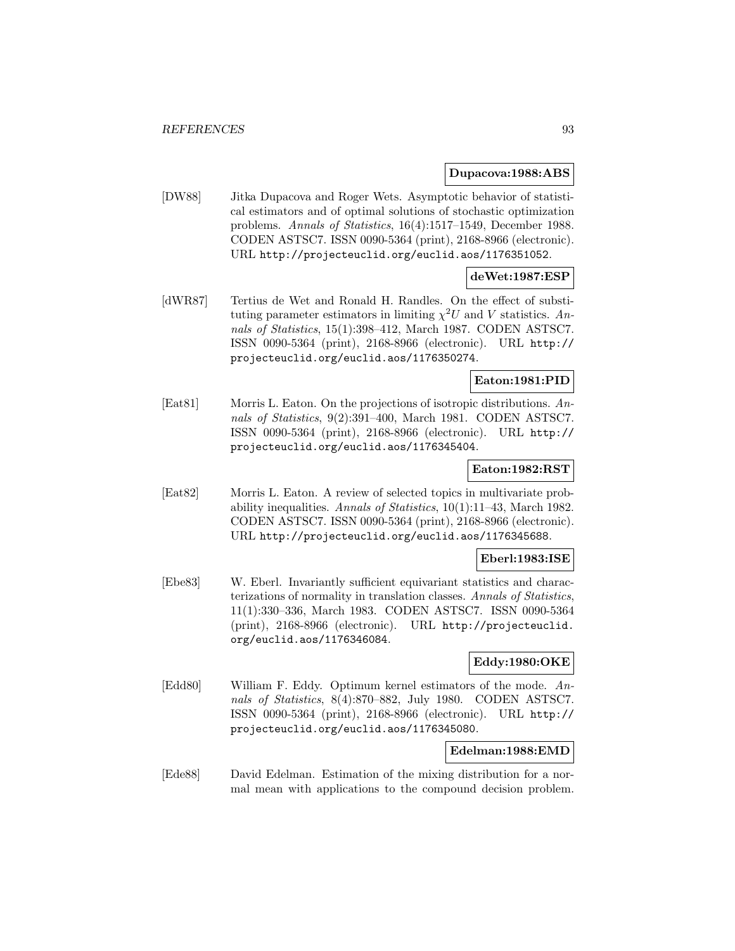#### **Dupacova:1988:ABS**

[DW88] Jitka Dupacova and Roger Wets. Asymptotic behavior of statistical estimators and of optimal solutions of stochastic optimization problems. Annals of Statistics, 16(4):1517–1549, December 1988. CODEN ASTSC7. ISSN 0090-5364 (print), 2168-8966 (electronic). URL http://projecteuclid.org/euclid.aos/1176351052.

# **deWet:1987:ESP**

[dWR87] Tertius de Wet and Ronald H. Randles. On the effect of substituting parameter estimators in limiting  $\chi^2 U$  and V statistics. Annals of Statistics, 15(1):398–412, March 1987. CODEN ASTSC7. ISSN 0090-5364 (print), 2168-8966 (electronic). URL http:// projecteuclid.org/euclid.aos/1176350274.

## **Eaton:1981:PID**

[Eat81] Morris L. Eaton. On the projections of isotropic distributions. Annals of Statistics, 9(2):391-400, March 1981. CODEN ASTSC7. ISSN 0090-5364 (print), 2168-8966 (electronic). URL http:// projecteuclid.org/euclid.aos/1176345404.

## **Eaton:1982:RST**

[Eat82] Morris L. Eaton. A review of selected topics in multivariate probability inequalities. Annals of Statistics, 10(1):11–43, March 1982. CODEN ASTSC7. ISSN 0090-5364 (print), 2168-8966 (electronic). URL http://projecteuclid.org/euclid.aos/1176345688.

#### **Eberl:1983:ISE**

[Ebe83] W. Eberl. Invariantly sufficient equivariant statistics and characterizations of normality in translation classes. Annals of Statistics, 11(1):330–336, March 1983. CODEN ASTSC7. ISSN 0090-5364 (print), 2168-8966 (electronic). URL http://projecteuclid. org/euclid.aos/1176346084.

## **Eddy:1980:OKE**

[Edd80] William F. Eddy. Optimum kernel estimators of the mode. Annals of Statistics, 8(4):870–882, July 1980. CODEN ASTSC7. ISSN 0090-5364 (print), 2168-8966 (electronic). URL http:// projecteuclid.org/euclid.aos/1176345080.

### **Edelman:1988:EMD**

[Ede88] David Edelman. Estimation of the mixing distribution for a normal mean with applications to the compound decision problem.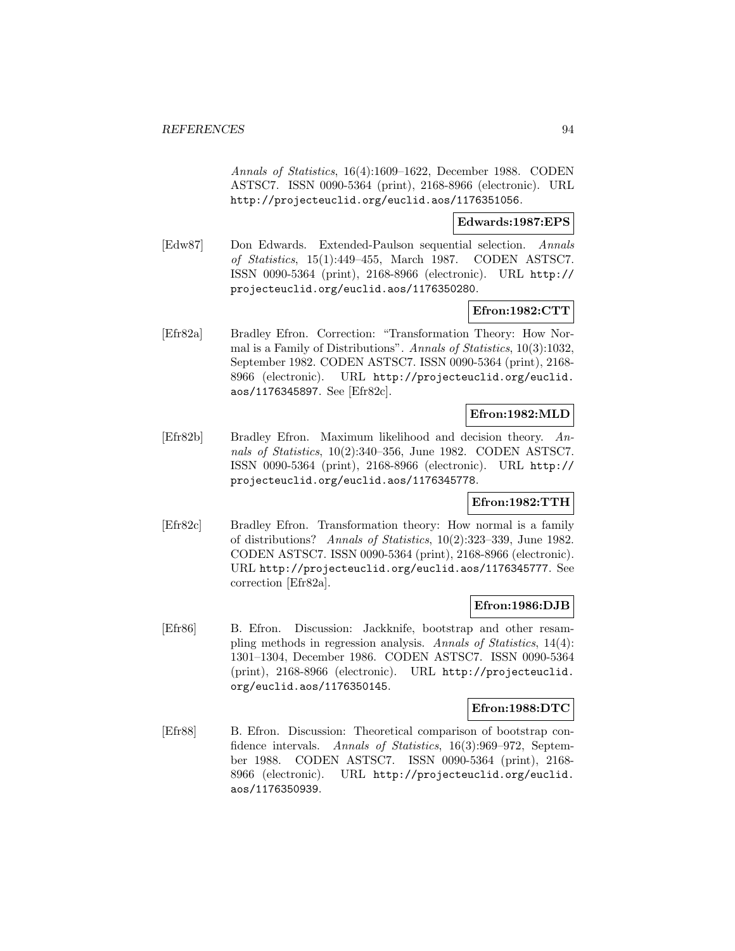Annals of Statistics, 16(4):1609–1622, December 1988. CODEN ASTSC7. ISSN 0090-5364 (print), 2168-8966 (electronic). URL http://projecteuclid.org/euclid.aos/1176351056.

#### **Edwards:1987:EPS**

[Edw87] Don Edwards. Extended-Paulson sequential selection. Annals of Statistics, 15(1):449–455, March 1987. CODEN ASTSC7. ISSN 0090-5364 (print), 2168-8966 (electronic). URL http:// projecteuclid.org/euclid.aos/1176350280.

## **Efron:1982:CTT**

[Efr82a] Bradley Efron. Correction: "Transformation Theory: How Normal is a Family of Distributions". Annals of Statistics, 10(3):1032, September 1982. CODEN ASTSC7. ISSN 0090-5364 (print), 2168- 8966 (electronic). URL http://projecteuclid.org/euclid. aos/1176345897. See [Efr82c].

## **Efron:1982:MLD**

[Efr82b] Bradley Efron. Maximum likelihood and decision theory. Annals of Statistics, 10(2):340–356, June 1982. CODEN ASTSC7. ISSN 0090-5364 (print), 2168-8966 (electronic). URL http:// projecteuclid.org/euclid.aos/1176345778.

## **Efron:1982:TTH**

[Efr82c] Bradley Efron. Transformation theory: How normal is a family of distributions? Annals of Statistics, 10(2):323–339, June 1982. CODEN ASTSC7. ISSN 0090-5364 (print), 2168-8966 (electronic). URL http://projecteuclid.org/euclid.aos/1176345777. See correction [Efr82a].

### **Efron:1986:DJB**

[Efr86] B. Efron. Discussion: Jackknife, bootstrap and other resampling methods in regression analysis. Annals of Statistics, 14(4): 1301–1304, December 1986. CODEN ASTSC7. ISSN 0090-5364 (print), 2168-8966 (electronic). URL http://projecteuclid. org/euclid.aos/1176350145.

### **Efron:1988:DTC**

[Efr88] B. Efron. Discussion: Theoretical comparison of bootstrap confidence intervals. Annals of Statistics, 16(3):969–972, September 1988. CODEN ASTSC7. ISSN 0090-5364 (print), 2168- 8966 (electronic). URL http://projecteuclid.org/euclid. aos/1176350939.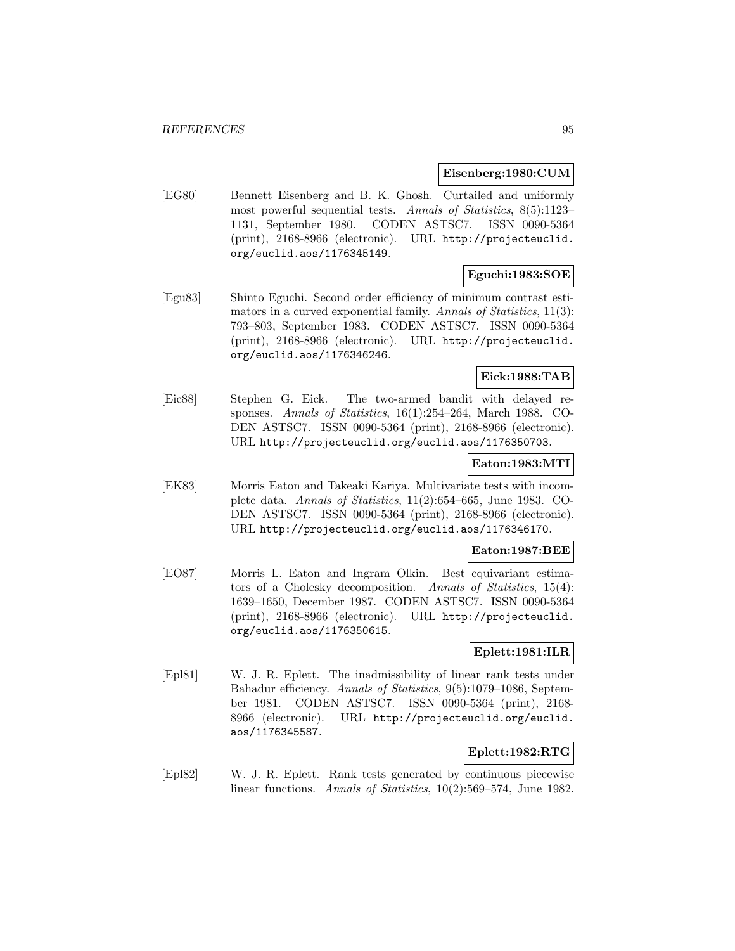#### **Eisenberg:1980:CUM**

[EG80] Bennett Eisenberg and B. K. Ghosh. Curtailed and uniformly most powerful sequential tests. Annals of Statistics, 8(5):1123– 1131, September 1980. CODEN ASTSC7. ISSN 0090-5364 (print), 2168-8966 (electronic). URL http://projecteuclid. org/euclid.aos/1176345149.

### **Eguchi:1983:SOE**

[Egu83] Shinto Eguchi. Second order efficiency of minimum contrast estimators in a curved exponential family. Annals of Statistics, 11(3): 793–803, September 1983. CODEN ASTSC7. ISSN 0090-5364 (print), 2168-8966 (electronic). URL http://projecteuclid. org/euclid.aos/1176346246.

## **Eick:1988:TAB**

[Eic88] Stephen G. Eick. The two-armed bandit with delayed responses. Annals of Statistics, 16(1):254–264, March 1988. CO-DEN ASTSC7. ISSN 0090-5364 (print), 2168-8966 (electronic). URL http://projecteuclid.org/euclid.aos/1176350703.

#### **Eaton:1983:MTI**

[EK83] Morris Eaton and Takeaki Kariya. Multivariate tests with incomplete data. Annals of Statistics, 11(2):654–665, June 1983. CO-DEN ASTSC7. ISSN 0090-5364 (print), 2168-8966 (electronic). URL http://projecteuclid.org/euclid.aos/1176346170.

### **Eaton:1987:BEE**

[EO87] Morris L. Eaton and Ingram Olkin. Best equivariant estimators of a Cholesky decomposition. Annals of Statistics, 15(4): 1639–1650, December 1987. CODEN ASTSC7. ISSN 0090-5364 (print), 2168-8966 (electronic). URL http://projecteuclid. org/euclid.aos/1176350615.

# **Eplett:1981:ILR**

[Epl81] W. J. R. Eplett. The inadmissibility of linear rank tests under Bahadur efficiency. Annals of Statistics, 9(5):1079–1086, September 1981. CODEN ASTSC7. ISSN 0090-5364 (print), 2168- 8966 (electronic). URL http://projecteuclid.org/euclid. aos/1176345587.

## **Eplett:1982:RTG**

[Epl82] W. J. R. Eplett. Rank tests generated by continuous piecewise linear functions. Annals of Statistics, 10(2):569–574, June 1982.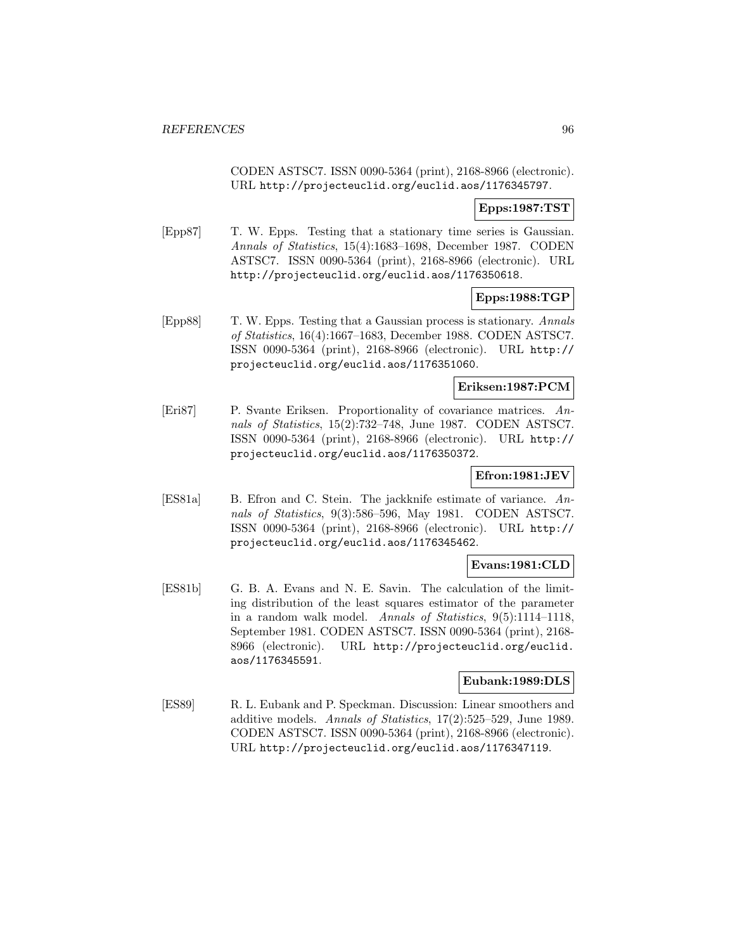CODEN ASTSC7. ISSN 0090-5364 (print), 2168-8966 (electronic). URL http://projecteuclid.org/euclid.aos/1176345797.

# **Epps:1987:TST**

[Epp87] T. W. Epps. Testing that a stationary time series is Gaussian. Annals of Statistics, 15(4):1683–1698, December 1987. CODEN ASTSC7. ISSN 0090-5364 (print), 2168-8966 (electronic). URL http://projecteuclid.org/euclid.aos/1176350618.

### **Epps:1988:TGP**

[Epp88] T. W. Epps. Testing that a Gaussian process is stationary. Annals of Statistics, 16(4):1667–1683, December 1988. CODEN ASTSC7. ISSN 0090-5364 (print), 2168-8966 (electronic). URL http:// projecteuclid.org/euclid.aos/1176351060.

### **Eriksen:1987:PCM**

[Eri87] P. Svante Eriksen. Proportionality of covariance matrices. Annals of Statistics, 15(2):732–748, June 1987. CODEN ASTSC7. ISSN 0090-5364 (print), 2168-8966 (electronic). URL http:// projecteuclid.org/euclid.aos/1176350372.

# **Efron:1981:JEV**

[ES81a] B. Efron and C. Stein. The jackknife estimate of variance. Annals of Statistics, 9(3):586–596, May 1981. CODEN ASTSC7. ISSN 0090-5364 (print), 2168-8966 (electronic). URL http:// projecteuclid.org/euclid.aos/1176345462.

# **Evans:1981:CLD**

[ES81b] G. B. A. Evans and N. E. Savin. The calculation of the limiting distribution of the least squares estimator of the parameter in a random walk model. Annals of Statistics, 9(5):1114–1118, September 1981. CODEN ASTSC7. ISSN 0090-5364 (print), 2168- 8966 (electronic). URL http://projecteuclid.org/euclid. aos/1176345591.

### **Eubank:1989:DLS**

[ES89] R. L. Eubank and P. Speckman. Discussion: Linear smoothers and additive models. Annals of Statistics, 17(2):525–529, June 1989. CODEN ASTSC7. ISSN 0090-5364 (print), 2168-8966 (electronic). URL http://projecteuclid.org/euclid.aos/1176347119.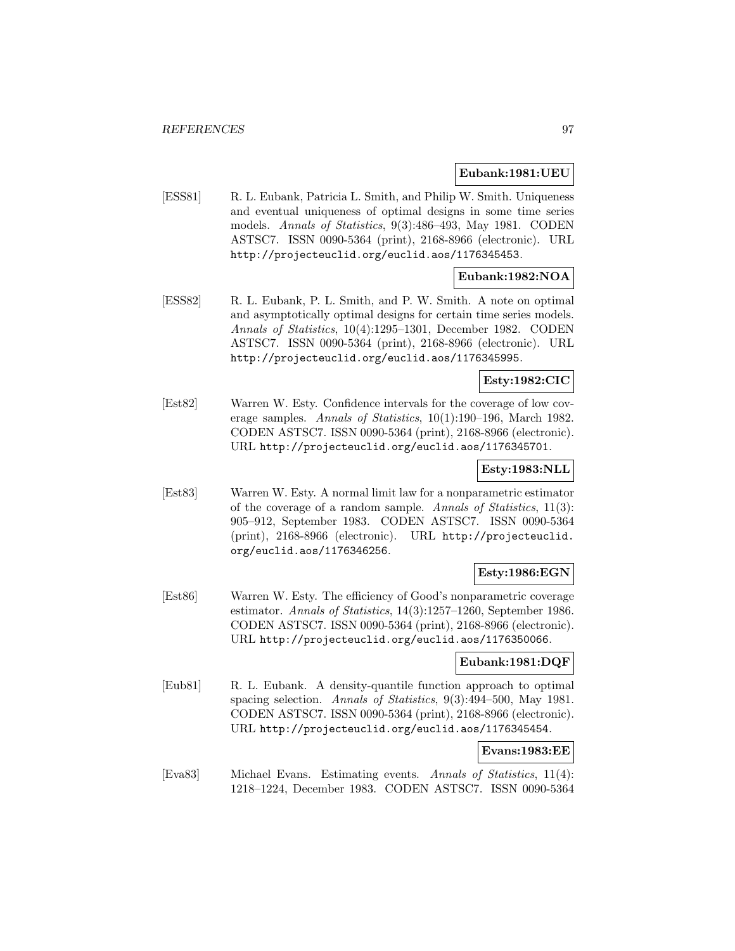#### **Eubank:1981:UEU**

[ESS81] R. L. Eubank, Patricia L. Smith, and Philip W. Smith. Uniqueness and eventual uniqueness of optimal designs in some time series models. Annals of Statistics, 9(3):486–493, May 1981. CODEN ASTSC7. ISSN 0090-5364 (print), 2168-8966 (electronic). URL http://projecteuclid.org/euclid.aos/1176345453.

# **Eubank:1982:NOA**

[ESS82] R. L. Eubank, P. L. Smith, and P. W. Smith. A note on optimal and asymptotically optimal designs for certain time series models. Annals of Statistics, 10(4):1295–1301, December 1982. CODEN ASTSC7. ISSN 0090-5364 (print), 2168-8966 (electronic). URL http://projecteuclid.org/euclid.aos/1176345995.

## **Esty:1982:CIC**

[Est82] Warren W. Esty. Confidence intervals for the coverage of low coverage samples. Annals of Statistics, 10(1):190–196, March 1982. CODEN ASTSC7. ISSN 0090-5364 (print), 2168-8966 (electronic). URL http://projecteuclid.org/euclid.aos/1176345701.

## **Esty:1983:NLL**

[Est83] Warren W. Esty. A normal limit law for a nonparametric estimator of the coverage of a random sample. Annals of Statistics, 11(3): 905–912, September 1983. CODEN ASTSC7. ISSN 0090-5364 (print), 2168-8966 (electronic). URL http://projecteuclid. org/euclid.aos/1176346256.

## **Esty:1986:EGN**

[Est86] Warren W. Esty. The efficiency of Good's nonparametric coverage estimator. Annals of Statistics, 14(3):1257–1260, September 1986. CODEN ASTSC7. ISSN 0090-5364 (print), 2168-8966 (electronic). URL http://projecteuclid.org/euclid.aos/1176350066.

#### **Eubank:1981:DQF**

[Eub81] R. L. Eubank. A density-quantile function approach to optimal spacing selection. Annals of Statistics, 9(3):494–500, May 1981. CODEN ASTSC7. ISSN 0090-5364 (print), 2168-8966 (electronic). URL http://projecteuclid.org/euclid.aos/1176345454.

### **Evans:1983:EE**

[Eva83] Michael Evans. Estimating events. Annals of Statistics, 11(4): 1218–1224, December 1983. CODEN ASTSC7. ISSN 0090-5364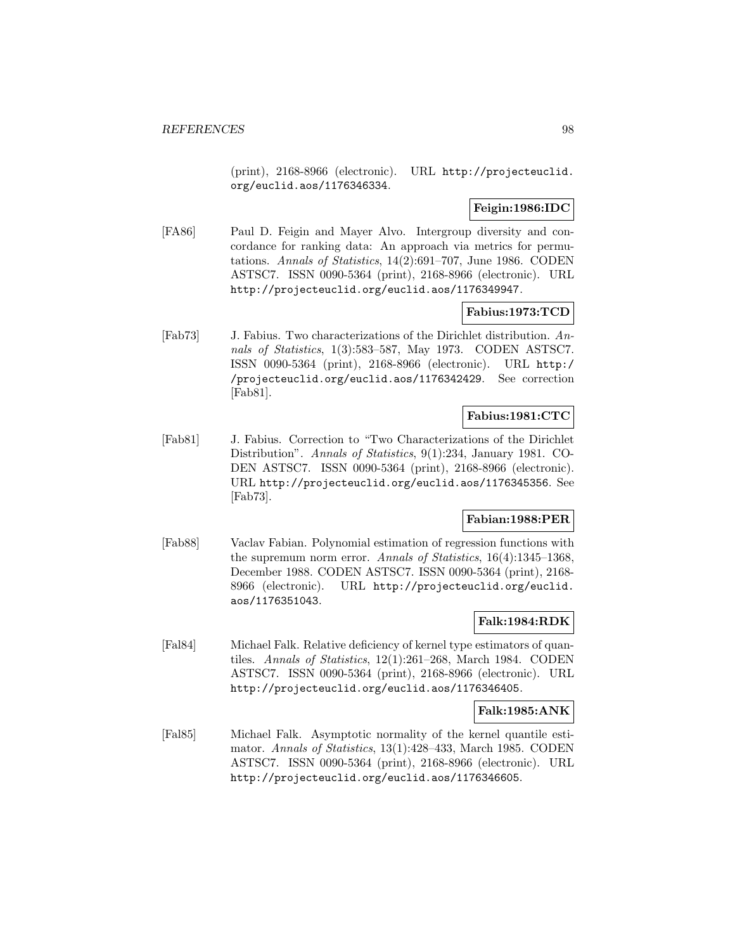(print), 2168-8966 (electronic). URL http://projecteuclid. org/euclid.aos/1176346334.

**Feigin:1986:IDC**

[FA86] Paul D. Feigin and Mayer Alvo. Intergroup diversity and concordance for ranking data: An approach via metrics for permutations. Annals of Statistics, 14(2):691–707, June 1986. CODEN ASTSC7. ISSN 0090-5364 (print), 2168-8966 (electronic). URL http://projecteuclid.org/euclid.aos/1176349947.

## **Fabius:1973:TCD**

[Fab73] J. Fabius. Two characterizations of the Dirichlet distribution. Annals of Statistics, 1(3):583–587, May 1973. CODEN ASTSC7. ISSN 0090-5364 (print), 2168-8966 (electronic). URL http:/ /projecteuclid.org/euclid.aos/1176342429. See correction [Fab81].

# **Fabius:1981:CTC**

[Fab81] J. Fabius. Correction to "Two Characterizations of the Dirichlet Distribution". Annals of Statistics, 9(1):234, January 1981. CO-DEN ASTSC7. ISSN 0090-5364 (print), 2168-8966 (electronic). URL http://projecteuclid.org/euclid.aos/1176345356. See [Fab73].

# **Fabian:1988:PER**

[Fab88] Vaclav Fabian. Polynomial estimation of regression functions with the supremum norm error. Annals of Statistics, 16(4):1345–1368, December 1988. CODEN ASTSC7. ISSN 0090-5364 (print), 2168- 8966 (electronic). URL http://projecteuclid.org/euclid. aos/1176351043.

## **Falk:1984:RDK**

[Fal84] Michael Falk. Relative deficiency of kernel type estimators of quantiles. Annals of Statistics, 12(1):261–268, March 1984. CODEN ASTSC7. ISSN 0090-5364 (print), 2168-8966 (electronic). URL http://projecteuclid.org/euclid.aos/1176346405.

#### **Falk:1985:ANK**

[Fal85] Michael Falk. Asymptotic normality of the kernel quantile estimator. Annals of Statistics, 13(1):428–433, March 1985. CODEN ASTSC7. ISSN 0090-5364 (print), 2168-8966 (electronic). URL http://projecteuclid.org/euclid.aos/1176346605.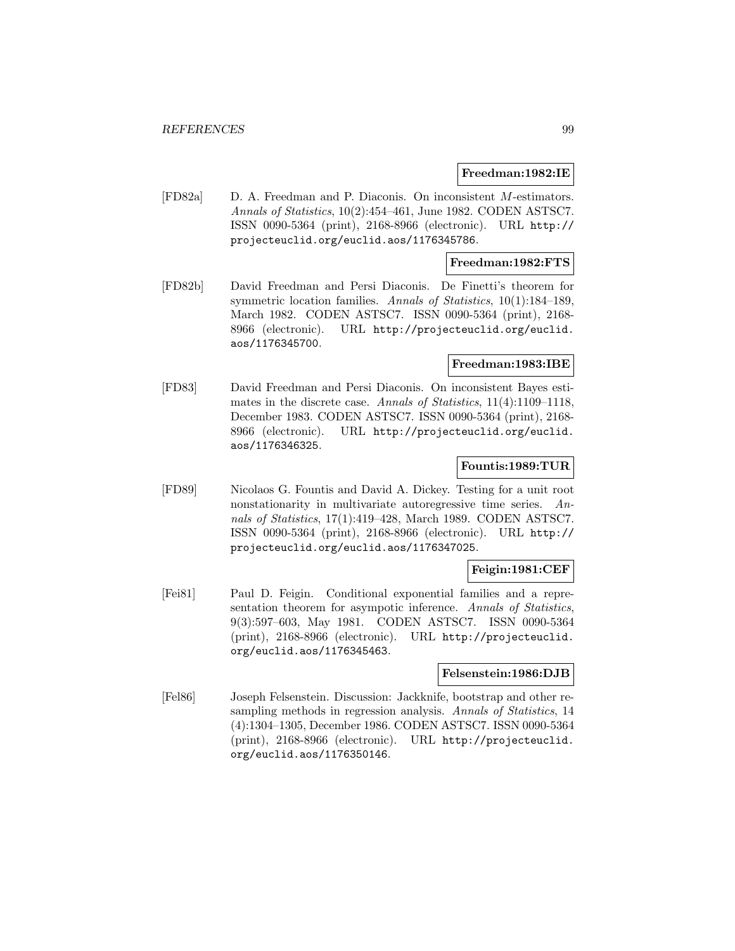#### **Freedman:1982:IE**

[FD82a] D. A. Freedman and P. Diaconis. On inconsistent M-estimators. Annals of Statistics, 10(2):454–461, June 1982. CODEN ASTSC7. ISSN 0090-5364 (print), 2168-8966 (electronic). URL http:// projecteuclid.org/euclid.aos/1176345786.

## **Freedman:1982:FTS**

[FD82b] David Freedman and Persi Diaconis. De Finetti's theorem for symmetric location families. Annals of Statistics, 10(1):184–189, March 1982. CODEN ASTSC7. ISSN 0090-5364 (print), 2168- 8966 (electronic). URL http://projecteuclid.org/euclid. aos/1176345700.

## **Freedman:1983:IBE**

[FD83] David Freedman and Persi Diaconis. On inconsistent Bayes estimates in the discrete case. Annals of Statistics,  $11(4):1109-1118$ , December 1983. CODEN ASTSC7. ISSN 0090-5364 (print), 2168- 8966 (electronic). URL http://projecteuclid.org/euclid. aos/1176346325.

### **Fountis:1989:TUR**

[FD89] Nicolaos G. Fountis and David A. Dickey. Testing for a unit root nonstationarity in multivariate autoregressive time series. Annals of Statistics, 17(1):419–428, March 1989. CODEN ASTSC7. ISSN 0090-5364 (print), 2168-8966 (electronic). URL http:// projecteuclid.org/euclid.aos/1176347025.

# **Feigin:1981:CEF**

[Fei81] Paul D. Feigin. Conditional exponential families and a representation theorem for asympotic inference. Annals of Statistics, 9(3):597–603, May 1981. CODEN ASTSC7. ISSN 0090-5364 (print), 2168-8966 (electronic). URL http://projecteuclid. org/euclid.aos/1176345463.

#### **Felsenstein:1986:DJB**

[Fel86] Joseph Felsenstein. Discussion: Jackknife, bootstrap and other resampling methods in regression analysis. Annals of Statistics, 14 (4):1304–1305, December 1986. CODEN ASTSC7. ISSN 0090-5364 (print), 2168-8966 (electronic). URL http://projecteuclid. org/euclid.aos/1176350146.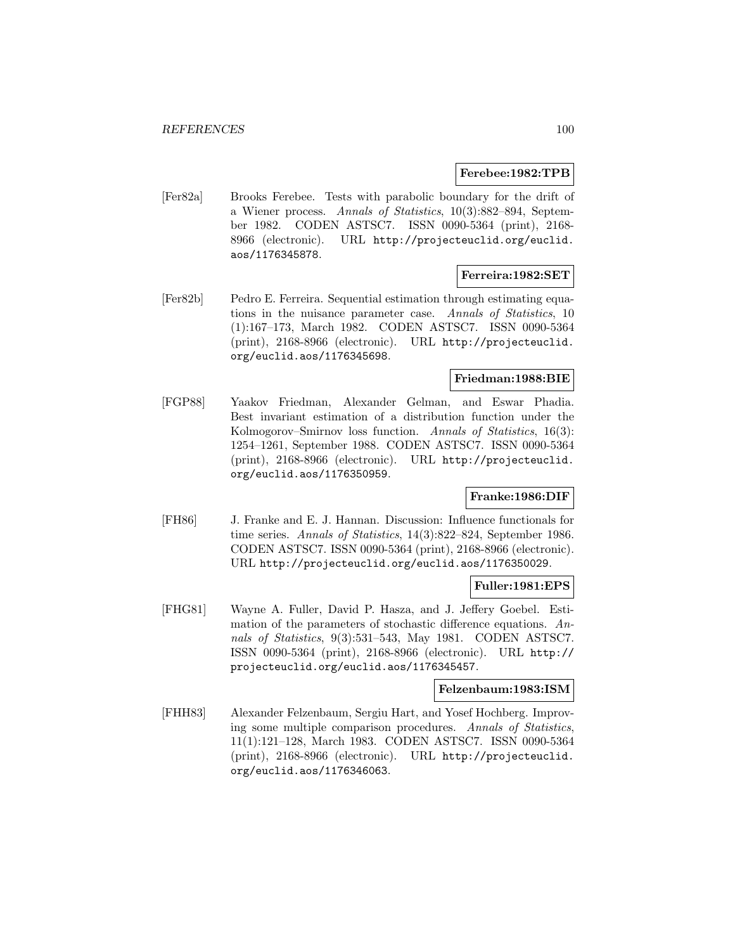#### **Ferebee:1982:TPB**

[Fer82a] Brooks Ferebee. Tests with parabolic boundary for the drift of a Wiener process. Annals of Statistics, 10(3):882–894, September 1982. CODEN ASTSC7. ISSN 0090-5364 (print), 2168- 8966 (electronic). URL http://projecteuclid.org/euclid. aos/1176345878.

### **Ferreira:1982:SET**

[Fer82b] Pedro E. Ferreira. Sequential estimation through estimating equations in the nuisance parameter case. Annals of Statistics, 10 (1):167–173, March 1982. CODEN ASTSC7. ISSN 0090-5364 (print), 2168-8966 (electronic). URL http://projecteuclid. org/euclid.aos/1176345698.

#### **Friedman:1988:BIE**

[FGP88] Yaakov Friedman, Alexander Gelman, and Eswar Phadia. Best invariant estimation of a distribution function under the Kolmogorov–Smirnov loss function. Annals of Statistics, 16(3): 1254–1261, September 1988. CODEN ASTSC7. ISSN 0090-5364 (print), 2168-8966 (electronic). URL http://projecteuclid. org/euclid.aos/1176350959.

## **Franke:1986:DIF**

[FH86] J. Franke and E. J. Hannan. Discussion: Influence functionals for time series. Annals of Statistics, 14(3):822–824, September 1986. CODEN ASTSC7. ISSN 0090-5364 (print), 2168-8966 (electronic). URL http://projecteuclid.org/euclid.aos/1176350029.

### **Fuller:1981:EPS**

[FHG81] Wayne A. Fuller, David P. Hasza, and J. Jeffery Goebel. Estimation of the parameters of stochastic difference equations. Annals of Statistics, 9(3):531–543, May 1981. CODEN ASTSC7. ISSN 0090-5364 (print), 2168-8966 (electronic). URL http:// projecteuclid.org/euclid.aos/1176345457.

### **Felzenbaum:1983:ISM**

[FHH83] Alexander Felzenbaum, Sergiu Hart, and Yosef Hochberg. Improving some multiple comparison procedures. Annals of Statistics, 11(1):121–128, March 1983. CODEN ASTSC7. ISSN 0090-5364 (print), 2168-8966 (electronic). URL http://projecteuclid. org/euclid.aos/1176346063.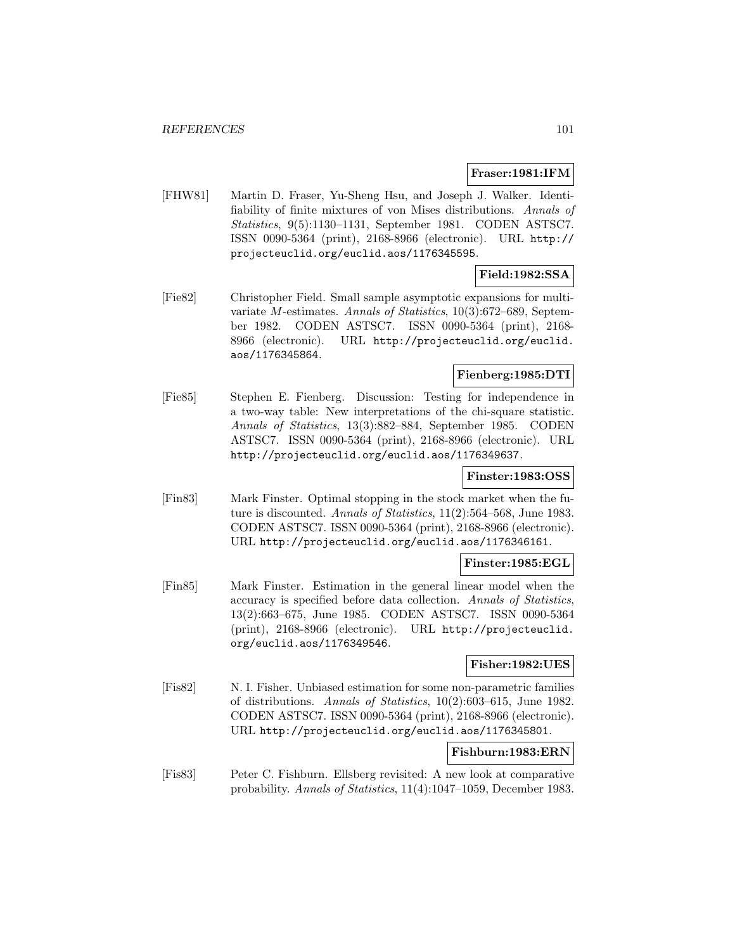### **Fraser:1981:IFM**

[FHW81] Martin D. Fraser, Yu-Sheng Hsu, and Joseph J. Walker. Identifiability of finite mixtures of von Mises distributions. Annals of Statistics, 9(5):1130–1131, September 1981. CODEN ASTSC7. ISSN 0090-5364 (print), 2168-8966 (electronic). URL http:// projecteuclid.org/euclid.aos/1176345595.

# **Field:1982:SSA**

[Fie82] Christopher Field. Small sample asymptotic expansions for multivariate M-estimates. Annals of Statistics, 10(3):672–689, September 1982. CODEN ASTSC7. ISSN 0090-5364 (print), 2168- 8966 (electronic). URL http://projecteuclid.org/euclid. aos/1176345864.

# **Fienberg:1985:DTI**

[Fie85] Stephen E. Fienberg. Discussion: Testing for independence in a two-way table: New interpretations of the chi-square statistic. Annals of Statistics, 13(3):882–884, September 1985. CODEN ASTSC7. ISSN 0090-5364 (print), 2168-8966 (electronic). URL http://projecteuclid.org/euclid.aos/1176349637.

# **Finster:1983:OSS**

[Fin83] Mark Finster. Optimal stopping in the stock market when the future is discounted. Annals of Statistics, 11(2):564–568, June 1983. CODEN ASTSC7. ISSN 0090-5364 (print), 2168-8966 (electronic). URL http://projecteuclid.org/euclid.aos/1176346161.

### **Finster:1985:EGL**

[Fin85] Mark Finster. Estimation in the general linear model when the accuracy is specified before data collection. Annals of Statistics, 13(2):663–675, June 1985. CODEN ASTSC7. ISSN 0090-5364 (print), 2168-8966 (electronic). URL http://projecteuclid. org/euclid.aos/1176349546.

### **Fisher:1982:UES**

[Fis82] N. I. Fisher. Unbiased estimation for some non-parametric families of distributions. Annals of Statistics, 10(2):603–615, June 1982. CODEN ASTSC7. ISSN 0090-5364 (print), 2168-8966 (electronic). URL http://projecteuclid.org/euclid.aos/1176345801.

### **Fishburn:1983:ERN**

[Fis83] Peter C. Fishburn. Ellsberg revisited: A new look at comparative probability. Annals of Statistics, 11(4):1047–1059, December 1983.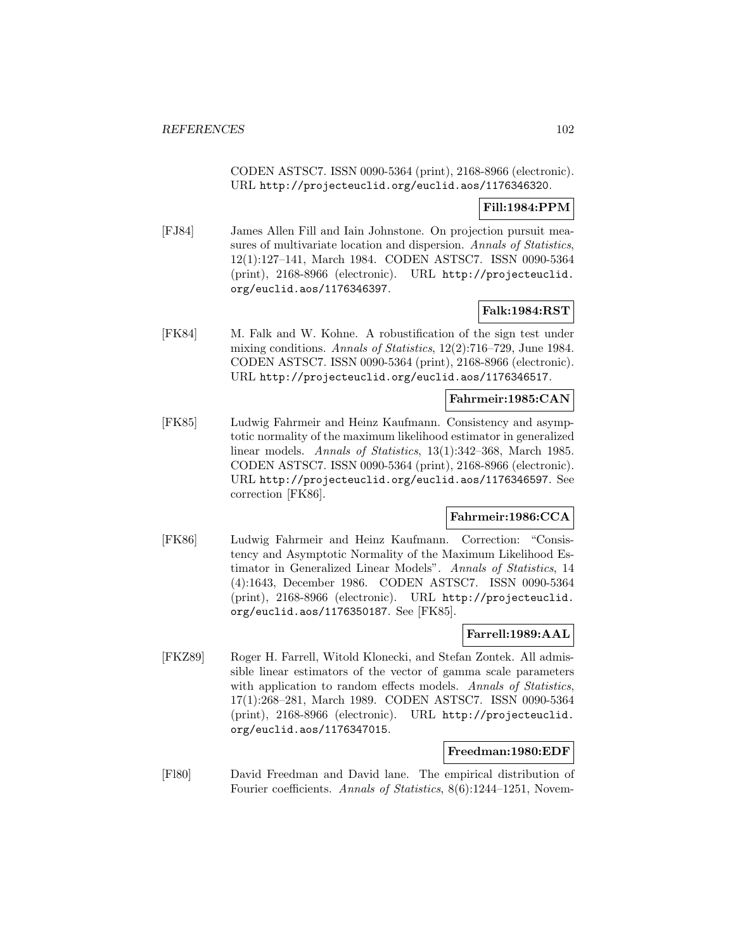CODEN ASTSC7. ISSN 0090-5364 (print), 2168-8966 (electronic). URL http://projecteuclid.org/euclid.aos/1176346320.

# **Fill:1984:PPM**

[FJ84] James Allen Fill and Iain Johnstone. On projection pursuit measures of multivariate location and dispersion. Annals of Statistics, 12(1):127–141, March 1984. CODEN ASTSC7. ISSN 0090-5364 (print), 2168-8966 (electronic). URL http://projecteuclid. org/euclid.aos/1176346397.

# **Falk:1984:RST**

[FK84] M. Falk and W. Kohne. A robustification of the sign test under mixing conditions. Annals of Statistics, 12(2):716–729, June 1984. CODEN ASTSC7. ISSN 0090-5364 (print), 2168-8966 (electronic). URL http://projecteuclid.org/euclid.aos/1176346517.

### **Fahrmeir:1985:CAN**

[FK85] Ludwig Fahrmeir and Heinz Kaufmann. Consistency and asymptotic normality of the maximum likelihood estimator in generalized linear models. Annals of Statistics, 13(1):342–368, March 1985. CODEN ASTSC7. ISSN 0090-5364 (print), 2168-8966 (electronic). URL http://projecteuclid.org/euclid.aos/1176346597. See correction [FK86].

# **Fahrmeir:1986:CCA**

[FK86] Ludwig Fahrmeir and Heinz Kaufmann. Correction: "Consistency and Asymptotic Normality of the Maximum Likelihood Estimator in Generalized Linear Models". Annals of Statistics, 14 (4):1643, December 1986. CODEN ASTSC7. ISSN 0090-5364 (print), 2168-8966 (electronic). URL http://projecteuclid. org/euclid.aos/1176350187. See [FK85].

## **Farrell:1989:AAL**

[FKZ89] Roger H. Farrell, Witold Klonecki, and Stefan Zontek. All admissible linear estimators of the vector of gamma scale parameters with application to random effects models. Annals of Statistics, 17(1):268–281, March 1989. CODEN ASTSC7. ISSN 0090-5364 (print), 2168-8966 (electronic). URL http://projecteuclid. org/euclid.aos/1176347015.

## **Freedman:1980:EDF**

[Fl80] David Freedman and David lane. The empirical distribution of Fourier coefficients. Annals of Statistics, 8(6):1244–1251, Novem-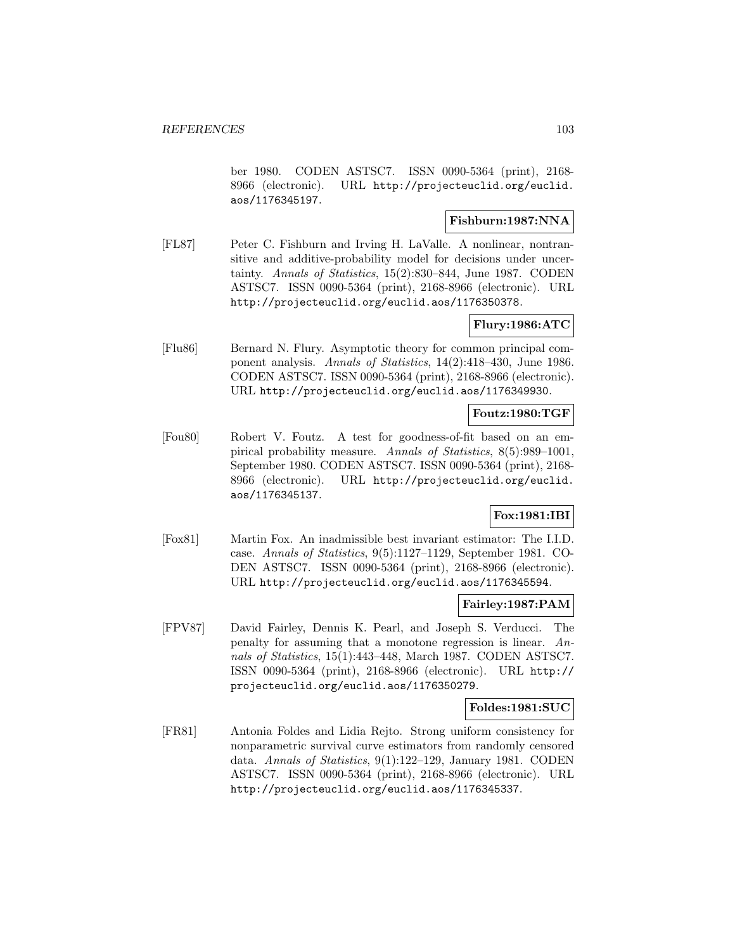ber 1980. CODEN ASTSC7. ISSN 0090-5364 (print), 2168- 8966 (electronic). URL http://projecteuclid.org/euclid. aos/1176345197.

### **Fishburn:1987:NNA**

[FL87] Peter C. Fishburn and Irving H. LaValle. A nonlinear, nontransitive and additive-probability model for decisions under uncertainty. Annals of Statistics, 15(2):830–844, June 1987. CODEN ASTSC7. ISSN 0090-5364 (print), 2168-8966 (electronic). URL http://projecteuclid.org/euclid.aos/1176350378.

## **Flury:1986:ATC**

[Flu86] Bernard N. Flury. Asymptotic theory for common principal component analysis. Annals of Statistics, 14(2):418–430, June 1986. CODEN ASTSC7. ISSN 0090-5364 (print), 2168-8966 (electronic). URL http://projecteuclid.org/euclid.aos/1176349930.

## **Foutz:1980:TGF**

[Fou80] Robert V. Foutz. A test for goodness-of-fit based on an empirical probability measure. Annals of Statistics, 8(5):989–1001, September 1980. CODEN ASTSC7. ISSN 0090-5364 (print), 2168- 8966 (electronic). URL http://projecteuclid.org/euclid. aos/1176345137.

## **Fox:1981:IBI**

[Fox81] Martin Fox. An inadmissible best invariant estimator: The I.I.D. case. Annals of Statistics, 9(5):1127–1129, September 1981. CO-DEN ASTSC7. ISSN 0090-5364 (print), 2168-8966 (electronic). URL http://projecteuclid.org/euclid.aos/1176345594.

### **Fairley:1987:PAM**

[FPV87] David Fairley, Dennis K. Pearl, and Joseph S. Verducci. The penalty for assuming that a monotone regression is linear. Annals of Statistics, 15(1):443–448, March 1987. CODEN ASTSC7. ISSN 0090-5364 (print), 2168-8966 (electronic). URL http:// projecteuclid.org/euclid.aos/1176350279.

#### **Foldes:1981:SUC**

[FR81] Antonia Foldes and Lidia Rejto. Strong uniform consistency for nonparametric survival curve estimators from randomly censored data. Annals of Statistics, 9(1):122–129, January 1981. CODEN ASTSC7. ISSN 0090-5364 (print), 2168-8966 (electronic). URL http://projecteuclid.org/euclid.aos/1176345337.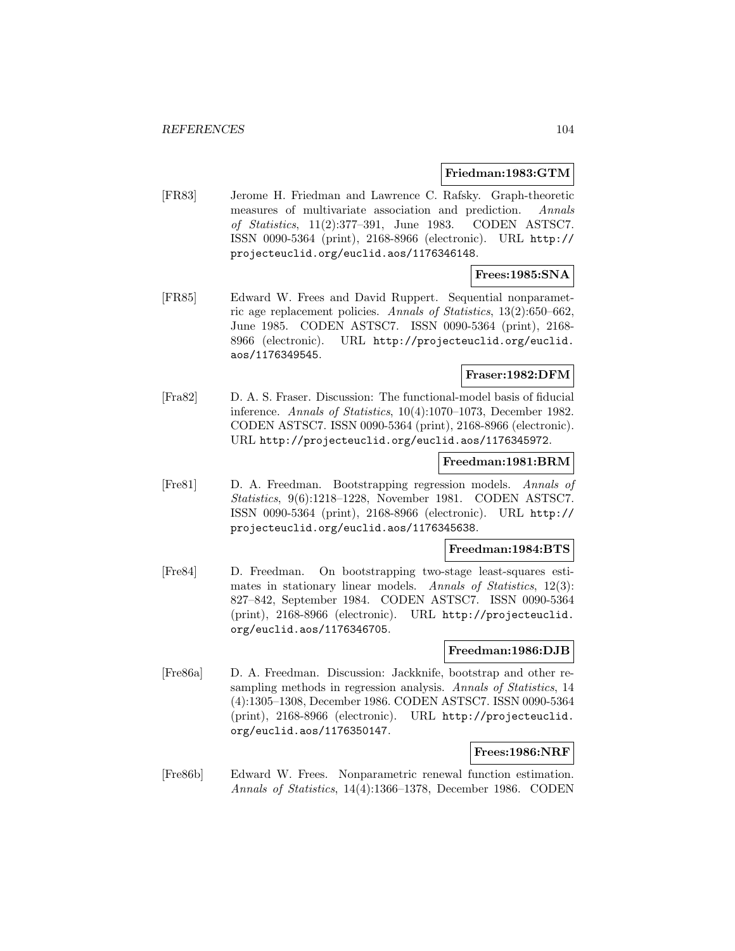#### **Friedman:1983:GTM**

[FR83] Jerome H. Friedman and Lawrence C. Rafsky. Graph-theoretic measures of multivariate association and prediction. Annals of Statistics, 11(2):377–391, June 1983. CODEN ASTSC7. ISSN 0090-5364 (print), 2168-8966 (electronic). URL http:// projecteuclid.org/euclid.aos/1176346148.

### **Frees:1985:SNA**

[FR85] Edward W. Frees and David Ruppert. Sequential nonparametric age replacement policies. Annals of Statistics, 13(2):650–662, June 1985. CODEN ASTSC7. ISSN 0090-5364 (print), 2168- 8966 (electronic). URL http://projecteuclid.org/euclid. aos/1176349545.

## **Fraser:1982:DFM**

[Fra82] D. A. S. Fraser. Discussion: The functional-model basis of fiducial inference. Annals of Statistics, 10(4):1070–1073, December 1982. CODEN ASTSC7. ISSN 0090-5364 (print), 2168-8966 (electronic). URL http://projecteuclid.org/euclid.aos/1176345972.

#### **Freedman:1981:BRM**

[Fre81] D. A. Freedman. Bootstrapping regression models. Annals of Statistics, 9(6):1218–1228, November 1981. CODEN ASTSC7. ISSN 0090-5364 (print), 2168-8966 (electronic). URL http:// projecteuclid.org/euclid.aos/1176345638.

## **Freedman:1984:BTS**

[Fre84] D. Freedman. On bootstrapping two-stage least-squares estimates in stationary linear models. Annals of Statistics, 12(3): 827–842, September 1984. CODEN ASTSC7. ISSN 0090-5364 (print), 2168-8966 (electronic). URL http://projecteuclid. org/euclid.aos/1176346705.

#### **Freedman:1986:DJB**

[Fre86a] D. A. Freedman. Discussion: Jackknife, bootstrap and other resampling methods in regression analysis. Annals of Statistics, 14 (4):1305–1308, December 1986. CODEN ASTSC7. ISSN 0090-5364 (print), 2168-8966 (electronic). URL http://projecteuclid. org/euclid.aos/1176350147.

# **Frees:1986:NRF**

[Fre86b] Edward W. Frees. Nonparametric renewal function estimation. Annals of Statistics, 14(4):1366–1378, December 1986. CODEN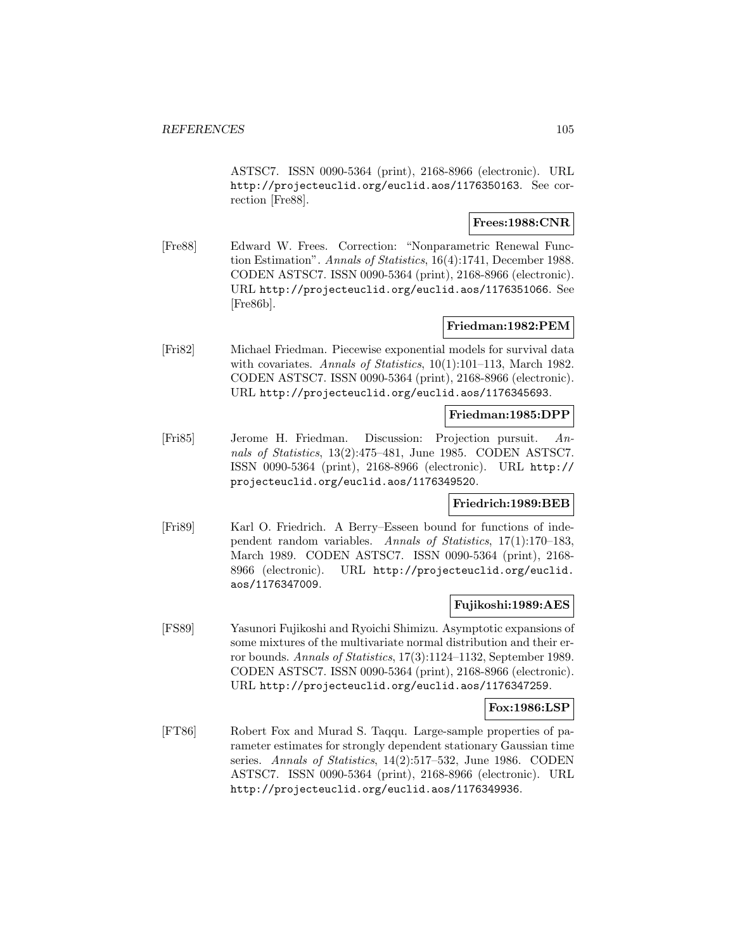ASTSC7. ISSN 0090-5364 (print), 2168-8966 (electronic). URL http://projecteuclid.org/euclid.aos/1176350163. See correction [Fre88].

## **Frees:1988:CNR**

[Fre88] Edward W. Frees. Correction: "Nonparametric Renewal Function Estimation". Annals of Statistics, 16(4):1741, December 1988. CODEN ASTSC7. ISSN 0090-5364 (print), 2168-8966 (electronic). URL http://projecteuclid.org/euclid.aos/1176351066. See [Fre86b].

# **Friedman:1982:PEM**

[Fri82] Michael Friedman. Piecewise exponential models for survival data with covariates. Annals of Statistics, 10(1):101-113, March 1982. CODEN ASTSC7. ISSN 0090-5364 (print), 2168-8966 (electronic). URL http://projecteuclid.org/euclid.aos/1176345693.

### **Friedman:1985:DPP**

[Fri85] Jerome H. Friedman. Discussion: Projection pursuit. Annals of Statistics, 13(2):475–481, June 1985. CODEN ASTSC7. ISSN 0090-5364 (print), 2168-8966 (electronic). URL http:// projecteuclid.org/euclid.aos/1176349520.

### **Friedrich:1989:BEB**

[Fri89] Karl O. Friedrich. A Berry–Esseen bound for functions of independent random variables. Annals of Statistics, 17(1):170–183, March 1989. CODEN ASTSC7. ISSN 0090-5364 (print), 2168- 8966 (electronic). URL http://projecteuclid.org/euclid. aos/1176347009.

### **Fujikoshi:1989:AES**

[FS89] Yasunori Fujikoshi and Ryoichi Shimizu. Asymptotic expansions of some mixtures of the multivariate normal distribution and their error bounds. Annals of Statistics, 17(3):1124–1132, September 1989. CODEN ASTSC7. ISSN 0090-5364 (print), 2168-8966 (electronic). URL http://projecteuclid.org/euclid.aos/1176347259.

### **Fox:1986:LSP**

[FT86] Robert Fox and Murad S. Taqqu. Large-sample properties of parameter estimates for strongly dependent stationary Gaussian time series. Annals of Statistics, 14(2):517–532, June 1986. CODEN ASTSC7. ISSN 0090-5364 (print), 2168-8966 (electronic). URL http://projecteuclid.org/euclid.aos/1176349936.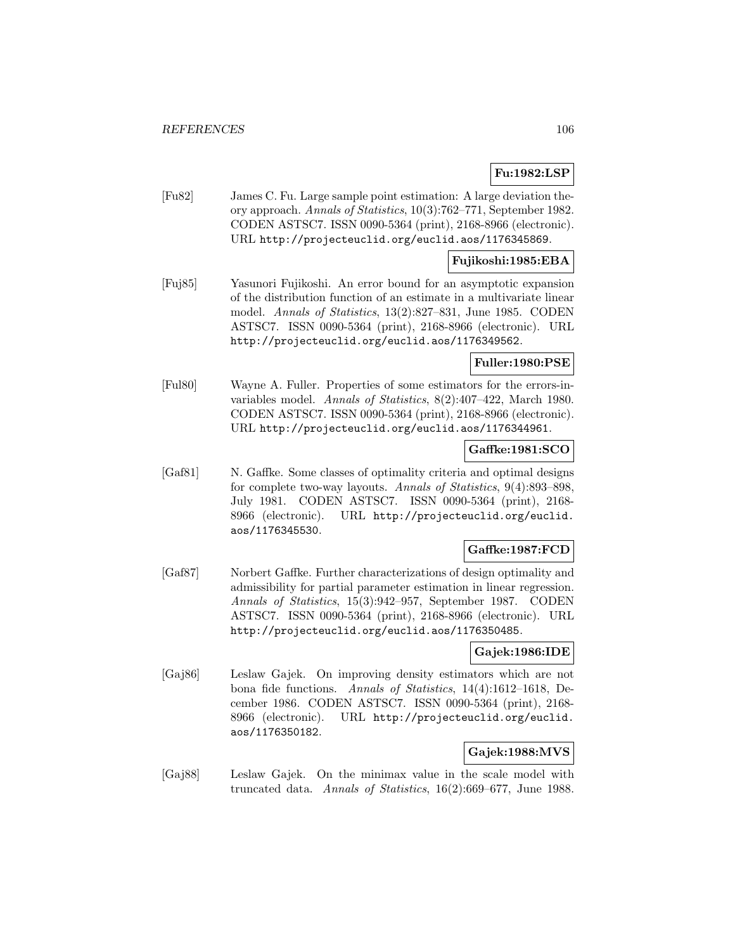# **Fu:1982:LSP**

[Fu82] James C. Fu. Large sample point estimation: A large deviation theory approach. Annals of Statistics, 10(3):762–771, September 1982. CODEN ASTSC7. ISSN 0090-5364 (print), 2168-8966 (electronic). URL http://projecteuclid.org/euclid.aos/1176345869.

## **Fujikoshi:1985:EBA**

[Fuj85] Yasunori Fujikoshi. An error bound for an asymptotic expansion of the distribution function of an estimate in a multivariate linear model. Annals of Statistics, 13(2):827–831, June 1985. CODEN ASTSC7. ISSN 0090-5364 (print), 2168-8966 (electronic). URL http://projecteuclid.org/euclid.aos/1176349562.

# **Fuller:1980:PSE**

[Ful80] Wayne A. Fuller. Properties of some estimators for the errors-invariables model. Annals of Statistics, 8(2):407–422, March 1980. CODEN ASTSC7. ISSN 0090-5364 (print), 2168-8966 (electronic). URL http://projecteuclid.org/euclid.aos/1176344961.

### **Gaffke:1981:SCO**

[Gaf81] N. Gaffke. Some classes of optimality criteria and optimal designs for complete two-way layouts. Annals of Statistics, 9(4):893–898, July 1981. CODEN ASTSC7. ISSN 0090-5364 (print), 2168- 8966 (electronic). URL http://projecteuclid.org/euclid. aos/1176345530.

# **Gaffke:1987:FCD**

[Gaf87] Norbert Gaffke. Further characterizations of design optimality and admissibility for partial parameter estimation in linear regression. Annals of Statistics, 15(3):942–957, September 1987. CODEN ASTSC7. ISSN 0090-5364 (print), 2168-8966 (electronic). URL http://projecteuclid.org/euclid.aos/1176350485.

# **Gajek:1986:IDE**

[Gaj86] Leslaw Gajek. On improving density estimators which are not bona fide functions. Annals of Statistics, 14(4):1612–1618, December 1986. CODEN ASTSC7. ISSN 0090-5364 (print), 2168- 8966 (electronic). URL http://projecteuclid.org/euclid. aos/1176350182.

# **Gajek:1988:MVS**

[Gaj88] Leslaw Gajek. On the minimax value in the scale model with truncated data. Annals of Statistics, 16(2):669–677, June 1988.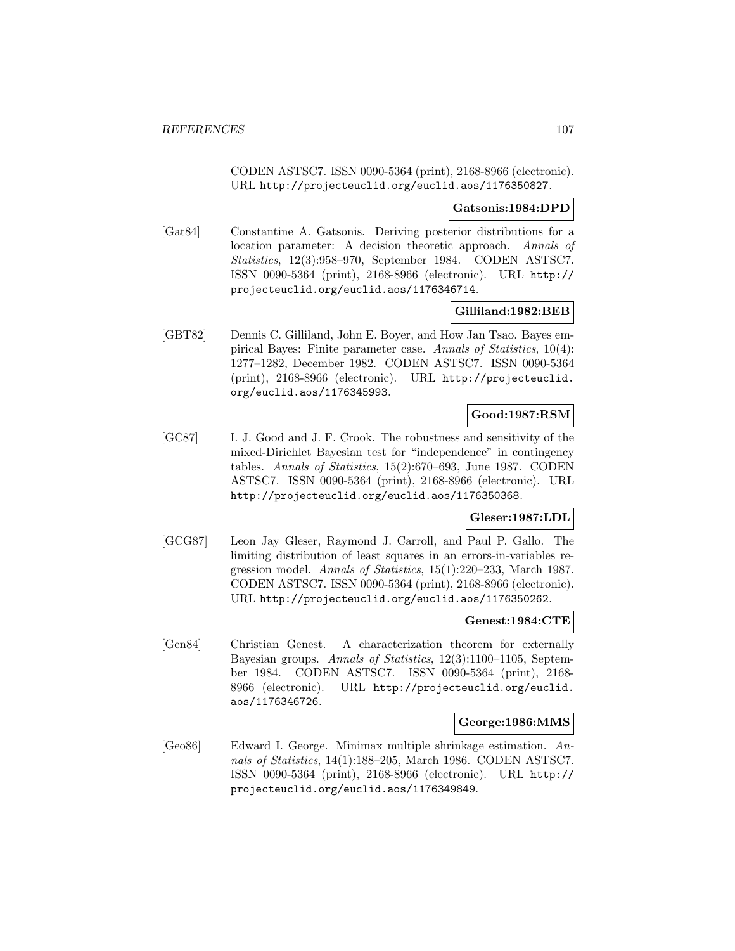CODEN ASTSC7. ISSN 0090-5364 (print), 2168-8966 (electronic). URL http://projecteuclid.org/euclid.aos/1176350827.

#### **Gatsonis:1984:DPD**

[Gat84] Constantine A. Gatsonis. Deriving posterior distributions for a location parameter: A decision theoretic approach. Annals of Statistics, 12(3):958–970, September 1984. CODEN ASTSC7. ISSN 0090-5364 (print), 2168-8966 (electronic). URL http:// projecteuclid.org/euclid.aos/1176346714.

### **Gilliland:1982:BEB**

[GBT82] Dennis C. Gilliland, John E. Boyer, and How Jan Tsao. Bayes empirical Bayes: Finite parameter case. Annals of Statistics, 10(4): 1277–1282, December 1982. CODEN ASTSC7. ISSN 0090-5364 (print), 2168-8966 (electronic). URL http://projecteuclid. org/euclid.aos/1176345993.

# **Good:1987:RSM**

[GC87] I. J. Good and J. F. Crook. The robustness and sensitivity of the mixed-Dirichlet Bayesian test for "independence" in contingency tables. Annals of Statistics, 15(2):670–693, June 1987. CODEN ASTSC7. ISSN 0090-5364 (print), 2168-8966 (electronic). URL http://projecteuclid.org/euclid.aos/1176350368.

# **Gleser:1987:LDL**

[GCG87] Leon Jay Gleser, Raymond J. Carroll, and Paul P. Gallo. The limiting distribution of least squares in an errors-in-variables regression model. Annals of Statistics, 15(1):220–233, March 1987. CODEN ASTSC7. ISSN 0090-5364 (print), 2168-8966 (electronic). URL http://projecteuclid.org/euclid.aos/1176350262.

#### **Genest:1984:CTE**

[Gen84] Christian Genest. A characterization theorem for externally Bayesian groups. Annals of Statistics, 12(3):1100–1105, September 1984. CODEN ASTSC7. ISSN 0090-5364 (print), 2168- 8966 (electronic). URL http://projecteuclid.org/euclid. aos/1176346726.

#### **George:1986:MMS**

[Geo86] Edward I. George. Minimax multiple shrinkage estimation. Annals of Statistics, 14(1):188–205, March 1986. CODEN ASTSC7. ISSN 0090-5364 (print), 2168-8966 (electronic). URL http:// projecteuclid.org/euclid.aos/1176349849.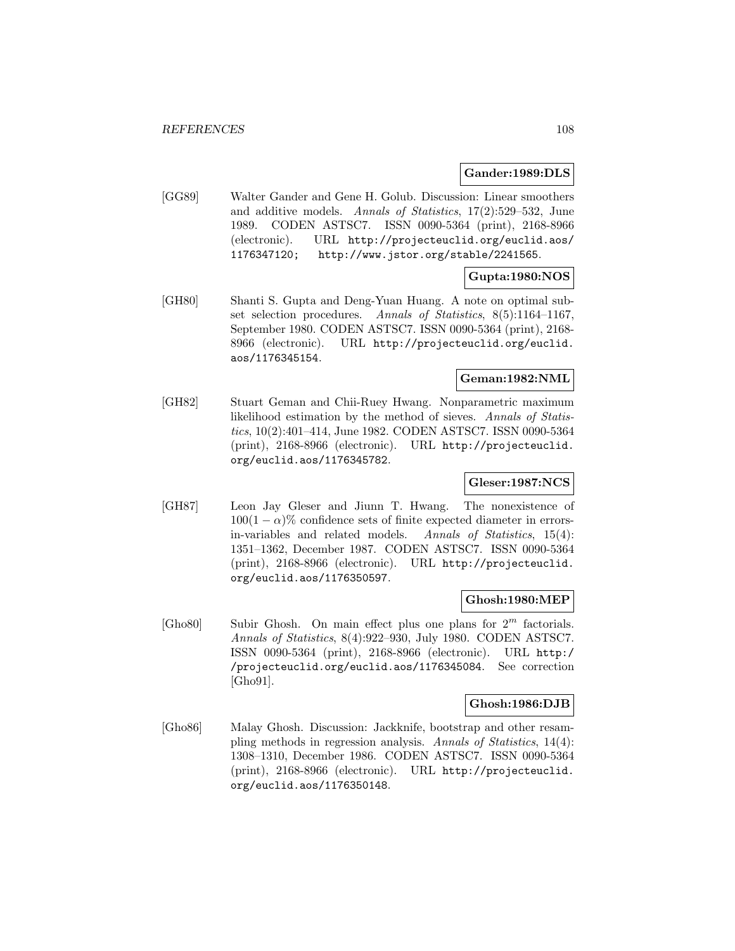### **Gander:1989:DLS**

[GG89] Walter Gander and Gene H. Golub. Discussion: Linear smoothers and additive models. Annals of Statistics, 17(2):529–532, June 1989. CODEN ASTSC7. ISSN 0090-5364 (print), 2168-8966 (electronic). URL http://projecteuclid.org/euclid.aos/ 1176347120; http://www.jstor.org/stable/2241565.

# **Gupta:1980:NOS**

[GH80] Shanti S. Gupta and Deng-Yuan Huang. A note on optimal subset selection procedures. Annals of Statistics, 8(5):1164-1167, September 1980. CODEN ASTSC7. ISSN 0090-5364 (print), 2168- 8966 (electronic). URL http://projecteuclid.org/euclid. aos/1176345154.

## **Geman:1982:NML**

[GH82] Stuart Geman and Chii-Ruey Hwang. Nonparametric maximum likelihood estimation by the method of sieves. Annals of Statistics, 10(2):401–414, June 1982. CODEN ASTSC7. ISSN 0090-5364 (print), 2168-8966 (electronic). URL http://projecteuclid. org/euclid.aos/1176345782.

# **Gleser:1987:NCS**

[GH87] Leon Jay Gleser and Jiunn T. Hwang. The nonexistence of  $100(1 - \alpha)\%$  confidence sets of finite expected diameter in errors-<br>in-variables and related models. Annals of Statistics, 15(4): in-variables and related models. 1351–1362, December 1987. CODEN ASTSC7. ISSN 0090-5364 (print), 2168-8966 (electronic). URL http://projecteuclid. org/euclid.aos/1176350597.

### **Ghosh:1980:MEP**

 $[Gh 680]$  Subir Ghosh. On main effect plus one plans for  $2^m$  factorials. Annals of Statistics, 8(4):922–930, July 1980. CODEN ASTSC7. ISSN 0090-5364 (print), 2168-8966 (electronic). URL http:/ /projecteuclid.org/euclid.aos/1176345084. See correction [Gho91].

### **Ghosh:1986:DJB**

[Gho86] Malay Ghosh. Discussion: Jackknife, bootstrap and other resampling methods in regression analysis. Annals of Statistics, 14(4): 1308–1310, December 1986. CODEN ASTSC7. ISSN 0090-5364 (print), 2168-8966 (electronic). URL http://projecteuclid. org/euclid.aos/1176350148.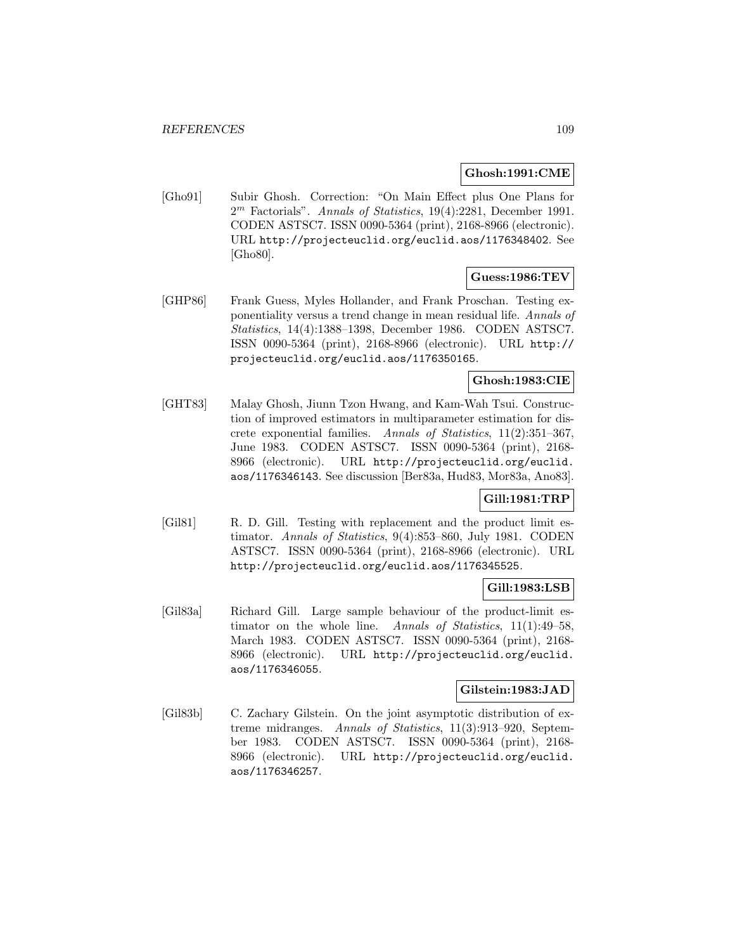### **Ghosh:1991:CME**

[Gho91] Subir Ghosh. Correction: "On Main Effect plus One Plans for  $2<sup>m</sup>$  Factorials". Annals of Statistics, 19(4):2281, December 1991. CODEN ASTSC7. ISSN 0090-5364 (print), 2168-8966 (electronic). URL http://projecteuclid.org/euclid.aos/1176348402. See [Gho80].

# **Guess:1986:TEV**

[GHP86] Frank Guess, Myles Hollander, and Frank Proschan. Testing exponentiality versus a trend change in mean residual life. Annals of Statistics, 14(4):1388–1398, December 1986. CODEN ASTSC7. ISSN 0090-5364 (print), 2168-8966 (electronic). URL http:// projecteuclid.org/euclid.aos/1176350165.

# **Ghosh:1983:CIE**

[GHT83] Malay Ghosh, Jiunn Tzon Hwang, and Kam-Wah Tsui. Construction of improved estimators in multiparameter estimation for discrete exponential families. Annals of Statistics, 11(2):351–367, June 1983. CODEN ASTSC7. ISSN 0090-5364 (print), 2168- 8966 (electronic). URL http://projecteuclid.org/euclid. aos/1176346143. See discussion [Ber83a, Hud83, Mor83a, Ano83].

### **Gill:1981:TRP**

[Gil81] R. D. Gill. Testing with replacement and the product limit estimator. Annals of Statistics, 9(4):853–860, July 1981. CODEN ASTSC7. ISSN 0090-5364 (print), 2168-8966 (electronic). URL http://projecteuclid.org/euclid.aos/1176345525.

## **Gill:1983:LSB**

[Gil83a] Richard Gill. Large sample behaviour of the product-limit estimator on the whole line. Annals of Statistics, 11(1):49–58, March 1983. CODEN ASTSC7. ISSN 0090-5364 (print), 2168- 8966 (electronic). URL http://projecteuclid.org/euclid. aos/1176346055.

### **Gilstein:1983:JAD**

[Gil83b] C. Zachary Gilstein. On the joint asymptotic distribution of extreme midranges. Annals of Statistics, 11(3):913–920, September 1983. CODEN ASTSC7. ISSN 0090-5364 (print), 2168- 8966 (electronic). URL http://projecteuclid.org/euclid. aos/1176346257.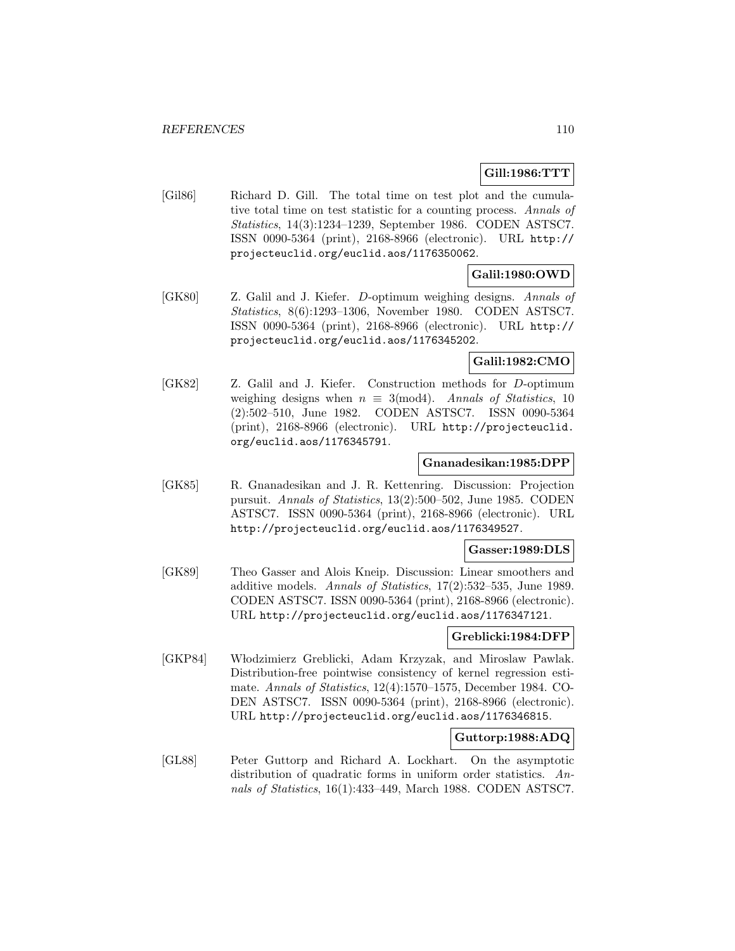## **Gill:1986:TTT**

[Gil86] Richard D. Gill. The total time on test plot and the cumulative total time on test statistic for a counting process. Annals of Statistics, 14(3):1234–1239, September 1986. CODEN ASTSC7. ISSN 0090-5364 (print), 2168-8966 (electronic). URL http:// projecteuclid.org/euclid.aos/1176350062.

# **Galil:1980:OWD**

[GK80] Z. Galil and J. Kiefer. D-optimum weighing designs. Annals of Statistics, 8(6):1293–1306, November 1980. CODEN ASTSC7. ISSN 0090-5364 (print), 2168-8966 (electronic). URL http:// projecteuclid.org/euclid.aos/1176345202.

### **Galil:1982:CMO**

[GK82] Z. Galil and J. Kiefer. Construction methods for D-optimum weighing designs when  $n \equiv 3 \pmod{4}$ . Annals of Statistics, 10 (2):502–510, June 1982. CODEN ASTSC7. ISSN 0090-5364 (print), 2168-8966 (electronic). URL http://projecteuclid. org/euclid.aos/1176345791.

### **Gnanadesikan:1985:DPP**

[GK85] R. Gnanadesikan and J. R. Kettenring. Discussion: Projection pursuit. Annals of Statistics, 13(2):500–502, June 1985. CODEN ASTSC7. ISSN 0090-5364 (print), 2168-8966 (electronic). URL http://projecteuclid.org/euclid.aos/1176349527.

### **Gasser:1989:DLS**

[GK89] Theo Gasser and Alois Kneip. Discussion: Linear smoothers and additive models. Annals of Statistics, 17(2):532–535, June 1989. CODEN ASTSC7. ISSN 0090-5364 (print), 2168-8966 (electronic). URL http://projecteuclid.org/euclid.aos/1176347121.

## **Greblicki:1984:DFP**

[GKP84] W lodzimierz Greblicki, Adam Krzyzak, and Miroslaw Pawlak. Distribution-free pointwise consistency of kernel regression estimate. Annals of Statistics, 12(4):1570–1575, December 1984. CO-DEN ASTSC7. ISSN 0090-5364 (print), 2168-8966 (electronic). URL http://projecteuclid.org/euclid.aos/1176346815.

### **Guttorp:1988:ADQ**

[GL88] Peter Guttorp and Richard A. Lockhart. On the asymptotic distribution of quadratic forms in uniform order statistics. Annals of Statistics, 16(1):433–449, March 1988. CODEN ASTSC7.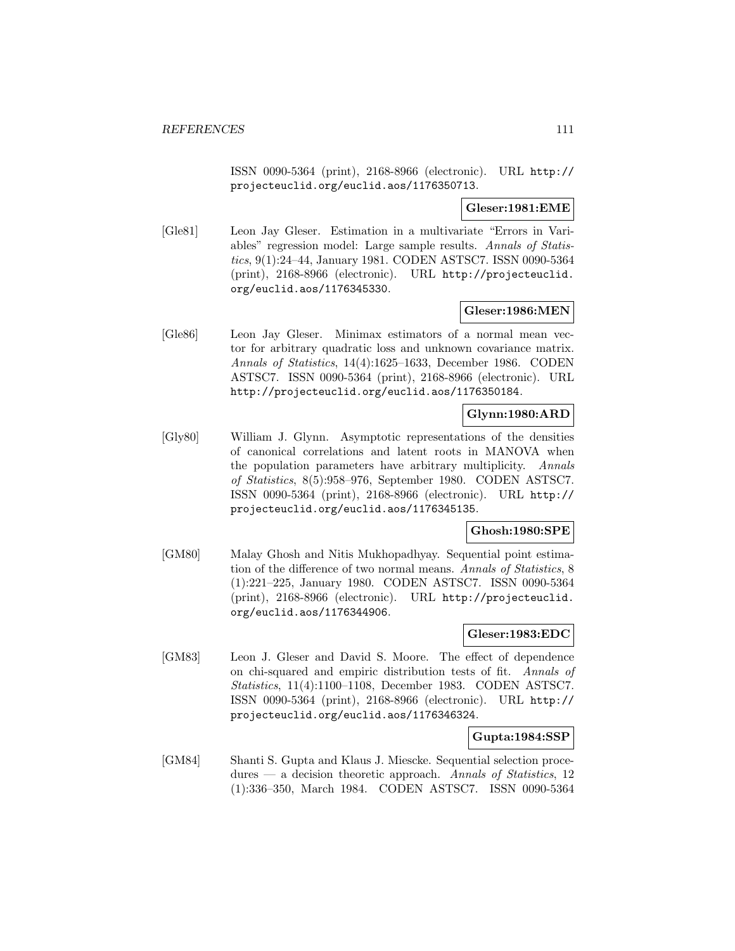ISSN 0090-5364 (print), 2168-8966 (electronic). URL http:// projecteuclid.org/euclid.aos/1176350713.

**Gleser:1981:EME**

[Gle81] Leon Jay Gleser. Estimation in a multivariate "Errors in Variables" regression model: Large sample results. Annals of Statistics, 9(1):24–44, January 1981. CODEN ASTSC7. ISSN 0090-5364 (print), 2168-8966 (electronic). URL http://projecteuclid. org/euclid.aos/1176345330.

## **Gleser:1986:MEN**

[Gle86] Leon Jay Gleser. Minimax estimators of a normal mean vector for arbitrary quadratic loss and unknown covariance matrix. Annals of Statistics, 14(4):1625–1633, December 1986. CODEN ASTSC7. ISSN 0090-5364 (print), 2168-8966 (electronic). URL http://projecteuclid.org/euclid.aos/1176350184.

## **Glynn:1980:ARD**

[Gly80] William J. Glynn. Asymptotic representations of the densities of canonical correlations and latent roots in MANOVA when the population parameters have arbitrary multiplicity. Annals of Statistics, 8(5):958–976, September 1980. CODEN ASTSC7. ISSN 0090-5364 (print), 2168-8966 (electronic). URL http:// projecteuclid.org/euclid.aos/1176345135.

### **Ghosh:1980:SPE**

[GM80] Malay Ghosh and Nitis Mukhopadhyay. Sequential point estimation of the difference of two normal means. Annals of Statistics, 8 (1):221–225, January 1980. CODEN ASTSC7. ISSN 0090-5364 (print), 2168-8966 (electronic). URL http://projecteuclid. org/euclid.aos/1176344906.

### **Gleser:1983:EDC**

[GM83] Leon J. Gleser and David S. Moore. The effect of dependence on chi-squared and empiric distribution tests of fit. Annals of Statistics, 11(4):1100–1108, December 1983. CODEN ASTSC7. ISSN 0090-5364 (print), 2168-8966 (electronic). URL http:// projecteuclid.org/euclid.aos/1176346324.

### **Gupta:1984:SSP**

[GM84] Shanti S. Gupta and Klaus J. Miescke. Sequential selection proce $dures - a decision theoretic approach.$  Annals of Statistics, 12 (1):336–350, March 1984. CODEN ASTSC7. ISSN 0090-5364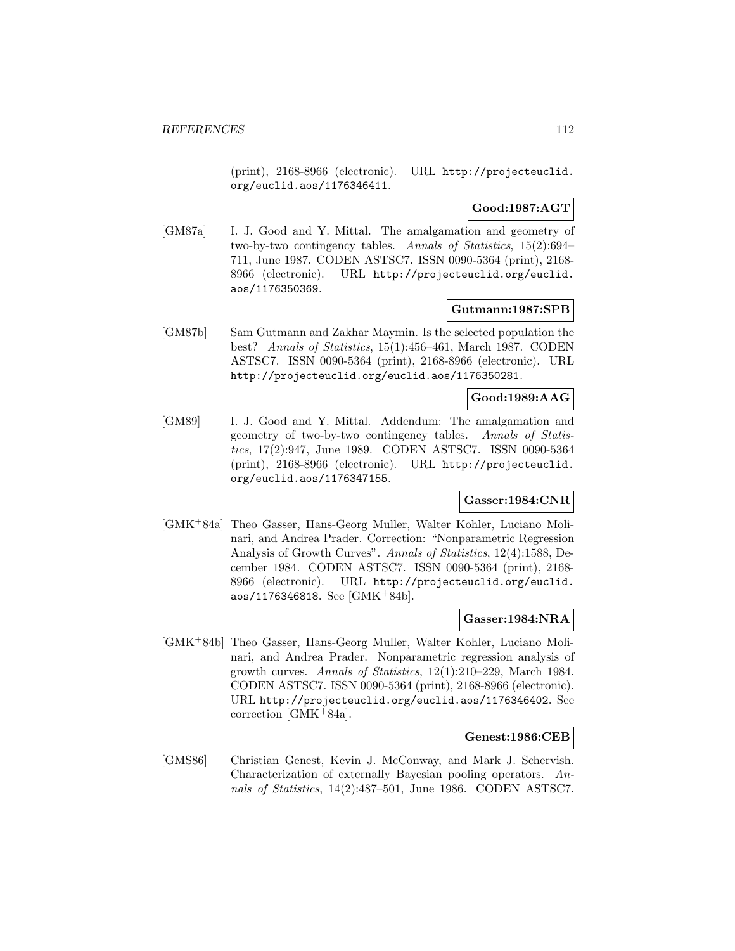(print), 2168-8966 (electronic). URL http://projecteuclid. org/euclid.aos/1176346411.

# **Good:1987:AGT**

[GM87a] I. J. Good and Y. Mittal. The amalgamation and geometry of two-by-two contingency tables. Annals of Statistics, 15(2):694– 711, June 1987. CODEN ASTSC7. ISSN 0090-5364 (print), 2168- 8966 (electronic). URL http://projecteuclid.org/euclid. aos/1176350369.

### **Gutmann:1987:SPB**

[GM87b] Sam Gutmann and Zakhar Maymin. Is the selected population the best? Annals of Statistics, 15(1):456–461, March 1987. CODEN ASTSC7. ISSN 0090-5364 (print), 2168-8966 (electronic). URL http://projecteuclid.org/euclid.aos/1176350281.

## **Good:1989:AAG**

[GM89] I. J. Good and Y. Mittal. Addendum: The amalgamation and geometry of two-by-two contingency tables. Annals of Statistics, 17(2):947, June 1989. CODEN ASTSC7. ISSN 0090-5364 (print), 2168-8966 (electronic). URL http://projecteuclid. org/euclid.aos/1176347155.

## **Gasser:1984:CNR**

[GMK<sup>+</sup>84a] Theo Gasser, Hans-Georg Muller, Walter Kohler, Luciano Molinari, and Andrea Prader. Correction: "Nonparametric Regression Analysis of Growth Curves". Annals of Statistics, 12(4):1588, December 1984. CODEN ASTSC7. ISSN 0090-5364 (print), 2168- 8966 (electronic). URL http://projecteuclid.org/euclid. aos/1176346818. See [GMK<sup>+</sup>84b].

### **Gasser:1984:NRA**

[GMK<sup>+</sup>84b] Theo Gasser, Hans-Georg Muller, Walter Kohler, Luciano Molinari, and Andrea Prader. Nonparametric regression analysis of growth curves. Annals of Statistics, 12(1):210–229, March 1984. CODEN ASTSC7. ISSN 0090-5364 (print), 2168-8966 (electronic). URL http://projecteuclid.org/euclid.aos/1176346402. See correction [GMK<sup>+</sup>84a].

### **Genest:1986:CEB**

[GMS86] Christian Genest, Kevin J. McConway, and Mark J. Schervish. Characterization of externally Bayesian pooling operators. Annals of Statistics, 14(2):487–501, June 1986. CODEN ASTSC7.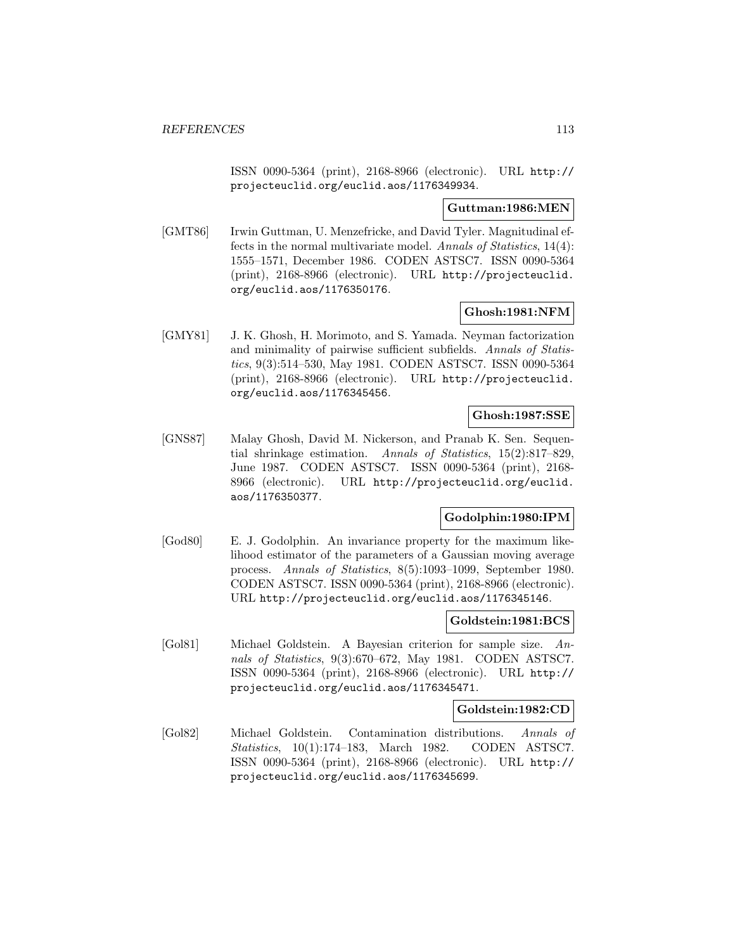ISSN 0090-5364 (print), 2168-8966 (electronic). URL http:// projecteuclid.org/euclid.aos/1176349934.

#### **Guttman:1986:MEN**

[GMT86] Irwin Guttman, U. Menzefricke, and David Tyler. Magnitudinal effects in the normal multivariate model. Annals of Statistics, 14(4): 1555–1571, December 1986. CODEN ASTSC7. ISSN 0090-5364 (print), 2168-8966 (electronic). URL http://projecteuclid. org/euclid.aos/1176350176.

## **Ghosh:1981:NFM**

[GMY81] J. K. Ghosh, H. Morimoto, and S. Yamada. Neyman factorization and minimality of pairwise sufficient subfields. Annals of Statistics, 9(3):514–530, May 1981. CODEN ASTSC7. ISSN 0090-5364 (print), 2168-8966 (electronic). URL http://projecteuclid. org/euclid.aos/1176345456.

## **Ghosh:1987:SSE**

[GNS87] Malay Ghosh, David M. Nickerson, and Pranab K. Sen. Sequential shrinkage estimation. Annals of Statistics, 15(2):817–829, June 1987. CODEN ASTSC7. ISSN 0090-5364 (print), 2168- 8966 (electronic). URL http://projecteuclid.org/euclid. aos/1176350377.

## **Godolphin:1980:IPM**

[God80] E. J. Godolphin. An invariance property for the maximum likelihood estimator of the parameters of a Gaussian moving average process. Annals of Statistics, 8(5):1093–1099, September 1980. CODEN ASTSC7. ISSN 0090-5364 (print), 2168-8966 (electronic). URL http://projecteuclid.org/euclid.aos/1176345146.

#### **Goldstein:1981:BCS**

[Gol81] Michael Goldstein. A Bayesian criterion for sample size. Annals of Statistics, 9(3):670–672, May 1981. CODEN ASTSC7. ISSN 0090-5364 (print), 2168-8966 (electronic). URL http:// projecteuclid.org/euclid.aos/1176345471.

## **Goldstein:1982:CD**

[Gol82] Michael Goldstein. Contamination distributions. Annals of Statistics, 10(1):174–183, March 1982. CODEN ASTSC7. ISSN 0090-5364 (print), 2168-8966 (electronic). URL http:// projecteuclid.org/euclid.aos/1176345699.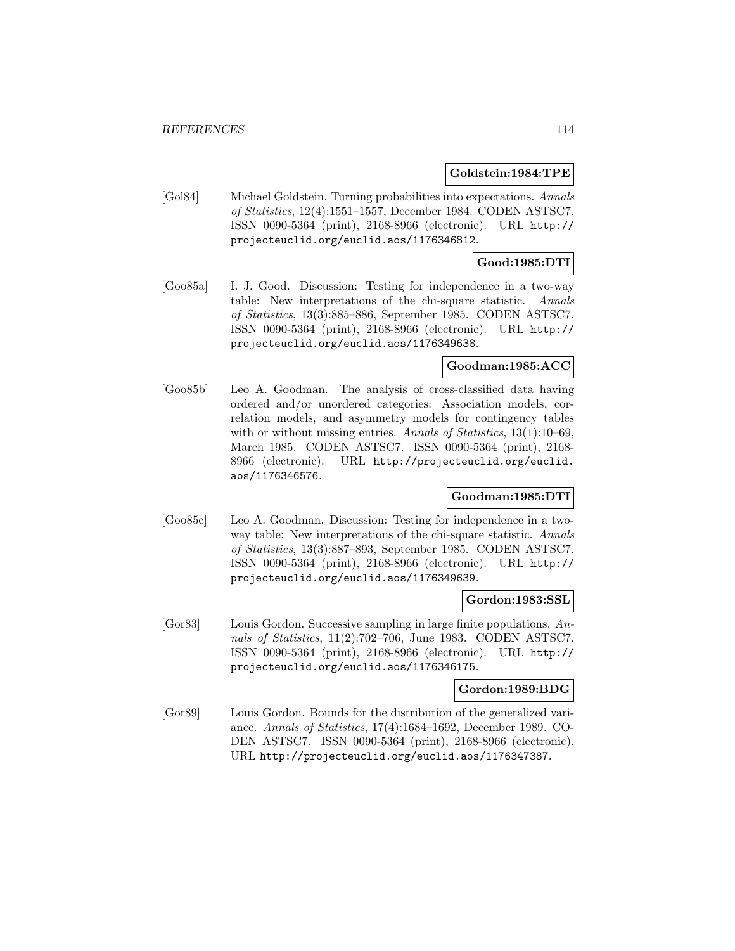#### **Goldstein:1984:TPE**

[Gol84] Michael Goldstein. Turning probabilities into expectations. Annals of Statistics, 12(4):1551–1557, December 1984. CODEN ASTSC7. ISSN 0090-5364 (print), 2168-8966 (electronic). URL http:// projecteuclid.org/euclid.aos/1176346812.

## **Good:1985:DTI**

[Goo85a] I. J. Good. Discussion: Testing for independence in a two-way table: New interpretations of the chi-square statistic. Annals of Statistics, 13(3):885–886, September 1985. CODEN ASTSC7. ISSN 0090-5364 (print), 2168-8966 (electronic). URL http:// projecteuclid.org/euclid.aos/1176349638.

## **Goodman:1985:ACC**

[Goo85b] Leo A. Goodman. The analysis of cross-classified data having ordered and/or unordered categories: Association models, correlation models, and asymmetry models for contingency tables with or without missing entries. Annals of Statistics, 13(1):10–69, March 1985. CODEN ASTSC7. ISSN 0090-5364 (print), 2168- 8966 (electronic). URL http://projecteuclid.org/euclid. aos/1176346576.

## **Goodman:1985:DTI**

[Goo85c] Leo A. Goodman. Discussion: Testing for independence in a twoway table: New interpretations of the chi-square statistic. Annals of Statistics, 13(3):887–893, September 1985. CODEN ASTSC7. ISSN 0090-5364 (print), 2168-8966 (electronic). URL http:// projecteuclid.org/euclid.aos/1176349639.

#### **Gordon:1983:SSL**

[Gor83] Louis Gordon. Successive sampling in large finite populations. Annals of Statistics, 11(2):702–706, June 1983. CODEN ASTSC7. ISSN 0090-5364 (print), 2168-8966 (electronic). URL http:// projecteuclid.org/euclid.aos/1176346175.

#### **Gordon:1989:BDG**

[Gor89] Louis Gordon. Bounds for the distribution of the generalized variance. Annals of Statistics, 17(4):1684–1692, December 1989. CO-DEN ASTSC7. ISSN 0090-5364 (print), 2168-8966 (electronic). URL http://projecteuclid.org/euclid.aos/1176347387.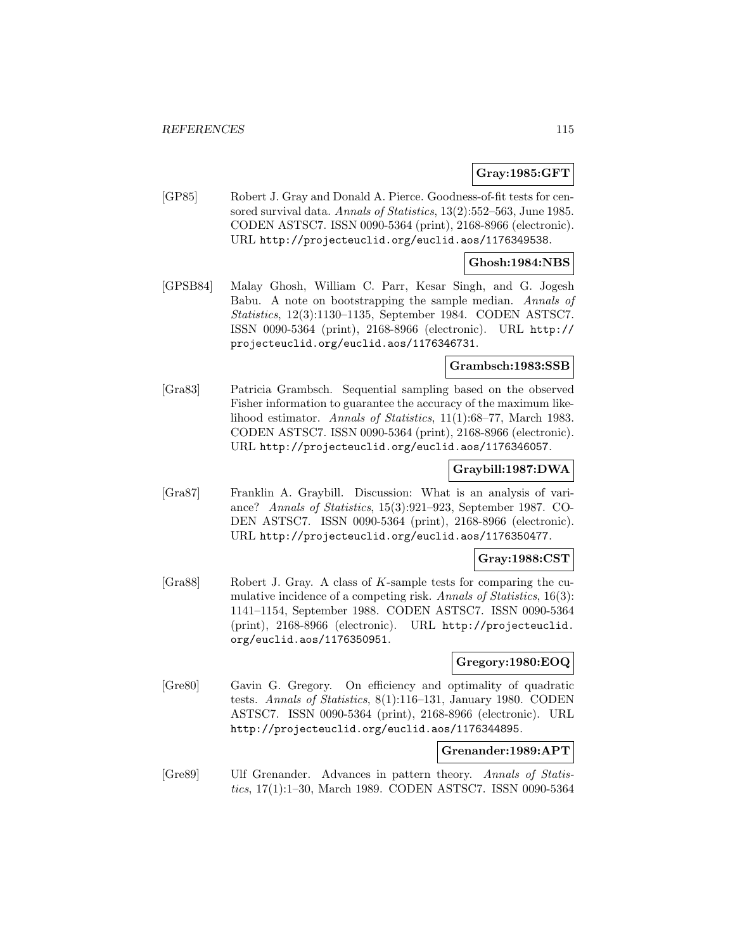### **Gray:1985:GFT**

[GP85] Robert J. Gray and Donald A. Pierce. Goodness-of-fit tests for censored survival data. Annals of Statistics, 13(2):552-563, June 1985. CODEN ASTSC7. ISSN 0090-5364 (print), 2168-8966 (electronic). URL http://projecteuclid.org/euclid.aos/1176349538.

### **Ghosh:1984:NBS**

[GPSB84] Malay Ghosh, William C. Parr, Kesar Singh, and G. Jogesh Babu. A note on bootstrapping the sample median. Annals of Statistics, 12(3):1130–1135, September 1984. CODEN ASTSC7. ISSN 0090-5364 (print), 2168-8966 (electronic). URL http:// projecteuclid.org/euclid.aos/1176346731.

#### **Grambsch:1983:SSB**

[Gra83] Patricia Grambsch. Sequential sampling based on the observed Fisher information to guarantee the accuracy of the maximum likelihood estimator. Annals of Statistics, 11(1):68–77, March 1983. CODEN ASTSC7. ISSN 0090-5364 (print), 2168-8966 (electronic). URL http://projecteuclid.org/euclid.aos/1176346057.

#### **Graybill:1987:DWA**

[Gra87] Franklin A. Graybill. Discussion: What is an analysis of variance? Annals of Statistics, 15(3):921–923, September 1987. CO-DEN ASTSC7. ISSN 0090-5364 (print), 2168-8966 (electronic). URL http://projecteuclid.org/euclid.aos/1176350477.

#### **Gray:1988:CST**

[Gra88] Robert J. Gray. A class of K-sample tests for comparing the cumulative incidence of a competing risk. Annals of Statistics, 16(3): 1141–1154, September 1988. CODEN ASTSC7. ISSN 0090-5364 (print), 2168-8966 (electronic). URL http://projecteuclid. org/euclid.aos/1176350951.

### **Gregory:1980:EOQ**

[Gre80] Gavin G. Gregory. On efficiency and optimality of quadratic tests. Annals of Statistics, 8(1):116–131, January 1980. CODEN ASTSC7. ISSN 0090-5364 (print), 2168-8966 (electronic). URL http://projecteuclid.org/euclid.aos/1176344895.

#### **Grenander:1989:APT**

[Gre89] Ulf Grenander. Advances in pattern theory. Annals of Statistics, 17(1):1–30, March 1989. CODEN ASTSC7. ISSN 0090-5364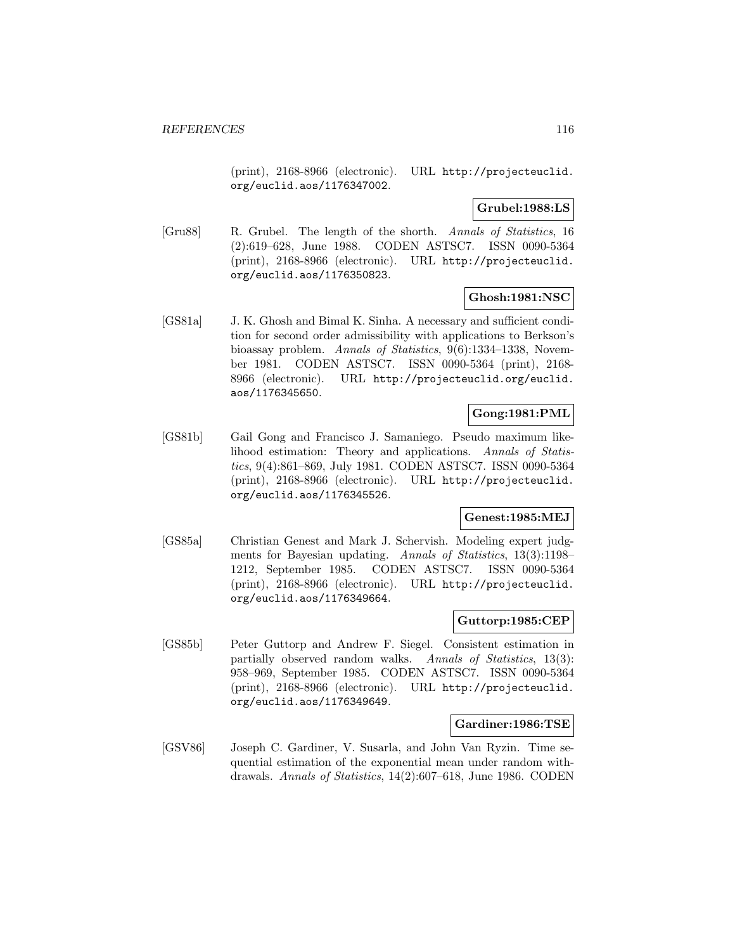(print), 2168-8966 (electronic). URL http://projecteuclid. org/euclid.aos/1176347002.

**Grubel:1988:LS**

[Gru88] R. Grubel. The length of the shorth. Annals of Statistics, 16 (2):619–628, June 1988. CODEN ASTSC7. ISSN 0090-5364 (print), 2168-8966 (electronic). URL http://projecteuclid. org/euclid.aos/1176350823.

## **Ghosh:1981:NSC**

[GS81a] J. K. Ghosh and Bimal K. Sinha. A necessary and sufficient condition for second order admissibility with applications to Berkson's bioassay problem. Annals of Statistics, 9(6):1334–1338, November 1981. CODEN ASTSC7. ISSN 0090-5364 (print), 2168- 8966 (electronic). URL http://projecteuclid.org/euclid. aos/1176345650.

## **Gong:1981:PML**

[GS81b] Gail Gong and Francisco J. Samaniego. Pseudo maximum likelihood estimation: Theory and applications. Annals of Statistics, 9(4):861–869, July 1981. CODEN ASTSC7. ISSN 0090-5364 (print), 2168-8966 (electronic). URL http://projecteuclid. org/euclid.aos/1176345526.

## **Genest:1985:MEJ**

[GS85a] Christian Genest and Mark J. Schervish. Modeling expert judgments for Bayesian updating. Annals of Statistics, 13(3):1198– 1212, September 1985. CODEN ASTSC7. ISSN 0090-5364 (print), 2168-8966 (electronic). URL http://projecteuclid. org/euclid.aos/1176349664.

### **Guttorp:1985:CEP**

[GS85b] Peter Guttorp and Andrew F. Siegel. Consistent estimation in partially observed random walks. Annals of Statistics, 13(3): 958–969, September 1985. CODEN ASTSC7. ISSN 0090-5364 (print), 2168-8966 (electronic). URL http://projecteuclid. org/euclid.aos/1176349649.

### **Gardiner:1986:TSE**

[GSV86] Joseph C. Gardiner, V. Susarla, and John Van Ryzin. Time sequential estimation of the exponential mean under random withdrawals. Annals of Statistics, 14(2):607–618, June 1986. CODEN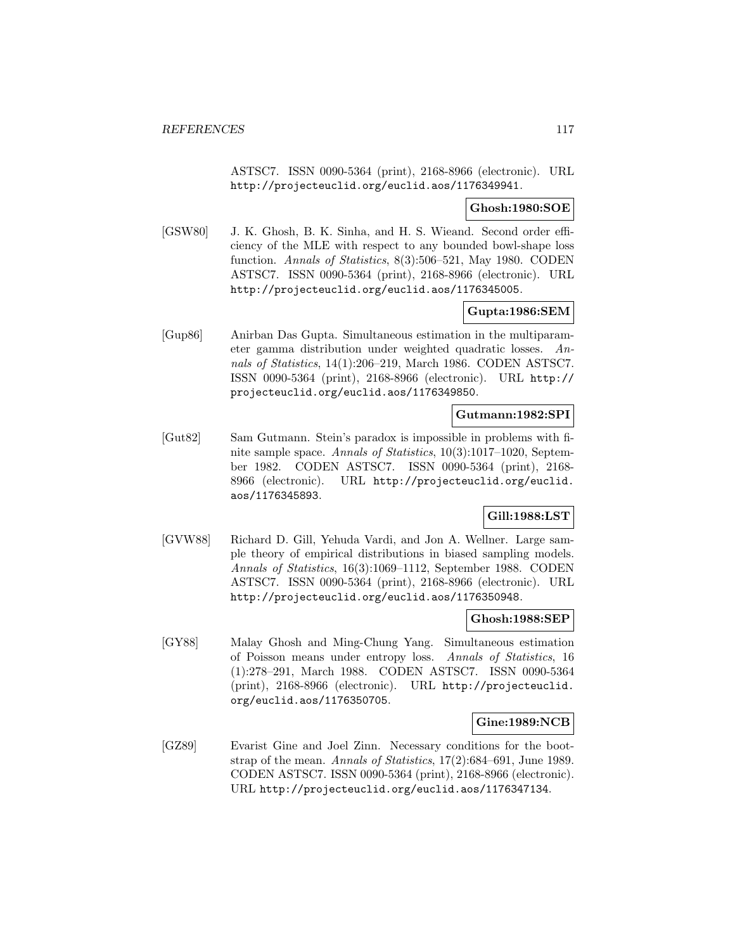ASTSC7. ISSN 0090-5364 (print), 2168-8966 (electronic). URL http://projecteuclid.org/euclid.aos/1176349941.

### **Ghosh:1980:SOE**

[GSW80] J. K. Ghosh, B. K. Sinha, and H. S. Wieand. Second order efficiency of the MLE with respect to any bounded bowl-shape loss function. Annals of Statistics, 8(3):506–521, May 1980. CODEN ASTSC7. ISSN 0090-5364 (print), 2168-8966 (electronic). URL http://projecteuclid.org/euclid.aos/1176345005.

## **Gupta:1986:SEM**

[Gup86] Anirban Das Gupta. Simultaneous estimation in the multiparameter gamma distribution under weighted quadratic losses. Annals of Statistics, 14(1):206–219, March 1986. CODEN ASTSC7. ISSN 0090-5364 (print), 2168-8966 (electronic). URL http:// projecteuclid.org/euclid.aos/1176349850.

### **Gutmann:1982:SPI**

[Gut82] Sam Gutmann. Stein's paradox is impossible in problems with finite sample space. Annals of Statistics, 10(3):1017-1020, September 1982. CODEN ASTSC7. ISSN 0090-5364 (print), 2168- 8966 (electronic). URL http://projecteuclid.org/euclid. aos/1176345893.

# **Gill:1988:LST**

[GVW88] Richard D. Gill, Yehuda Vardi, and Jon A. Wellner. Large sample theory of empirical distributions in biased sampling models. Annals of Statistics, 16(3):1069–1112, September 1988. CODEN ASTSC7. ISSN 0090-5364 (print), 2168-8966 (electronic). URL http://projecteuclid.org/euclid.aos/1176350948.

### **Ghosh:1988:SEP**

[GY88] Malay Ghosh and Ming-Chung Yang. Simultaneous estimation of Poisson means under entropy loss. Annals of Statistics, 16 (1):278–291, March 1988. CODEN ASTSC7. ISSN 0090-5364 (print), 2168-8966 (electronic). URL http://projecteuclid. org/euclid.aos/1176350705.

### **Gine:1989:NCB**

[GZ89] Evarist Gine and Joel Zinn. Necessary conditions for the bootstrap of the mean. Annals of Statistics, 17(2):684–691, June 1989. CODEN ASTSC7. ISSN 0090-5364 (print), 2168-8966 (electronic). URL http://projecteuclid.org/euclid.aos/1176347134.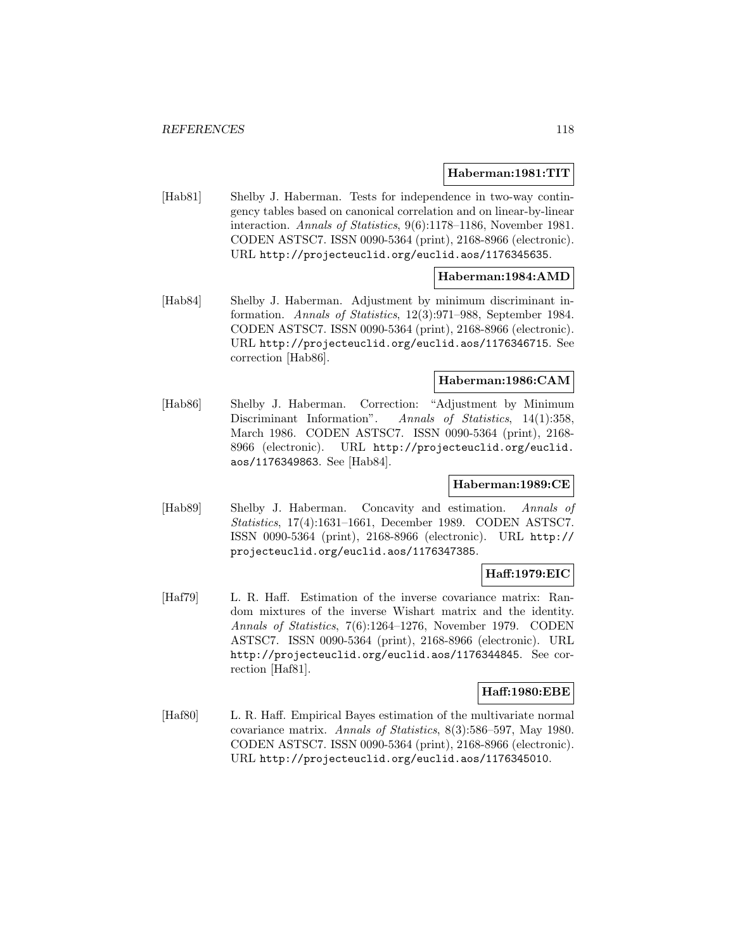#### **Haberman:1981:TIT**

[Hab81] Shelby J. Haberman. Tests for independence in two-way contingency tables based on canonical correlation and on linear-by-linear interaction. Annals of Statistics, 9(6):1178–1186, November 1981. CODEN ASTSC7. ISSN 0090-5364 (print), 2168-8966 (electronic). URL http://projecteuclid.org/euclid.aos/1176345635.

### **Haberman:1984:AMD**

[Hab84] Shelby J. Haberman. Adjustment by minimum discriminant information. Annals of Statistics, 12(3):971–988, September 1984. CODEN ASTSC7. ISSN 0090-5364 (print), 2168-8966 (electronic). URL http://projecteuclid.org/euclid.aos/1176346715. See correction [Hab86].

### **Haberman:1986:CAM**

[Hab86] Shelby J. Haberman. Correction: "Adjustment by Minimum Discriminant Information". Annals of Statistics, 14(1):358, March 1986. CODEN ASTSC7. ISSN 0090-5364 (print), 2168- 8966 (electronic). URL http://projecteuclid.org/euclid. aos/1176349863. See [Hab84].

### **Haberman:1989:CE**

[Hab89] Shelby J. Haberman. Concavity and estimation. Annals of Statistics, 17(4):1631–1661, December 1989. CODEN ASTSC7. ISSN 0090-5364 (print), 2168-8966 (electronic). URL http:// projecteuclid.org/euclid.aos/1176347385.

# **Haff:1979:EIC**

[Haf79] L. R. Haff. Estimation of the inverse covariance matrix: Random mixtures of the inverse Wishart matrix and the identity. Annals of Statistics, 7(6):1264–1276, November 1979. CODEN ASTSC7. ISSN 0090-5364 (print), 2168-8966 (electronic). URL http://projecteuclid.org/euclid.aos/1176344845. See correction [Haf81].

## **Haff:1980:EBE**

[Haf80] L. R. Haff. Empirical Bayes estimation of the multivariate normal covariance matrix. Annals of Statistics, 8(3):586–597, May 1980. CODEN ASTSC7. ISSN 0090-5364 (print), 2168-8966 (electronic). URL http://projecteuclid.org/euclid.aos/1176345010.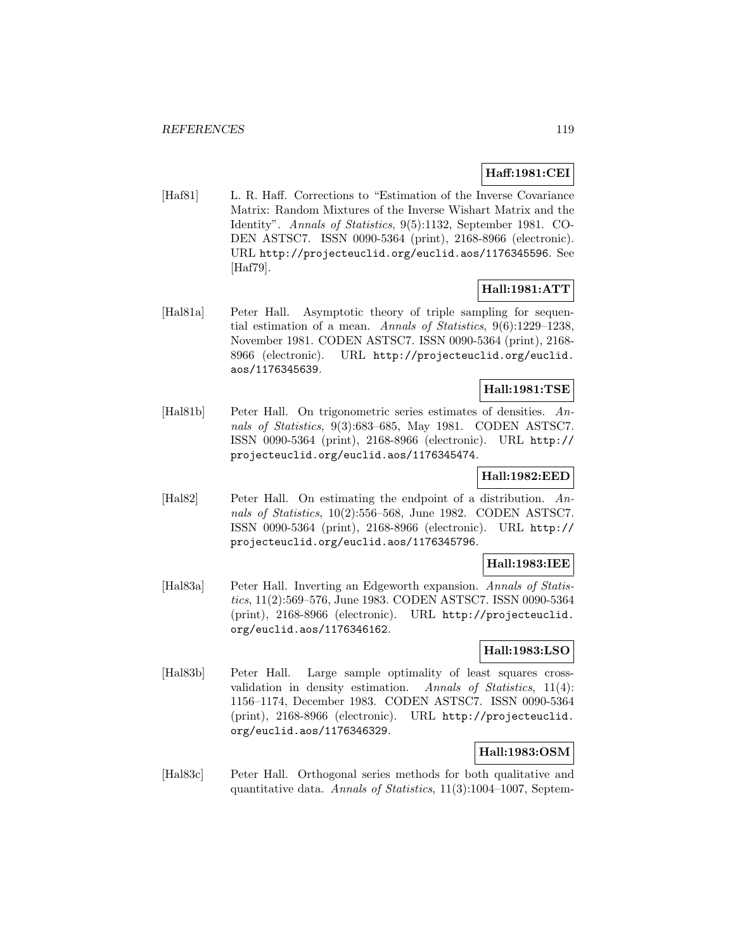# **Haff:1981:CEI**

[Haf81] L. R. Haff. Corrections to "Estimation of the Inverse Covariance Matrix: Random Mixtures of the Inverse Wishart Matrix and the Identity". Annals of Statistics, 9(5):1132, September 1981. CO-DEN ASTSC7. ISSN 0090-5364 (print), 2168-8966 (electronic). URL http://projecteuclid.org/euclid.aos/1176345596. See [Haf79].

# **Hall:1981:ATT**

[Hal81a] Peter Hall. Asymptotic theory of triple sampling for sequential estimation of a mean. Annals of Statistics, 9(6):1229–1238, November 1981. CODEN ASTSC7. ISSN 0090-5364 (print), 2168- 8966 (electronic). URL http://projecteuclid.org/euclid. aos/1176345639.

# **Hall:1981:TSE**

[Hal81b] Peter Hall. On trigonometric series estimates of densities. Annals of Statistics, 9(3):683–685, May 1981. CODEN ASTSC7. ISSN 0090-5364 (print), 2168-8966 (electronic). URL http:// projecteuclid.org/euclid.aos/1176345474.

# **Hall:1982:EED**

[Hal82] Peter Hall. On estimating the endpoint of a distribution. Annals of Statistics, 10(2):556–568, June 1982. CODEN ASTSC7. ISSN 0090-5364 (print), 2168-8966 (electronic). URL http:// projecteuclid.org/euclid.aos/1176345796.

### **Hall:1983:IEE**

[Hal83a] Peter Hall. Inverting an Edgeworth expansion. Annals of Statistics, 11(2):569–576, June 1983. CODEN ASTSC7. ISSN 0090-5364 (print), 2168-8966 (electronic). URL http://projecteuclid. org/euclid.aos/1176346162.

## **Hall:1983:LSO**

[Hal83b] Peter Hall. Large sample optimality of least squares crossvalidation in density estimation. Annals of Statistics, 11(4): 1156–1174, December 1983. CODEN ASTSC7. ISSN 0090-5364 (print), 2168-8966 (electronic). URL http://projecteuclid. org/euclid.aos/1176346329.

## **Hall:1983:OSM**

[Hal83c] Peter Hall. Orthogonal series methods for both qualitative and quantitative data. Annals of Statistics, 11(3):1004–1007, Septem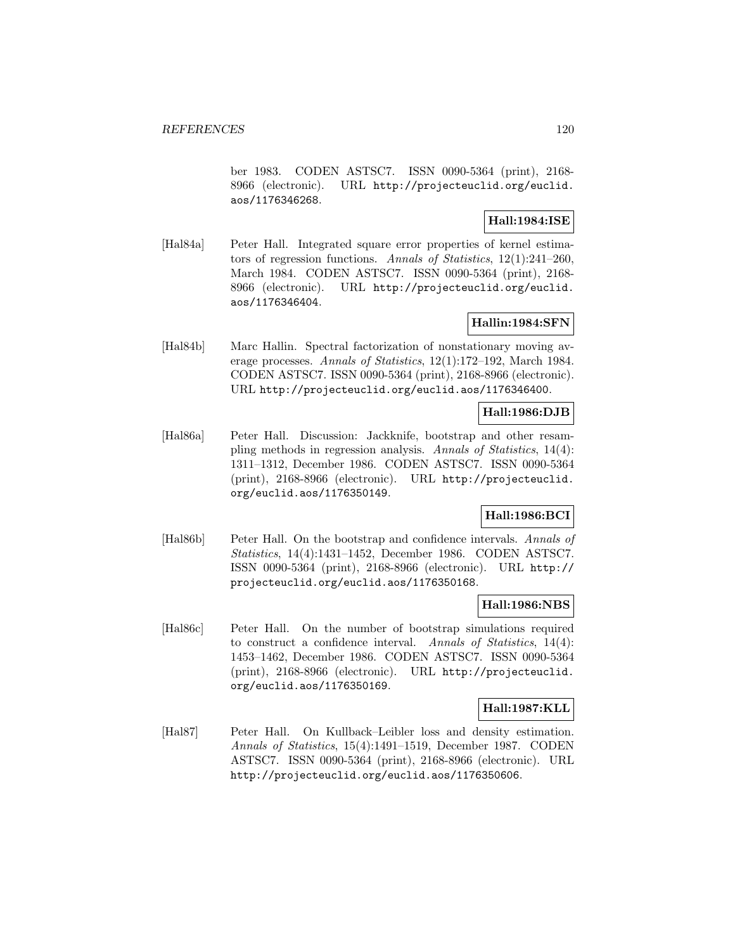ber 1983. CODEN ASTSC7. ISSN 0090-5364 (print), 2168- 8966 (electronic). URL http://projecteuclid.org/euclid. aos/1176346268.

## **Hall:1984:ISE**

[Hal84a] Peter Hall. Integrated square error properties of kernel estimators of regression functions. Annals of Statistics, 12(1):241–260, March 1984. CODEN ASTSC7. ISSN 0090-5364 (print), 2168- 8966 (electronic). URL http://projecteuclid.org/euclid. aos/1176346404.

## **Hallin:1984:SFN**

[Hal84b] Marc Hallin. Spectral factorization of nonstationary moving average processes. Annals of Statistics, 12(1):172–192, March 1984. CODEN ASTSC7. ISSN 0090-5364 (print), 2168-8966 (electronic). URL http://projecteuclid.org/euclid.aos/1176346400.

# **Hall:1986:DJB**

[Hal86a] Peter Hall. Discussion: Jackknife, bootstrap and other resampling methods in regression analysis. Annals of Statistics, 14(4): 1311–1312, December 1986. CODEN ASTSC7. ISSN 0090-5364 (print), 2168-8966 (electronic). URL http://projecteuclid. org/euclid.aos/1176350149.

# **Hall:1986:BCI**

[Hal86b] Peter Hall. On the bootstrap and confidence intervals. Annals of Statistics, 14(4):1431–1452, December 1986. CODEN ASTSC7. ISSN 0090-5364 (print), 2168-8966 (electronic). URL http:// projecteuclid.org/euclid.aos/1176350168.

## **Hall:1986:NBS**

[Hal86c] Peter Hall. On the number of bootstrap simulations required to construct a confidence interval. Annals of Statistics, 14(4): 1453–1462, December 1986. CODEN ASTSC7. ISSN 0090-5364 (print), 2168-8966 (electronic). URL http://projecteuclid. org/euclid.aos/1176350169.

## **Hall:1987:KLL**

[Hal87] Peter Hall. On Kullback–Leibler loss and density estimation. Annals of Statistics, 15(4):1491–1519, December 1987. CODEN ASTSC7. ISSN 0090-5364 (print), 2168-8966 (electronic). URL http://projecteuclid.org/euclid.aos/1176350606.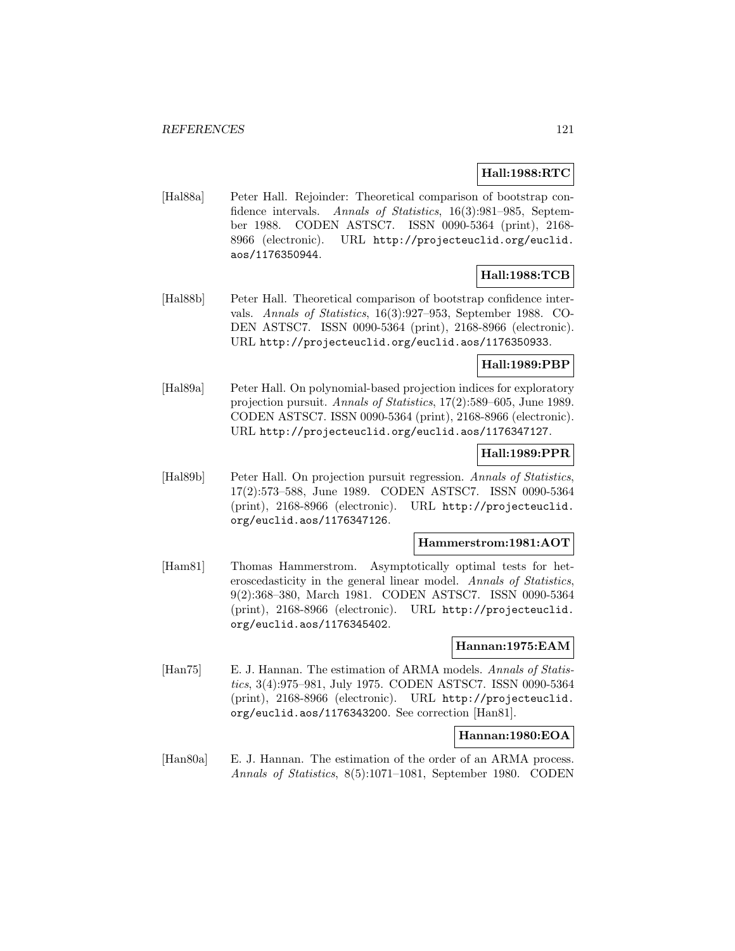## **Hall:1988:RTC**

[Hal88a] Peter Hall. Rejoinder: Theoretical comparison of bootstrap confidence intervals. Annals of Statistics, 16(3):981-985, September 1988. CODEN ASTSC7. ISSN 0090-5364 (print), 2168- 8966 (electronic). URL http://projecteuclid.org/euclid. aos/1176350944.

## **Hall:1988:TCB**

[Hal88b] Peter Hall. Theoretical comparison of bootstrap confidence intervals. Annals of Statistics, 16(3):927–953, September 1988. CO-DEN ASTSC7. ISSN 0090-5364 (print), 2168-8966 (electronic). URL http://projecteuclid.org/euclid.aos/1176350933.

## **Hall:1989:PBP**

[Hal89a] Peter Hall. On polynomial-based projection indices for exploratory projection pursuit. Annals of Statistics, 17(2):589–605, June 1989. CODEN ASTSC7. ISSN 0090-5364 (print), 2168-8966 (electronic). URL http://projecteuclid.org/euclid.aos/1176347127.

# **Hall:1989:PPR**

[Hal89b] Peter Hall. On projection pursuit regression. Annals of Statistics, 17(2):573–588, June 1989. CODEN ASTSC7. ISSN 0090-5364 (print), 2168-8966 (electronic). URL http://projecteuclid. org/euclid.aos/1176347126.

#### **Hammerstrom:1981:AOT**

[Ham81] Thomas Hammerstrom. Asymptotically optimal tests for heteroscedasticity in the general linear model. Annals of Statistics, 9(2):368–380, March 1981. CODEN ASTSC7. ISSN 0090-5364 (print), 2168-8966 (electronic). URL http://projecteuclid. org/euclid.aos/1176345402.

### **Hannan:1975:EAM**

[Han75] E. J. Hannan. The estimation of ARMA models. Annals of Statistics, 3(4):975–981, July 1975. CODEN ASTSC7. ISSN 0090-5364 (print), 2168-8966 (electronic). URL http://projecteuclid. org/euclid.aos/1176343200. See correction [Han81].

#### **Hannan:1980:EOA**

[Han80a] E. J. Hannan. The estimation of the order of an ARMA process. Annals of Statistics, 8(5):1071–1081, September 1980. CODEN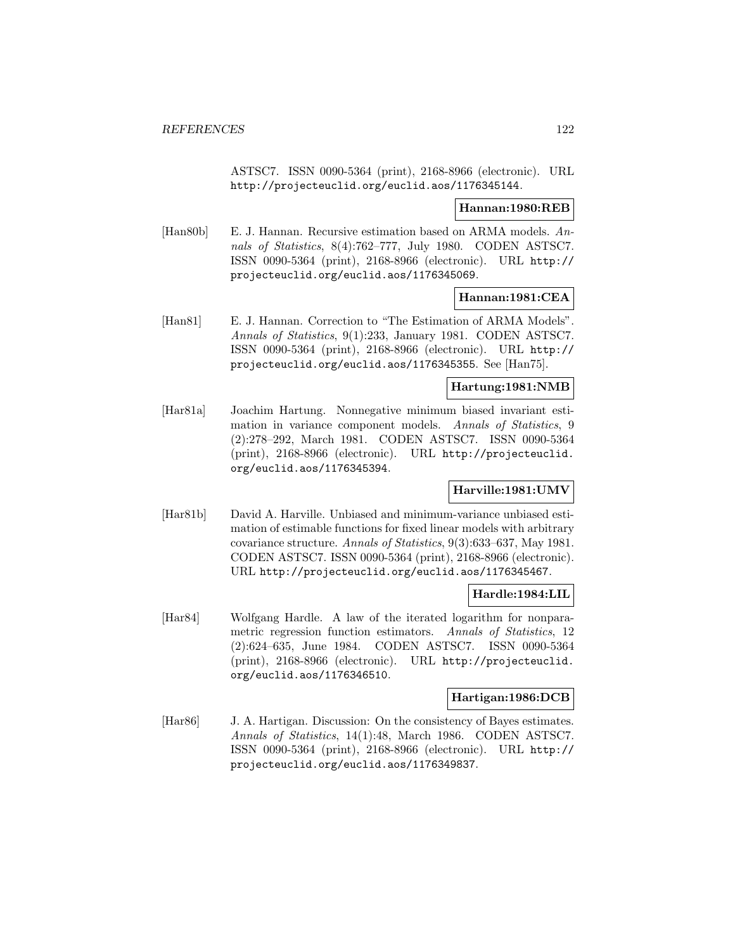ASTSC7. ISSN 0090-5364 (print), 2168-8966 (electronic). URL http://projecteuclid.org/euclid.aos/1176345144.

### **Hannan:1980:REB**

[Han80b] E. J. Hannan. Recursive estimation based on ARMA models. Annals of Statistics, 8(4):762–777, July 1980. CODEN ASTSC7. ISSN 0090-5364 (print), 2168-8966 (electronic). URL http:// projecteuclid.org/euclid.aos/1176345069.

### **Hannan:1981:CEA**

[Han81] E. J. Hannan. Correction to "The Estimation of ARMA Models". Annals of Statistics, 9(1):233, January 1981. CODEN ASTSC7. ISSN 0090-5364 (print), 2168-8966 (electronic). URL http:// projecteuclid.org/euclid.aos/1176345355. See [Han75].

### **Hartung:1981:NMB**

[Har81a] Joachim Hartung. Nonnegative minimum biased invariant estimation in variance component models. Annals of Statistics, 9 (2):278–292, March 1981. CODEN ASTSC7. ISSN 0090-5364 (print), 2168-8966 (electronic). URL http://projecteuclid. org/euclid.aos/1176345394.

### **Harville:1981:UMV**

[Har81b] David A. Harville. Unbiased and minimum-variance unbiased estimation of estimable functions for fixed linear models with arbitrary covariance structure. Annals of Statistics, 9(3):633–637, May 1981. CODEN ASTSC7. ISSN 0090-5364 (print), 2168-8966 (electronic). URL http://projecteuclid.org/euclid.aos/1176345467.

## **Hardle:1984:LIL**

[Har84] Wolfgang Hardle. A law of the iterated logarithm for nonparametric regression function estimators. Annals of Statistics, 12 (2):624–635, June 1984. CODEN ASTSC7. ISSN 0090-5364 (print), 2168-8966 (electronic). URL http://projecteuclid. org/euclid.aos/1176346510.

## **Hartigan:1986:DCB**

[Har86] J. A. Hartigan. Discussion: On the consistency of Bayes estimates. Annals of Statistics, 14(1):48, March 1986. CODEN ASTSC7. ISSN 0090-5364 (print), 2168-8966 (electronic). URL http:// projecteuclid.org/euclid.aos/1176349837.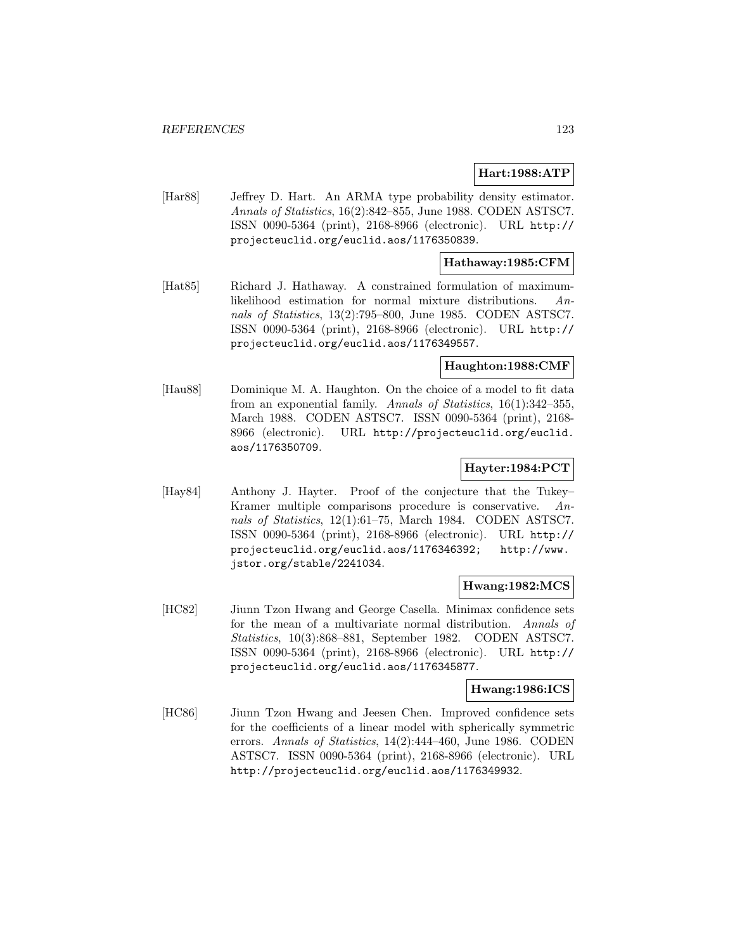## **Hart:1988:ATP**

[Har88] Jeffrey D. Hart. An ARMA type probability density estimator. Annals of Statistics, 16(2):842–855, June 1988. CODEN ASTSC7. ISSN 0090-5364 (print), 2168-8966 (electronic). URL http:// projecteuclid.org/euclid.aos/1176350839.

### **Hathaway:1985:CFM**

[Hat85] Richard J. Hathaway. A constrained formulation of maximumlikelihood estimation for normal mixture distributions. Annals of Statistics, 13(2):795–800, June 1985. CODEN ASTSC7. ISSN 0090-5364 (print), 2168-8966 (electronic). URL http:// projecteuclid.org/euclid.aos/1176349557.

### **Haughton:1988:CMF**

[Hau88] Dominique M. A. Haughton. On the choice of a model to fit data from an exponential family. Annals of Statistics, 16(1):342–355, March 1988. CODEN ASTSC7. ISSN 0090-5364 (print), 2168- 8966 (electronic). URL http://projecteuclid.org/euclid. aos/1176350709.

### **Hayter:1984:PCT**

[Hay84] Anthony J. Hayter. Proof of the conjecture that the Tukey– Kramer multiple comparisons procedure is conservative. Annals of Statistics, 12(1):61–75, March 1984. CODEN ASTSC7. ISSN 0090-5364 (print), 2168-8966 (electronic). URL http:// projecteuclid.org/euclid.aos/1176346392; http://www. jstor.org/stable/2241034.

### **Hwang:1982:MCS**

[HC82] Jiunn Tzon Hwang and George Casella. Minimax confidence sets for the mean of a multivariate normal distribution. Annals of Statistics, 10(3):868–881, September 1982. CODEN ASTSC7. ISSN 0090-5364 (print), 2168-8966 (electronic). URL http:// projecteuclid.org/euclid.aos/1176345877.

## **Hwang:1986:ICS**

[HC86] Jiunn Tzon Hwang and Jeesen Chen. Improved confidence sets for the coefficients of a linear model with spherically symmetric errors. Annals of Statistics, 14(2):444–460, June 1986. CODEN ASTSC7. ISSN 0090-5364 (print), 2168-8966 (electronic). URL http://projecteuclid.org/euclid.aos/1176349932.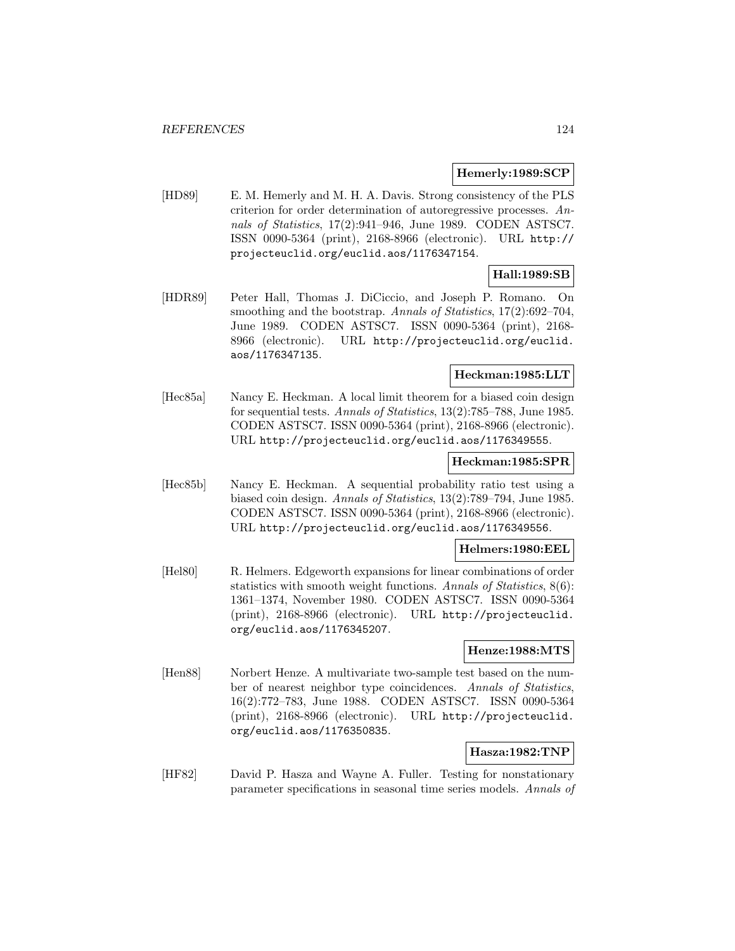### **Hemerly:1989:SCP**

[HD89] E. M. Hemerly and M. H. A. Davis. Strong consistency of the PLS criterion for order determination of autoregressive processes. Annals of Statistics, 17(2):941–946, June 1989. CODEN ASTSC7. ISSN 0090-5364 (print), 2168-8966 (electronic). URL http:// projecteuclid.org/euclid.aos/1176347154.

### **Hall:1989:SB**

[HDR89] Peter Hall, Thomas J. DiCiccio, and Joseph P. Romano. On smoothing and the bootstrap. Annals of Statistics, 17(2):692–704, June 1989. CODEN ASTSC7. ISSN 0090-5364 (print), 2168- 8966 (electronic). URL http://projecteuclid.org/euclid. aos/1176347135.

### **Heckman:1985:LLT**

[Hec85a] Nancy E. Heckman. A local limit theorem for a biased coin design for sequential tests. Annals of Statistics, 13(2):785–788, June 1985. CODEN ASTSC7. ISSN 0090-5364 (print), 2168-8966 (electronic). URL http://projecteuclid.org/euclid.aos/1176349555.

#### **Heckman:1985:SPR**

[Hec85b] Nancy E. Heckman. A sequential probability ratio test using a biased coin design. Annals of Statistics, 13(2):789–794, June 1985. CODEN ASTSC7. ISSN 0090-5364 (print), 2168-8966 (electronic). URL http://projecteuclid.org/euclid.aos/1176349556.

### **Helmers:1980:EEL**

[Hel80] R. Helmers. Edgeworth expansions for linear combinations of order statistics with smooth weight functions. Annals of Statistics, 8(6): 1361–1374, November 1980. CODEN ASTSC7. ISSN 0090-5364 (print), 2168-8966 (electronic). URL http://projecteuclid. org/euclid.aos/1176345207.

### **Henze:1988:MTS**

[Hen88] Norbert Henze. A multivariate two-sample test based on the number of nearest neighbor type coincidences. Annals of Statistics, 16(2):772–783, June 1988. CODEN ASTSC7. ISSN 0090-5364 (print), 2168-8966 (electronic). URL http://projecteuclid. org/euclid.aos/1176350835.

## **Hasza:1982:TNP**

[HF82] David P. Hasza and Wayne A. Fuller. Testing for nonstationary parameter specifications in seasonal time series models. Annals of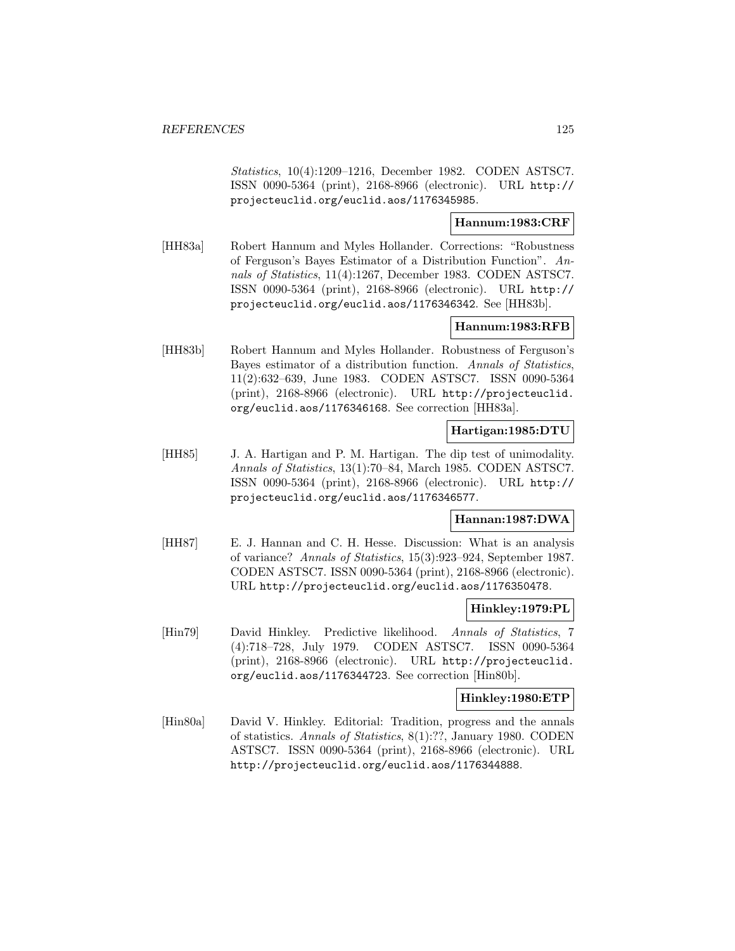Statistics, 10(4):1209–1216, December 1982. CODEN ASTSC7. ISSN 0090-5364 (print), 2168-8966 (electronic). URL http:// projecteuclid.org/euclid.aos/1176345985.

## **Hannum:1983:CRF**

[HH83a] Robert Hannum and Myles Hollander. Corrections: "Robustness of Ferguson's Bayes Estimator of a Distribution Function". Annals of Statistics, 11(4):1267, December 1983. CODEN ASTSC7. ISSN 0090-5364 (print), 2168-8966 (electronic). URL http:// projecteuclid.org/euclid.aos/1176346342. See [HH83b].

## **Hannum:1983:RFB**

[HH83b] Robert Hannum and Myles Hollander. Robustness of Ferguson's Bayes estimator of a distribution function. Annals of Statistics, 11(2):632–639, June 1983. CODEN ASTSC7. ISSN 0090-5364 (print), 2168-8966 (electronic). URL http://projecteuclid. org/euclid.aos/1176346168. See correction [HH83a].

### **Hartigan:1985:DTU**

[HH85] J. A. Hartigan and P. M. Hartigan. The dip test of unimodality. Annals of Statistics, 13(1):70–84, March 1985. CODEN ASTSC7. ISSN 0090-5364 (print), 2168-8966 (electronic). URL http:// projecteuclid.org/euclid.aos/1176346577.

### **Hannan:1987:DWA**

[HH87] E. J. Hannan and C. H. Hesse. Discussion: What is an analysis of variance? Annals of Statistics, 15(3):923–924, September 1987. CODEN ASTSC7. ISSN 0090-5364 (print), 2168-8966 (electronic). URL http://projecteuclid.org/euclid.aos/1176350478.

### **Hinkley:1979:PL**

[Hin79] David Hinkley. Predictive likelihood. Annals of Statistics, 7 (4):718–728, July 1979. CODEN ASTSC7. ISSN 0090-5364 (print), 2168-8966 (electronic). URL http://projecteuclid. org/euclid.aos/1176344723. See correction [Hin80b].

#### **Hinkley:1980:ETP**

[Hin80a] David V. Hinkley. Editorial: Tradition, progress and the annals of statistics. Annals of Statistics, 8(1):??, January 1980. CODEN ASTSC7. ISSN 0090-5364 (print), 2168-8966 (electronic). URL http://projecteuclid.org/euclid.aos/1176344888.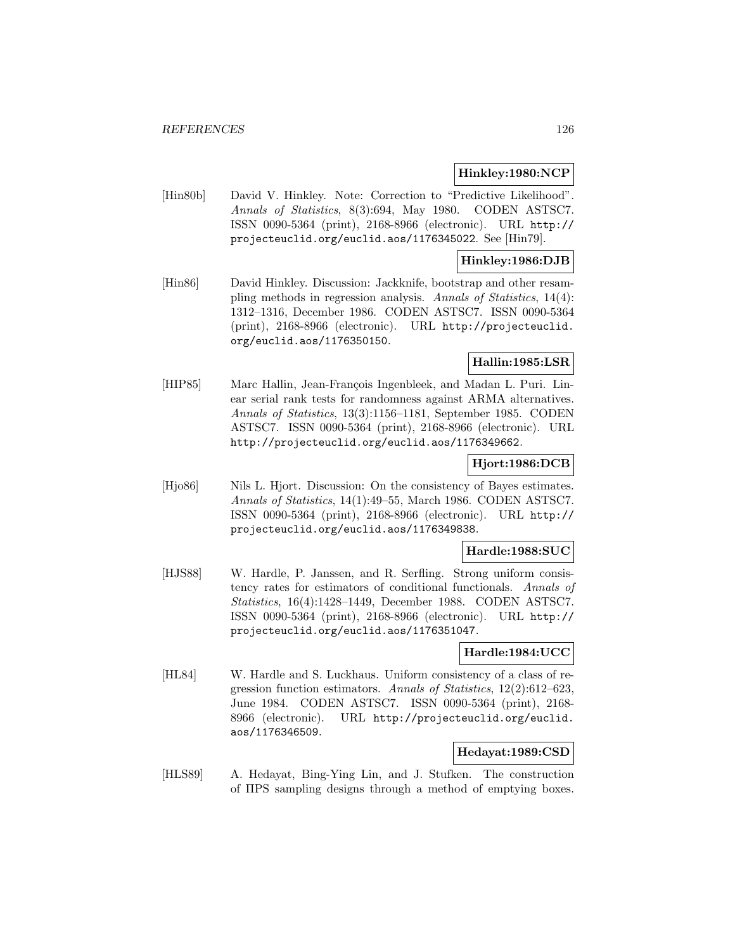### **Hinkley:1980:NCP**

[Hin80b] David V. Hinkley. Note: Correction to "Predictive Likelihood". Annals of Statistics, 8(3):694, May 1980. CODEN ASTSC7. ISSN 0090-5364 (print), 2168-8966 (electronic). URL http:// projecteuclid.org/euclid.aos/1176345022. See [Hin79].

### **Hinkley:1986:DJB**

[Hin86] David Hinkley. Discussion: Jackknife, bootstrap and other resampling methods in regression analysis. Annals of Statistics, 14(4): 1312–1316, December 1986. CODEN ASTSC7. ISSN 0090-5364 (print), 2168-8966 (electronic). URL http://projecteuclid. org/euclid.aos/1176350150.

# **Hallin:1985:LSR**

[HIP85] Marc Hallin, Jean-François Ingenbleek, and Madan L. Puri. Linear serial rank tests for randomness against ARMA alternatives. Annals of Statistics, 13(3):1156–1181, September 1985. CODEN ASTSC7. ISSN 0090-5364 (print), 2168-8966 (electronic). URL http://projecteuclid.org/euclid.aos/1176349662.

### **Hjort:1986:DCB**

[Hjo86] Nils L. Hjort. Discussion: On the consistency of Bayes estimates. Annals of Statistics, 14(1):49–55, March 1986. CODEN ASTSC7. ISSN 0090-5364 (print), 2168-8966 (electronic). URL http:// projecteuclid.org/euclid.aos/1176349838.

### **Hardle:1988:SUC**

[HJS88] W. Hardle, P. Janssen, and R. Serfling. Strong uniform consistency rates for estimators of conditional functionals. Annals of Statistics, 16(4):1428–1449, December 1988. CODEN ASTSC7. ISSN 0090-5364 (print), 2168-8966 (electronic). URL http:// projecteuclid.org/euclid.aos/1176351047.

### **Hardle:1984:UCC**

[HL84] W. Hardle and S. Luckhaus. Uniform consistency of a class of regression function estimators. Annals of Statistics, 12(2):612–623, June 1984. CODEN ASTSC7. ISSN 0090-5364 (print), 2168- 8966 (electronic). URL http://projecteuclid.org/euclid. aos/1176346509.

## **Hedayat:1989:CSD**

[HLS89] A. Hedayat, Bing-Ying Lin, and J. Stufken. The construction of ΠPS sampling designs through a method of emptying boxes.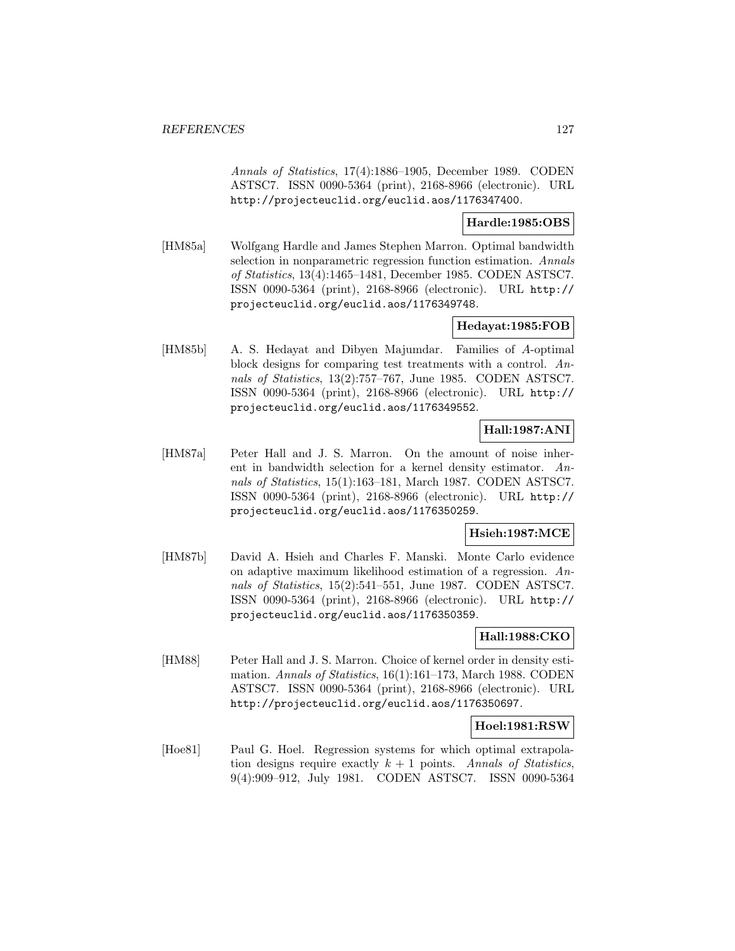Annals of Statistics, 17(4):1886–1905, December 1989. CODEN ASTSC7. ISSN 0090-5364 (print), 2168-8966 (electronic). URL http://projecteuclid.org/euclid.aos/1176347400.

### **Hardle:1985:OBS**

[HM85a] Wolfgang Hardle and James Stephen Marron. Optimal bandwidth selection in nonparametric regression function estimation. Annals of Statistics, 13(4):1465–1481, December 1985. CODEN ASTSC7. ISSN 0090-5364 (print), 2168-8966 (electronic). URL http:// projecteuclid.org/euclid.aos/1176349748.

## **Hedayat:1985:FOB**

[HM85b] A. S. Hedayat and Dibyen Majumdar. Families of A-optimal block designs for comparing test treatments with a control. Annals of Statistics, 13(2):757–767, June 1985. CODEN ASTSC7. ISSN 0090-5364 (print), 2168-8966 (electronic). URL http:// projecteuclid.org/euclid.aos/1176349552.

## **Hall:1987:ANI**

[HM87a] Peter Hall and J. S. Marron. On the amount of noise inherent in bandwidth selection for a kernel density estimator. Annals of Statistics, 15(1):163–181, March 1987. CODEN ASTSC7. ISSN 0090-5364 (print), 2168-8966 (electronic). URL http:// projecteuclid.org/euclid.aos/1176350259.

## **Hsieh:1987:MCE**

[HM87b] David A. Hsieh and Charles F. Manski. Monte Carlo evidence on adaptive maximum likelihood estimation of a regression. Annals of Statistics, 15(2):541–551, June 1987. CODEN ASTSC7. ISSN 0090-5364 (print), 2168-8966 (electronic). URL http:// projecteuclid.org/euclid.aos/1176350359.

### **Hall:1988:CKO**

[HM88] Peter Hall and J. S. Marron. Choice of kernel order in density estimation. Annals of Statistics, 16(1):161–173, March 1988. CODEN ASTSC7. ISSN 0090-5364 (print), 2168-8966 (electronic). URL http://projecteuclid.org/euclid.aos/1176350697.

### **Hoel:1981:RSW**

[Hoe81] Paul G. Hoel. Regression systems for which optimal extrapolation designs require exactly  $k + 1$  points. Annals of Statistics, 9(4):909–912, July 1981. CODEN ASTSC7. ISSN 0090-5364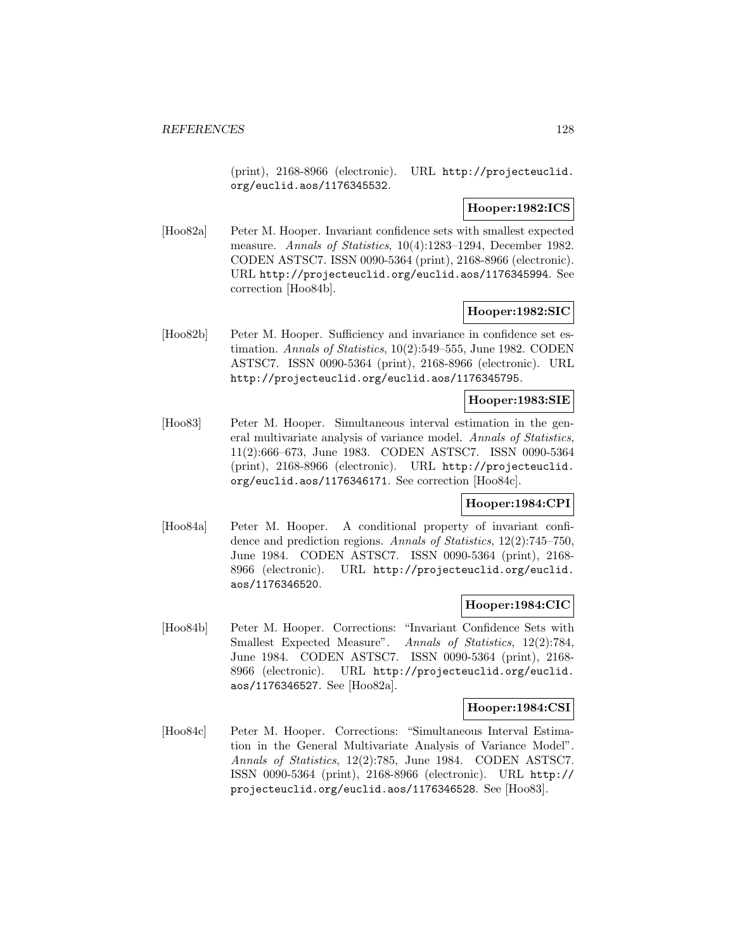(print), 2168-8966 (electronic). URL http://projecteuclid. org/euclid.aos/1176345532.

### **Hooper:1982:ICS**

[Hoo82a] Peter M. Hooper. Invariant confidence sets with smallest expected measure. Annals of Statistics, 10(4):1283–1294, December 1982. CODEN ASTSC7. ISSN 0090-5364 (print), 2168-8966 (electronic). URL http://projecteuclid.org/euclid.aos/1176345994. See correction [Hoo84b].

### **Hooper:1982:SIC**

[Hoo82b] Peter M. Hooper. Sufficiency and invariance in confidence set estimation. Annals of Statistics, 10(2):549–555, June 1982. CODEN ASTSC7. ISSN 0090-5364 (print), 2168-8966 (electronic). URL http://projecteuclid.org/euclid.aos/1176345795.

## **Hooper:1983:SIE**

[Hoo83] Peter M. Hooper. Simultaneous interval estimation in the general multivariate analysis of variance model. Annals of Statistics, 11(2):666–673, June 1983. CODEN ASTSC7. ISSN 0090-5364 (print), 2168-8966 (electronic). URL http://projecteuclid. org/euclid.aos/1176346171. See correction [Hoo84c].

### **Hooper:1984:CPI**

[Hoo84a] Peter M. Hooper. A conditional property of invariant confidence and prediction regions. Annals of Statistics, 12(2):745–750, June 1984. CODEN ASTSC7. ISSN 0090-5364 (print), 2168- 8966 (electronic). URL http://projecteuclid.org/euclid. aos/1176346520.

## **Hooper:1984:CIC**

[Hoo84b] Peter M. Hooper. Corrections: "Invariant Confidence Sets with Smallest Expected Measure". Annals of Statistics, 12(2):784, June 1984. CODEN ASTSC7. ISSN 0090-5364 (print), 2168- 8966 (electronic). URL http://projecteuclid.org/euclid. aos/1176346527. See [Hoo82a].

### **Hooper:1984:CSI**

[Hoo84c] Peter M. Hooper. Corrections: "Simultaneous Interval Estimation in the General Multivariate Analysis of Variance Model". Annals of Statistics, 12(2):785, June 1984. CODEN ASTSC7. ISSN 0090-5364 (print), 2168-8966 (electronic). URL http:// projecteuclid.org/euclid.aos/1176346528. See [Hoo83].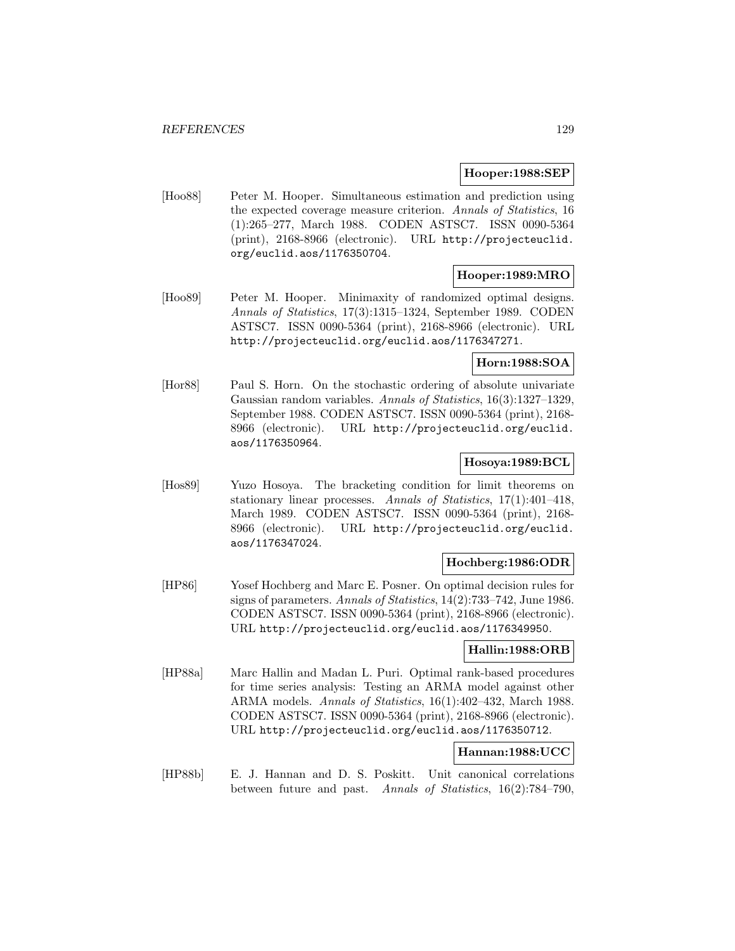### **Hooper:1988:SEP**

[Hoo88] Peter M. Hooper. Simultaneous estimation and prediction using the expected coverage measure criterion. Annals of Statistics, 16 (1):265–277, March 1988. CODEN ASTSC7. ISSN 0090-5364 (print), 2168-8966 (electronic). URL http://projecteuclid. org/euclid.aos/1176350704.

### **Hooper:1989:MRO**

[Hoo89] Peter M. Hooper. Minimaxity of randomized optimal designs. Annals of Statistics, 17(3):1315–1324, September 1989. CODEN ASTSC7. ISSN 0090-5364 (print), 2168-8966 (electronic). URL http://projecteuclid.org/euclid.aos/1176347271.

# **Horn:1988:SOA**

[Hor88] Paul S. Horn. On the stochastic ordering of absolute univariate Gaussian random variables. Annals of Statistics, 16(3):1327–1329, September 1988. CODEN ASTSC7. ISSN 0090-5364 (print), 2168- 8966 (electronic). URL http://projecteuclid.org/euclid. aos/1176350964.

### **Hosoya:1989:BCL**

[Hos89] Yuzo Hosoya. The bracketing condition for limit theorems on stationary linear processes. Annals of Statistics, 17(1):401–418, March 1989. CODEN ASTSC7. ISSN 0090-5364 (print), 2168- 8966 (electronic). URL http://projecteuclid.org/euclid. aos/1176347024.

### **Hochberg:1986:ODR**

[HP86] Yosef Hochberg and Marc E. Posner. On optimal decision rules for signs of parameters. Annals of Statistics, 14(2):733–742, June 1986. CODEN ASTSC7. ISSN 0090-5364 (print), 2168-8966 (electronic). URL http://projecteuclid.org/euclid.aos/1176349950.

### **Hallin:1988:ORB**

[HP88a] Marc Hallin and Madan L. Puri. Optimal rank-based procedures for time series analysis: Testing an ARMA model against other ARMA models. Annals of Statistics, 16(1):402–432, March 1988. CODEN ASTSC7. ISSN 0090-5364 (print), 2168-8966 (electronic). URL http://projecteuclid.org/euclid.aos/1176350712.

### **Hannan:1988:UCC**

[HP88b] E. J. Hannan and D. S. Poskitt. Unit canonical correlations between future and past. Annals of Statistics, 16(2):784–790,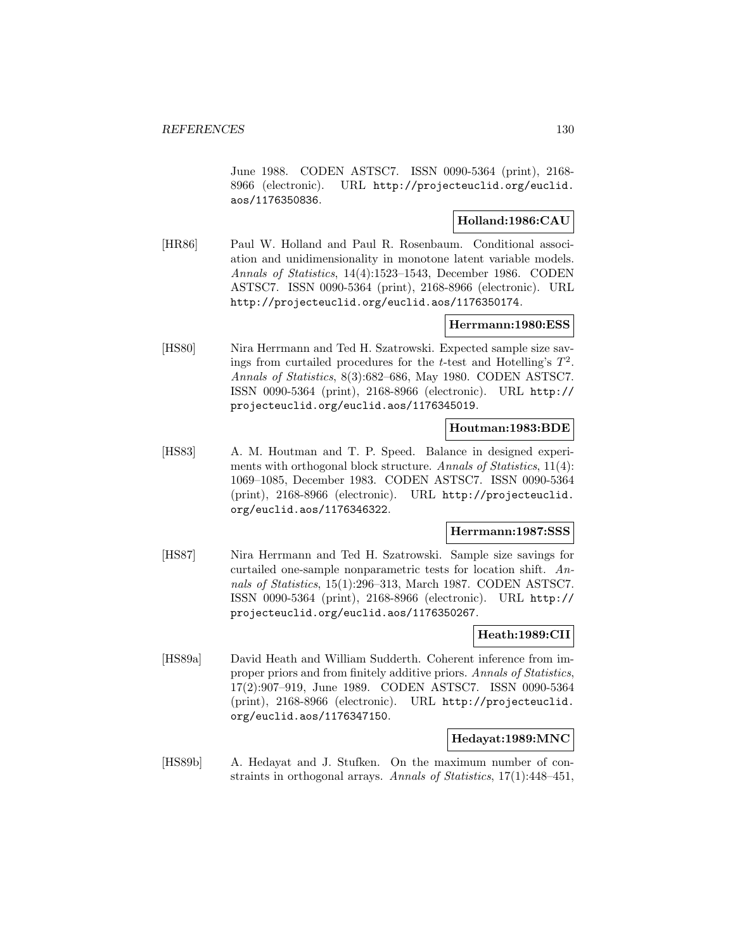June 1988. CODEN ASTSC7. ISSN 0090-5364 (print), 2168- 8966 (electronic). URL http://projecteuclid.org/euclid. aos/1176350836.

### **Holland:1986:CAU**

[HR86] Paul W. Holland and Paul R. Rosenbaum. Conditional association and unidimensionality in monotone latent variable models. Annals of Statistics, 14(4):1523–1543, December 1986. CODEN ASTSC7. ISSN 0090-5364 (print), 2168-8966 (electronic). URL http://projecteuclid.org/euclid.aos/1176350174.

### **Herrmann:1980:ESS**

[HS80] Nira Herrmann and Ted H. Szatrowski. Expected sample size savings from curtailed procedures for the t-test and Hotelling's  $T^2$ . Annals of Statistics, 8(3):682–686, May 1980. CODEN ASTSC7. ISSN 0090-5364 (print), 2168-8966 (electronic). URL http:// projecteuclid.org/euclid.aos/1176345019.

### **Houtman:1983:BDE**

[HS83] A. M. Houtman and T. P. Speed. Balance in designed experiments with orthogonal block structure. Annals of Statistics, 11(4): 1069–1085, December 1983. CODEN ASTSC7. ISSN 0090-5364 (print), 2168-8966 (electronic). URL http://projecteuclid. org/euclid.aos/1176346322.

#### **Herrmann:1987:SSS**

[HS87] Nira Herrmann and Ted H. Szatrowski. Sample size savings for curtailed one-sample nonparametric tests for location shift. Annals of Statistics, 15(1):296–313, March 1987. CODEN ASTSC7. ISSN 0090-5364 (print), 2168-8966 (electronic). URL http:// projecteuclid.org/euclid.aos/1176350267.

### **Heath:1989:CII**

[HS89a] David Heath and William Sudderth. Coherent inference from improper priors and from finitely additive priors. Annals of Statistics, 17(2):907–919, June 1989. CODEN ASTSC7. ISSN 0090-5364 (print), 2168-8966 (electronic). URL http://projecteuclid. org/euclid.aos/1176347150.

## **Hedayat:1989:MNC**

[HS89b] A. Hedayat and J. Stufken. On the maximum number of constraints in orthogonal arrays. Annals of Statistics, 17(1):448–451,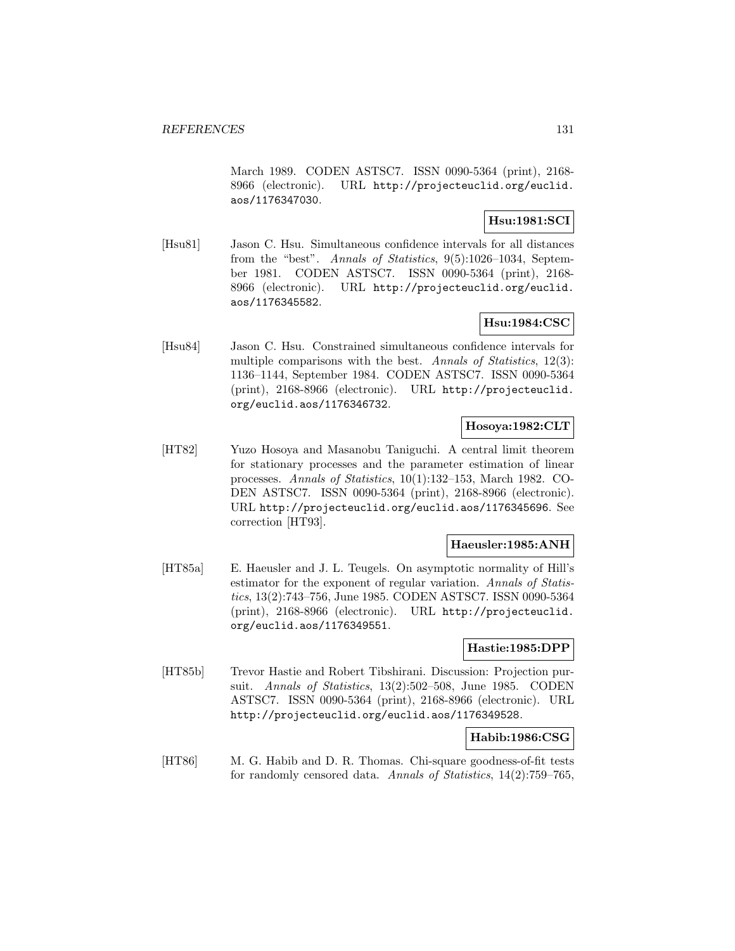March 1989. CODEN ASTSC7. ISSN 0090-5364 (print), 2168- 8966 (electronic). URL http://projecteuclid.org/euclid. aos/1176347030.

## **Hsu:1981:SCI**

[Hsu81] Jason C. Hsu. Simultaneous confidence intervals for all distances from the "best". Annals of Statistics, 9(5):1026–1034, September 1981. CODEN ASTSC7. ISSN 0090-5364 (print), 2168- 8966 (electronic). URL http://projecteuclid.org/euclid. aos/1176345582.

# **Hsu:1984:CSC**

[Hsu84] Jason C. Hsu. Constrained simultaneous confidence intervals for multiple comparisons with the best. Annals of Statistics,  $12(3)$ : 1136–1144, September 1984. CODEN ASTSC7. ISSN 0090-5364 (print), 2168-8966 (electronic). URL http://projecteuclid. org/euclid.aos/1176346732.

# **Hosoya:1982:CLT**

[HT82] Yuzo Hosoya and Masanobu Taniguchi. A central limit theorem for stationary processes and the parameter estimation of linear processes. Annals of Statistics, 10(1):132–153, March 1982. CO-DEN ASTSC7. ISSN 0090-5364 (print), 2168-8966 (electronic). URL http://projecteuclid.org/euclid.aos/1176345696. See correction [HT93].

### **Haeusler:1985:ANH**

[HT85a] E. Haeusler and J. L. Teugels. On asymptotic normality of Hill's estimator for the exponent of regular variation. Annals of Statistics, 13(2):743–756, June 1985. CODEN ASTSC7. ISSN 0090-5364 (print), 2168-8966 (electronic). URL http://projecteuclid. org/euclid.aos/1176349551.

#### **Hastie:1985:DPP**

[HT85b] Trevor Hastie and Robert Tibshirani. Discussion: Projection pursuit. Annals of Statistics, 13(2):502–508, June 1985. CODEN ASTSC7. ISSN 0090-5364 (print), 2168-8966 (electronic). URL http://projecteuclid.org/euclid.aos/1176349528.

### **Habib:1986:CSG**

[HT86] M. G. Habib and D. R. Thomas. Chi-square goodness-of-fit tests for randomly censored data. Annals of Statistics, 14(2):759–765,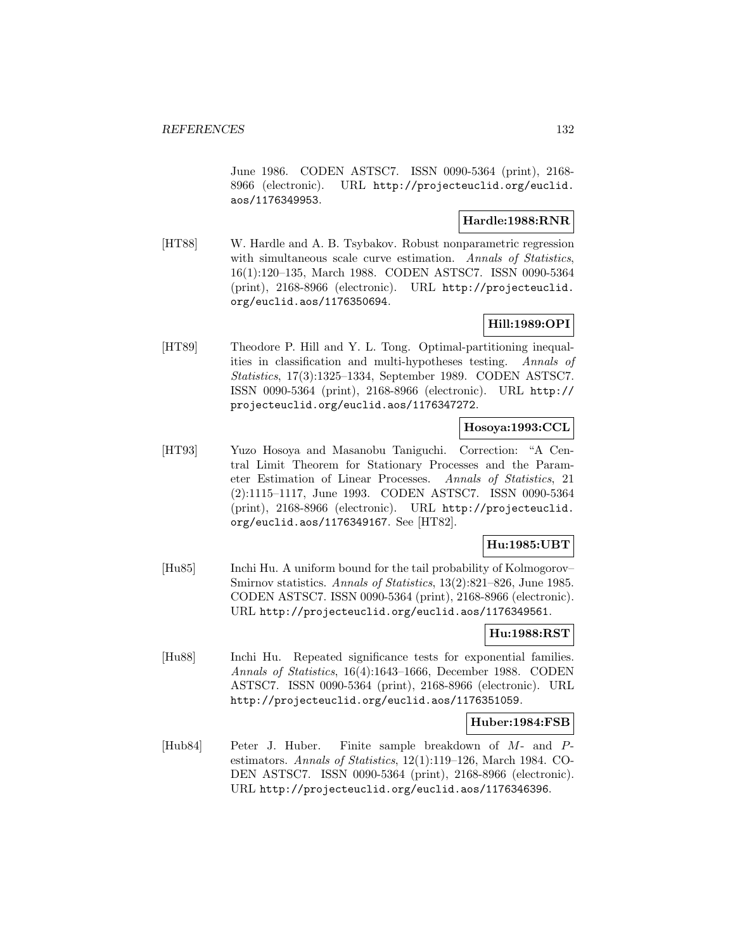June 1986. CODEN ASTSC7. ISSN 0090-5364 (print), 2168- 8966 (electronic). URL http://projecteuclid.org/euclid. aos/1176349953.

#### **Hardle:1988:RNR**

[HT88] W. Hardle and A. B. Tsybakov. Robust nonparametric regression with simultaneous scale curve estimation. Annals of Statistics, 16(1):120–135, March 1988. CODEN ASTSC7. ISSN 0090-5364 (print), 2168-8966 (electronic). URL http://projecteuclid. org/euclid.aos/1176350694.

# **Hill:1989:OPI**

[HT89] Theodore P. Hill and Y. L. Tong. Optimal-partitioning inequalities in classification and multi-hypotheses testing. Annals of Statistics, 17(3):1325–1334, September 1989. CODEN ASTSC7. ISSN 0090-5364 (print), 2168-8966 (electronic). URL http:// projecteuclid.org/euclid.aos/1176347272.

## **Hosoya:1993:CCL**

[HT93] Yuzo Hosoya and Masanobu Taniguchi. Correction: "A Central Limit Theorem for Stationary Processes and the Parameter Estimation of Linear Processes. Annals of Statistics, 21 (2):1115–1117, June 1993. CODEN ASTSC7. ISSN 0090-5364 (print), 2168-8966 (electronic). URL http://projecteuclid. org/euclid.aos/1176349167. See [HT82].

## **Hu:1985:UBT**

[Hu85] Inchi Hu. A uniform bound for the tail probability of Kolmogorov– Smirnov statistics. Annals of Statistics, 13(2):821–826, June 1985. CODEN ASTSC7. ISSN 0090-5364 (print), 2168-8966 (electronic). URL http://projecteuclid.org/euclid.aos/1176349561.

## **Hu:1988:RST**

[Hu88] Inchi Hu. Repeated significance tests for exponential families. Annals of Statistics, 16(4):1643–1666, December 1988. CODEN ASTSC7. ISSN 0090-5364 (print), 2168-8966 (electronic). URL http://projecteuclid.org/euclid.aos/1176351059.

### **Huber:1984:FSB**

[Hub84] Peter J. Huber. Finite sample breakdown of M- and Pestimators. Annals of Statistics, 12(1):119–126, March 1984. CO-DEN ASTSC7. ISSN 0090-5364 (print), 2168-8966 (electronic). URL http://projecteuclid.org/euclid.aos/1176346396.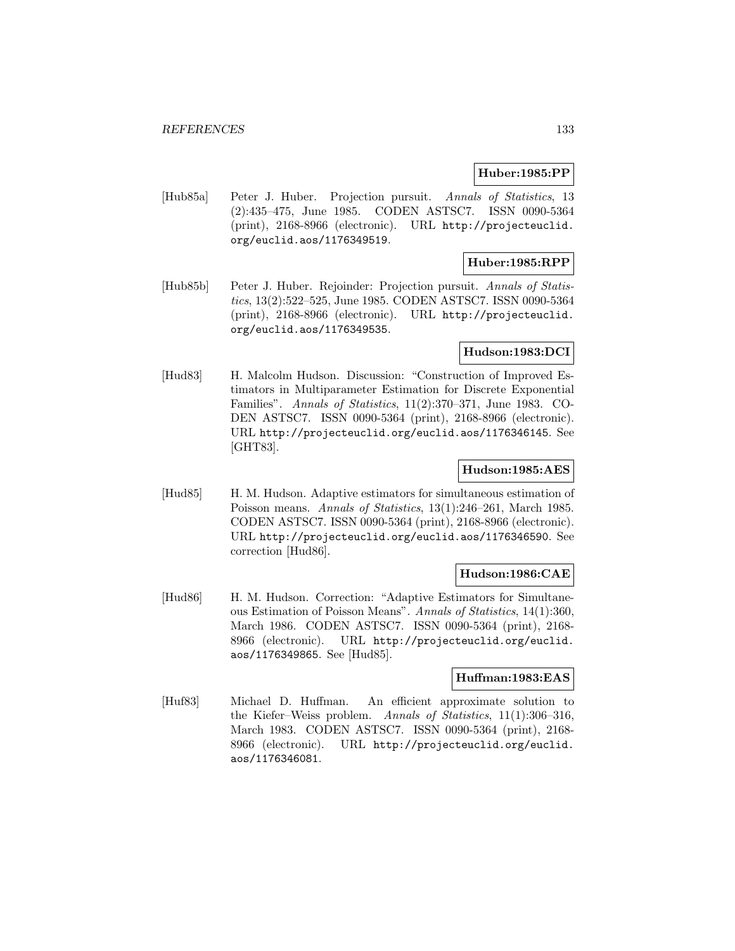#### **Huber:1985:PP**

[Hub85a] Peter J. Huber. Projection pursuit. Annals of Statistics, 13 (2):435–475, June 1985. CODEN ASTSC7. ISSN 0090-5364 (print), 2168-8966 (electronic). URL http://projecteuclid. org/euclid.aos/1176349519.

## **Huber:1985:RPP**

[Hub85b] Peter J. Huber. Rejoinder: Projection pursuit. Annals of Statistics, 13(2):522–525, June 1985. CODEN ASTSC7. ISSN 0090-5364 (print), 2168-8966 (electronic). URL http://projecteuclid. org/euclid.aos/1176349535.

### **Hudson:1983:DCI**

[Hud83] H. Malcolm Hudson. Discussion: "Construction of Improved Estimators in Multiparameter Estimation for Discrete Exponential Families". Annals of Statistics, 11(2):370–371, June 1983. CO-DEN ASTSC7. ISSN 0090-5364 (print), 2168-8966 (electronic). URL http://projecteuclid.org/euclid.aos/1176346145. See [GHT83].

### **Hudson:1985:AES**

[Hud85] H. M. Hudson. Adaptive estimators for simultaneous estimation of Poisson means. Annals of Statistics, 13(1):246–261, March 1985. CODEN ASTSC7. ISSN 0090-5364 (print), 2168-8966 (electronic). URL http://projecteuclid.org/euclid.aos/1176346590. See correction [Hud86].

### **Hudson:1986:CAE**

[Hud86] H. M. Hudson. Correction: "Adaptive Estimators for Simultaneous Estimation of Poisson Means". Annals of Statistics, 14(1):360, March 1986. CODEN ASTSC7. ISSN 0090-5364 (print), 2168- 8966 (electronic). URL http://projecteuclid.org/euclid. aos/1176349865. See [Hud85].

### **Huffman:1983:EAS**

[Huf83] Michael D. Huffman. An efficient approximate solution to the Kiefer–Weiss problem. Annals of Statistics, 11(1):306–316, March 1983. CODEN ASTSC7. ISSN 0090-5364 (print), 2168- 8966 (electronic). URL http://projecteuclid.org/euclid. aos/1176346081.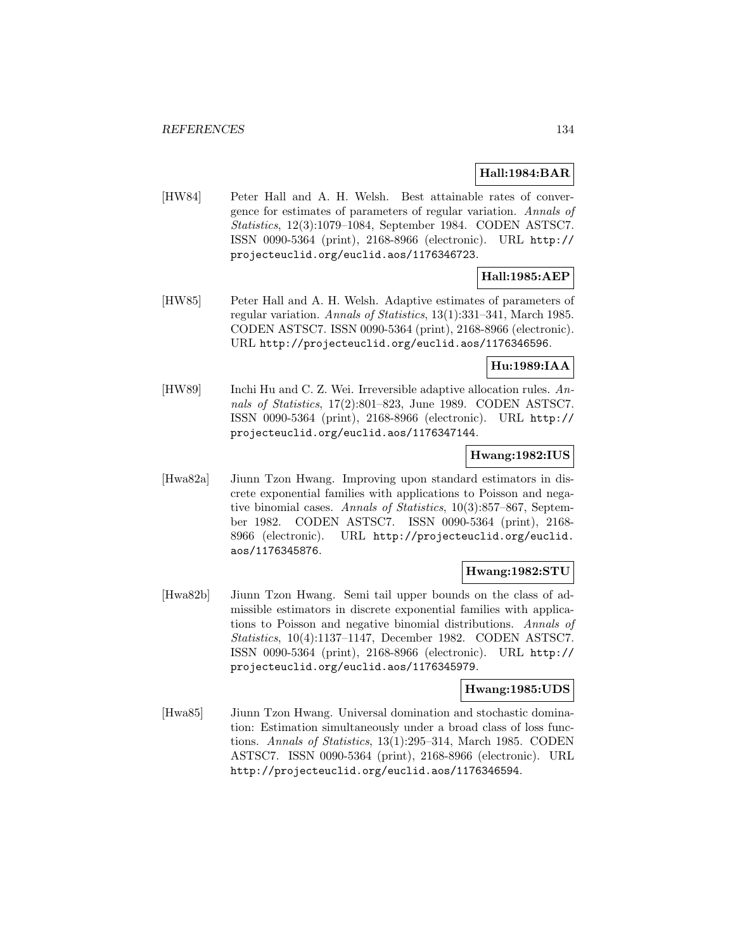## **Hall:1984:BAR**

[HW84] Peter Hall and A. H. Welsh. Best attainable rates of convergence for estimates of parameters of regular variation. Annals of Statistics, 12(3):1079–1084, September 1984. CODEN ASTSC7. ISSN 0090-5364 (print), 2168-8966 (electronic). URL http:// projecteuclid.org/euclid.aos/1176346723.

# **Hall:1985:AEP**

[HW85] Peter Hall and A. H. Welsh. Adaptive estimates of parameters of regular variation. Annals of Statistics, 13(1):331–341, March 1985. CODEN ASTSC7. ISSN 0090-5364 (print), 2168-8966 (electronic). URL http://projecteuclid.org/euclid.aos/1176346596.

## **Hu:1989:IAA**

[HW89] Inchi Hu and C. Z. Wei. Irreversible adaptive allocation rules. Annals of Statistics, 17(2):801–823, June 1989. CODEN ASTSC7. ISSN 0090-5364 (print), 2168-8966 (electronic). URL http:// projecteuclid.org/euclid.aos/1176347144.

## **Hwang:1982:IUS**

[Hwa82a] Jiunn Tzon Hwang. Improving upon standard estimators in discrete exponential families with applications to Poisson and negative binomial cases. Annals of Statistics, 10(3):857–867, September 1982. CODEN ASTSC7. ISSN 0090-5364 (print), 2168- 8966 (electronic). URL http://projecteuclid.org/euclid. aos/1176345876.

### **Hwang:1982:STU**

[Hwa82b] Jiunn Tzon Hwang. Semi tail upper bounds on the class of admissible estimators in discrete exponential families with applications to Poisson and negative binomial distributions. Annals of Statistics, 10(4):1137–1147, December 1982. CODEN ASTSC7. ISSN 0090-5364 (print), 2168-8966 (electronic). URL http:// projecteuclid.org/euclid.aos/1176345979.

## **Hwang:1985:UDS**

[Hwa85] Jiunn Tzon Hwang. Universal domination and stochastic domination: Estimation simultaneously under a broad class of loss functions. Annals of Statistics, 13(1):295–314, March 1985. CODEN ASTSC7. ISSN 0090-5364 (print), 2168-8966 (electronic). URL http://projecteuclid.org/euclid.aos/1176346594.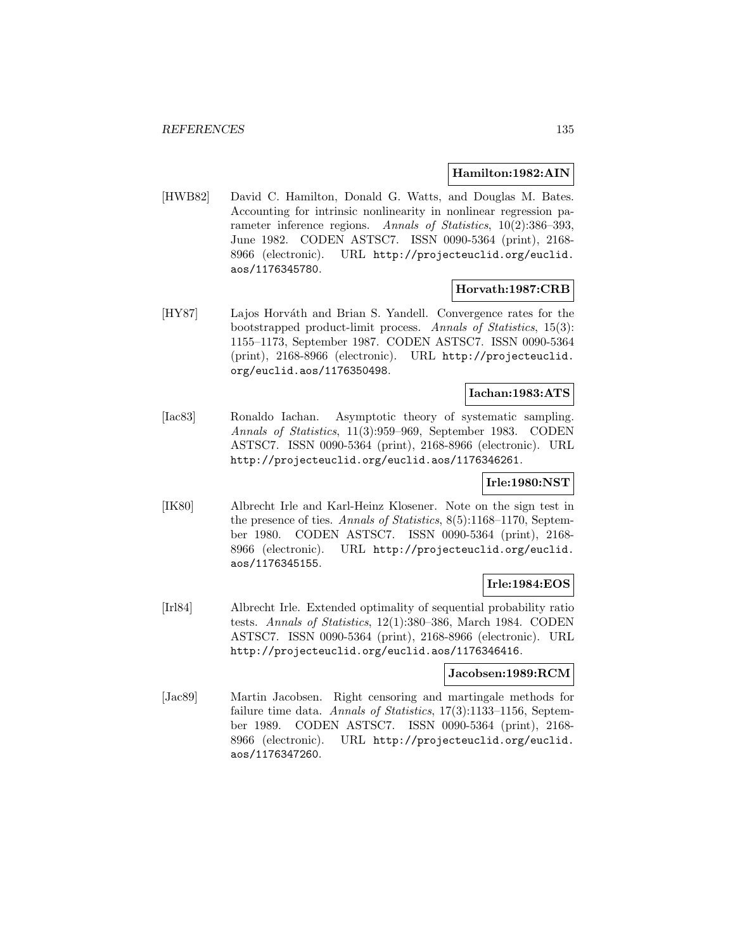#### **Hamilton:1982:AIN**

[HWB82] David C. Hamilton, Donald G. Watts, and Douglas M. Bates. Accounting for intrinsic nonlinearity in nonlinear regression parameter inference regions. Annals of Statistics, 10(2):386-393, June 1982. CODEN ASTSC7. ISSN 0090-5364 (print), 2168- 8966 (electronic). URL http://projecteuclid.org/euclid. aos/1176345780.

### **Horvath:1987:CRB**

[HY87] Lajos Horváth and Brian S. Yandell. Convergence rates for the bootstrapped product-limit process. Annals of Statistics, 15(3): 1155–1173, September 1987. CODEN ASTSC7. ISSN 0090-5364 (print), 2168-8966 (electronic). URL http://projecteuclid. org/euclid.aos/1176350498.

## **Iachan:1983:ATS**

[Iac83] Ronaldo Iachan. Asymptotic theory of systematic sampling. Annals of Statistics, 11(3):959–969, September 1983. CODEN ASTSC7. ISSN 0090-5364 (print), 2168-8966 (electronic). URL http://projecteuclid.org/euclid.aos/1176346261.

# **Irle:1980:NST**

[IK80] Albrecht Irle and Karl-Heinz Klosener. Note on the sign test in the presence of ties. Annals of Statistics, 8(5):1168–1170, September 1980. CODEN ASTSC7. ISSN 0090-5364 (print), 2168- 8966 (electronic). URL http://projecteuclid.org/euclid. aos/1176345155.

### **Irle:1984:EOS**

[Irl84] Albrecht Irle. Extended optimality of sequential probability ratio tests. Annals of Statistics, 12(1):380–386, March 1984. CODEN ASTSC7. ISSN 0090-5364 (print), 2168-8966 (electronic). URL http://projecteuclid.org/euclid.aos/1176346416.

## **Jacobsen:1989:RCM**

[Jac89] Martin Jacobsen. Right censoring and martingale methods for failure time data. Annals of Statistics, 17(3):1133-1156, September 1989. CODEN ASTSC7. ISSN 0090-5364 (print), 2168- 8966 (electronic). URL http://projecteuclid.org/euclid. aos/1176347260.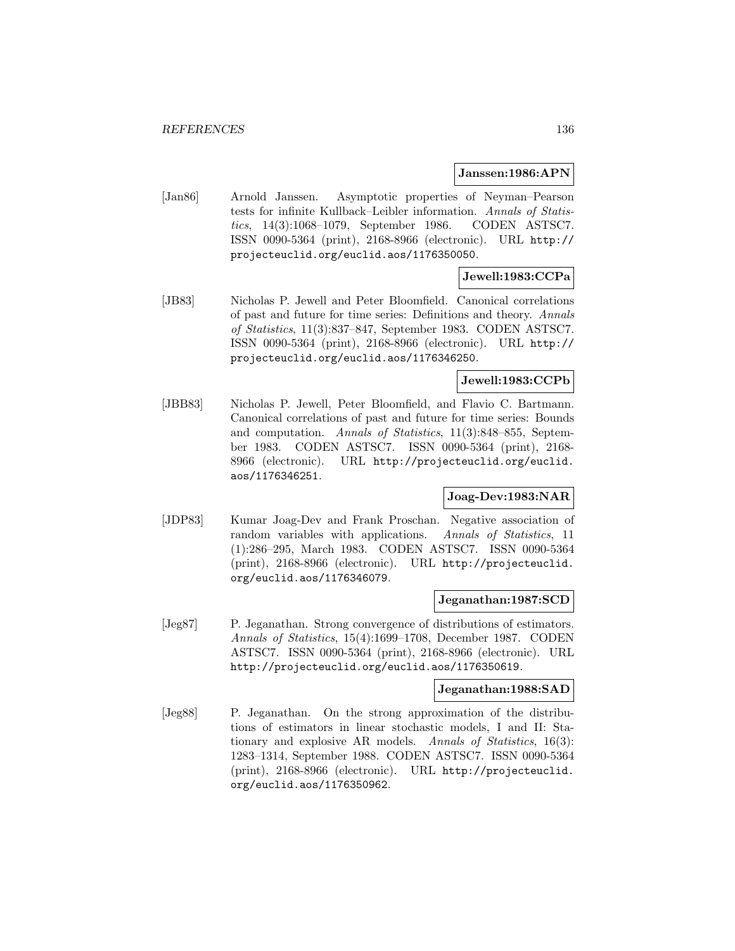#### **Janssen:1986:APN**

[Jan86] Arnold Janssen. Asymptotic properties of Neyman–Pearson tests for infinite Kullback–Leibler information. Annals of Statistics, 14(3):1068–1079, September 1986. CODEN ASTSC7. ISSN 0090-5364 (print), 2168-8966 (electronic). URL http:// projecteuclid.org/euclid.aos/1176350050.

## **Jewell:1983:CCPa**

[JB83] Nicholas P. Jewell and Peter Bloomfield. Canonical correlations of past and future for time series: Definitions and theory. Annals of Statistics, 11(3):837–847, September 1983. CODEN ASTSC7. ISSN 0090-5364 (print), 2168-8966 (electronic). URL http:// projecteuclid.org/euclid.aos/1176346250.

## **Jewell:1983:CCPb**

[JBB83] Nicholas P. Jewell, Peter Bloomfield, and Flavio C. Bartmann. Canonical correlations of past and future for time series: Bounds and computation. Annals of Statistics, 11(3):848–855, September 1983. CODEN ASTSC7. ISSN 0090-5364 (print), 2168- 8966 (electronic). URL http://projecteuclid.org/euclid. aos/1176346251.

## **Joag-Dev:1983:NAR**

[JDP83] Kumar Joag-Dev and Frank Proschan. Negative association of random variables with applications. Annals of Statistics, 11 (1):286–295, March 1983. CODEN ASTSC7. ISSN 0090-5364 (print), 2168-8966 (electronic). URL http://projecteuclid. org/euclid.aos/1176346079.

#### **Jeganathan:1987:SCD**

[Jeg87] P. Jeganathan. Strong convergence of distributions of estimators. Annals of Statistics, 15(4):1699–1708, December 1987. CODEN ASTSC7. ISSN 0090-5364 (print), 2168-8966 (electronic). URL http://projecteuclid.org/euclid.aos/1176350619.

### **Jeganathan:1988:SAD**

[Jeg88] P. Jeganathan. On the strong approximation of the distributions of estimators in linear stochastic models, I and II: Stationary and explosive AR models. Annals of Statistics, 16(3): 1283–1314, September 1988. CODEN ASTSC7. ISSN 0090-5364 (print), 2168-8966 (electronic). URL http://projecteuclid. org/euclid.aos/1176350962.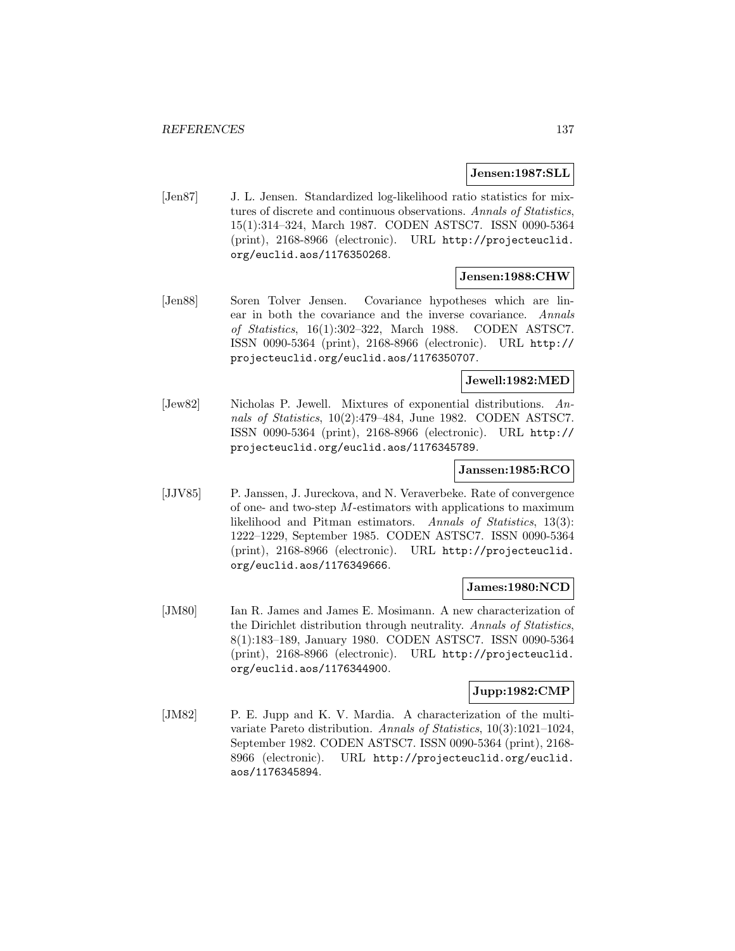### **Jensen:1987:SLL**

[Jen87] J. L. Jensen. Standardized log-likelihood ratio statistics for mixtures of discrete and continuous observations. Annals of Statistics, 15(1):314–324, March 1987. CODEN ASTSC7. ISSN 0090-5364 (print), 2168-8966 (electronic). URL http://projecteuclid. org/euclid.aos/1176350268.

### **Jensen:1988:CHW**

[Jen88] Soren Tolver Jensen. Covariance hypotheses which are linear in both the covariance and the inverse covariance. Annals of Statistics, 16(1):302–322, March 1988. CODEN ASTSC7. ISSN 0090-5364 (print), 2168-8966 (electronic). URL http:// projecteuclid.org/euclid.aos/1176350707.

### **Jewell:1982:MED**

[Jew82] Nicholas P. Jewell. Mixtures of exponential distributions. Annals of Statistics, 10(2):479–484, June 1982. CODEN ASTSC7. ISSN 0090-5364 (print), 2168-8966 (electronic). URL http:// projecteuclid.org/euclid.aos/1176345789.

### **Janssen:1985:RCO**

[JJV85] P. Janssen, J. Jureckova, and N. Veraverbeke. Rate of convergence of one- and two-step  $M$ -estimators with applications to maximum likelihood and Pitman estimators. Annals of Statistics, 13(3): 1222–1229, September 1985. CODEN ASTSC7. ISSN 0090-5364 (print), 2168-8966 (electronic). URL http://projecteuclid. org/euclid.aos/1176349666.

### **James:1980:NCD**

[JM80] Ian R. James and James E. Mosimann. A new characterization of the Dirichlet distribution through neutrality. Annals of Statistics, 8(1):183–189, January 1980. CODEN ASTSC7. ISSN 0090-5364 (print), 2168-8966 (electronic). URL http://projecteuclid. org/euclid.aos/1176344900.

## **Jupp:1982:CMP**

[JM82] P. E. Jupp and K. V. Mardia. A characterization of the multivariate Pareto distribution. Annals of Statistics, 10(3):1021–1024, September 1982. CODEN ASTSC7. ISSN 0090-5364 (print), 2168- 8966 (electronic). URL http://projecteuclid.org/euclid. aos/1176345894.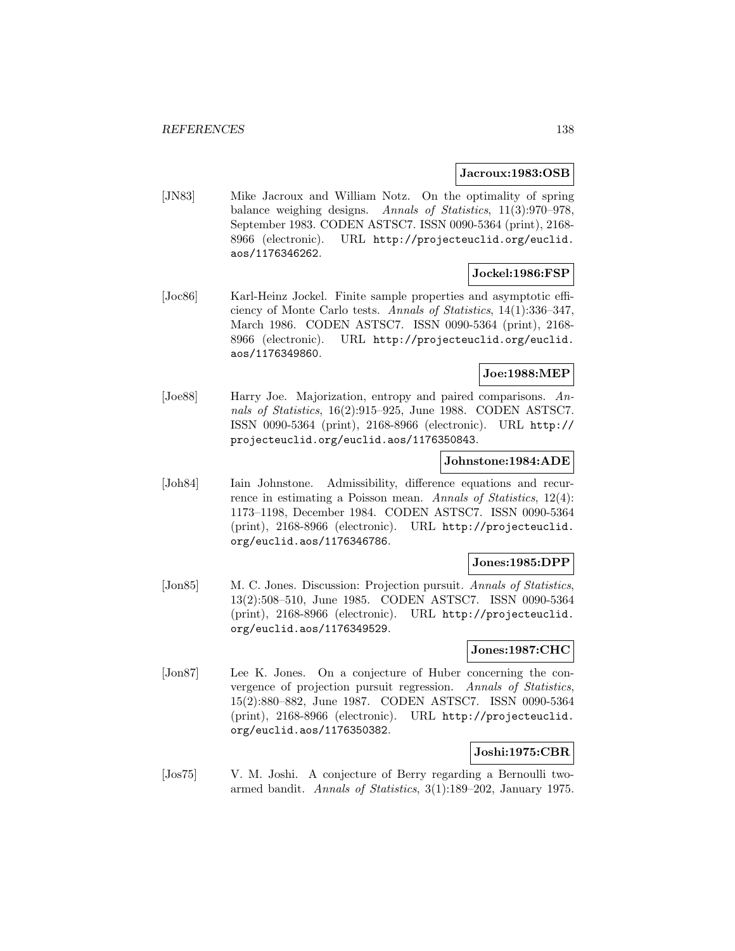### **Jacroux:1983:OSB**

[JN83] Mike Jacroux and William Notz. On the optimality of spring balance weighing designs. Annals of Statistics, 11(3):970–978, September 1983. CODEN ASTSC7. ISSN 0090-5364 (print), 2168- 8966 (electronic). URL http://projecteuclid.org/euclid. aos/1176346262.

## **Jockel:1986:FSP**

[Joc86] Karl-Heinz Jockel. Finite sample properties and asymptotic efficiency of Monte Carlo tests. Annals of Statistics, 14(1):336–347, March 1986. CODEN ASTSC7. ISSN 0090-5364 (print), 2168- 8966 (electronic). URL http://projecteuclid.org/euclid. aos/1176349860.

#### **Joe:1988:MEP**

[Joe88] Harry Joe. Majorization, entropy and paired comparisons. Annals of Statistics, 16(2):915–925, June 1988. CODEN ASTSC7. ISSN 0090-5364 (print), 2168-8966 (electronic). URL http:// projecteuclid.org/euclid.aos/1176350843.

### **Johnstone:1984:ADE**

[Joh84] Iain Johnstone. Admissibility, difference equations and recurrence in estimating a Poisson mean. Annals of Statistics, 12(4): 1173–1198, December 1984. CODEN ASTSC7. ISSN 0090-5364 (print), 2168-8966 (electronic). URL http://projecteuclid. org/euclid.aos/1176346786.

### **Jones:1985:DPP**

[Jon85] M. C. Jones. Discussion: Projection pursuit. Annals of Statistics, 13(2):508–510, June 1985. CODEN ASTSC7. ISSN 0090-5364 (print), 2168-8966 (electronic). URL http://projecteuclid. org/euclid.aos/1176349529.

### **Jones:1987:CHC**

[Jon87] Lee K. Jones. On a conjecture of Huber concerning the convergence of projection pursuit regression. Annals of Statistics, 15(2):880–882, June 1987. CODEN ASTSC7. ISSN 0090-5364 (print), 2168-8966 (electronic). URL http://projecteuclid. org/euclid.aos/1176350382.

## **Joshi:1975:CBR**

[Jos75] V. M. Joshi. A conjecture of Berry regarding a Bernoulli twoarmed bandit. Annals of Statistics, 3(1):189–202, January 1975.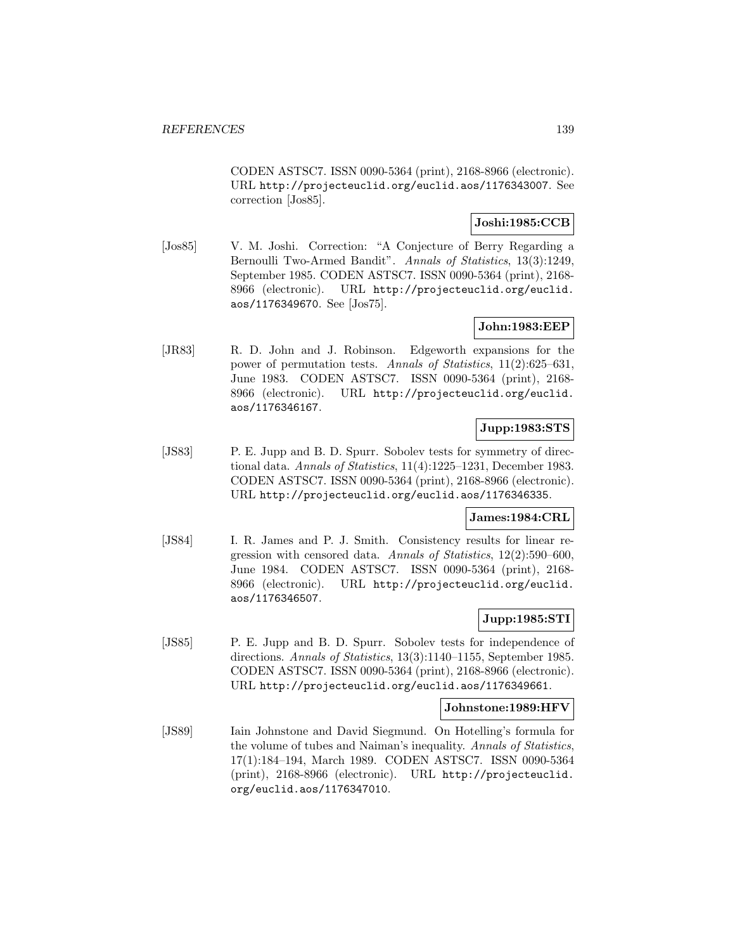CODEN ASTSC7. ISSN 0090-5364 (print), 2168-8966 (electronic). URL http://projecteuclid.org/euclid.aos/1176343007. See correction [Jos85].

## **Joshi:1985:CCB**

[Jos85] V. M. Joshi. Correction: "A Conjecture of Berry Regarding a Bernoulli Two-Armed Bandit". Annals of Statistics, 13(3):1249, September 1985. CODEN ASTSC7. ISSN 0090-5364 (print), 2168- 8966 (electronic). URL http://projecteuclid.org/euclid. aos/1176349670. See [Jos75].

# **John:1983:EEP**

[JR83] R. D. John and J. Robinson. Edgeworth expansions for the power of permutation tests. Annals of Statistics, 11(2):625–631, June 1983. CODEN ASTSC7. ISSN 0090-5364 (print), 2168- 8966 (electronic). URL http://projecteuclid.org/euclid. aos/1176346167.

# **Jupp:1983:STS**

[JS83] P. E. Jupp and B. D. Spurr. Sobolev tests for symmetry of directional data. Annals of Statistics, 11(4):1225–1231, December 1983. CODEN ASTSC7. ISSN 0090-5364 (print), 2168-8966 (electronic). URL http://projecteuclid.org/euclid.aos/1176346335.

### **James:1984:CRL**

[JS84] I. R. James and P. J. Smith. Consistency results for linear regression with censored data. Annals of Statistics, 12(2):590–600, June 1984. CODEN ASTSC7. ISSN 0090-5364 (print), 2168- 8966 (electronic). URL http://projecteuclid.org/euclid. aos/1176346507.

## **Jupp:1985:STI**

[JS85] P. E. Jupp and B. D. Spurr. Sobolev tests for independence of directions. Annals of Statistics, 13(3):1140–1155, September 1985. CODEN ASTSC7. ISSN 0090-5364 (print), 2168-8966 (electronic). URL http://projecteuclid.org/euclid.aos/1176349661.

### **Johnstone:1989:HFV**

[JS89] Iain Johnstone and David Siegmund. On Hotelling's formula for the volume of tubes and Naiman's inequality. Annals of Statistics, 17(1):184–194, March 1989. CODEN ASTSC7. ISSN 0090-5364 (print), 2168-8966 (electronic). URL http://projecteuclid. org/euclid.aos/1176347010.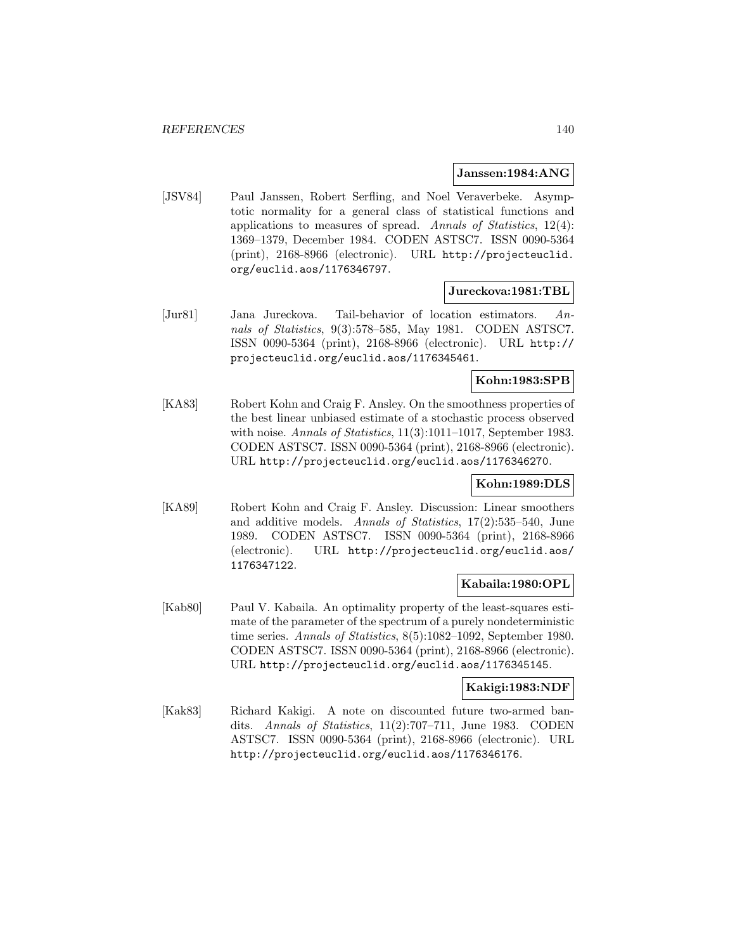### **Janssen:1984:ANG**

[JSV84] Paul Janssen, Robert Serfling, and Noel Veraverbeke. Asymptotic normality for a general class of statistical functions and applications to measures of spread. Annals of Statistics, 12(4): 1369–1379, December 1984. CODEN ASTSC7. ISSN 0090-5364 (print), 2168-8966 (electronic). URL http://projecteuclid. org/euclid.aos/1176346797.

### **Jureckova:1981:TBL**

[Jur81] Jana Jureckova. Tail-behavior of location estimators. Annals of Statistics, 9(3):578–585, May 1981. CODEN ASTSC7. ISSN 0090-5364 (print), 2168-8966 (electronic). URL http:// projecteuclid.org/euclid.aos/1176345461.

# **Kohn:1983:SPB**

[KA83] Robert Kohn and Craig F. Ansley. On the smoothness properties of the best linear unbiased estimate of a stochastic process observed with noise. Annals of Statistics, 11(3):1011-1017, September 1983. CODEN ASTSC7. ISSN 0090-5364 (print), 2168-8966 (electronic). URL http://projecteuclid.org/euclid.aos/1176346270.

## **Kohn:1989:DLS**

[KA89] Robert Kohn and Craig F. Ansley. Discussion: Linear smoothers and additive models. Annals of Statistics, 17(2):535–540, June 1989. CODEN ASTSC7. ISSN 0090-5364 (print), 2168-8966 (electronic). URL http://projecteuclid.org/euclid.aos/ 1176347122.

## **Kabaila:1980:OPL**

[Kab80] Paul V. Kabaila. An optimality property of the least-squares estimate of the parameter of the spectrum of a purely nondeterministic time series. Annals of Statistics, 8(5):1082–1092, September 1980. CODEN ASTSC7. ISSN 0090-5364 (print), 2168-8966 (electronic). URL http://projecteuclid.org/euclid.aos/1176345145.

### **Kakigi:1983:NDF**

[Kak83] Richard Kakigi. A note on discounted future two-armed bandits. Annals of Statistics, 11(2):707–711, June 1983. CODEN ASTSC7. ISSN 0090-5364 (print), 2168-8966 (electronic). URL http://projecteuclid.org/euclid.aos/1176346176.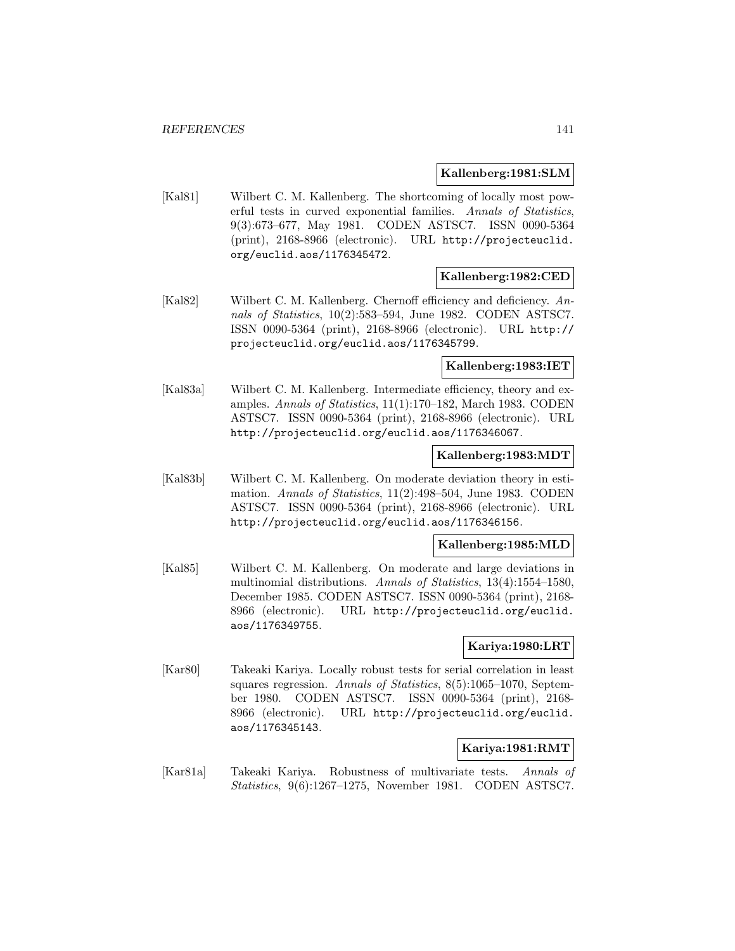### **Kallenberg:1981:SLM**

[Kal81] Wilbert C. M. Kallenberg. The shortcoming of locally most powerful tests in curved exponential families. Annals of Statistics, 9(3):673–677, May 1981. CODEN ASTSC7. ISSN 0090-5364 (print), 2168-8966 (electronic). URL http://projecteuclid. org/euclid.aos/1176345472.

### **Kallenberg:1982:CED**

[Kal82] Wilbert C. M. Kallenberg. Chernoff efficiency and deficiency. Annals of Statistics, 10(2):583–594, June 1982. CODEN ASTSC7. ISSN 0090-5364 (print), 2168-8966 (electronic). URL http:// projecteuclid.org/euclid.aos/1176345799.

#### **Kallenberg:1983:IET**

[Kal83a] Wilbert C. M. Kallenberg. Intermediate efficiency, theory and examples. Annals of Statistics, 11(1):170–182, March 1983. CODEN ASTSC7. ISSN 0090-5364 (print), 2168-8966 (electronic). URL http://projecteuclid.org/euclid.aos/1176346067.

### **Kallenberg:1983:MDT**

[Kal83b] Wilbert C. M. Kallenberg. On moderate deviation theory in estimation. Annals of Statistics, 11(2):498–504, June 1983. CODEN ASTSC7. ISSN 0090-5364 (print), 2168-8966 (electronic). URL http://projecteuclid.org/euclid.aos/1176346156.

#### **Kallenberg:1985:MLD**

[Kal85] Wilbert C. M. Kallenberg. On moderate and large deviations in multinomial distributions. Annals of Statistics, 13(4):1554–1580, December 1985. CODEN ASTSC7. ISSN 0090-5364 (print), 2168- 8966 (electronic). URL http://projecteuclid.org/euclid. aos/1176349755.

### **Kariya:1980:LRT**

[Kar80] Takeaki Kariya. Locally robust tests for serial correlation in least squares regression. Annals of Statistics, 8(5):1065–1070, September 1980. CODEN ASTSC7. ISSN 0090-5364 (print), 2168- 8966 (electronic). URL http://projecteuclid.org/euclid. aos/1176345143.

## **Kariya:1981:RMT**

[Kar81a] Takeaki Kariya. Robustness of multivariate tests. Annals of Statistics, 9(6):1267–1275, November 1981. CODEN ASTSC7.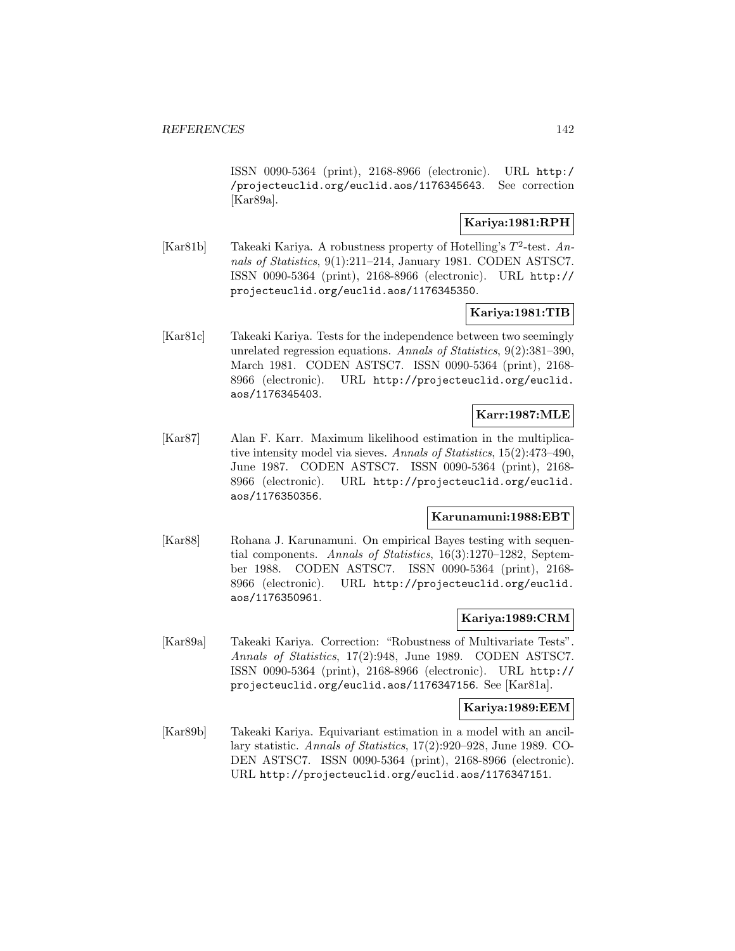ISSN 0090-5364 (print), 2168-8966 (electronic). URL http:/ /projecteuclid.org/euclid.aos/1176345643. See correction [Kar89a].

# **Kariya:1981:RPH**

[Kar81b] Takeaki Kariya. A robustness property of Hotelling's  $T^2$ -test. Annals of Statistics, 9(1):211–214, January 1981. CODEN ASTSC7. ISSN 0090-5364 (print), 2168-8966 (electronic). URL http:// projecteuclid.org/euclid.aos/1176345350.

## **Kariya:1981:TIB**

[Kar81c] Takeaki Kariya. Tests for the independence between two seemingly unrelated regression equations. Annals of Statistics, 9(2):381–390, March 1981. CODEN ASTSC7. ISSN 0090-5364 (print), 2168- 8966 (electronic). URL http://projecteuclid.org/euclid. aos/1176345403.

### **Karr:1987:MLE**

[Kar87] Alan F. Karr. Maximum likelihood estimation in the multiplicative intensity model via sieves. Annals of Statistics, 15(2):473–490, June 1987. CODEN ASTSC7. ISSN 0090-5364 (print), 2168- 8966 (electronic). URL http://projecteuclid.org/euclid. aos/1176350356.

## **Karunamuni:1988:EBT**

[Kar88] Rohana J. Karunamuni. On empirical Bayes testing with sequential components. Annals of Statistics, 16(3):1270–1282, September 1988. CODEN ASTSC7. ISSN 0090-5364 (print), 2168- 8966 (electronic). URL http://projecteuclid.org/euclid. aos/1176350961.

## **Kariya:1989:CRM**

[Kar89a] Takeaki Kariya. Correction: "Robustness of Multivariate Tests". Annals of Statistics, 17(2):948, June 1989. CODEN ASTSC7. ISSN 0090-5364 (print), 2168-8966 (electronic). URL http:// projecteuclid.org/euclid.aos/1176347156. See [Kar81a].

#### **Kariya:1989:EEM**

[Kar89b] Takeaki Kariya. Equivariant estimation in a model with an ancillary statistic. Annals of Statistics, 17(2):920–928, June 1989. CO-DEN ASTSC7. ISSN 0090-5364 (print), 2168-8966 (electronic). URL http://projecteuclid.org/euclid.aos/1176347151.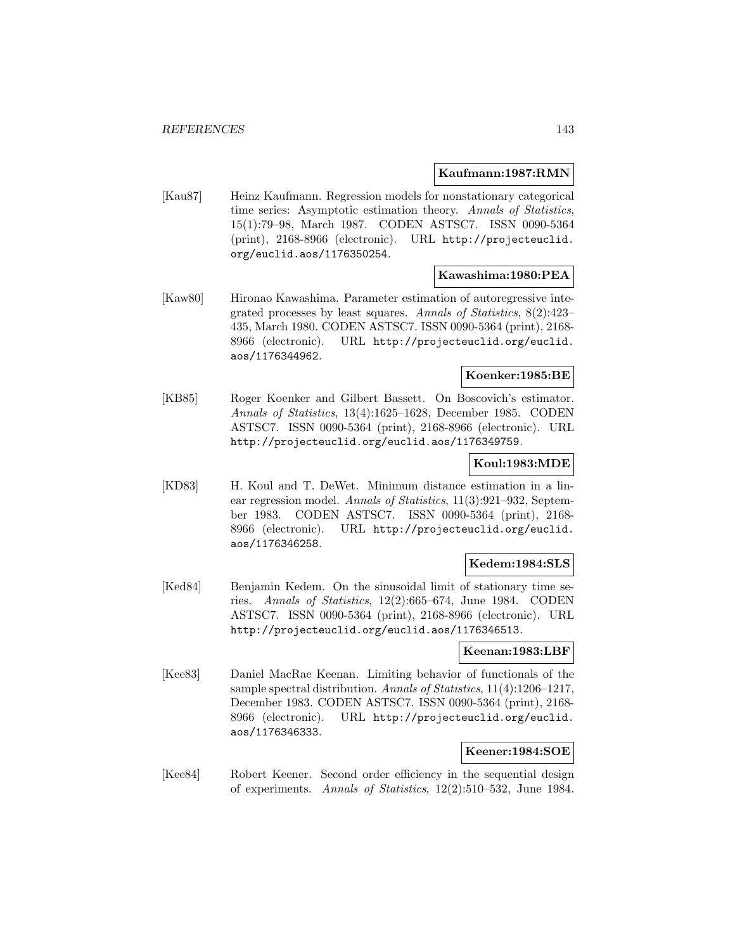#### **Kaufmann:1987:RMN**

[Kau87] Heinz Kaufmann. Regression models for nonstationary categorical time series: Asymptotic estimation theory. Annals of Statistics, 15(1):79–98, March 1987. CODEN ASTSC7. ISSN 0090-5364 (print), 2168-8966 (electronic). URL http://projecteuclid. org/euclid.aos/1176350254.

#### **Kawashima:1980:PEA**

[Kaw80] Hironao Kawashima. Parameter estimation of autoregressive integrated processes by least squares. Annals of Statistics, 8(2):423– 435, March 1980. CODEN ASTSC7. ISSN 0090-5364 (print), 2168- 8966 (electronic). URL http://projecteuclid.org/euclid. aos/1176344962.

### **Koenker:1985:BE**

[KB85] Roger Koenker and Gilbert Bassett. On Boscovich's estimator. Annals of Statistics, 13(4):1625–1628, December 1985. CODEN ASTSC7. ISSN 0090-5364 (print), 2168-8966 (electronic). URL http://projecteuclid.org/euclid.aos/1176349759.

### **Koul:1983:MDE**

[KD83] H. Koul and T. DeWet. Minimum distance estimation in a linear regression model. Annals of Statistics, 11(3):921–932, September 1983. CODEN ASTSC7. ISSN 0090-5364 (print), 2168- 8966 (electronic). URL http://projecteuclid.org/euclid. aos/1176346258.

### **Kedem:1984:SLS**

[Ked84] Benjamin Kedem. On the sinusoidal limit of stationary time series. Annals of Statistics, 12(2):665–674, June 1984. CODEN ASTSC7. ISSN 0090-5364 (print), 2168-8966 (electronic). URL http://projecteuclid.org/euclid.aos/1176346513.

### **Keenan:1983:LBF**

[Kee83] Daniel MacRae Keenan. Limiting behavior of functionals of the sample spectral distribution. Annals of Statistics, 11(4):1206–1217, December 1983. CODEN ASTSC7. ISSN 0090-5364 (print), 2168- 8966 (electronic). URL http://projecteuclid.org/euclid. aos/1176346333.

## **Keener:1984:SOE**

[Kee84] Robert Keener. Second order efficiency in the sequential design of experiments. Annals of Statistics, 12(2):510–532, June 1984.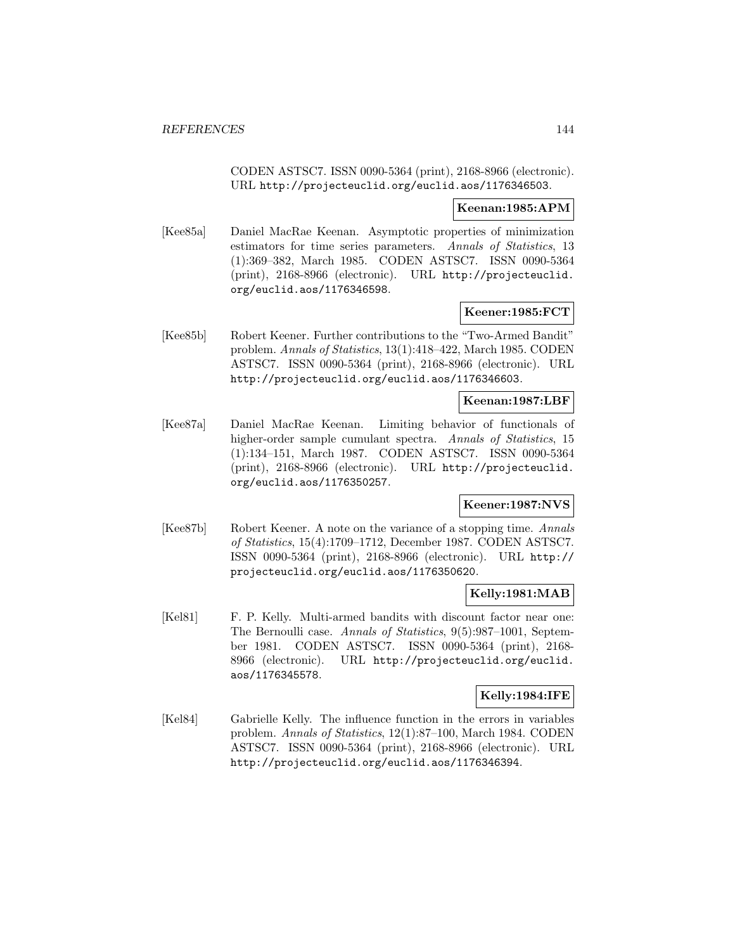CODEN ASTSC7. ISSN 0090-5364 (print), 2168-8966 (electronic). URL http://projecteuclid.org/euclid.aos/1176346503.

### **Keenan:1985:APM**

[Kee85a] Daniel MacRae Keenan. Asymptotic properties of minimization estimators for time series parameters. Annals of Statistics, 13 (1):369–382, March 1985. CODEN ASTSC7. ISSN 0090-5364 (print), 2168-8966 (electronic). URL http://projecteuclid. org/euclid.aos/1176346598.

### **Keener:1985:FCT**

[Kee85b] Robert Keener. Further contributions to the "Two-Armed Bandit" problem. Annals of Statistics, 13(1):418–422, March 1985. CODEN ASTSC7. ISSN 0090-5364 (print), 2168-8966 (electronic). URL http://projecteuclid.org/euclid.aos/1176346603.

### **Keenan:1987:LBF**

[Kee87a] Daniel MacRae Keenan. Limiting behavior of functionals of higher-order sample cumulant spectra. Annals of Statistics, 15 (1):134–151, March 1987. CODEN ASTSC7. ISSN 0090-5364 (print), 2168-8966 (electronic). URL http://projecteuclid. org/euclid.aos/1176350257.

### **Keener:1987:NVS**

[Kee87b] Robert Keener. A note on the variance of a stopping time. Annals of Statistics, 15(4):1709–1712, December 1987. CODEN ASTSC7. ISSN 0090-5364 (print), 2168-8966 (electronic). URL http:// projecteuclid.org/euclid.aos/1176350620.

### **Kelly:1981:MAB**

[Kel81] F. P. Kelly. Multi-armed bandits with discount factor near one: The Bernoulli case. Annals of Statistics, 9(5):987–1001, September 1981. CODEN ASTSC7. ISSN 0090-5364 (print), 2168- 8966 (electronic). URL http://projecteuclid.org/euclid. aos/1176345578.

### **Kelly:1984:IFE**

[Kel84] Gabrielle Kelly. The influence function in the errors in variables problem. Annals of Statistics, 12(1):87–100, March 1984. CODEN ASTSC7. ISSN 0090-5364 (print), 2168-8966 (electronic). URL http://projecteuclid.org/euclid.aos/1176346394.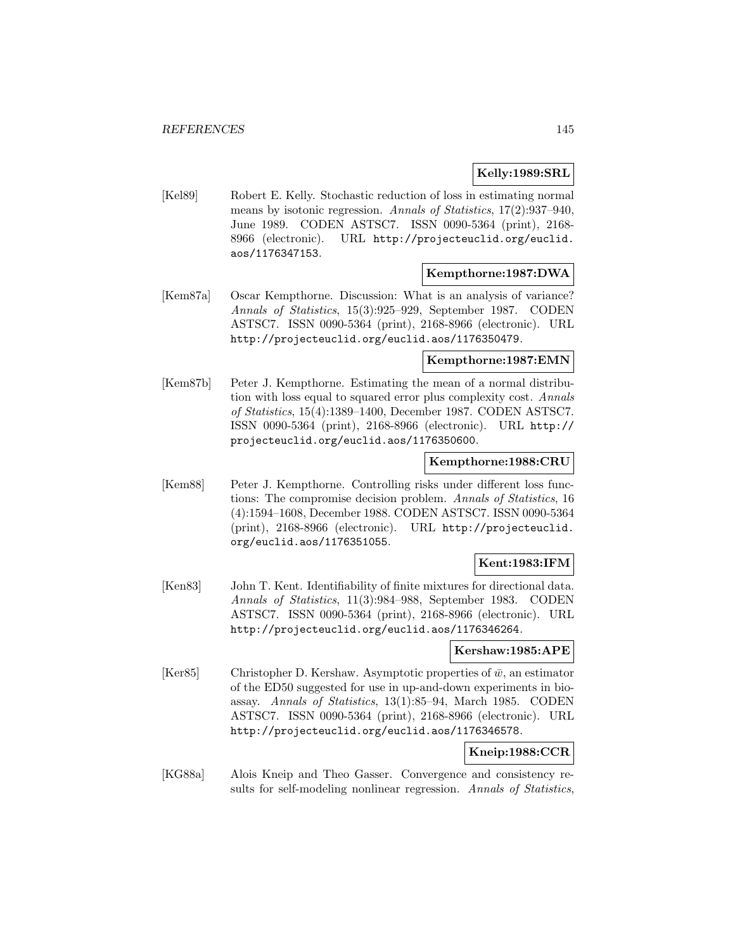### **Kelly:1989:SRL**

[Kel89] Robert E. Kelly. Stochastic reduction of loss in estimating normal means by isotonic regression. Annals of Statistics, 17(2):937-940, June 1989. CODEN ASTSC7. ISSN 0090-5364 (print), 2168- 8966 (electronic). URL http://projecteuclid.org/euclid. aos/1176347153.

#### **Kempthorne:1987:DWA**

[Kem87a] Oscar Kempthorne. Discussion: What is an analysis of variance? Annals of Statistics, 15(3):925–929, September 1987. CODEN ASTSC7. ISSN 0090-5364 (print), 2168-8966 (electronic). URL http://projecteuclid.org/euclid.aos/1176350479.

#### **Kempthorne:1987:EMN**

[Kem87b] Peter J. Kempthorne. Estimating the mean of a normal distribution with loss equal to squared error plus complexity cost. Annals of Statistics, 15(4):1389–1400, December 1987. CODEN ASTSC7. ISSN 0090-5364 (print), 2168-8966 (electronic). URL http:// projecteuclid.org/euclid.aos/1176350600.

### **Kempthorne:1988:CRU**

[Kem88] Peter J. Kempthorne. Controlling risks under different loss functions: The compromise decision problem. Annals of Statistics, 16 (4):1594–1608, December 1988. CODEN ASTSC7. ISSN 0090-5364 (print), 2168-8966 (electronic). URL http://projecteuclid. org/euclid.aos/1176351055.

### **Kent:1983:IFM**

[Ken83] John T. Kent. Identifiability of finite mixtures for directional data. Annals of Statistics, 11(3):984–988, September 1983. CODEN ASTSC7. ISSN 0090-5364 (print), 2168-8966 (electronic). URL http://projecteuclid.org/euclid.aos/1176346264.

### **Kershaw:1985:APE**

[Ker85] Christopher D. Kershaw. Asymptotic properties of  $\bar{w}$ , an estimator of the ED50 suggested for use in up-and-down experiments in bioassay. Annals of Statistics, 13(1):85–94, March 1985. CODEN ASTSC7. ISSN 0090-5364 (print), 2168-8966 (electronic). URL http://projecteuclid.org/euclid.aos/1176346578.

### **Kneip:1988:CCR**

[KG88a] Alois Kneip and Theo Gasser. Convergence and consistency results for self-modeling nonlinear regression. Annals of Statistics,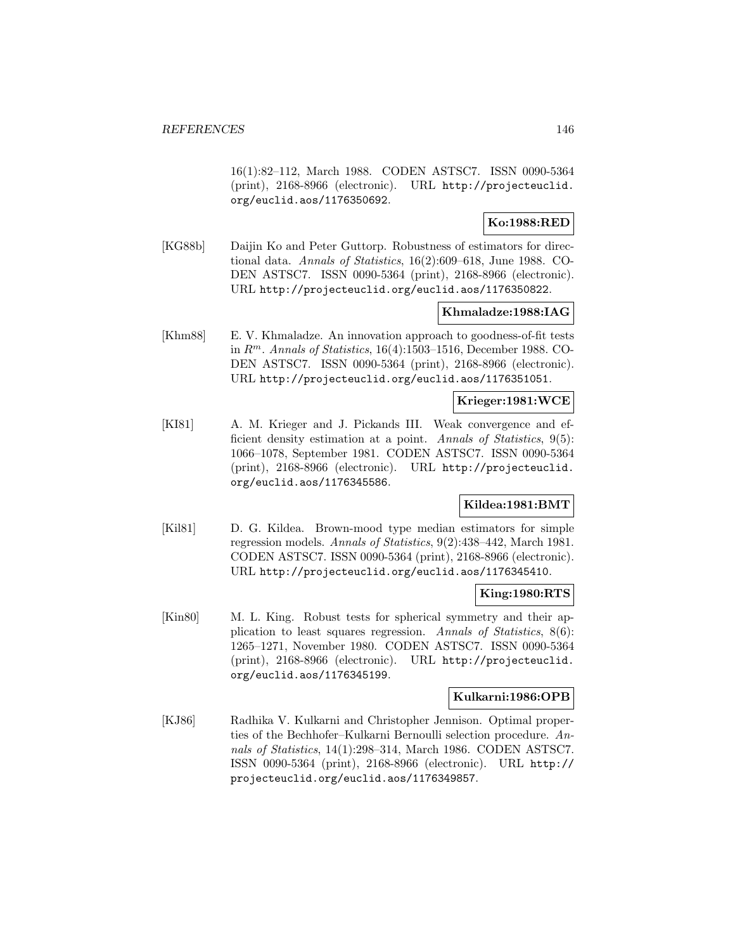16(1):82–112, March 1988. CODEN ASTSC7. ISSN 0090-5364 (print), 2168-8966 (electronic). URL http://projecteuclid. org/euclid.aos/1176350692.

# **Ko:1988:RED**

[KG88b] Daijin Ko and Peter Guttorp. Robustness of estimators for directional data. Annals of Statistics, 16(2):609–618, June 1988. CO-DEN ASTSC7. ISSN 0090-5364 (print), 2168-8966 (electronic). URL http://projecteuclid.org/euclid.aos/1176350822.

### **Khmaladze:1988:IAG**

[Khm88] E. V. Khmaladze. An innovation approach to goodness-of-fit tests in  $R^m$ . Annals of Statistics, 16(4):1503-1516, December 1988. CO-DEN ASTSC7. ISSN 0090-5364 (print), 2168-8966 (electronic). URL http://projecteuclid.org/euclid.aos/1176351051.

#### **Krieger:1981:WCE**

[KI81] A. M. Krieger and J. Pickands III. Weak convergence and efficient density estimation at a point. Annals of Statistics, 9(5): 1066–1078, September 1981. CODEN ASTSC7. ISSN 0090-5364 (print), 2168-8966 (electronic). URL http://projecteuclid. org/euclid.aos/1176345586.

## **Kildea:1981:BMT**

[Kil81] D. G. Kildea. Brown-mood type median estimators for simple regression models. Annals of Statistics, 9(2):438–442, March 1981. CODEN ASTSC7. ISSN 0090-5364 (print), 2168-8966 (electronic). URL http://projecteuclid.org/euclid.aos/1176345410.

#### **King:1980:RTS**

[Kin80] M. L. King. Robust tests for spherical symmetry and their application to least squares regression. Annals of Statistics, 8(6): 1265–1271, November 1980. CODEN ASTSC7. ISSN 0090-5364 (print), 2168-8966 (electronic). URL http://projecteuclid. org/euclid.aos/1176345199.

# **Kulkarni:1986:OPB**

[KJ86] Radhika V. Kulkarni and Christopher Jennison. Optimal properties of the Bechhofer–Kulkarni Bernoulli selection procedure. Annals of Statistics, 14(1):298–314, March 1986. CODEN ASTSC7. ISSN 0090-5364 (print), 2168-8966 (electronic). URL http:// projecteuclid.org/euclid.aos/1176349857.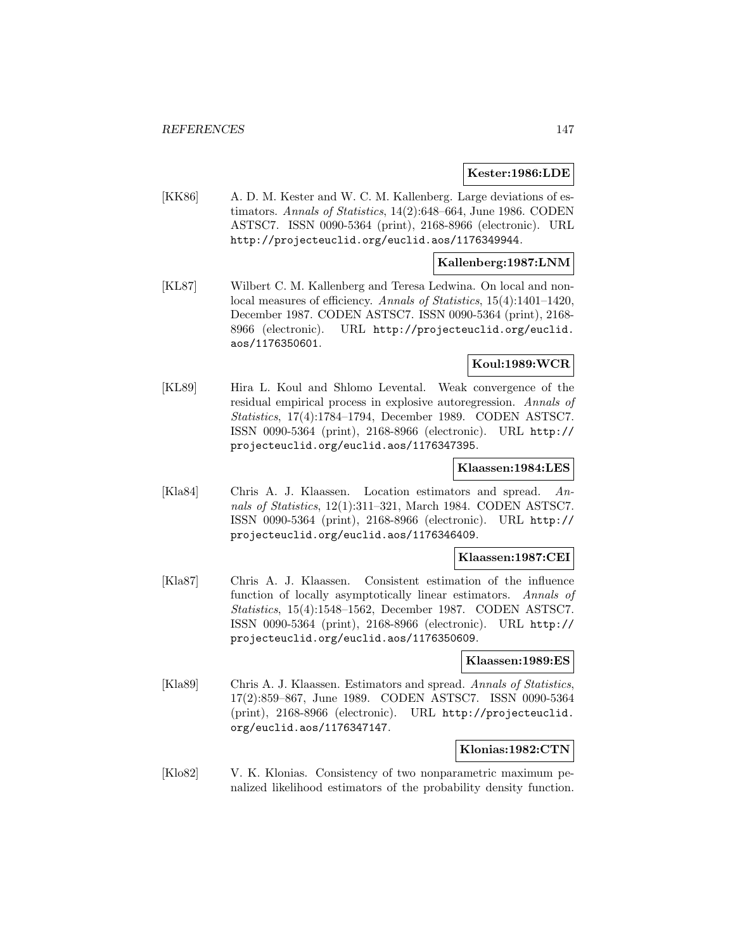#### **Kester:1986:LDE**

[KK86] A. D. M. Kester and W. C. M. Kallenberg. Large deviations of estimators. Annals of Statistics, 14(2):648–664, June 1986. CODEN ASTSC7. ISSN 0090-5364 (print), 2168-8966 (electronic). URL http://projecteuclid.org/euclid.aos/1176349944.

### **Kallenberg:1987:LNM**

[KL87] Wilbert C. M. Kallenberg and Teresa Ledwina. On local and nonlocal measures of efficiency. Annals of Statistics, 15(4):1401–1420, December 1987. CODEN ASTSC7. ISSN 0090-5364 (print), 2168- 8966 (electronic). URL http://projecteuclid.org/euclid. aos/1176350601.

### **Koul:1989:WCR**

[KL89] Hira L. Koul and Shlomo Levental. Weak convergence of the residual empirical process in explosive autoregression. Annals of Statistics, 17(4):1784–1794, December 1989. CODEN ASTSC7. ISSN 0090-5364 (print), 2168-8966 (electronic). URL http:// projecteuclid.org/euclid.aos/1176347395.

#### **Klaassen:1984:LES**

[Kla84] Chris A. J. Klaassen. Location estimators and spread. Annals of Statistics, 12(1):311–321, March 1984. CODEN ASTSC7. ISSN 0090-5364 (print), 2168-8966 (electronic). URL http:// projecteuclid.org/euclid.aos/1176346409.

#### **Klaassen:1987:CEI**

[Kla87] Chris A. J. Klaassen. Consistent estimation of the influence function of locally asymptotically linear estimators. Annals of Statistics, 15(4):1548–1562, December 1987. CODEN ASTSC7. ISSN 0090-5364 (print), 2168-8966 (electronic). URL http:// projecteuclid.org/euclid.aos/1176350609.

#### **Klaassen:1989:ES**

[Kla89] Chris A. J. Klaassen. Estimators and spread. Annals of Statistics, 17(2):859–867, June 1989. CODEN ASTSC7. ISSN 0090-5364 (print), 2168-8966 (electronic). URL http://projecteuclid. org/euclid.aos/1176347147.

#### **Klonias:1982:CTN**

[Klo82] V. K. Klonias. Consistency of two nonparametric maximum penalized likelihood estimators of the probability density function.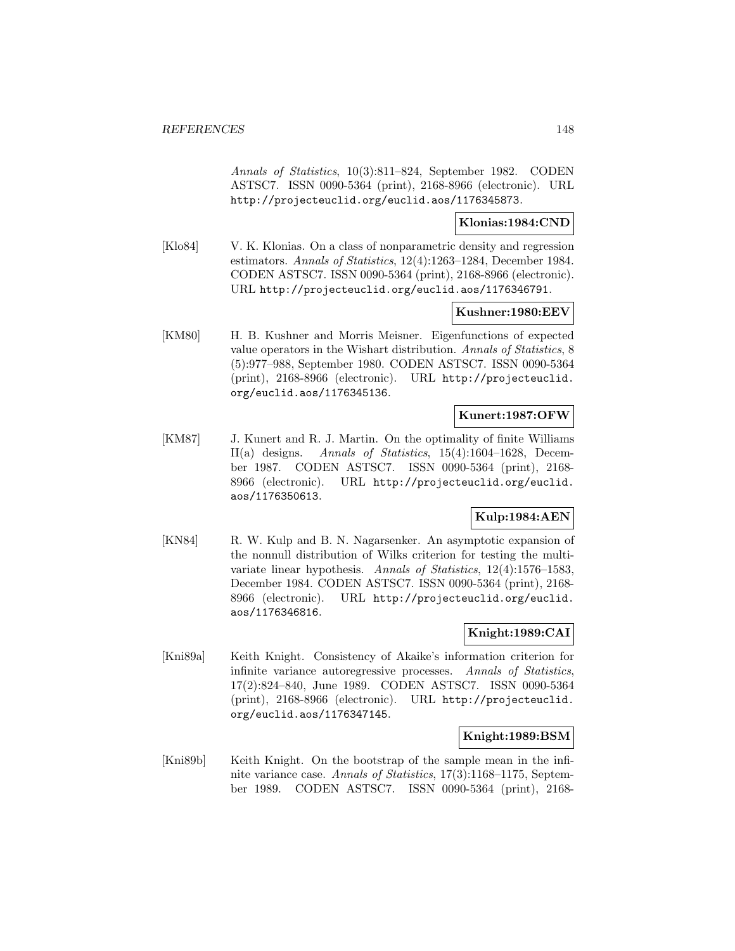Annals of Statistics, 10(3):811–824, September 1982. CODEN ASTSC7. ISSN 0090-5364 (print), 2168-8966 (electronic). URL http://projecteuclid.org/euclid.aos/1176345873.

#### **Klonias:1984:CND**

[Klo84] V. K. Klonias. On a class of nonparametric density and regression estimators. Annals of Statistics, 12(4):1263–1284, December 1984. CODEN ASTSC7. ISSN 0090-5364 (print), 2168-8966 (electronic). URL http://projecteuclid.org/euclid.aos/1176346791.

#### **Kushner:1980:EEV**

[KM80] H. B. Kushner and Morris Meisner. Eigenfunctions of expected value operators in the Wishart distribution. Annals of Statistics, 8 (5):977–988, September 1980. CODEN ASTSC7. ISSN 0090-5364 (print), 2168-8966 (electronic). URL http://projecteuclid. org/euclid.aos/1176345136.

### **Kunert:1987:OFW**

[KM87] J. Kunert and R. J. Martin. On the optimality of finite Williams II(a) designs. Annals of Statistics, 15(4):1604–1628, December 1987. CODEN ASTSC7. ISSN 0090-5364 (print), 2168- 8966 (electronic). URL http://projecteuclid.org/euclid. aos/1176350613.

# **Kulp:1984:AEN**

[KN84] R. W. Kulp and B. N. Nagarsenker. An asymptotic expansion of the nonnull distribution of Wilks criterion for testing the multivariate linear hypothesis. Annals of Statistics, 12(4):1576–1583, December 1984. CODEN ASTSC7. ISSN 0090-5364 (print), 2168- 8966 (electronic). URL http://projecteuclid.org/euclid. aos/1176346816.

## **Knight:1989:CAI**

[Kni89a] Keith Knight. Consistency of Akaike's information criterion for infinite variance autoregressive processes. Annals of Statistics, 17(2):824–840, June 1989. CODEN ASTSC7. ISSN 0090-5364 (print), 2168-8966 (electronic). URL http://projecteuclid. org/euclid.aos/1176347145.

#### **Knight:1989:BSM**

[Kni89b] Keith Knight. On the bootstrap of the sample mean in the infinite variance case. Annals of Statistics, 17(3):1168–1175, September 1989. CODEN ASTSC7. ISSN 0090-5364 (print), 2168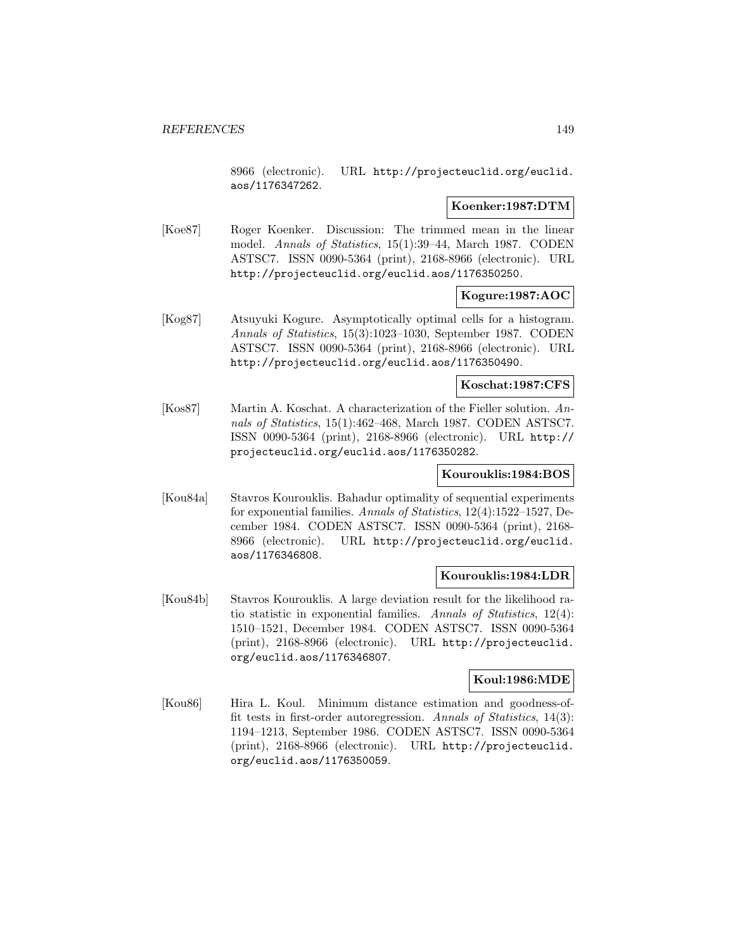8966 (electronic). URL http://projecteuclid.org/euclid. aos/1176347262.

#### **Koenker:1987:DTM**

[Koe87] Roger Koenker. Discussion: The trimmed mean in the linear model. Annals of Statistics, 15(1):39–44, March 1987. CODEN ASTSC7. ISSN 0090-5364 (print), 2168-8966 (electronic). URL http://projecteuclid.org/euclid.aos/1176350250.

# **Kogure:1987:AOC**

[Kog87] Atsuyuki Kogure. Asymptotically optimal cells for a histogram. Annals of Statistics, 15(3):1023–1030, September 1987. CODEN ASTSC7. ISSN 0090-5364 (print), 2168-8966 (electronic). URL http://projecteuclid.org/euclid.aos/1176350490.

#### **Koschat:1987:CFS**

[Kos87] Martin A. Koschat. A characterization of the Fieller solution. Annals of Statistics, 15(1):462–468, March 1987. CODEN ASTSC7. ISSN 0090-5364 (print), 2168-8966 (electronic). URL http:// projecteuclid.org/euclid.aos/1176350282.

### **Kourouklis:1984:BOS**

[Kou84a] Stavros Kourouklis. Bahadur optimality of sequential experiments for exponential families. Annals of Statistics, 12(4):1522–1527, December 1984. CODEN ASTSC7. ISSN 0090-5364 (print), 2168- 8966 (electronic). URL http://projecteuclid.org/euclid. aos/1176346808.

### **Kourouklis:1984:LDR**

[Kou84b] Stavros Kourouklis. A large deviation result for the likelihood ratio statistic in exponential families. Annals of Statistics, 12(4): 1510–1521, December 1984. CODEN ASTSC7. ISSN 0090-5364 (print), 2168-8966 (electronic). URL http://projecteuclid. org/euclid.aos/1176346807.

# **Koul:1986:MDE**

[Kou86] Hira L. Koul. Minimum distance estimation and goodness-offit tests in first-order autoregression. Annals of Statistics, 14(3): 1194–1213, September 1986. CODEN ASTSC7. ISSN 0090-5364 (print), 2168-8966 (electronic). URL http://projecteuclid. org/euclid.aos/1176350059.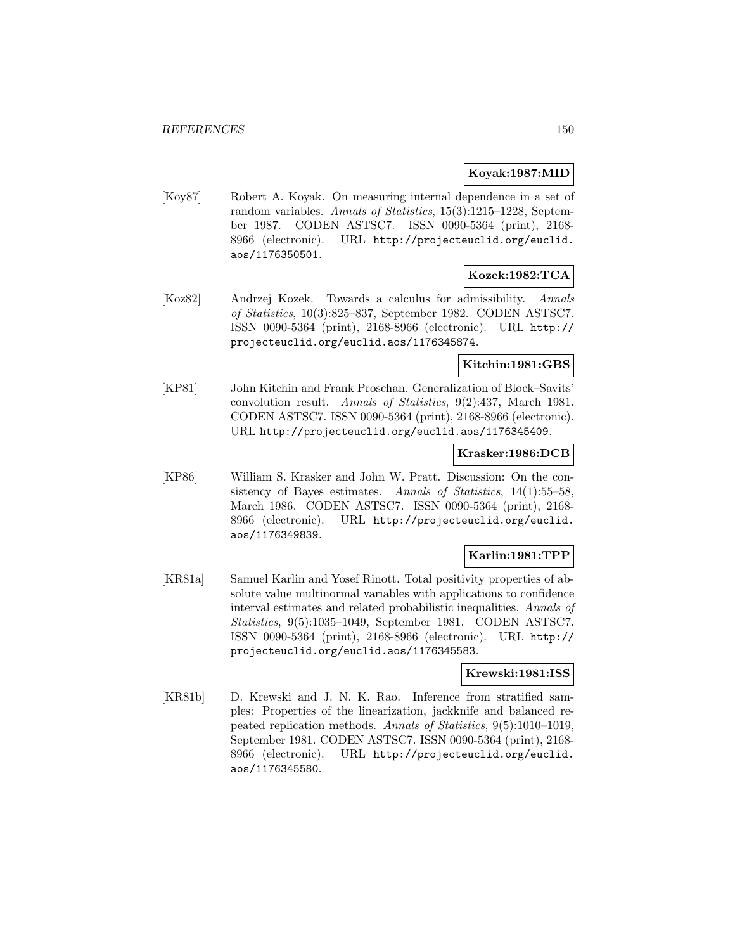### **Koyak:1987:MID**

[Koy87] Robert A. Koyak. On measuring internal dependence in a set of random variables. Annals of Statistics, 15(3):1215–1228, September 1987. CODEN ASTSC7. ISSN 0090-5364 (print), 2168- 8966 (electronic). URL http://projecteuclid.org/euclid. aos/1176350501.

## **Kozek:1982:TCA**

[Koz82] Andrzej Kozek. Towards a calculus for admissibility. Annals of Statistics, 10(3):825–837, September 1982. CODEN ASTSC7. ISSN 0090-5364 (print), 2168-8966 (electronic). URL http:// projecteuclid.org/euclid.aos/1176345874.

### **Kitchin:1981:GBS**

[KP81] John Kitchin and Frank Proschan. Generalization of Block–Savits' convolution result. Annals of Statistics, 9(2):437, March 1981. CODEN ASTSC7. ISSN 0090-5364 (print), 2168-8966 (electronic). URL http://projecteuclid.org/euclid.aos/1176345409.

### **Krasker:1986:DCB**

[KP86] William S. Krasker and John W. Pratt. Discussion: On the consistency of Bayes estimates. Annals of Statistics, 14(1):55–58, March 1986. CODEN ASTSC7. ISSN 0090-5364 (print), 2168- 8966 (electronic). URL http://projecteuclid.org/euclid. aos/1176349839.

# **Karlin:1981:TPP**

[KR81a] Samuel Karlin and Yosef Rinott. Total positivity properties of absolute value multinormal variables with applications to confidence interval estimates and related probabilistic inequalities. Annals of Statistics, 9(5):1035–1049, September 1981. CODEN ASTSC7. ISSN 0090-5364 (print), 2168-8966 (electronic). URL http:// projecteuclid.org/euclid.aos/1176345583.

## **Krewski:1981:ISS**

[KR81b] D. Krewski and J. N. K. Rao. Inference from stratified samples: Properties of the linearization, jackknife and balanced repeated replication methods. Annals of Statistics, 9(5):1010–1019, September 1981. CODEN ASTSC7. ISSN 0090-5364 (print), 2168- 8966 (electronic). URL http://projecteuclid.org/euclid. aos/1176345580.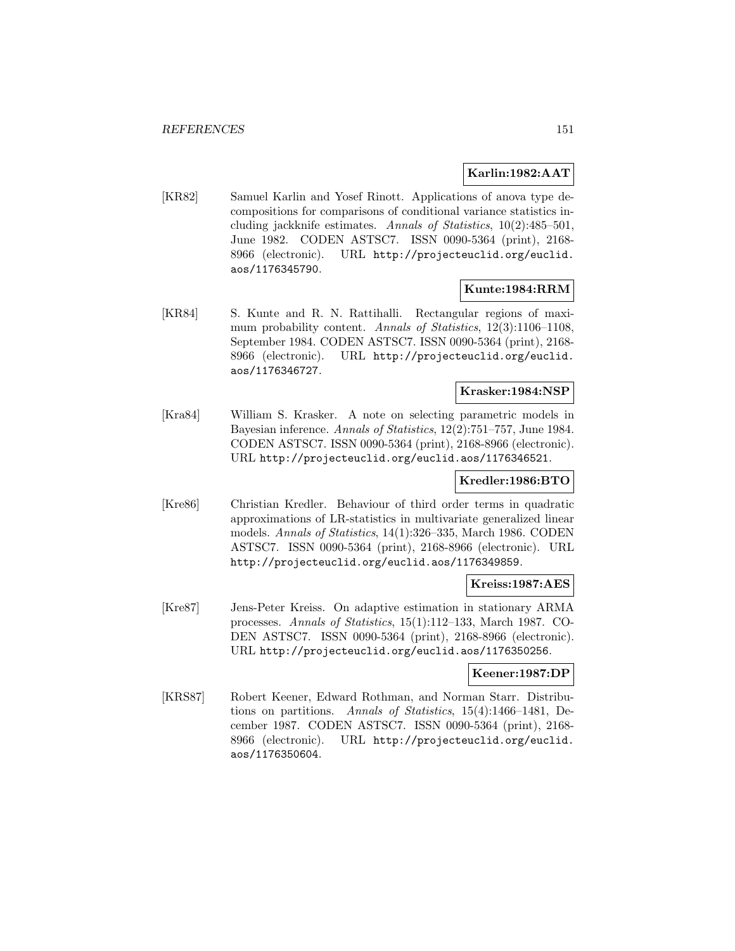### **Karlin:1982:AAT**

[KR82] Samuel Karlin and Yosef Rinott. Applications of anova type decompositions for comparisons of conditional variance statistics including jackknife estimates. Annals of Statistics, 10(2):485–501, June 1982. CODEN ASTSC7. ISSN 0090-5364 (print), 2168- 8966 (electronic). URL http://projecteuclid.org/euclid. aos/1176345790.

### **Kunte:1984:RRM**

[KR84] S. Kunte and R. N. Rattihalli. Rectangular regions of maximum probability content. Annals of Statistics, 12(3):1106-1108, September 1984. CODEN ASTSC7. ISSN 0090-5364 (print), 2168- 8966 (electronic). URL http://projecteuclid.org/euclid. aos/1176346727.

# **Krasker:1984:NSP**

[Kra84] William S. Krasker. A note on selecting parametric models in Bayesian inference. Annals of Statistics, 12(2):751–757, June 1984. CODEN ASTSC7. ISSN 0090-5364 (print), 2168-8966 (electronic). URL http://projecteuclid.org/euclid.aos/1176346521.

## **Kredler:1986:BTO**

[Kre86] Christian Kredler. Behaviour of third order terms in quadratic approximations of LR-statistics in multivariate generalized linear models. Annals of Statistics, 14(1):326–335, March 1986. CODEN ASTSC7. ISSN 0090-5364 (print), 2168-8966 (electronic). URL http://projecteuclid.org/euclid.aos/1176349859.

## **Kreiss:1987:AES**

[Kre87] Jens-Peter Kreiss. On adaptive estimation in stationary ARMA processes. Annals of Statistics, 15(1):112–133, March 1987. CO-DEN ASTSC7. ISSN 0090-5364 (print), 2168-8966 (electronic). URL http://projecteuclid.org/euclid.aos/1176350256.

### **Keener:1987:DP**

[KRS87] Robert Keener, Edward Rothman, and Norman Starr. Distributions on partitions. Annals of Statistics, 15(4):1466–1481, December 1987. CODEN ASTSC7. ISSN 0090-5364 (print), 2168- 8966 (electronic). URL http://projecteuclid.org/euclid. aos/1176350604.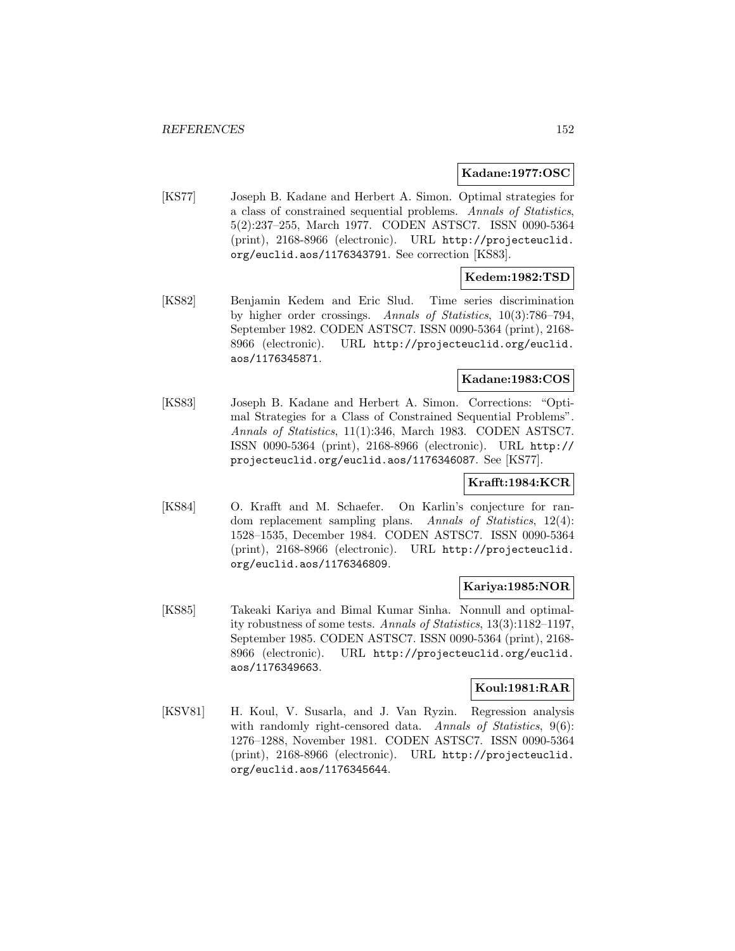#### **Kadane:1977:OSC**

[KS77] Joseph B. Kadane and Herbert A. Simon. Optimal strategies for a class of constrained sequential problems. Annals of Statistics, 5(2):237–255, March 1977. CODEN ASTSC7. ISSN 0090-5364 (print), 2168-8966 (electronic). URL http://projecteuclid. org/euclid.aos/1176343791. See correction [KS83].

### **Kedem:1982:TSD**

[KS82] Benjamin Kedem and Eric Slud. Time series discrimination by higher order crossings. Annals of Statistics, 10(3):786–794, September 1982. CODEN ASTSC7. ISSN 0090-5364 (print), 2168- 8966 (electronic). URL http://projecteuclid.org/euclid. aos/1176345871.

### **Kadane:1983:COS**

[KS83] Joseph B. Kadane and Herbert A. Simon. Corrections: "Optimal Strategies for a Class of Constrained Sequential Problems". Annals of Statistics, 11(1):346, March 1983. CODEN ASTSC7. ISSN 0090-5364 (print), 2168-8966 (electronic). URL http:// projecteuclid.org/euclid.aos/1176346087. See [KS77].

#### **Krafft:1984:KCR**

[KS84] O. Krafft and M. Schaefer. On Karlin's conjecture for random replacement sampling plans. Annals of Statistics, 12(4): 1528–1535, December 1984. CODEN ASTSC7. ISSN 0090-5364 (print), 2168-8966 (electronic). URL http://projecteuclid. org/euclid.aos/1176346809.

### **Kariya:1985:NOR**

[KS85] Takeaki Kariya and Bimal Kumar Sinha. Nonnull and optimality robustness of some tests. Annals of Statistics, 13(3):1182–1197, September 1985. CODEN ASTSC7. ISSN 0090-5364 (print), 2168- 8966 (electronic). URL http://projecteuclid.org/euclid. aos/1176349663.

#### **Koul:1981:RAR**

[KSV81] H. Koul, V. Susarla, and J. Van Ryzin. Regression analysis with randomly right-censored data. Annals of Statistics, 9(6): 1276–1288, November 1981. CODEN ASTSC7. ISSN 0090-5364 (print), 2168-8966 (electronic). URL http://projecteuclid. org/euclid.aos/1176345644.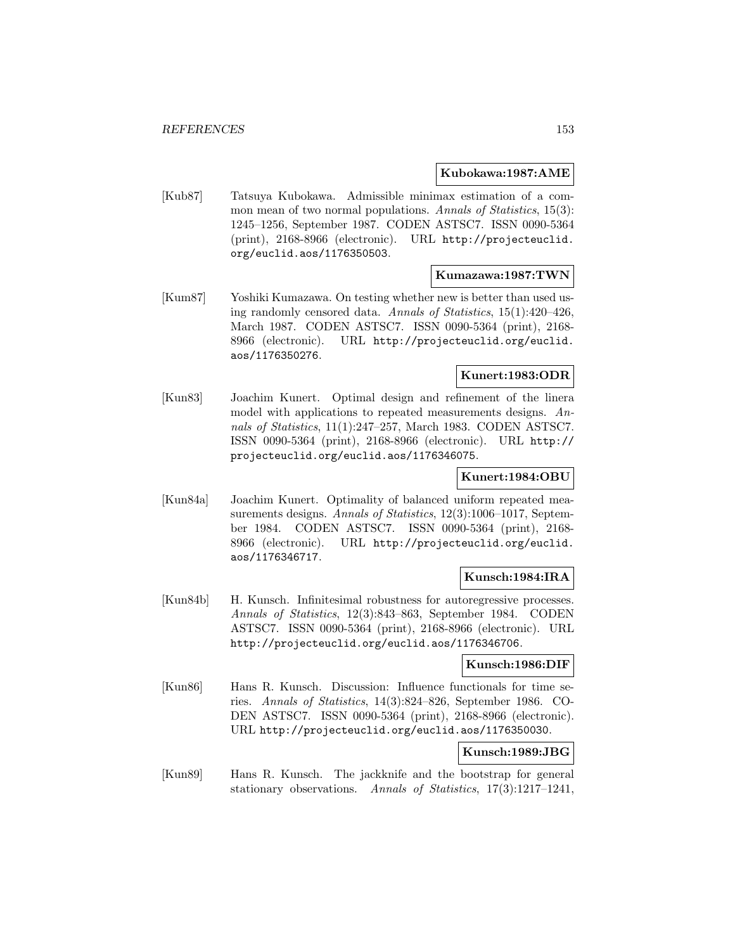#### **Kubokawa:1987:AME**

[Kub87] Tatsuya Kubokawa. Admissible minimax estimation of a common mean of two normal populations. Annals of Statistics, 15(3): 1245–1256, September 1987. CODEN ASTSC7. ISSN 0090-5364 (print), 2168-8966 (electronic). URL http://projecteuclid. org/euclid.aos/1176350503.

#### **Kumazawa:1987:TWN**

[Kum87] Yoshiki Kumazawa. On testing whether new is better than used using randomly censored data. Annals of Statistics, 15(1):420–426, March 1987. CODEN ASTSC7. ISSN 0090-5364 (print), 2168- 8966 (electronic). URL http://projecteuclid.org/euclid. aos/1176350276.

# **Kunert:1983:ODR**

[Kun83] Joachim Kunert. Optimal design and refinement of the linera model with applications to repeated measurements designs. Annals of Statistics, 11(1):247–257, March 1983. CODEN ASTSC7. ISSN 0090-5364 (print), 2168-8966 (electronic). URL http:// projecteuclid.org/euclid.aos/1176346075.

#### **Kunert:1984:OBU**

[Kun84a] Joachim Kunert. Optimality of balanced uniform repeated measurements designs. Annals of Statistics, 12(3):1006-1017, September 1984. CODEN ASTSC7. ISSN 0090-5364 (print), 2168- 8966 (electronic). URL http://projecteuclid.org/euclid. aos/1176346717.

#### **Kunsch:1984:IRA**

[Kun84b] H. Kunsch. Infinitesimal robustness for autoregressive processes. Annals of Statistics, 12(3):843–863, September 1984. CODEN ASTSC7. ISSN 0090-5364 (print), 2168-8966 (electronic). URL http://projecteuclid.org/euclid.aos/1176346706.

#### **Kunsch:1986:DIF**

[Kun86] Hans R. Kunsch. Discussion: Influence functionals for time series. Annals of Statistics, 14(3):824–826, September 1986. CO-DEN ASTSC7. ISSN 0090-5364 (print), 2168-8966 (electronic). URL http://projecteuclid.org/euclid.aos/1176350030.

### **Kunsch:1989:JBG**

[Kun89] Hans R. Kunsch. The jackknife and the bootstrap for general stationary observations. Annals of Statistics, 17(3):1217–1241,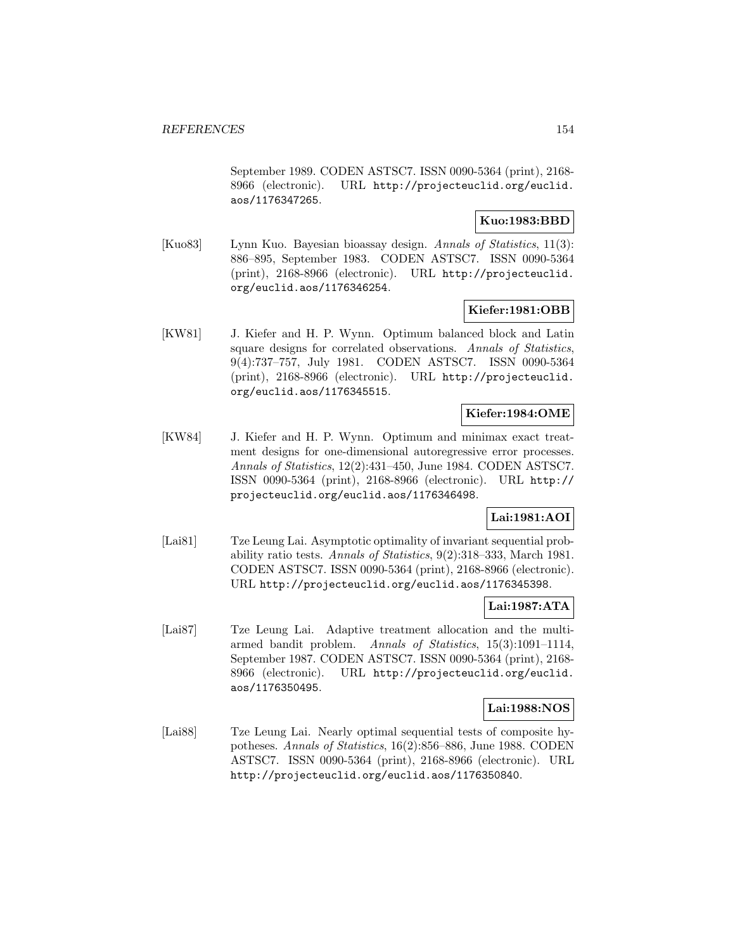September 1989. CODEN ASTSC7. ISSN 0090-5364 (print), 2168- 8966 (electronic). URL http://projecteuclid.org/euclid. aos/1176347265.

### **Kuo:1983:BBD**

[Kuo83] Lynn Kuo. Bayesian bioassay design. Annals of Statistics, 11(3): 886–895, September 1983. CODEN ASTSC7. ISSN 0090-5364 (print), 2168-8966 (electronic). URL http://projecteuclid. org/euclid.aos/1176346254.

### **Kiefer:1981:OBB**

[KW81] J. Kiefer and H. P. Wynn. Optimum balanced block and Latin square designs for correlated observations. Annals of Statistics, 9(4):737–757, July 1981. CODEN ASTSC7. ISSN 0090-5364 (print), 2168-8966 (electronic). URL http://projecteuclid. org/euclid.aos/1176345515.

### **Kiefer:1984:OME**

[KW84] J. Kiefer and H. P. Wynn. Optimum and minimax exact treatment designs for one-dimensional autoregressive error processes. Annals of Statistics, 12(2):431–450, June 1984. CODEN ASTSC7. ISSN 0090-5364 (print), 2168-8966 (electronic). URL http:// projecteuclid.org/euclid.aos/1176346498.

### **Lai:1981:AOI**

[Lai81] Tze Leung Lai. Asymptotic optimality of invariant sequential probability ratio tests. Annals of Statistics, 9(2):318–333, March 1981. CODEN ASTSC7. ISSN 0090-5364 (print), 2168-8966 (electronic). URL http://projecteuclid.org/euclid.aos/1176345398.

## **Lai:1987:ATA**

[Lai87] Tze Leung Lai. Adaptive treatment allocation and the multiarmed bandit problem. Annals of Statistics, 15(3):1091–1114, September 1987. CODEN ASTSC7. ISSN 0090-5364 (print), 2168- 8966 (electronic). URL http://projecteuclid.org/euclid. aos/1176350495.

### **Lai:1988:NOS**

[Lai88] Tze Leung Lai. Nearly optimal sequential tests of composite hypotheses. Annals of Statistics, 16(2):856–886, June 1988. CODEN ASTSC7. ISSN 0090-5364 (print), 2168-8966 (electronic). URL http://projecteuclid.org/euclid.aos/1176350840.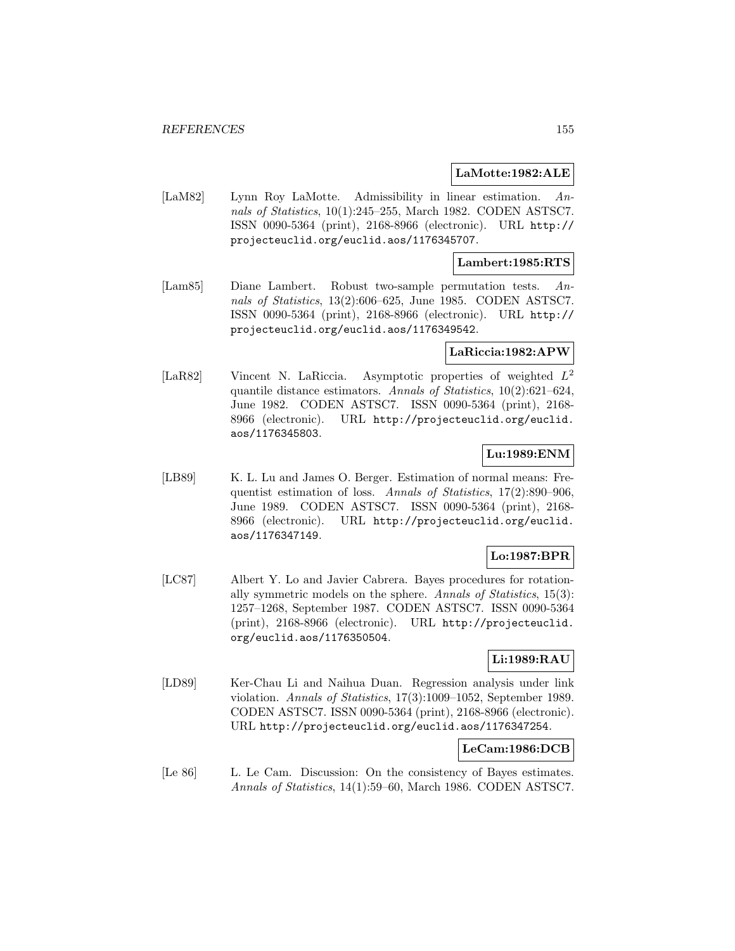#### **LaMotte:1982:ALE**

[LaM82] Lynn Roy LaMotte. Admissibility in linear estimation. Annals of Statistics, 10(1):245–255, March 1982. CODEN ASTSC7. ISSN 0090-5364 (print), 2168-8966 (electronic). URL http:// projecteuclid.org/euclid.aos/1176345707.

#### **Lambert:1985:RTS**

[Lam85] Diane Lambert. Robust two-sample permutation tests. Annals of Statistics, 13(2):606–625, June 1985. CODEN ASTSC7. ISSN 0090-5364 (print), 2168-8966 (electronic). URL http:// projecteuclid.org/euclid.aos/1176349542.

#### **LaRiccia:1982:APW**

[LaR82] Vincent N. LaRiccia. Asymptotic properties of weighted L<sup>2</sup> quantile distance estimators. Annals of Statistics, 10(2):621–624, June 1982. CODEN ASTSC7. ISSN 0090-5364 (print), 2168- 8966 (electronic). URL http://projecteuclid.org/euclid. aos/1176345803.

### **Lu:1989:ENM**

[LB89] K. L. Lu and James O. Berger. Estimation of normal means: Frequentist estimation of loss. Annals of Statistics, 17(2):890–906, June 1989. CODEN ASTSC7. ISSN 0090-5364 (print), 2168- 8966 (electronic). URL http://projecteuclid.org/euclid. aos/1176347149.

# **Lo:1987:BPR**

[LC87] Albert Y. Lo and Javier Cabrera. Bayes procedures for rotationally symmetric models on the sphere. Annals of Statistics, 15(3): 1257–1268, September 1987. CODEN ASTSC7. ISSN 0090-5364 (print), 2168-8966 (electronic). URL http://projecteuclid. org/euclid.aos/1176350504.

## **Li:1989:RAU**

[LD89] Ker-Chau Li and Naihua Duan. Regression analysis under link violation. Annals of Statistics, 17(3):1009–1052, September 1989. CODEN ASTSC7. ISSN 0090-5364 (print), 2168-8966 (electronic). URL http://projecteuclid.org/euclid.aos/1176347254.

#### **LeCam:1986:DCB**

[Le 86] L. Le Cam. Discussion: On the consistency of Bayes estimates. Annals of Statistics, 14(1):59–60, March 1986. CODEN ASTSC7.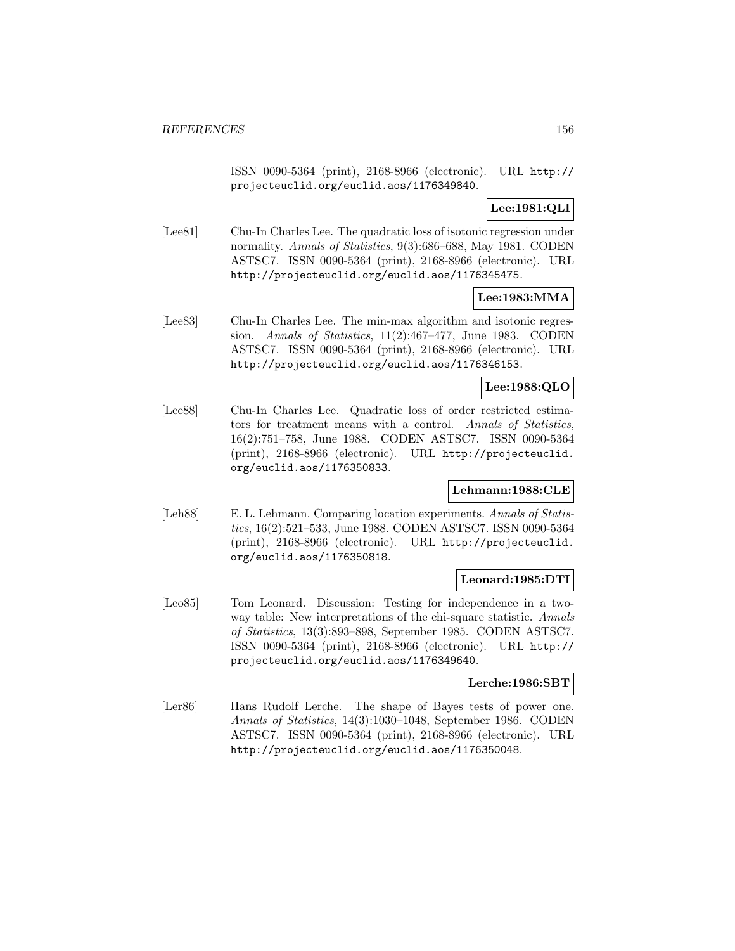ISSN 0090-5364 (print), 2168-8966 (electronic). URL http:// projecteuclid.org/euclid.aos/1176349840.

### **Lee:1981:QLI**

[Lee81] Chu-In Charles Lee. The quadratic loss of isotonic regression under normality. Annals of Statistics, 9(3):686–688, May 1981. CODEN ASTSC7. ISSN 0090-5364 (print), 2168-8966 (electronic). URL http://projecteuclid.org/euclid.aos/1176345475.

#### **Lee:1983:MMA**

[Lee83] Chu-In Charles Lee. The min-max algorithm and isotonic regression. Annals of Statistics, 11(2):467–477, June 1983. CODEN ASTSC7. ISSN 0090-5364 (print), 2168-8966 (electronic). URL http://projecteuclid.org/euclid.aos/1176346153.

#### **Lee:1988:QLO**

[Lee88] Chu-In Charles Lee. Quadratic loss of order restricted estimators for treatment means with a control. Annals of Statistics, 16(2):751–758, June 1988. CODEN ASTSC7. ISSN 0090-5364 (print), 2168-8966 (electronic). URL http://projecteuclid. org/euclid.aos/1176350833.

#### **Lehmann:1988:CLE**

[Leh88] E. L. Lehmann. Comparing location experiments. Annals of Statistics, 16(2):521–533, June 1988. CODEN ASTSC7. ISSN 0090-5364 (print), 2168-8966 (electronic). URL http://projecteuclid. org/euclid.aos/1176350818.

#### **Leonard:1985:DTI**

[Leo85] Tom Leonard. Discussion: Testing for independence in a twoway table: New interpretations of the chi-square statistic. Annals of Statistics, 13(3):893–898, September 1985. CODEN ASTSC7. ISSN 0090-5364 (print), 2168-8966 (electronic). URL http:// projecteuclid.org/euclid.aos/1176349640.

#### **Lerche:1986:SBT**

[Ler86] Hans Rudolf Lerche. The shape of Bayes tests of power one. Annals of Statistics, 14(3):1030–1048, September 1986. CODEN ASTSC7. ISSN 0090-5364 (print), 2168-8966 (electronic). URL http://projecteuclid.org/euclid.aos/1176350048.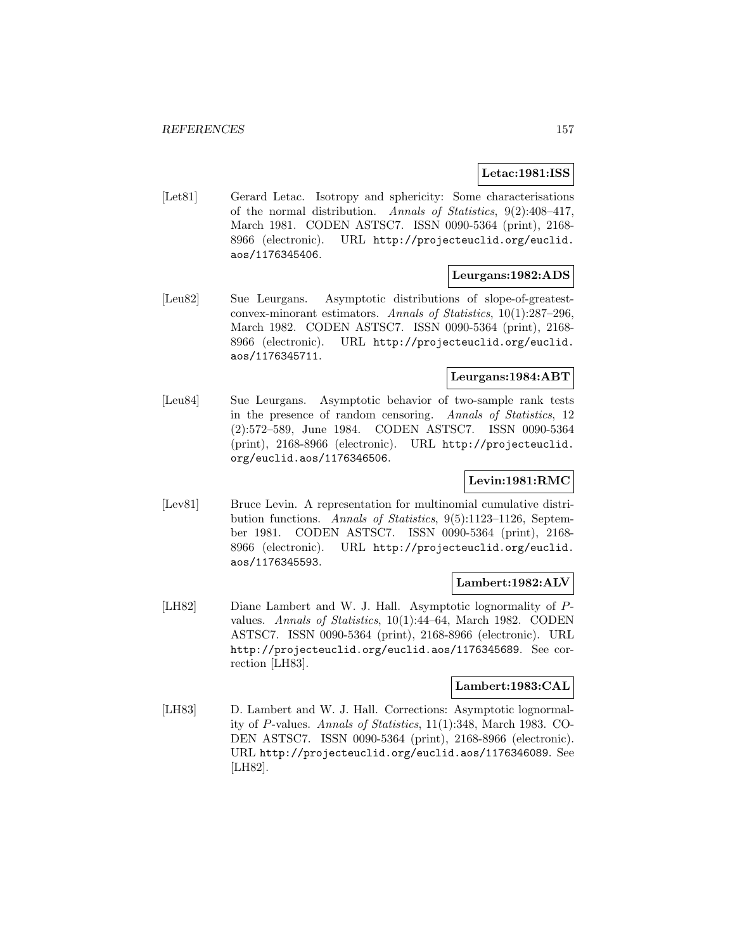### **Letac:1981:ISS**

[Let81] Gerard Letac. Isotropy and sphericity: Some characterisations of the normal distribution. Annals of Statistics, 9(2):408–417, March 1981. CODEN ASTSC7. ISSN 0090-5364 (print), 2168- 8966 (electronic). URL http://projecteuclid.org/euclid. aos/1176345406.

#### **Leurgans:1982:ADS**

[Leu82] Sue Leurgans. Asymptotic distributions of slope-of-greatestconvex-minorant estimators. Annals of Statistics, 10(1):287–296, March 1982. CODEN ASTSC7. ISSN 0090-5364 (print), 2168- 8966 (electronic). URL http://projecteuclid.org/euclid. aos/1176345711.

### **Leurgans:1984:ABT**

[Leu84] Sue Leurgans. Asymptotic behavior of two-sample rank tests in the presence of random censoring. Annals of Statistics, 12 (2):572–589, June 1984. CODEN ASTSC7. ISSN 0090-5364 (print), 2168-8966 (electronic). URL http://projecteuclid. org/euclid.aos/1176346506.

## **Levin:1981:RMC**

[Lev81] Bruce Levin. A representation for multinomial cumulative distribution functions. Annals of Statistics, 9(5):1123–1126, September 1981. CODEN ASTSC7. ISSN 0090-5364 (print), 2168- 8966 (electronic). URL http://projecteuclid.org/euclid. aos/1176345593.

#### **Lambert:1982:ALV**

[LH82] Diane Lambert and W. J. Hall. Asymptotic lognormality of Pvalues. Annals of Statistics, 10(1):44–64, March 1982. CODEN ASTSC7. ISSN 0090-5364 (print), 2168-8966 (electronic). URL http://projecteuclid.org/euclid.aos/1176345689. See correction [LH83].

# **Lambert:1983:CAL**

[LH83] D. Lambert and W. J. Hall. Corrections: Asymptotic lognormality of P-values. Annals of Statistics, 11(1):348, March 1983. CO-DEN ASTSC7. ISSN 0090-5364 (print), 2168-8966 (electronic). URL http://projecteuclid.org/euclid.aos/1176346089. See [LH82].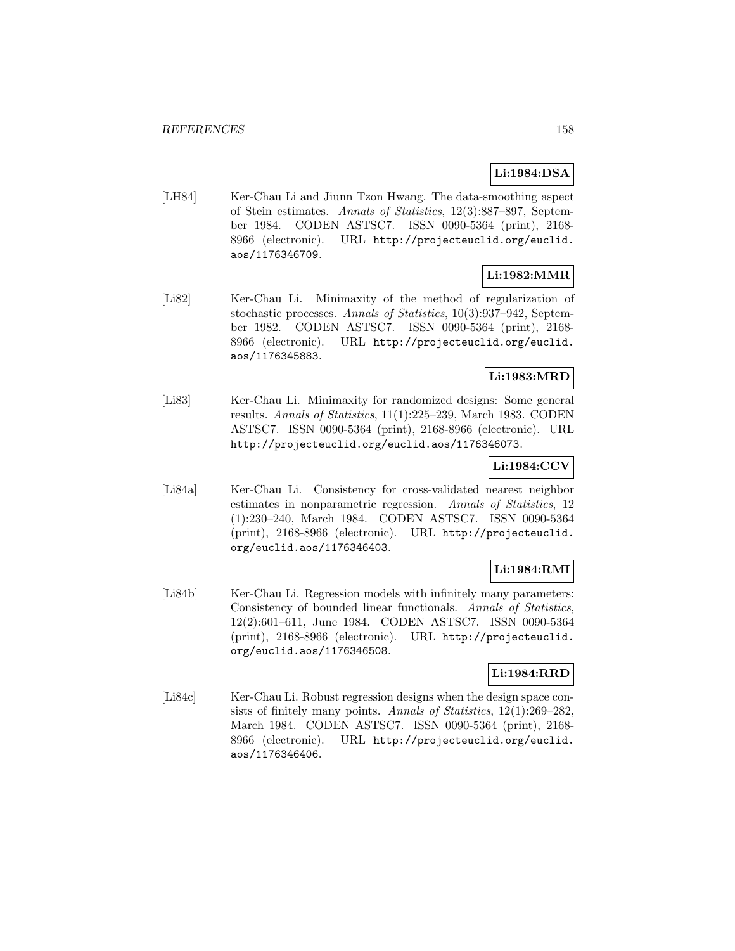# **Li:1984:DSA**

[LH84] Ker-Chau Li and Jiunn Tzon Hwang. The data-smoothing aspect of Stein estimates. Annals of Statistics, 12(3):887–897, September 1984. CODEN ASTSC7. ISSN 0090-5364 (print), 2168- 8966 (electronic). URL http://projecteuclid.org/euclid. aos/1176346709.

# **Li:1982:MMR**

[Li82] Ker-Chau Li. Minimaxity of the method of regularization of stochastic processes. Annals of Statistics, 10(3):937–942, September 1982. CODEN ASTSC7. ISSN 0090-5364 (print), 2168- 8966 (electronic). URL http://projecteuclid.org/euclid. aos/1176345883.

# **Li:1983:MRD**

[Li83] Ker-Chau Li. Minimaxity for randomized designs: Some general results. Annals of Statistics, 11(1):225–239, March 1983. CODEN ASTSC7. ISSN 0090-5364 (print), 2168-8966 (electronic). URL http://projecteuclid.org/euclid.aos/1176346073.

## **Li:1984:CCV**

[Li84a] Ker-Chau Li. Consistency for cross-validated nearest neighbor estimates in nonparametric regression. Annals of Statistics, 12 (1):230–240, March 1984. CODEN ASTSC7. ISSN 0090-5364 (print), 2168-8966 (electronic). URL http://projecteuclid. org/euclid.aos/1176346403.

## **Li:1984:RMI**

[Li84b] Ker-Chau Li. Regression models with infinitely many parameters: Consistency of bounded linear functionals. Annals of Statistics, 12(2):601–611, June 1984. CODEN ASTSC7. ISSN 0090-5364 (print), 2168-8966 (electronic). URL http://projecteuclid. org/euclid.aos/1176346508.

# **Li:1984:RRD**

[Li84c] Ker-Chau Li. Robust regression designs when the design space consists of finitely many points. Annals of Statistics, 12(1):269–282, March 1984. CODEN ASTSC7. ISSN 0090-5364 (print), 2168- 8966 (electronic). URL http://projecteuclid.org/euclid. aos/1176346406.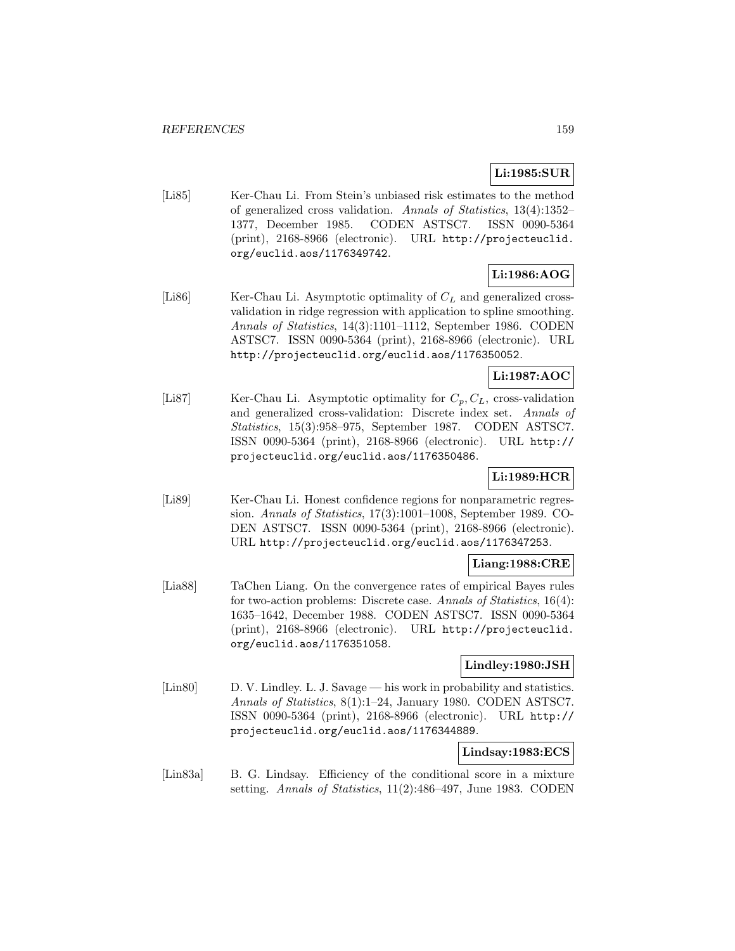# **Li:1985:SUR**

[Li85] Ker-Chau Li. From Stein's unbiased risk estimates to the method of generalized cross validation. Annals of Statistics, 13(4):1352– 1377, December 1985. CODEN ASTSC7. ISSN 0090-5364 (print), 2168-8966 (electronic). URL http://projecteuclid. org/euclid.aos/1176349742.

# **Li:1986:AOG**

[Li86] Ker-Chau Li. Asymptotic optimality of  $C<sub>L</sub>$  and generalized crossvalidation in ridge regression with application to spline smoothing. Annals of Statistics, 14(3):1101–1112, September 1986. CODEN ASTSC7. ISSN 0090-5364 (print), 2168-8966 (electronic). URL http://projecteuclid.org/euclid.aos/1176350052.

# **Li:1987:AOC**

[Li87] Ker-Chau Li. Asymptotic optimality for  $C_p, C_L$ , cross-validation and generalized cross-validation: Discrete index set. Annals of Statistics, 15(3):958–975, September 1987. CODEN ASTSC7. ISSN 0090-5364 (print), 2168-8966 (electronic). URL http:// projecteuclid.org/euclid.aos/1176350486.

### **Li:1989:HCR**

[Li89] Ker-Chau Li. Honest confidence regions for nonparametric regression. Annals of Statistics, 17(3):1001–1008, September 1989. CO-DEN ASTSC7. ISSN 0090-5364 (print), 2168-8966 (electronic). URL http://projecteuclid.org/euclid.aos/1176347253.

## **Liang:1988:CRE**

[Lia88] TaChen Liang. On the convergence rates of empirical Bayes rules for two-action problems: Discrete case. Annals of Statistics, 16(4): 1635–1642, December 1988. CODEN ASTSC7. ISSN 0090-5364 (print), 2168-8966 (electronic). URL http://projecteuclid. org/euclid.aos/1176351058.

### **Lindley:1980:JSH**

[Lin80] D. V. Lindley. L. J. Savage — his work in probability and statistics. Annals of Statistics, 8(1):1–24, January 1980. CODEN ASTSC7. ISSN 0090-5364 (print), 2168-8966 (electronic). URL http:// projecteuclid.org/euclid.aos/1176344889.

### **Lindsay:1983:ECS**

[Lin83a] B. G. Lindsay. Efficiency of the conditional score in a mixture setting. Annals of Statistics, 11(2):486–497, June 1983. CODEN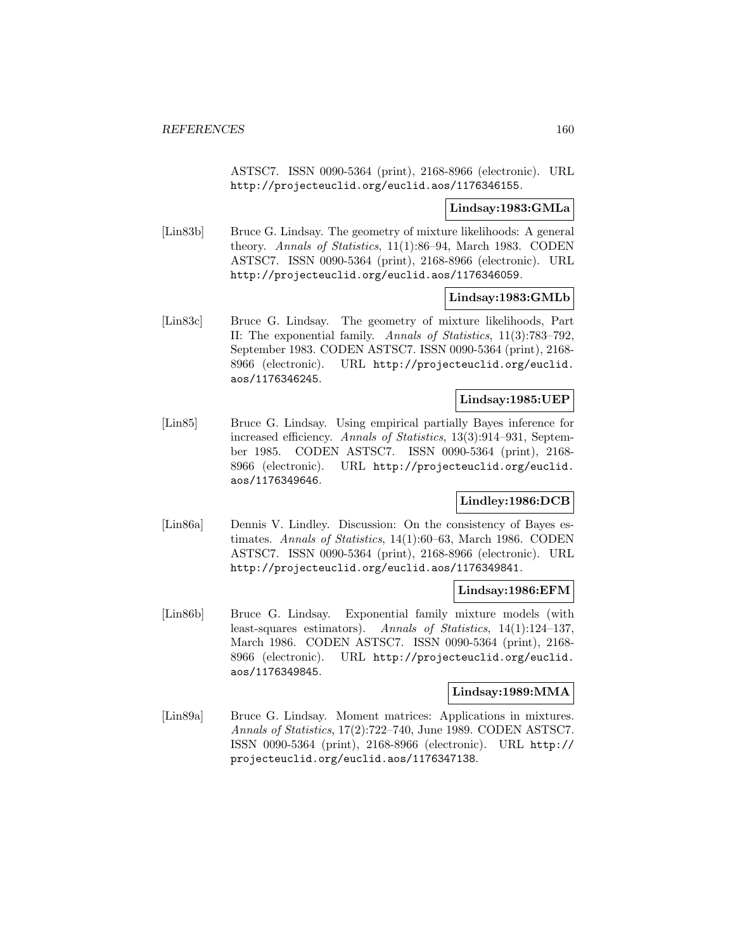ASTSC7. ISSN 0090-5364 (print), 2168-8966 (electronic). URL http://projecteuclid.org/euclid.aos/1176346155.

#### **Lindsay:1983:GMLa**

[Lin83b] Bruce G. Lindsay. The geometry of mixture likelihoods: A general theory. Annals of Statistics, 11(1):86–94, March 1983. CODEN ASTSC7. ISSN 0090-5364 (print), 2168-8966 (electronic). URL http://projecteuclid.org/euclid.aos/1176346059.

#### **Lindsay:1983:GMLb**

[Lin83c] Bruce G. Lindsay. The geometry of mixture likelihoods, Part II: The exponential family. Annals of Statistics, 11(3):783–792, September 1983. CODEN ASTSC7. ISSN 0090-5364 (print), 2168- 8966 (electronic). URL http://projecteuclid.org/euclid. aos/1176346245.

### **Lindsay:1985:UEP**

[Lin85] Bruce G. Lindsay. Using empirical partially Bayes inference for increased efficiency. Annals of Statistics, 13(3):914–931, September 1985. CODEN ASTSC7. ISSN 0090-5364 (print), 2168- 8966 (electronic). URL http://projecteuclid.org/euclid. aos/1176349646.

# **Lindley:1986:DCB**

[Lin86a] Dennis V. Lindley. Discussion: On the consistency of Bayes estimates. Annals of Statistics, 14(1):60–63, March 1986. CODEN ASTSC7. ISSN 0090-5364 (print), 2168-8966 (electronic). URL http://projecteuclid.org/euclid.aos/1176349841.

#### **Lindsay:1986:EFM**

[Lin86b] Bruce G. Lindsay. Exponential family mixture models (with least-squares estimators). Annals of Statistics, 14(1):124–137, March 1986. CODEN ASTSC7. ISSN 0090-5364 (print), 2168- 8966 (electronic). URL http://projecteuclid.org/euclid. aos/1176349845.

# **Lindsay:1989:MMA**

[Lin89a] Bruce G. Lindsay. Moment matrices: Applications in mixtures. Annals of Statistics, 17(2):722–740, June 1989. CODEN ASTSC7. ISSN 0090-5364 (print), 2168-8966 (electronic). URL http:// projecteuclid.org/euclid.aos/1176347138.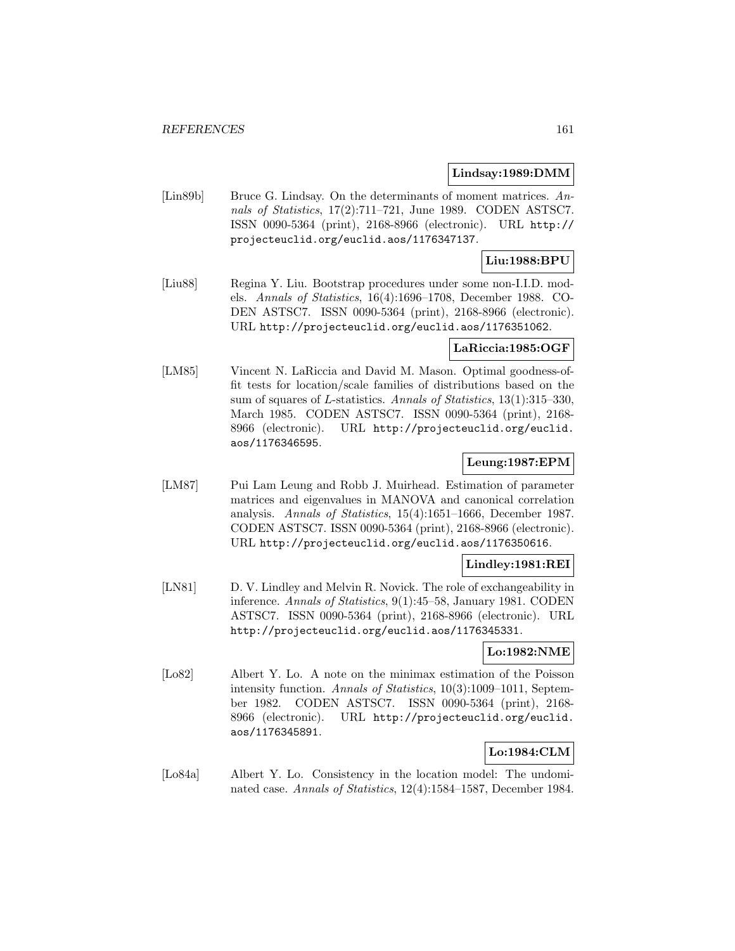#### **Lindsay:1989:DMM**

[Lin89b] Bruce G. Lindsay. On the determinants of moment matrices. Annals of Statistics, 17(2):711–721, June 1989. CODEN ASTSC7. ISSN 0090-5364 (print), 2168-8966 (electronic). URL http:// projecteuclid.org/euclid.aos/1176347137.

# **Liu:1988:BPU**

[Liu88] Regina Y. Liu. Bootstrap procedures under some non-I.I.D. models. Annals of Statistics, 16(4):1696–1708, December 1988. CO-DEN ASTSC7. ISSN 0090-5364 (print), 2168-8966 (electronic). URL http://projecteuclid.org/euclid.aos/1176351062.

#### **LaRiccia:1985:OGF**

[LM85] Vincent N. LaRiccia and David M. Mason. Optimal goodness-offit tests for location/scale families of distributions based on the sum of squares of L-statistics. Annals of Statistics, 13(1):315–330, March 1985. CODEN ASTSC7. ISSN 0090-5364 (print), 2168- 8966 (electronic). URL http://projecteuclid.org/euclid. aos/1176346595.

## **Leung:1987:EPM**

[LM87] Pui Lam Leung and Robb J. Muirhead. Estimation of parameter matrices and eigenvalues in MANOVA and canonical correlation analysis. Annals of Statistics, 15(4):1651–1666, December 1987. CODEN ASTSC7. ISSN 0090-5364 (print), 2168-8966 (electronic). URL http://projecteuclid.org/euclid.aos/1176350616.

## **Lindley:1981:REI**

[LN81] D. V. Lindley and Melvin R. Novick. The role of exchangeability in inference. Annals of Statistics, 9(1):45–58, January 1981. CODEN ASTSC7. ISSN 0090-5364 (print), 2168-8966 (electronic). URL http://projecteuclid.org/euclid.aos/1176345331.

### **Lo:1982:NME**

[Lo82] Albert Y. Lo. A note on the minimax estimation of the Poisson intensity function. Annals of Statistics, 10(3):1009–1011, September 1982. CODEN ASTSC7. ISSN 0090-5364 (print), 2168- 8966 (electronic). URL http://projecteuclid.org/euclid. aos/1176345891.

# **Lo:1984:CLM**

[Lo84a] Albert Y. Lo. Consistency in the location model: The undominated case. Annals of Statistics, 12(4):1584–1587, December 1984.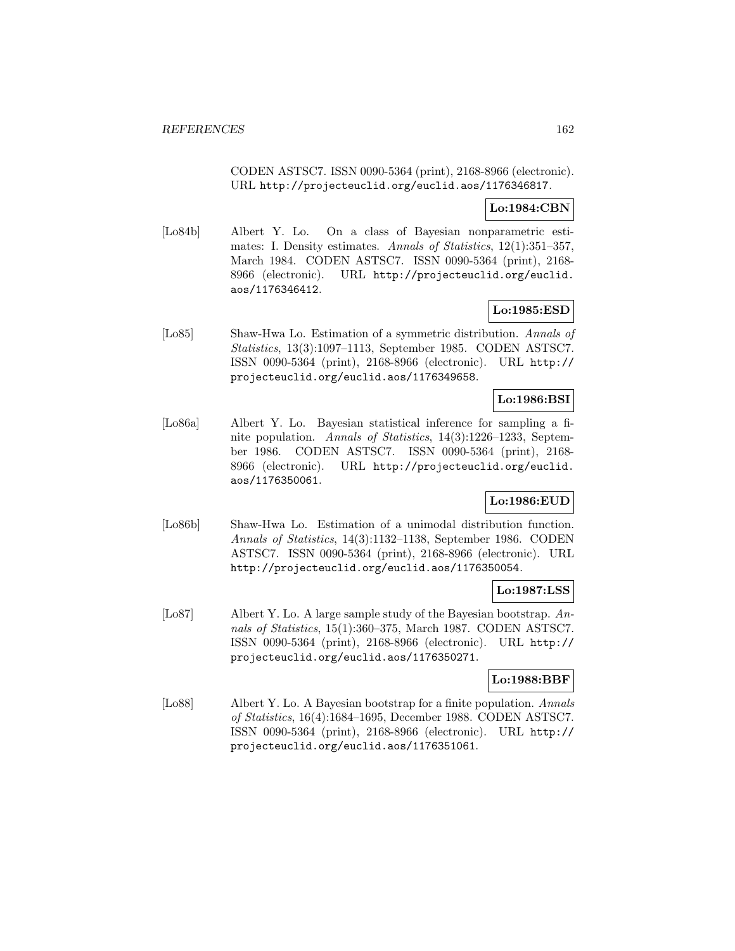CODEN ASTSC7. ISSN 0090-5364 (print), 2168-8966 (electronic). URL http://projecteuclid.org/euclid.aos/1176346817.

### **Lo:1984:CBN**

[Lo84b] Albert Y. Lo. On a class of Bayesian nonparametric estimates: I. Density estimates. Annals of Statistics, 12(1):351–357, March 1984. CODEN ASTSC7. ISSN 0090-5364 (print), 2168- 8966 (electronic). URL http://projecteuclid.org/euclid. aos/1176346412.

#### **Lo:1985:ESD**

[Lo85] Shaw-Hwa Lo. Estimation of a symmetric distribution. Annals of Statistics, 13(3):1097–1113, September 1985. CODEN ASTSC7. ISSN 0090-5364 (print), 2168-8966 (electronic). URL http:// projecteuclid.org/euclid.aos/1176349658.

## **Lo:1986:BSI**

[Lo86a] Albert Y. Lo. Bayesian statistical inference for sampling a finite population. Annals of Statistics, 14(3):1226–1233, September 1986. CODEN ASTSC7. ISSN 0090-5364 (print), 2168- 8966 (electronic). URL http://projecteuclid.org/euclid. aos/1176350061.

# **Lo:1986:EUD**

[Lo86b] Shaw-Hwa Lo. Estimation of a unimodal distribution function. Annals of Statistics, 14(3):1132–1138, September 1986. CODEN ASTSC7. ISSN 0090-5364 (print), 2168-8966 (electronic). URL http://projecteuclid.org/euclid.aos/1176350054.

# **Lo:1987:LSS**

[Lo87] Albert Y. Lo. A large sample study of the Bayesian bootstrap. Annals of Statistics, 15(1):360–375, March 1987. CODEN ASTSC7. ISSN 0090-5364 (print), 2168-8966 (electronic). URL http:// projecteuclid.org/euclid.aos/1176350271.

# **Lo:1988:BBF**

[Lo88] Albert Y. Lo. A Bayesian bootstrap for a finite population. Annals of Statistics, 16(4):1684–1695, December 1988. CODEN ASTSC7. ISSN 0090-5364 (print), 2168-8966 (electronic). URL http:// projecteuclid.org/euclid.aos/1176351061.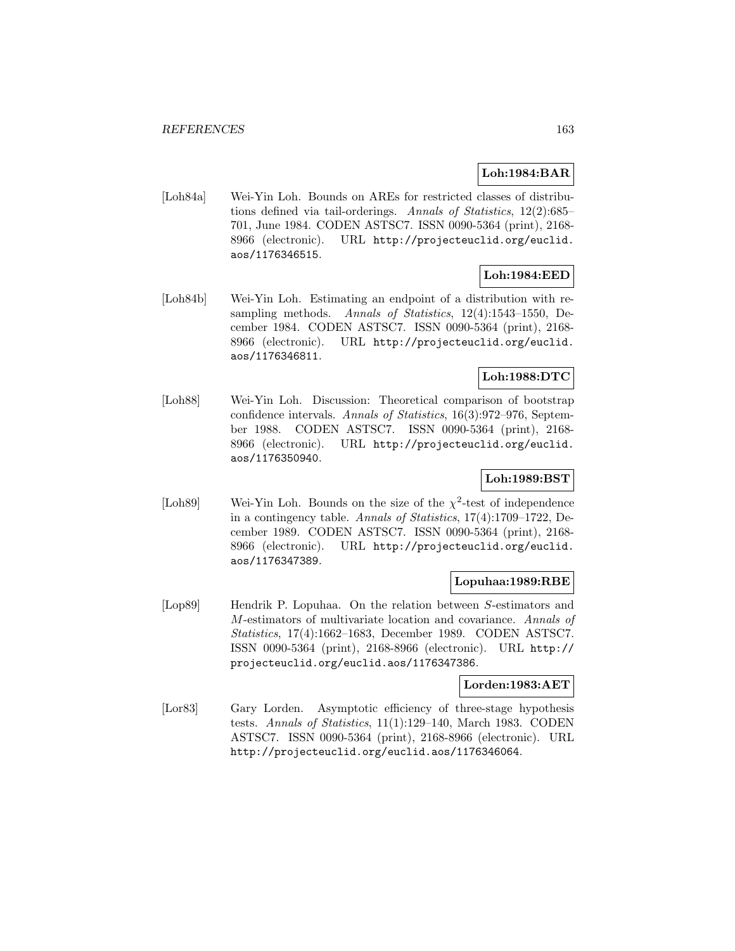## **Loh:1984:BAR**

[Loh84a] Wei-Yin Loh. Bounds on AREs for restricted classes of distributions defined via tail-orderings. Annals of Statistics, 12(2):685– 701, June 1984. CODEN ASTSC7. ISSN 0090-5364 (print), 2168- 8966 (electronic). URL http://projecteuclid.org/euclid. aos/1176346515.

# **Loh:1984:EED**

[Loh84b] Wei-Yin Loh. Estimating an endpoint of a distribution with resampling methods. Annals of Statistics, 12(4):1543–1550, December 1984. CODEN ASTSC7. ISSN 0090-5364 (print), 2168- 8966 (electronic). URL http://projecteuclid.org/euclid. aos/1176346811.

### **Loh:1988:DTC**

[Loh88] Wei-Yin Loh. Discussion: Theoretical comparison of bootstrap confidence intervals. Annals of Statistics, 16(3):972–976, September 1988. CODEN ASTSC7. ISSN 0090-5364 (print), 2168- 8966 (electronic). URL http://projecteuclid.org/euclid. aos/1176350940.

# **Loh:1989:BST**

[Loh89] Wei-Yin Loh. Bounds on the size of the  $\chi^2$ -test of independence in a contingency table. Annals of Statistics, 17(4):1709–1722, December 1989. CODEN ASTSC7. ISSN 0090-5364 (print), 2168- 8966 (electronic). URL http://projecteuclid.org/euclid. aos/1176347389.

### **Lopuhaa:1989:RBE**

[Lop89] Hendrik P. Lopuhaa. On the relation between S-estimators and M-estimators of multivariate location and covariance. Annals of Statistics, 17(4):1662–1683, December 1989. CODEN ASTSC7. ISSN 0090-5364 (print), 2168-8966 (electronic). URL http:// projecteuclid.org/euclid.aos/1176347386.

# **Lorden:1983:AET**

[Lor83] Gary Lorden. Asymptotic efficiency of three-stage hypothesis tests. Annals of Statistics, 11(1):129–140, March 1983. CODEN ASTSC7. ISSN 0090-5364 (print), 2168-8966 (electronic). URL http://projecteuclid.org/euclid.aos/1176346064.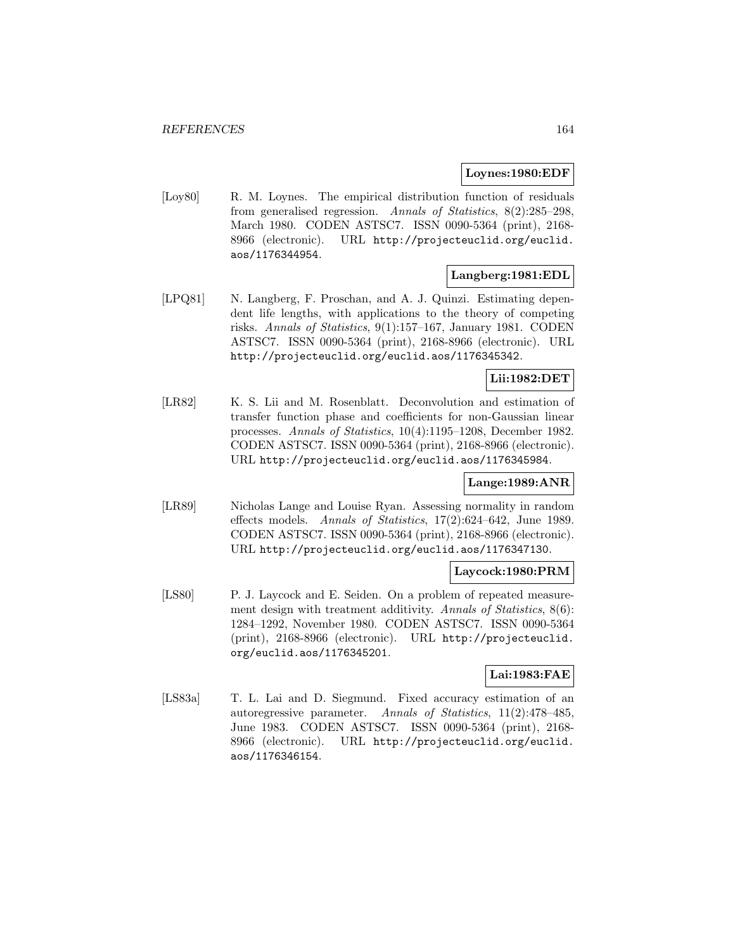#### **Loynes:1980:EDF**

[Loy80] R. M. Loynes. The empirical distribution function of residuals from generalised regression. Annals of Statistics, 8(2):285–298, March 1980. CODEN ASTSC7. ISSN 0090-5364 (print), 2168- 8966 (electronic). URL http://projecteuclid.org/euclid. aos/1176344954.

### **Langberg:1981:EDL**

[LPQ81] N. Langberg, F. Proschan, and A. J. Quinzi. Estimating dependent life lengths, with applications to the theory of competing risks. Annals of Statistics, 9(1):157–167, January 1981. CODEN ASTSC7. ISSN 0090-5364 (print), 2168-8966 (electronic). URL http://projecteuclid.org/euclid.aos/1176345342.

#### **Lii:1982:DET**

[LR82] K. S. Lii and M. Rosenblatt. Deconvolution and estimation of transfer function phase and coefficients for non-Gaussian linear processes. Annals of Statistics, 10(4):1195–1208, December 1982. CODEN ASTSC7. ISSN 0090-5364 (print), 2168-8966 (electronic). URL http://projecteuclid.org/euclid.aos/1176345984.

#### **Lange:1989:ANR**

[LR89] Nicholas Lange and Louise Ryan. Assessing normality in random effects models. Annals of Statistics, 17(2):624–642, June 1989. CODEN ASTSC7. ISSN 0090-5364 (print), 2168-8966 (electronic). URL http://projecteuclid.org/euclid.aos/1176347130.

#### **Laycock:1980:PRM**

[LS80] P. J. Laycock and E. Seiden. On a problem of repeated measurement design with treatment additivity. Annals of Statistics, 8(6): 1284–1292, November 1980. CODEN ASTSC7. ISSN 0090-5364 (print), 2168-8966 (electronic). URL http://projecteuclid. org/euclid.aos/1176345201.

#### **Lai:1983:FAE**

[LS83a] T. L. Lai and D. Siegmund. Fixed accuracy estimation of an autoregressive parameter. Annals of Statistics, 11(2):478–485, June 1983. CODEN ASTSC7. ISSN 0090-5364 (print), 2168- 8966 (electronic). URL http://projecteuclid.org/euclid. aos/1176346154.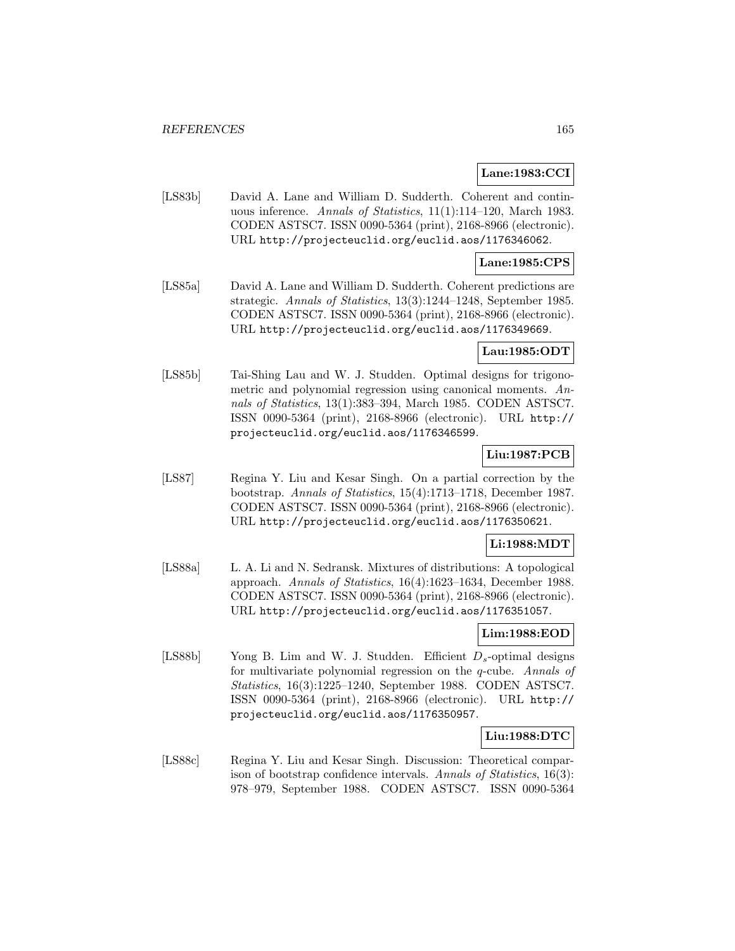### **Lane:1983:CCI**

[LS83b] David A. Lane and William D. Sudderth. Coherent and continuous inference. Annals of Statistics, 11(1):114–120, March 1983. CODEN ASTSC7. ISSN 0090-5364 (print), 2168-8966 (electronic). URL http://projecteuclid.org/euclid.aos/1176346062.

### **Lane:1985:CPS**

[LS85a] David A. Lane and William D. Sudderth. Coherent predictions are strategic. Annals of Statistics, 13(3):1244–1248, September 1985. CODEN ASTSC7. ISSN 0090-5364 (print), 2168-8966 (electronic). URL http://projecteuclid.org/euclid.aos/1176349669.

#### **Lau:1985:ODT**

[LS85b] Tai-Shing Lau and W. J. Studden. Optimal designs for trigonometric and polynomial regression using canonical moments. Annals of Statistics, 13(1):383–394, March 1985. CODEN ASTSC7. ISSN 0090-5364 (print), 2168-8966 (electronic). URL http:// projecteuclid.org/euclid.aos/1176346599.

# **Liu:1987:PCB**

[LS87] Regina Y. Liu and Kesar Singh. On a partial correction by the bootstrap. Annals of Statistics, 15(4):1713–1718, December 1987. CODEN ASTSC7. ISSN 0090-5364 (print), 2168-8966 (electronic). URL http://projecteuclid.org/euclid.aos/1176350621.

#### **Li:1988:MDT**

[LS88a] L. A. Li and N. Sedransk. Mixtures of distributions: A topological approach. Annals of Statistics, 16(4):1623–1634, December 1988. CODEN ASTSC7. ISSN 0090-5364 (print), 2168-8966 (electronic). URL http://projecteuclid.org/euclid.aos/1176351057.

# **Lim:1988:EOD**

[LS88b] Yong B. Lim and W. J. Studden. Efficient  $D_s$ -optimal designs for multivariate polynomial regression on the q-cube. Annals of Statistics, 16(3):1225–1240, September 1988. CODEN ASTSC7. ISSN 0090-5364 (print), 2168-8966 (electronic). URL http:// projecteuclid.org/euclid.aos/1176350957.

#### **Liu:1988:DTC**

[LS88c] Regina Y. Liu and Kesar Singh. Discussion: Theoretical comparison of bootstrap confidence intervals. Annals of Statistics, 16(3): 978–979, September 1988. CODEN ASTSC7. ISSN 0090-5364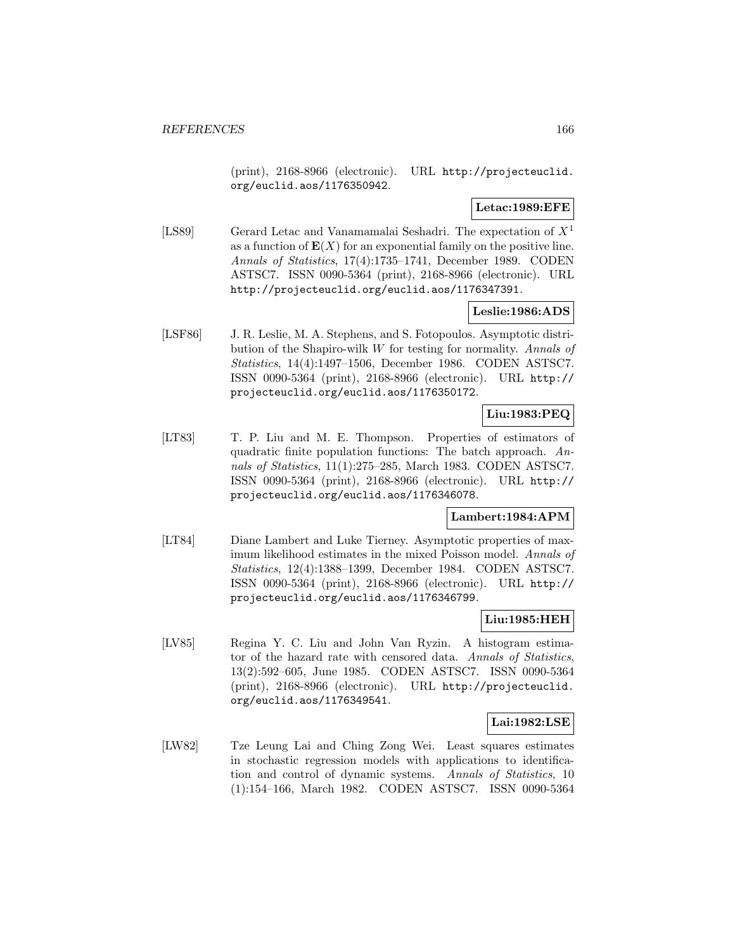(print), 2168-8966 (electronic). URL http://projecteuclid. org/euclid.aos/1176350942.

### **Letac:1989:EFE**

[LS89] Gerard Letac and Vanamamalai Seshadri. The expectation of  $X<sup>1</sup>$ as a function of  $E(X)$  for an exponential family on the positive line. Annals of Statistics, 17(4):1735–1741, December 1989. CODEN ASTSC7. ISSN 0090-5364 (print), 2168-8966 (electronic). URL http://projecteuclid.org/euclid.aos/1176347391.

# **Leslie:1986:ADS**

[LSF86] J. R. Leslie, M. A. Stephens, and S. Fotopoulos. Asymptotic distribution of the Shapiro-wilk  $W$  for testing for normality. Annals of Statistics, 14(4):1497–1506, December 1986. CODEN ASTSC7. ISSN 0090-5364 (print), 2168-8966 (electronic). URL http:// projecteuclid.org/euclid.aos/1176350172.

# **Liu:1983:PEQ**

[LT83] T. P. Liu and M. E. Thompson. Properties of estimators of quadratic finite population functions: The batch approach. Annals of Statistics, 11(1):275–285, March 1983. CODEN ASTSC7. ISSN 0090-5364 (print), 2168-8966 (electronic). URL http:// projecteuclid.org/euclid.aos/1176346078.

#### **Lambert:1984:APM**

[LT84] Diane Lambert and Luke Tierney. Asymptotic properties of maximum likelihood estimates in the mixed Poisson model. Annals of Statistics, 12(4):1388–1399, December 1984. CODEN ASTSC7. ISSN 0090-5364 (print), 2168-8966 (electronic). URL http:// projecteuclid.org/euclid.aos/1176346799.

#### **Liu:1985:HEH**

[LV85] Regina Y. C. Liu and John Van Ryzin. A histogram estimator of the hazard rate with censored data. Annals of Statistics, 13(2):592–605, June 1985. CODEN ASTSC7. ISSN 0090-5364 (print), 2168-8966 (electronic). URL http://projecteuclid. org/euclid.aos/1176349541.

#### **Lai:1982:LSE**

[LW82] Tze Leung Lai and Ching Zong Wei. Least squares estimates in stochastic regression models with applications to identification and control of dynamic systems. Annals of Statistics, 10 (1):154–166, March 1982. CODEN ASTSC7. ISSN 0090-5364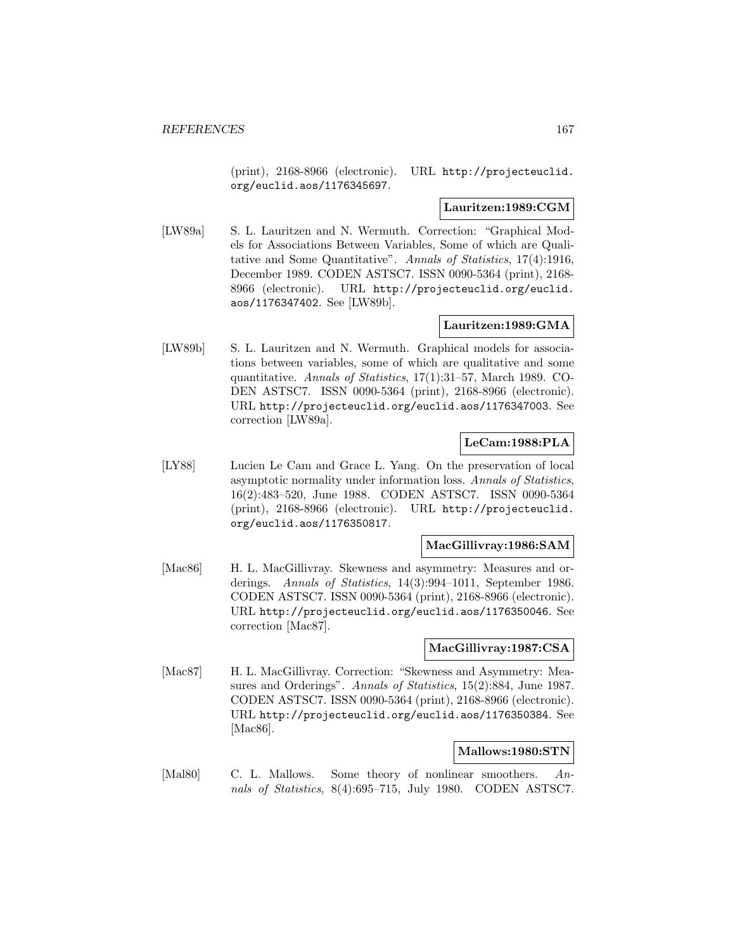(print), 2168-8966 (electronic). URL http://projecteuclid. org/euclid.aos/1176345697.

#### **Lauritzen:1989:CGM**

[LW89a] S. L. Lauritzen and N. Wermuth. Correction: "Graphical Models for Associations Between Variables, Some of which are Qualitative and Some Quantitative". Annals of Statistics, 17(4):1916, December 1989. CODEN ASTSC7. ISSN 0090-5364 (print), 2168- 8966 (electronic). URL http://projecteuclid.org/euclid. aos/1176347402. See [LW89b].

### **Lauritzen:1989:GMA**

[LW89b] S. L. Lauritzen and N. Wermuth. Graphical models for associations between variables, some of which are qualitative and some quantitative. Annals of Statistics, 17(1):31–57, March 1989. CO-DEN ASTSC7. ISSN 0090-5364 (print), 2168-8966 (electronic). URL http://projecteuclid.org/euclid.aos/1176347003. See correction [LW89a].

### **LeCam:1988:PLA**

[LY88] Lucien Le Cam and Grace L. Yang. On the preservation of local asymptotic normality under information loss. Annals of Statistics, 16(2):483–520, June 1988. CODEN ASTSC7. ISSN 0090-5364 (print), 2168-8966 (electronic). URL http://projecteuclid. org/euclid.aos/1176350817.

#### **MacGillivray:1986:SAM**

[Mac86] H. L. MacGillivray. Skewness and asymmetry: Measures and orderings. Annals of Statistics, 14(3):994–1011, September 1986. CODEN ASTSC7. ISSN 0090-5364 (print), 2168-8966 (electronic). URL http://projecteuclid.org/euclid.aos/1176350046. See correction [Mac87].

#### **MacGillivray:1987:CSA**

[Mac87] H. L. MacGillivray. Correction: "Skewness and Asymmetry: Measures and Orderings". Annals of Statistics, 15(2):884, June 1987. CODEN ASTSC7. ISSN 0090-5364 (print), 2168-8966 (electronic). URL http://projecteuclid.org/euclid.aos/1176350384. See [Mac86].

# **Mallows:1980:STN**

[Mal80] C. L. Mallows. Some theory of nonlinear smoothers. Annals of Statistics, 8(4):695–715, July 1980. CODEN ASTSC7.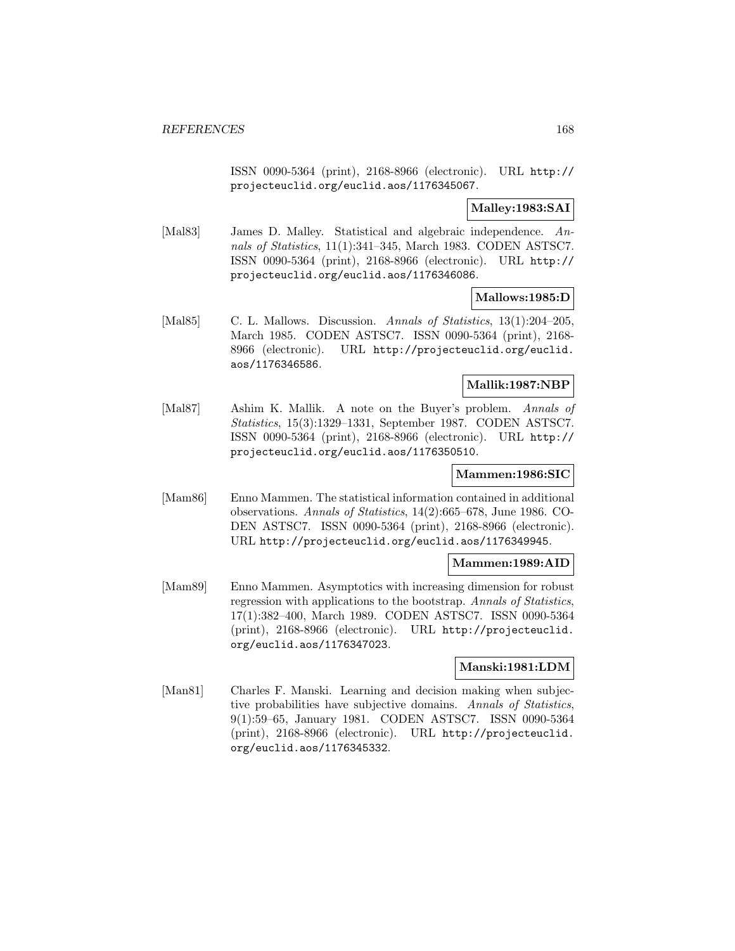ISSN 0090-5364 (print), 2168-8966 (electronic). URL http:// projecteuclid.org/euclid.aos/1176345067.

**Malley:1983:SAI**

[Mal83] James D. Malley. Statistical and algebraic independence. Annals of Statistics, 11(1):341–345, March 1983. CODEN ASTSC7. ISSN 0090-5364 (print), 2168-8966 (electronic). URL http:// projecteuclid.org/euclid.aos/1176346086.

**Mallows:1985:D**

[Mal85] C. L. Mallows. Discussion. Annals of Statistics, 13(1):204–205, March 1985. CODEN ASTSC7. ISSN 0090-5364 (print), 2168- 8966 (electronic). URL http://projecteuclid.org/euclid. aos/1176346586.

#### **Mallik:1987:NBP**

[Mal87] Ashim K. Mallik. A note on the Buyer's problem. Annals of Statistics, 15(3):1329–1331, September 1987. CODEN ASTSC7. ISSN 0090-5364 (print), 2168-8966 (electronic). URL http:// projecteuclid.org/euclid.aos/1176350510.

### **Mammen:1986:SIC**

[Mam86] Enno Mammen. The statistical information contained in additional observations. Annals of Statistics, 14(2):665–678, June 1986. CO-DEN ASTSC7. ISSN 0090-5364 (print), 2168-8966 (electronic). URL http://projecteuclid.org/euclid.aos/1176349945.

#### **Mammen:1989:AID**

[Mam89] Enno Mammen. Asymptotics with increasing dimension for robust regression with applications to the bootstrap. Annals of Statistics, 17(1):382–400, March 1989. CODEN ASTSC7. ISSN 0090-5364 (print), 2168-8966 (electronic). URL http://projecteuclid. org/euclid.aos/1176347023.

#### **Manski:1981:LDM**

[Man81] Charles F. Manski. Learning and decision making when subjective probabilities have subjective domains. Annals of Statistics, 9(1):59–65, January 1981. CODEN ASTSC7. ISSN 0090-5364 (print), 2168-8966 (electronic). URL http://projecteuclid. org/euclid.aos/1176345332.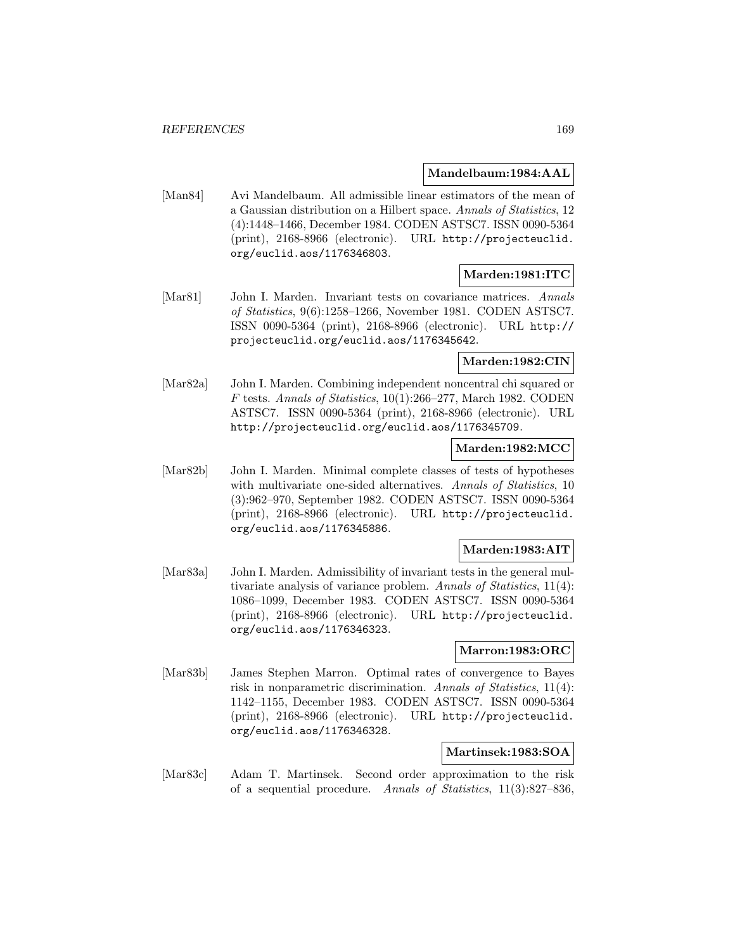#### **Mandelbaum:1984:AAL**

[Man84] Avi Mandelbaum. All admissible linear estimators of the mean of a Gaussian distribution on a Hilbert space. Annals of Statistics, 12 (4):1448–1466, December 1984. CODEN ASTSC7. ISSN 0090-5364 (print), 2168-8966 (electronic). URL http://projecteuclid. org/euclid.aos/1176346803.

## **Marden:1981:ITC**

[Mar81] John I. Marden. Invariant tests on covariance matrices. Annals of Statistics, 9(6):1258–1266, November 1981. CODEN ASTSC7. ISSN 0090-5364 (print), 2168-8966 (electronic). URL http:// projecteuclid.org/euclid.aos/1176345642.

# **Marden:1982:CIN**

[Mar82a] John I. Marden. Combining independent noncentral chi squared or F tests. Annals of Statistics, 10(1):266–277, March 1982. CODEN ASTSC7. ISSN 0090-5364 (print), 2168-8966 (electronic). URL http://projecteuclid.org/euclid.aos/1176345709.

#### **Marden:1982:MCC**

[Mar82b] John I. Marden. Minimal complete classes of tests of hypotheses with multivariate one-sided alternatives. Annals of Statistics, 10 (3):962–970, September 1982. CODEN ASTSC7. ISSN 0090-5364 (print), 2168-8966 (electronic). URL http://projecteuclid. org/euclid.aos/1176345886.

#### **Marden:1983:AIT**

[Mar83a] John I. Marden. Admissibility of invariant tests in the general multivariate analysis of variance problem. Annals of Statistics, 11(4): 1086–1099, December 1983. CODEN ASTSC7. ISSN 0090-5364 (print), 2168-8966 (electronic). URL http://projecteuclid. org/euclid.aos/1176346323.

#### **Marron:1983:ORC**

[Mar83b] James Stephen Marron. Optimal rates of convergence to Bayes risk in nonparametric discrimination. Annals of Statistics, 11(4): 1142–1155, December 1983. CODEN ASTSC7. ISSN 0090-5364 (print), 2168-8966 (electronic). URL http://projecteuclid. org/euclid.aos/1176346328.

#### **Martinsek:1983:SOA**

[Mar83c] Adam T. Martinsek. Second order approximation to the risk of a sequential procedure. Annals of Statistics, 11(3):827–836,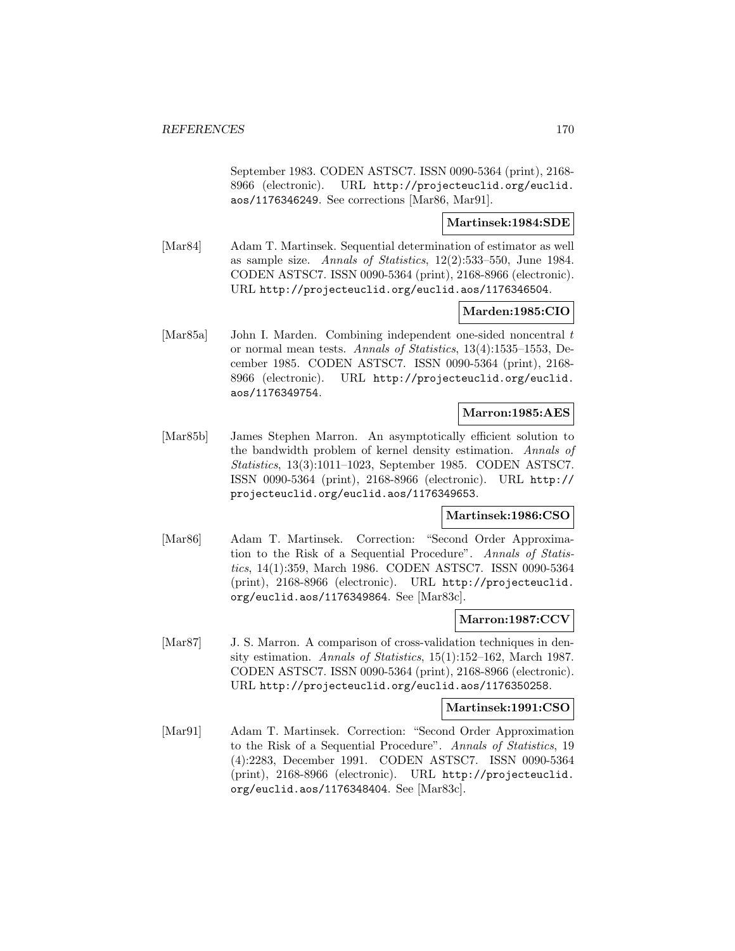September 1983. CODEN ASTSC7. ISSN 0090-5364 (print), 2168- 8966 (electronic). URL http://projecteuclid.org/euclid. aos/1176346249. See corrections [Mar86, Mar91].

### **Martinsek:1984:SDE**

[Mar84] Adam T. Martinsek. Sequential determination of estimator as well as sample size. Annals of Statistics, 12(2):533–550, June 1984. CODEN ASTSC7. ISSN 0090-5364 (print), 2168-8966 (electronic). URL http://projecteuclid.org/euclid.aos/1176346504.

### **Marden:1985:CIO**

[Mar85a] John I. Marden. Combining independent one-sided noncentral t or normal mean tests. Annals of Statistics, 13(4):1535–1553, December 1985. CODEN ASTSC7. ISSN 0090-5364 (print), 2168- 8966 (electronic). URL http://projecteuclid.org/euclid. aos/1176349754.

#### **Marron:1985:AES**

[Mar85b] James Stephen Marron. An asymptotically efficient solution to the bandwidth problem of kernel density estimation. Annals of Statistics, 13(3):1011–1023, September 1985. CODEN ASTSC7. ISSN 0090-5364 (print), 2168-8966 (electronic). URL http:// projecteuclid.org/euclid.aos/1176349653.

### **Martinsek:1986:CSO**

[Mar86] Adam T. Martinsek. Correction: "Second Order Approximation to the Risk of a Sequential Procedure". Annals of Statistics, 14(1):359, March 1986. CODEN ASTSC7. ISSN 0090-5364 (print), 2168-8966 (electronic). URL http://projecteuclid. org/euclid.aos/1176349864. See [Mar83c].

### **Marron:1987:CCV**

[Mar87] J. S. Marron. A comparison of cross-validation techniques in density estimation. Annals of Statistics, 15(1):152–162, March 1987. CODEN ASTSC7. ISSN 0090-5364 (print), 2168-8966 (electronic). URL http://projecteuclid.org/euclid.aos/1176350258.

#### **Martinsek:1991:CSO**

[Mar91] Adam T. Martinsek. Correction: "Second Order Approximation to the Risk of a Sequential Procedure". Annals of Statistics, 19 (4):2283, December 1991. CODEN ASTSC7. ISSN 0090-5364 (print), 2168-8966 (electronic). URL http://projecteuclid. org/euclid.aos/1176348404. See [Mar83c].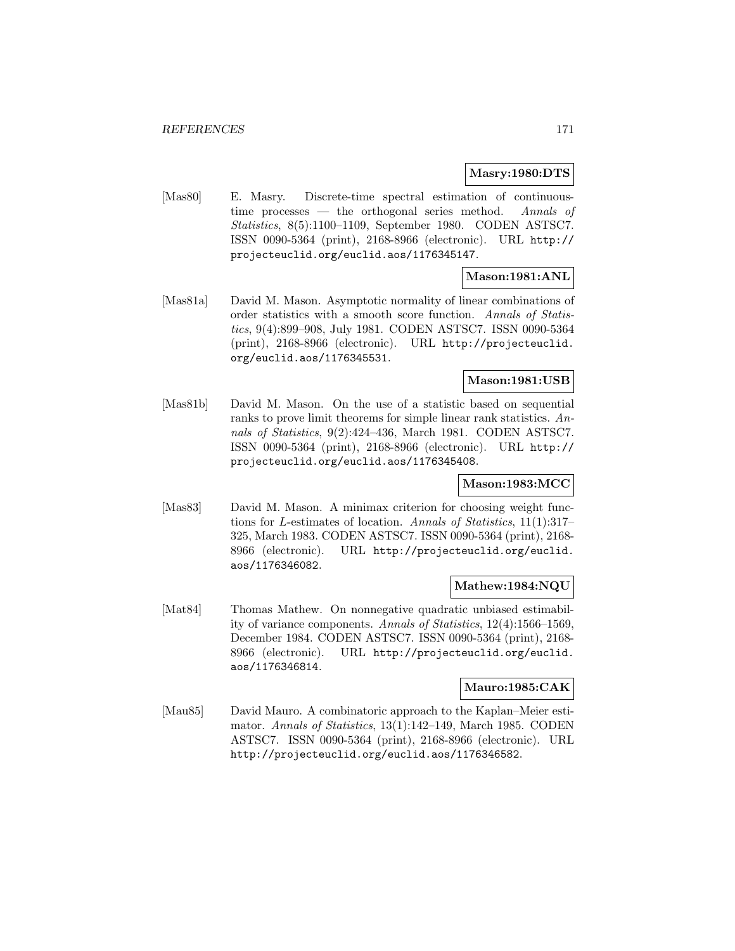#### **Masry:1980:DTS**

[Mas80] E. Masry. Discrete-time spectral estimation of continuoustime processes — the orthogonal series method. Annals of Statistics, 8(5):1100–1109, September 1980. CODEN ASTSC7. ISSN 0090-5364 (print), 2168-8966 (electronic). URL http:// projecteuclid.org/euclid.aos/1176345147.

# **Mason:1981:ANL**

[Mas81a] David M. Mason. Asymptotic normality of linear combinations of order statistics with a smooth score function. Annals of Statistics, 9(4):899–908, July 1981. CODEN ASTSC7. ISSN 0090-5364 (print), 2168-8966 (electronic). URL http://projecteuclid. org/euclid.aos/1176345531.

# **Mason:1981:USB**

[Mas81b] David M. Mason. On the use of a statistic based on sequential ranks to prove limit theorems for simple linear rank statistics. Annals of Statistics, 9(2):424–436, March 1981. CODEN ASTSC7. ISSN 0090-5364 (print), 2168-8966 (electronic). URL http:// projecteuclid.org/euclid.aos/1176345408.

#### **Mason:1983:MCC**

[Mas83] David M. Mason. A minimax criterion for choosing weight functions for L-estimates of location. Annals of Statistics, 11(1):317– 325, March 1983. CODEN ASTSC7. ISSN 0090-5364 (print), 2168- 8966 (electronic). URL http://projecteuclid.org/euclid. aos/1176346082.

#### **Mathew:1984:NQU**

[Mat84] Thomas Mathew. On nonnegative quadratic unbiased estimability of variance components. Annals of Statistics, 12(4):1566–1569, December 1984. CODEN ASTSC7. ISSN 0090-5364 (print), 2168- 8966 (electronic). URL http://projecteuclid.org/euclid. aos/1176346814.

#### **Mauro:1985:CAK**

[Mau85] David Mauro. A combinatoric approach to the Kaplan–Meier estimator. Annals of Statistics, 13(1):142–149, March 1985. CODEN ASTSC7. ISSN 0090-5364 (print), 2168-8966 (electronic). URL http://projecteuclid.org/euclid.aos/1176346582.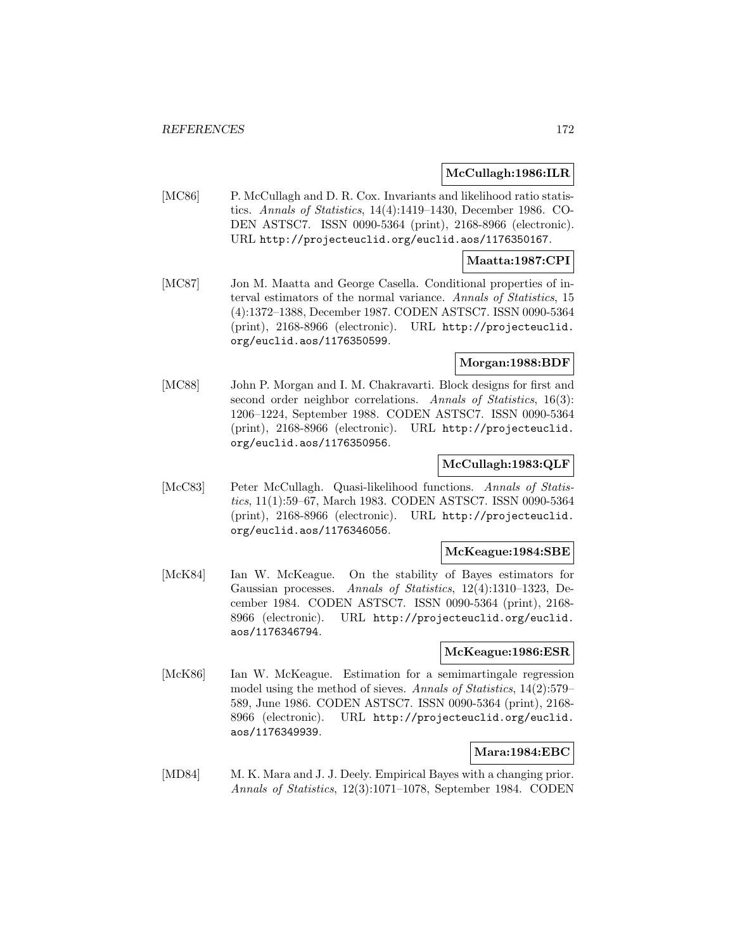#### **McCullagh:1986:ILR**

[MC86] P. McCullagh and D. R. Cox. Invariants and likelihood ratio statistics. Annals of Statistics, 14(4):1419–1430, December 1986. CO-DEN ASTSC7. ISSN 0090-5364 (print), 2168-8966 (electronic). URL http://projecteuclid.org/euclid.aos/1176350167.

### **Maatta:1987:CPI**

[MC87] Jon M. Maatta and George Casella. Conditional properties of interval estimators of the normal variance. Annals of Statistics, 15 (4):1372–1388, December 1987. CODEN ASTSC7. ISSN 0090-5364 (print), 2168-8966 (electronic). URL http://projecteuclid. org/euclid.aos/1176350599.

## **Morgan:1988:BDF**

[MC88] John P. Morgan and I. M. Chakravarti. Block designs for first and second order neighbor correlations. Annals of Statistics, 16(3): 1206–1224, September 1988. CODEN ASTSC7. ISSN 0090-5364 (print), 2168-8966 (electronic). URL http://projecteuclid. org/euclid.aos/1176350956.

### **McCullagh:1983:QLF**

[McC83] Peter McCullagh. Quasi-likelihood functions. Annals of Statistics, 11(1):59–67, March 1983. CODEN ASTSC7. ISSN 0090-5364 (print), 2168-8966 (electronic). URL http://projecteuclid. org/euclid.aos/1176346056.

### **McKeague:1984:SBE**

[McK84] Ian W. McKeague. On the stability of Bayes estimators for Gaussian processes. Annals of Statistics, 12(4):1310–1323, December 1984. CODEN ASTSC7. ISSN 0090-5364 (print), 2168- 8966 (electronic). URL http://projecteuclid.org/euclid. aos/1176346794.

### **McKeague:1986:ESR**

[McK86] Ian W. McKeague. Estimation for a semimartingale regression model using the method of sieves. Annals of Statistics, 14(2):579– 589, June 1986. CODEN ASTSC7. ISSN 0090-5364 (print), 2168- 8966 (electronic). URL http://projecteuclid.org/euclid. aos/1176349939.

# **Mara:1984:EBC**

[MD84] M. K. Mara and J. J. Deely. Empirical Bayes with a changing prior. Annals of Statistics, 12(3):1071–1078, September 1984. CODEN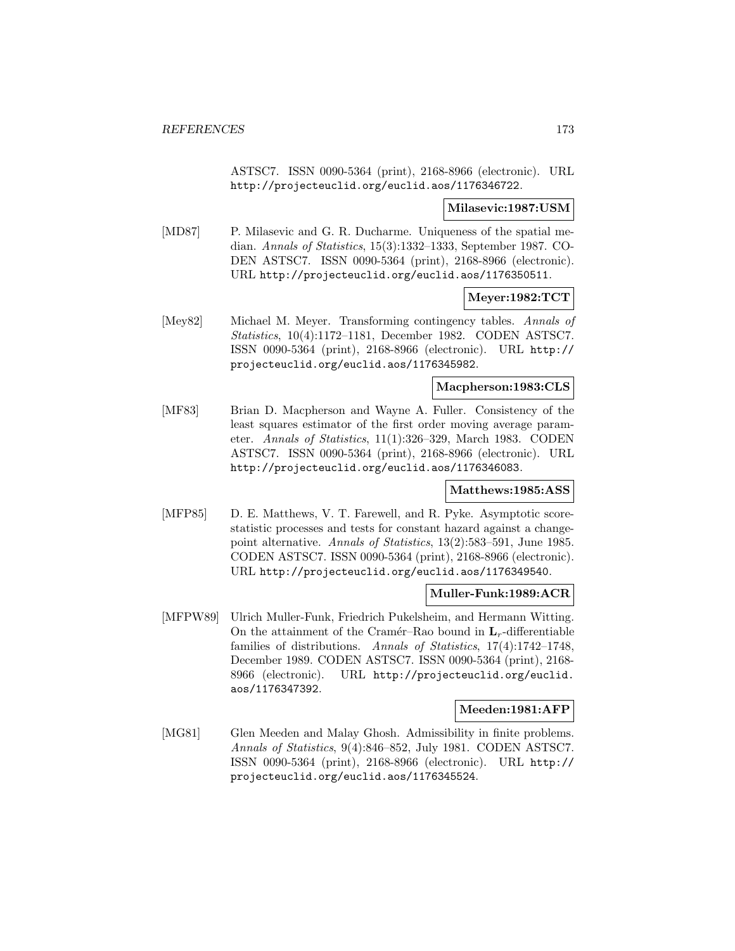ASTSC7. ISSN 0090-5364 (print), 2168-8966 (electronic). URL http://projecteuclid.org/euclid.aos/1176346722.

#### **Milasevic:1987:USM**

[MD87] P. Milasevic and G. R. Ducharme. Uniqueness of the spatial median. Annals of Statistics, 15(3):1332–1333, September 1987. CO-DEN ASTSC7. ISSN 0090-5364 (print), 2168-8966 (electronic). URL http://projecteuclid.org/euclid.aos/1176350511.

**Meyer:1982:TCT**

[Mey82] Michael M. Meyer. Transforming contingency tables. Annals of Statistics, 10(4):1172–1181, December 1982. CODEN ASTSC7. ISSN 0090-5364 (print), 2168-8966 (electronic). URL http:// projecteuclid.org/euclid.aos/1176345982.

### **Macpherson:1983:CLS**

[MF83] Brian D. Macpherson and Wayne A. Fuller. Consistency of the least squares estimator of the first order moving average parameter. Annals of Statistics, 11(1):326–329, March 1983. CODEN ASTSC7. ISSN 0090-5364 (print), 2168-8966 (electronic). URL http://projecteuclid.org/euclid.aos/1176346083.

#### **Matthews:1985:ASS**

[MFP85] D. E. Matthews, V. T. Farewell, and R. Pyke. Asymptotic scorestatistic processes and tests for constant hazard against a changepoint alternative. Annals of Statistics, 13(2):583–591, June 1985. CODEN ASTSC7. ISSN 0090-5364 (print), 2168-8966 (electronic). URL http://projecteuclid.org/euclid.aos/1176349540.

#### **Muller-Funk:1989:ACR**

[MFPW89] Ulrich Muller-Funk, Friedrich Pukelsheim, and Hermann Witting. On the attainment of the Cramér–Rao bound in  $L_r$ -differentiable families of distributions. Annals of Statistics, 17(4):1742–1748, December 1989. CODEN ASTSC7. ISSN 0090-5364 (print), 2168- 8966 (electronic). URL http://projecteuclid.org/euclid. aos/1176347392.

#### **Meeden:1981:AFP**

[MG81] Glen Meeden and Malay Ghosh. Admissibility in finite problems. Annals of Statistics, 9(4):846–852, July 1981. CODEN ASTSC7. ISSN 0090-5364 (print), 2168-8966 (electronic). URL http:// projecteuclid.org/euclid.aos/1176345524.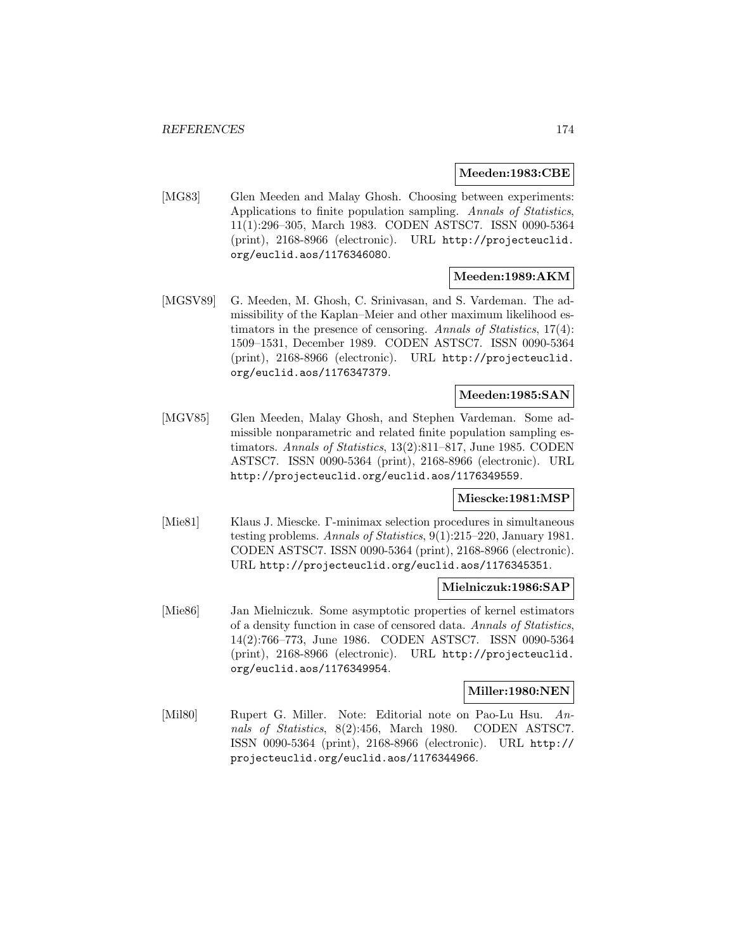#### **Meeden:1983:CBE**

[MG83] Glen Meeden and Malay Ghosh. Choosing between experiments: Applications to finite population sampling. Annals of Statistics, 11(1):296–305, March 1983. CODEN ASTSC7. ISSN 0090-5364 (print), 2168-8966 (electronic). URL http://projecteuclid. org/euclid.aos/1176346080.

### **Meeden:1989:AKM**

[MGSV89] G. Meeden, M. Ghosh, C. Srinivasan, and S. Vardeman. The admissibility of the Kaplan–Meier and other maximum likelihood estimators in the presence of censoring. Annals of Statistics, 17(4): 1509–1531, December 1989. CODEN ASTSC7. ISSN 0090-5364 (print), 2168-8966 (electronic). URL http://projecteuclid. org/euclid.aos/1176347379.

# **Meeden:1985:SAN**

[MGV85] Glen Meeden, Malay Ghosh, and Stephen Vardeman. Some admissible nonparametric and related finite population sampling estimators. Annals of Statistics, 13(2):811–817, June 1985. CODEN ASTSC7. ISSN 0090-5364 (print), 2168-8966 (electronic). URL http://projecteuclid.org/euclid.aos/1176349559.

#### **Miescke:1981:MSP**

[Mie81] Klaus J. Miescke. Γ-minimax selection procedures in simultaneous testing problems. Annals of Statistics, 9(1):215–220, January 1981. CODEN ASTSC7. ISSN 0090-5364 (print), 2168-8966 (electronic). URL http://projecteuclid.org/euclid.aos/1176345351.

#### **Mielniczuk:1986:SAP**

[Mie86] Jan Mielniczuk. Some asymptotic properties of kernel estimators of a density function in case of censored data. Annals of Statistics, 14(2):766–773, June 1986. CODEN ASTSC7. ISSN 0090-5364 (print), 2168-8966 (electronic). URL http://projecteuclid. org/euclid.aos/1176349954.

#### **Miller:1980:NEN**

[Mil80] Rupert G. Miller. Note: Editorial note on Pao-Lu Hsu. Annals of Statistics, 8(2):456, March 1980. CODEN ASTSC7. ISSN 0090-5364 (print), 2168-8966 (electronic). URL http:// projecteuclid.org/euclid.aos/1176344966.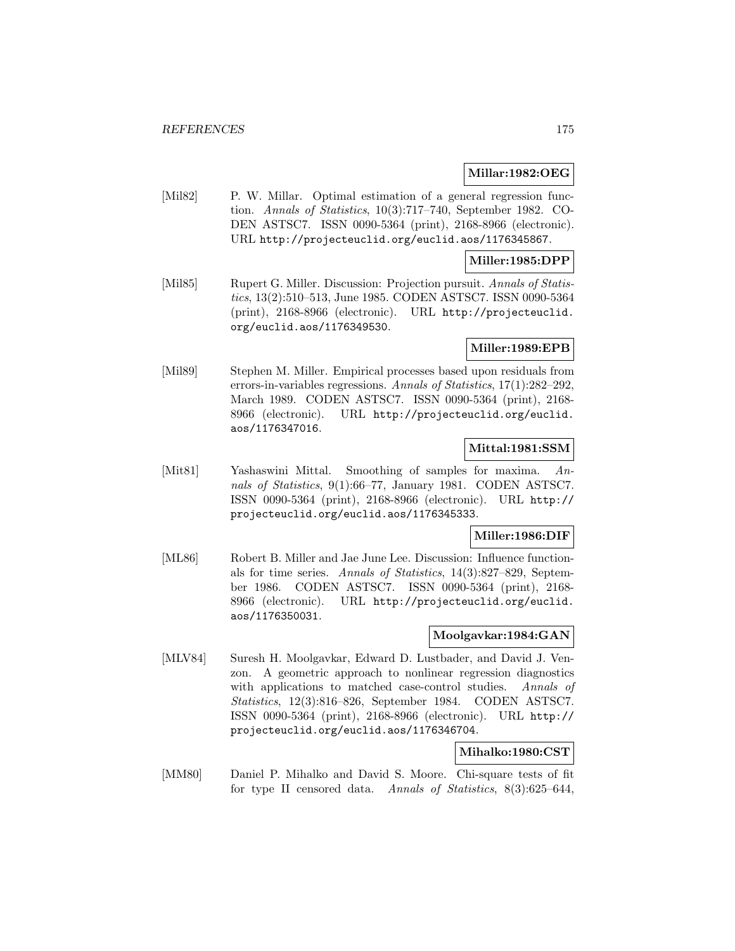#### **Millar:1982:OEG**

[Mil82] P. W. Millar. Optimal estimation of a general regression function. Annals of Statistics, 10(3):717–740, September 1982. CO-DEN ASTSC7. ISSN 0090-5364 (print), 2168-8966 (electronic). URL http://projecteuclid.org/euclid.aos/1176345867.

#### **Miller:1985:DPP**

[Mil85] Rupert G. Miller. Discussion: Projection pursuit. Annals of Statistics, 13(2):510–513, June 1985. CODEN ASTSC7. ISSN 0090-5364 (print), 2168-8966 (electronic). URL http://projecteuclid. org/euclid.aos/1176349530.

### **Miller:1989:EPB**

[Mil89] Stephen M. Miller. Empirical processes based upon residuals from errors-in-variables regressions. Annals of Statistics, 17(1):282–292, March 1989. CODEN ASTSC7. ISSN 0090-5364 (print), 2168- 8966 (electronic). URL http://projecteuclid.org/euclid. aos/1176347016.

### **Mittal:1981:SSM**

[Mit81] Yashaswini Mittal. Smoothing of samples for maxima. Annals of Statistics, 9(1):66–77, January 1981. CODEN ASTSC7. ISSN 0090-5364 (print), 2168-8966 (electronic). URL http:// projecteuclid.org/euclid.aos/1176345333.

### **Miller:1986:DIF**

[ML86] Robert B. Miller and Jae June Lee. Discussion: Influence functionals for time series. Annals of Statistics, 14(3):827–829, September 1986. CODEN ASTSC7. ISSN 0090-5364 (print), 2168- 8966 (electronic). URL http://projecteuclid.org/euclid. aos/1176350031.

# **Moolgavkar:1984:GAN**

[MLV84] Suresh H. Moolgavkar, Edward D. Lustbader, and David J. Venzon. A geometric approach to nonlinear regression diagnostics with applications to matched case-control studies. Annals of Statistics, 12(3):816–826, September 1984. CODEN ASTSC7. ISSN 0090-5364 (print), 2168-8966 (electronic). URL http:// projecteuclid.org/euclid.aos/1176346704.

#### **Mihalko:1980:CST**

[MM80] Daniel P. Mihalko and David S. Moore. Chi-square tests of fit for type II censored data. Annals of Statistics, 8(3):625–644,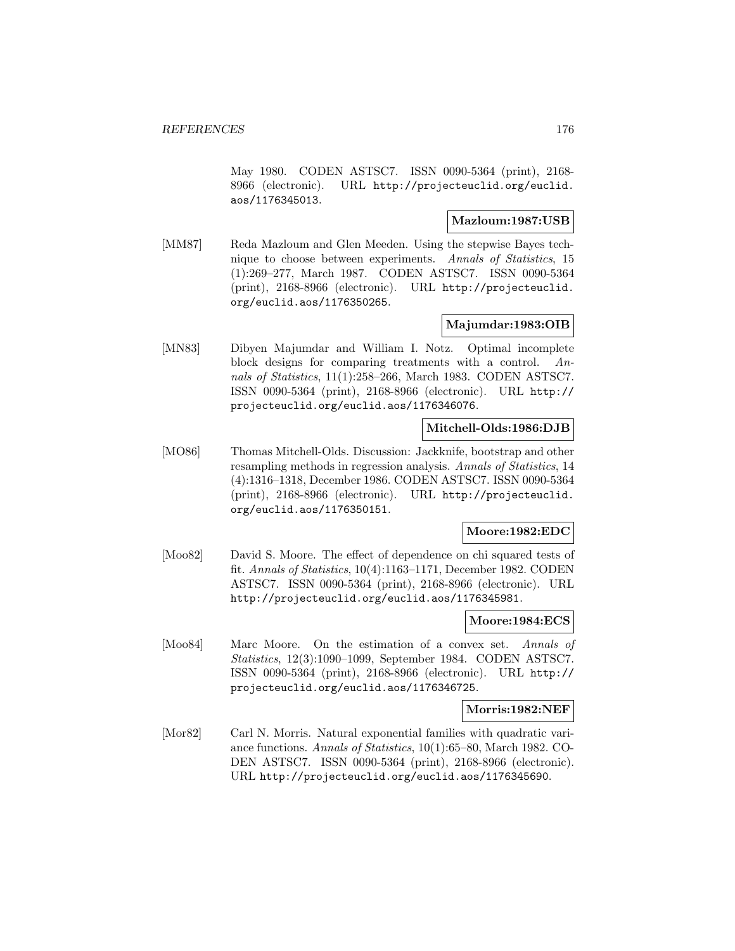May 1980. CODEN ASTSC7. ISSN 0090-5364 (print), 2168- 8966 (electronic). URL http://projecteuclid.org/euclid. aos/1176345013.

### **Mazloum:1987:USB**

[MM87] Reda Mazloum and Glen Meeden. Using the stepwise Bayes technique to choose between experiments. Annals of Statistics, 15 (1):269–277, March 1987. CODEN ASTSC7. ISSN 0090-5364 (print), 2168-8966 (electronic). URL http://projecteuclid. org/euclid.aos/1176350265.

### **Majumdar:1983:OIB**

[MN83] Dibyen Majumdar and William I. Notz. Optimal incomplete block designs for comparing treatments with a control. Annals of Statistics, 11(1):258–266, March 1983. CODEN ASTSC7. ISSN 0090-5364 (print), 2168-8966 (electronic). URL http:// projecteuclid.org/euclid.aos/1176346076.

#### **Mitchell-Olds:1986:DJB**

[MO86] Thomas Mitchell-Olds. Discussion: Jackknife, bootstrap and other resampling methods in regression analysis. Annals of Statistics, 14 (4):1316–1318, December 1986. CODEN ASTSC7. ISSN 0090-5364 (print), 2168-8966 (electronic). URL http://projecteuclid. org/euclid.aos/1176350151.

#### **Moore:1982:EDC**

[Moo82] David S. Moore. The effect of dependence on chi squared tests of fit. Annals of Statistics, 10(4):1163–1171, December 1982. CODEN ASTSC7. ISSN 0090-5364 (print), 2168-8966 (electronic). URL http://projecteuclid.org/euclid.aos/1176345981.

#### **Moore:1984:ECS**

[Moo84] Marc Moore. On the estimation of a convex set. Annals of Statistics, 12(3):1090–1099, September 1984. CODEN ASTSC7. ISSN 0090-5364 (print), 2168-8966 (electronic). URL http:// projecteuclid.org/euclid.aos/1176346725.

#### **Morris:1982:NEF**

[Mor82] Carl N. Morris. Natural exponential families with quadratic variance functions. Annals of Statistics, 10(1):65–80, March 1982. CO-DEN ASTSC7. ISSN 0090-5364 (print), 2168-8966 (electronic). URL http://projecteuclid.org/euclid.aos/1176345690.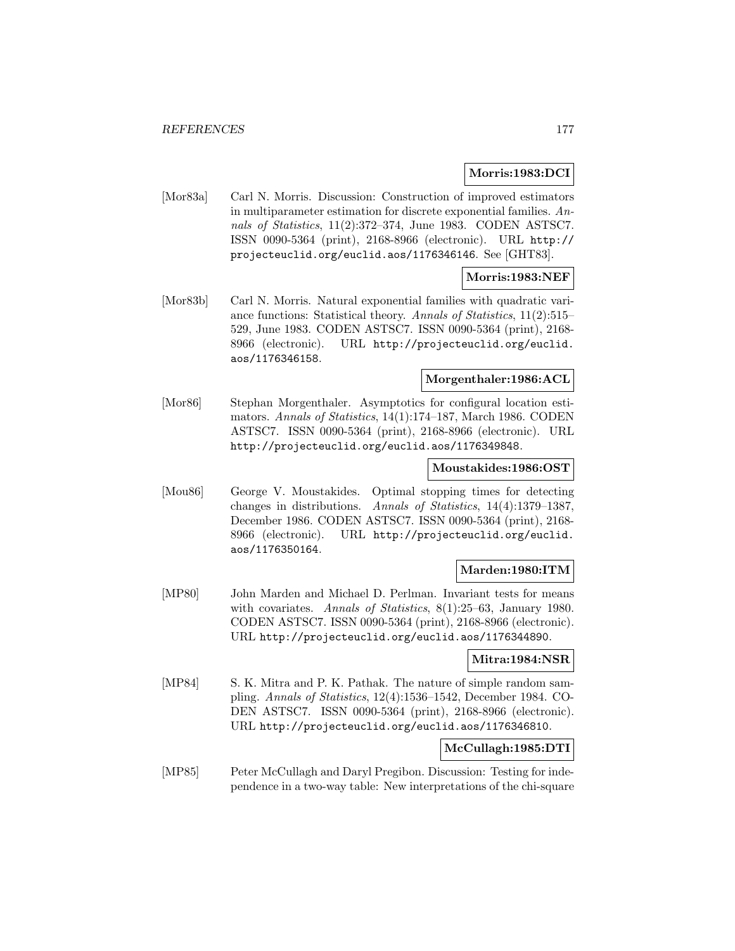#### **Morris:1983:DCI**

[Mor83a] Carl N. Morris. Discussion: Construction of improved estimators in multiparameter estimation for discrete exponential families. Annals of Statistics, 11(2):372–374, June 1983. CODEN ASTSC7. ISSN 0090-5364 (print), 2168-8966 (electronic). URL http:// projecteuclid.org/euclid.aos/1176346146. See [GHT83].

### **Morris:1983:NEF**

[Mor83b] Carl N. Morris. Natural exponential families with quadratic variance functions: Statistical theory. Annals of Statistics, 11(2):515– 529, June 1983. CODEN ASTSC7. ISSN 0090-5364 (print), 2168- 8966 (electronic). URL http://projecteuclid.org/euclid. aos/1176346158.

#### **Morgenthaler:1986:ACL**

[Mor86] Stephan Morgenthaler. Asymptotics for configural location estimators. Annals of Statistics, 14(1):174–187, March 1986. CODEN ASTSC7. ISSN 0090-5364 (print), 2168-8966 (electronic). URL http://projecteuclid.org/euclid.aos/1176349848.

#### **Moustakides:1986:OST**

[Mou86] George V. Moustakides. Optimal stopping times for detecting changes in distributions. Annals of Statistics, 14(4):1379–1387, December 1986. CODEN ASTSC7. ISSN 0090-5364 (print), 2168- 8966 (electronic). URL http://projecteuclid.org/euclid. aos/1176350164.

#### **Marden:1980:ITM**

[MP80] John Marden and Michael D. Perlman. Invariant tests for means with covariates. Annals of Statistics, 8(1):25–63, January 1980. CODEN ASTSC7. ISSN 0090-5364 (print), 2168-8966 (electronic). URL http://projecteuclid.org/euclid.aos/1176344890.

#### **Mitra:1984:NSR**

[MP84] S. K. Mitra and P. K. Pathak. The nature of simple random sampling. Annals of Statistics, 12(4):1536–1542, December 1984. CO-DEN ASTSC7. ISSN 0090-5364 (print), 2168-8966 (electronic). URL http://projecteuclid.org/euclid.aos/1176346810.

## **McCullagh:1985:DTI**

[MP85] Peter McCullagh and Daryl Pregibon. Discussion: Testing for independence in a two-way table: New interpretations of the chi-square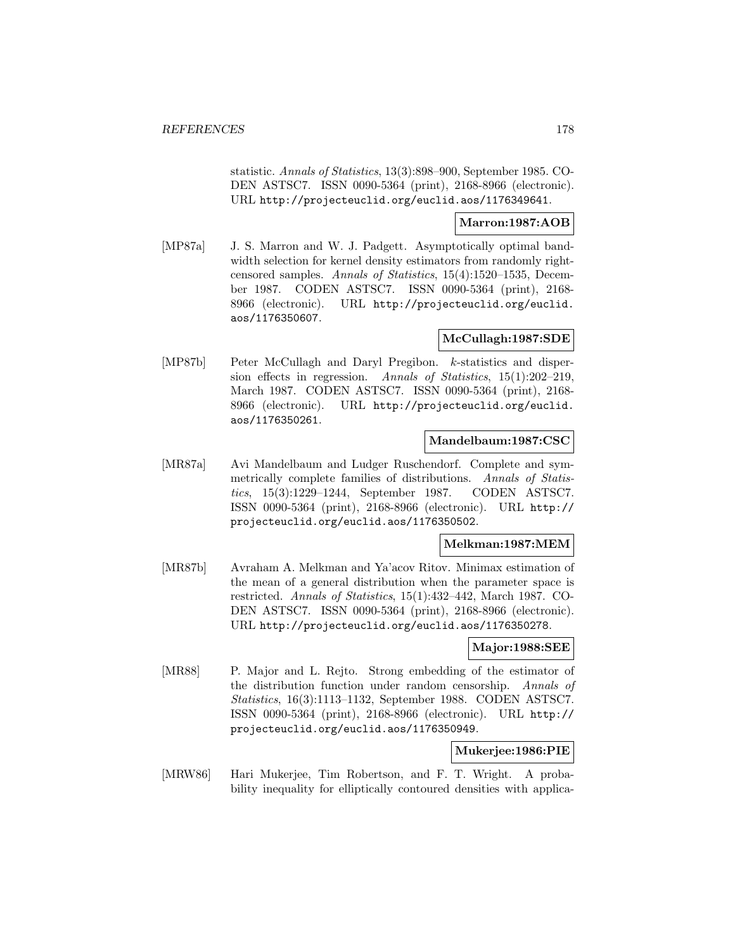statistic. Annals of Statistics, 13(3):898–900, September 1985. CO-DEN ASTSC7. ISSN 0090-5364 (print), 2168-8966 (electronic). URL http://projecteuclid.org/euclid.aos/1176349641.

### **Marron:1987:AOB**

[MP87a] J. S. Marron and W. J. Padgett. Asymptotically optimal bandwidth selection for kernel density estimators from randomly rightcensored samples. Annals of Statistics, 15(4):1520–1535, December 1987. CODEN ASTSC7. ISSN 0090-5364 (print), 2168- 8966 (electronic). URL http://projecteuclid.org/euclid. aos/1176350607.

### **McCullagh:1987:SDE**

[MP87b] Peter McCullagh and Daryl Pregibon. k-statistics and dispersion effects in regression. Annals of Statistics, 15(1):202–219, March 1987. CODEN ASTSC7. ISSN 0090-5364 (print), 2168- 8966 (electronic). URL http://projecteuclid.org/euclid. aos/1176350261.

### **Mandelbaum:1987:CSC**

[MR87a] Avi Mandelbaum and Ludger Ruschendorf. Complete and symmetrically complete families of distributions. Annals of Statistics, 15(3):1229–1244, September 1987. CODEN ASTSC7. ISSN 0090-5364 (print), 2168-8966 (electronic). URL http:// projecteuclid.org/euclid.aos/1176350502.

#### **Melkman:1987:MEM**

[MR87b] Avraham A. Melkman and Ya'acov Ritov. Minimax estimation of the mean of a general distribution when the parameter space is restricted. Annals of Statistics, 15(1):432–442, March 1987. CO-DEN ASTSC7. ISSN 0090-5364 (print), 2168-8966 (electronic). URL http://projecteuclid.org/euclid.aos/1176350278.

#### **Major:1988:SEE**

[MR88] P. Major and L. Rejto. Strong embedding of the estimator of the distribution function under random censorship. Annals of Statistics, 16(3):1113–1132, September 1988. CODEN ASTSC7. ISSN 0090-5364 (print), 2168-8966 (electronic). URL http:// projecteuclid.org/euclid.aos/1176350949.

#### **Mukerjee:1986:PIE**

[MRW86] Hari Mukerjee, Tim Robertson, and F. T. Wright. A probability inequality for elliptically contoured densities with applica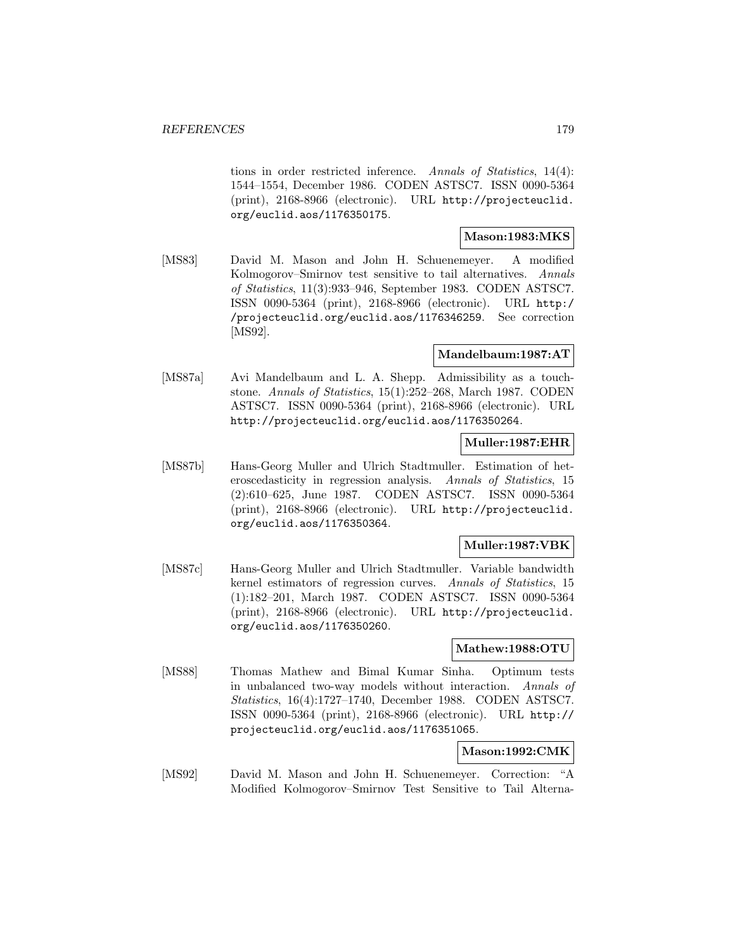tions in order restricted inference. Annals of Statistics, 14(4): 1544–1554, December 1986. CODEN ASTSC7. ISSN 0090-5364 (print), 2168-8966 (electronic). URL http://projecteuclid. org/euclid.aos/1176350175.

## **Mason:1983:MKS**

[MS83] David M. Mason and John H. Schuenemeyer. A modified Kolmogorov–Smirnov test sensitive to tail alternatives. Annals of Statistics, 11(3):933–946, September 1983. CODEN ASTSC7. ISSN 0090-5364 (print), 2168-8966 (electronic). URL http:/ /projecteuclid.org/euclid.aos/1176346259. See correction [MS92].

### **Mandelbaum:1987:AT**

[MS87a] Avi Mandelbaum and L. A. Shepp. Admissibility as a touchstone. Annals of Statistics, 15(1):252–268, March 1987. CODEN ASTSC7. ISSN 0090-5364 (print), 2168-8966 (electronic). URL http://projecteuclid.org/euclid.aos/1176350264.

#### **Muller:1987:EHR**

[MS87b] Hans-Georg Muller and Ulrich Stadtmuller. Estimation of heteroscedasticity in regression analysis. Annals of Statistics, 15 (2):610–625, June 1987. CODEN ASTSC7. ISSN 0090-5364 (print), 2168-8966 (electronic). URL http://projecteuclid. org/euclid.aos/1176350364.

#### **Muller:1987:VBK**

[MS87c] Hans-Georg Muller and Ulrich Stadtmuller. Variable bandwidth kernel estimators of regression curves. Annals of Statistics, 15 (1):182–201, March 1987. CODEN ASTSC7. ISSN 0090-5364 (print), 2168-8966 (electronic). URL http://projecteuclid. org/euclid.aos/1176350260.

#### **Mathew:1988:OTU**

[MS88] Thomas Mathew and Bimal Kumar Sinha. Optimum tests in unbalanced two-way models without interaction. Annals of Statistics, 16(4):1727–1740, December 1988. CODEN ASTSC7. ISSN 0090-5364 (print), 2168-8966 (electronic). URL http:// projecteuclid.org/euclid.aos/1176351065.

# **Mason:1992:CMK**

[MS92] David M. Mason and John H. Schuenemeyer. Correction: "A Modified Kolmogorov–Smirnov Test Sensitive to Tail Alterna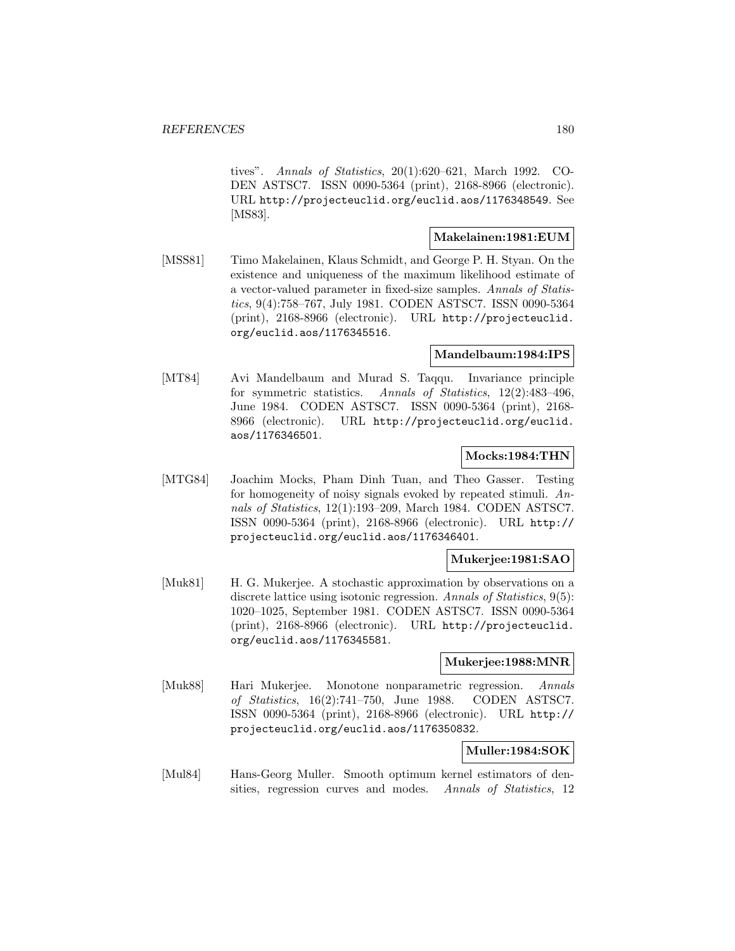tives". Annals of Statistics, 20(1):620–621, March 1992. CO-DEN ASTSC7. ISSN 0090-5364 (print), 2168-8966 (electronic). URL http://projecteuclid.org/euclid.aos/1176348549. See [MS83].

## **Makelainen:1981:EUM**

[MSS81] Timo Makelainen, Klaus Schmidt, and George P. H. Styan. On the existence and uniqueness of the maximum likelihood estimate of a vector-valued parameter in fixed-size samples. Annals of Statistics, 9(4):758–767, July 1981. CODEN ASTSC7. ISSN 0090-5364 (print), 2168-8966 (electronic). URL http://projecteuclid. org/euclid.aos/1176345516.

#### **Mandelbaum:1984:IPS**

[MT84] Avi Mandelbaum and Murad S. Taqqu. Invariance principle for symmetric statistics. Annals of Statistics, 12(2):483–496, June 1984. CODEN ASTSC7. ISSN 0090-5364 (print), 2168- 8966 (electronic). URL http://projecteuclid.org/euclid. aos/1176346501.

#### **Mocks:1984:THN**

[MTG84] Joachim Mocks, Pham Dinh Tuan, and Theo Gasser. Testing for homogeneity of noisy signals evoked by repeated stimuli. Annals of Statistics, 12(1):193–209, March 1984. CODEN ASTSC7. ISSN 0090-5364 (print), 2168-8966 (electronic). URL http:// projecteuclid.org/euclid.aos/1176346401.

#### **Mukerjee:1981:SAO**

[Muk81] H. G. Mukerjee. A stochastic approximation by observations on a discrete lattice using isotonic regression. Annals of Statistics, 9(5): 1020–1025, September 1981. CODEN ASTSC7. ISSN 0090-5364 (print), 2168-8966 (electronic). URL http://projecteuclid. org/euclid.aos/1176345581.

#### **Mukerjee:1988:MNR**

[Muk88] Hari Mukerjee. Monotone nonparametric regression. Annals of Statistics, 16(2):741–750, June 1988. CODEN ASTSC7. ISSN 0090-5364 (print), 2168-8966 (electronic). URL http:// projecteuclid.org/euclid.aos/1176350832.

## **Muller:1984:SOK**

[Mul84] Hans-Georg Muller. Smooth optimum kernel estimators of densities, regression curves and modes. Annals of Statistics, 12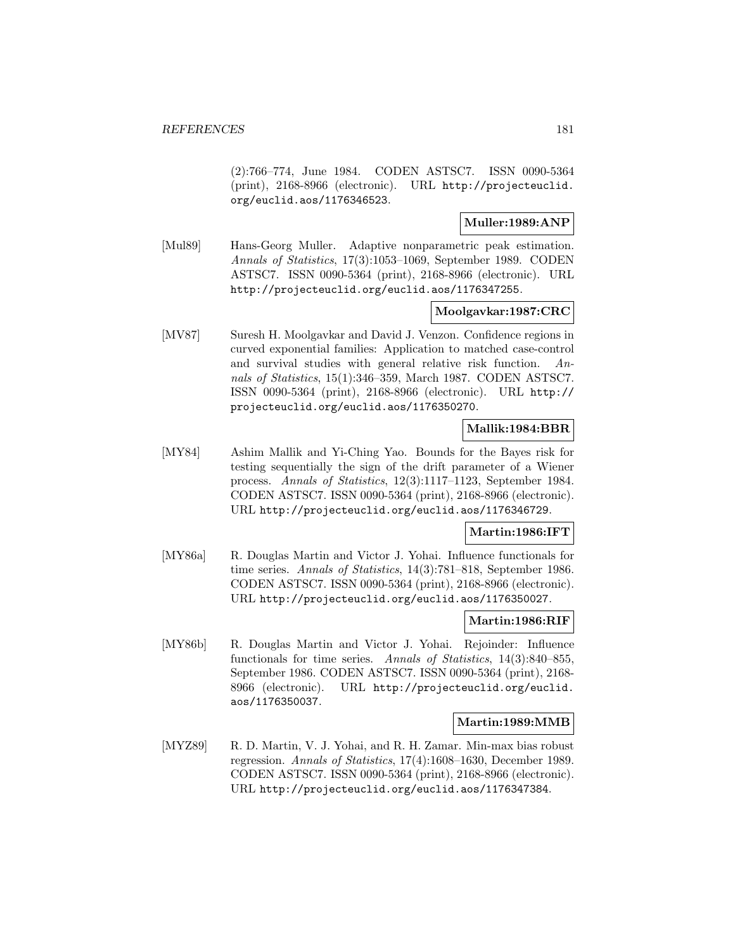(2):766–774, June 1984. CODEN ASTSC7. ISSN 0090-5364 (print), 2168-8966 (electronic). URL http://projecteuclid. org/euclid.aos/1176346523.

# **Muller:1989:ANP**

[Mul89] Hans-Georg Muller. Adaptive nonparametric peak estimation. Annals of Statistics, 17(3):1053–1069, September 1989. CODEN ASTSC7. ISSN 0090-5364 (print), 2168-8966 (electronic). URL http://projecteuclid.org/euclid.aos/1176347255.

### **Moolgavkar:1987:CRC**

[MV87] Suresh H. Moolgavkar and David J. Venzon. Confidence regions in curved exponential families: Application to matched case-control and survival studies with general relative risk function. Annals of Statistics, 15(1):346–359, March 1987. CODEN ASTSC7. ISSN 0090-5364 (print), 2168-8966 (electronic). URL http:// projecteuclid.org/euclid.aos/1176350270.

## **Mallik:1984:BBR**

[MY84] Ashim Mallik and Yi-Ching Yao. Bounds for the Bayes risk for testing sequentially the sign of the drift parameter of a Wiener process. Annals of Statistics, 12(3):1117–1123, September 1984. CODEN ASTSC7. ISSN 0090-5364 (print), 2168-8966 (electronic). URL http://projecteuclid.org/euclid.aos/1176346729.

### **Martin:1986:IFT**

[MY86a] R. Douglas Martin and Victor J. Yohai. Influence functionals for time series. Annals of Statistics, 14(3):781–818, September 1986. CODEN ASTSC7. ISSN 0090-5364 (print), 2168-8966 (electronic). URL http://projecteuclid.org/euclid.aos/1176350027.

#### **Martin:1986:RIF**

[MY86b] R. Douglas Martin and Victor J. Yohai. Rejoinder: Influence functionals for time series. Annals of Statistics, 14(3):840–855, September 1986. CODEN ASTSC7. ISSN 0090-5364 (print), 2168- 8966 (electronic). URL http://projecteuclid.org/euclid. aos/1176350037.

#### **Martin:1989:MMB**

[MYZ89] R. D. Martin, V. J. Yohai, and R. H. Zamar. Min-max bias robust regression. Annals of Statistics, 17(4):1608–1630, December 1989. CODEN ASTSC7. ISSN 0090-5364 (print), 2168-8966 (electronic). URL http://projecteuclid.org/euclid.aos/1176347384.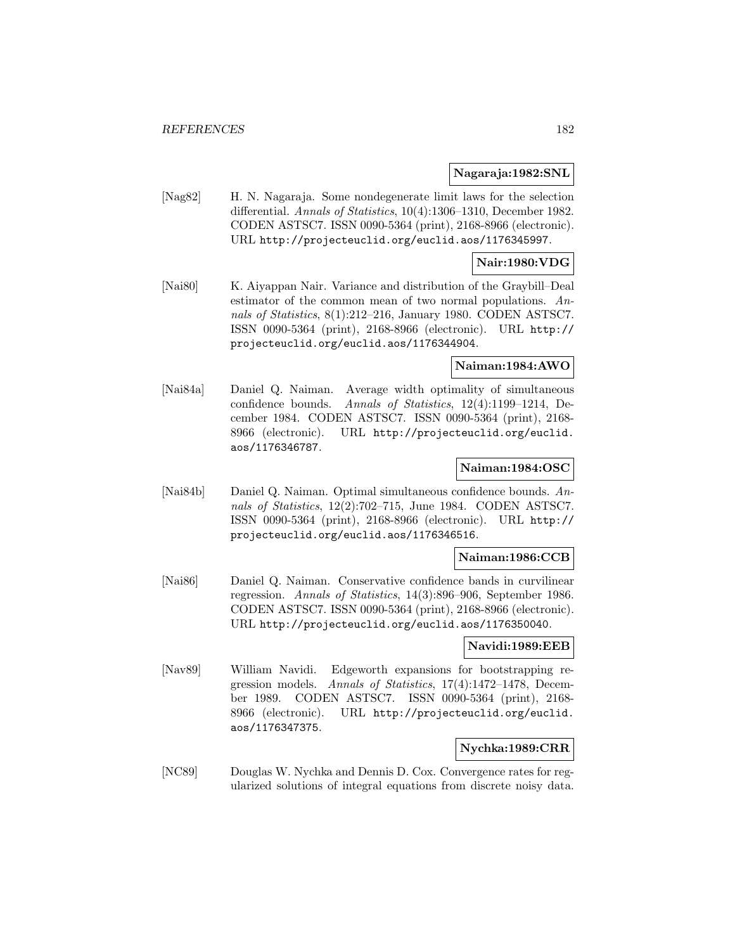#### **Nagaraja:1982:SNL**

[Nag82] H. N. Nagaraja. Some nondegenerate limit laws for the selection differential. Annals of Statistics, 10(4):1306–1310, December 1982. CODEN ASTSC7. ISSN 0090-5364 (print), 2168-8966 (electronic). URL http://projecteuclid.org/euclid.aos/1176345997.

### **Nair:1980:VDG**

[Nai80] K. Aiyappan Nair. Variance and distribution of the Graybill–Deal estimator of the common mean of two normal populations. Annals of Statistics, 8(1):212–216, January 1980. CODEN ASTSC7. ISSN 0090-5364 (print), 2168-8966 (electronic). URL http:// projecteuclid.org/euclid.aos/1176344904.

#### **Naiman:1984:AWO**

[Nai84a] Daniel Q. Naiman. Average width optimality of simultaneous confidence bounds. Annals of Statistics, 12(4):1199–1214, December 1984. CODEN ASTSC7. ISSN 0090-5364 (print), 2168- 8966 (electronic). URL http://projecteuclid.org/euclid. aos/1176346787.

#### **Naiman:1984:OSC**

[Nai84b] Daniel Q. Naiman. Optimal simultaneous confidence bounds. Annals of Statistics, 12(2):702–715, June 1984. CODEN ASTSC7. ISSN 0090-5364 (print), 2168-8966 (electronic). URL http:// projecteuclid.org/euclid.aos/1176346516.

#### **Naiman:1986:CCB**

[Nai86] Daniel Q. Naiman. Conservative confidence bands in curvilinear regression. Annals of Statistics, 14(3):896–906, September 1986. CODEN ASTSC7. ISSN 0090-5364 (print), 2168-8966 (electronic). URL http://projecteuclid.org/euclid.aos/1176350040.

#### **Navidi:1989:EEB**

[Nav89] William Navidi. Edgeworth expansions for bootstrapping regression models. Annals of Statistics, 17(4):1472–1478, December 1989. CODEN ASTSC7. ISSN 0090-5364 (print), 2168- 8966 (electronic). URL http://projecteuclid.org/euclid. aos/1176347375.

#### **Nychka:1989:CRR**

[NC89] Douglas W. Nychka and Dennis D. Cox. Convergence rates for regularized solutions of integral equations from discrete noisy data.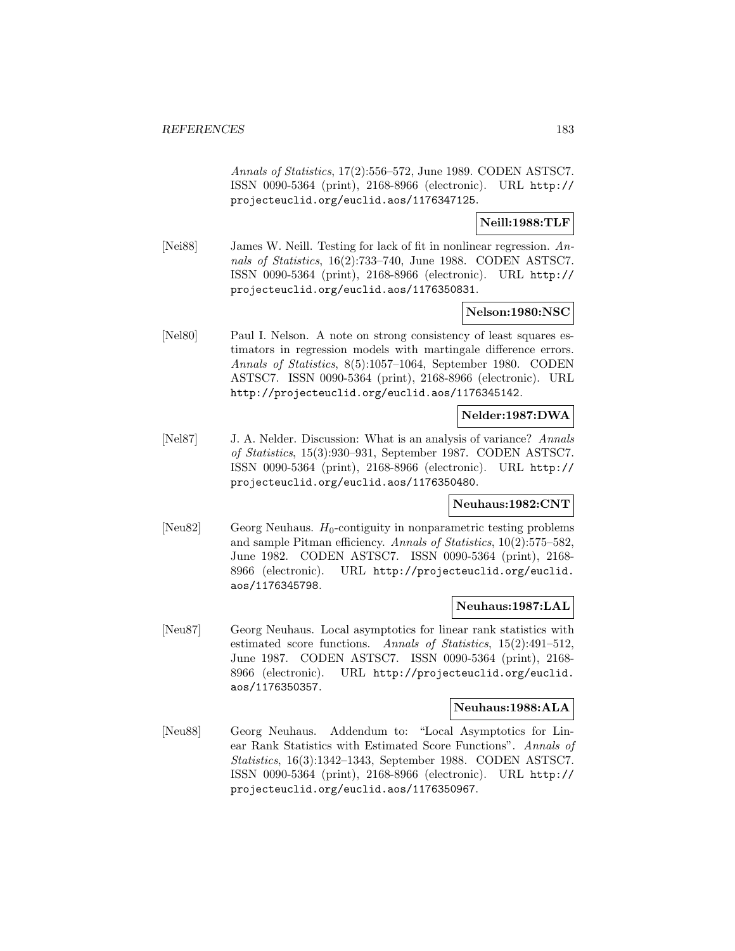Annals of Statistics, 17(2):556–572, June 1989. CODEN ASTSC7. ISSN 0090-5364 (print), 2168-8966 (electronic). URL http:// projecteuclid.org/euclid.aos/1176347125.

**Neill:1988:TLF**

[Nei88] James W. Neill. Testing for lack of fit in nonlinear regression. Annals of Statistics, 16(2):733–740, June 1988. CODEN ASTSC7. ISSN 0090-5364 (print), 2168-8966 (electronic). URL http:// projecteuclid.org/euclid.aos/1176350831.

### **Nelson:1980:NSC**

[Nel80] Paul I. Nelson. A note on strong consistency of least squares estimators in regression models with martingale difference errors. Annals of Statistics, 8(5):1057–1064, September 1980. CODEN ASTSC7. ISSN 0090-5364 (print), 2168-8966 (electronic). URL http://projecteuclid.org/euclid.aos/1176345142.

### **Nelder:1987:DWA**

[Nel87] J. A. Nelder. Discussion: What is an analysis of variance? Annals of Statistics, 15(3):930–931, September 1987. CODEN ASTSC7. ISSN 0090-5364 (print), 2168-8966 (electronic). URL http:// projecteuclid.org/euclid.aos/1176350480.

#### **Neuhaus:1982:CNT**

[Neu82] Georg Neuhaus.  $H_0$ -contiguity in nonparametric testing problems and sample Pitman efficiency. Annals of Statistics, 10(2):575–582, June 1982. CODEN ASTSC7. ISSN 0090-5364 (print), 2168- 8966 (electronic). URL http://projecteuclid.org/euclid. aos/1176345798.

### **Neuhaus:1987:LAL**

[Neu87] Georg Neuhaus. Local asymptotics for linear rank statistics with estimated score functions. Annals of Statistics, 15(2):491–512, June 1987. CODEN ASTSC7. ISSN 0090-5364 (print), 2168- 8966 (electronic). URL http://projecteuclid.org/euclid. aos/1176350357.

### **Neuhaus:1988:ALA**

[Neu88] Georg Neuhaus. Addendum to: "Local Asymptotics for Linear Rank Statistics with Estimated Score Functions". Annals of Statistics, 16(3):1342–1343, September 1988. CODEN ASTSC7. ISSN 0090-5364 (print), 2168-8966 (electronic). URL http:// projecteuclid.org/euclid.aos/1176350967.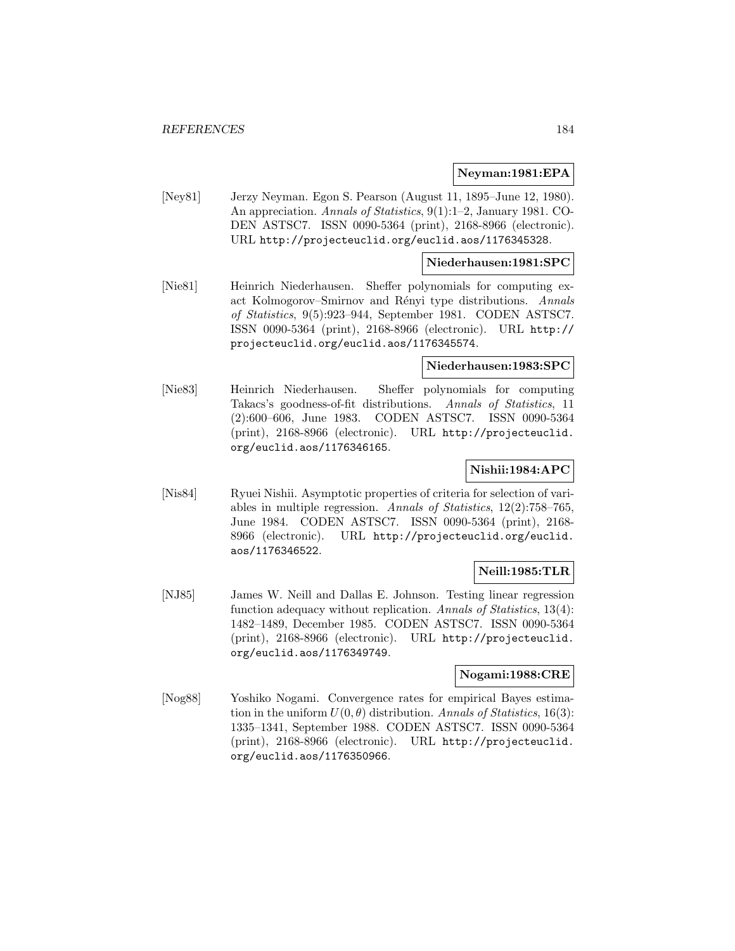#### **Neyman:1981:EPA**

[Ney81] Jerzy Neyman. Egon S. Pearson (August 11, 1895–June 12, 1980). An appreciation. Annals of Statistics, 9(1):1–2, January 1981. CO-DEN ASTSC7. ISSN 0090-5364 (print), 2168-8966 (electronic). URL http://projecteuclid.org/euclid.aos/1176345328.

#### **Niederhausen:1981:SPC**

[Nie81] Heinrich Niederhausen. Sheffer polynomials for computing exact Kolmogorov–Smirnov and Rényi type distributions. Annals of Statistics, 9(5):923–944, September 1981. CODEN ASTSC7. ISSN 0090-5364 (print), 2168-8966 (electronic). URL http:// projecteuclid.org/euclid.aos/1176345574.

#### **Niederhausen:1983:SPC**

[Nie83] Heinrich Niederhausen. Sheffer polynomials for computing Takacs's goodness-of-fit distributions. Annals of Statistics, 11 (2):600–606, June 1983. CODEN ASTSC7. ISSN 0090-5364 (print), 2168-8966 (electronic). URL http://projecteuclid. org/euclid.aos/1176346165.

# **Nishii:1984:APC**

[Nis84] Ryuei Nishii. Asymptotic properties of criteria for selection of variables in multiple regression. Annals of Statistics, 12(2):758–765, June 1984. CODEN ASTSC7. ISSN 0090-5364 (print), 2168- 8966 (electronic). URL http://projecteuclid.org/euclid. aos/1176346522.

### **Neill:1985:TLR**

[NJ85] James W. Neill and Dallas E. Johnson. Testing linear regression function adequacy without replication. Annals of Statistics, 13(4): 1482–1489, December 1985. CODEN ASTSC7. ISSN 0090-5364 (print), 2168-8966 (electronic). URL http://projecteuclid. org/euclid.aos/1176349749.

## **Nogami:1988:CRE**

[Nog88] Yoshiko Nogami. Convergence rates for empirical Bayes estimation in the uniform  $U(0, \theta)$  distribution. Annals of Statistics, 16(3): 1335–1341, September 1988. CODEN ASTSC7. ISSN 0090-5364 (print), 2168-8966 (electronic). URL http://projecteuclid. org/euclid.aos/1176350966.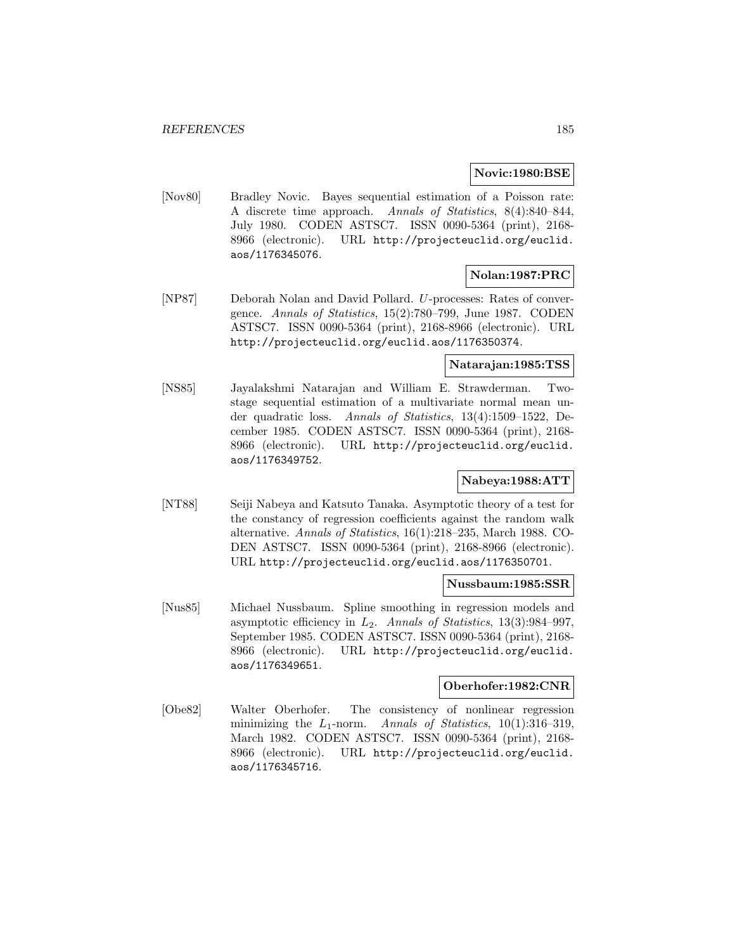#### **Novic:1980:BSE**

[Nov80] Bradley Novic. Bayes sequential estimation of a Poisson rate: A discrete time approach. Annals of Statistics, 8(4):840–844, July 1980. CODEN ASTSC7. ISSN 0090-5364 (print), 2168- 8966 (electronic). URL http://projecteuclid.org/euclid. aos/1176345076.

### **Nolan:1987:PRC**

[NP87] Deborah Nolan and David Pollard. U-processes: Rates of convergence. Annals of Statistics, 15(2):780–799, June 1987. CODEN ASTSC7. ISSN 0090-5364 (print), 2168-8966 (electronic). URL http://projecteuclid.org/euclid.aos/1176350374.

## **Natarajan:1985:TSS**

[NS85] Jayalakshmi Natarajan and William E. Strawderman. Twostage sequential estimation of a multivariate normal mean under quadratic loss. Annals of Statistics, 13(4):1509–1522, December 1985. CODEN ASTSC7. ISSN 0090-5364 (print), 2168- 8966 (electronic). URL http://projecteuclid.org/euclid. aos/1176349752.

# **Nabeya:1988:ATT**

[NT88] Seiji Nabeya and Katsuto Tanaka. Asymptotic theory of a test for the constancy of regression coefficients against the random walk alternative. Annals of Statistics, 16(1):218–235, March 1988. CO-DEN ASTSC7. ISSN 0090-5364 (print), 2168-8966 (electronic). URL http://projecteuclid.org/euclid.aos/1176350701.

#### **Nussbaum:1985:SSR**

[Nus85] Michael Nussbaum. Spline smoothing in regression models and asymptotic efficiency in  $L_2$ . Annals of Statistics, 13(3):984–997, September 1985. CODEN ASTSC7. ISSN 0090-5364 (print), 2168- 8966 (electronic). URL http://projecteuclid.org/euclid. aos/1176349651.

#### **Oberhofer:1982:CNR**

[Obe82] Walter Oberhofer. The consistency of nonlinear regression minimizing the  $L_1$ -norm. Annals of Statistics, 10(1):316–319, March 1982. CODEN ASTSC7. ISSN 0090-5364 (print), 2168- 8966 (electronic). URL http://projecteuclid.org/euclid. aos/1176345716.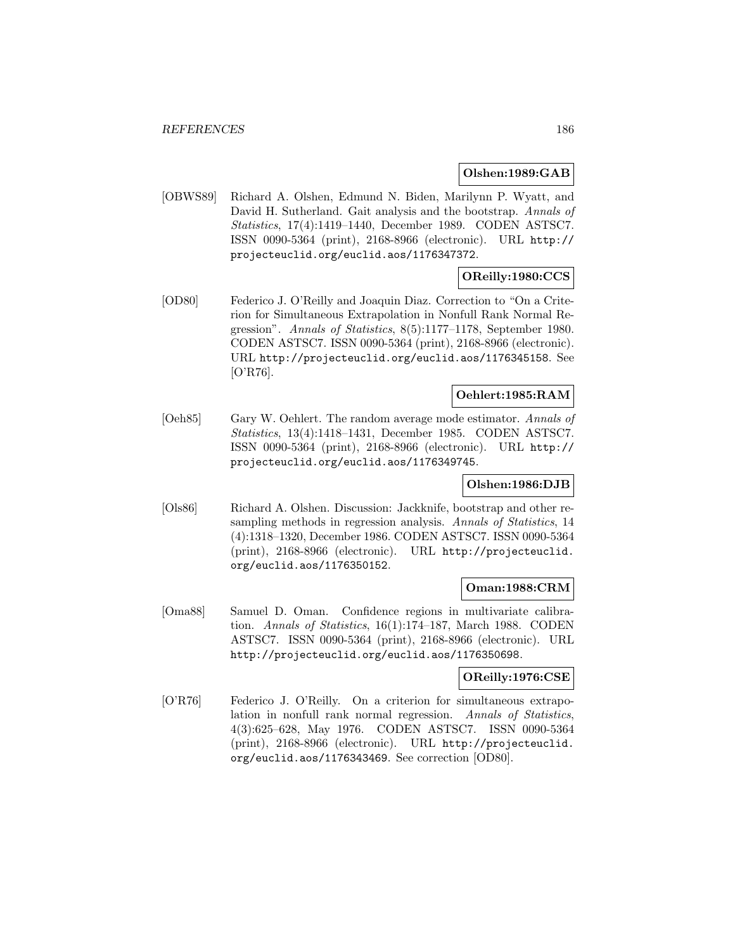#### **Olshen:1989:GAB**

[OBWS89] Richard A. Olshen, Edmund N. Biden, Marilynn P. Wyatt, and David H. Sutherland. Gait analysis and the bootstrap. Annals of Statistics, 17(4):1419–1440, December 1989. CODEN ASTSC7. ISSN 0090-5364 (print), 2168-8966 (electronic). URL http:// projecteuclid.org/euclid.aos/1176347372.

## **OReilly:1980:CCS**

[OD80] Federico J. O'Reilly and Joaquin Diaz. Correction to "On a Criterion for Simultaneous Extrapolation in Nonfull Rank Normal Regression". Annals of Statistics, 8(5):1177–1178, September 1980. CODEN ASTSC7. ISSN 0090-5364 (print), 2168-8966 (electronic). URL http://projecteuclid.org/euclid.aos/1176345158. See [O'R76].

## **Oehlert:1985:RAM**

[Oeh85] Gary W. Oehlert. The random average mode estimator. Annals of Statistics, 13(4):1418–1431, December 1985. CODEN ASTSC7. ISSN 0090-5364 (print), 2168-8966 (electronic). URL http:// projecteuclid.org/euclid.aos/1176349745.

### **Olshen:1986:DJB**

[Ols86] Richard A. Olshen. Discussion: Jackknife, bootstrap and other resampling methods in regression analysis. Annals of Statistics, 14 (4):1318–1320, December 1986. CODEN ASTSC7. ISSN 0090-5364 (print), 2168-8966 (electronic). URL http://projecteuclid. org/euclid.aos/1176350152.

### **Oman:1988:CRM**

[Oma88] Samuel D. Oman. Confidence regions in multivariate calibration. Annals of Statistics, 16(1):174–187, March 1988. CODEN ASTSC7. ISSN 0090-5364 (print), 2168-8966 (electronic). URL http://projecteuclid.org/euclid.aos/1176350698.

## **OReilly:1976:CSE**

[O'R76] Federico J. O'Reilly. On a criterion for simultaneous extrapolation in nonfull rank normal regression. Annals of Statistics, 4(3):625–628, May 1976. CODEN ASTSC7. ISSN 0090-5364 (print), 2168-8966 (electronic). URL http://projecteuclid. org/euclid.aos/1176343469. See correction [OD80].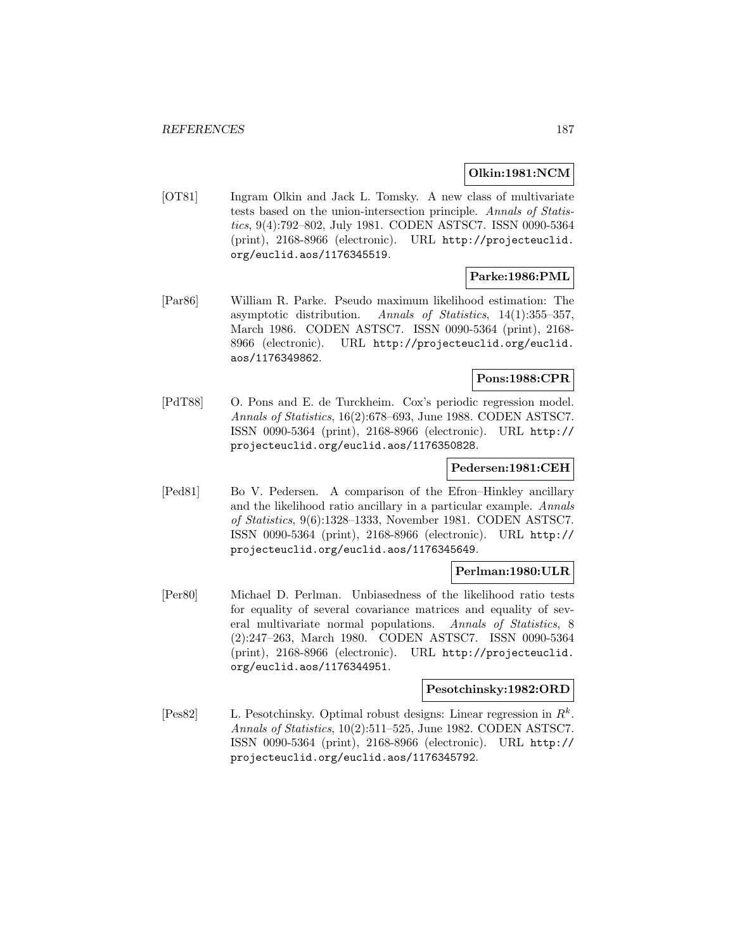#### **Olkin:1981:NCM**

[OT81] Ingram Olkin and Jack L. Tomsky. A new class of multivariate tests based on the union-intersection principle. Annals of Statistics, 9(4):792–802, July 1981. CODEN ASTSC7. ISSN 0090-5364 (print), 2168-8966 (electronic). URL http://projecteuclid. org/euclid.aos/1176345519.

# **Parke:1986:PML**

[Par86] William R. Parke. Pseudo maximum likelihood estimation: The asymptotic distribution. Annals of Statistics, 14(1):355–357, March 1986. CODEN ASTSC7. ISSN 0090-5364 (print), 2168- 8966 (electronic). URL http://projecteuclid.org/euclid. aos/1176349862.

## **Pons:1988:CPR**

[PdT88] O. Pons and E. de Turckheim. Cox's periodic regression model. Annals of Statistics, 16(2):678–693, June 1988. CODEN ASTSC7. ISSN 0090-5364 (print), 2168-8966 (electronic). URL http:// projecteuclid.org/euclid.aos/1176350828.

#### **Pedersen:1981:CEH**

[Ped81] Bo V. Pedersen. A comparison of the Efron–Hinkley ancillary and the likelihood ratio ancillary in a particular example. Annals of Statistics, 9(6):1328–1333, November 1981. CODEN ASTSC7. ISSN 0090-5364 (print), 2168-8966 (electronic). URL http:// projecteuclid.org/euclid.aos/1176345649.

## **Perlman:1980:ULR**

[Per80] Michael D. Perlman. Unbiasedness of the likelihood ratio tests for equality of several covariance matrices and equality of several multivariate normal populations. Annals of Statistics, 8 (2):247–263, March 1980. CODEN ASTSC7. ISSN 0090-5364 (print), 2168-8966 (electronic). URL http://projecteuclid. org/euclid.aos/1176344951.

#### **Pesotchinsky:1982:ORD**

[Pes82] L. Pesotchinsky. Optimal robust designs: Linear regression in  $R^k$ . Annals of Statistics, 10(2):511–525, June 1982. CODEN ASTSC7. ISSN 0090-5364 (print), 2168-8966 (electronic). URL http:// projecteuclid.org/euclid.aos/1176345792.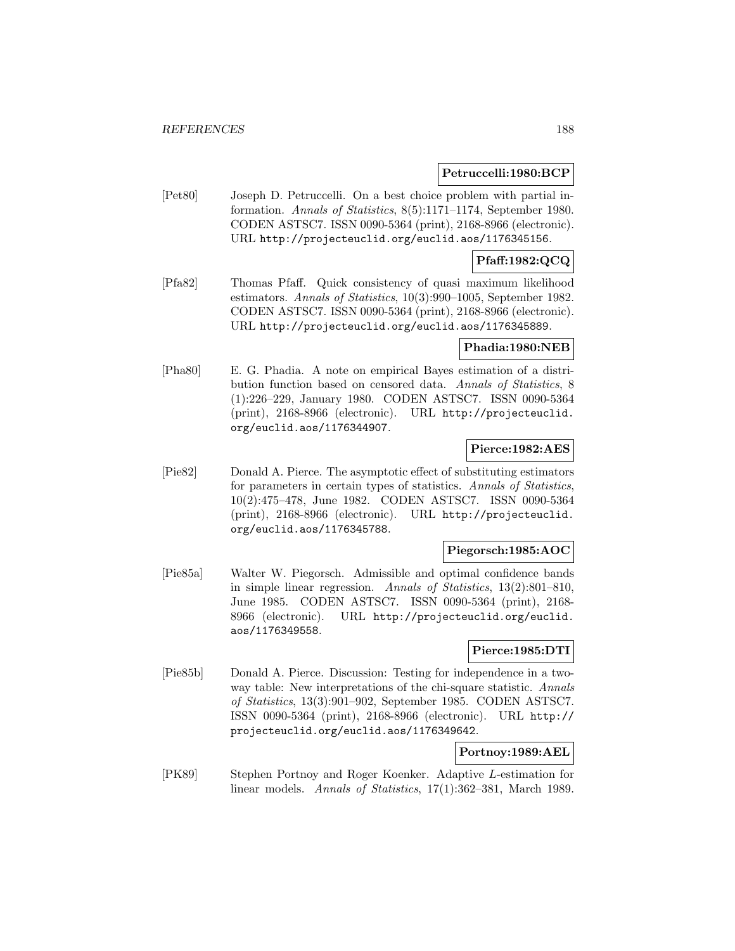### **Petruccelli:1980:BCP**

[Pet80] Joseph D. Petruccelli. On a best choice problem with partial information. Annals of Statistics, 8(5):1171–1174, September 1980. CODEN ASTSC7. ISSN 0090-5364 (print), 2168-8966 (electronic). URL http://projecteuclid.org/euclid.aos/1176345156.

## **Pfaff:1982:QCQ**

[Pfa82] Thomas Pfaff. Quick consistency of quasi maximum likelihood estimators. Annals of Statistics, 10(3):990–1005, September 1982. CODEN ASTSC7. ISSN 0090-5364 (print), 2168-8966 (electronic). URL http://projecteuclid.org/euclid.aos/1176345889.

### **Phadia:1980:NEB**

[Pha80] E. G. Phadia. A note on empirical Bayes estimation of a distribution function based on censored data. Annals of Statistics, 8 (1):226–229, January 1980. CODEN ASTSC7. ISSN 0090-5364 (print), 2168-8966 (electronic). URL http://projecteuclid. org/euclid.aos/1176344907.

### **Pierce:1982:AES**

[Pie82] Donald A. Pierce. The asymptotic effect of substituting estimators for parameters in certain types of statistics. Annals of Statistics, 10(2):475–478, June 1982. CODEN ASTSC7. ISSN 0090-5364 (print), 2168-8966 (electronic). URL http://projecteuclid. org/euclid.aos/1176345788.

## **Piegorsch:1985:AOC**

[Pie85a] Walter W. Piegorsch. Admissible and optimal confidence bands in simple linear regression. Annals of Statistics, 13(2):801–810, June 1985. CODEN ASTSC7. ISSN 0090-5364 (print), 2168- 8966 (electronic). URL http://projecteuclid.org/euclid. aos/1176349558.

## **Pierce:1985:DTI**

[Pie85b] Donald A. Pierce. Discussion: Testing for independence in a twoway table: New interpretations of the chi-square statistic. Annals of Statistics, 13(3):901–902, September 1985. CODEN ASTSC7. ISSN 0090-5364 (print), 2168-8966 (electronic). URL http:// projecteuclid.org/euclid.aos/1176349642.

## **Portnoy:1989:AEL**

[PK89] Stephen Portnoy and Roger Koenker. Adaptive L-estimation for linear models. Annals of Statistics, 17(1):362–381, March 1989.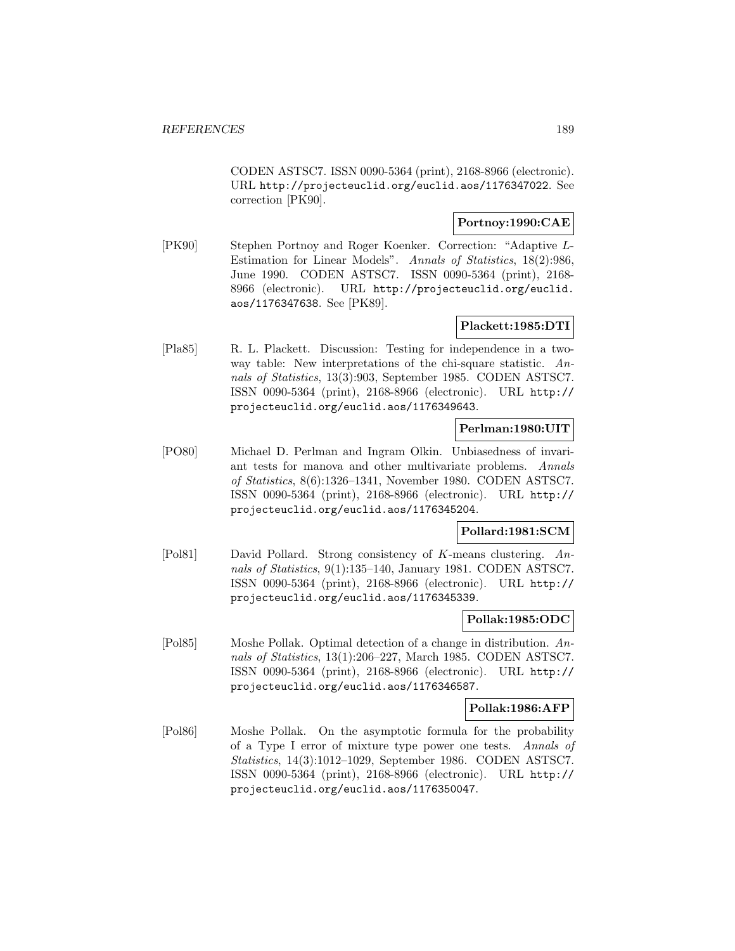CODEN ASTSC7. ISSN 0090-5364 (print), 2168-8966 (electronic). URL http://projecteuclid.org/euclid.aos/1176347022. See correction [PK90].

# **Portnoy:1990:CAE**

[PK90] Stephen Portnoy and Roger Koenker. Correction: "Adaptive L-Estimation for Linear Models". Annals of Statistics, 18(2):986, June 1990. CODEN ASTSC7. ISSN 0090-5364 (print), 2168- 8966 (electronic). URL http://projecteuclid.org/euclid. aos/1176347638. See [PK89].

## **Plackett:1985:DTI**

[Pla85] R. L. Plackett. Discussion: Testing for independence in a twoway table: New interpretations of the chi-square statistic. Annals of Statistics, 13(3):903, September 1985. CODEN ASTSC7. ISSN 0090-5364 (print), 2168-8966 (electronic). URL http:// projecteuclid.org/euclid.aos/1176349643.

## **Perlman:1980:UIT**

[PO80] Michael D. Perlman and Ingram Olkin. Unbiasedness of invariant tests for manova and other multivariate problems. Annals of Statistics, 8(6):1326–1341, November 1980. CODEN ASTSC7. ISSN 0090-5364 (print), 2168-8966 (electronic). URL http:// projecteuclid.org/euclid.aos/1176345204.

### **Pollard:1981:SCM**

[Pol81] David Pollard. Strong consistency of K-means clustering. Annals of Statistics, 9(1):135–140, January 1981. CODEN ASTSC7. ISSN 0090-5364 (print), 2168-8966 (electronic). URL http:// projecteuclid.org/euclid.aos/1176345339.

#### **Pollak:1985:ODC**

[Pol85] Moshe Pollak. Optimal detection of a change in distribution. Annals of Statistics, 13(1):206–227, March 1985. CODEN ASTSC7. ISSN 0090-5364 (print), 2168-8966 (electronic). URL http:// projecteuclid.org/euclid.aos/1176346587.

### **Pollak:1986:AFP**

[Pol86] Moshe Pollak. On the asymptotic formula for the probability of a Type I error of mixture type power one tests. Annals of Statistics, 14(3):1012–1029, September 1986. CODEN ASTSC7. ISSN 0090-5364 (print), 2168-8966 (electronic). URL http:// projecteuclid.org/euclid.aos/1176350047.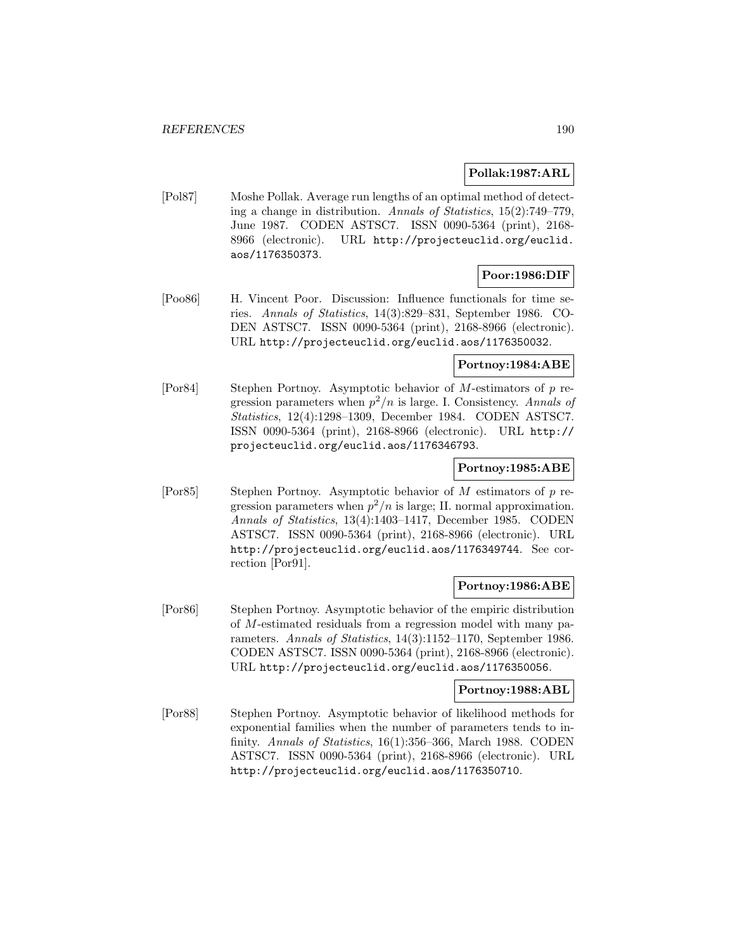### **Pollak:1987:ARL**

[Pol87] Moshe Pollak. Average run lengths of an optimal method of detecting a change in distribution. Annals of Statistics, 15(2):749–779, June 1987. CODEN ASTSC7. ISSN 0090-5364 (print), 2168- 8966 (electronic). URL http://projecteuclid.org/euclid. aos/1176350373.

# **Poor:1986:DIF**

[Poo86] H. Vincent Poor. Discussion: Influence functionals for time series. Annals of Statistics, 14(3):829–831, September 1986. CO-DEN ASTSC7. ISSN 0090-5364 (print), 2168-8966 (electronic). URL http://projecteuclid.org/euclid.aos/1176350032.

## **Portnoy:1984:ABE**

[Por84] Stephen Portnoy. Asymptotic behavior of M-estimators of p regression parameters when  $p^2/n$  is large. I. Consistency. Annals of Statistics, 12(4):1298–1309, December 1984. CODEN ASTSC7. ISSN 0090-5364 (print), 2168-8966 (electronic). URL http:// projecteuclid.org/euclid.aos/1176346793.

# **Portnoy:1985:ABE**

[Por85] Stephen Portnoy. Asymptotic behavior of M estimators of p regression parameters when  $p^2/n$  is large; II. normal approximation. Annals of Statistics, 13(4):1403–1417, December 1985. CODEN ASTSC7. ISSN 0090-5364 (print), 2168-8966 (electronic). URL http://projecteuclid.org/euclid.aos/1176349744. See correction [Por91].

### **Portnoy:1986:ABE**

[Por86] Stephen Portnoy. Asymptotic behavior of the empiric distribution of M-estimated residuals from a regression model with many parameters. Annals of Statistics, 14(3):1152–1170, September 1986. CODEN ASTSC7. ISSN 0090-5364 (print), 2168-8966 (electronic). URL http://projecteuclid.org/euclid.aos/1176350056.

### **Portnoy:1988:ABL**

[Por88] Stephen Portnoy. Asymptotic behavior of likelihood methods for exponential families when the number of parameters tends to infinity. Annals of Statistics, 16(1):356–366, March 1988. CODEN ASTSC7. ISSN 0090-5364 (print), 2168-8966 (electronic). URL http://projecteuclid.org/euclid.aos/1176350710.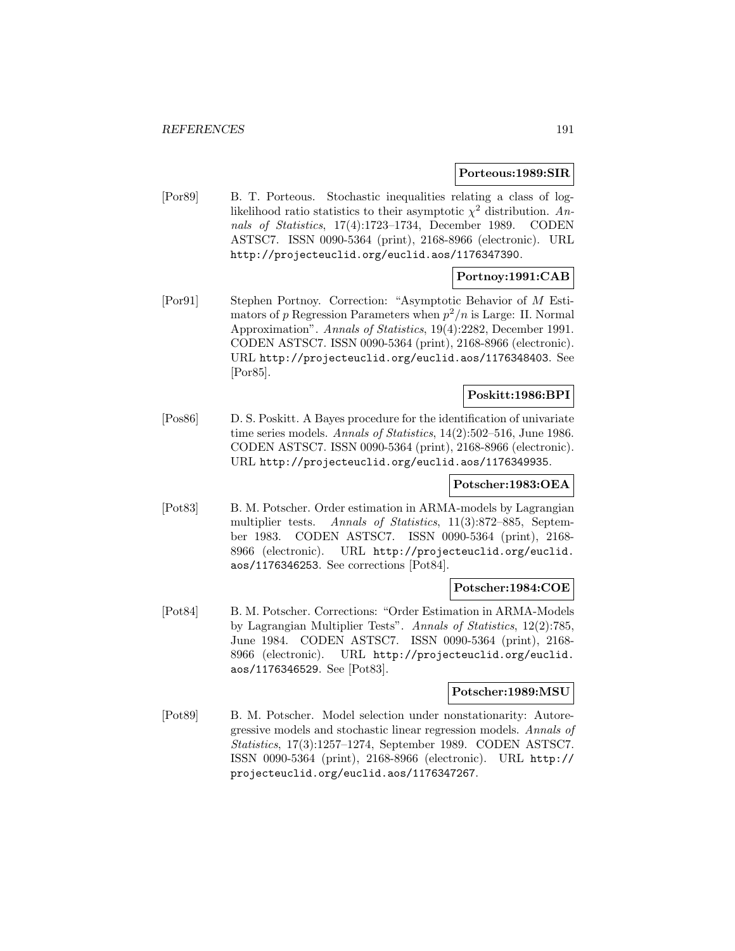#### **Porteous:1989:SIR**

[Por89] B. T. Porteous. Stochastic inequalities relating a class of loglikelihood ratio statistics to their asymptotic  $\chi^2$  distribution. Annals of Statistics, 17(4):1723–1734, December 1989. CODEN ASTSC7. ISSN 0090-5364 (print), 2168-8966 (electronic). URL http://projecteuclid.org/euclid.aos/1176347390.

# **Portnoy:1991:CAB**

[Por91] Stephen Portnoy. Correction: "Asymptotic Behavior of M Estimators of p Regression Parameters when  $p^2/n$  is Large: II. Normal Approximation". Annals of Statistics, 19(4):2282, December 1991. CODEN ASTSC7. ISSN 0090-5364 (print), 2168-8966 (electronic). URL http://projecteuclid.org/euclid.aos/1176348403. See [Por85].

# **Poskitt:1986:BPI**

[Pos86] D. S. Poskitt. A Bayes procedure for the identification of univariate time series models. Annals of Statistics, 14(2):502–516, June 1986. CODEN ASTSC7. ISSN 0090-5364 (print), 2168-8966 (electronic). URL http://projecteuclid.org/euclid.aos/1176349935.

### **Potscher:1983:OEA**

[Pot83] B. M. Potscher. Order estimation in ARMA-models by Lagrangian multiplier tests. Annals of Statistics, 11(3):872–885, September 1983. CODEN ASTSC7. ISSN 0090-5364 (print), 2168- 8966 (electronic). URL http://projecteuclid.org/euclid. aos/1176346253. See corrections [Pot84].

#### **Potscher:1984:COE**

[Pot84] B. M. Potscher. Corrections: "Order Estimation in ARMA-Models by Lagrangian Multiplier Tests". Annals of Statistics, 12(2):785, June 1984. CODEN ASTSC7. ISSN 0090-5364 (print), 2168- 8966 (electronic). URL http://projecteuclid.org/euclid. aos/1176346529. See [Pot83].

# **Potscher:1989:MSU**

[Pot89] B. M. Potscher. Model selection under nonstationarity: Autoregressive models and stochastic linear regression models. Annals of Statistics, 17(3):1257–1274, September 1989. CODEN ASTSC7. ISSN 0090-5364 (print), 2168-8966 (electronic). URL http:// projecteuclid.org/euclid.aos/1176347267.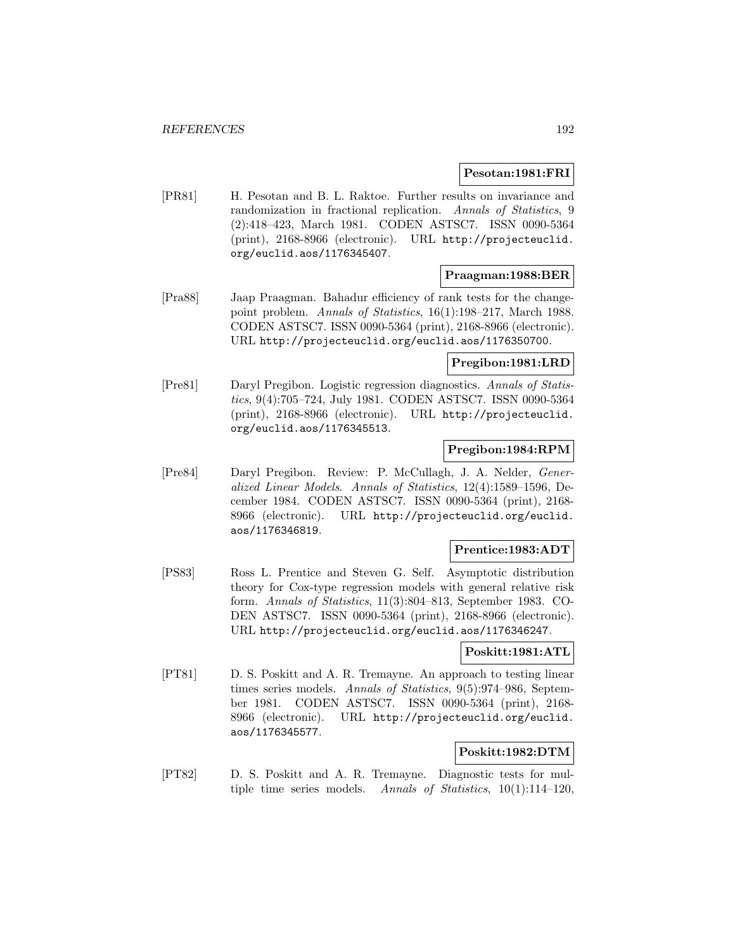#### **Pesotan:1981:FRI**

[PR81] H. Pesotan and B. L. Raktoe. Further results on invariance and randomization in fractional replication. Annals of Statistics, 9 (2):418–423, March 1981. CODEN ASTSC7. ISSN 0090-5364 (print), 2168-8966 (electronic). URL http://projecteuclid. org/euclid.aos/1176345407.

#### **Praagman:1988:BER**

[Pra88] Jaap Praagman. Bahadur efficiency of rank tests for the changepoint problem. Annals of Statistics, 16(1):198–217, March 1988. CODEN ASTSC7. ISSN 0090-5364 (print), 2168-8966 (electronic). URL http://projecteuclid.org/euclid.aos/1176350700.

## **Pregibon:1981:LRD**

[Pre81] Daryl Pregibon. Logistic regression diagnostics. Annals of Statistics, 9(4):705–724, July 1981. CODEN ASTSC7. ISSN 0090-5364 (print), 2168-8966 (electronic). URL http://projecteuclid. org/euclid.aos/1176345513.

## **Pregibon:1984:RPM**

[Pre84] Daryl Pregibon. Review: P. McCullagh, J. A. Nelder, Generalized Linear Models. Annals of Statistics, 12(4):1589–1596, December 1984. CODEN ASTSC7. ISSN 0090-5364 (print), 2168- 8966 (electronic). URL http://projecteuclid.org/euclid. aos/1176346819.

## **Prentice:1983:ADT**

[PS83] Ross L. Prentice and Steven G. Self. Asymptotic distribution theory for Cox-type regression models with general relative risk form. Annals of Statistics, 11(3):804–813, September 1983. CO-DEN ASTSC7. ISSN 0090-5364 (print), 2168-8966 (electronic). URL http://projecteuclid.org/euclid.aos/1176346247.

## **Poskitt:1981:ATL**

[PT81] D. S. Poskitt and A. R. Tremayne. An approach to testing linear times series models. Annals of Statistics, 9(5):974-986, September 1981. CODEN ASTSC7. ISSN 0090-5364 (print), 2168- 8966 (electronic). URL http://projecteuclid.org/euclid. aos/1176345577.

## **Poskitt:1982:DTM**

[PT82] D. S. Poskitt and A. R. Tremayne. Diagnostic tests for multiple time series models. Annals of Statistics, 10(1):114–120,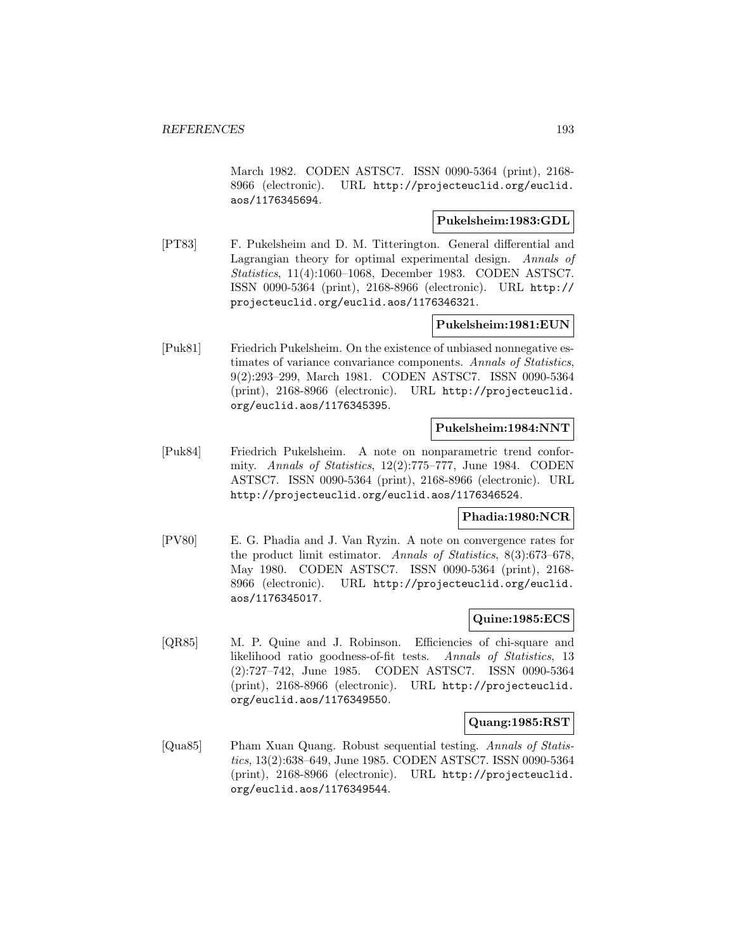March 1982. CODEN ASTSC7. ISSN 0090-5364 (print), 2168- 8966 (electronic). URL http://projecteuclid.org/euclid. aos/1176345694.

### **Pukelsheim:1983:GDL**

[PT83] F. Pukelsheim and D. M. Titterington. General differential and Lagrangian theory for optimal experimental design. Annals of Statistics, 11(4):1060–1068, December 1983. CODEN ASTSC7. ISSN 0090-5364 (print), 2168-8966 (electronic). URL http:// projecteuclid.org/euclid.aos/1176346321.

### **Pukelsheim:1981:EUN**

[Puk81] Friedrich Pukelsheim. On the existence of unbiased nonnegative estimates of variance convariance components. Annals of Statistics, 9(2):293–299, March 1981. CODEN ASTSC7. ISSN 0090-5364 (print), 2168-8966 (electronic). URL http://projecteuclid. org/euclid.aos/1176345395.

#### **Pukelsheim:1984:NNT**

[Puk84] Friedrich Pukelsheim. A note on nonparametric trend conformity. Annals of Statistics, 12(2):775–777, June 1984. CODEN ASTSC7. ISSN 0090-5364 (print), 2168-8966 (electronic). URL http://projecteuclid.org/euclid.aos/1176346524.

#### **Phadia:1980:NCR**

[PV80] E. G. Phadia and J. Van Ryzin. A note on convergence rates for the product limit estimator. Annals of Statistics, 8(3):673–678, May 1980. CODEN ASTSC7. ISSN 0090-5364 (print), 2168- 8966 (electronic). URL http://projecteuclid.org/euclid. aos/1176345017.

## **Quine:1985:ECS**

[QR85] M. P. Quine and J. Robinson. Efficiencies of chi-square and likelihood ratio goodness-of-fit tests. Annals of Statistics, 13 (2):727–742, June 1985. CODEN ASTSC7. ISSN 0090-5364 (print), 2168-8966 (electronic). URL http://projecteuclid. org/euclid.aos/1176349550.

#### **Quang:1985:RST**

[Qua85] Pham Xuan Quang. Robust sequential testing. Annals of Statistics, 13(2):638–649, June 1985. CODEN ASTSC7. ISSN 0090-5364 (print), 2168-8966 (electronic). URL http://projecteuclid. org/euclid.aos/1176349544.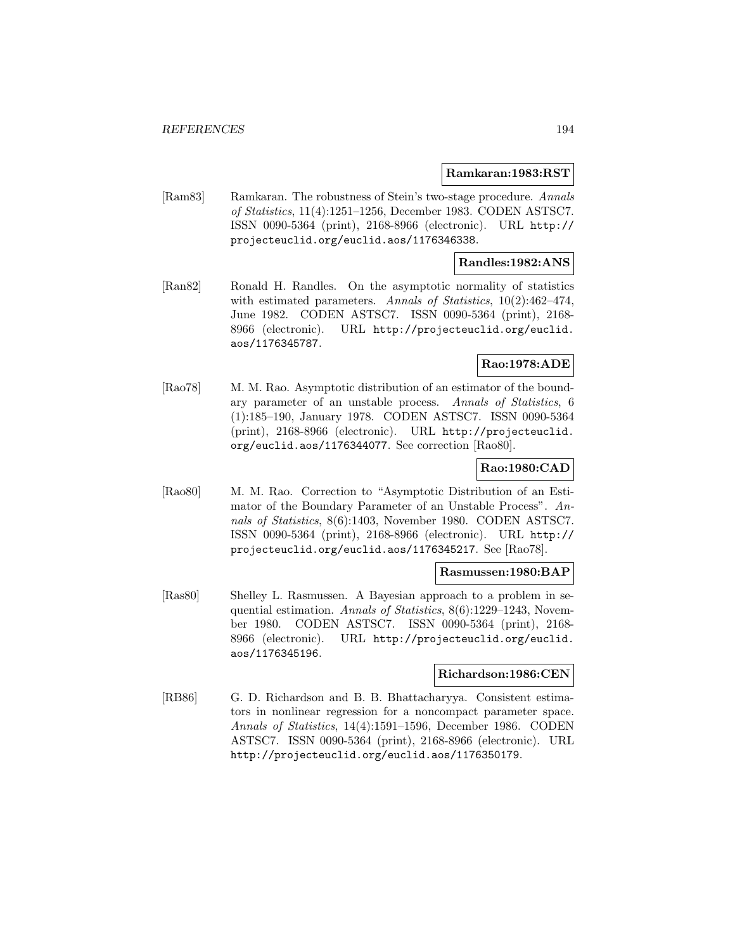#### **Ramkaran:1983:RST**

[Ram83] Ramkaran. The robustness of Stein's two-stage procedure. Annals of Statistics, 11(4):1251–1256, December 1983. CODEN ASTSC7. ISSN 0090-5364 (print), 2168-8966 (electronic). URL http:// projecteuclid.org/euclid.aos/1176346338.

## **Randles:1982:ANS**

[Ran82] Ronald H. Randles. On the asymptotic normality of statistics with estimated parameters. Annals of Statistics, 10(2):462–474, June 1982. CODEN ASTSC7. ISSN 0090-5364 (print), 2168- 8966 (electronic). URL http://projecteuclid.org/euclid. aos/1176345787.

## **Rao:1978:ADE**

[Rao78] M. M. Rao. Asymptotic distribution of an estimator of the boundary parameter of an unstable process. Annals of Statistics, 6 (1):185–190, January 1978. CODEN ASTSC7. ISSN 0090-5364 (print), 2168-8966 (electronic). URL http://projecteuclid. org/euclid.aos/1176344077. See correction [Rao80].

#### **Rao:1980:CAD**

[Rao80] M. M. Rao. Correction to "Asymptotic Distribution of an Estimator of the Boundary Parameter of an Unstable Process". Annals of Statistics, 8(6):1403, November 1980. CODEN ASTSC7. ISSN 0090-5364 (print), 2168-8966 (electronic). URL http:// projecteuclid.org/euclid.aos/1176345217. See [Rao78].

#### **Rasmussen:1980:BAP**

[Ras80] Shelley L. Rasmussen. A Bayesian approach to a problem in sequential estimation. Annals of Statistics, 8(6):1229–1243, November 1980. CODEN ASTSC7. ISSN 0090-5364 (print), 2168- 8966 (electronic). URL http://projecteuclid.org/euclid. aos/1176345196.

### **Richardson:1986:CEN**

[RB86] G. D. Richardson and B. B. Bhattacharyya. Consistent estimators in nonlinear regression for a noncompact parameter space. Annals of Statistics, 14(4):1591–1596, December 1986. CODEN ASTSC7. ISSN 0090-5364 (print), 2168-8966 (electronic). URL http://projecteuclid.org/euclid.aos/1176350179.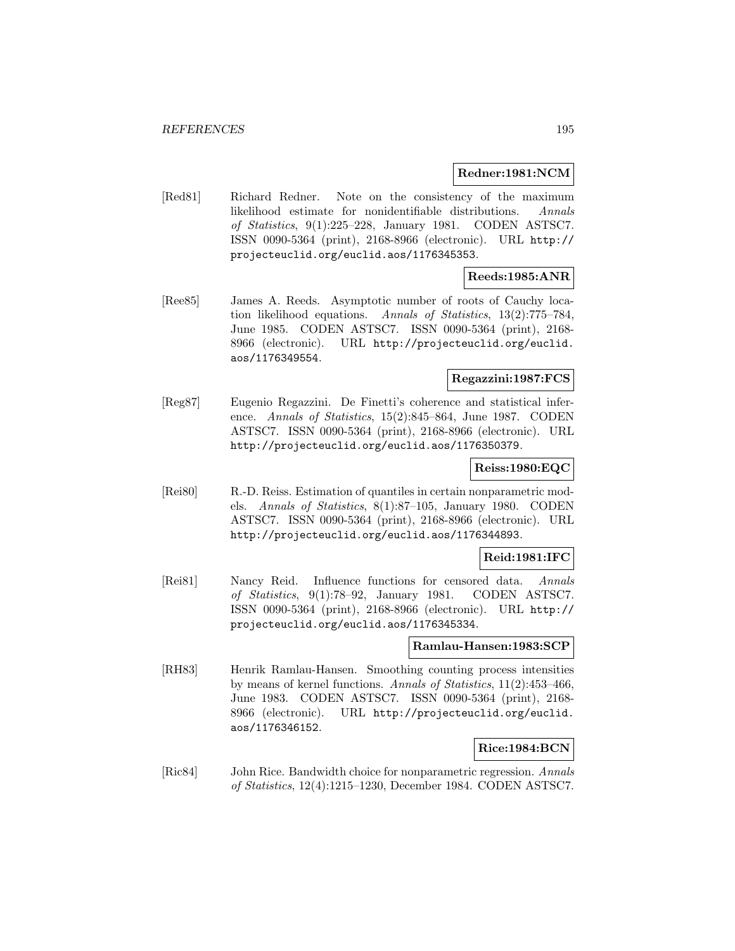#### **Redner:1981:NCM**

[Red81] Richard Redner. Note on the consistency of the maximum likelihood estimate for nonidentifiable distributions. Annals of Statistics, 9(1):225–228, January 1981. CODEN ASTSC7. ISSN 0090-5364 (print), 2168-8966 (electronic). URL http:// projecteuclid.org/euclid.aos/1176345353.

# **Reeds:1985:ANR**

[Ree85] James A. Reeds. Asymptotic number of roots of Cauchy location likelihood equations. Annals of Statistics, 13(2):775–784, June 1985. CODEN ASTSC7. ISSN 0090-5364 (print), 2168- 8966 (electronic). URL http://projecteuclid.org/euclid. aos/1176349554.

## **Regazzini:1987:FCS**

[Reg87] Eugenio Regazzini. De Finetti's coherence and statistical inference. Annals of Statistics, 15(2):845–864, June 1987. CODEN ASTSC7. ISSN 0090-5364 (print), 2168-8966 (electronic). URL http://projecteuclid.org/euclid.aos/1176350379.

#### **Reiss:1980:EQC**

[Rei80] R.-D. Reiss. Estimation of quantiles in certain nonparametric models. Annals of Statistics, 8(1):87–105, January 1980. CODEN ASTSC7. ISSN 0090-5364 (print), 2168-8966 (electronic). URL http://projecteuclid.org/euclid.aos/1176344893.

### **Reid:1981:IFC**

[Rei81] Nancy Reid. Influence functions for censored data. Annals of Statistics, 9(1):78–92, January 1981. CODEN ASTSC7. ISSN 0090-5364 (print), 2168-8966 (electronic). URL http:// projecteuclid.org/euclid.aos/1176345334.

#### **Ramlau-Hansen:1983:SCP**

[RH83] Henrik Ramlau-Hansen. Smoothing counting process intensities by means of kernel functions. Annals of Statistics, 11(2):453–466, June 1983. CODEN ASTSC7. ISSN 0090-5364 (print), 2168- 8966 (electronic). URL http://projecteuclid.org/euclid. aos/1176346152.

#### **Rice:1984:BCN**

[Ric84] John Rice. Bandwidth choice for nonparametric regression. Annals of Statistics, 12(4):1215–1230, December 1984. CODEN ASTSC7.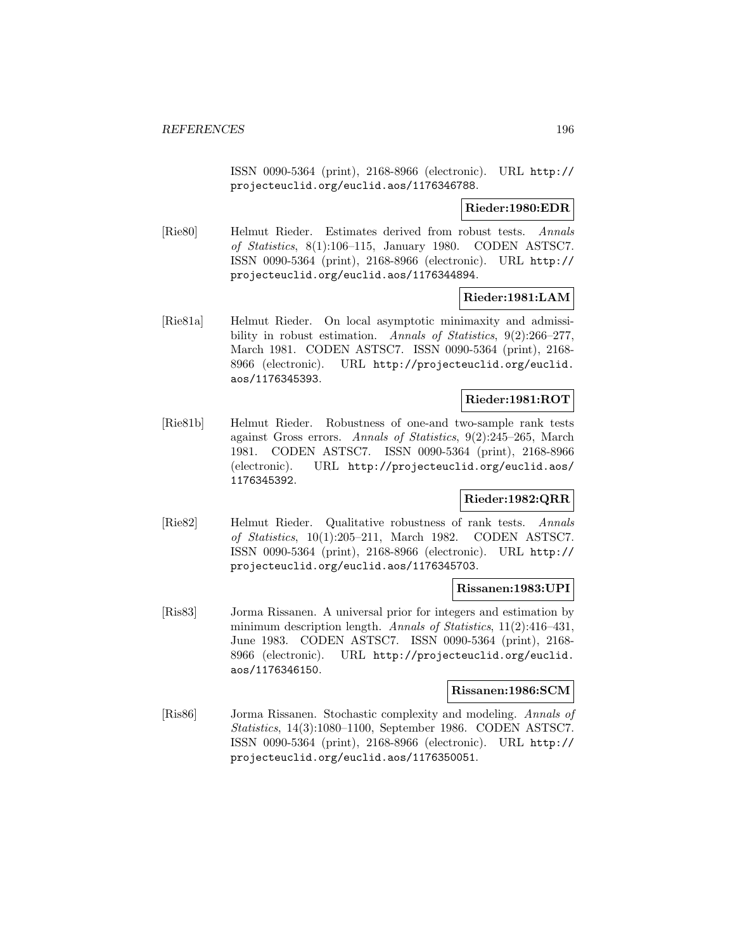ISSN 0090-5364 (print), 2168-8966 (electronic). URL http:// projecteuclid.org/euclid.aos/1176346788.

**Rieder:1980:EDR**

[Rie80] Helmut Rieder. Estimates derived from robust tests. Annals of Statistics, 8(1):106–115, January 1980. CODEN ASTSC7. ISSN 0090-5364 (print), 2168-8966 (electronic). URL http:// projecteuclid.org/euclid.aos/1176344894.

## **Rieder:1981:LAM**

[Rie81a] Helmut Rieder. On local asymptotic minimaxity and admissibility in robust estimation. Annals of Statistics, 9(2):266–277, March 1981. CODEN ASTSC7. ISSN 0090-5364 (print), 2168- 8966 (electronic). URL http://projecteuclid.org/euclid. aos/1176345393.

## **Rieder:1981:ROT**

[Rie81b] Helmut Rieder. Robustness of one-and two-sample rank tests against Gross errors. Annals of Statistics, 9(2):245–265, March 1981. CODEN ASTSC7. ISSN 0090-5364 (print), 2168-8966 (electronic). URL http://projecteuclid.org/euclid.aos/ 1176345392.

### **Rieder:1982:QRR**

[Rie82] Helmut Rieder. Qualitative robustness of rank tests. Annals of Statistics, 10(1):205–211, March 1982. CODEN ASTSC7. ISSN 0090-5364 (print), 2168-8966 (electronic). URL http:// projecteuclid.org/euclid.aos/1176345703.

### **Rissanen:1983:UPI**

[Ris83] Jorma Rissanen. A universal prior for integers and estimation by minimum description length. Annals of Statistics, 11(2):416-431, June 1983. CODEN ASTSC7. ISSN 0090-5364 (print), 2168- 8966 (electronic). URL http://projecteuclid.org/euclid. aos/1176346150.

#### **Rissanen:1986:SCM**

[Ris86] Jorma Rissanen. Stochastic complexity and modeling. Annals of Statistics, 14(3):1080–1100, September 1986. CODEN ASTSC7. ISSN 0090-5364 (print), 2168-8966 (electronic). URL http:// projecteuclid.org/euclid.aos/1176350051.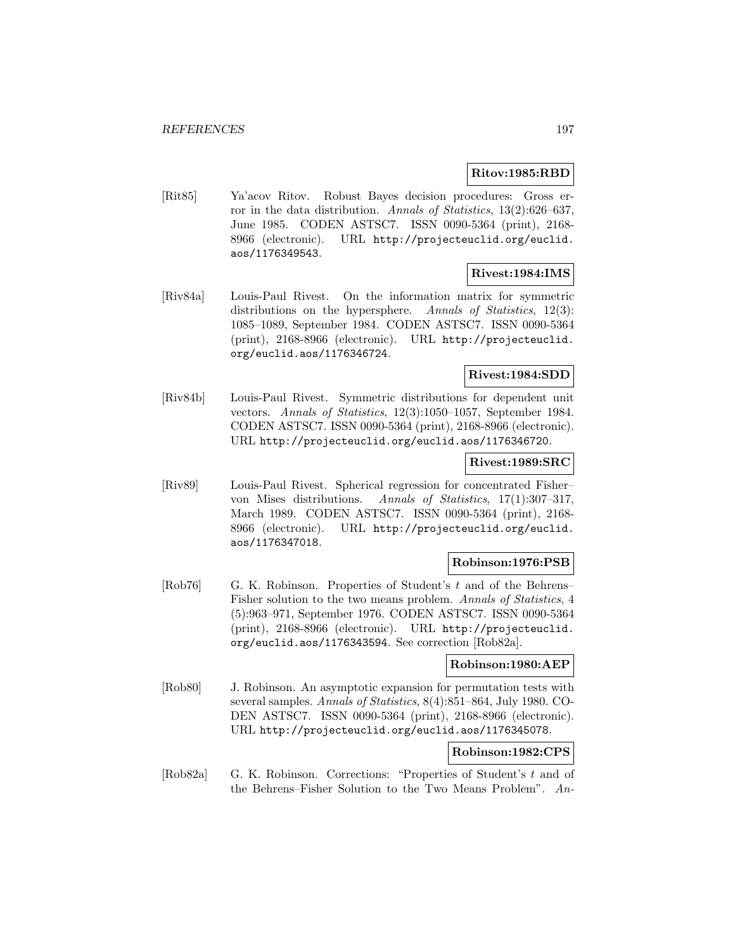## **Ritov:1985:RBD**

[Rit85] Ya'acov Ritov. Robust Bayes decision procedures: Gross error in the data distribution. Annals of Statistics, 13(2):626–637, June 1985. CODEN ASTSC7. ISSN 0090-5364 (print), 2168- 8966 (electronic). URL http://projecteuclid.org/euclid. aos/1176349543.

## **Rivest:1984:IMS**

[Riv84a] Louis-Paul Rivest. On the information matrix for symmetric distributions on the hypersphere. Annals of Statistics, 12(3): 1085–1089, September 1984. CODEN ASTSC7. ISSN 0090-5364 (print), 2168-8966 (electronic). URL http://projecteuclid. org/euclid.aos/1176346724.

# **Rivest:1984:SDD**

[Riv84b] Louis-Paul Rivest. Symmetric distributions for dependent unit vectors. Annals of Statistics, 12(3):1050–1057, September 1984. CODEN ASTSC7. ISSN 0090-5364 (print), 2168-8966 (electronic). URL http://projecteuclid.org/euclid.aos/1176346720.

### **Rivest:1989:SRC**

[Riv89] Louis-Paul Rivest. Spherical regression for concentrated Fisher– von Mises distributions. Annals of Statistics, 17(1):307–317, March 1989. CODEN ASTSC7. ISSN 0090-5364 (print), 2168- 8966 (electronic). URL http://projecteuclid.org/euclid. aos/1176347018.

### **Robinson:1976:PSB**

[Rob76] G. K. Robinson. Properties of Student's t and of the Behrens– Fisher solution to the two means problem. Annals of Statistics, 4 (5):963–971, September 1976. CODEN ASTSC7. ISSN 0090-5364 (print), 2168-8966 (electronic). URL http://projecteuclid. org/euclid.aos/1176343594. See correction [Rob82a].

#### **Robinson:1980:AEP**

[Rob80] J. Robinson. An asymptotic expansion for permutation tests with several samples. Annals of Statistics, 8(4):851–864, July 1980. CO-DEN ASTSC7. ISSN 0090-5364 (print), 2168-8966 (electronic). URL http://projecteuclid.org/euclid.aos/1176345078.

# **Robinson:1982:CPS**

[Rob82a] G. K. Robinson. Corrections: "Properties of Student's t and of the Behrens–Fisher Solution to the Two Means Problem". An-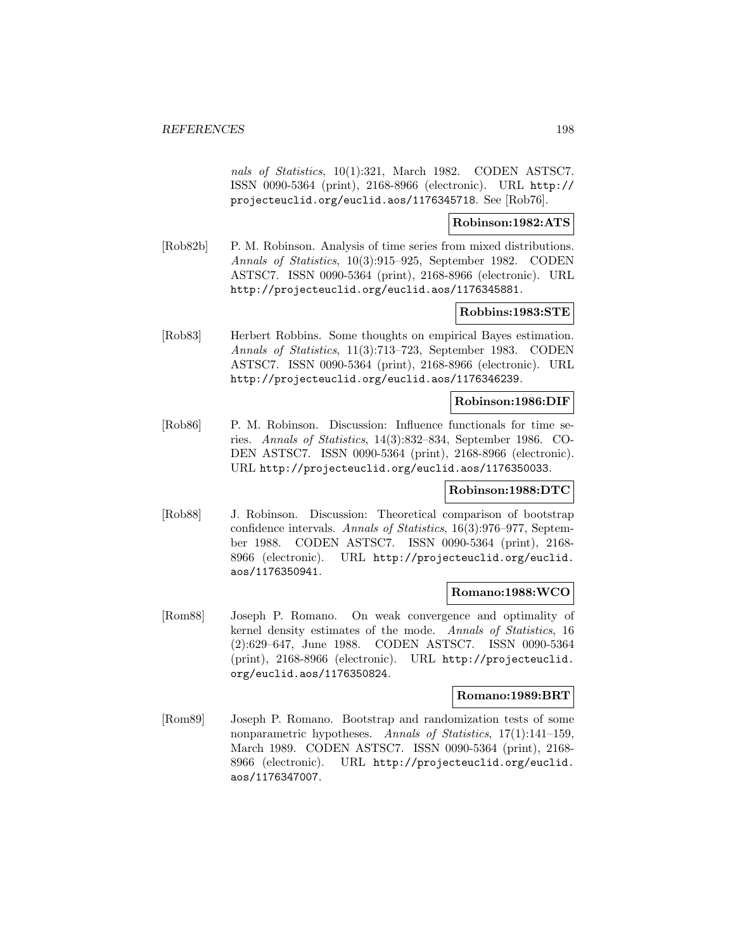nals of Statistics, 10(1):321, March 1982. CODEN ASTSC7. ISSN 0090-5364 (print), 2168-8966 (electronic). URL http:// projecteuclid.org/euclid.aos/1176345718. See [Rob76].

**Robinson:1982:ATS**

[Rob82b] P. M. Robinson. Analysis of time series from mixed distributions. Annals of Statistics, 10(3):915–925, September 1982. CODEN ASTSC7. ISSN 0090-5364 (print), 2168-8966 (electronic). URL http://projecteuclid.org/euclid.aos/1176345881.

## **Robbins:1983:STE**

[Rob83] Herbert Robbins. Some thoughts on empirical Bayes estimation. Annals of Statistics, 11(3):713–723, September 1983. CODEN ASTSC7. ISSN 0090-5364 (print), 2168-8966 (electronic). URL http://projecteuclid.org/euclid.aos/1176346239.

### **Robinson:1986:DIF**

[Rob86] P. M. Robinson. Discussion: Influence functionals for time series. Annals of Statistics, 14(3):832–834, September 1986. CO-DEN ASTSC7. ISSN 0090-5364 (print), 2168-8966 (electronic). URL http://projecteuclid.org/euclid.aos/1176350033.

#### **Robinson:1988:DTC**

[Rob88] J. Robinson. Discussion: Theoretical comparison of bootstrap confidence intervals. Annals of Statistics, 16(3):976–977, September 1988. CODEN ASTSC7. ISSN 0090-5364 (print), 2168- 8966 (electronic). URL http://projecteuclid.org/euclid. aos/1176350941.

### **Romano:1988:WCO**

[Rom88] Joseph P. Romano. On weak convergence and optimality of kernel density estimates of the mode. Annals of Statistics, 16 (2):629–647, June 1988. CODEN ASTSC7. ISSN 0090-5364 (print), 2168-8966 (electronic). URL http://projecteuclid. org/euclid.aos/1176350824.

#### **Romano:1989:BRT**

[Rom89] Joseph P. Romano. Bootstrap and randomization tests of some nonparametric hypotheses. Annals of Statistics, 17(1):141–159, March 1989. CODEN ASTSC7. ISSN 0090-5364 (print), 2168- 8966 (electronic). URL http://projecteuclid.org/euclid. aos/1176347007.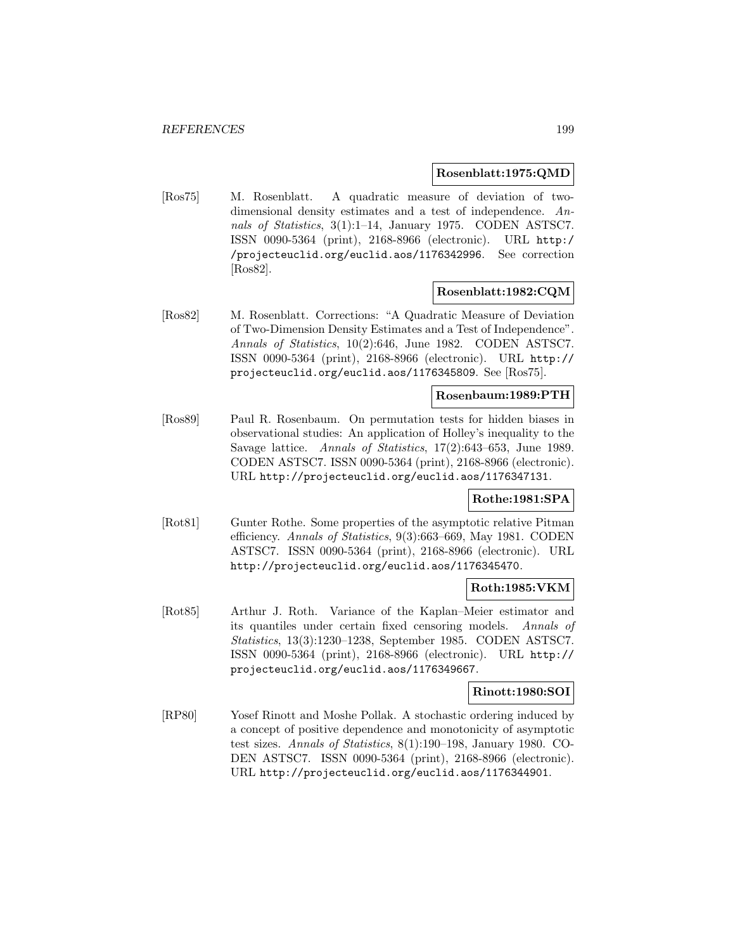#### **Rosenblatt:1975:QMD**

[Ros75] M. Rosenblatt. A quadratic measure of deviation of twodimensional density estimates and a test of independence. Annals of Statistics, 3(1):1–14, January 1975. CODEN ASTSC7. ISSN 0090-5364 (print), 2168-8966 (electronic). URL http:/ /projecteuclid.org/euclid.aos/1176342996. See correction [Ros82].

### **Rosenblatt:1982:CQM**

[Ros82] M. Rosenblatt. Corrections: "A Quadratic Measure of Deviation of Two-Dimension Density Estimates and a Test of Independence". Annals of Statistics, 10(2):646, June 1982. CODEN ASTSC7. ISSN 0090-5364 (print), 2168-8966 (electronic). URL http:// projecteuclid.org/euclid.aos/1176345809. See [Ros75].

## **Rosenbaum:1989:PTH**

[Ros89] Paul R. Rosenbaum. On permutation tests for hidden biases in observational studies: An application of Holley's inequality to the Savage lattice. Annals of Statistics, 17(2):643–653, June 1989. CODEN ASTSC7. ISSN 0090-5364 (print), 2168-8966 (electronic). URL http://projecteuclid.org/euclid.aos/1176347131.

### **Rothe:1981:SPA**

[Rot81] Gunter Rothe. Some properties of the asymptotic relative Pitman efficiency. Annals of Statistics, 9(3):663–669, May 1981. CODEN ASTSC7. ISSN 0090-5364 (print), 2168-8966 (electronic). URL http://projecteuclid.org/euclid.aos/1176345470.

# **Roth:1985:VKM**

[Rot85] Arthur J. Roth. Variance of the Kaplan–Meier estimator and its quantiles under certain fixed censoring models. Annals of Statistics, 13(3):1230–1238, September 1985. CODEN ASTSC7. ISSN 0090-5364 (print), 2168-8966 (electronic). URL http:// projecteuclid.org/euclid.aos/1176349667.

# **Rinott:1980:SOI**

[RP80] Yosef Rinott and Moshe Pollak. A stochastic ordering induced by a concept of positive dependence and monotonicity of asymptotic test sizes. Annals of Statistics, 8(1):190–198, January 1980. CO-DEN ASTSC7. ISSN 0090-5364 (print), 2168-8966 (electronic). URL http://projecteuclid.org/euclid.aos/1176344901.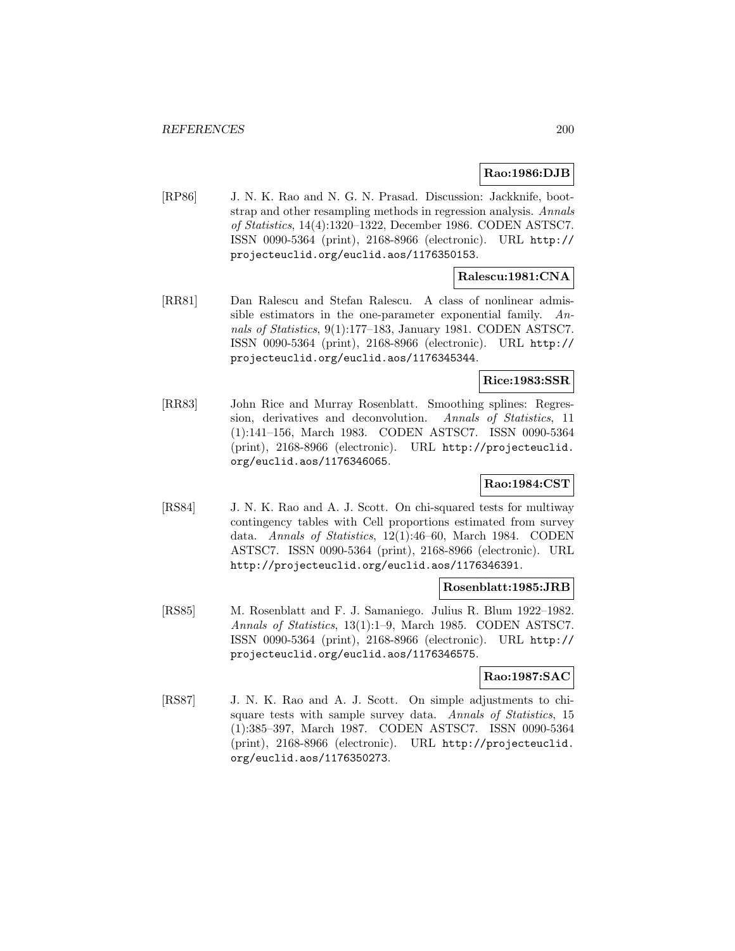# **Rao:1986:DJB**

[RP86] J. N. K. Rao and N. G. N. Prasad. Discussion: Jackknife, bootstrap and other resampling methods in regression analysis. Annals of Statistics, 14(4):1320–1322, December 1986. CODEN ASTSC7. ISSN 0090-5364 (print), 2168-8966 (electronic). URL http:// projecteuclid.org/euclid.aos/1176350153.

# **Ralescu:1981:CNA**

[RR81] Dan Ralescu and Stefan Ralescu. A class of nonlinear admissible estimators in the one-parameter exponential family. Annals of Statistics, 9(1):177–183, January 1981. CODEN ASTSC7. ISSN 0090-5364 (print), 2168-8966 (electronic). URL http:// projecteuclid.org/euclid.aos/1176345344.

## **Rice:1983:SSR**

[RR83] John Rice and Murray Rosenblatt. Smoothing splines: Regression, derivatives and deconvolution. Annals of Statistics, 11 (1):141–156, March 1983. CODEN ASTSC7. ISSN 0090-5364 (print), 2168-8966 (electronic). URL http://projecteuclid. org/euclid.aos/1176346065.

# **Rao:1984:CST**

[RS84] J. N. K. Rao and A. J. Scott. On chi-squared tests for multiway contingency tables with Cell proportions estimated from survey data. Annals of Statistics, 12(1):46–60, March 1984. CODEN ASTSC7. ISSN 0090-5364 (print), 2168-8966 (electronic). URL http://projecteuclid.org/euclid.aos/1176346391.

## **Rosenblatt:1985:JRB**

[RS85] M. Rosenblatt and F. J. Samaniego. Julius R. Blum 1922–1982. Annals of Statistics, 13(1):1–9, March 1985. CODEN ASTSC7. ISSN 0090-5364 (print), 2168-8966 (electronic). URL http:// projecteuclid.org/euclid.aos/1176346575.

### **Rao:1987:SAC**

[RS87] J. N. K. Rao and A. J. Scott. On simple adjustments to chisquare tests with sample survey data. Annals of Statistics, 15 (1):385–397, March 1987. CODEN ASTSC7. ISSN 0090-5364 (print), 2168-8966 (electronic). URL http://projecteuclid. org/euclid.aos/1176350273.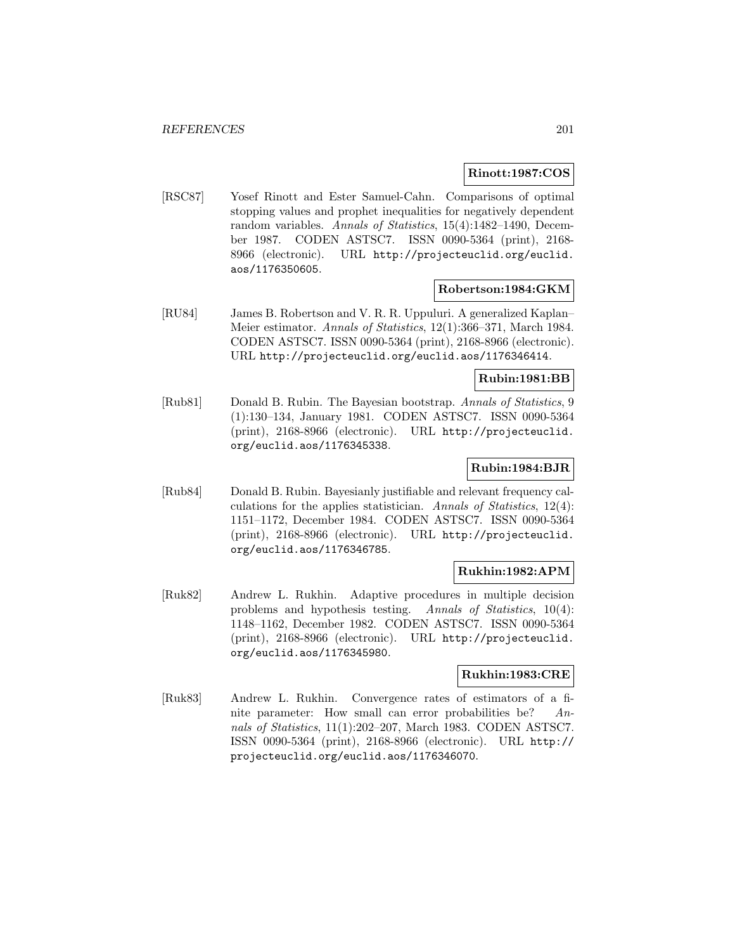### **Rinott:1987:COS**

[RSC87] Yosef Rinott and Ester Samuel-Cahn. Comparisons of optimal stopping values and prophet inequalities for negatively dependent random variables. Annals of Statistics, 15(4):1482-1490, December 1987. CODEN ASTSC7. ISSN 0090-5364 (print), 2168- 8966 (electronic). URL http://projecteuclid.org/euclid. aos/1176350605.

## **Robertson:1984:GKM**

[RU84] James B. Robertson and V. R. R. Uppuluri. A generalized Kaplan– Meier estimator. Annals of Statistics, 12(1):366–371, March 1984. CODEN ASTSC7. ISSN 0090-5364 (print), 2168-8966 (electronic). URL http://projecteuclid.org/euclid.aos/1176346414.

#### **Rubin:1981:BB**

[Rub81] Donald B. Rubin. The Bayesian bootstrap. Annals of Statistics, 9 (1):130–134, January 1981. CODEN ASTSC7. ISSN 0090-5364 (print), 2168-8966 (electronic). URL http://projecteuclid. org/euclid.aos/1176345338.

## **Rubin:1984:BJR**

[Rub84] Donald B. Rubin. Bayesianly justifiable and relevant frequency calculations for the applies statistician. Annals of Statistics, 12(4): 1151–1172, December 1984. CODEN ASTSC7. ISSN 0090-5364 (print), 2168-8966 (electronic). URL http://projecteuclid. org/euclid.aos/1176346785.

### **Rukhin:1982:APM**

[Ruk82] Andrew L. Rukhin. Adaptive procedures in multiple decision problems and hypothesis testing. Annals of Statistics, 10(4): 1148–1162, December 1982. CODEN ASTSC7. ISSN 0090-5364 (print), 2168-8966 (electronic). URL http://projecteuclid. org/euclid.aos/1176345980.

# **Rukhin:1983:CRE**

[Ruk83] Andrew L. Rukhin. Convergence rates of estimators of a finite parameter: How small can error probabilities be? Annals of Statistics, 11(1):202–207, March 1983. CODEN ASTSC7. ISSN 0090-5364 (print), 2168-8966 (electronic). URL http:// projecteuclid.org/euclid.aos/1176346070.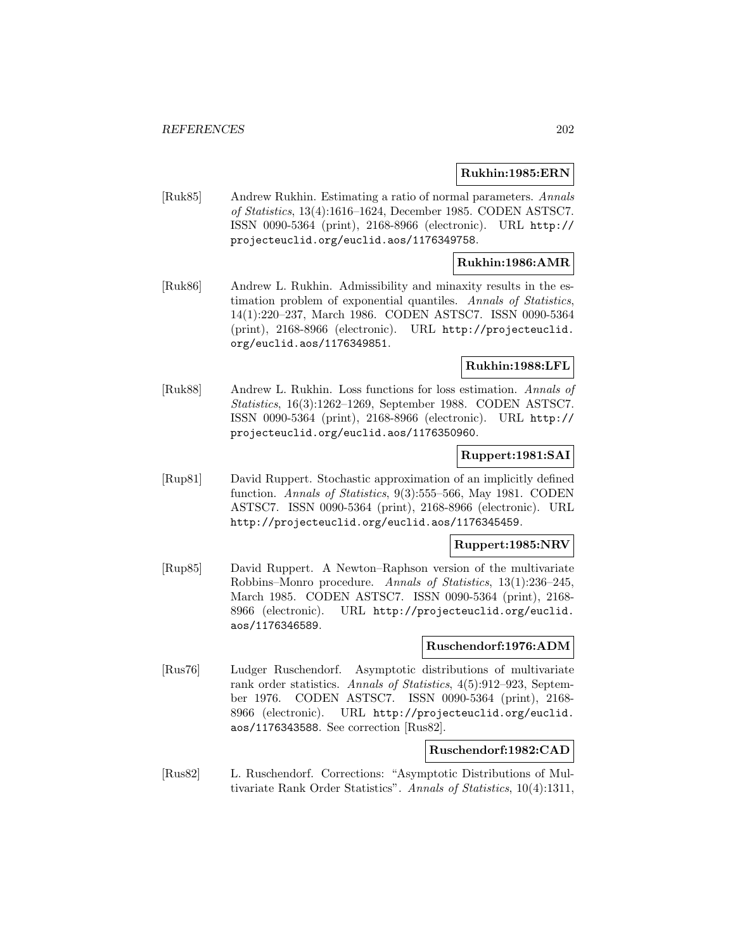#### **Rukhin:1985:ERN**

[Ruk85] Andrew Rukhin. Estimating a ratio of normal parameters. Annals of Statistics, 13(4):1616–1624, December 1985. CODEN ASTSC7. ISSN 0090-5364 (print), 2168-8966 (electronic). URL http:// projecteuclid.org/euclid.aos/1176349758.

## **Rukhin:1986:AMR**

[Ruk86] Andrew L. Rukhin. Admissibility and minaxity results in the estimation problem of exponential quantiles. Annals of Statistics, 14(1):220–237, March 1986. CODEN ASTSC7. ISSN 0090-5364 (print), 2168-8966 (electronic). URL http://projecteuclid. org/euclid.aos/1176349851.

## **Rukhin:1988:LFL**

[Ruk88] Andrew L. Rukhin. Loss functions for loss estimation. Annals of Statistics, 16(3):1262–1269, September 1988. CODEN ASTSC7. ISSN 0090-5364 (print), 2168-8966 (electronic). URL http:// projecteuclid.org/euclid.aos/1176350960.

### **Ruppert:1981:SAI**

[Rup81] David Ruppert. Stochastic approximation of an implicitly defined function. Annals of Statistics, 9(3):555-566, May 1981. CODEN ASTSC7. ISSN 0090-5364 (print), 2168-8966 (electronic). URL http://projecteuclid.org/euclid.aos/1176345459.

#### **Ruppert:1985:NRV**

[Rup85] David Ruppert. A Newton–Raphson version of the multivariate Robbins–Monro procedure. Annals of Statistics, 13(1):236–245, March 1985. CODEN ASTSC7. ISSN 0090-5364 (print), 2168- 8966 (electronic). URL http://projecteuclid.org/euclid. aos/1176346589.

### **Ruschendorf:1976:ADM**

[Rus76] Ludger Ruschendorf. Asymptotic distributions of multivariate rank order statistics. Annals of Statistics, 4(5):912–923, September 1976. CODEN ASTSC7. ISSN 0090-5364 (print), 2168- 8966 (electronic). URL http://projecteuclid.org/euclid. aos/1176343588. See correction [Rus82].

### **Ruschendorf:1982:CAD**

[Rus82] L. Ruschendorf. Corrections: "Asymptotic Distributions of Multivariate Rank Order Statistics". Annals of Statistics, 10(4):1311,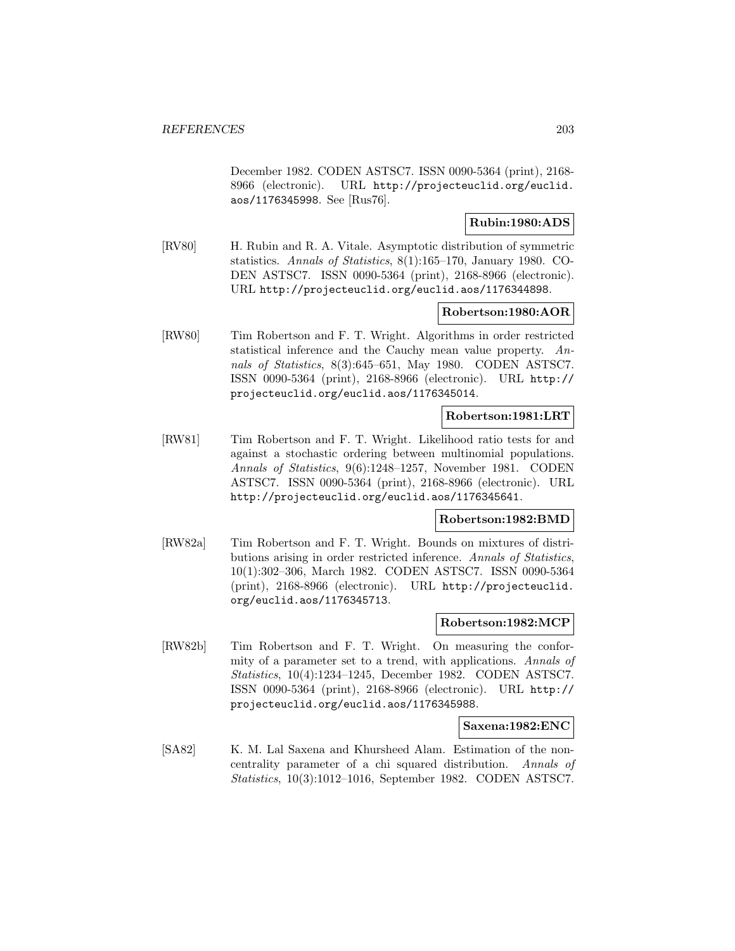December 1982. CODEN ASTSC7. ISSN 0090-5364 (print), 2168- 8966 (electronic). URL http://projecteuclid.org/euclid. aos/1176345998. See [Rus76].

# **Rubin:1980:ADS**

[RV80] H. Rubin and R. A. Vitale. Asymptotic distribution of symmetric statistics. Annals of Statistics, 8(1):165–170, January 1980. CO-DEN ASTSC7. ISSN 0090-5364 (print), 2168-8966 (electronic). URL http://projecteuclid.org/euclid.aos/1176344898.

### **Robertson:1980:AOR**

[RW80] Tim Robertson and F. T. Wright. Algorithms in order restricted statistical inference and the Cauchy mean value property. Annals of Statistics, 8(3):645–651, May 1980. CODEN ASTSC7. ISSN 0090-5364 (print), 2168-8966 (electronic). URL http:// projecteuclid.org/euclid.aos/1176345014.

## **Robertson:1981:LRT**

[RW81] Tim Robertson and F. T. Wright. Likelihood ratio tests for and against a stochastic ordering between multinomial populations. Annals of Statistics, 9(6):1248–1257, November 1981. CODEN ASTSC7. ISSN 0090-5364 (print), 2168-8966 (electronic). URL http://projecteuclid.org/euclid.aos/1176345641.

### **Robertson:1982:BMD**

[RW82a] Tim Robertson and F. T. Wright. Bounds on mixtures of distributions arising in order restricted inference. Annals of Statistics, 10(1):302–306, March 1982. CODEN ASTSC7. ISSN 0090-5364 (print), 2168-8966 (electronic). URL http://projecteuclid. org/euclid.aos/1176345713.

#### **Robertson:1982:MCP**

[RW82b] Tim Robertson and F. T. Wright. On measuring the conformity of a parameter set to a trend, with applications. Annals of Statistics, 10(4):1234–1245, December 1982. CODEN ASTSC7. ISSN 0090-5364 (print), 2168-8966 (electronic). URL http:// projecteuclid.org/euclid.aos/1176345988.

### **Saxena:1982:ENC**

[SA82] K. M. Lal Saxena and Khursheed Alam. Estimation of the noncentrality parameter of a chi squared distribution. Annals of Statistics, 10(3):1012–1016, September 1982. CODEN ASTSC7.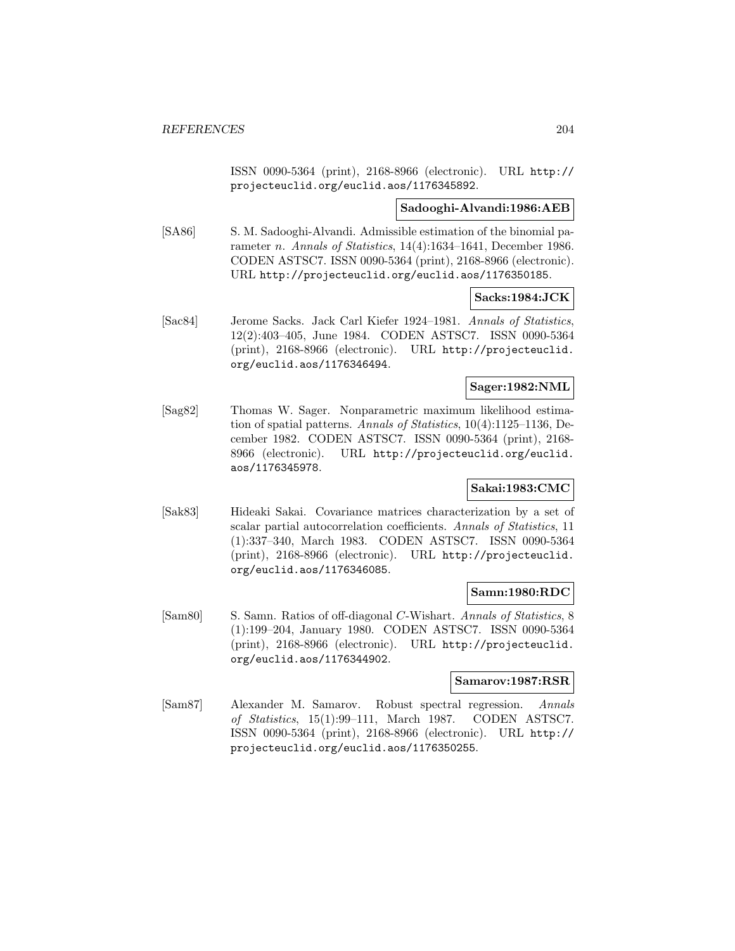ISSN 0090-5364 (print), 2168-8966 (electronic). URL http:// projecteuclid.org/euclid.aos/1176345892.

### **Sadooghi-Alvandi:1986:AEB**

[SA86] S. M. Sadooghi-Alvandi. Admissible estimation of the binomial parameter *n. Annals of Statistics*, 14(4):1634–1641, December 1986. CODEN ASTSC7. ISSN 0090-5364 (print), 2168-8966 (electronic). URL http://projecteuclid.org/euclid.aos/1176350185.

#### **Sacks:1984:JCK**

[Sac84] Jerome Sacks. Jack Carl Kiefer 1924–1981. Annals of Statistics, 12(2):403–405, June 1984. CODEN ASTSC7. ISSN 0090-5364 (print), 2168-8966 (electronic). URL http://projecteuclid. org/euclid.aos/1176346494.

## **Sager:1982:NML**

[Sag82] Thomas W. Sager. Nonparametric maximum likelihood estimation of spatial patterns. Annals of Statistics, 10(4):1125–1136, December 1982. CODEN ASTSC7. ISSN 0090-5364 (print), 2168- 8966 (electronic). URL http://projecteuclid.org/euclid. aos/1176345978.

## **Sakai:1983:CMC**

[Sak83] Hideaki Sakai. Covariance matrices characterization by a set of scalar partial autocorrelation coefficients. Annals of Statistics, 11 (1):337–340, March 1983. CODEN ASTSC7. ISSN 0090-5364 (print), 2168-8966 (electronic). URL http://projecteuclid. org/euclid.aos/1176346085.

### **Samn:1980:RDC**

[Sam80] S. Samn. Ratios of off-diagonal C-Wishart. Annals of Statistics, 8 (1):199–204, January 1980. CODEN ASTSC7. ISSN 0090-5364 (print), 2168-8966 (electronic). URL http://projecteuclid. org/euclid.aos/1176344902.

#### **Samarov:1987:RSR**

[Sam87] Alexander M. Samarov. Robust spectral regression. Annals of Statistics, 15(1):99–111, March 1987. CODEN ASTSC7. ISSN 0090-5364 (print), 2168-8966 (electronic). URL http:// projecteuclid.org/euclid.aos/1176350255.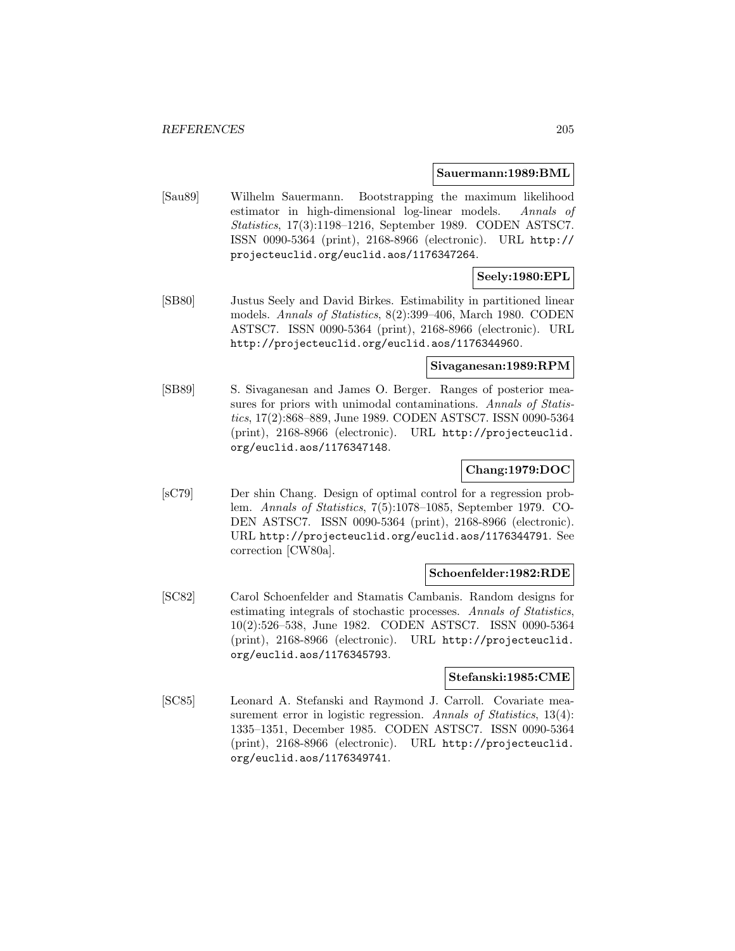#### **Sauermann:1989:BML**

[Sau89] Wilhelm Sauermann. Bootstrapping the maximum likelihood estimator in high-dimensional log-linear models. Annals of Statistics, 17(3):1198–1216, September 1989. CODEN ASTSC7. ISSN 0090-5364 (print), 2168-8966 (electronic). URL http:// projecteuclid.org/euclid.aos/1176347264.

## **Seely:1980:EPL**

[SB80] Justus Seely and David Birkes. Estimability in partitioned linear models. Annals of Statistics, 8(2):399–406, March 1980. CODEN ASTSC7. ISSN 0090-5364 (print), 2168-8966 (electronic). URL http://projecteuclid.org/euclid.aos/1176344960.

## **Sivaganesan:1989:RPM**

[SB89] S. Sivaganesan and James O. Berger. Ranges of posterior measures for priors with unimodal contaminations. Annals of Statistics, 17(2):868–889, June 1989. CODEN ASTSC7. ISSN 0090-5364 (print), 2168-8966 (electronic). URL http://projecteuclid. org/euclid.aos/1176347148.

### **Chang:1979:DOC**

[sC79] Der shin Chang. Design of optimal control for a regression problem. Annals of Statistics, 7(5):1078–1085, September 1979. CO-DEN ASTSC7. ISSN 0090-5364 (print), 2168-8966 (electronic). URL http://projecteuclid.org/euclid.aos/1176344791. See correction [CW80a].

### **Schoenfelder:1982:RDE**

[SC82] Carol Schoenfelder and Stamatis Cambanis. Random designs for estimating integrals of stochastic processes. Annals of Statistics, 10(2):526–538, June 1982. CODEN ASTSC7. ISSN 0090-5364 (print), 2168-8966 (electronic). URL http://projecteuclid. org/euclid.aos/1176345793.

# **Stefanski:1985:CME**

[SC85] Leonard A. Stefanski and Raymond J. Carroll. Covariate measurement error in logistic regression. Annals of Statistics, 13(4): 1335–1351, December 1985. CODEN ASTSC7. ISSN 0090-5364 (print), 2168-8966 (electronic). URL http://projecteuclid. org/euclid.aos/1176349741.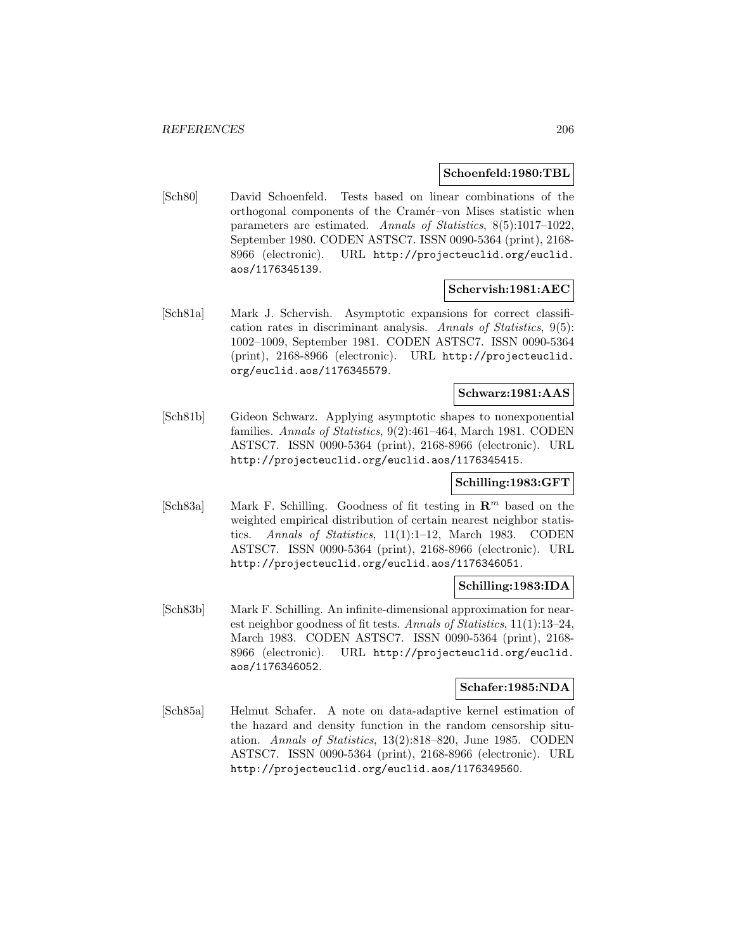#### **Schoenfeld:1980:TBL**

[Sch80] David Schoenfeld. Tests based on linear combinations of the orthogonal components of the Cram´er–von Mises statistic when parameters are estimated. Annals of Statistics, 8(5):1017–1022, September 1980. CODEN ASTSC7. ISSN 0090-5364 (print), 2168- 8966 (electronic). URL http://projecteuclid.org/euclid. aos/1176345139.

#### **Schervish:1981:AEC**

[Sch81a] Mark J. Schervish. Asymptotic expansions for correct classification rates in discriminant analysis. Annals of Statistics, 9(5): 1002–1009, September 1981. CODEN ASTSC7. ISSN 0090-5364 (print), 2168-8966 (electronic). URL http://projecteuclid. org/euclid.aos/1176345579.

# **Schwarz:1981:AAS**

[Sch81b] Gideon Schwarz. Applying asymptotic shapes to nonexponential families. Annals of Statistics, 9(2):461–464, March 1981. CODEN ASTSC7. ISSN 0090-5364 (print), 2168-8966 (electronic). URL http://projecteuclid.org/euclid.aos/1176345415.

## **Schilling:1983:GFT**

[Sch83a] Mark F. Schilling. Goodness of fit testing in **R**<sup>m</sup> based on the weighted empirical distribution of certain nearest neighbor statistics. Annals of Statistics, 11(1):1–12, March 1983. CODEN ASTSC7. ISSN 0090-5364 (print), 2168-8966 (electronic). URL http://projecteuclid.org/euclid.aos/1176346051.

### **Schilling:1983:IDA**

[Sch83b] Mark F. Schilling. An infinite-dimensional approximation for nearest neighbor goodness of fit tests. Annals of Statistics, 11(1):13–24, March 1983. CODEN ASTSC7. ISSN 0090-5364 (print), 2168- 8966 (electronic). URL http://projecteuclid.org/euclid. aos/1176346052.

### **Schafer:1985:NDA**

[Sch85a] Helmut Schafer. A note on data-adaptive kernel estimation of the hazard and density function in the random censorship situation. Annals of Statistics, 13(2):818–820, June 1985. CODEN ASTSC7. ISSN 0090-5364 (print), 2168-8966 (electronic). URL http://projecteuclid.org/euclid.aos/1176349560.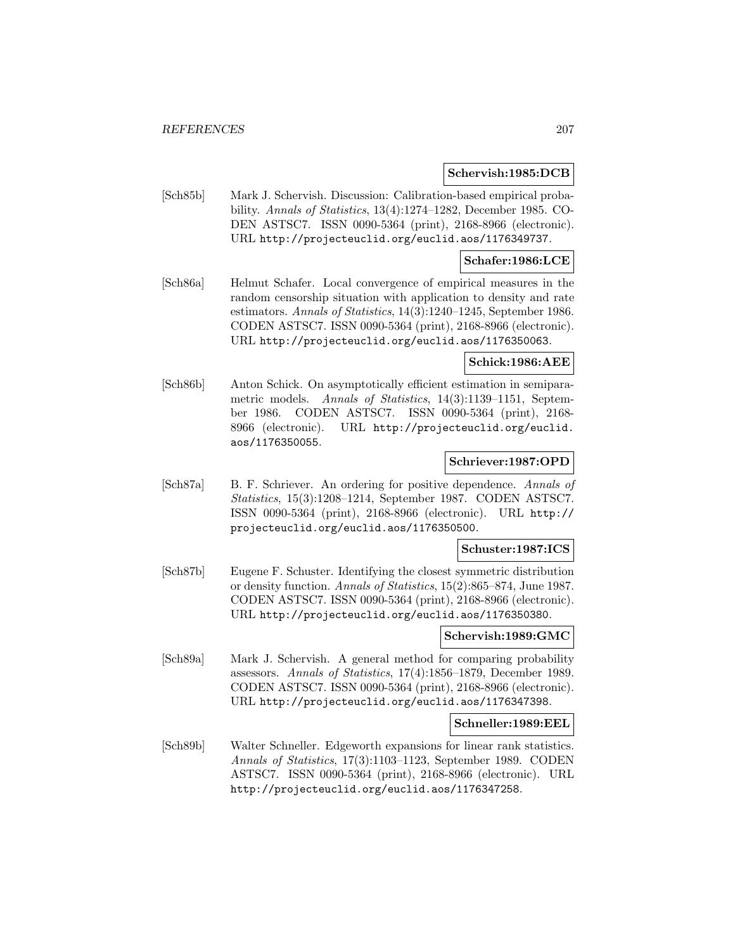#### **Schervish:1985:DCB**

[Sch85b] Mark J. Schervish. Discussion: Calibration-based empirical probability. Annals of Statistics, 13(4):1274–1282, December 1985. CO-DEN ASTSC7. ISSN 0090-5364 (print), 2168-8966 (electronic). URL http://projecteuclid.org/euclid.aos/1176349737.

# **Schafer:1986:LCE**

[Sch86a] Helmut Schafer. Local convergence of empirical measures in the random censorship situation with application to density and rate estimators. Annals of Statistics, 14(3):1240–1245, September 1986. CODEN ASTSC7. ISSN 0090-5364 (print), 2168-8966 (electronic). URL http://projecteuclid.org/euclid.aos/1176350063.

## **Schick:1986:AEE**

[Sch86b] Anton Schick. On asymptotically efficient estimation in semiparametric models. Annals of Statistics, 14(3):1139–1151, September 1986. CODEN ASTSC7. ISSN 0090-5364 (print), 2168- 8966 (electronic). URL http://projecteuclid.org/euclid. aos/1176350055.

## **Schriever:1987:OPD**

[Sch87a] B. F. Schriever. An ordering for positive dependence. Annals of Statistics, 15(3):1208–1214, September 1987. CODEN ASTSC7. ISSN 0090-5364 (print), 2168-8966 (electronic). URL http:// projecteuclid.org/euclid.aos/1176350500.

## **Schuster:1987:ICS**

[Sch87b] Eugene F. Schuster. Identifying the closest symmetric distribution or density function. Annals of Statistics, 15(2):865–874, June 1987. CODEN ASTSC7. ISSN 0090-5364 (print), 2168-8966 (electronic). URL http://projecteuclid.org/euclid.aos/1176350380.

#### **Schervish:1989:GMC**

[Sch89a] Mark J. Schervish. A general method for comparing probability assessors. Annals of Statistics, 17(4):1856–1879, December 1989. CODEN ASTSC7. ISSN 0090-5364 (print), 2168-8966 (electronic). URL http://projecteuclid.org/euclid.aos/1176347398.

#### **Schneller:1989:EEL**

[Sch89b] Walter Schneller. Edgeworth expansions for linear rank statistics. Annals of Statistics, 17(3):1103–1123, September 1989. CODEN ASTSC7. ISSN 0090-5364 (print), 2168-8966 (electronic). URL http://projecteuclid.org/euclid.aos/1176347258.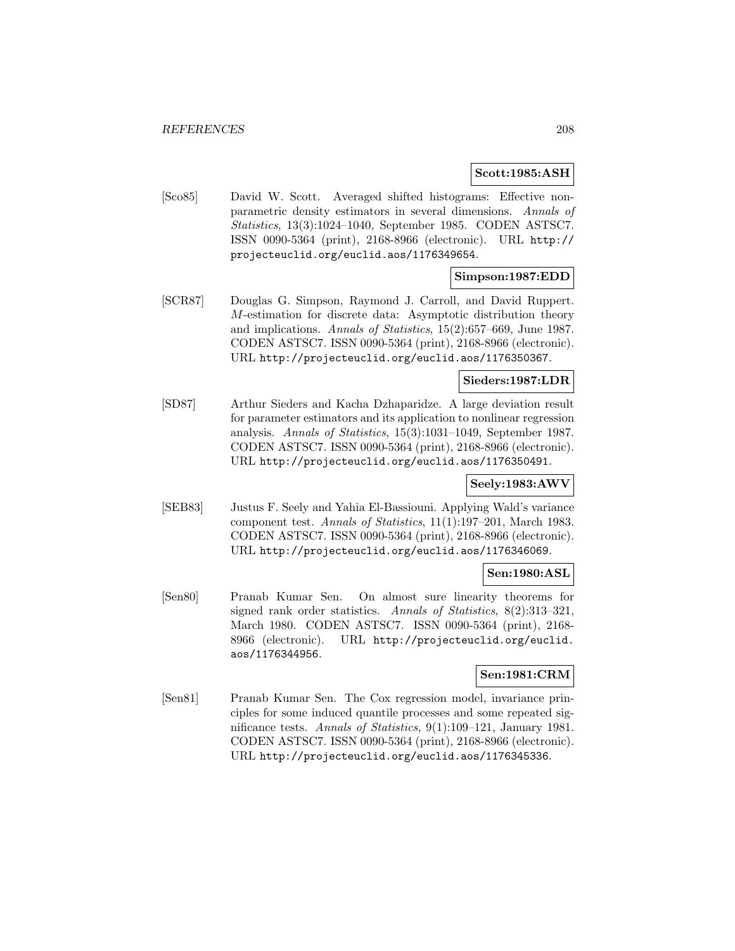#### **Scott:1985:ASH**

[Sco85] David W. Scott. Averaged shifted histograms: Effective nonparametric density estimators in several dimensions. Annals of Statistics, 13(3):1024–1040, September 1985. CODEN ASTSC7. ISSN 0090-5364 (print), 2168-8966 (electronic). URL http:// projecteuclid.org/euclid.aos/1176349654.

### **Simpson:1987:EDD**

[SCR87] Douglas G. Simpson, Raymond J. Carroll, and David Ruppert. M-estimation for discrete data: Asymptotic distribution theory and implications. Annals of Statistics, 15(2):657–669, June 1987. CODEN ASTSC7. ISSN 0090-5364 (print), 2168-8966 (electronic). URL http://projecteuclid.org/euclid.aos/1176350367.

## **Sieders:1987:LDR**

[SD87] Arthur Sieders and Kacha Dzhaparidze. A large deviation result for parameter estimators and its application to nonlinear regression analysis. Annals of Statistics, 15(3):1031–1049, September 1987. CODEN ASTSC7. ISSN 0090-5364 (print), 2168-8966 (electronic). URL http://projecteuclid.org/euclid.aos/1176350491.

# **Seely:1983:AWV**

[SEB83] Justus F. Seely and Yahia El-Bassiouni. Applying Wald's variance component test. Annals of Statistics, 11(1):197–201, March 1983. CODEN ASTSC7. ISSN 0090-5364 (print), 2168-8966 (electronic). URL http://projecteuclid.org/euclid.aos/1176346069.

### **Sen:1980:ASL**

[Sen80] Pranab Kumar Sen. On almost sure linearity theorems for signed rank order statistics. Annals of Statistics, 8(2):313–321, March 1980. CODEN ASTSC7. ISSN 0090-5364 (print), 2168- 8966 (electronic). URL http://projecteuclid.org/euclid. aos/1176344956.

### **Sen:1981:CRM**

[Sen81] Pranab Kumar Sen. The Cox regression model, invariance principles for some induced quantile processes and some repeated significance tests. Annals of Statistics, 9(1):109–121, January 1981. CODEN ASTSC7. ISSN 0090-5364 (print), 2168-8966 (electronic). URL http://projecteuclid.org/euclid.aos/1176345336.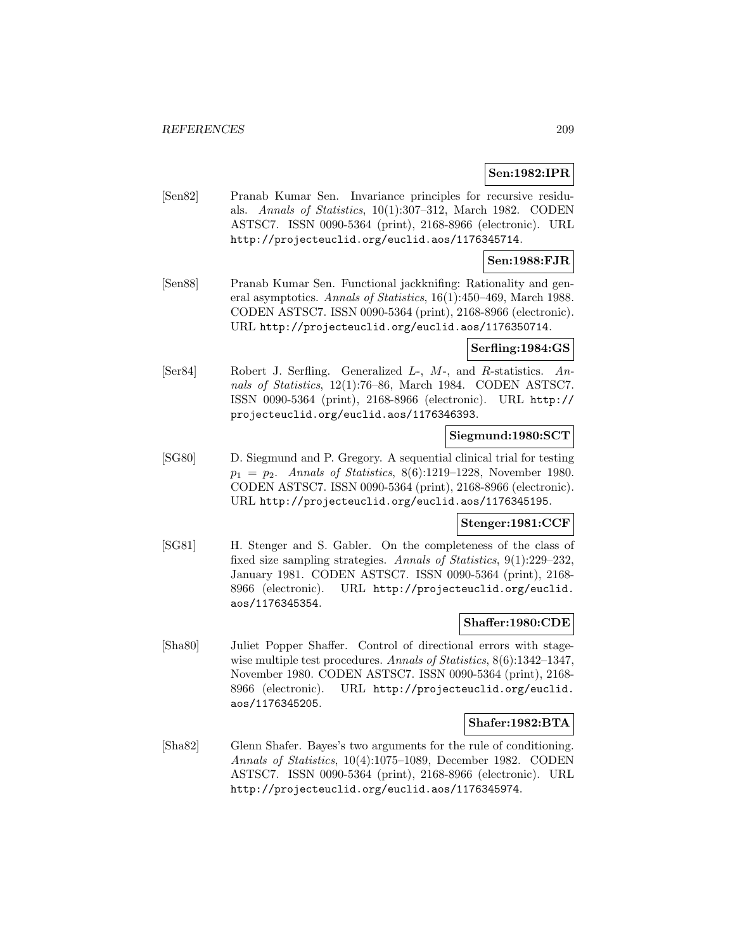## **Sen:1982:IPR**

[Sen82] Pranab Kumar Sen. Invariance principles for recursive residuals. Annals of Statistics, 10(1):307–312, March 1982. CODEN ASTSC7. ISSN 0090-5364 (print), 2168-8966 (electronic). URL http://projecteuclid.org/euclid.aos/1176345714.

## **Sen:1988:FJR**

[Sen88] Pranab Kumar Sen. Functional jackknifing: Rationality and general asymptotics. Annals of Statistics, 16(1):450–469, March 1988. CODEN ASTSC7. ISSN 0090-5364 (print), 2168-8966 (electronic). URL http://projecteuclid.org/euclid.aos/1176350714.

#### **Serfling:1984:GS**

[Ser84] Robert J. Serfling. Generalized L-, M-, and R-statistics. Annals of Statistics, 12(1):76–86, March 1984. CODEN ASTSC7. ISSN 0090-5364 (print), 2168-8966 (electronic). URL http:// projecteuclid.org/euclid.aos/1176346393.

## **Siegmund:1980:SCT**

[SG80] D. Siegmund and P. Gregory. A sequential clinical trial for testing  $p_1 = p_2$ . Annals of Statistics, 8(6):1219–1228, November 1980. CODEN ASTSC7. ISSN 0090-5364 (print), 2168-8966 (electronic). URL http://projecteuclid.org/euclid.aos/1176345195.

### **Stenger:1981:CCF**

[SG81] H. Stenger and S. Gabler. On the completeness of the class of fixed size sampling strategies. Annals of Statistics, 9(1):229–232, January 1981. CODEN ASTSC7. ISSN 0090-5364 (print), 2168- 8966 (electronic). URL http://projecteuclid.org/euclid. aos/1176345354.

## **Shaffer:1980:CDE**

[Sha80] Juliet Popper Shaffer. Control of directional errors with stagewise multiple test procedures. Annals of Statistics, 8(6):1342-1347, November 1980. CODEN ASTSC7. ISSN 0090-5364 (print), 2168- 8966 (electronic). URL http://projecteuclid.org/euclid. aos/1176345205.

### **Shafer:1982:BTA**

[Sha82] Glenn Shafer. Bayes's two arguments for the rule of conditioning. Annals of Statistics, 10(4):1075–1089, December 1982. CODEN ASTSC7. ISSN 0090-5364 (print), 2168-8966 (electronic). URL http://projecteuclid.org/euclid.aos/1176345974.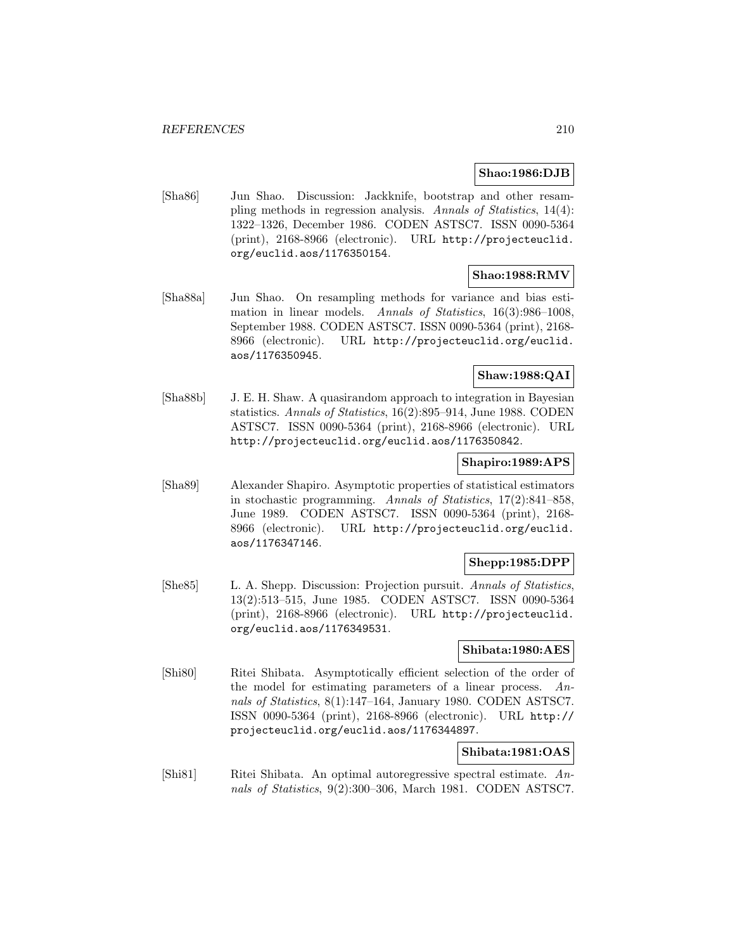### **Shao:1986:DJB**

[Sha86] Jun Shao. Discussion: Jackknife, bootstrap and other resampling methods in regression analysis. Annals of Statistics, 14(4): 1322–1326, December 1986. CODEN ASTSC7. ISSN 0090-5364 (print), 2168-8966 (electronic). URL http://projecteuclid. org/euclid.aos/1176350154.

# **Shao:1988:RMV**

[Sha88a] Jun Shao. On resampling methods for variance and bias estimation in linear models. Annals of Statistics, 16(3):986–1008, September 1988. CODEN ASTSC7. ISSN 0090-5364 (print), 2168- 8966 (electronic). URL http://projecteuclid.org/euclid. aos/1176350945.

# **Shaw:1988:QAI**

[Sha88b] J. E. H. Shaw. A quasirandom approach to integration in Bayesian statistics. Annals of Statistics, 16(2):895–914, June 1988. CODEN ASTSC7. ISSN 0090-5364 (print), 2168-8966 (electronic). URL http://projecteuclid.org/euclid.aos/1176350842.

### **Shapiro:1989:APS**

[Sha89] Alexander Shapiro. Asymptotic properties of statistical estimators in stochastic programming. Annals of Statistics, 17(2):841–858, June 1989. CODEN ASTSC7. ISSN 0090-5364 (print), 2168- 8966 (electronic). URL http://projecteuclid.org/euclid. aos/1176347146.

# **Shepp:1985:DPP**

[She85] L. A. Shepp. Discussion: Projection pursuit. Annals of Statistics, 13(2):513–515, June 1985. CODEN ASTSC7. ISSN 0090-5364 (print), 2168-8966 (electronic). URL http://projecteuclid. org/euclid.aos/1176349531.

#### **Shibata:1980:AES**

[Shi80] Ritei Shibata. Asymptotically efficient selection of the order of the model for estimating parameters of a linear process. Annals of Statistics, 8(1):147–164, January 1980. CODEN ASTSC7. ISSN 0090-5364 (print), 2168-8966 (electronic). URL http:// projecteuclid.org/euclid.aos/1176344897.

### **Shibata:1981:OAS**

[Shi81] Ritei Shibata. An optimal autoregressive spectral estimate. Annals of Statistics, 9(2):300–306, March 1981. CODEN ASTSC7.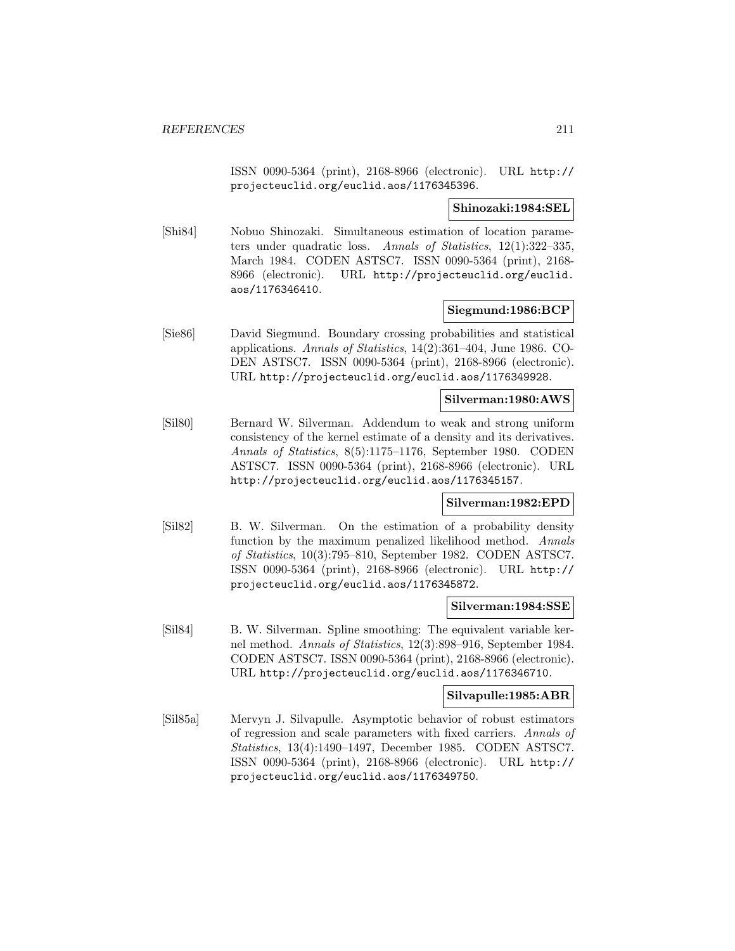ISSN 0090-5364 (print), 2168-8966 (electronic). URL http:// projecteuclid.org/euclid.aos/1176345396.

### **Shinozaki:1984:SEL**

[Shi84] Nobuo Shinozaki. Simultaneous estimation of location parameters under quadratic loss. Annals of Statistics, 12(1):322–335, March 1984. CODEN ASTSC7. ISSN 0090-5364 (print), 2168- 8966 (electronic). URL http://projecteuclid.org/euclid. aos/1176346410.

## **Siegmund:1986:BCP**

[Sie86] David Siegmund. Boundary crossing probabilities and statistical applications. Annals of Statistics, 14(2):361–404, June 1986. CO-DEN ASTSC7. ISSN 0090-5364 (print), 2168-8966 (electronic). URL http://projecteuclid.org/euclid.aos/1176349928.

## **Silverman:1980:AWS**

[Sil80] Bernard W. Silverman. Addendum to weak and strong uniform consistency of the kernel estimate of a density and its derivatives. Annals of Statistics, 8(5):1175–1176, September 1980. CODEN ASTSC7. ISSN 0090-5364 (print), 2168-8966 (electronic). URL http://projecteuclid.org/euclid.aos/1176345157.

#### **Silverman:1982:EPD**

[Sil82] B. W. Silverman. On the estimation of a probability density function by the maximum penalized likelihood method. Annals of Statistics, 10(3):795–810, September 1982. CODEN ASTSC7. ISSN 0090-5364 (print), 2168-8966 (electronic). URL http:// projecteuclid.org/euclid.aos/1176345872.

### **Silverman:1984:SSE**

[Sil84] B. W. Silverman. Spline smoothing: The equivalent variable kernel method. Annals of Statistics, 12(3):898–916, September 1984. CODEN ASTSC7. ISSN 0090-5364 (print), 2168-8966 (electronic). URL http://projecteuclid.org/euclid.aos/1176346710.

#### **Silvapulle:1985:ABR**

[Sil85a] Mervyn J. Silvapulle. Asymptotic behavior of robust estimators of regression and scale parameters with fixed carriers. Annals of Statistics, 13(4):1490–1497, December 1985. CODEN ASTSC7. ISSN 0090-5364 (print), 2168-8966 (electronic). URL http:// projecteuclid.org/euclid.aos/1176349750.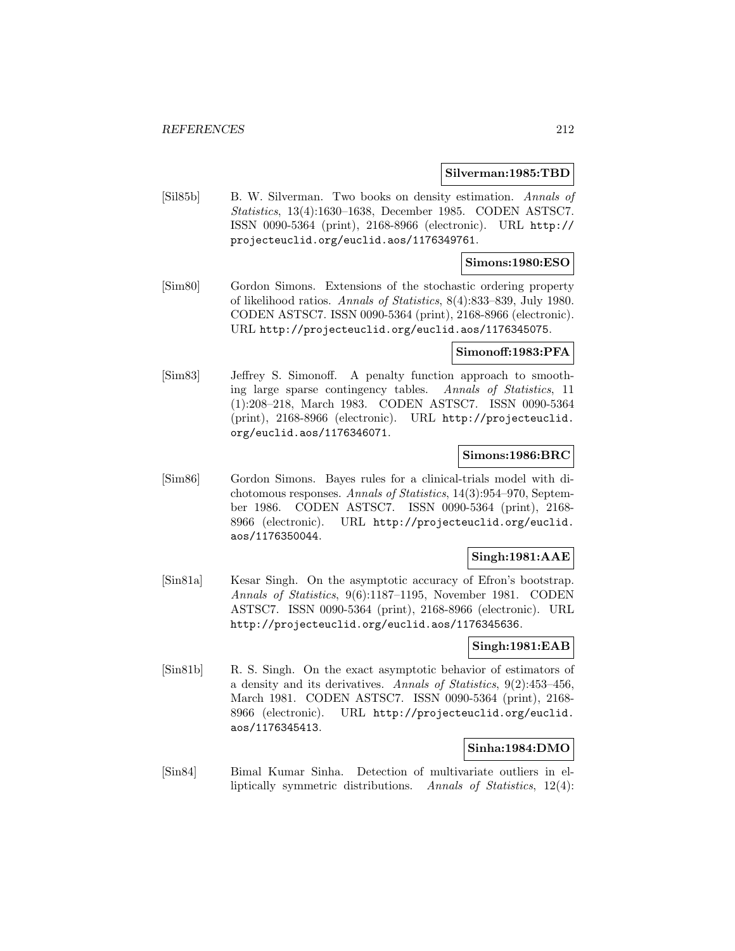#### **Silverman:1985:TBD**

[Sil85b] B. W. Silverman. Two books on density estimation. Annals of Statistics, 13(4):1630–1638, December 1985. CODEN ASTSC7. ISSN 0090-5364 (print), 2168-8966 (electronic). URL http:// projecteuclid.org/euclid.aos/1176349761.

### **Simons:1980:ESO**

[Sim80] Gordon Simons. Extensions of the stochastic ordering property of likelihood ratios. Annals of Statistics, 8(4):833–839, July 1980. CODEN ASTSC7. ISSN 0090-5364 (print), 2168-8966 (electronic). URL http://projecteuclid.org/euclid.aos/1176345075.

#### **Simonoff:1983:PFA**

[Sim83] Jeffrey S. Simonoff. A penalty function approach to smoothing large sparse contingency tables. Annals of Statistics, 11 (1):208–218, March 1983. CODEN ASTSC7. ISSN 0090-5364 (print), 2168-8966 (electronic). URL http://projecteuclid. org/euclid.aos/1176346071.

## **Simons:1986:BRC**

[Sim86] Gordon Simons. Bayes rules for a clinical-trials model with dichotomous responses. Annals of Statistics, 14(3):954–970, September 1986. CODEN ASTSC7. ISSN 0090-5364 (print), 2168- 8966 (electronic). URL http://projecteuclid.org/euclid. aos/1176350044.

### **Singh:1981:AAE**

[Sin81a] Kesar Singh. On the asymptotic accuracy of Efron's bootstrap. Annals of Statistics, 9(6):1187–1195, November 1981. CODEN ASTSC7. ISSN 0090-5364 (print), 2168-8966 (electronic). URL http://projecteuclid.org/euclid.aos/1176345636.

### **Singh:1981:EAB**

[Sin81b] R. S. Singh. On the exact asymptotic behavior of estimators of a density and its derivatives. Annals of Statistics, 9(2):453–456, March 1981. CODEN ASTSC7. ISSN 0090-5364 (print), 2168- 8966 (electronic). URL http://projecteuclid.org/euclid. aos/1176345413.

#### **Sinha:1984:DMO**

[Sin84] Bimal Kumar Sinha. Detection of multivariate outliers in elliptically symmetric distributions. Annals of Statistics, 12(4):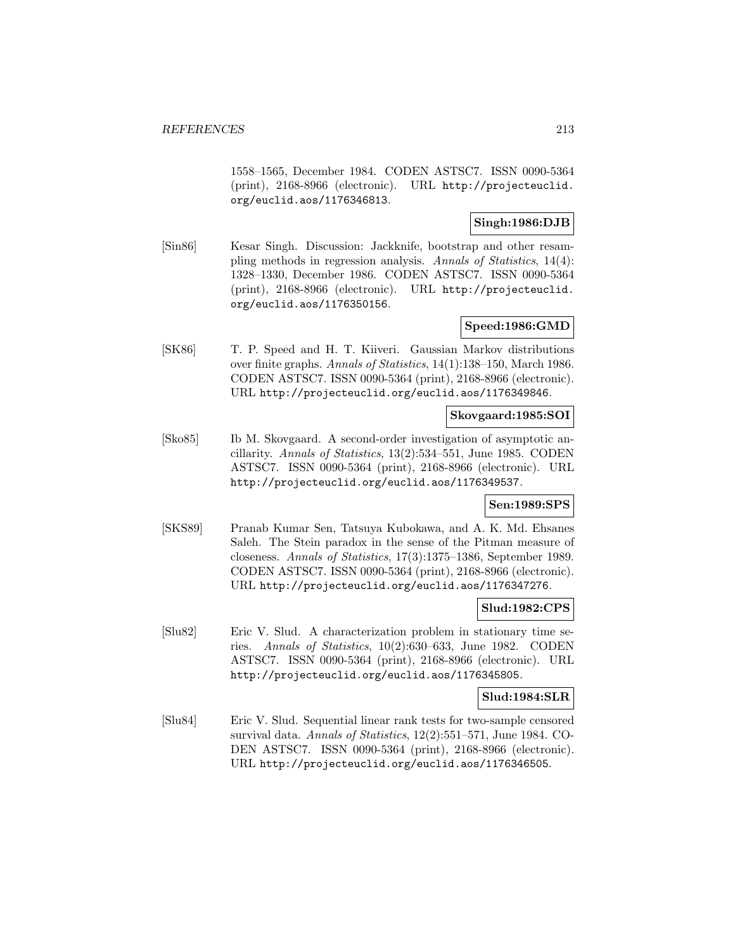1558–1565, December 1984. CODEN ASTSC7. ISSN 0090-5364 (print), 2168-8966 (electronic). URL http://projecteuclid. org/euclid.aos/1176346813.

# **Singh:1986:DJB**

[Sin86] Kesar Singh. Discussion: Jackknife, bootstrap and other resampling methods in regression analysis. Annals of Statistics, 14(4): 1328–1330, December 1986. CODEN ASTSC7. ISSN 0090-5364 (print), 2168-8966 (electronic). URL http://projecteuclid. org/euclid.aos/1176350156.

## **Speed:1986:GMD**

[SK86] T. P. Speed and H. T. Kiiveri. Gaussian Markov distributions over finite graphs. Annals of Statistics, 14(1):138–150, March 1986. CODEN ASTSC7. ISSN 0090-5364 (print), 2168-8966 (electronic). URL http://projecteuclid.org/euclid.aos/1176349846.

# **Skovgaard:1985:SOI**

[Sko85] Ib M. Skovgaard. A second-order investigation of asymptotic ancillarity. Annals of Statistics, 13(2):534–551, June 1985. CODEN ASTSC7. ISSN 0090-5364 (print), 2168-8966 (electronic). URL http://projecteuclid.org/euclid.aos/1176349537.

#### **Sen:1989:SPS**

[SKS89] Pranab Kumar Sen, Tatsuya Kubokawa, and A. K. Md. Ehsanes Saleh. The Stein paradox in the sense of the Pitman measure of closeness. Annals of Statistics, 17(3):1375–1386, September 1989. CODEN ASTSC7. ISSN 0090-5364 (print), 2168-8966 (electronic). URL http://projecteuclid.org/euclid.aos/1176347276.

# **Slud:1982:CPS**

[Slu82] Eric V. Slud. A characterization problem in stationary time series. Annals of Statistics, 10(2):630–633, June 1982. CODEN ASTSC7. ISSN 0090-5364 (print), 2168-8966 (electronic). URL http://projecteuclid.org/euclid.aos/1176345805.

### **Slud:1984:SLR**

[Slu84] Eric V. Slud. Sequential linear rank tests for two-sample censored survival data. Annals of Statistics, 12(2):551–571, June 1984. CO-DEN ASTSC7. ISSN 0090-5364 (print), 2168-8966 (electronic). URL http://projecteuclid.org/euclid.aos/1176346505.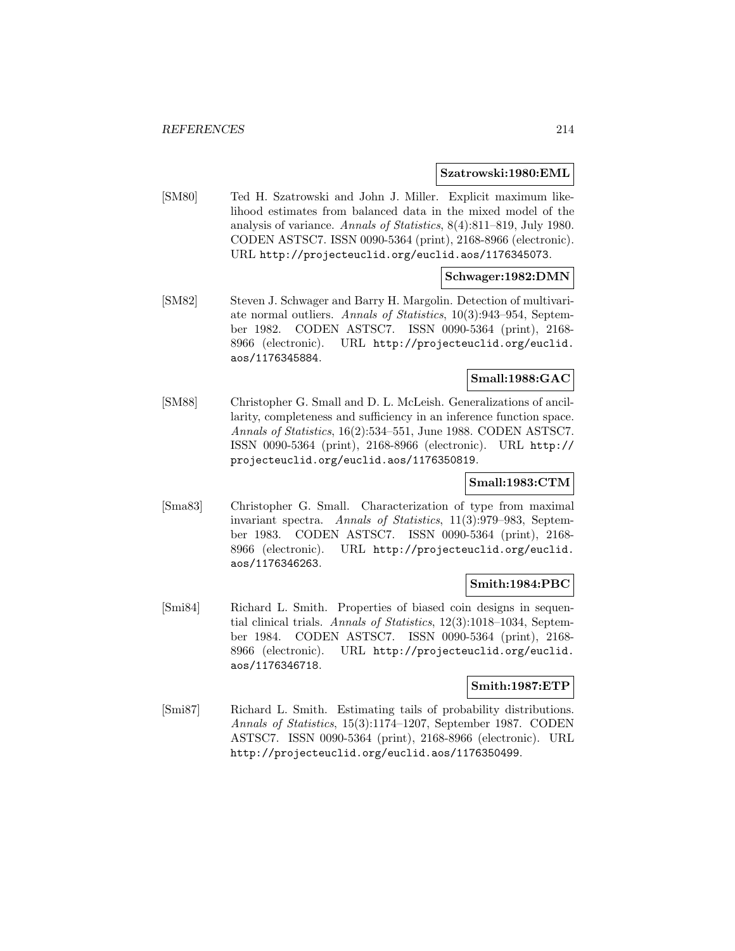#### **Szatrowski:1980:EML**

[SM80] Ted H. Szatrowski and John J. Miller. Explicit maximum likelihood estimates from balanced data in the mixed model of the analysis of variance. Annals of Statistics, 8(4):811–819, July 1980. CODEN ASTSC7. ISSN 0090-5364 (print), 2168-8966 (electronic). URL http://projecteuclid.org/euclid.aos/1176345073.

### **Schwager:1982:DMN**

[SM82] Steven J. Schwager and Barry H. Margolin. Detection of multivariate normal outliers. Annals of Statistics, 10(3):943–954, September 1982. CODEN ASTSC7. ISSN 0090-5364 (print), 2168- 8966 (electronic). URL http://projecteuclid.org/euclid. aos/1176345884.

# **Small:1988:GAC**

[SM88] Christopher G. Small and D. L. McLeish. Generalizations of ancillarity, completeness and sufficiency in an inference function space. Annals of Statistics, 16(2):534–551, June 1988. CODEN ASTSC7. ISSN 0090-5364 (print), 2168-8966 (electronic). URL http:// projecteuclid.org/euclid.aos/1176350819.

### **Small:1983:CTM**

[Sma83] Christopher G. Small. Characterization of type from maximal invariant spectra. Annals of Statistics, 11(3):979–983, September 1983. CODEN ASTSC7. ISSN 0090-5364 (print), 2168- 8966 (electronic). URL http://projecteuclid.org/euclid. aos/1176346263.

### **Smith:1984:PBC**

[Smi84] Richard L. Smith. Properties of biased coin designs in sequential clinical trials. Annals of Statistics, 12(3):1018–1034, September 1984. CODEN ASTSC7. ISSN 0090-5364 (print), 2168- 8966 (electronic). URL http://projecteuclid.org/euclid. aos/1176346718.

## **Smith:1987:ETP**

[Smi87] Richard L. Smith. Estimating tails of probability distributions. Annals of Statistics, 15(3):1174–1207, September 1987. CODEN ASTSC7. ISSN 0090-5364 (print), 2168-8966 (electronic). URL http://projecteuclid.org/euclid.aos/1176350499.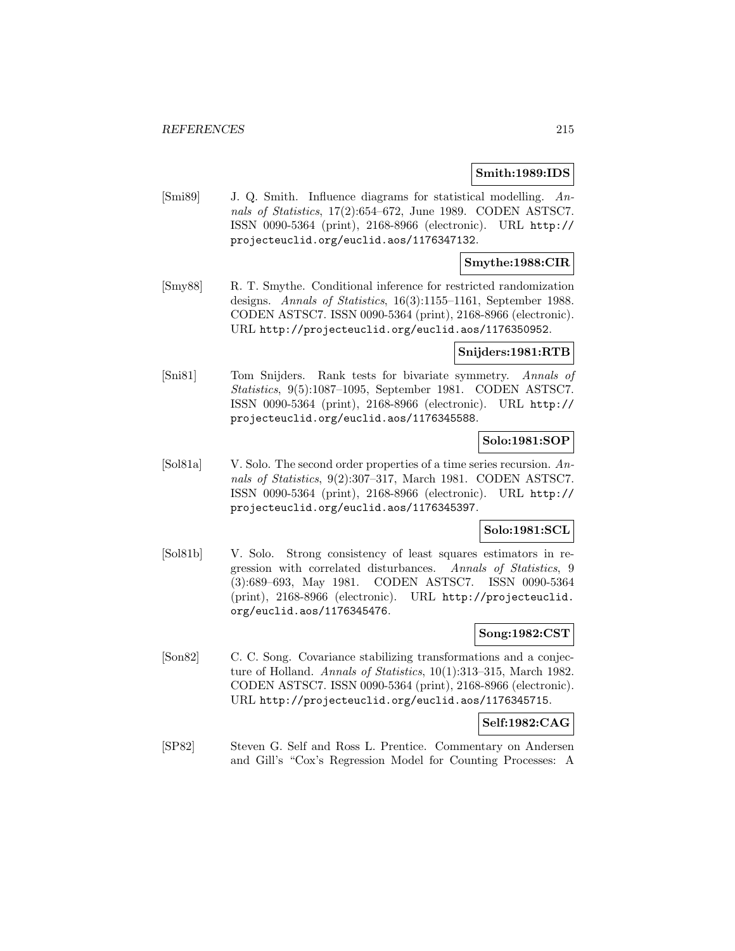#### **Smith:1989:IDS**

[Smi89] J. Q. Smith. Influence diagrams for statistical modelling. Annals of Statistics, 17(2):654–672, June 1989. CODEN ASTSC7. ISSN 0090-5364 (print), 2168-8966 (electronic). URL http:// projecteuclid.org/euclid.aos/1176347132.

## **Smythe:1988:CIR**

[Smy88] R. T. Smythe. Conditional inference for restricted randomization designs. Annals of Statistics, 16(3):1155–1161, September 1988. CODEN ASTSC7. ISSN 0090-5364 (print), 2168-8966 (electronic). URL http://projecteuclid.org/euclid.aos/1176350952.

#### **Snijders:1981:RTB**

[Sni81] Tom Snijders. Rank tests for bivariate symmetry. Annals of Statistics, 9(5):1087–1095, September 1981. CODEN ASTSC7. ISSN 0090-5364 (print), 2168-8966 (electronic). URL http:// projecteuclid.org/euclid.aos/1176345588.

## **Solo:1981:SOP**

[Sol81a] V. Solo. The second order properties of a time series recursion. Annals of Statistics, 9(2):307–317, March 1981. CODEN ASTSC7. ISSN 0090-5364 (print), 2168-8966 (electronic). URL http:// projecteuclid.org/euclid.aos/1176345397.

## **Solo:1981:SCL**

[Sol81b] V. Solo. Strong consistency of least squares estimators in regression with correlated disturbances. Annals of Statistics, 9 (3):689–693, May 1981. CODEN ASTSC7. ISSN 0090-5364 (print), 2168-8966 (electronic). URL http://projecteuclid. org/euclid.aos/1176345476.

## **Song:1982:CST**

[Son82] C. C. Song. Covariance stabilizing transformations and a conjecture of Holland. Annals of Statistics, 10(1):313-315, March 1982. CODEN ASTSC7. ISSN 0090-5364 (print), 2168-8966 (electronic). URL http://projecteuclid.org/euclid.aos/1176345715.

#### **Self:1982:CAG**

[SP82] Steven G. Self and Ross L. Prentice. Commentary on Andersen and Gill's "Cox's Regression Model for Counting Processes: A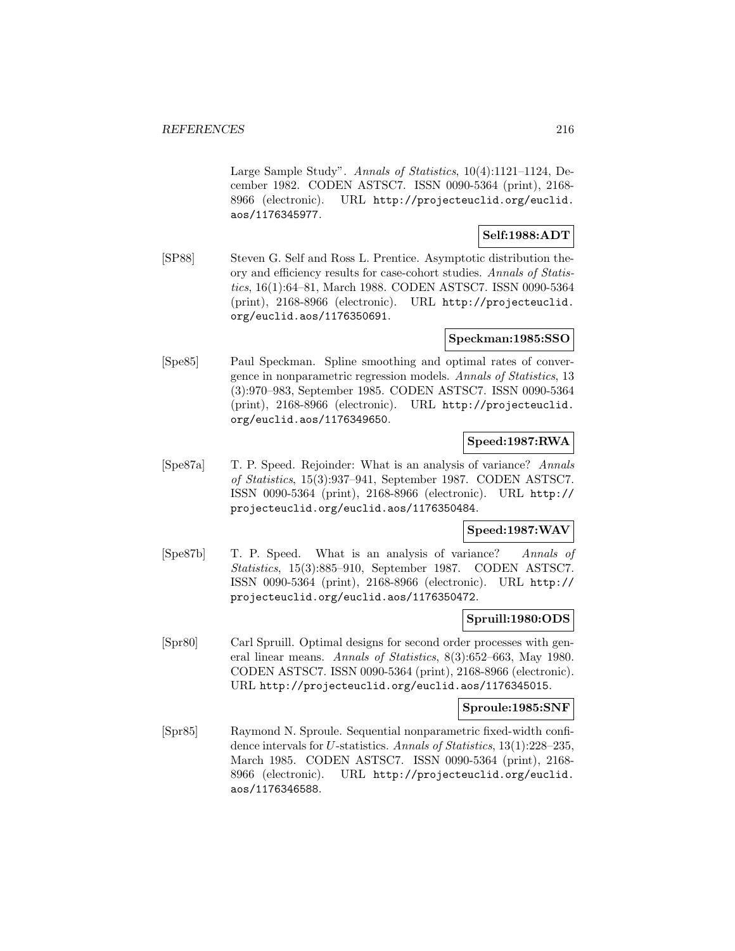Large Sample Study". Annals of Statistics, 10(4):1121–1124, December 1982. CODEN ASTSC7. ISSN 0090-5364 (print), 2168- 8966 (electronic). URL http://projecteuclid.org/euclid. aos/1176345977.

# **Self:1988:ADT**

[SP88] Steven G. Self and Ross L. Prentice. Asymptotic distribution theory and efficiency results for case-cohort studies. Annals of Statistics, 16(1):64–81, March 1988. CODEN ASTSC7. ISSN 0090-5364 (print), 2168-8966 (electronic). URL http://projecteuclid. org/euclid.aos/1176350691.

#### **Speckman:1985:SSO**

[Spe85] Paul Speckman. Spline smoothing and optimal rates of convergence in nonparametric regression models. Annals of Statistics, 13 (3):970–983, September 1985. CODEN ASTSC7. ISSN 0090-5364 (print), 2168-8966 (electronic). URL http://projecteuclid. org/euclid.aos/1176349650.

## **Speed:1987:RWA**

[Spe87a] T. P. Speed. Rejoinder: What is an analysis of variance? Annals of Statistics, 15(3):937–941, September 1987. CODEN ASTSC7. ISSN 0090-5364 (print), 2168-8966 (electronic). URL http:// projecteuclid.org/euclid.aos/1176350484.

## **Speed:1987:WAV**

[Spe87b] T. P. Speed. What is an analysis of variance? Annals of Statistics, 15(3):885–910, September 1987. CODEN ASTSC7. ISSN 0090-5364 (print), 2168-8966 (electronic). URL http:// projecteuclid.org/euclid.aos/1176350472.

#### **Spruill:1980:ODS**

[Spr80] Carl Spruill. Optimal designs for second order processes with general linear means. Annals of Statistics, 8(3):652–663, May 1980. CODEN ASTSC7. ISSN 0090-5364 (print), 2168-8966 (electronic). URL http://projecteuclid.org/euclid.aos/1176345015.

#### **Sproule:1985:SNF**

[Spr85] Raymond N. Sproule. Sequential nonparametric fixed-width confidence intervals for U-statistics. Annals of Statistics, 13(1):228–235, March 1985. CODEN ASTSC7. ISSN 0090-5364 (print), 2168- 8966 (electronic). URL http://projecteuclid.org/euclid. aos/1176346588.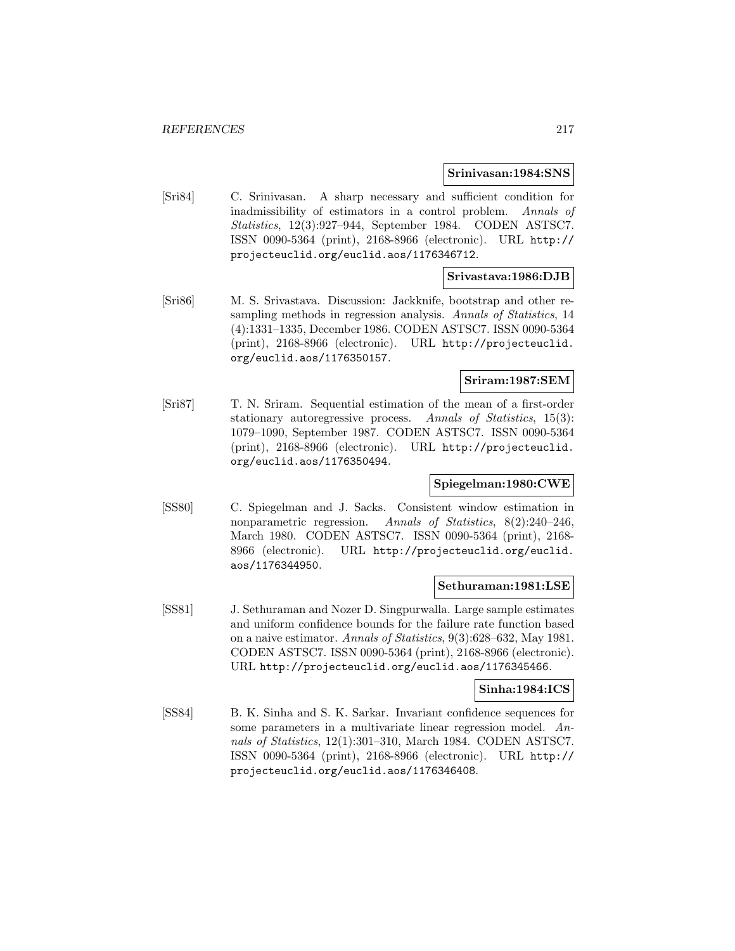#### **Srinivasan:1984:SNS**

[Sri84] C. Srinivasan. A sharp necessary and sufficient condition for inadmissibility of estimators in a control problem. Annals of Statistics, 12(3):927–944, September 1984. CODEN ASTSC7. ISSN 0090-5364 (print), 2168-8966 (electronic). URL http:// projecteuclid.org/euclid.aos/1176346712.

### **Srivastava:1986:DJB**

[Sri86] M. S. Srivastava. Discussion: Jackknife, bootstrap and other resampling methods in regression analysis. Annals of Statistics, 14 (4):1331–1335, December 1986. CODEN ASTSC7. ISSN 0090-5364 (print), 2168-8966 (electronic). URL http://projecteuclid. org/euclid.aos/1176350157.

## **Sriram:1987:SEM**

[Sri87] T. N. Sriram. Sequential estimation of the mean of a first-order stationary autoregressive process. Annals of Statistics, 15(3): 1079–1090, September 1987. CODEN ASTSC7. ISSN 0090-5364 (print), 2168-8966 (electronic). URL http://projecteuclid. org/euclid.aos/1176350494.

## **Spiegelman:1980:CWE**

[SS80] C. Spiegelman and J. Sacks. Consistent window estimation in nonparametric regression. Annals of Statistics, 8(2):240–246, March 1980. CODEN ASTSC7. ISSN 0090-5364 (print), 2168- 8966 (electronic). URL http://projecteuclid.org/euclid. aos/1176344950.

#### **Sethuraman:1981:LSE**

[SS81] J. Sethuraman and Nozer D. Singpurwalla. Large sample estimates and uniform confidence bounds for the failure rate function based on a naive estimator. Annals of Statistics, 9(3):628–632, May 1981. CODEN ASTSC7. ISSN 0090-5364 (print), 2168-8966 (electronic). URL http://projecteuclid.org/euclid.aos/1176345466.

#### **Sinha:1984:ICS**

[SS84] B. K. Sinha and S. K. Sarkar. Invariant confidence sequences for some parameters in a multivariate linear regression model. Annals of Statistics, 12(1):301–310, March 1984. CODEN ASTSC7. ISSN 0090-5364 (print), 2168-8966 (electronic). URL http:// projecteuclid.org/euclid.aos/1176346408.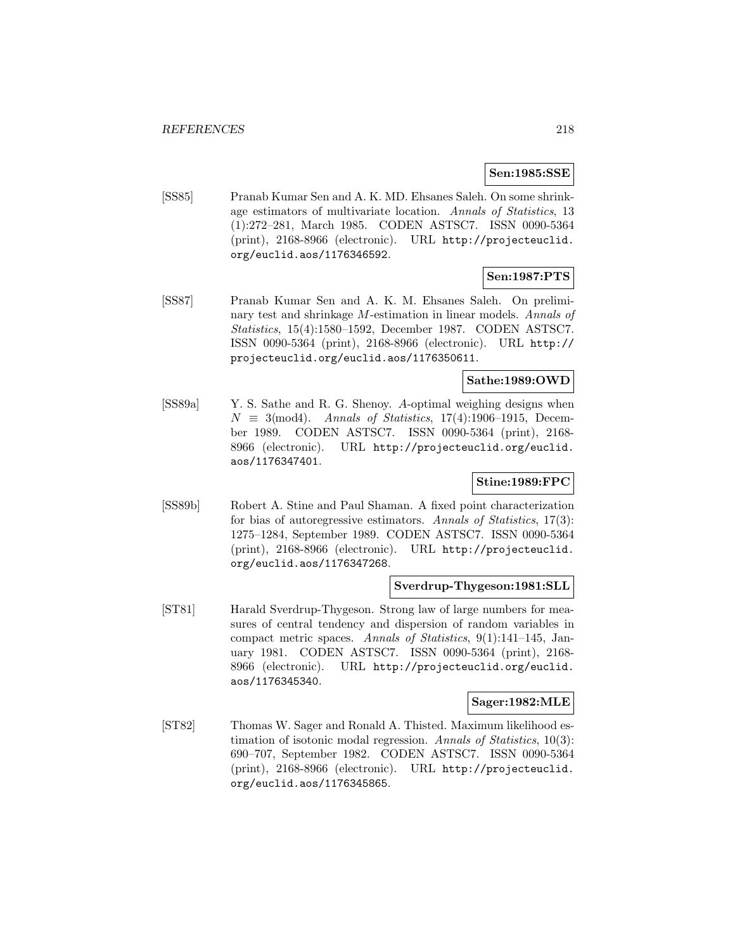## **Sen:1985:SSE**

[SS85] Pranab Kumar Sen and A. K. MD. Ehsanes Saleh. On some shrinkage estimators of multivariate location. Annals of Statistics, 13 (1):272–281, March 1985. CODEN ASTSC7. ISSN 0090-5364 (print), 2168-8966 (electronic). URL http://projecteuclid. org/euclid.aos/1176346592.

# **Sen:1987:PTS**

[SS87] Pranab Kumar Sen and A. K. M. Ehsanes Saleh. On preliminary test and shrinkage M-estimation in linear models. Annals of Statistics, 15(4):1580–1592, December 1987. CODEN ASTSC7. ISSN 0090-5364 (print), 2168-8966 (electronic). URL http:// projecteuclid.org/euclid.aos/1176350611.

## **Sathe:1989:OWD**

[SS89a] Y. S. Sathe and R. G. Shenoy. A-optimal weighing designs when  $N \equiv 3 \pmod{4}$ . Annals of Statistics, 17(4):1906–1915, December 1989. CODEN ASTSC7. ISSN 0090-5364 (print), 2168- 8966 (electronic). URL http://projecteuclid.org/euclid. aos/1176347401.

# **Stine:1989:FPC**

[SS89b] Robert A. Stine and Paul Shaman. A fixed point characterization for bias of autoregressive estimators. Annals of Statistics, 17(3): 1275–1284, September 1989. CODEN ASTSC7. ISSN 0090-5364 (print), 2168-8966 (electronic). URL http://projecteuclid. org/euclid.aos/1176347268.

## **Sverdrup-Thygeson:1981:SLL**

[ST81] Harald Sverdrup-Thygeson. Strong law of large numbers for measures of central tendency and dispersion of random variables in compact metric spaces. Annals of Statistics, 9(1):141–145, January 1981. CODEN ASTSC7. ISSN 0090-5364 (print), 2168- 8966 (electronic). URL http://projecteuclid.org/euclid. aos/1176345340.

#### **Sager:1982:MLE**

[ST82] Thomas W. Sager and Ronald A. Thisted. Maximum likelihood estimation of isotonic modal regression. Annals of Statistics, 10(3): 690–707, September 1982. CODEN ASTSC7. ISSN 0090-5364 (print), 2168-8966 (electronic). URL http://projecteuclid. org/euclid.aos/1176345865.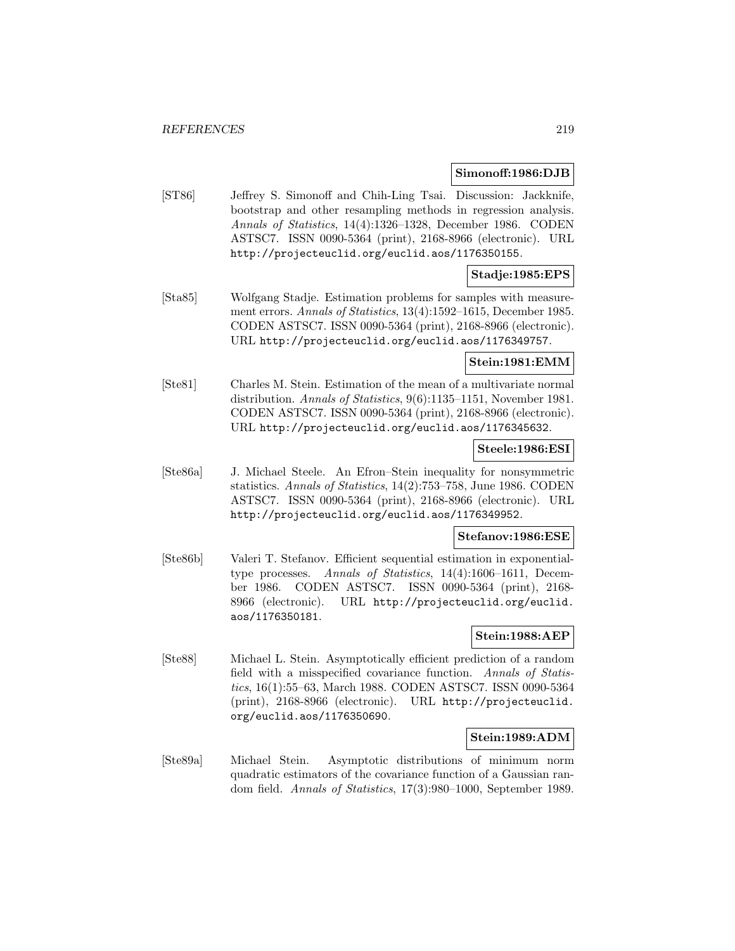#### **Simonoff:1986:DJB**

[ST86] Jeffrey S. Simonoff and Chih-Ling Tsai. Discussion: Jackknife, bootstrap and other resampling methods in regression analysis. Annals of Statistics, 14(4):1326–1328, December 1986. CODEN ASTSC7. ISSN 0090-5364 (print), 2168-8966 (electronic). URL http://projecteuclid.org/euclid.aos/1176350155.

## **Stadje:1985:EPS**

[Sta85] Wolfgang Stadje. Estimation problems for samples with measurement errors. Annals of Statistics, 13(4):1592–1615, December 1985. CODEN ASTSC7. ISSN 0090-5364 (print), 2168-8966 (electronic). URL http://projecteuclid.org/euclid.aos/1176349757.

## **Stein:1981:EMM**

[Ste81] Charles M. Stein. Estimation of the mean of a multivariate normal distribution. Annals of Statistics, 9(6):1135–1151, November 1981. CODEN ASTSC7. ISSN 0090-5364 (print), 2168-8966 (electronic). URL http://projecteuclid.org/euclid.aos/1176345632.

#### **Steele:1986:ESI**

[Ste86a] J. Michael Steele. An Efron–Stein inequality for nonsymmetric statistics. Annals of Statistics, 14(2):753–758, June 1986. CODEN ASTSC7. ISSN 0090-5364 (print), 2168-8966 (electronic). URL http://projecteuclid.org/euclid.aos/1176349952.

## **Stefanov:1986:ESE**

[Ste86b] Valeri T. Stefanov. Efficient sequential estimation in exponentialtype processes. Annals of Statistics, 14(4):1606–1611, December 1986. CODEN ASTSC7. ISSN 0090-5364 (print), 2168- 8966 (electronic). URL http://projecteuclid.org/euclid. aos/1176350181.

## **Stein:1988:AEP**

[Ste88] Michael L. Stein. Asymptotically efficient prediction of a random field with a misspecified covariance function. Annals of Statistics, 16(1):55–63, March 1988. CODEN ASTSC7. ISSN 0090-5364 (print), 2168-8966 (electronic). URL http://projecteuclid. org/euclid.aos/1176350690.

# **Stein:1989:ADM**

[Ste89a] Michael Stein. Asymptotic distributions of minimum norm quadratic estimators of the covariance function of a Gaussian random field. Annals of Statistics, 17(3):980–1000, September 1989.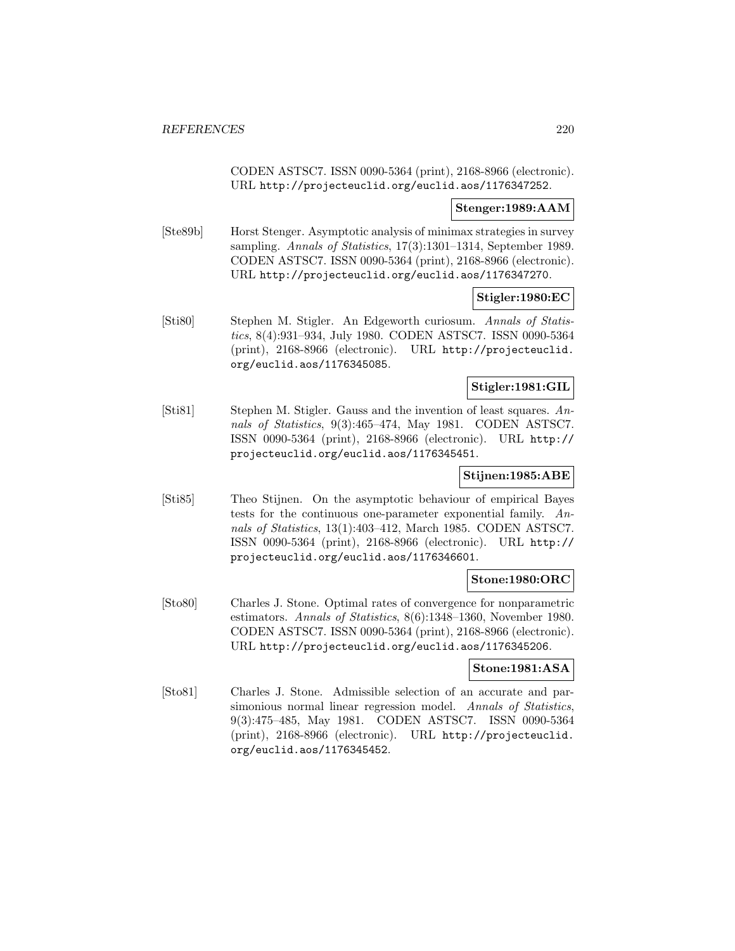CODEN ASTSC7. ISSN 0090-5364 (print), 2168-8966 (electronic). URL http://projecteuclid.org/euclid.aos/1176347252.

## **Stenger:1989:AAM**

[Ste89b] Horst Stenger. Asymptotic analysis of minimax strategies in survey sampling. Annals of Statistics, 17(3):1301–1314, September 1989. CODEN ASTSC7. ISSN 0090-5364 (print), 2168-8966 (electronic). URL http://projecteuclid.org/euclid.aos/1176347270.

## **Stigler:1980:EC**

[Sti80] Stephen M. Stigler. An Edgeworth curiosum. Annals of Statistics, 8(4):931–934, July 1980. CODEN ASTSC7. ISSN 0090-5364 (print), 2168-8966 (electronic). URL http://projecteuclid. org/euclid.aos/1176345085.

## **Stigler:1981:GIL**

[Sti81] Stephen M. Stigler. Gauss and the invention of least squares. Annals of Statistics, 9(3):465–474, May 1981. CODEN ASTSC7. ISSN 0090-5364 (print), 2168-8966 (electronic). URL http:// projecteuclid.org/euclid.aos/1176345451.

## **Stijnen:1985:ABE**

[Sti85] Theo Stijnen. On the asymptotic behaviour of empirical Bayes tests for the continuous one-parameter exponential family. Annals of Statistics, 13(1):403–412, March 1985. CODEN ASTSC7. ISSN 0090-5364 (print), 2168-8966 (electronic). URL http:// projecteuclid.org/euclid.aos/1176346601.

## **Stone:1980:ORC**

[Sto80] Charles J. Stone. Optimal rates of convergence for nonparametric estimators. Annals of Statistics, 8(6):1348–1360, November 1980. CODEN ASTSC7. ISSN 0090-5364 (print), 2168-8966 (electronic). URL http://projecteuclid.org/euclid.aos/1176345206.

#### **Stone:1981:ASA**

[Sto81] Charles J. Stone. Admissible selection of an accurate and parsimonious normal linear regression model. Annals of Statistics, 9(3):475–485, May 1981. CODEN ASTSC7. ISSN 0090-5364 (print), 2168-8966 (electronic). URL http://projecteuclid. org/euclid.aos/1176345452.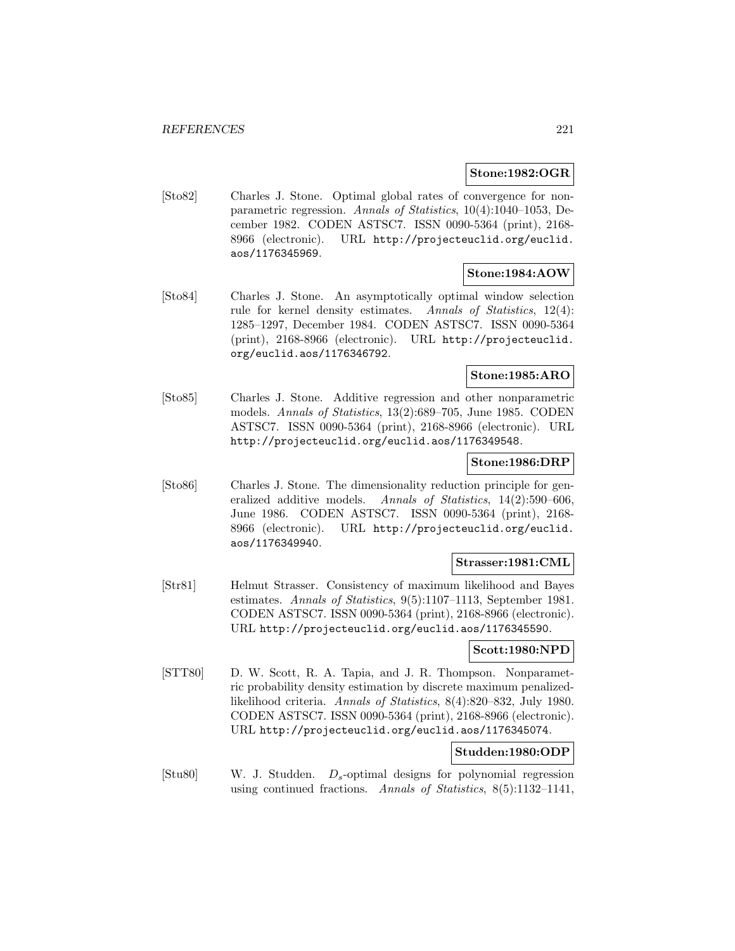#### **Stone:1982:OGR**

[Sto82] Charles J. Stone. Optimal global rates of convergence for nonparametric regression. Annals of Statistics, 10(4):1040–1053, December 1982. CODEN ASTSC7. ISSN 0090-5364 (print), 2168- 8966 (electronic). URL http://projecteuclid.org/euclid. aos/1176345969.

#### **Stone:1984:AOW**

[Sto84] Charles J. Stone. An asymptotically optimal window selection rule for kernel density estimates. Annals of Statistics, 12(4): 1285–1297, December 1984. CODEN ASTSC7. ISSN 0090-5364 (print), 2168-8966 (electronic). URL http://projecteuclid. org/euclid.aos/1176346792.

## **Stone:1985:ARO**

[Sto85] Charles J. Stone. Additive regression and other nonparametric models. Annals of Statistics, 13(2):689–705, June 1985. CODEN ASTSC7. ISSN 0090-5364 (print), 2168-8966 (electronic). URL http://projecteuclid.org/euclid.aos/1176349548.

### **Stone:1986:DRP**

[Sto86] Charles J. Stone. The dimensionality reduction principle for generalized additive models. Annals of Statistics, 14(2):590–606, June 1986. CODEN ASTSC7. ISSN 0090-5364 (print), 2168- 8966 (electronic). URL http://projecteuclid.org/euclid. aos/1176349940.

#### **Strasser:1981:CML**

[Str81] Helmut Strasser. Consistency of maximum likelihood and Bayes estimates. Annals of Statistics, 9(5):1107–1113, September 1981. CODEN ASTSC7. ISSN 0090-5364 (print), 2168-8966 (electronic). URL http://projecteuclid.org/euclid.aos/1176345590.

### **Scott:1980:NPD**

[STT80] D. W. Scott, R. A. Tapia, and J. R. Thompson. Nonparametric probability density estimation by discrete maximum penalizedlikelihood criteria. Annals of Statistics, 8(4):820–832, July 1980. CODEN ASTSC7. ISSN 0090-5364 (print), 2168-8966 (electronic). URL http://projecteuclid.org/euclid.aos/1176345074.

# **Studden:1980:ODP**

[Stu80] W. J. Studden. Ds-optimal designs for polynomial regression using continued fractions. Annals of Statistics,  $8(5):1132-1141$ ,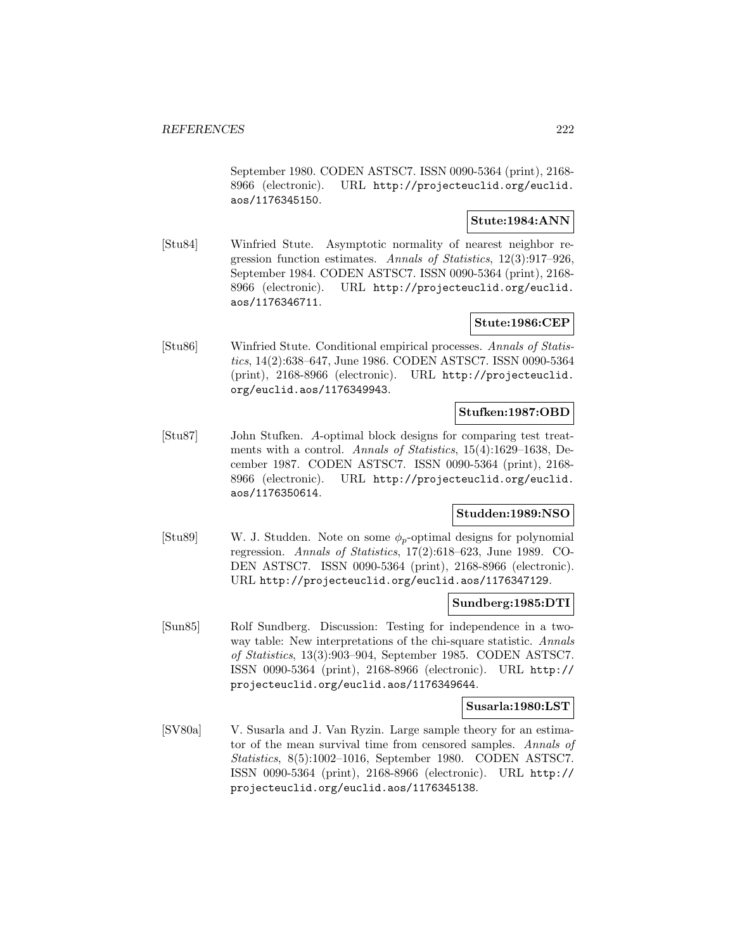September 1980. CODEN ASTSC7. ISSN 0090-5364 (print), 2168- 8966 (electronic). URL http://projecteuclid.org/euclid. aos/1176345150.

# **Stute:1984:ANN**

[Stu84] Winfried Stute. Asymptotic normality of nearest neighbor regression function estimates. Annals of Statistics, 12(3):917–926, September 1984. CODEN ASTSC7. ISSN 0090-5364 (print), 2168- 8966 (electronic). URL http://projecteuclid.org/euclid. aos/1176346711.

## **Stute:1986:CEP**

[Stu86] Winfried Stute. Conditional empirical processes. Annals of Statistics, 14(2):638–647, June 1986. CODEN ASTSC7. ISSN 0090-5364 (print), 2168-8966 (electronic). URL http://projecteuclid. org/euclid.aos/1176349943.

### **Stufken:1987:OBD**

[Stu87] John Stufken. A-optimal block designs for comparing test treatments with a control. Annals of Statistics, 15(4):1629–1638, December 1987. CODEN ASTSC7. ISSN 0090-5364 (print), 2168- 8966 (electronic). URL http://projecteuclid.org/euclid. aos/1176350614.

# **Studden:1989:NSO**

[Stu89] W. J. Studden. Note on some  $\phi_p$ -optimal designs for polynomial regression. Annals of Statistics, 17(2):618–623, June 1989. CO-DEN ASTSC7. ISSN 0090-5364 (print), 2168-8966 (electronic). URL http://projecteuclid.org/euclid.aos/1176347129.

## **Sundberg:1985:DTI**

[Sun85] Rolf Sundberg. Discussion: Testing for independence in a twoway table: New interpretations of the chi-square statistic. Annals of Statistics, 13(3):903–904, September 1985. CODEN ASTSC7. ISSN 0090-5364 (print), 2168-8966 (electronic). URL http:// projecteuclid.org/euclid.aos/1176349644.

## **Susarla:1980:LST**

[SV80a] V. Susarla and J. Van Ryzin. Large sample theory for an estimator of the mean survival time from censored samples. Annals of Statistics, 8(5):1002–1016, September 1980. CODEN ASTSC7. ISSN 0090-5364 (print), 2168-8966 (electronic). URL http:// projecteuclid.org/euclid.aos/1176345138.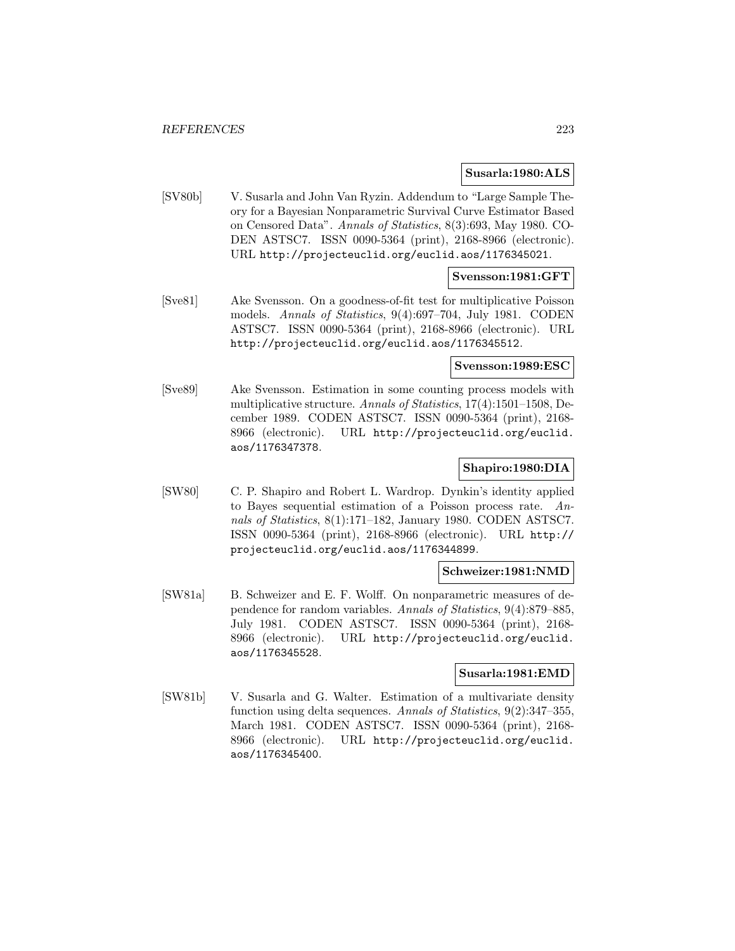#### **Susarla:1980:ALS**

[SV80b] V. Susarla and John Van Ryzin. Addendum to "Large Sample Theory for a Bayesian Nonparametric Survival Curve Estimator Based on Censored Data". Annals of Statistics, 8(3):693, May 1980. CO-DEN ASTSC7. ISSN 0090-5364 (print), 2168-8966 (electronic). URL http://projecteuclid.org/euclid.aos/1176345021.

## **Svensson:1981:GFT**

[Sve81] Ake Svensson. On a goodness-of-fit test for multiplicative Poisson models. Annals of Statistics, 9(4):697–704, July 1981. CODEN ASTSC7. ISSN 0090-5364 (print), 2168-8966 (electronic). URL http://projecteuclid.org/euclid.aos/1176345512.

### **Svensson:1989:ESC**

[Sve89] Ake Svensson. Estimation in some counting process models with multiplicative structure. Annals of Statistics, 17(4):1501–1508, December 1989. CODEN ASTSC7. ISSN 0090-5364 (print), 2168- 8966 (electronic). URL http://projecteuclid.org/euclid. aos/1176347378.

### **Shapiro:1980:DIA**

[SW80] C. P. Shapiro and Robert L. Wardrop. Dynkin's identity applied to Bayes sequential estimation of a Poisson process rate. Annals of Statistics, 8(1):171–182, January 1980. CODEN ASTSC7. ISSN 0090-5364 (print), 2168-8966 (electronic). URL http:// projecteuclid.org/euclid.aos/1176344899.

## **Schweizer:1981:NMD**

[SW81a] B. Schweizer and E. F. Wolff. On nonparametric measures of dependence for random variables. Annals of Statistics, 9(4):879–885, July 1981. CODEN ASTSC7. ISSN 0090-5364 (print), 2168- 8966 (electronic). URL http://projecteuclid.org/euclid. aos/1176345528.

### **Susarla:1981:EMD**

[SW81b] V. Susarla and G. Walter. Estimation of a multivariate density function using delta sequences. Annals of Statistics, 9(2):347–355, March 1981. CODEN ASTSC7. ISSN 0090-5364 (print), 2168- 8966 (electronic). URL http://projecteuclid.org/euclid. aos/1176345400.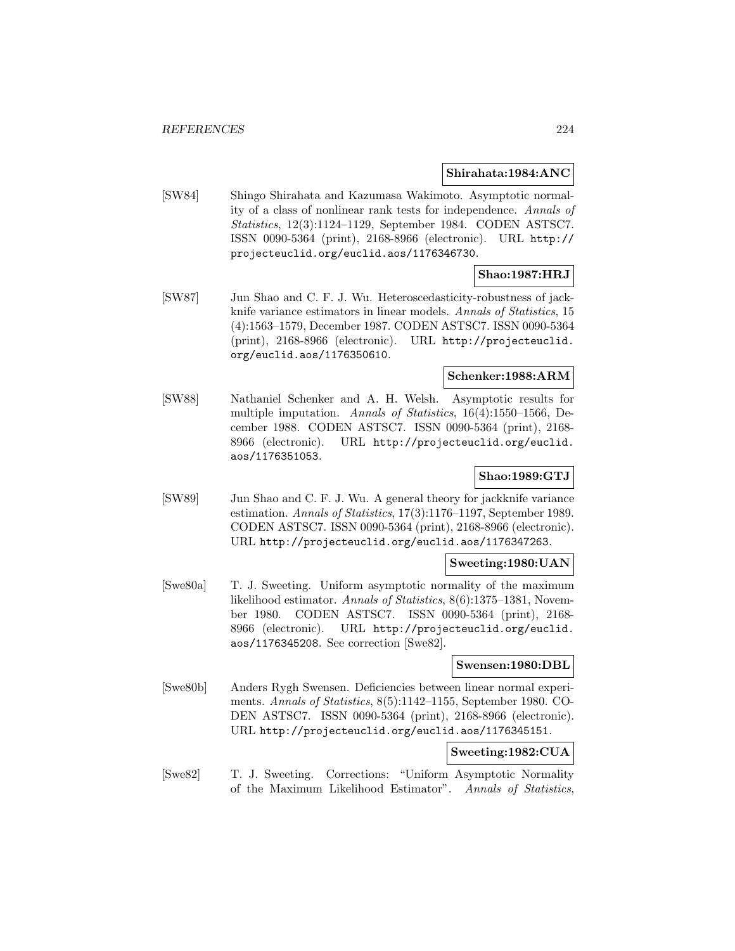#### **Shirahata:1984:ANC**

[SW84] Shingo Shirahata and Kazumasa Wakimoto. Asymptotic normality of a class of nonlinear rank tests for independence. Annals of Statistics, 12(3):1124–1129, September 1984. CODEN ASTSC7. ISSN 0090-5364 (print), 2168-8966 (electronic). URL http:// projecteuclid.org/euclid.aos/1176346730.

## **Shao:1987:HRJ**

[SW87] Jun Shao and C. F. J. Wu. Heteroscedasticity-robustness of jackknife variance estimators in linear models. Annals of Statistics, 15 (4):1563–1579, December 1987. CODEN ASTSC7. ISSN 0090-5364 (print), 2168-8966 (electronic). URL http://projecteuclid. org/euclid.aos/1176350610.

## **Schenker:1988:ARM**

[SW88] Nathaniel Schenker and A. H. Welsh. Asymptotic results for multiple imputation. Annals of Statistics, 16(4):1550–1566, December 1988. CODEN ASTSC7. ISSN 0090-5364 (print), 2168- 8966 (electronic). URL http://projecteuclid.org/euclid. aos/1176351053.

## **Shao:1989:GTJ**

[SW89] Jun Shao and C. F. J. Wu. A general theory for jackknife variance estimation. Annals of Statistics, 17(3):1176–1197, September 1989. CODEN ASTSC7. ISSN 0090-5364 (print), 2168-8966 (electronic). URL http://projecteuclid.org/euclid.aos/1176347263.

#### **Sweeting:1980:UAN**

[Swe80a] T. J. Sweeting. Uniform asymptotic normality of the maximum likelihood estimator. Annals of Statistics, 8(6):1375–1381, November 1980. CODEN ASTSC7. ISSN 0090-5364 (print), 2168- 8966 (electronic). URL http://projecteuclid.org/euclid. aos/1176345208. See correction [Swe82].

### **Swensen:1980:DBL**

[Swe80b] Anders Rygh Swensen. Deficiencies between linear normal experiments. Annals of Statistics, 8(5):1142–1155, September 1980. CO-DEN ASTSC7. ISSN 0090-5364 (print), 2168-8966 (electronic). URL http://projecteuclid.org/euclid.aos/1176345151.

## **Sweeting:1982:CUA**

[Swe82] T. J. Sweeting. Corrections: "Uniform Asymptotic Normality of the Maximum Likelihood Estimator". Annals of Statistics,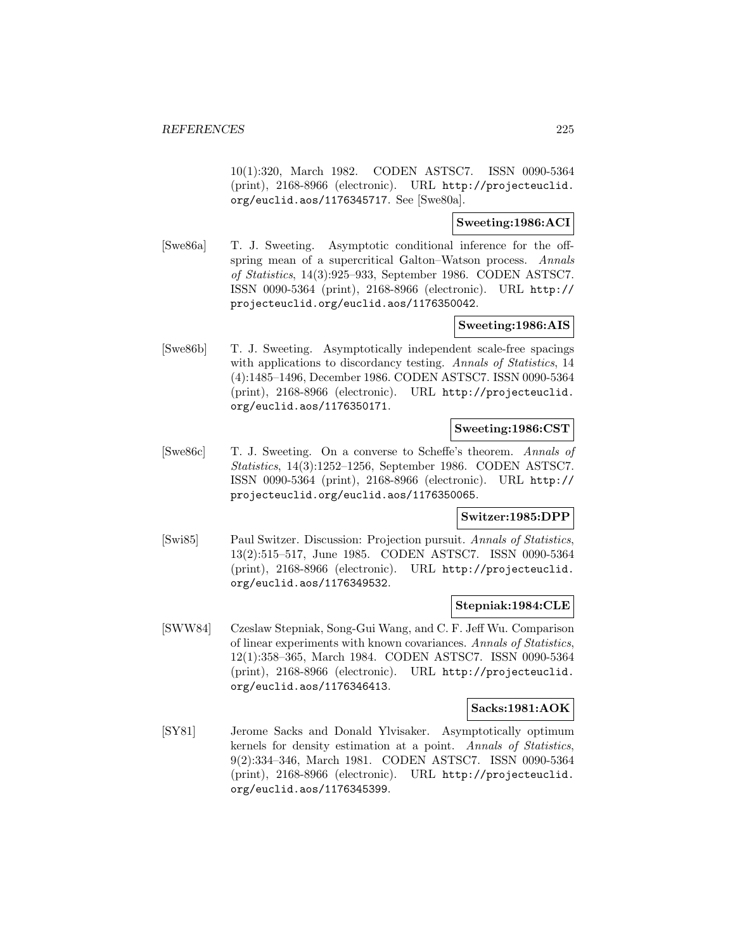10(1):320, March 1982. CODEN ASTSC7. ISSN 0090-5364 (print), 2168-8966 (electronic). URL http://projecteuclid. org/euclid.aos/1176345717. See [Swe80a].

## **Sweeting:1986:ACI**

[Swe86a] T. J. Sweeting. Asymptotic conditional inference for the offspring mean of a supercritical Galton–Watson process. Annals of Statistics, 14(3):925–933, September 1986. CODEN ASTSC7. ISSN 0090-5364 (print), 2168-8966 (electronic). URL http:// projecteuclid.org/euclid.aos/1176350042.

## **Sweeting:1986:AIS**

[Swe86b] T. J. Sweeting. Asymptotically independent scale-free spacings with applications to discordancy testing. Annals of Statistics, 14 (4):1485–1496, December 1986. CODEN ASTSC7. ISSN 0090-5364 (print), 2168-8966 (electronic). URL http://projecteuclid. org/euclid.aos/1176350171.

## **Sweeting:1986:CST**

[Swe86c] T. J. Sweeting. On a converse to Scheffe's theorem. Annals of Statistics, 14(3):1252–1256, September 1986. CODEN ASTSC7. ISSN 0090-5364 (print), 2168-8966 (electronic). URL http:// projecteuclid.org/euclid.aos/1176350065.

## **Switzer:1985:DPP**

[Swi85] Paul Switzer. Discussion: Projection pursuit. Annals of Statistics, 13(2):515–517, June 1985. CODEN ASTSC7. ISSN 0090-5364 (print), 2168-8966 (electronic). URL http://projecteuclid. org/euclid.aos/1176349532.

## **Stepniak:1984:CLE**

[SWW84] Czeslaw Stepniak, Song-Gui Wang, and C. F. Jeff Wu. Comparison of linear experiments with known covariances. Annals of Statistics, 12(1):358–365, March 1984. CODEN ASTSC7. ISSN 0090-5364 (print), 2168-8966 (electronic). URL http://projecteuclid. org/euclid.aos/1176346413.

## **Sacks:1981:AOK**

[SY81] Jerome Sacks and Donald Ylvisaker. Asymptotically optimum kernels for density estimation at a point. Annals of Statistics, 9(2):334–346, March 1981. CODEN ASTSC7. ISSN 0090-5364 (print), 2168-8966 (electronic). URL http://projecteuclid. org/euclid.aos/1176345399.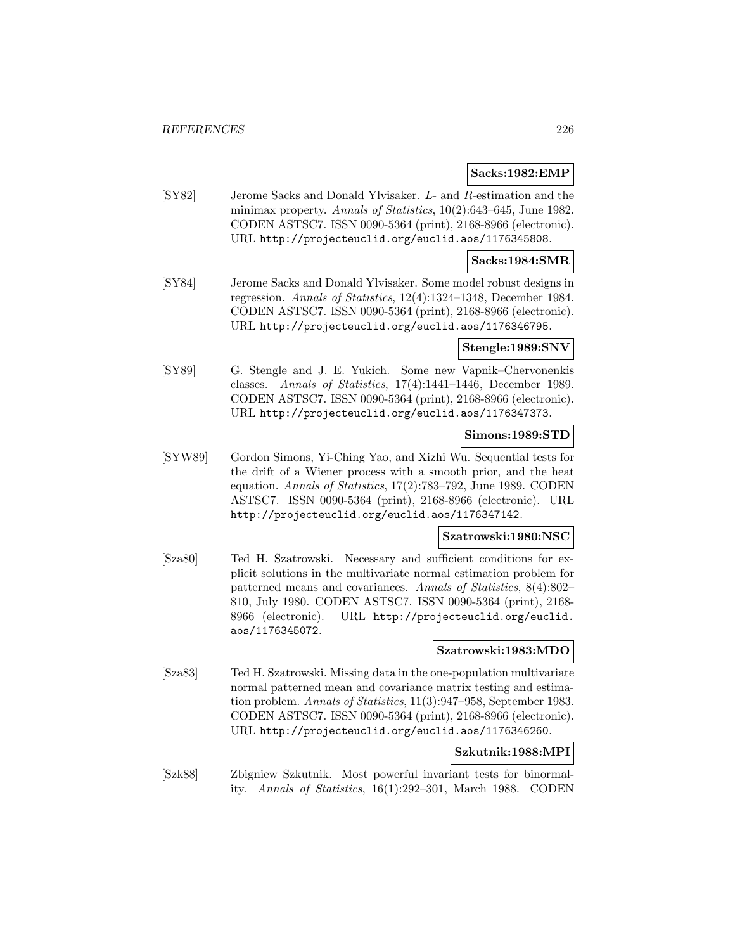## **Sacks:1982:EMP**

[SY82] Jerome Sacks and Donald Ylvisaker. L- and R-estimation and the minimax property. Annals of Statistics, 10(2):643-645, June 1982. CODEN ASTSC7. ISSN 0090-5364 (print), 2168-8966 (electronic). URL http://projecteuclid.org/euclid.aos/1176345808.

## **Sacks:1984:SMR**

[SY84] Jerome Sacks and Donald Ylvisaker. Some model robust designs in regression. Annals of Statistics, 12(4):1324–1348, December 1984. CODEN ASTSC7. ISSN 0090-5364 (print), 2168-8966 (electronic). URL http://projecteuclid.org/euclid.aos/1176346795.

#### **Stengle:1989:SNV**

[SY89] G. Stengle and J. E. Yukich. Some new Vapnik–Chervonenkis classes. Annals of Statistics, 17(4):1441–1446, December 1989. CODEN ASTSC7. ISSN 0090-5364 (print), 2168-8966 (electronic). URL http://projecteuclid.org/euclid.aos/1176347373.

# **Simons:1989:STD**

[SYW89] Gordon Simons, Yi-Ching Yao, and Xizhi Wu. Sequential tests for the drift of a Wiener process with a smooth prior, and the heat equation. Annals of Statistics, 17(2):783–792, June 1989. CODEN ASTSC7. ISSN 0090-5364 (print), 2168-8966 (electronic). URL http://projecteuclid.org/euclid.aos/1176347142.

## **Szatrowski:1980:NSC**

[Sza80] Ted H. Szatrowski. Necessary and sufficient conditions for explicit solutions in the multivariate normal estimation problem for patterned means and covariances. Annals of Statistics, 8(4):802– 810, July 1980. CODEN ASTSC7. ISSN 0090-5364 (print), 2168- 8966 (electronic). URL http://projecteuclid.org/euclid. aos/1176345072.

# **Szatrowski:1983:MDO**

[Sza83] Ted H. Szatrowski. Missing data in the one-population multivariate normal patterned mean and covariance matrix testing and estimation problem. Annals of Statistics, 11(3):947–958, September 1983. CODEN ASTSC7. ISSN 0090-5364 (print), 2168-8966 (electronic). URL http://projecteuclid.org/euclid.aos/1176346260.

## **Szkutnik:1988:MPI**

[Szk88] Zbigniew Szkutnik. Most powerful invariant tests for binormality. Annals of Statistics, 16(1):292–301, March 1988. CODEN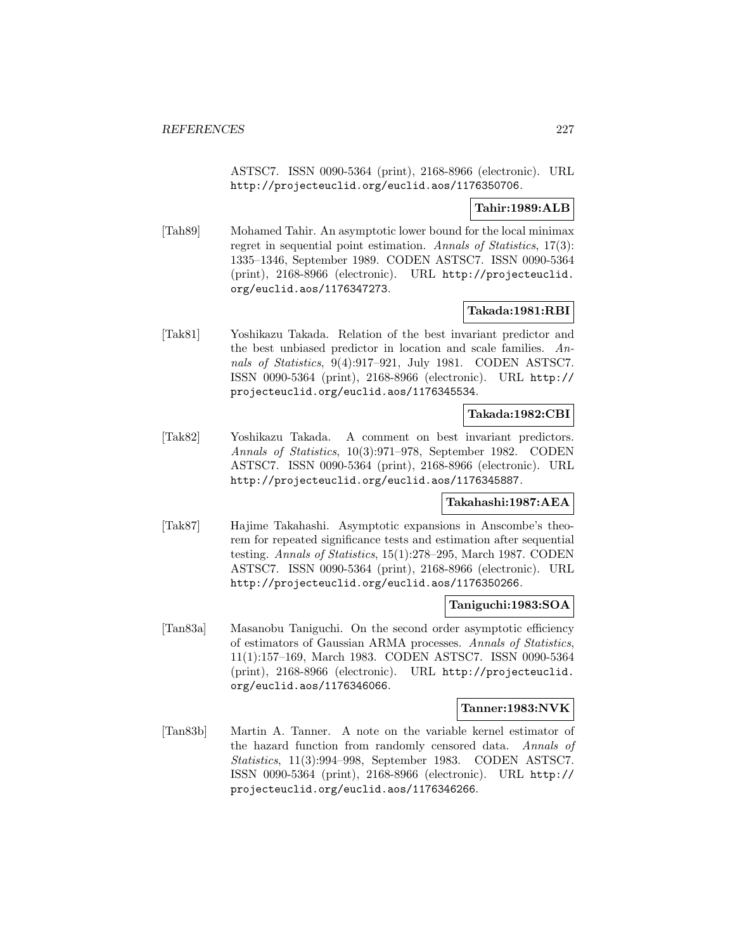ASTSC7. ISSN 0090-5364 (print), 2168-8966 (electronic). URL http://projecteuclid.org/euclid.aos/1176350706.

## **Tahir:1989:ALB**

[Tah89] Mohamed Tahir. An asymptotic lower bound for the local minimax regret in sequential point estimation. Annals of Statistics, 17(3): 1335–1346, September 1989. CODEN ASTSC7. ISSN 0090-5364 (print), 2168-8966 (electronic). URL http://projecteuclid. org/euclid.aos/1176347273.

## **Takada:1981:RBI**

[Tak81] Yoshikazu Takada. Relation of the best invariant predictor and the best unbiased predictor in location and scale families. Annals of Statistics, 9(4):917–921, July 1981. CODEN ASTSC7. ISSN 0090-5364 (print), 2168-8966 (electronic). URL http:// projecteuclid.org/euclid.aos/1176345534.

# **Takada:1982:CBI**

[Tak82] Yoshikazu Takada. A comment on best invariant predictors. Annals of Statistics, 10(3):971–978, September 1982. CODEN ASTSC7. ISSN 0090-5364 (print), 2168-8966 (electronic). URL http://projecteuclid.org/euclid.aos/1176345887.

### **Takahashi:1987:AEA**

[Tak87] Hajime Takahashi. Asymptotic expansions in Anscombe's theorem for repeated significance tests and estimation after sequential testing. Annals of Statistics, 15(1):278–295, March 1987. CODEN ASTSC7. ISSN 0090-5364 (print), 2168-8966 (electronic). URL http://projecteuclid.org/euclid.aos/1176350266.

## **Taniguchi:1983:SOA**

[Tan83a] Masanobu Taniguchi. On the second order asymptotic efficiency of estimators of Gaussian ARMA processes. Annals of Statistics, 11(1):157–169, March 1983. CODEN ASTSC7. ISSN 0090-5364 (print), 2168-8966 (electronic). URL http://projecteuclid. org/euclid.aos/1176346066.

#### **Tanner:1983:NVK**

[Tan83b] Martin A. Tanner. A note on the variable kernel estimator of the hazard function from randomly censored data. Annals of Statistics, 11(3):994–998, September 1983. CODEN ASTSC7. ISSN 0090-5364 (print), 2168-8966 (electronic). URL http:// projecteuclid.org/euclid.aos/1176346266.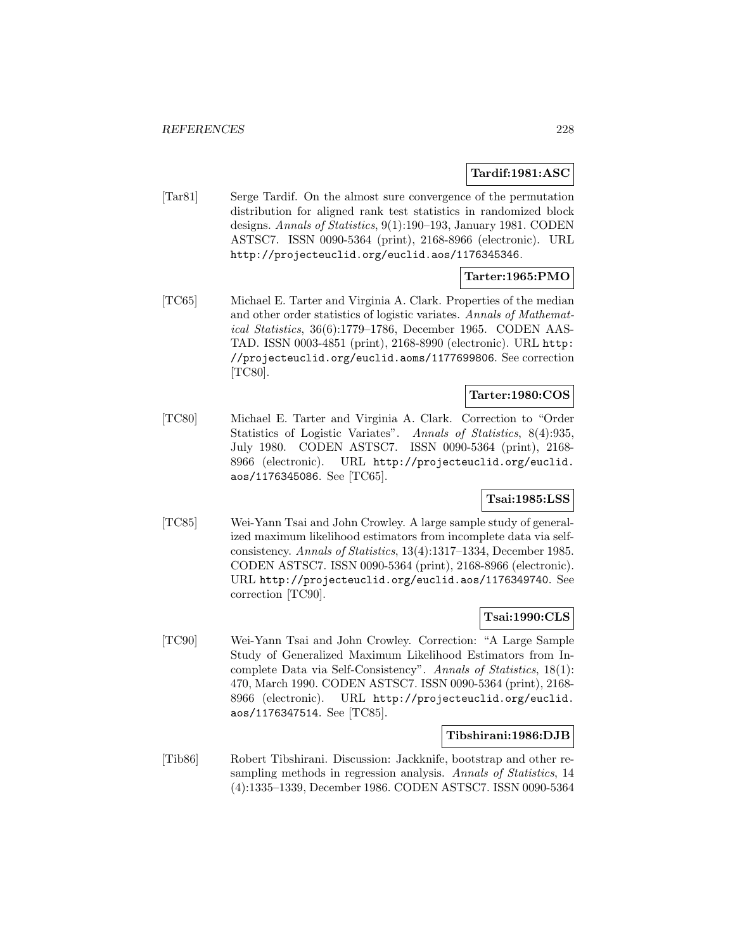## **Tardif:1981:ASC**

[Tar81] Serge Tardif. On the almost sure convergence of the permutation distribution for aligned rank test statistics in randomized block designs. Annals of Statistics, 9(1):190–193, January 1981. CODEN ASTSC7. ISSN 0090-5364 (print), 2168-8966 (electronic). URL http://projecteuclid.org/euclid.aos/1176345346.

# **Tarter:1965:PMO**

[TC65] Michael E. Tarter and Virginia A. Clark. Properties of the median and other order statistics of logistic variates. Annals of Mathematical Statistics, 36(6):1779–1786, December 1965. CODEN AAS-TAD. ISSN 0003-4851 (print), 2168-8990 (electronic). URL http: //projecteuclid.org/euclid.aoms/1177699806. See correction [TC80].

# **Tarter:1980:COS**

[TC80] Michael E. Tarter and Virginia A. Clark. Correction to "Order Statistics of Logistic Variates". Annals of Statistics, 8(4):935, July 1980. CODEN ASTSC7. ISSN 0090-5364 (print), 2168- 8966 (electronic). URL http://projecteuclid.org/euclid. aos/1176345086. See [TC65].

## **Tsai:1985:LSS**

[TC85] Wei-Yann Tsai and John Crowley. A large sample study of generalized maximum likelihood estimators from incomplete data via selfconsistency. Annals of Statistics, 13(4):1317–1334, December 1985. CODEN ASTSC7. ISSN 0090-5364 (print), 2168-8966 (electronic). URL http://projecteuclid.org/euclid.aos/1176349740. See correction [TC90].

## **Tsai:1990:CLS**

[TC90] Wei-Yann Tsai and John Crowley. Correction: "A Large Sample Study of Generalized Maximum Likelihood Estimators from Incomplete Data via Self-Consistency". Annals of Statistics, 18(1): 470, March 1990. CODEN ASTSC7. ISSN 0090-5364 (print), 2168- 8966 (electronic). URL http://projecteuclid.org/euclid. aos/1176347514. See [TC85].

## **Tibshirani:1986:DJB**

[Tib86] Robert Tibshirani. Discussion: Jackknife, bootstrap and other resampling methods in regression analysis. Annals of Statistics, 14 (4):1335–1339, December 1986. CODEN ASTSC7. ISSN 0090-5364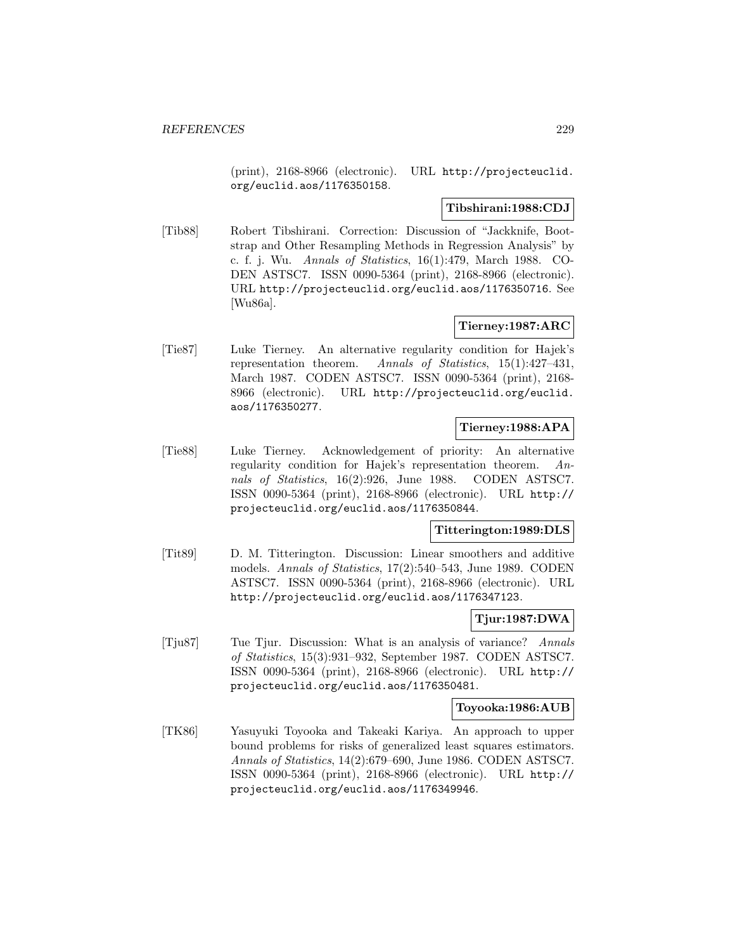(print), 2168-8966 (electronic). URL http://projecteuclid. org/euclid.aos/1176350158.

## **Tibshirani:1988:CDJ**

[Tib88] Robert Tibshirani. Correction: Discussion of "Jackknife, Bootstrap and Other Resampling Methods in Regression Analysis" by c. f. j. Wu. Annals of Statistics, 16(1):479, March 1988. CO-DEN ASTSC7. ISSN 0090-5364 (print), 2168-8966 (electronic). URL http://projecteuclid.org/euclid.aos/1176350716. See [Wu86a].

## **Tierney:1987:ARC**

[Tie87] Luke Tierney. An alternative regularity condition for Hajek's representation theorem. Annals of Statistics, 15(1):427–431, March 1987. CODEN ASTSC7. ISSN 0090-5364 (print), 2168- 8966 (electronic). URL http://projecteuclid.org/euclid. aos/1176350277.

## **Tierney:1988:APA**

[Tie88] Luke Tierney. Acknowledgement of priority: An alternative regularity condition for Hajek's representation theorem. Annals of Statistics, 16(2):926, June 1988. CODEN ASTSC7. ISSN 0090-5364 (print), 2168-8966 (electronic). URL http:// projecteuclid.org/euclid.aos/1176350844.

## **Titterington:1989:DLS**

[Tit89] D. M. Titterington. Discussion: Linear smoothers and additive models. Annals of Statistics, 17(2):540–543, June 1989. CODEN ASTSC7. ISSN 0090-5364 (print), 2168-8966 (electronic). URL http://projecteuclid.org/euclid.aos/1176347123.

## **Tjur:1987:DWA**

[Tju87] Tue Tjur. Discussion: What is an analysis of variance? Annals of Statistics, 15(3):931–932, September 1987. CODEN ASTSC7. ISSN 0090-5364 (print), 2168-8966 (electronic). URL http:// projecteuclid.org/euclid.aos/1176350481.

#### **Toyooka:1986:AUB**

[TK86] Yasuyuki Toyooka and Takeaki Kariya. An approach to upper bound problems for risks of generalized least squares estimators. Annals of Statistics, 14(2):679–690, June 1986. CODEN ASTSC7. ISSN 0090-5364 (print), 2168-8966 (electronic). URL http:// projecteuclid.org/euclid.aos/1176349946.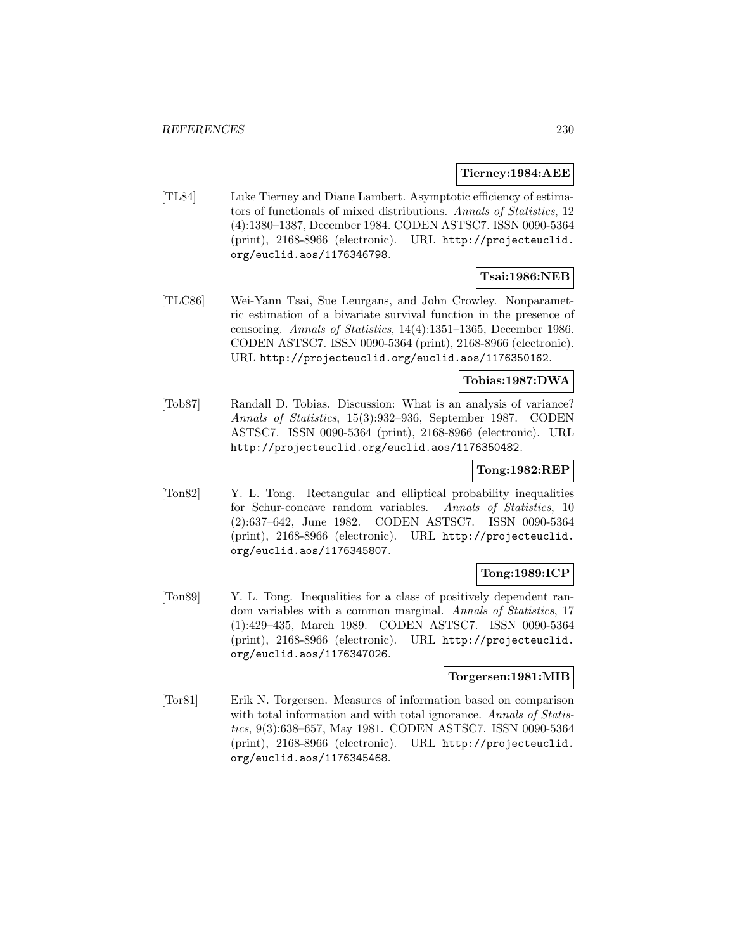#### **Tierney:1984:AEE**

[TL84] Luke Tierney and Diane Lambert. Asymptotic efficiency of estimators of functionals of mixed distributions. Annals of Statistics, 12 (4):1380–1387, December 1984. CODEN ASTSC7. ISSN 0090-5364 (print), 2168-8966 (electronic). URL http://projecteuclid. org/euclid.aos/1176346798.

# **Tsai:1986:NEB**

[TLC86] Wei-Yann Tsai, Sue Leurgans, and John Crowley. Nonparametric estimation of a bivariate survival function in the presence of censoring. Annals of Statistics, 14(4):1351–1365, December 1986. CODEN ASTSC7. ISSN 0090-5364 (print), 2168-8966 (electronic). URL http://projecteuclid.org/euclid.aos/1176350162.

## **Tobias:1987:DWA**

[Tob87] Randall D. Tobias. Discussion: What is an analysis of variance? Annals of Statistics, 15(3):932–936, September 1987. CODEN ASTSC7. ISSN 0090-5364 (print), 2168-8966 (electronic). URL http://projecteuclid.org/euclid.aos/1176350482.

## **Tong:1982:REP**

[Ton82] Y. L. Tong. Rectangular and elliptical probability inequalities for Schur-concave random variables. Annals of Statistics, 10 (2):637–642, June 1982. CODEN ASTSC7. ISSN 0090-5364 (print), 2168-8966 (electronic). URL http://projecteuclid. org/euclid.aos/1176345807.

# **Tong:1989:ICP**

[Ton89] Y. L. Tong. Inequalities for a class of positively dependent random variables with a common marginal. Annals of Statistics, 17 (1):429–435, March 1989. CODEN ASTSC7. ISSN 0090-5364 (print), 2168-8966 (electronic). URL http://projecteuclid. org/euclid.aos/1176347026.

## **Torgersen:1981:MIB**

[Tor81] Erik N. Torgersen. Measures of information based on comparison with total information and with total ignorance. Annals of Statistics, 9(3):638–657, May 1981. CODEN ASTSC7. ISSN 0090-5364 (print), 2168-8966 (electronic). URL http://projecteuclid. org/euclid.aos/1176345468.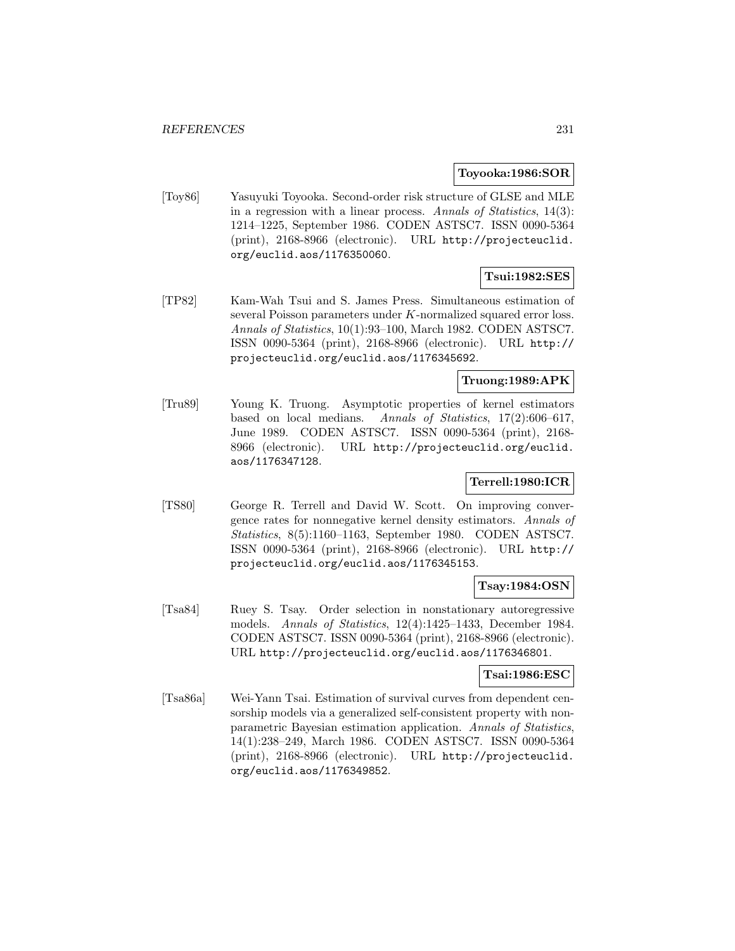### **Toyooka:1986:SOR**

[Toy86] Yasuyuki Toyooka. Second-order risk structure of GLSE and MLE in a regression with a linear process. Annals of Statistics, 14(3): 1214–1225, September 1986. CODEN ASTSC7. ISSN 0090-5364 (print), 2168-8966 (electronic). URL http://projecteuclid. org/euclid.aos/1176350060.

# **Tsui:1982:SES**

[TP82] Kam-Wah Tsui and S. James Press. Simultaneous estimation of several Poisson parameters under K-normalized squared error loss. Annals of Statistics, 10(1):93–100, March 1982. CODEN ASTSC7. ISSN 0090-5364 (print), 2168-8966 (electronic). URL http:// projecteuclid.org/euclid.aos/1176345692.

## **Truong:1989:APK**

[Tru89] Young K. Truong. Asymptotic properties of kernel estimators based on local medians. Annals of Statistics, 17(2):606–617, June 1989. CODEN ASTSC7. ISSN 0090-5364 (print), 2168- 8966 (electronic). URL http://projecteuclid.org/euclid. aos/1176347128.

## **Terrell:1980:ICR**

[TS80] George R. Terrell and David W. Scott. On improving convergence rates for nonnegative kernel density estimators. Annals of Statistics, 8(5):1160–1163, September 1980. CODEN ASTSC7. ISSN 0090-5364 (print), 2168-8966 (electronic). URL http:// projecteuclid.org/euclid.aos/1176345153.

## **Tsay:1984:OSN**

[Tsa84] Ruey S. Tsay. Order selection in nonstationary autoregressive models. Annals of Statistics, 12(4):1425–1433, December 1984. CODEN ASTSC7. ISSN 0090-5364 (print), 2168-8966 (electronic). URL http://projecteuclid.org/euclid.aos/1176346801.

## **Tsai:1986:ESC**

[Tsa86a] Wei-Yann Tsai. Estimation of survival curves from dependent censorship models via a generalized self-consistent property with nonparametric Bayesian estimation application. Annals of Statistics, 14(1):238–249, March 1986. CODEN ASTSC7. ISSN 0090-5364 (print), 2168-8966 (electronic). URL http://projecteuclid. org/euclid.aos/1176349852.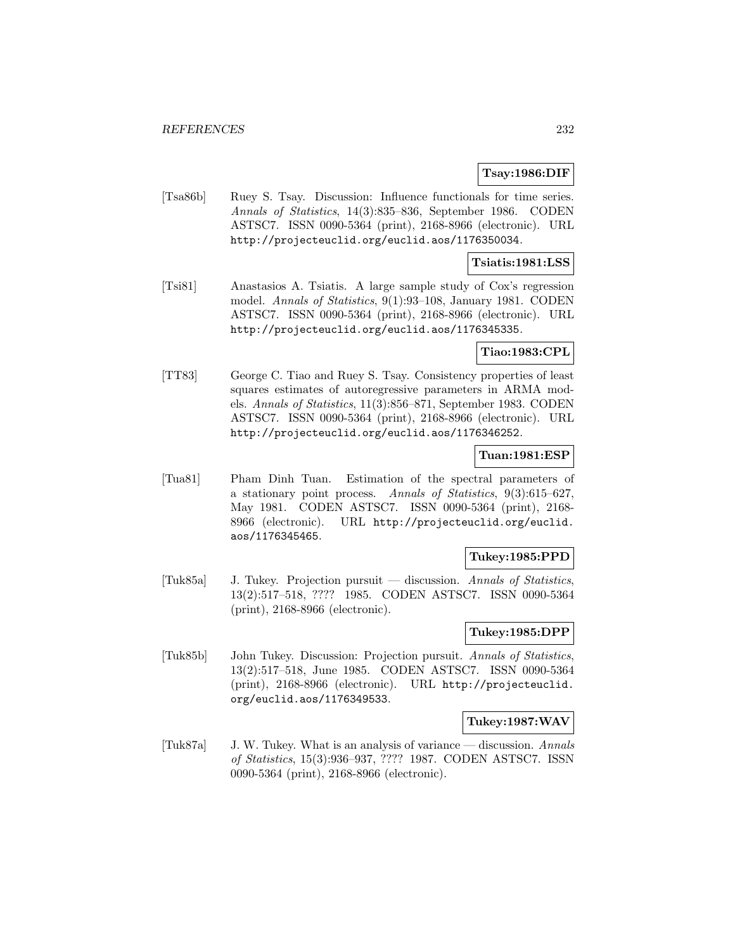## **Tsay:1986:DIF**

[Tsa86b] Ruey S. Tsay. Discussion: Influence functionals for time series. Annals of Statistics, 14(3):835–836, September 1986. CODEN ASTSC7. ISSN 0090-5364 (print), 2168-8966 (electronic). URL http://projecteuclid.org/euclid.aos/1176350034.

### **Tsiatis:1981:LSS**

[Tsi81] Anastasios A. Tsiatis. A large sample study of Cox's regression model. Annals of Statistics, 9(1):93–108, January 1981. CODEN ASTSC7. ISSN 0090-5364 (print), 2168-8966 (electronic). URL http://projecteuclid.org/euclid.aos/1176345335.

#### **Tiao:1983:CPL**

[TT83] George C. Tiao and Ruey S. Tsay. Consistency properties of least squares estimates of autoregressive parameters in ARMA models. Annals of Statistics, 11(3):856–871, September 1983. CODEN ASTSC7. ISSN 0090-5364 (print), 2168-8966 (electronic). URL http://projecteuclid.org/euclid.aos/1176346252.

### **Tuan:1981:ESP**

[Tua81] Pham Dinh Tuan. Estimation of the spectral parameters of a stationary point process. Annals of Statistics, 9(3):615–627, May 1981. CODEN ASTSC7. ISSN 0090-5364 (print), 2168- 8966 (electronic). URL http://projecteuclid.org/euclid. aos/1176345465.

#### **Tukey:1985:PPD**

[Tuk85a] J. Tukey. Projection pursuit — discussion. Annals of Statistics, 13(2):517–518, ???? 1985. CODEN ASTSC7. ISSN 0090-5364 (print), 2168-8966 (electronic).

# **Tukey:1985:DPP**

[Tuk85b] John Tukey. Discussion: Projection pursuit. Annals of Statistics, 13(2):517–518, June 1985. CODEN ASTSC7. ISSN 0090-5364 (print), 2168-8966 (electronic). URL http://projecteuclid. org/euclid.aos/1176349533.

#### **Tukey:1987:WAV**

[Tuk87a] J. W. Tukey. What is an analysis of variance — discussion. Annals of Statistics, 15(3):936–937, ???? 1987. CODEN ASTSC7. ISSN 0090-5364 (print), 2168-8966 (electronic).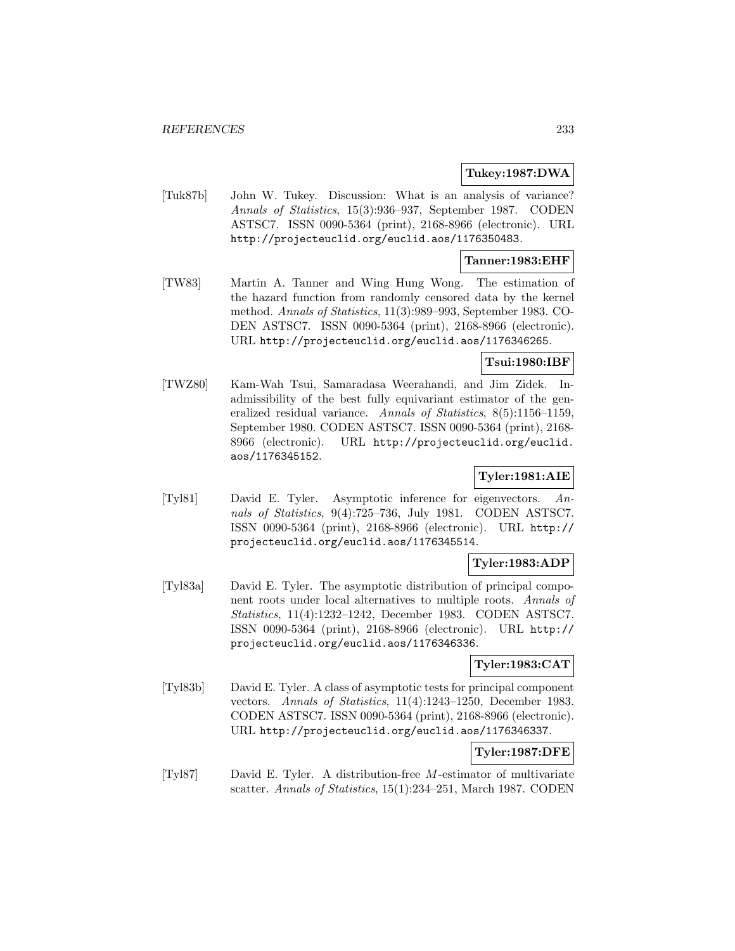### **Tukey:1987:DWA**

[Tuk87b] John W. Tukey. Discussion: What is an analysis of variance? Annals of Statistics, 15(3):936–937, September 1987. CODEN ASTSC7. ISSN 0090-5364 (print), 2168-8966 (electronic). URL http://projecteuclid.org/euclid.aos/1176350483.

## **Tanner:1983:EHF**

[TW83] Martin A. Tanner and Wing Hung Wong. The estimation of the hazard function from randomly censored data by the kernel method. Annals of Statistics, 11(3):989–993, September 1983. CO-DEN ASTSC7. ISSN 0090-5364 (print), 2168-8966 (electronic). URL http://projecteuclid.org/euclid.aos/1176346265.

## **Tsui:1980:IBF**

[TWZ80] Kam-Wah Tsui, Samaradasa Weerahandi, and Jim Zidek. Inadmissibility of the best fully equivariant estimator of the generalized residual variance. Annals of Statistics, 8(5):1156–1159, September 1980. CODEN ASTSC7. ISSN 0090-5364 (print), 2168- 8966 (electronic). URL http://projecteuclid.org/euclid. aos/1176345152.

# **Tyler:1981:AIE**

[Tyl81] David E. Tyler. Asymptotic inference for eigenvectors. Annals of Statistics, 9(4):725–736, July 1981. CODEN ASTSC7. ISSN 0090-5364 (print), 2168-8966 (electronic). URL http:// projecteuclid.org/euclid.aos/1176345514.

# **Tyler:1983:ADP**

[Tyl83a] David E. Tyler. The asymptotic distribution of principal component roots under local alternatives to multiple roots. Annals of Statistics, 11(4):1232–1242, December 1983. CODEN ASTSC7. ISSN 0090-5364 (print), 2168-8966 (electronic). URL http:// projecteuclid.org/euclid.aos/1176346336.

## **Tyler:1983:CAT**

[Tyl83b] David E. Tyler. A class of asymptotic tests for principal component vectors. Annals of Statistics, 11(4):1243–1250, December 1983. CODEN ASTSC7. ISSN 0090-5364 (print), 2168-8966 (electronic). URL http://projecteuclid.org/euclid.aos/1176346337.

# **Tyler:1987:DFE**

[Tyl87] David E. Tyler. A distribution-free M-estimator of multivariate scatter. Annals of Statistics, 15(1):234–251, March 1987. CODEN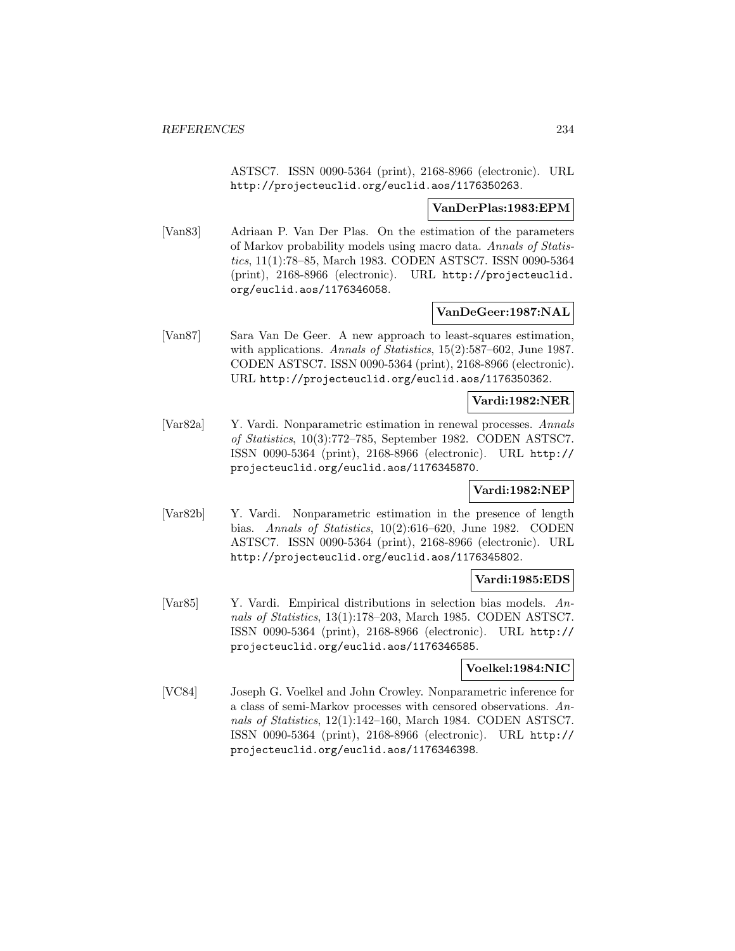ASTSC7. ISSN 0090-5364 (print), 2168-8966 (electronic). URL http://projecteuclid.org/euclid.aos/1176350263.

#### **VanDerPlas:1983:EPM**

[Van83] Adriaan P. Van Der Plas. On the estimation of the parameters of Markov probability models using macro data. Annals of Statistics, 11(1):78–85, March 1983. CODEN ASTSC7. ISSN 0090-5364 (print), 2168-8966 (electronic). URL http://projecteuclid. org/euclid.aos/1176346058.

## **VanDeGeer:1987:NAL**

[Van87] Sara Van De Geer. A new approach to least-squares estimation, with applications. Annals of Statistics, 15(2):587-602, June 1987. CODEN ASTSC7. ISSN 0090-5364 (print), 2168-8966 (electronic). URL http://projecteuclid.org/euclid.aos/1176350362.

### **Vardi:1982:NER**

[Var82a] Y. Vardi. Nonparametric estimation in renewal processes. Annals of Statistics, 10(3):772–785, September 1982. CODEN ASTSC7. ISSN 0090-5364 (print), 2168-8966 (electronic). URL http:// projecteuclid.org/euclid.aos/1176345870.

## **Vardi:1982:NEP**

[Var82b] Y. Vardi. Nonparametric estimation in the presence of length bias. Annals of Statistics, 10(2):616–620, June 1982. CODEN ASTSC7. ISSN 0090-5364 (print), 2168-8966 (electronic). URL http://projecteuclid.org/euclid.aos/1176345802.

## **Vardi:1985:EDS**

[Var85] Y. Vardi. Empirical distributions in selection bias models. Annals of Statistics, 13(1):178–203, March 1985. CODEN ASTSC7. ISSN 0090-5364 (print), 2168-8966 (electronic). URL http:// projecteuclid.org/euclid.aos/1176346585.

## **Voelkel:1984:NIC**

[VC84] Joseph G. Voelkel and John Crowley. Nonparametric inference for a class of semi-Markov processes with censored observations. Annals of Statistics, 12(1):142–160, March 1984. CODEN ASTSC7. ISSN 0090-5364 (print), 2168-8966 (electronic). URL http:// projecteuclid.org/euclid.aos/1176346398.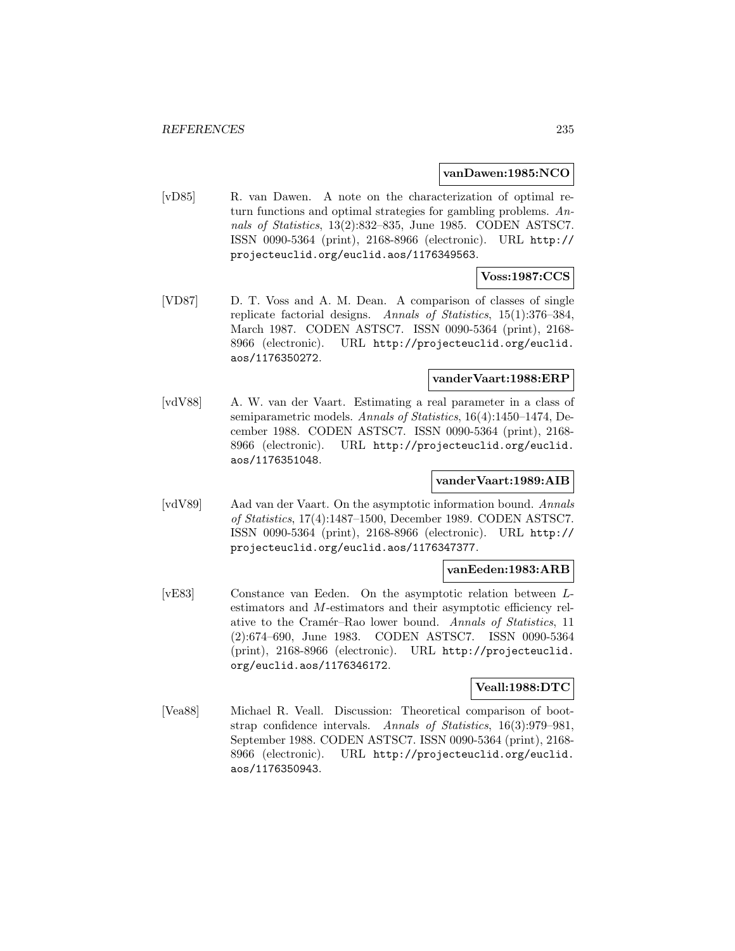#### **vanDawen:1985:NCO**

[vD85] R. van Dawen. A note on the characterization of optimal return functions and optimal strategies for gambling problems. Annals of Statistics, 13(2):832–835, June 1985. CODEN ASTSC7. ISSN 0090-5364 (print), 2168-8966 (electronic). URL http:// projecteuclid.org/euclid.aos/1176349563.

# **Voss:1987:CCS**

[VD87] D. T. Voss and A. M. Dean. A comparison of classes of single replicate factorial designs. Annals of Statistics, 15(1):376–384, March 1987. CODEN ASTSC7. ISSN 0090-5364 (print), 2168- 8966 (electronic). URL http://projecteuclid.org/euclid. aos/1176350272.

#### **vanderVaart:1988:ERP**

[vdV88] A. W. van der Vaart. Estimating a real parameter in a class of semiparametric models. Annals of Statistics, 16(4):1450-1474, December 1988. CODEN ASTSC7. ISSN 0090-5364 (print), 2168- 8966 (electronic). URL http://projecteuclid.org/euclid. aos/1176351048.

## **vanderVaart:1989:AIB**

[vdV89] Aad van der Vaart. On the asymptotic information bound. Annals of Statistics, 17(4):1487–1500, December 1989. CODEN ASTSC7. ISSN 0090-5364 (print), 2168-8966 (electronic). URL http:// projecteuclid.org/euclid.aos/1176347377.

#### **vanEeden:1983:ARB**

[vE83] Constance van Eeden. On the asymptotic relation between Lestimators and M-estimators and their asymptotic efficiency relative to the Cramér–Rao lower bound. Annals of Statistics, 11 (2):674–690, June 1983. CODEN ASTSC7. ISSN 0090-5364 (print), 2168-8966 (electronic). URL http://projecteuclid. org/euclid.aos/1176346172.

### **Veall:1988:DTC**

[Vea88] Michael R. Veall. Discussion: Theoretical comparison of bootstrap confidence intervals. Annals of Statistics, 16(3):979–981, September 1988. CODEN ASTSC7. ISSN 0090-5364 (print), 2168- 8966 (electronic). URL http://projecteuclid.org/euclid. aos/1176350943.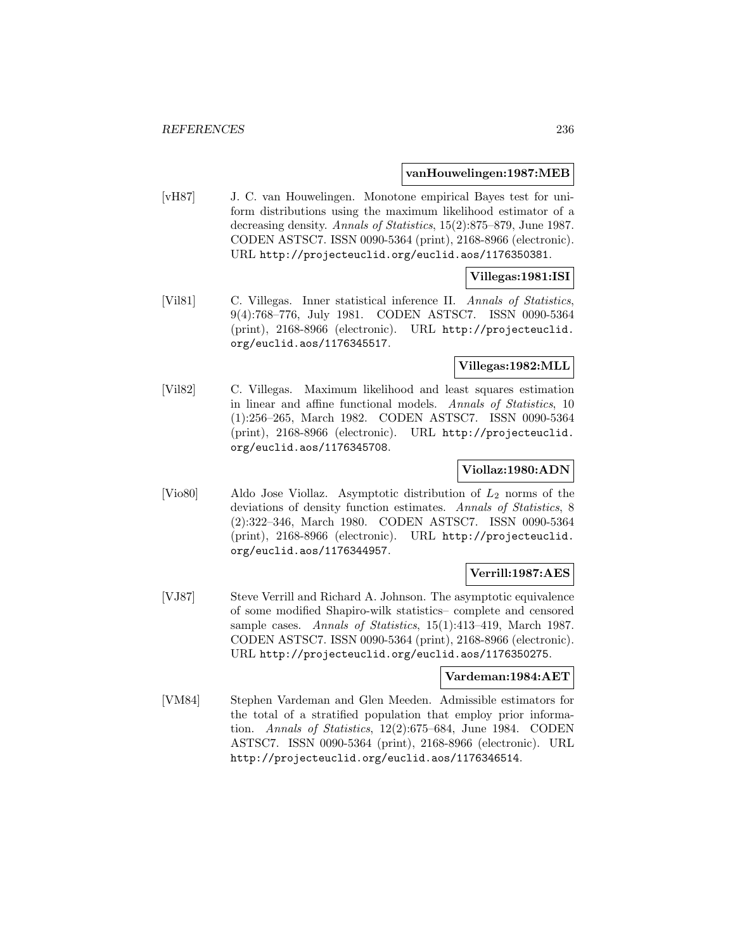#### **vanHouwelingen:1987:MEB**

[vH87] J. C. van Houwelingen. Monotone empirical Bayes test for uniform distributions using the maximum likelihood estimator of a decreasing density. Annals of Statistics, 15(2):875–879, June 1987. CODEN ASTSC7. ISSN 0090-5364 (print), 2168-8966 (electronic). URL http://projecteuclid.org/euclid.aos/1176350381.

## **Villegas:1981:ISI**

[Vil81] C. Villegas. Inner statistical inference II. Annals of Statistics, 9(4):768–776, July 1981. CODEN ASTSC7. ISSN 0090-5364 (print), 2168-8966 (electronic). URL http://projecteuclid. org/euclid.aos/1176345517.

# **Villegas:1982:MLL**

[Vil82] C. Villegas. Maximum likelihood and least squares estimation in linear and affine functional models. Annals of Statistics, 10 (1):256–265, March 1982. CODEN ASTSC7. ISSN 0090-5364 (print), 2168-8966 (electronic). URL http://projecteuclid. org/euclid.aos/1176345708.

### **Viollaz:1980:ADN**

[Vio80] Aldo Jose Viollaz. Asymptotic distribution of  $L_2$  norms of the deviations of density function estimates. Annals of Statistics, 8 (2):322–346, March 1980. CODEN ASTSC7. ISSN 0090-5364 (print), 2168-8966 (electronic). URL http://projecteuclid. org/euclid.aos/1176344957.

# **Verrill:1987:AES**

[VJ87] Steve Verrill and Richard A. Johnson. The asymptotic equivalence of some modified Shapiro-wilk statistics– complete and censored sample cases. Annals of Statistics, 15(1):413-419, March 1987. CODEN ASTSC7. ISSN 0090-5364 (print), 2168-8966 (electronic). URL http://projecteuclid.org/euclid.aos/1176350275.

## **Vardeman:1984:AET**

[VM84] Stephen Vardeman and Glen Meeden. Admissible estimators for the total of a stratified population that employ prior information. Annals of Statistics, 12(2):675–684, June 1984. CODEN ASTSC7. ISSN 0090-5364 (print), 2168-8966 (electronic). URL http://projecteuclid.org/euclid.aos/1176346514.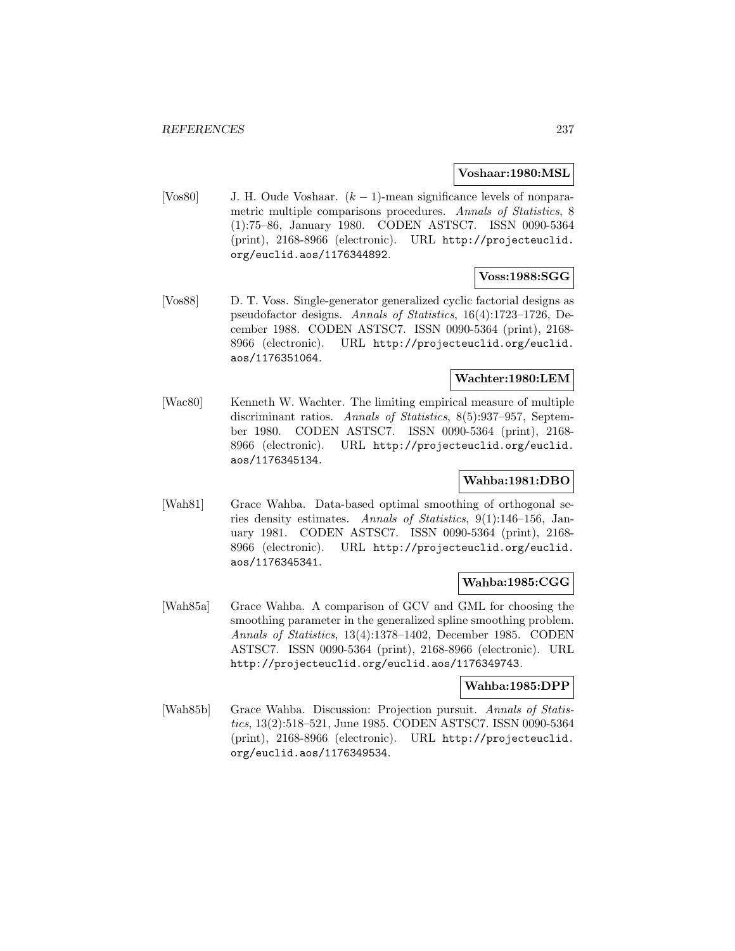#### **Voshaar:1980:MSL**

[Vos80] J. H. Oude Voshaar. (k − 1)-mean significance levels of nonparametric multiple comparisons procedures. Annals of Statistics, 8 (1):75–86, January 1980. CODEN ASTSC7. ISSN 0090-5364 (print), 2168-8966 (electronic). URL http://projecteuclid. org/euclid.aos/1176344892.

## **Voss:1988:SGG**

[Vos88] D. T. Voss. Single-generator generalized cyclic factorial designs as pseudofactor designs. Annals of Statistics, 16(4):1723–1726, December 1988. CODEN ASTSC7. ISSN 0090-5364 (print), 2168- 8966 (electronic). URL http://projecteuclid.org/euclid. aos/1176351064.

#### **Wachter:1980:LEM**

[Wac80] Kenneth W. Wachter. The limiting empirical measure of multiple discriminant ratios. Annals of Statistics, 8(5):937–957, September 1980. CODEN ASTSC7. ISSN 0090-5364 (print), 2168- 8966 (electronic). URL http://projecteuclid.org/euclid. aos/1176345134.

# **Wahba:1981:DBO**

[Wah81] Grace Wahba. Data-based optimal smoothing of orthogonal series density estimates. Annals of Statistics, 9(1):146–156, January 1981. CODEN ASTSC7. ISSN 0090-5364 (print), 2168- 8966 (electronic). URL http://projecteuclid.org/euclid. aos/1176345341.

## **Wahba:1985:CGG**

[Wah85a] Grace Wahba. A comparison of GCV and GML for choosing the smoothing parameter in the generalized spline smoothing problem. Annals of Statistics, 13(4):1378–1402, December 1985. CODEN ASTSC7. ISSN 0090-5364 (print), 2168-8966 (electronic). URL http://projecteuclid.org/euclid.aos/1176349743.

## **Wahba:1985:DPP**

[Wah85b] Grace Wahba. Discussion: Projection pursuit. Annals of Statistics, 13(2):518–521, June 1985. CODEN ASTSC7. ISSN 0090-5364 (print), 2168-8966 (electronic). URL http://projecteuclid. org/euclid.aos/1176349534.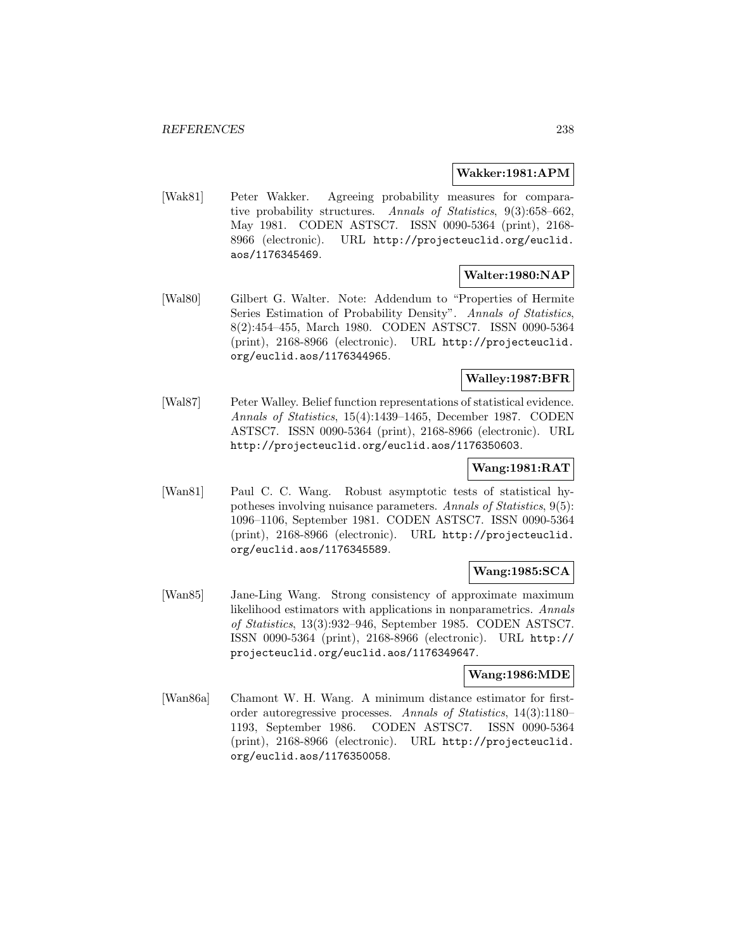### **Wakker:1981:APM**

[Wak81] Peter Wakker. Agreeing probability measures for comparative probability structures. Annals of Statistics, 9(3):658–662, May 1981. CODEN ASTSC7. ISSN 0090-5364 (print), 2168- 8966 (electronic). URL http://projecteuclid.org/euclid. aos/1176345469.

# **Walter:1980:NAP**

[Wal80] Gilbert G. Walter. Note: Addendum to "Properties of Hermite Series Estimation of Probability Density". Annals of Statistics, 8(2):454–455, March 1980. CODEN ASTSC7. ISSN 0090-5364 (print), 2168-8966 (electronic). URL http://projecteuclid. org/euclid.aos/1176344965.

## **Walley:1987:BFR**

[Wal87] Peter Walley. Belief function representations of statistical evidence. Annals of Statistics, 15(4):1439–1465, December 1987. CODEN ASTSC7. ISSN 0090-5364 (print), 2168-8966 (electronic). URL http://projecteuclid.org/euclid.aos/1176350603.

## **Wang:1981:RAT**

[Wan81] Paul C. C. Wang. Robust asymptotic tests of statistical hypotheses involving nuisance parameters. Annals of Statistics, 9(5): 1096–1106, September 1981. CODEN ASTSC7. ISSN 0090-5364 (print), 2168-8966 (electronic). URL http://projecteuclid. org/euclid.aos/1176345589.

## **Wang:1985:SCA**

[Wan85] Jane-Ling Wang. Strong consistency of approximate maximum likelihood estimators with applications in nonparametrics. Annals of Statistics, 13(3):932–946, September 1985. CODEN ASTSC7. ISSN 0090-5364 (print), 2168-8966 (electronic). URL http:// projecteuclid.org/euclid.aos/1176349647.

## **Wang:1986:MDE**

[Wan86a] Chamont W. H. Wang. A minimum distance estimator for firstorder autoregressive processes. Annals of Statistics, 14(3):1180– 1193, September 1986. CODEN ASTSC7. ISSN 0090-5364 (print), 2168-8966 (electronic). URL http://projecteuclid. org/euclid.aos/1176350058.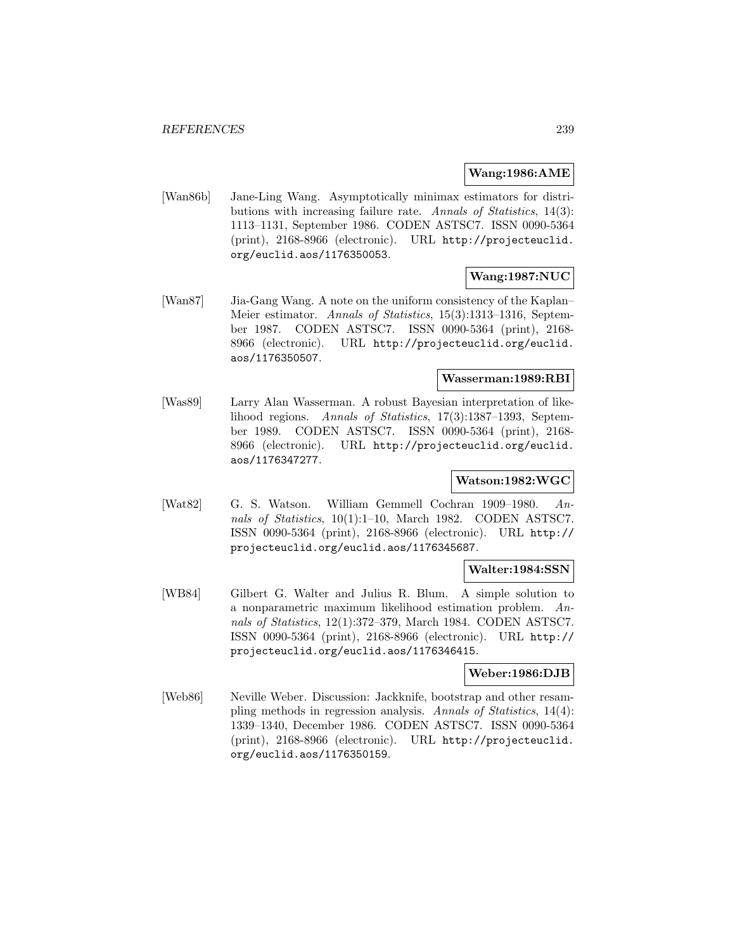### **Wang:1986:AME**

[Wan86b] Jane-Ling Wang. Asymptotically minimax estimators for distributions with increasing failure rate. Annals of Statistics, 14(3): 1113–1131, September 1986. CODEN ASTSC7. ISSN 0090-5364 (print), 2168-8966 (electronic). URL http://projecteuclid. org/euclid.aos/1176350053.

# **Wang:1987:NUC**

[Wan87] Jia-Gang Wang. A note on the uniform consistency of the Kaplan– Meier estimator. Annals of Statistics, 15(3):1313–1316, September 1987. CODEN ASTSC7. ISSN 0090-5364 (print), 2168- 8966 (electronic). URL http://projecteuclid.org/euclid. aos/1176350507.

### **Wasserman:1989:RBI**

[Was89] Larry Alan Wasserman. A robust Bayesian interpretation of likelihood regions. Annals of Statistics, 17(3):1387–1393, September 1989. CODEN ASTSC7. ISSN 0090-5364 (print), 2168- 8966 (electronic). URL http://projecteuclid.org/euclid. aos/1176347277.

# **Watson:1982:WGC**

[Wat82] G. S. Watson. William Gemmell Cochran 1909–1980. Annals of Statistics, 10(1):1–10, March 1982. CODEN ASTSC7. ISSN 0090-5364 (print), 2168-8966 (electronic). URL http:// projecteuclid.org/euclid.aos/1176345687.

## **Walter:1984:SSN**

[WB84] Gilbert G. Walter and Julius R. Blum. A simple solution to a nonparametric maximum likelihood estimation problem. Annals of Statistics, 12(1):372–379, March 1984. CODEN ASTSC7. ISSN 0090-5364 (print), 2168-8966 (electronic). URL http:// projecteuclid.org/euclid.aos/1176346415.

## **Weber:1986:DJB**

[Web86] Neville Weber. Discussion: Jackknife, bootstrap and other resampling methods in regression analysis. Annals of Statistics, 14(4): 1339–1340, December 1986. CODEN ASTSC7. ISSN 0090-5364 (print), 2168-8966 (electronic). URL http://projecteuclid. org/euclid.aos/1176350159.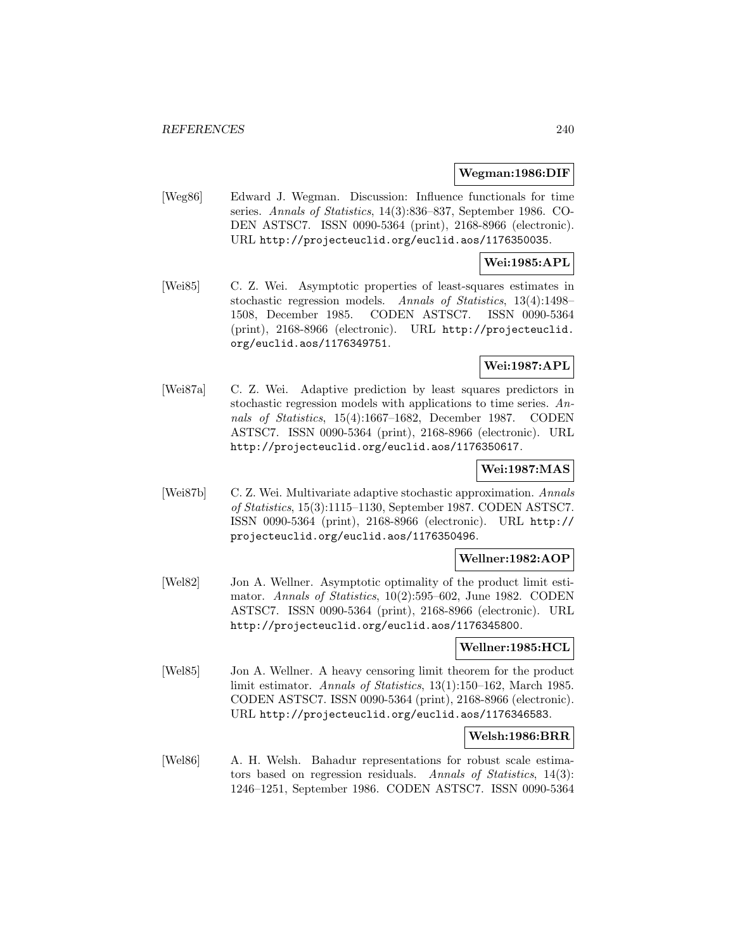#### **Wegman:1986:DIF**

[Weg86] Edward J. Wegman. Discussion: Influence functionals for time series. Annals of Statistics, 14(3):836–837, September 1986. CO-DEN ASTSC7. ISSN 0090-5364 (print), 2168-8966 (electronic). URL http://projecteuclid.org/euclid.aos/1176350035.

## **Wei:1985:APL**

[Wei85] C. Z. Wei. Asymptotic properties of least-squares estimates in stochastic regression models. Annals of Statistics, 13(4):1498– 1508, December 1985. CODEN ASTSC7. ISSN 0090-5364 (print), 2168-8966 (electronic). URL http://projecteuclid. org/euclid.aos/1176349751.

# **Wei:1987:APL**

[Wei87a] C. Z. Wei. Adaptive prediction by least squares predictors in stochastic regression models with applications to time series. Annals of Statistics, 15(4):1667–1682, December 1987. CODEN ASTSC7. ISSN 0090-5364 (print), 2168-8966 (electronic). URL http://projecteuclid.org/euclid.aos/1176350617.

## **Wei:1987:MAS**

[Wei87b] C. Z. Wei. Multivariate adaptive stochastic approximation. Annals of Statistics, 15(3):1115–1130, September 1987. CODEN ASTSC7. ISSN 0090-5364 (print), 2168-8966 (electronic). URL http:// projecteuclid.org/euclid.aos/1176350496.

#### **Wellner:1982:AOP**

[Wel82] Jon A. Wellner. Asymptotic optimality of the product limit estimator. Annals of Statistics, 10(2):595–602, June 1982. CODEN ASTSC7. ISSN 0090-5364 (print), 2168-8966 (electronic). URL http://projecteuclid.org/euclid.aos/1176345800.

## **Wellner:1985:HCL**

[Wel85] Jon A. Wellner. A heavy censoring limit theorem for the product limit estimator. Annals of Statistics, 13(1):150–162, March 1985. CODEN ASTSC7. ISSN 0090-5364 (print), 2168-8966 (electronic). URL http://projecteuclid.org/euclid.aos/1176346583.

### **Welsh:1986:BRR**

[Wel86] A. H. Welsh. Bahadur representations for robust scale estimators based on regression residuals. Annals of Statistics, 14(3): 1246–1251, September 1986. CODEN ASTSC7. ISSN 0090-5364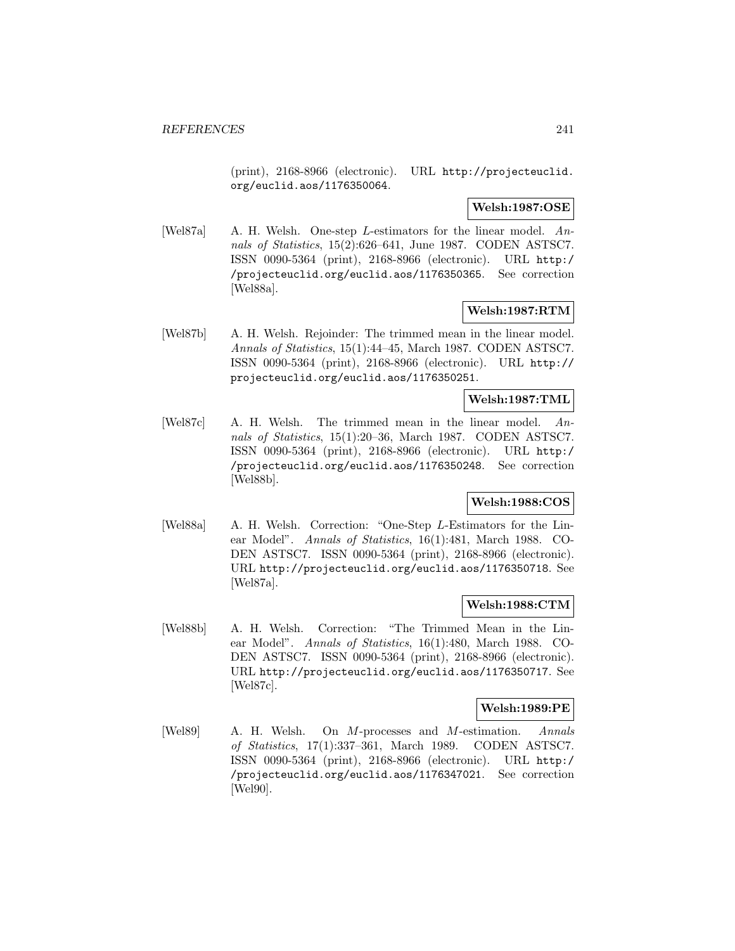(print), 2168-8966 (electronic). URL http://projecteuclid. org/euclid.aos/1176350064.

## **Welsh:1987:OSE**

[Wel87a] A. H. Welsh. One-step L-estimators for the linear model. Annals of Statistics, 15(2):626–641, June 1987. CODEN ASTSC7. ISSN 0090-5364 (print), 2168-8966 (electronic). URL http:/ /projecteuclid.org/euclid.aos/1176350365. See correction [Wel88a].

## **Welsh:1987:RTM**

[Wel87b] A. H. Welsh. Rejoinder: The trimmed mean in the linear model. Annals of Statistics, 15(1):44–45, March 1987. CODEN ASTSC7. ISSN 0090-5364 (print), 2168-8966 (electronic). URL http:// projecteuclid.org/euclid.aos/1176350251.

## **Welsh:1987:TML**

[Wel87c] A. H. Welsh. The trimmed mean in the linear model. Annals of Statistics, 15(1):20–36, March 1987. CODEN ASTSC7. ISSN 0090-5364 (print), 2168-8966 (electronic). URL http:/ /projecteuclid.org/euclid.aos/1176350248. See correction [Wel88b].

# **Welsh:1988:COS**

[Wel88a] A. H. Welsh. Correction: "One-Step L-Estimators for the Linear Model". Annals of Statistics, 16(1):481, March 1988. CO-DEN ASTSC7. ISSN 0090-5364 (print), 2168-8966 (electronic). URL http://projecteuclid.org/euclid.aos/1176350718. See [Wel87a].

## **Welsh:1988:CTM**

[Wel88b] A. H. Welsh. Correction: "The Trimmed Mean in the Linear Model". Annals of Statistics, 16(1):480, March 1988. CO-DEN ASTSC7. ISSN 0090-5364 (print), 2168-8966 (electronic). URL http://projecteuclid.org/euclid.aos/1176350717. See [Wel87c].

## **Welsh:1989:PE**

[Wel89] A. H. Welsh. On M-processes and M-estimation. Annals of Statistics, 17(1):337–361, March 1989. CODEN ASTSC7. ISSN 0090-5364 (print), 2168-8966 (electronic). URL http:/ /projecteuclid.org/euclid.aos/1176347021. See correction [Wel90].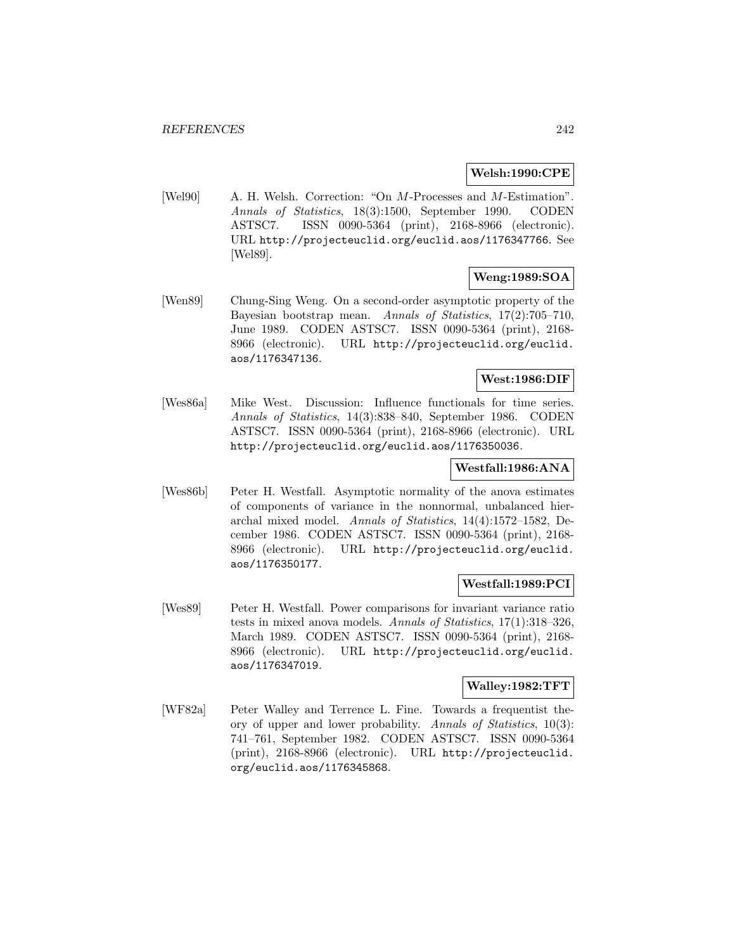## **Welsh:1990:CPE**

[Wel90] A. H. Welsh. Correction: "On M-Processes and M-Estimation". Annals of Statistics, 18(3):1500, September 1990. CODEN ASTSC7. ISSN 0090-5364 (print), 2168-8966 (electronic). URL http://projecteuclid.org/euclid.aos/1176347766. See [Wel89].

# **Weng:1989:SOA**

[Wen89] Chung-Sing Weng. On a second-order asymptotic property of the Bayesian bootstrap mean. Annals of Statistics, 17(2):705–710, June 1989. CODEN ASTSC7. ISSN 0090-5364 (print), 2168- 8966 (electronic). URL http://projecteuclid.org/euclid. aos/1176347136.

## **West:1986:DIF**

[Wes86a] Mike West. Discussion: Influence functionals for time series. Annals of Statistics, 14(3):838–840, September 1986. CODEN ASTSC7. ISSN 0090-5364 (print), 2168-8966 (electronic). URL http://projecteuclid.org/euclid.aos/1176350036.

## **Westfall:1986:ANA**

[Wes86b] Peter H. Westfall. Asymptotic normality of the anova estimates of components of variance in the nonnormal, unbalanced hierarchal mixed model. Annals of Statistics, 14(4):1572–1582, December 1986. CODEN ASTSC7. ISSN 0090-5364 (print), 2168- 8966 (electronic). URL http://projecteuclid.org/euclid. aos/1176350177.

# **Westfall:1989:PCI**

[Wes89] Peter H. Westfall. Power comparisons for invariant variance ratio tests in mixed anova models. Annals of Statistics, 17(1):318–326, March 1989. CODEN ASTSC7. ISSN 0090-5364 (print), 2168- 8966 (electronic). URL http://projecteuclid.org/euclid. aos/1176347019.

## **Walley:1982:TFT**

[WF82a] Peter Walley and Terrence L. Fine. Towards a frequentist theory of upper and lower probability. Annals of Statistics, 10(3): 741–761, September 1982. CODEN ASTSC7. ISSN 0090-5364 (print), 2168-8966 (electronic). URL http://projecteuclid. org/euclid.aos/1176345868.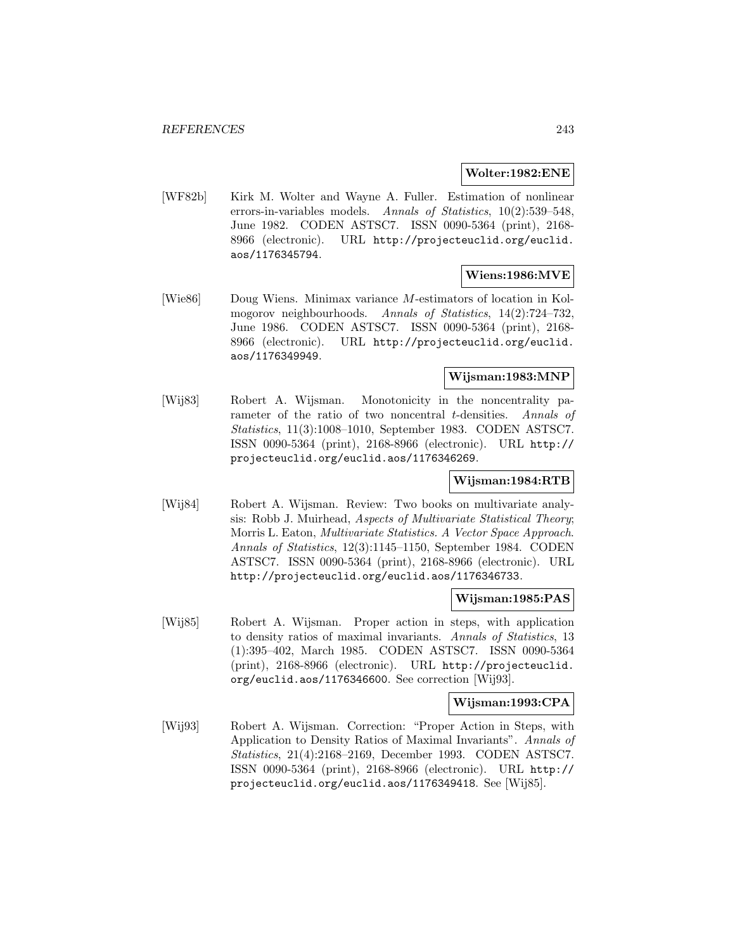#### **Wolter:1982:ENE**

[WF82b] Kirk M. Wolter and Wayne A. Fuller. Estimation of nonlinear errors-in-variables models. Annals of Statistics, 10(2):539–548, June 1982. CODEN ASTSC7. ISSN 0090-5364 (print), 2168- 8966 (electronic). URL http://projecteuclid.org/euclid. aos/1176345794.

## **Wiens:1986:MVE**

[Wie86] Doug Wiens. Minimax variance M-estimators of location in Kolmogorov neighbourhoods. Annals of Statistics, 14(2):724–732, June 1986. CODEN ASTSC7. ISSN 0090-5364 (print), 2168- 8966 (electronic). URL http://projecteuclid.org/euclid. aos/1176349949.

## **Wijsman:1983:MNP**

[Wij83] Robert A. Wijsman. Monotonicity in the noncentrality parameter of the ratio of two noncentral *t*-densities. Annals of Statistics, 11(3):1008–1010, September 1983. CODEN ASTSC7. ISSN 0090-5364 (print), 2168-8966 (electronic). URL http:// projecteuclid.org/euclid.aos/1176346269.

## **Wijsman:1984:RTB**

[Wij84] Robert A. Wijsman. Review: Two books on multivariate analysis: Robb J. Muirhead, Aspects of Multivariate Statistical Theory; Morris L. Eaton, Multivariate Statistics. A Vector Space Approach. Annals of Statistics, 12(3):1145–1150, September 1984. CODEN ASTSC7. ISSN 0090-5364 (print), 2168-8966 (electronic). URL http://projecteuclid.org/euclid.aos/1176346733.

# **Wijsman:1985:PAS**

[Wij85] Robert A. Wijsman. Proper action in steps, with application to density ratios of maximal invariants. Annals of Statistics, 13 (1):395–402, March 1985. CODEN ASTSC7. ISSN 0090-5364 (print), 2168-8966 (electronic). URL http://projecteuclid. org/euclid.aos/1176346600. See correction [Wij93].

## **Wijsman:1993:CPA**

[Wij93] Robert A. Wijsman. Correction: "Proper Action in Steps, with Application to Density Ratios of Maximal Invariants". Annals of Statistics, 21(4):2168–2169, December 1993. CODEN ASTSC7. ISSN 0090-5364 (print), 2168-8966 (electronic). URL http:// projecteuclid.org/euclid.aos/1176349418. See [Wij85].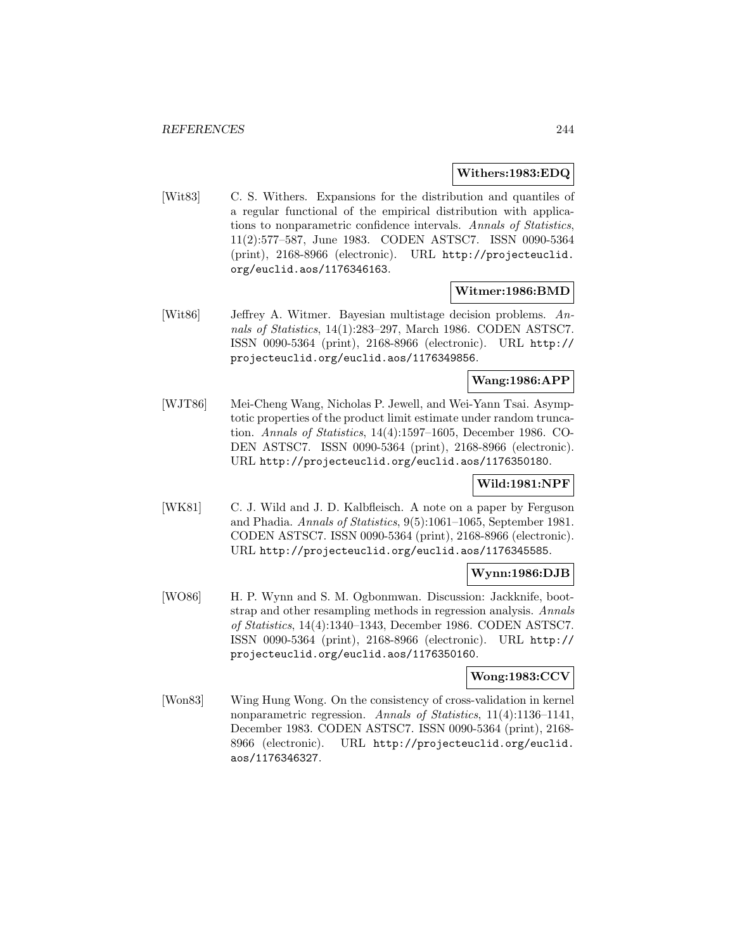### **Withers:1983:EDQ**

[Wit83] C. S. Withers. Expansions for the distribution and quantiles of a regular functional of the empirical distribution with applications to nonparametric confidence intervals. Annals of Statistics, 11(2):577–587, June 1983. CODEN ASTSC7. ISSN 0090-5364 (print), 2168-8966 (electronic). URL http://projecteuclid. org/euclid.aos/1176346163.

## **Witmer:1986:BMD**

[Wit86] Jeffrey A. Witmer. Bayesian multistage decision problems. Annals of Statistics, 14(1):283–297, March 1986. CODEN ASTSC7. ISSN 0090-5364 (print), 2168-8966 (electronic). URL http:// projecteuclid.org/euclid.aos/1176349856.

# **Wang:1986:APP**

[WJT86] Mei-Cheng Wang, Nicholas P. Jewell, and Wei-Yann Tsai. Asymptotic properties of the product limit estimate under random truncation. Annals of Statistics, 14(4):1597–1605, December 1986. CO-DEN ASTSC7. ISSN 0090-5364 (print), 2168-8966 (electronic). URL http://projecteuclid.org/euclid.aos/1176350180.

# **Wild:1981:NPF**

[WK81] C. J. Wild and J. D. Kalbfleisch. A note on a paper by Ferguson and Phadia. Annals of Statistics, 9(5):1061–1065, September 1981. CODEN ASTSC7. ISSN 0090-5364 (print), 2168-8966 (electronic). URL http://projecteuclid.org/euclid.aos/1176345585.

## **Wynn:1986:DJB**

[WO86] H. P. Wynn and S. M. Ogbonmwan. Discussion: Jackknife, bootstrap and other resampling methods in regression analysis. Annals of Statistics, 14(4):1340–1343, December 1986. CODEN ASTSC7. ISSN 0090-5364 (print), 2168-8966 (electronic). URL http:// projecteuclid.org/euclid.aos/1176350160.

## **Wong:1983:CCV**

[Won83] Wing Hung Wong. On the consistency of cross-validation in kernel nonparametric regression. Annals of Statistics, 11(4):1136–1141, December 1983. CODEN ASTSC7. ISSN 0090-5364 (print), 2168- 8966 (electronic). URL http://projecteuclid.org/euclid. aos/1176346327.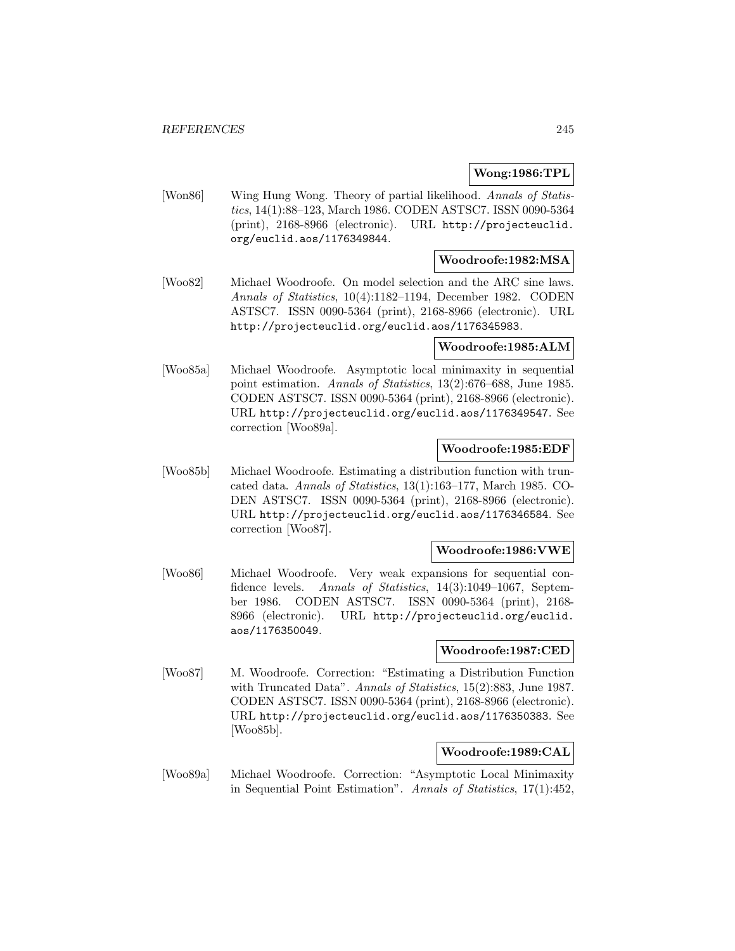## **Wong:1986:TPL**

[Won86] Wing Hung Wong. Theory of partial likelihood. Annals of Statistics, 14(1):88–123, March 1986. CODEN ASTSC7. ISSN 0090-5364 (print), 2168-8966 (electronic). URL http://projecteuclid. org/euclid.aos/1176349844.

## **Woodroofe:1982:MSA**

[Woo82] Michael Woodroofe. On model selection and the ARC sine laws. Annals of Statistics, 10(4):1182–1194, December 1982. CODEN ASTSC7. ISSN 0090-5364 (print), 2168-8966 (electronic). URL http://projecteuclid.org/euclid.aos/1176345983.

#### **Woodroofe:1985:ALM**

[Woo85a] Michael Woodroofe. Asymptotic local minimaxity in sequential point estimation. Annals of Statistics, 13(2):676–688, June 1985. CODEN ASTSC7. ISSN 0090-5364 (print), 2168-8966 (electronic). URL http://projecteuclid.org/euclid.aos/1176349547. See correction [Woo89a].

## **Woodroofe:1985:EDF**

[Woo85b] Michael Woodroofe. Estimating a distribution function with truncated data. Annals of Statistics, 13(1):163–177, March 1985. CO-DEN ASTSC7. ISSN 0090-5364 (print), 2168-8966 (electronic). URL http://projecteuclid.org/euclid.aos/1176346584. See correction [Woo87].

### **Woodroofe:1986:VWE**

[Woo86] Michael Woodroofe. Very weak expansions for sequential confidence levels. Annals of Statistics, 14(3):1049-1067, September 1986. CODEN ASTSC7. ISSN 0090-5364 (print), 2168- 8966 (electronic). URL http://projecteuclid.org/euclid. aos/1176350049.

## **Woodroofe:1987:CED**

[Woo87] M. Woodroofe. Correction: "Estimating a Distribution Function with Truncated Data". Annals of Statistics, 15(2):883, June 1987. CODEN ASTSC7. ISSN 0090-5364 (print), 2168-8966 (electronic). URL http://projecteuclid.org/euclid.aos/1176350383. See [Woo85b].

## **Woodroofe:1989:CAL**

[Woo89a] Michael Woodroofe. Correction: "Asymptotic Local Minimaxity in Sequential Point Estimation". Annals of Statistics, 17(1):452,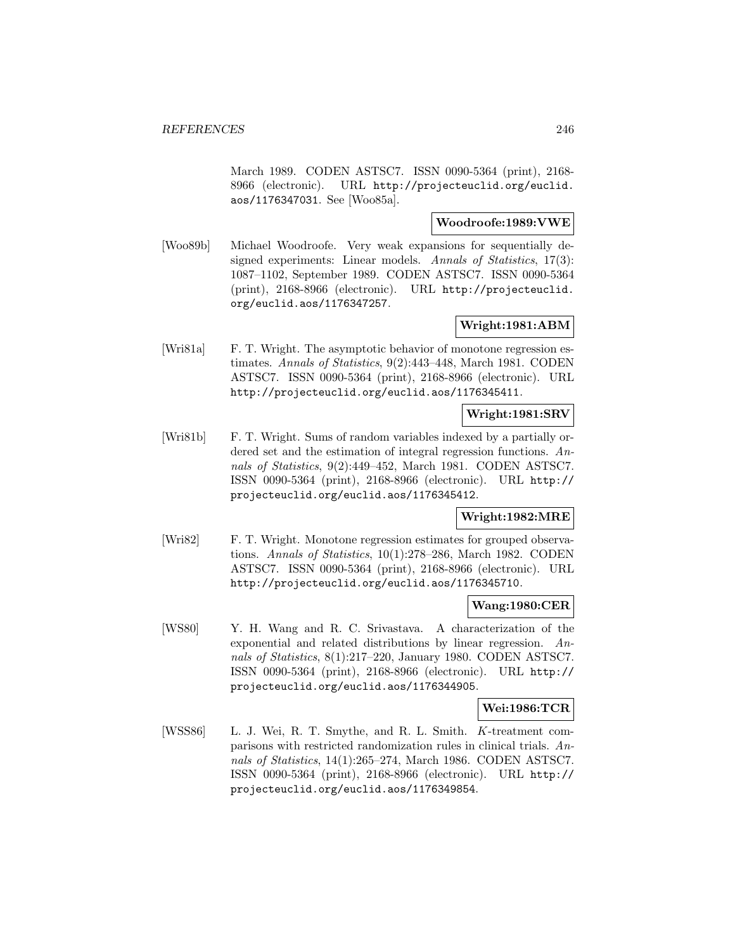March 1989. CODEN ASTSC7. ISSN 0090-5364 (print), 2168- 8966 (electronic). URL http://projecteuclid.org/euclid. aos/1176347031. See [Woo85a].

## **Woodroofe:1989:VWE**

[Woo89b] Michael Woodroofe. Very weak expansions for sequentially designed experiments: Linear models. Annals of Statistics, 17(3): 1087–1102, September 1989. CODEN ASTSC7. ISSN 0090-5364 (print), 2168-8966 (electronic). URL http://projecteuclid. org/euclid.aos/1176347257.

## **Wright:1981:ABM**

[Wri81a] F. T. Wright. The asymptotic behavior of monotone regression estimates. Annals of Statistics, 9(2):443–448, March 1981. CODEN ASTSC7. ISSN 0090-5364 (print), 2168-8966 (electronic). URL http://projecteuclid.org/euclid.aos/1176345411.

# **Wright:1981:SRV**

[Wri81b] F. T. Wright. Sums of random variables indexed by a partially ordered set and the estimation of integral regression functions. Annals of Statistics, 9(2):449–452, March 1981. CODEN ASTSC7. ISSN 0090-5364 (print), 2168-8966 (electronic). URL http:// projecteuclid.org/euclid.aos/1176345412.

## **Wright:1982:MRE**

[Wri82] F. T. Wright. Monotone regression estimates for grouped observations. Annals of Statistics, 10(1):278–286, March 1982. CODEN ASTSC7. ISSN 0090-5364 (print), 2168-8966 (electronic). URL http://projecteuclid.org/euclid.aos/1176345710.

## **Wang:1980:CER**

[WS80] Y. H. Wang and R. C. Srivastava. A characterization of the exponential and related distributions by linear regression. Annals of Statistics, 8(1):217–220, January 1980. CODEN ASTSC7. ISSN 0090-5364 (print), 2168-8966 (electronic). URL http:// projecteuclid.org/euclid.aos/1176344905.

#### **Wei:1986:TCR**

[WSS86] L. J. Wei, R. T. Smythe, and R. L. Smith. K-treatment comparisons with restricted randomization rules in clinical trials. Annals of Statistics, 14(1):265–274, March 1986. CODEN ASTSC7. ISSN 0090-5364 (print), 2168-8966 (electronic). URL http:// projecteuclid.org/euclid.aos/1176349854.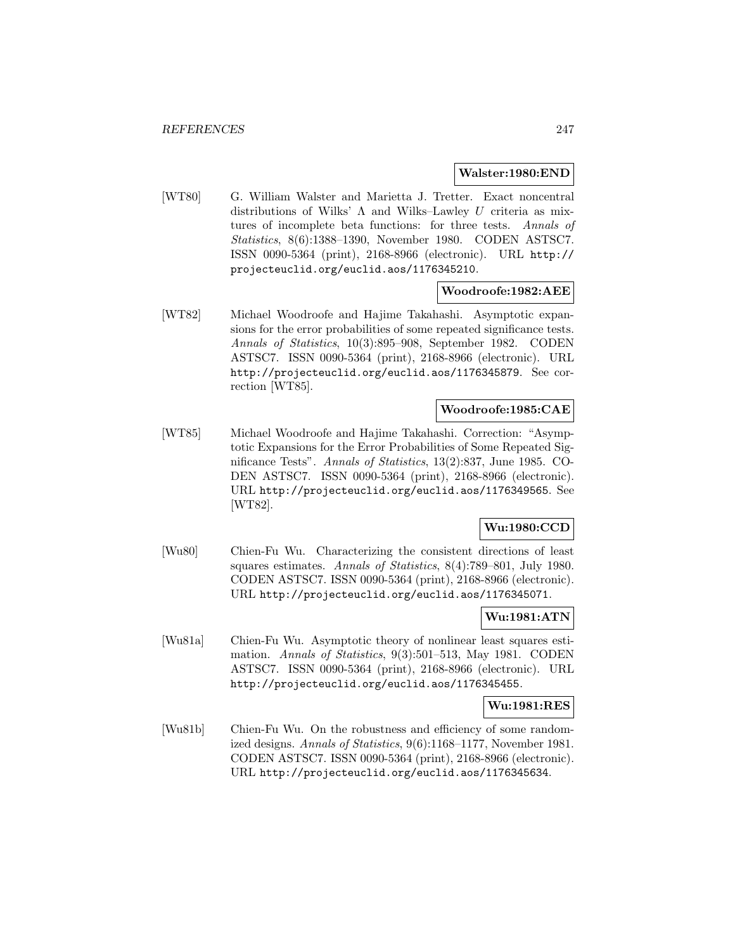#### **Walster:1980:END**

[WT80] G. William Walster and Marietta J. Tretter. Exact noncentral distributions of Wilks'  $\Lambda$  and Wilks–Lawley U criteria as mixtures of incomplete beta functions: for three tests. Annals of Statistics, 8(6):1388–1390, November 1980. CODEN ASTSC7. ISSN 0090-5364 (print), 2168-8966 (electronic). URL http:// projecteuclid.org/euclid.aos/1176345210.

### **Woodroofe:1982:AEE**

[WT82] Michael Woodroofe and Hajime Takahashi. Asymptotic expansions for the error probabilities of some repeated significance tests. Annals of Statistics, 10(3):895–908, September 1982. CODEN ASTSC7. ISSN 0090-5364 (print), 2168-8966 (electronic). URL http://projecteuclid.org/euclid.aos/1176345879. See correction [WT85].

## **Woodroofe:1985:CAE**

[WT85] Michael Woodroofe and Hajime Takahashi. Correction: "Asymptotic Expansions for the Error Probabilities of Some Repeated Significance Tests". Annals of Statistics, 13(2):837, June 1985. CO-DEN ASTSC7. ISSN 0090-5364 (print), 2168-8966 (electronic). URL http://projecteuclid.org/euclid.aos/1176349565. See [WT82].

# **Wu:1980:CCD**

[Wu80] Chien-Fu Wu. Characterizing the consistent directions of least squares estimates. Annals of Statistics, 8(4):789–801, July 1980. CODEN ASTSC7. ISSN 0090-5364 (print), 2168-8966 (electronic). URL http://projecteuclid.org/euclid.aos/1176345071.

## **Wu:1981:ATN**

[Wu81a] Chien-Fu Wu. Asymptotic theory of nonlinear least squares estimation. Annals of Statistics, 9(3):501–513, May 1981. CODEN ASTSC7. ISSN 0090-5364 (print), 2168-8966 (electronic). URL http://projecteuclid.org/euclid.aos/1176345455.

## **Wu:1981:RES**

[Wu81b] Chien-Fu Wu. On the robustness and efficiency of some randomized designs. Annals of Statistics, 9(6):1168–1177, November 1981. CODEN ASTSC7. ISSN 0090-5364 (print), 2168-8966 (electronic). URL http://projecteuclid.org/euclid.aos/1176345634.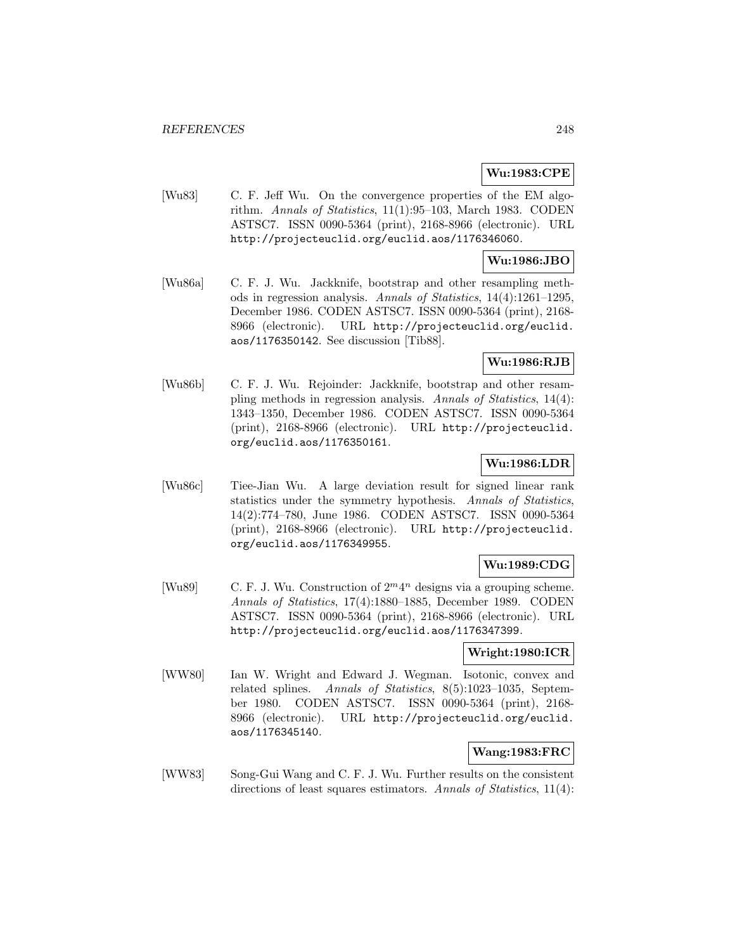# **Wu:1983:CPE**

[Wu83] C. F. Jeff Wu. On the convergence properties of the EM algorithm. Annals of Statistics, 11(1):95–103, March 1983. CODEN ASTSC7. ISSN 0090-5364 (print), 2168-8966 (electronic). URL http://projecteuclid.org/euclid.aos/1176346060.

## **Wu:1986:JBO**

[Wu86a] C. F. J. Wu. Jackknife, bootstrap and other resampling methods in regression analysis. Annals of Statistics, 14(4):1261–1295, December 1986. CODEN ASTSC7. ISSN 0090-5364 (print), 2168- 8966 (electronic). URL http://projecteuclid.org/euclid. aos/1176350142. See discussion [Tib88].

# **Wu:1986:RJB**

[Wu86b] C. F. J. Wu. Rejoinder: Jackknife, bootstrap and other resampling methods in regression analysis. Annals of Statistics, 14(4): 1343–1350, December 1986. CODEN ASTSC7. ISSN 0090-5364 (print), 2168-8966 (electronic). URL http://projecteuclid. org/euclid.aos/1176350161.

## **Wu:1986:LDR**

[Wu86c] Tiee-Jian Wu. A large deviation result for signed linear rank statistics under the symmetry hypothesis. Annals of Statistics, 14(2):774–780, June 1986. CODEN ASTSC7. ISSN 0090-5364 (print), 2168-8966 (electronic). URL http://projecteuclid. org/euclid.aos/1176349955.

# **Wu:1989:CDG**

[Wu89] C. F. J. Wu. Construction of  $2^m 4^n$  designs via a grouping scheme. Annals of Statistics, 17(4):1880–1885, December 1989. CODEN ASTSC7. ISSN 0090-5364 (print), 2168-8966 (electronic). URL http://projecteuclid.org/euclid.aos/1176347399.

## **Wright:1980:ICR**

[WW80] Ian W. Wright and Edward J. Wegman. Isotonic, convex and related splines. Annals of Statistics, 8(5):1023–1035, September 1980. CODEN ASTSC7. ISSN 0090-5364 (print), 2168- 8966 (electronic). URL http://projecteuclid.org/euclid. aos/1176345140.

# **Wang:1983:FRC**

[WW83] Song-Gui Wang and C. F. J. Wu. Further results on the consistent directions of least squares estimators. Annals of Statistics, 11(4):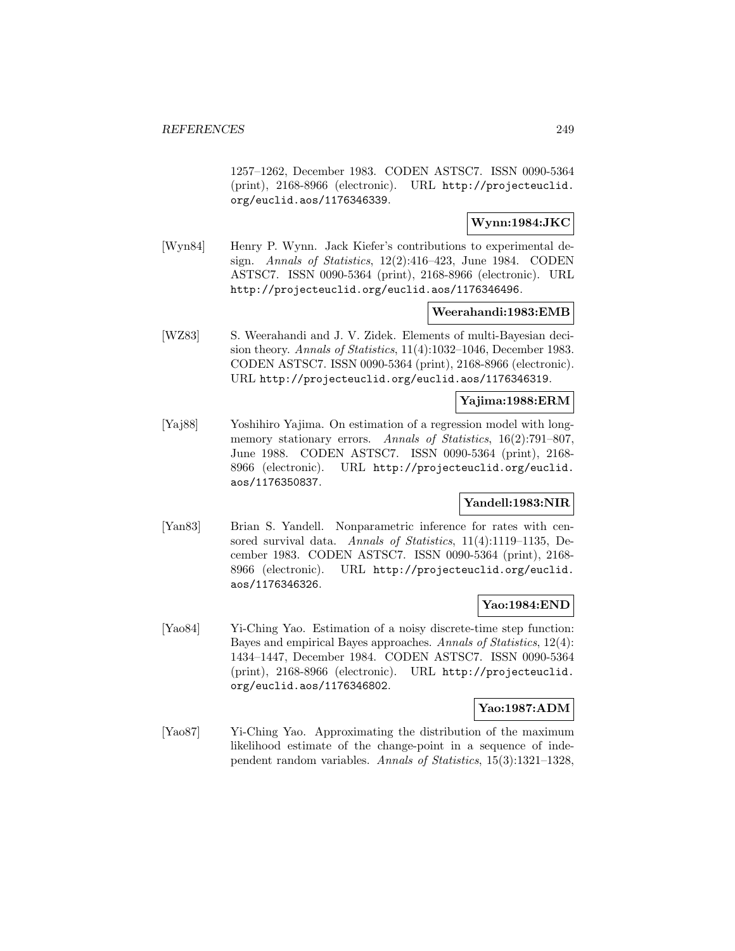1257–1262, December 1983. CODEN ASTSC7. ISSN 0090-5364 (print), 2168-8966 (electronic). URL http://projecteuclid. org/euclid.aos/1176346339.

# **Wynn:1984:JKC**

[Wyn84] Henry P. Wynn. Jack Kiefer's contributions to experimental design. Annals of Statistics, 12(2):416–423, June 1984. CODEN ASTSC7. ISSN 0090-5364 (print), 2168-8966 (electronic). URL http://projecteuclid.org/euclid.aos/1176346496.

## **Weerahandi:1983:EMB**

[WZ83] S. Weerahandi and J. V. Zidek. Elements of multi-Bayesian decision theory. Annals of Statistics, 11(4):1032–1046, December 1983. CODEN ASTSC7. ISSN 0090-5364 (print), 2168-8966 (electronic). URL http://projecteuclid.org/euclid.aos/1176346319.

## **Yajima:1988:ERM**

[Yaj88] Yoshihiro Yajima. On estimation of a regression model with longmemory stationary errors. Annals of Statistics, 16(2):791–807, June 1988. CODEN ASTSC7. ISSN 0090-5364 (print), 2168- 8966 (electronic). URL http://projecteuclid.org/euclid. aos/1176350837.

## **Yandell:1983:NIR**

[Yan83] Brian S. Yandell. Nonparametric inference for rates with censored survival data. Annals of Statistics, 11(4):1119–1135, December 1983. CODEN ASTSC7. ISSN 0090-5364 (print), 2168- 8966 (electronic). URL http://projecteuclid.org/euclid. aos/1176346326.

## **Yao:1984:END**

[Yao84] Yi-Ching Yao. Estimation of a noisy discrete-time step function: Bayes and empirical Bayes approaches. Annals of Statistics, 12(4): 1434–1447, December 1984. CODEN ASTSC7. ISSN 0090-5364 (print), 2168-8966 (electronic). URL http://projecteuclid. org/euclid.aos/1176346802.

#### **Yao:1987:ADM**

[Yao87] Yi-Ching Yao. Approximating the distribution of the maximum likelihood estimate of the change-point in a sequence of independent random variables. Annals of Statistics, 15(3):1321–1328,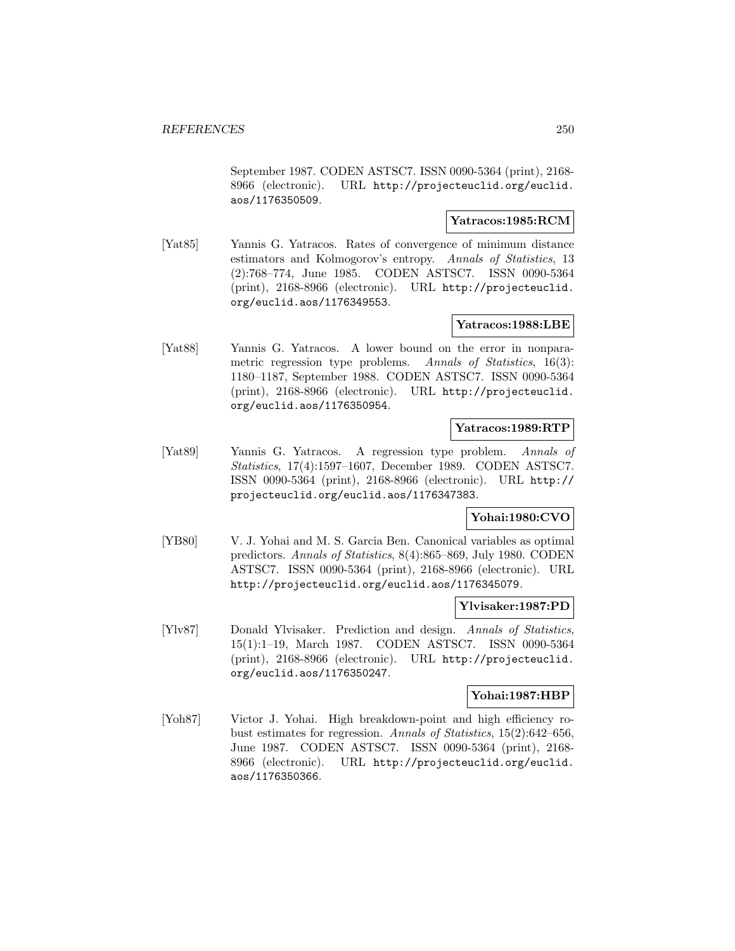September 1987. CODEN ASTSC7. ISSN 0090-5364 (print), 2168- 8966 (electronic). URL http://projecteuclid.org/euclid. aos/1176350509.

## **Yatracos:1985:RCM**

[Yat85] Yannis G. Yatracos. Rates of convergence of minimum distance estimators and Kolmogorov's entropy. Annals of Statistics, 13 (2):768–774, June 1985. CODEN ASTSC7. ISSN 0090-5364 (print), 2168-8966 (electronic). URL http://projecteuclid. org/euclid.aos/1176349553.

## **Yatracos:1988:LBE**

[Yat88] Yannis G. Yatracos. A lower bound on the error in nonparametric regression type problems. Annals of Statistics, 16(3): 1180–1187, September 1988. CODEN ASTSC7. ISSN 0090-5364 (print), 2168-8966 (electronic). URL http://projecteuclid. org/euclid.aos/1176350954.

### **Yatracos:1989:RTP**

[Yat89] Yannis G. Yatracos. A regression type problem. Annals of Statistics, 17(4):1597–1607, December 1989. CODEN ASTSC7. ISSN 0090-5364 (print), 2168-8966 (electronic). URL http:// projecteuclid.org/euclid.aos/1176347383.

## **Yohai:1980:CVO**

[YB80] V. J. Yohai and M. S. Garcia Ben. Canonical variables as optimal predictors. Annals of Statistics, 8(4):865–869, July 1980. CODEN ASTSC7. ISSN 0090-5364 (print), 2168-8966 (electronic). URL http://projecteuclid.org/euclid.aos/1176345079.

### **Ylvisaker:1987:PD**

[Ylv87] Donald Ylvisaker. Prediction and design. Annals of Statistics, 15(1):1–19, March 1987. CODEN ASTSC7. ISSN 0090-5364 (print), 2168-8966 (electronic). URL http://projecteuclid. org/euclid.aos/1176350247.

### **Yohai:1987:HBP**

[Yoh87] Victor J. Yohai. High breakdown-point and high efficiency robust estimates for regression. Annals of Statistics, 15(2):642–656, June 1987. CODEN ASTSC7. ISSN 0090-5364 (print), 2168- 8966 (electronic). URL http://projecteuclid.org/euclid. aos/1176350366.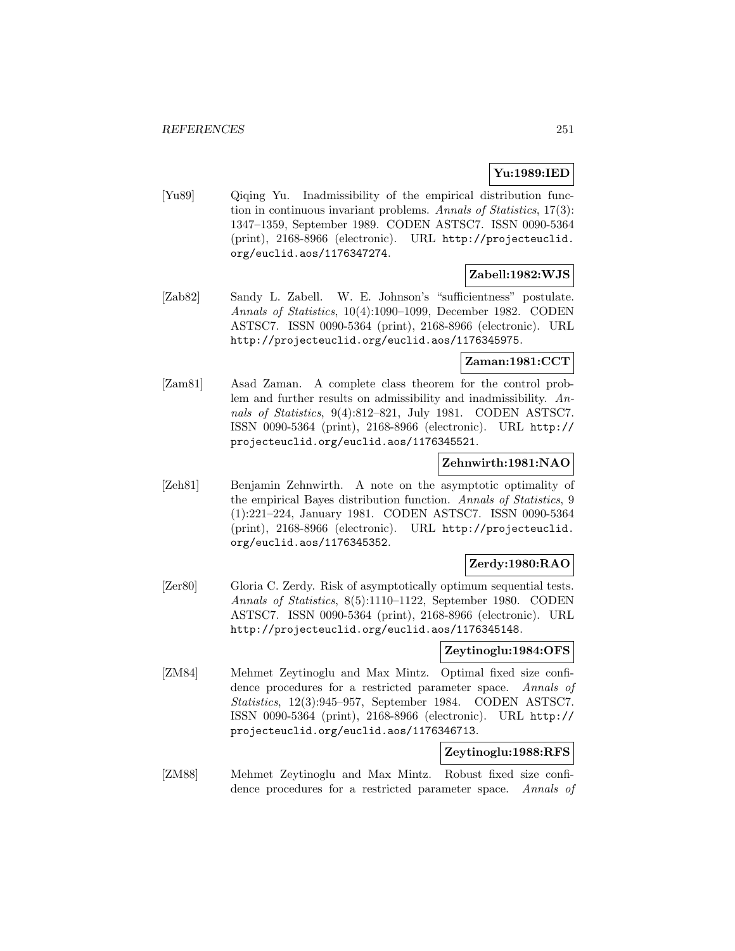## **Yu:1989:IED**

[Yu89] Qiqing Yu. Inadmissibility of the empirical distribution function in continuous invariant problems. Annals of Statistics, 17(3): 1347–1359, September 1989. CODEN ASTSC7. ISSN 0090-5364 (print), 2168-8966 (electronic). URL http://projecteuclid. org/euclid.aos/1176347274.

# **Zabell:1982:WJS**

[Zab82] Sandy L. Zabell. W. E. Johnson's "sufficientness" postulate. Annals of Statistics, 10(4):1090–1099, December 1982. CODEN ASTSC7. ISSN 0090-5364 (print), 2168-8966 (electronic). URL http://projecteuclid.org/euclid.aos/1176345975.

# **Zaman:1981:CCT**

[Zam81] Asad Zaman. A complete class theorem for the control problem and further results on admissibility and inadmissibility. Annals of Statistics, 9(4):812–821, July 1981. CODEN ASTSC7. ISSN 0090-5364 (print), 2168-8966 (electronic). URL http:// projecteuclid.org/euclid.aos/1176345521.

## **Zehnwirth:1981:NAO**

[Zeh81] Benjamin Zehnwirth. A note on the asymptotic optimality of the empirical Bayes distribution function. Annals of Statistics, 9 (1):221–224, January 1981. CODEN ASTSC7. ISSN 0090-5364 (print), 2168-8966 (electronic). URL http://projecteuclid. org/euclid.aos/1176345352.

## **Zerdy:1980:RAO**

[Zer80] Gloria C. Zerdy. Risk of asymptotically optimum sequential tests. Annals of Statistics, 8(5):1110–1122, September 1980. CODEN ASTSC7. ISSN 0090-5364 (print), 2168-8966 (electronic). URL http://projecteuclid.org/euclid.aos/1176345148.

## **Zeytinoglu:1984:OFS**

[ZM84] Mehmet Zeytinoglu and Max Mintz. Optimal fixed size confidence procedures for a restricted parameter space. Annals of Statistics, 12(3):945–957, September 1984. CODEN ASTSC7. ISSN 0090-5364 (print), 2168-8966 (electronic). URL http:// projecteuclid.org/euclid.aos/1176346713.

## **Zeytinoglu:1988:RFS**

[ZM88] Mehmet Zeytinoglu and Max Mintz. Robust fixed size confidence procedures for a restricted parameter space. Annals of